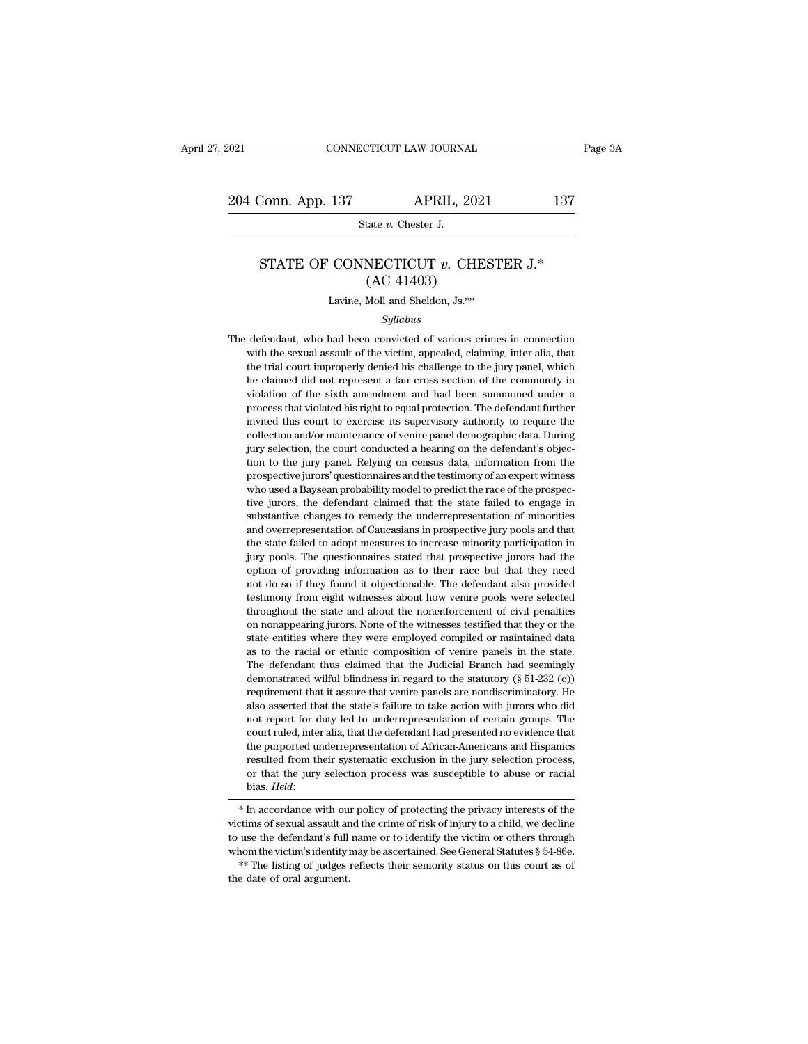### STATE OF CONNECTICUT *v.* CHESTER J.\*<br>
(AC 41403)  $\begin{align*} \text{APRIL, 202:} \end{align*} \begin{align*} \text{LHS} \text{LHS} \text{LHS} \text{LHS} \text{LHS} \text{LHS} \text{LHS} \text{LHS} \text{LHS} \text{LHS} \text{LHS} \text{LHS} \text{LHS} \text{LHS} \text{LHS} \text{LHS} \text{LHS} \text{LHS} \text{LHS} \text{LHS} \text{LHS} \text{LHS} \text{LHS} \text{LHS} \text{LHS} \text{LHS} \text{LHS} \text{LHS} \text{LHS} \text{LHS} \text{LHS} \text{$  $\begin{minipage}{0.4\textwidth} \begin{tabular}{c} \multicolumn{2}{c}{\textbf{State $v$. Chester J.}}\\ \multicolumn{2}{c}{\textbf{STATE OF CONNECTICUT $v$. CHESTER J.*}}\\ \multicolumn{2}{c}{\textbf{(AC 41403)}}\\ \multicolumn{2}{c}{\textbf{Lawine, Moll and Sheldon, Js.}}*\end{tabular} \end{minipage}$

### *Syllabus*

STATE OF CONNECTICUT  $v$ . CHESTER J.\*<br>
(AC 41403)<br>
Lavine, Moll and Sheldon, Js.\*\*<br> *Syllabus*<br>
The defendant, who had been convicted of various crimes in connection<br>
with the sexual assault of the victim, appealed, claim  $\rm (AC~41403)$ <br>Lavine, Moll and Sheldon, Js. $^{**}$ <br>Syllabus<br>defendant, who had been convicted of various crimes in connection<br>with the sexual assault of the victim, appealed, claiming, inter alia, that<br>the trial court impro Lavine, Moll and Sheldon, Js. $**$ <br>  $Syllabus$ <br>
defendant, who had been convicted of various crimes in connection<br>
with the sexual assault of the victim, appealed, claiming, inter alia, that<br>
the trial court improperly denied hi Eavine, mon and sheldon, 3s.<sup>22</sup><br>Syllabus<br>defendant, who had been convicted of various crimes in connection<br>with the sexual assault of the victim, appealed, claiming, inter alia, that<br>the trial court improperly denied his *Syllabus*<br>defendant, who had been convicted of various crimes in connection<br>with the sexual assault of the victim, appealed, claiming, inter alia, that<br>the trial court improperly denied his challenge to the jury panel, wh defendant, who had been convicted of various crimes in connection<br>with the sexual assault of the victim, appealed, claiming, inter alia, that<br>the trial court improperly denied his challenge to the jury panel, which<br>he clai invited this court in the sexual assault of the victim, appealed, claiming, inter alia, that the trial court improperly denied his challenge to the jury panel, which he claimed did not represent a fair cross section of the what are sexual assault of are viently, appeared, enalling, inter and, that<br>the trial court improperly denied his challenge to the jury panel, which<br>he claimed did not represent a fair cross section of the community in<br>vio he claimed did not represent a fair cross section of the community in violation of the sixth amendment and had been summoned under a process that violated his right to equal protection. The defendant further invited this c the claimed did not represent a fait eross section of the commandy inviolation of the sixth amendment and had been summoned under a process that violated his right to equal protection. The defendant further invited this co process that violated his right to equal protection. The defendant further invited this court to exercise its supervisory authority to require the collection and/or maintenance of venire panel demographic data. During jury invited this court to exercise its supervisory authority to require the collection and/or maintenance of venire panel demographic data. During jury selection, the court conducted a hearing on the defendant's objection to t rivided and contract and secular is supervisory attaining to require the collection and/or maintenance of venire panel demographic data. During jury selection, the court conducted a hearing on the defendant's objection to fully yelection, the court conducted a hearing on the defendant's objection to the jury panel. Relying on census data, information from the prospective jurors' questionnaires and the testimony of an expert witness who used and overrepresentation of Caucasians in prospective jury pools and the prospective jurors' questionnaires and the testimony of an expert witness who used a Baysean probability model to predict the race of the prospective j from to all yards. Relying on census data, information from the prospective jurors' questionnaires and the testimony of an expert witness who used a Baysean probability model to predict the race of the prospective jurors, prospective jurors questionnaires and the testinony of art expert whites<br>who used a Baysean probability model to predict the race of the prospec-<br>tive jurors, the defendant claimed that the state failed to engage in<br>substa who used a baysear probability induct to predict the race of the prospective jury ros, the defendant claimed that the state failed to engage in substantive changes to remedy the underrepresentation of minorities and overre and some solutions, the defendant claimed diat are state ranced to engage in substantive changes to remedy the underrepresentation of minorities and overrepresentation of Caucasians in prospective jury pools and that the s substantive changes to reincly the unterrepresentation of ninionites<br>and overrepresentation of Caucasians in prospective jury pools and that<br>the state failed to adopt measures to increase minority participation in<br>jury poo and overtepresentation of clacels and in prospective jury pools and that<br>the state failed to adopt measures to increase minority participation in<br>jury pools. The questionnaires stated that prospective jurors had the<br>option In the state and to alopt inclusions to increase inhority participation in<br>jury pools. The questionnaires stated that prospective jurors had the<br>option of providing information as to their race but that they need<br>testimony between the providing information as to their race but that they need not do so if they found it objectionable. The defendant also provided testimony from eight witnesses about how venire pools were selected throughout the between of providing information as to their fact but that they need not do so if they found it objectionable. The defendant also provided testimony from eight witnesses about how venire pools were selected throughout the The defendant thus claimed that the Judicial Branch had seemingly demonstrated with bindle and about the nonenforcement of civil penalties on nonappearing jurors. None of the witnesses testified that they or the state ent demonstrated wilful blindness in regard to the statural charge of the witnesses about how verific positions were statured that the state entities where they were employed compiled or maintained data as to the racial or eth arioughout the state and about the indichmented for evil penalties<br>on nonappearing jurors. None of the witnesses testified that they or the<br>state entities where they were employed compiled or maintained data<br>as to the rac also asserted that the state's failure to take action with the state entities where they were employed compiled or maintained data as to the racial or ethnic composition of venire panels in the state. The defendant thus c state chalces where they were employed complied of maintained data<br>as to the racial or ethnic composition of venire panels in the state.<br>The defendant thus claimed that the Judicial Branch had seemingly<br>demonstrated wilful The defendant thus claimed that the Judicial Branch had seemingly demonstrated wilful blindness in regard to the statutory  $(\S 51-232$  (c)) requirement that it assure that venire panels are nondiscriminatory. He also asse The discrimingly demonstrated wilful blindness in regard to the statutory  $(\S 51-232$   $(c))$  requirement that it assure that venire panels are nondiscriminatory. He also asserted that the state's failure to take action with requirement that it assure that venire panels are nondiscriminatory. He also asserted that the state's failure to take action with jurors who did not report for duty led to underrepresentation of certain groups. The court requirement that it assue that veloc parties are nondiscriminatory. The also asserted that the state's failure to take action with jurors who did not report for duty led to underrepresentation of certain groups. The court bias. *Held*: court ruled, inter alia, that the defendant had presented no evidence that<br>the purported underrepresentation of African-Americans and Hispanics<br>resulted from their systematic exclusion in the jury selection process,<br>or tha the purported underrepresentation of African-Americans and Hispanics<br>resulted from their systematic exclusion in the jury selection process,<br>or that the jury selection process was susceptible to abuse or racial<br>bias. *Held* 

resulted from their systematic exclusion in the jury selection process,<br>or that the jury selection process was susceptible to abuse or racial<br>bias. *Held*:<br>\* In accordance with our policy of protecting the privacy interest or that the jury selection process was susceptible to abuse or racial<br>bias. Held:<br> $*$  In accordance with our policy of protecting the privacy interests of the<br>victims of sexual assault and the crime of risk of injury to a  $*$  In accordance with our policy of protecting the privacy interests of the victims of sexual assault and the crime of risk of injury to a child, we decline to use the defendant's full name or to identify the victim or o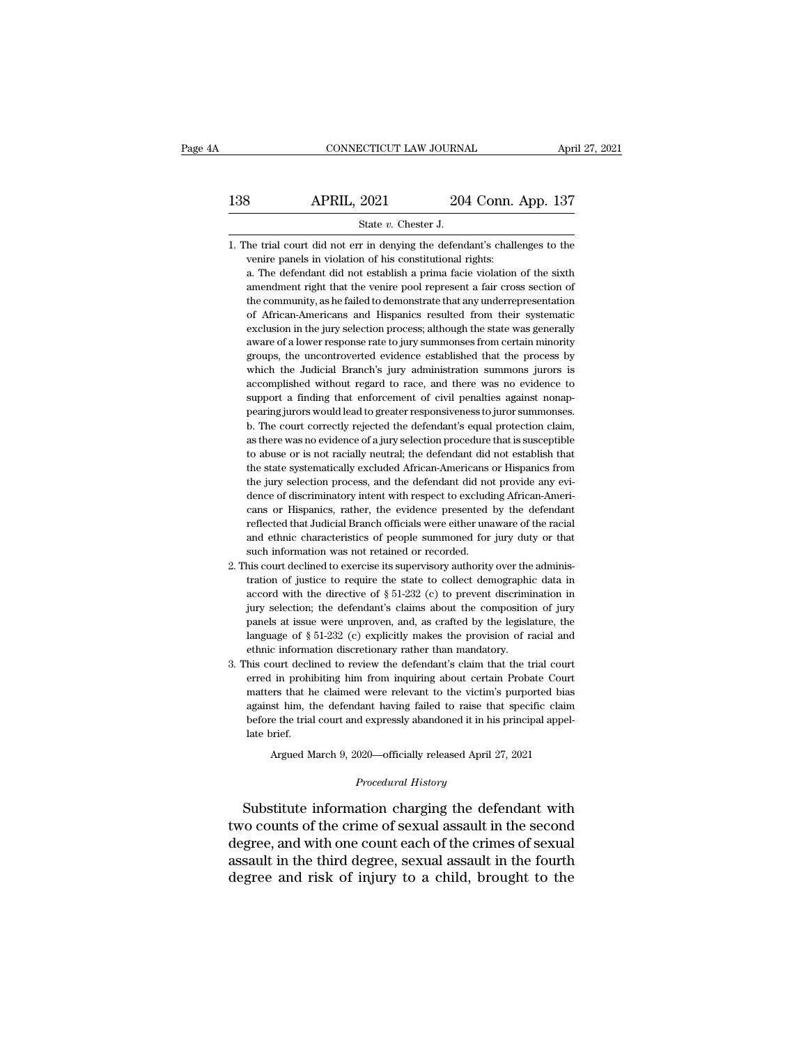# CONNECTICUT LAW JOURNAL April 27, 2021<br>138 APRIL, 2021 204 Conn. App. 137<br>5tate v. Chester J. CONNECTICUT LAW JOURNAL April<br>138 APRIL, 2021 204 Conn. App. 137<br>5tate *v*. Chester J.<br>1. The trial court did not err in denying the defendant's challenges to the

1. 1. The trial court did not err in denying the defendant's challenges to the verrie panels in violation of his constitutional rights: **SET APRIL, 2021** 204 Conn.<br>
State  $v$ . Chester J.<br>
he trial court did not err in denying the defendant's chall<br>
venire panels in violation of his constitutional rights:<br>
a. The defendant did not establish a prima facie v

**a.** The defendant did not error in denying the defendant's challenges to the venire panels in violation of his constitutional rights:<br>a. The defendant did not establish a prima facie violation of the sixth annendment rig  $\begin{minipage}[t]{0.5\textwidth} \begin{tabular}{p{0.8cm}} \textbf{State $v$.} \end{tabular} \end{minipage} \begin{minipage}[t]{0.8cm}{\textwidth} \begin{tabular}{p{0.8cm}} \textbf{State $v$.} \end{tabular} \end{minipage} \begin{minipage}[t]{0.8cm}{\textwidth} \begin{tabular}{p{0.8cm}} \textbf{A} & \textbf{B} & \textbf{B} & \textbf{B} & \textbf{B} & \textbf{B} & \textbf{B} & \textbf{B} & \textbf{B} & \textbf{B} & \textbf{B} & \textbf{B} & \$ State  $v$ . Chester J.<br>
he trial court did not err in denying the defendant's challenges to the<br>
venire panels in violation of his constitutional rights:<br>
a. The defendant did not establish a prima facie violation of the s he trial court did not err in denying the defendant's challenges to the venire panels in violation of his constitutional rights:<br>a. The defendant did not establish a prima facie violation of the sixth amendment right that venire panels in violation of his constitutional rights:<br>a. The defendant did not establish a prima facie violation of the sixth<br>amendment right that the venire pool represent a fair cross section of<br>the community, as he f a. The defendant did not establish a prima facie violation of the sixth amendment right that the venire pool represent a fair cross section of the community, as he failed to demonstrate that any underrepresentation of Afri a mendment right that the venire pool represent a fair cross section of the community, as he failed to demonstrate that any underrepresentation of African-Americans and Hispanics resulted from their systematic exclusion in the community, as he failed to demonstrate that any underrepresentation of African-Americans and Hispanics resulted from their systematic exclusion in the jury selection process; although the state was generally aware of a accomplished without regard to race, and there was generally a<br>sectusion in the jury selection process; although the state was generally<br>aware of a lower response rate to jury summonses from certain minority<br>groups, the un exclusion in the jury selection process; although the state was generally aware of a lower response rate to jury summonses from certain minority groups, the uncontroverted evidence established that the process by which the means and a mean grap school and a make of a lower response rate to jury summonses from certain minority groups, the uncontroverted evidence established that the process by which the Judicial Branch's jury administration s groups, the uncontroverted evidence established that the process by<br>which the Judicial Branch's jury administration summons jurors is<br>accomplished without regard to race, and there was no evidence to<br>support a finding that which the Judicial Branch's jury administration summons jurors is accomplished without regard to race, and there was no evidence to support a finding that enforcement of civil penalties against nonappearing jurors would le accomplished without regard to race, and there was no evidence to support a finding that enforcement of civil penalties against nonappearing jurors would lead to greater responsiveness to juror summonses.<br>b. The court corr support a finding that enforcement of civil penalties against nonap-<br>pearing jurors would lead to greater responsiveness to juror summonses.<br>b. The court correctly rejected the defendant's equal protection claim,<br>as there pearing jurors would lead to greater responsiveness to juror summonses.<br>
b. The court correctly rejected the defendant's equal protection claim,<br>
as there was no evidence of a jury selection procedure that is susceptible<br> b. The court correctly rejected the defendant's equal protection claim, as there was no evidence of a jury selection procedure that is susceptible to abuse or is not racially neutral; the defendant did not establish that t as there was no evidence of a jury selection procedure that is susceptible to abuse or is not racially neutral; the defendant did not establish that the state systematically excluded African-Americans or Hispanics from the to abuse or is not racially neutral; the defendant did not establish that<br>the state systematically excluded African-Americans or Hispanics from<br>the jury selection process, and the defendant did not provide any evi-<br>dence o the state systematically excluded African-Americans or Hispanics from<br>the jury selection process, and the defendant did not provide any evi-<br>dence of discriminatory intent with respect to excluding African-Americans<br>or His the jury selection process, and the defendant did not<br>dence of discriminatory intent with respect to excludi<br>cans or Hispanics, rather, the evidence presented<br>reflected that Judicial Branch officials were either una<br>and et dence of discriminatory intent with respect to excluding African-Americans or Hispanics, rather, the evidence presented by the defendant reflected that Judicial Branch officials were either unaware of the racial and ethnic cans or Hispanics, rather, the evidence presented by the defendant reflected that Judicial Branch officials were either unaware of the racial and ethnic characteristics of people summoned for jury duty or that such inform

- reflected that Judicial Branch officials were either unaware of the racial<br>and ethnic characteristics of people summoned for jury duty or that<br>such information was not retained or recorded.<br>his court declined to exercise and ethnic characteristics of people summoned for jury duty or that<br>such information was not retained or recorded.<br>his court declined to exercise its supervisory authority over the adminis-<br>tration of justice to require t such information was not retained or recorded.<br>
his court declined to exercise its supervisory authority over the administration of justice to require the state to collect demographic data in<br>
accord with the directive of his court declined to exercise its supervisory authority over the administration of justice to require the state to collect demographic data in accord with the directive of  $\S 51-232$  (c) to prevent discrimination in jury 2. This court declined to exercise its supervisory authority over the administration of justice to require the state to collect demographic data in accord with the directive of  $\S 51-232$  (c) to prevent discrimination in accord with the directive of  $\S$  51-232 (c) to prevent discrimination in<br>jury selection; the defendant's claims about the composition of jury<br>panels at issue were unproven, and, as crafted by the legislature, the<br>language jury selection; the defendant's claims about the composition of jury panels at issue were unproven, and, as crafted by the legislature, the language of § 51-232 (c) explicitly makes the provision of racial and ethnic infor
- panels at issue were unproven, and, as crafted by the legislature, the language of  $\S 51-232$  (c) explicitly makes the provision of racial and ethnic information discretionary rather than mandatory.<br>his court declined to anguage of  $\S 51-232$  (c) explicitly makes the provision of racial and ethnic information discretionary rather than mandatory.<br>his court declined to review the defendant's claim that the trial court erred in prohibiting h ethnic information discretionary rather than mandatory.<br>his court declined to review the defendant's claim that the trial court<br>erred in prohibiting him from inquiring about certain Probate Court<br>matters that he claimed we his court declient<br>erred in prohil<br>matters that h<br>against him, tl<br>before the trial<br>late brief.<br>Argued M In prohibiting him from inquiring about certain Probate Court<br>
res that he claimed were relevant to the victim's purported bias<br>
st him, the defendant having failed to raise that specific claim<br>
re the trial court and expr against him, the defendant having failed to raise that specific claim<br>before the trial court and expressly abandoned it in his principal appel-<br>late brief.<br>Argued March 9, 2020—officially released April 27, 2021<br>*Procedura* against him, the defendant having failed to raise that specific claim<br>before the trial court and expressly abandoned it in his principal appel-<br>late brief.<br>Argued March 9, 2020—officially released April 27, 2021<br>*Procedura*

before the trial court and expressly abandoned it in his principal appellate brief.<br>
Argued March 9, 2020—officially released April 27, 2021<br>
Procedural History<br>
Substitute information charging the defendant with<br>
two coun Argued March 9, 2020—officially released April 27, 2021<br> *Procedural History*<br>
Substitute information charging the defendant with<br>
two counts of the crime of sexual assault in the second<br>
degree, and with one count each of Argued March 9, 2020—officially released April 27, 2021<br>
Procedural History<br>
Substitute information charging the defendant with<br>
two counts of the crime of sexual assault in the second<br>
degree, and with one count each of t Procedural History<br>Substitute information charging the defendant with<br>two counts of the crime of sexual assault in the second<br>degree, and with one count each of the crimes of sexual<br>assault in the third degree, sexual assa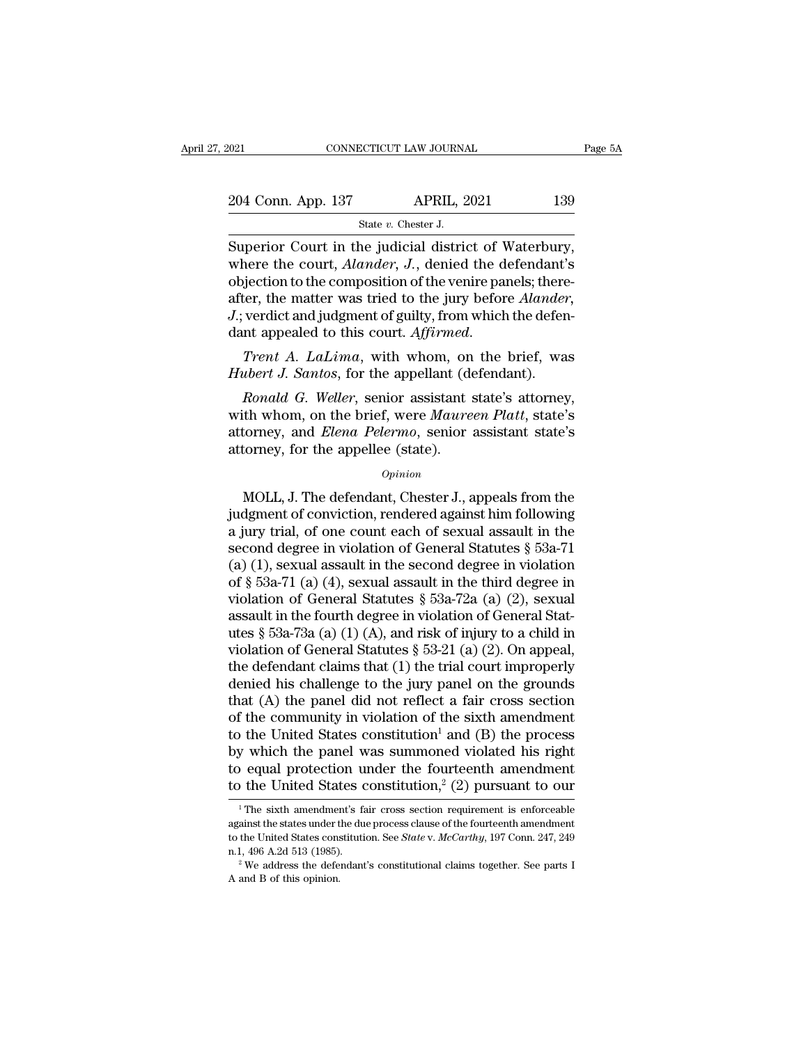SCTICUT LAW JOURNANT APRIL, 2<br>APRIL, 2<br>State *v.* Chester J.<br>De judicial district

Fage<br>
Superior Court in the judicial district of Waterbury,<br>
Superior Court in the judicial district of Waterbury,<br>
where the court, *Alander*, *J*., denied the defendant's<br>
chiedien to the composition of the venire papels 204 Conn. App. 137 APRIL, 2021 139<br>
State v. Chester J.<br>
Superior Court in the judicial district of Waterbury,<br>
where the court, *Alander*, *J.*, denied the defendant's<br>
objection to the composition of the venire panels; t 204 Conn. App. 137 APRIL, 2021 139<br>
State v. Chester J.<br>
Superior Court in the judicial district of Waterbury,<br>
where the court, *Alander*, *J*., denied the defendant's<br>
objection to the composition of the venire panels; 204 Conn. App. 137 APRIL, 2021 139<br>
State *v*. Chester J.<br>
Superior Court in the judicial district of Waterbury,<br>
where the court, *Alander*, *J*., denied the defendant's<br>
objection to the composition of the venire panels; *State v. Chester J.*<br>*State v. Chester J.*<br>*Superior Court in the judicial district of Waterbury,*<br>where the court, *Alander*, *J.*, denied the defendant's<br>objection to the composition of the venire panels; there-<br>after, Superior Court in the judicial district of Waterbury,<br>where the court, *Alander*, *J*., denied the defendant's<br>objection to the composition of the venire panels; there-<br>after, the matter was tried to the jury before *Aland Hubert die court, Atander, J.*, defined the defendant objection to the composition of the venire panels; there after, the matter was tried to the jury before *Alander J.*; verdict and judgment of guilty, from which the de *Ronald G. Weller, senior assistant state's atomore alander,*<br> *Ronald G. Weller, senior assistant (defendant).*<br> *Ronald G. Weller, senior assistant state's attorney,*<br> *Ronald G. Weller, senior assistant state's attorney* 

*J*.; verdict and judgment of guilty, from which the defendant appealed to this court. *Affirmed.*<br> *Trent A. LaLima*, with whom, on the brief, was<br> *Hubert J. Santos*, for the appellant (defendant).<br> *Ronald G. Weller*, s dant appealed to this court. *Affirmed.*<br> *Trent A. LaLima*, with whom, on the brief, was<br> *Hubert J. Santos*, for the appellant (defendant).<br> *Ronald G. Weller*, senior assistant state's attorney,<br>
with whom, on the brief Trent A. LaLima, with whom, on<br>Hubert J. Santos, for the appellant (de<br>Ronald G. Weller, senior assistant s<br>with whom, on the brief, were Maure<br>attorney, and Elena Pelermo, senior<br>attorney, for the appellee (state).<br> $o_{pinion}$ Ronald G. Weller, senior assistant state's attorney,<br>th whom, on the brief, were Maureen Platt, state's<br>torney, and Elena Pelermo, senior assistant state's<br>torney, for the appellee (state).<br> $opinion$ <br>MOLL, J. The defendant, Che

### *Opinion*

with whom, on the brief, were *Maureen Platt*, state's<br>attorney, and *Elena Pelermo*, senior assistant state's<br>attorney, for the appellee (state).<br> $opinion$ <br> $MOLL, J. The defendant, Chester J., appeals from the  
judgment of conviction, rendered against him following  
a jury trial, of one count each of sexual assault in the  
second dorno in violation of General Statistics  $\delta$  532.71$ attorney, and *Elena Pelermo*, senior assistant state's<br>attorney, for the appellee (state).<br> $opinion$ <br> $MOLL, J. The defendant, Chester J., appears from the  
judgment of conviction, rendered against him following  
a jury trial, of one count each of sexual assault in the  
second degree in violation of General Statistics § 53a-71  
(a) (1) several result in the second degree in violation$ stattorney, for the appellee (state).<br>
opinion<br>
MOLL, J. The defendant, Chester J., appeals from the<br>
judgment of conviction, rendered against him following<br>
a jury trial, of one count each of sexual assault in the<br>
secon (b)  $\alpha$  (b)  $\alpha$  (b)  $\alpha$  (a) (c)  $\alpha$  (a) (c)  $\alpha$  (a) (c)  $\alpha$  (a) (c)  $\alpha$  (c)  $\alpha$  (c)  $\alpha$  (c)  $\alpha$  (c)  $\alpha$  (c)  $\alpha$  (c)  $\alpha$  (c)  $\alpha$  (c)  $\alpha$  (c)  $\alpha$  (c)  $\alpha$  (c)  $\alpha$  (c)  $\alpha$  (c)  $\alpha$  (c)  $\alpha$  (c)  $\alpha$  (c)  $\alpha$ *Opmon*<br>
MOLL, J. The defendant, Chester J., appeals from the<br>
judgment of conviction, rendered against him following<br>
a jury trial, of one count each of sexual assault in the<br>
second degree in violation of General Statut MOLL, J. The defendant, Chester J., appeals from the<br>judgment of conviction, rendered against him following<br>a jury trial, of one count each of sexual assault in the<br>second degree in violation of General Statutes § 53a-71<br> judgment of conviction, rendered against him following<br>a jury trial, of one count each of sexual assault in the<br>second degree in violation of General Statutes § 53a-71<br>(a) (1), sexual assault in the second degree in viola a jury trial, of one count each of sexual assault in the<br>second degree in violation of General Statutes § 53a-71<br>(a) (1), sexual assault in the second degree in violation<br>of § 53a-71 (a) (4), sexual assault in the third d second degree in violation of General Statutes § 53a-71 (a) (1), sexual assault in the second degree in violation of § 53a-71 (a) (4), sexual assault in the third degree in violation of General Statutes § 53a-72a (a) (2), (a) (1), sexual assault in the second degree in violation<br>of § 53a-71 (a) (4), sexual assault in the third degree in<br>violation of General Statutes § 53a-72a (a) (2), sexual<br>assault in the fourth degree in violation of Gen of § 53a-71 (a) (4), sexual assault in the third degree in<br>violation of General Statutes § 53a-72a (a) (2), sexual<br>assault in the fourth degree in violation of General Stat-<br>utes § 53a-73a (a) (1) (A), and risk of injury violation of General Statutes § 53a-72a (a) (2), sexual<br>assault in the fourth degree in violation of General Stat-<br>utes § 53a-73a (a) (1) (A), and risk of injury to a child in<br>violation of General Statutes § 53-21 (a) (2) assault in the fourth degree in violation of General Stat-<br>utes § 53a-73a (a) (1) (A), and risk of injury to a child in<br>violation of General Statutes § 53-21 (a) (2). On appeal,<br>the defendant claims that (1) the trial cou utes § 53a-73a (a) (1) (A), and risk of injury to a child in<br>violation of General Statutes § 53-21 (a) (2). On appeal,<br>the defendant claims that (1) the trial court improperly<br>denied his challenge to the jury panel on the violation of General Statutes § 53-21 (a) (2). On appeal,<br>the defendant claims that (1) the trial court improperly<br>denied his challenge to the jury panel on the grounds<br>that (A) the panel did not reflect a fair cross sect the defendant claims that (1) the trial court improperly<br>denied his challenge to the jury panel on the grounds<br>that (A) the panel did not reflect a fair cross section<br>of the community in violation of the sixth amendment<br>t denied his challenge to the jury panel on the grounds<br>that (A) the panel did not reflect a fair cross section<br>of the community in violation of the sixth amendment<br>to the United States constitution<sup>1</sup> and (B) the process<br>b 1) the United States constitution<sup>1</sup> and (B) the process y which the panel was summoned violated his right  $\log$  equal protection under the fourteenth amendment is the United States constitution,<sup>2</sup> (2) pursuant to our  $\frac$ by which the panel was summoned violated his right<br>to equal protection under the fourteenth amendment<br>to the United States constitution,<sup>2</sup> (2) pursuant to our<br><sup>1</sup>The sixth amendment's fair cross section requirement is en

to equal protection under the fourteenth amendment<br>to the United States constitution,<sup>2</sup> (2) pursuant to our<br> $\frac{1}{1}$ The sixth amendment's fair cross section requirement is enforceable<br>against the states under the due pr to the United States constitution,<sup>2</sup> (2) pursuant to our <sup>1</sup>The sixth amendment's fair cross section requirement is enforceable against the states under the due process clause of the fourteenth amendment to the United St <sup>1</sup> The sixth amendment's fair cross section requirement is enforceable against the states under the due process clause of the fourteenth amendment to the United States constitution. See *State v. McCarthy*, 197 Conn. 247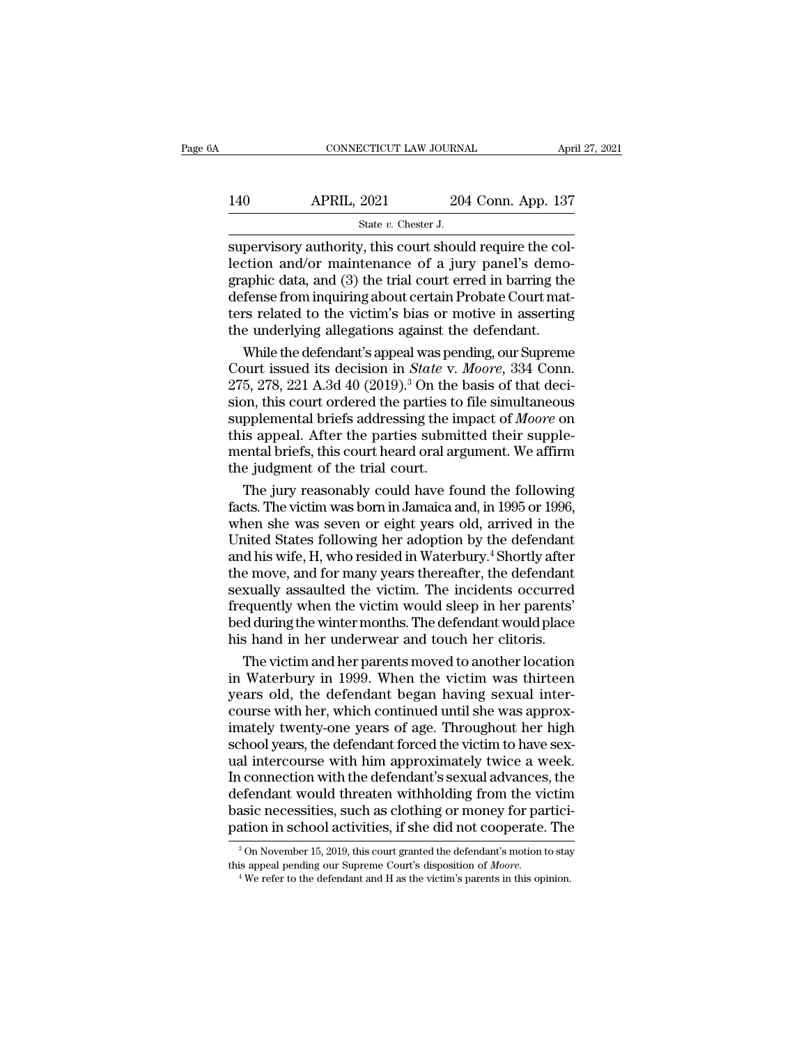|     | CONNECTICUT LAW JOURNAL                                  |                    | April 27, 2021 |
|-----|----------------------------------------------------------|--------------------|----------------|
| 140 | <b>APRIL, 2021</b>                                       | 204 Conn. App. 137 |                |
|     | State $v$ . Chester J.                                   |                    |                |
|     | supervisory authority this court should require the col- |                    |                |

CONNECTICUT LAW JOURNAL APT<br>
SUBARIL, 2021 204 Conn. App. 137<br>
State v. Chester J.<br>
Supervisory authority, this court should require the col-<br>
lection and/or maintenance of a jury panel's demo-<br>
graphic data and (3) the tr 140 APRIL, 2021 204 Conn. App. 137<br>
state v. Chester J.<br>
supervisory authority, this court should require the collection and/or maintenance of a jury panel's demo-<br>
graphic data, and (3) the trial court erred in barring t 140 APRIL, 2021 204 Conn. App. 137<br>  $\frac{8\textrm{rate }v.\thinspace\text{Chester J.}}{3\textrm{supervisory authority, this court should require the collection and/or maintenance of a jury panel's demographic data, and (3) the trial court erred in barring the defense from inquiring about certain Probate Court matters related to the victim's bias or motive in asserting.}$  $\begin{array}{lll}\n 140 & \text{APRIL, } 2021 & 204 \text{ Conn. App. 137} \\
 \hline\n & \text{State } v. \text{ Chester J.} \\
 \hline\n \text{supervisory authority, this court should require the collection and/or maintenance of a jury panel's demographic data, and (3) the trial court erred in barring the defense from inquiring about certain Probate Court matters related to the victim's bias or motive in asserting the underlying allagations against the defendant.\n$ State v. Chester J.<br>
State v. Chester J.<br>
Supervisory authority, this court should require the collection and/or maintenance of a jury panel's demographic data, and (3) the trial court erred in barring the defense from in State v. Chester J.<br>
Supervisory authority, this court should require the collection and/or maintenance of a jury panel's demographic data, and (3) the trial court erred in barring the defense from inquiring about certain pervisory authority, this court should require the col-<br>ction and/or maintenance of a jury panel's demo-<br>aphic data, and (3) the trial court erred in barring the<br>fense from inquiring about certain Probate Court mat-<br>rs rel lection and/or maintenance of a jury panel's demographic data, and (3) the trial court erred in barring the defense from inquiring about certain Probate Court matters related to the victim's bias or motive in asserting the

graphic data, and (3) the trial court erred in barring the<br>defense from inquiring about certain Probate Court mat-<br>ters related to the victim's bias or motive in asserting<br>the underlying allegations against the defendant. defense from inquiring about certain Probate Court mat-<br>ters related to the victim's bias or motive in asserting<br>the underlying allegations against the defendant.<br>While the defendant's appeal was pending, our Supreme<br>Court ters related to the victim's bias or motive in asserting<br>the underlying allegations against the defendant.<br>While the defendant's appeal was pending, our Supreme<br>Court issued its decision in *State* v. *Moore*, 334 Conn.<br>27 the underlying allegations against the defendant.<br>While the defendant's appeal was pending, our Supreme<br>Court issued its decision in *State v. Moore*, 334 Conn.<br>275, 278, 221 A.3d 40 (2019).<sup>3</sup> On the basis of that deci-<br> While the defendant's appeal was pending, our Supreme<br>Court issued its decision in *State* v. *Moore*, 334 Conn.<br>275, 278, 221 A.3d 40 (2019).<sup>3</sup> On the basis of that deci-<br>sion, this court ordered the parties to file simu Court issued its decision in *State* v.<br>275, 278, 221 A.3d 40 (2019).<sup>3</sup> On the<br>sion, this court ordered the parties to<br>supplemental briefs addressing the in<br>this appeal. After the parties submi<br>mental briefs, this court 5, 278, 221 A.3d 40 (2019).<sup>3</sup> On the basis of that deci-<br>on, this court ordered the parties to file simultaneous<br>pplemental briefs addressing the impact of *Moore* on<br>is appeal. After the parties submitted their supple-<br> sion, this court ordered the parties to file simultaneous<br>supplemental briefs addressing the impact of *Moore* on<br>this appeal. After the parties submitted their supple-<br>mental briefs, this court heard oral argument. We aff

supplemental briefs addressing the impact of *Moore* on<br>this appeal. After the parties submitted their supple-<br>mental briefs, this court heard oral argument. We affirm<br>the judgment of the trial court.<br>The jury reasonably c this appeal. After the parties submitted their supple-<br>mental briefs, this court heard oral argument. We affirm<br>the judgment of the trial court.<br>The jury reasonably could have found the following<br>facts. The victim was born mental briefs, this court heard oral argument. We affirm<br>the judgment of the trial court.<br>The jury reasonably could have found the following<br>facts. The victim was born in Jamaica and, in 1995 or 1996,<br>when she was seven or the judgment of the trial court.<br>The jury reasonably could have found the following<br>facts. The victim was born in Jamaica and, in 1995 or 1996,<br>when she was seven or eight years old, arrived in the<br>United States following The jury reasonably could have found the following<br>facts. The victim was born in Jamaica and, in 1995 or 1996,<br>when she was seven or eight years old, arrived in the<br>United States following her adoption by the defendant<br>and facts. The victim was born in Jamaica and, in 1995 or 1996,<br>when she was seven or eight years old, arrived in the<br>United States following her adoption by the defendant<br>and his wife, H, who resided in Waterbury.<sup>4</sup> Shortly when she was seven or eight years old, arrived in the United States following her adoption by the defendant and his wife, H, who resided in Waterbury.<sup>4</sup> Shortly after the move, and for many years thereafter, the defendant United States following her adoption by the defendant<br>and his wife, H, who resided in Waterbury.<sup>4</sup> Shortly after<br>the move, and for many years thereafter, the defendant<br>sexually assaulted the victim. The incidents occurred d his wife, H, who resided in Waterbury.<sup>4</sup> Shortly after<br>e move, and for many years thereafter, the defendant<br>xually assaulted the victim. The incidents occurred<br>equently when the victim would sleep in her parents'<br>d duri the move, and for many years thereafter, the defendant<br>sexually assaulted the victim. The incidents occurred<br>frequently when the victim would sleep in her parents'<br>bed during the winter months. The defendant would place<br>hi

sexually assaulted the victim. The incidents occurred<br>frequently when the victim would sleep in her parents'<br>bed during the winter months. The defendant would place<br>his hand in her underwear and touch her clitoris.<br>The vic frequently when the victim would sleep in her parents'<br>bed during the winter months. The defendant would place<br>his hand in her underwear and touch her clitoris.<br>The victim and her parents moved to another location<br>in Water bed during the winter months. The defendant would place<br>his hand in her underwear and touch her clitoris.<br>The victim and her parents moved to another location<br>in Waterbury in 1999. When the victim was thirteen<br>years old, t his hand in her underwear and touch her clitoris.<br>The victim and her parents moved to another location<br>in Waterbury in 1999. When the victim was thirteen<br>years old, the defendant began having sexual inter-<br>course with her, The victim and her parents moved to another location<br>in Waterbury in 1999. When the victim was thirteen<br>years old, the defendant began having sexual inter-<br>course with her, which continued until she was approx-<br>imately twe in Waterbury in 1999. When the victim was thirteen<br>years old, the defendant began having sexual inter-<br>course with her, which continued until she was approx-<br>imately twenty-one years of age. Throughout her high<br>school year years old, the defendant began having sexual inter-<br>course with her, which continued until she was approx-<br>imately twenty-one years of age. Throughout her high<br>school years, the defendant forced the victim to have sex-<br>ual course with her, which continued until she was approximately twenty-one years of age. Throughout her high school years, the defendant forced the victim to have sexual intercourse with him approximately twice a week. In con imately twenty-one years of age. Throughout her high<br>school years, the defendant forced the victim to have sex-<br>ual intercourse with him approximately twice a week.<br>In connection with the defendant's sexual advances, the<br>d 1 connection with the defendant's sexual advances, the efendant would threaten withholding from the victim asic necessities, such as clothing or money for particiation in school activities, if she did not cooperate. The defendant would threaten withholding from the victim<br>basic necessities, such as clothing or money for partici-<br>pation in school activities, if she did not cooperate. The<br><sup>3</sup>On November 15, 2019, this court granted the defe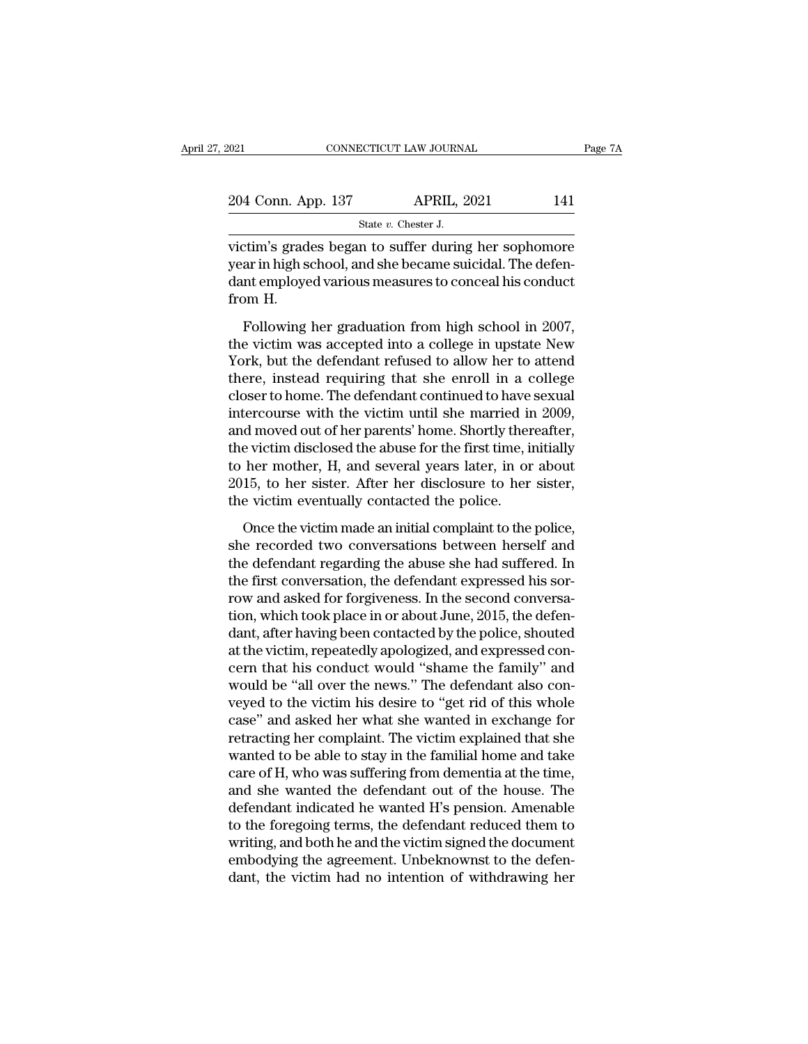| 204 Conn. App. 137 | <b>APRIL, 2021</b>      | 141     |
|--------------------|-------------------------|---------|
| 2021               | CONNECTICUT LAW JOURNAL | Page 7A |

victim's grades began to suffer during her sophomore<br>
victim's grades began to suffer during her sophomore<br>
victim's grades began to suffer during her sophomore<br>
victim's grades began to suffer during her sophomore<br>
vear i 204 Conn. App. 137 APRIL, 2021 141<br>State v. Chester J.<br>victim's grades began to suffer during her sophomore<br>year in high school, and she became suicidal. The defen-<br>dant employed various measures to conceal his conduct<br>fro 204 Conn. App. 137 APRIL, 2021 141<br>
State v. Chester J.<br>
victim's grades began to suffer during her sophomore<br>
year in high school, and she became suicidal. The defendant employed various measures to conceal his conduct<br> 204 Conn. Ap<br>
victim's grad<br>
year in high s<br>
dant employe<br>
from H.<br>
Following State v. Chester J.<br>
State v. Chester J.<br>
State v. Chester I.<br>
State in thigh school, and she became suicidal. The defen-<br>
Intemployed various measures to conceal his conduct<br>
State I. The defendant measures in 2007,<br>
The victim's grades began to suffer during her sophomore<br>year in high school, and she became suicidal. The defen-<br>dant employed various measures to conceal his conduct<br>from H.<br>Following her graduation from high school in 2007,

Your distributed because of the defendant employed various measures to conceal his conduct<br>from H.<br>Following her graduation from high school in 2007,<br>the victim was accepted into a college in upstate New<br>York, but the defe Four distinct that is controlled and the enroller of the term of the victim H.<br>Following her graduation from high school in 2007,<br>the victim was accepted into a college in upstate New<br>York, but the defendant refused to all from H.<br>
Following her graduation from high school in 2007,<br>
the victim was accepted into a college in upstate New<br>
York, but the defendant refused to allow her to attend<br>
there, instead requiring that she enroll in a coll Following her graduation from high school in 2007,<br>the victim was accepted into a college in upstate New<br>York, but the defendant refused to allow her to attend<br>there, instead requiring that she enroll in a college<br>closer t Following her graduation from high school in 2007,<br>the victim was accepted into a college in upstate New<br>York, but the defendant refused to allow her to attend<br>there, instead requiring that she enroll in a college<br>closer t the victim was accepted into a college in upstate New<br>York, but the defendant refused to allow her to attend<br>there, instead requiring that she enroll in a college<br>closer to home. The defendant continued to have sexual<br>inte York, but the defendant refused to allow her to attend<br>there, instead requiring that she enroll in a college<br>closer to home. The defendant continued to have sexual<br>intercourse with the victim until she married in 2009,<br>and there, instead requiring that she enroll in a college<br>closer to home. The defendant continued to have sexual<br>intercourse with the victim until she married in 2009,<br>and moved out of her parents' home. Shortly thereafter,<br>th closer to home. The defendant continued to have<br>intercourse with the victim until she married ir<br>and moved out of her parents' home. Shortly ther<br>the victim disclosed the abuse for the first time, in<br>to her mother, H, and d moved out of her parents' home. Shortly thereafter,<br>e victim disclosed the abuse for the first time, initially<br>her mother, H, and several years later, in or about<br>15, to her sister. After her disclosure to her sister,<br>e the victim disclosed the abuse for the first time, initially<br>to her mother, H, and several years later, in or about<br>2015, to her sister. After her disclosure to her sister,<br>the victim eventually contacted the police.<br>Once

to her mother, H, and several years later, in or about 2015, to her sister. After her disclosure to her sister, the victim eventually contacted the police.<br>Once the victim made an initial complaint to the police, she recor 2015, to her sister. After her disclosure to her sister,<br>the victim eventually contacted the police.<br>Once the victim made an initial complaint to the police,<br>she recorded two conversations between herself and<br>the defendan the victim eventually contacted the police.<br>
Once the victim made an initial complaint to the police,<br>
she recorded two conversations between herself and<br>
the defendant regarding the abuse she had suffered. In<br>
the first c Once the victim made an initial complaint to the police,<br>she recorded two conversations between herself and<br>the defendant regarding the abuse she had suffered. In<br>the first conversation, the defendant expressed his sor-<br>ro Once the victim made an initial complaint to the police,<br>she recorded two conversations between herself and<br>the defendant regarding the abuse she had suffered. In<br>the first conversation, the defendant expressed his sor-<br>ro she recorded two conversations between herself and<br>the defendant regarding the abuse she had suffered. In<br>the first conversation, the defendant expressed his sor-<br>row and asked for forgiveness. In the second conversa-<br>tion the defendant regarding the abuse she had suffered. In<br>the first conversation, the defendant expressed his sor-<br>row and asked for forgiveness. In the second conversa-<br>tion, which took place in or about June, 2015, the defe the first conversation, the defendant expressed his sorrow and asked for forgiveness. In the second conversation, which took place in or about June, 2015, the defendant, after having been contacted by the police, shouted a row and asked for forgiveness. In the second conversation, which took place in or about June, 2015, the defendant, after having been contacted by the police, shouted at the victim, repeatedly apologized, and expressed conc tion, which took place in or about June, 2015, the defen-<br>dant, after having been contacted by the police, shouted<br>at the victim, repeatedly apologized, and expressed con-<br>cern that his conduct would "shame the family" and dant, after having been contacted by the police, shouted<br>at the victim, repeatedly apologized, and expressed con-<br>cern that his conduct would "shame the family" and<br>would be "all over the news." The defendant also con-<br>vey at the victim, repeatedly apologized, and expressed concern that his conduct would "shame the family" and<br>would be "all over the news." The defendant also con-<br>veyed to the victim his desire to "get rid of this whole<br>case" cern that his conduct would "shame the family" and<br>would be "all over the news." The defendant also con-<br>veyed to the victim his desire to "get rid of this whole<br>case" and asked her what she wanted in exchange for<br>retracti would be "all over the news." The defendant also con-<br>veyed to the victim his desire to "get rid of this whole<br>case" and asked her what she wanted in exchange for<br>retracting her complaint. The victim explained that she<br>wan veyed to the victim his desire to "get rid of this whole<br>case" and asked her what she wanted in exchange for<br>retracting her complaint. The victim explained that she<br>wanted to be able to stay in the familial home and take<br>c case" and asked her what she wanted in exchange for<br>retracting her complaint. The victim explained that she<br>wanted to be able to stay in the familial home and take<br>care of H, who was suffering from dementia at the time,<br>an retracting her complaint. The victim explained that she<br>wanted to be able to stay in the familial home and take<br>care of H, who was suffering from dementia at the time,<br>and she wanted the defendant out of the house. The<br>def wanted to be able to stay in the familial home and take<br>care of H, who was suffering from dementia at the time,<br>and she wanted the defendant out of the house. The<br>defendant indicated he wanted H's pension. Amenable<br>to the care of H, who was suffering from dementia at the time,<br>and she wanted the defendant out of the house. The<br>defendant indicated he wanted H's pension. Amenable<br>to the foregoing terms, the defendant reduced them to<br>writing,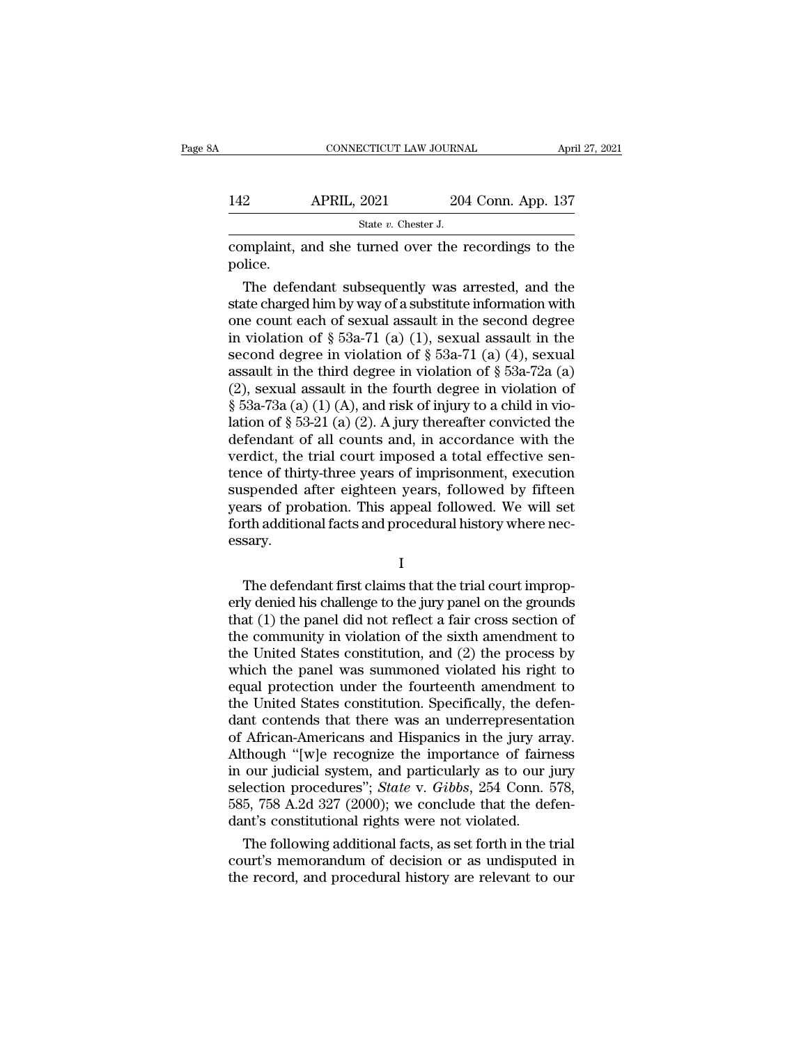|         | CONNECTICUT LAW JOURNAL                              |                    | April 27, 2021 |
|---------|------------------------------------------------------|--------------------|----------------|
| 142     | <b>APRIL, 2021</b>                                   | 204 Conn. App. 137 |                |
|         | State $v$ . Chester J.                               |                    |                |
| police. | complaint, and she turned over the recordings to the |                    |                |

 $204$  Conn. App. 137<br>
State v. Chester J.<br>
Examplaint, and she turned over the recordings to the<br>
dice.<br>
The defendant subsequently was arrested, and the<br>
the charged him by way of a substitute information with<br>
the count 142 APRIL, 2021 204 Conn. App. 137<br>
state *v*. Chester *J.*<br>
complaint, and she turned over the recordings to the<br>
police.<br>
The defendant subsequently was arrested, and the<br>
state charged him by way of a substitute inform State v. Chester J.<br>
complaint, and she turned over the recordings to the<br>
police.<br>
The defendant subsequently was arrested, and the<br>
state charged him by way of a substitute information with<br>
one count each of sexual ass complaint, and she turned over the recordings to the<br>police.<br>The defendant subsequently was arrested, and the<br>state charged him by way of a substitute information with<br>one count each of sexual assault in the second degree complaint, and she turned over the recordings to the<br>police.<br>The defendant subsequently was arrested, and the<br>state charged him by way of a substitute information with<br>one count each of sexual assault in the second degree police.<br>
The defendant subsequently was arrested, and the<br>
state charged him by way of a substitute information with<br>
one count each of sexual assault in the second degree<br>
in violation of § 53a-71 (a) (1), sexual assault The defendant subsequently was arrested, and the<br>state charged him by way of a substitute information with<br>one count each of sexual assault in the second degree<br>in violation of § 53a-71 (a) (1), sexual assault in the<br>seco state charged him by way of a substitute information with<br>one count each of sexual assault in the second degree<br>in violation of § 53a-71 (a) (1), sexual assault in the<br>second degree in violation of § 53a-71 (a) (4), sexua one count each of sexual assault in the second degree<br>in violation of § 53a-71 (a) (1), sexual assault in the<br>second degree in violation of § 53a-71 (a) (4), sexual<br>assault in the third degree in violation of § 53a-72a (a in violation of § 53a-71 (a) (1), sexual assault in the<br>second degree in violation of § 53a-71 (a) (4), sexual<br>assault in the third degree in violation of § 53a-72a (a)<br>(2), sexual assault in the fourth degree in violatio second degree in violation of  $\S$  53a-71 (a) (4), sexual<br>assault in the third degree in violation of  $\S$  53a-72a (a)<br>(2), sexual assault in the fourth degree in violation of<br> $\S$  53a-73a (a) (1) (A), and risk of injury to assault in the third degree in violation of  $\S$  53a-72a (a) (2), sexual assault in the fourth degree in violation of  $\S$  53a-73a (a) (1) (A), and risk of injury to a child in violation of  $\S$  53-21 (a) (2). A jury thereaf (2), sexual assault in the fourth degree in violation of  $\S$  53a-73a (a) (1) (A), and risk of injury to a child in violation of  $\S$  53-21 (a) (2). A jury thereafter convicted the defendant of all counts and, in accordance § 53a-73a (a) (1) (A), and risk of injury to a child in violation of § 53-21 (a) (2). A jury thereafter convicted the defendant of all counts and, in accordance with the verdict, the trial court imposed a total effective s lation of  $\S$  53-21 (a) (2). A jury thereafter convicted the defendant of all counts and, in accordance with the verdict, the trial court imposed a total effective sentence of thirty-three years of imprisonment, execution essary. The defendant first claims that the trial court improperties are of probation. This appeal followed. We will set<br>the definitional facts and procedural history where nec-<br>sary.<br>The defendant first claims that the trial cour

I

busperided are eigneer years, followed by inteent<br>years of probation. This appeal followed. We will set<br>forth additional facts and procedural history where nec-<br>essary.<br>I<br>The defendant first claims that the trial court imp Fourth additional facts and procedural history where necessary.<br>  $I$ <br>
The defendant first claims that the trial court improperly denied his challenge to the jury panel on the grounds<br>
that (1) the panel did not reflect a The defendant first claims that the trial court improperly denied his challenge to the jury panel on the grounds<br>that (1) the panel did not reflect a fair cross section of<br>the community in violation of the sixth amendment I<br>
The defendant first claims that the trial court improp-<br>
erly denied his challenge to the jury panel on the grounds<br>
that (1) the panel did not reflect a fair cross section of<br>
the community in violation of the sixth am The defendant first claims that the trial court improperly denied his challenge to the jury panel on the grounds that  $(1)$  the panel did not reflect a fair cross section of the community in violation of the sixth amendme The defendant first claims that the trial court improperly denied his challenge to the jury panel on the grounds<br>that (1) the panel did not reflect a fair cross section of<br>the community in violation of the sixth amendment erly denied his challenge to the jury panel on the grounds<br>that (1) the panel did not reflect a fair cross section of<br>the community in violation of the sixth amendment to<br>the United States constitution, and (2) the process that (1) the panel did not reflect a fair cross section of<br>the community in violation of the sixth amendment to<br>the United States constitution, and (2) the process by<br>which the panel was summoned violated his right to<br>equa the community in violation of the sixth amendment to<br>the United States constitution, and (2) the process by<br>which the panel was summoned violated his right to<br>equal protection under the fourteenth amendment to<br>the United S the United States constitution, and (2) the process by<br>which the panel was summoned violated his right to<br>equal protection under the fourteenth amendment to<br>the United States constitution. Specifically, the defen-<br>dant co which the panel was summoned violated his right to<br>equal protection under the fourteenth amendment to<br>the United States constitution. Specifically, the defen-<br>dant contends that there was an underrepresentation<br>of Africanequal protection under the fourteenth amendment to<br>the United States constitution. Specifically, the defen-<br>dant contends that there was an underrepresentation<br>of African-Americans and Hispanics in the jury array.<br>Although the United States constitution. Specifically, the defendant contends that there was an underrepresentation of African-Americans and Hispanics in the jury array. Although "[w]e recognize the importance of fairness in our ju dant contends that there was an underrepresentat<br>of African-Americans and Hispanics in the jury ara<br>Although "[w]e recognize the importance of fairm<br>in our judicial system, and particularly as to our j<br>selection procedures African-Americans and Hispanics in the jury array.<br>
though "[w]e recognize the importance of fairness<br>
our judicial system, and particularly as to our jury<br>
lection procedures"; *State* v. *Gibbs*, 254 Conn. 578,<br>
5, 758 Although "[w]e recognize the importance of fairness<br>in our judicial system, and particularly as to our jury<br>selection procedures"; *State* v. *Gibbs*, 254 Conn. 578,<br>585, 758 A.2d 327 (2000); we conclude that the defen-<br>d In our judicial system, and particularly as to our jury<br>selection procedures"; *State* v. *Gibbs*, 254 Conn. 578,<br>585, 758 A.2d 327 (2000); we conclude that the defen-<br>dant's constitutional rights were not violated.<br>The f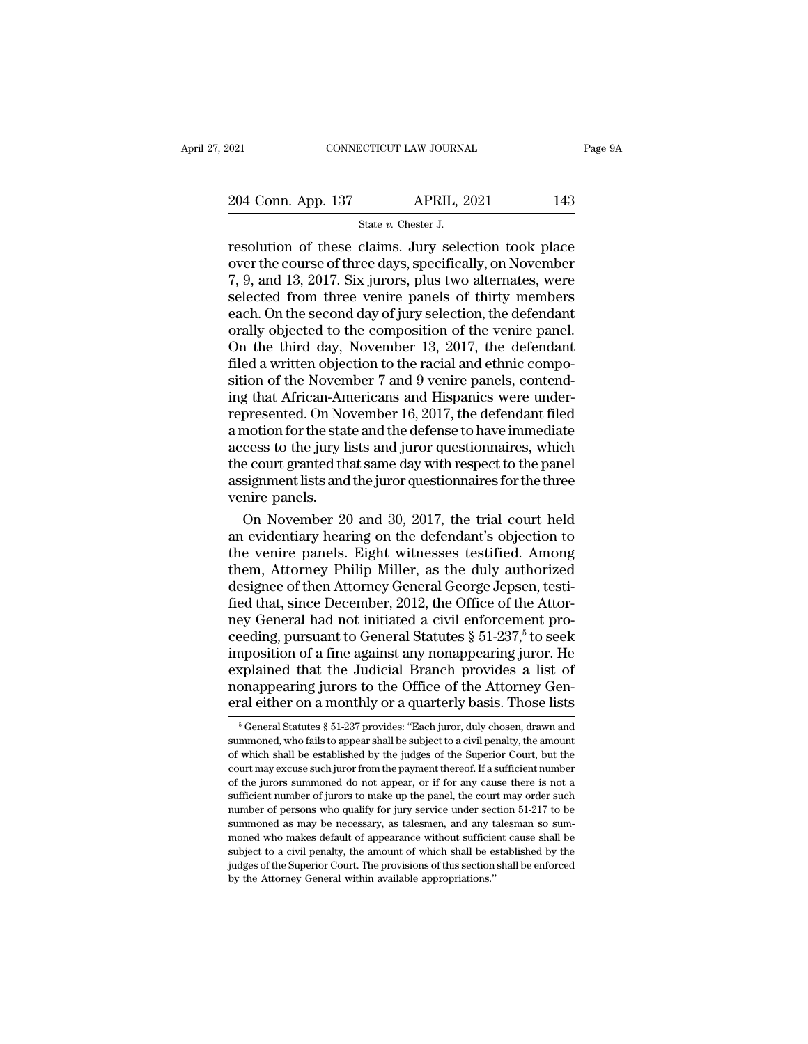SCTICUT LAW JOURNA<br>APRIL, 2<br>State *v.* Chester J.<br>Claims . Jury sele resolution of these claims. Jury selection took place<br>
The course of three claims. Jury selection took place<br>
The course of three days, specifically, on November<br>
The course of three days, specifically, on November<br>
The an 204 Conn. App. 137 APRIL, 2021 143<br>
State v. Chester J.<br>
Tresolution of these claims. Jury selection took place<br>
over the course of three days, specifically, on November<br>
7, 9, and 13, 2017. Six jurors, plus two alternates 204 Conn. App. 137 APRIL, 2021 143<br>
State v. Chester J.<br>
Tesolution of these claims. Jury selection took place<br>
over the course of three days, specifically, on November<br>
7, 9, and 13, 2017. Six jurors, plus two alternates 204 Conn. App. 137 APRIL, 2021 143<br>
State v. Chester J.<br>
Tresolution of these claims. Jury selection took place<br>
over the course of three days, specifically, on November<br>
7, 9, and 13, 2017. Six jurors, plus two alternate State v. Chester J.<br>
State v. Chester J.<br>
The state v. Chester J.<br>
State v. Chester J.<br>
Over the course of three days, specifically, on November<br>
7, 9, and 13, 2017. Six jurors, plus two alternates, were<br>
selected from thr State v. Chester J.<br>
resolution of these claims. Jury selection took place<br>
over the course of three days, specifically, on November<br>
7, 9, and 13, 2017. Six jurors, plus two alternates, were<br>
selected from three venire p resolution of these claims. Jury selection took place<br>over the course of three days, specifically, on November<br>7, 9, and 13, 2017. Six jurors, plus two alternates, were<br>selected from three venire panels of thirty members<br>e over the course of three days, specifically, on November 7, 9, and 13, 2017. Six jurors, plus two alternates, were selected from three venire panels of thirty members each. On the second day of jury selection, the defendan 7, 9, and 13, 2017. Six jurors, plus two alternates, were<br>selected from three venire panels of thirty members<br>each. On the second day of jury selection, the defendant<br>orally objected to the composition of the venire panel selected from three venire panels of thirty members<br>each. On the second day of jury selection, the defendant<br>orally objected to the composition of the venire panel.<br>On the third day, November 13, 2017, the defendant<br>filed each. On the second day of jury selection, the defendant<br>orally objected to the composition of the venire panel.<br>On the third day, November 13, 2017, the defendant<br>filed a written objection to the racial and ethnic compo-<br> orally objected to the composition of the venire panel.<br>On the third day, November 13, 2017, the defendant<br>filed a written objection to the racial and ethnic compo-<br>sition of the November 7 and 9 venire panels, contend-<br>in On the third day, November 13, 2017, the defendant<br>filed a written objection to the racial and ethnic compo-<br>sition of the November 7 and 9 venire panels, contend-<br>ing that African-Americans and Hispanics were under-<br>repre filed a written objection to the racial and ethnic composition of the November 7 and 9 venire panels, contend-<br>ing that African-Americans and Hispanics were under-<br>represented. On November 16, 2017, the defendant filed<br>a m sition of the November 7 and 9 venire panels, contend-<br>ing that African-Americans and Hispanics were under-<br>represented. On November 16, 2017, the defendant filed<br>a motion for the state and the defense to have immediate<br>ac ing that African-An<br>represented. On No<br>a motion for the stat<br>access to the jury li<br>the court granted th<br>assignment lists and<br>venire panels.<br>On November 20 presented. On November 16, 2017, the defendant filed<br>notion for the state and the defense to have immediate<br>cess to the jury lists and juror questionnaires, which<br>e court granted that same day with respect to the panel<br>sig a motion for the state and the defense to have immediate<br>access to the jury lists and juror questionnaires, which<br>the court granted that same day with respect to the panel<br>assignment lists and the juror questionnaires for

access to the jury lists and juror questionnaires, which<br>the court granted that same day with respect to the panel<br>assignment lists and the juror questionnaires for the three<br>venire panels.<br>On November 20 and 30, 2017, the the court granted that same day with respect to the panel<br>assignment lists and the juror questionnaires for the three<br>venire panels.<br>On November 20 and 30, 2017, the trial court held<br>an evidentiary hearing on the defendant assignment lists and the juror questionnaires for the three<br>venire panels.<br>On November 20 and 30, 2017, the trial court held<br>an evidentiary hearing on the defendant's objection to<br>the venire panels. Eight witnesses testifi venire panels.<br>
On November 20 and 30, 2017, the trial court held<br>
an evidentiary hearing on the defendant's objection to<br>
the venire panels. Eight witnesses testified. Among<br>
them, Attorney Philip Miller, as the duly auth On November 20 and 30, 2017, the trial court held<br>an evidentiary hearing on the defendant's objection to<br>the venire panels. Eight witnesses testified. Among<br>them, Attorney Philip Miller, as the duly authorized<br>designee of an evidentiary hearing on the defendant's objection to<br>the venire panels. Eight witnesses testified. Among<br>them, Attorney Philip Miller, as the duly authorized<br>designee of then Attorney General George Jepsen, testi-<br>fied t the venire panels. Eight witnesses testified. Among<br>them, Attorney Philip Miller, as the duly authorized<br>designee of then Attorney General George Jepsen, testi-<br>fied that, since December, 2012, the Office of the Attor-<br>ney them, Attorney Philip Miller, as the duly authorized<br>designee of then Attorney General George Jepsen, testi-<br>fied that, since December, 2012, the Office of the Attor-<br>ney General had not initiated a civil enforcement pro-<br> designee of then Attorney General George Jepsen, testi-<br>fied that, since December, 2012, the Office of the Attor-<br>ney General had not initiated a civil enforcement pro-<br>ceeding, pursuant to General Statutes § 51-237,<sup>5</sup> to fied that, since December, 2012, the Office of the Attor-<br>ney General had not initiated a civil enforcement pro-<br>ceeding, pursuant to General Statutes § 51-237,<sup>5</sup> to seek<br>imposition of a fine against any nonappearing jur nposition of a fine against any nonappearing juror. He<br>splained that the Judicial Branch provides a list of<br>onappearing jurors to the Office of the Attorney Gen-<br>ral either on a monthly or a quarterly basis. Those lists<br><sup>5</sup> explained that the Judicial Branch provides a list of<br>nonappearing jurors to the Office of the Attorney Gen-<br>eral either on a monthly or a quarterly basis. Those lists<br> $\frac{1}{5}$  General Statutes  $\frac{8}{5}$  51-237 provides:

nonappearing jurors to the Office of the Attorney General either on a monthly or a quarterly basis. Those lists<br> $\frac{1}{5}$  General Statutes  $\frac{8}{5}$  51-237 provides: "Each juror, duly chosen, drawn and<br>summoned, who fails Final either on a monthly or a quarterly basis. Those lists<br>  $\frac{1}{100}$  is General Statutes § 51-237 provides: "Each juror, duly chosen, drawn and<br>
summoned, who fails to appear shall be subject to a civil penalty, the a **ETALL ET CALCE SET THE SET SURVEY THE SET SURVEY THE SET SCHOLER SET SCHOOLS**  $\frac{1}{100}$  of General Statutes § 51-237 provides: "Each juror, duly chosen, drawn and summoned, who fails to appear shall be subject to a civ <sup>5</sup> General Statutes § 51-237 provides: "Each juror, duly chosen, drawn and summoned, who fails to appear shall be subject to a civil penalty, the amount of which shall be established by the judges of the Superior Court, nummoned, who fails to appear shall be subject to a civil penalty, the amount<br>of which shall be established by the judges of the Superior Court, but the<br>court may excuse such juror from the payment thereof. If a sufficient summoned, who fails to appear shall be subject to a civil penalty, the amount of which shall be established by the judges of the Superior Court, but the court may excuse such juror from the payment thereof. If a sufficient court may excuse such juror from the payment thereof. If a sufficient number<br>of the jurors summoned do not appear, or if for any cause there is not a<br>sufficient number of jurors to make up the panel, the court may order su subsequent to a civil penalty of the jurors summoned do not appear, or if for any cause there is not a sufficient number of jurors to make up the panel, the court may order such number of persons who qualify for jury servi sufficient number of jurors to make up the panel, the court may order such number of persons who qualify for jury service under section 51-217 to be summoned as may be necessary, as talesmen, and any talesman so summoned w number of persons who qualify for jury service under section 51-217 to be summoned as may be necessary, as talesmen, and any talesman so summoned who makes default of appearance without sufficient cause shall be subject to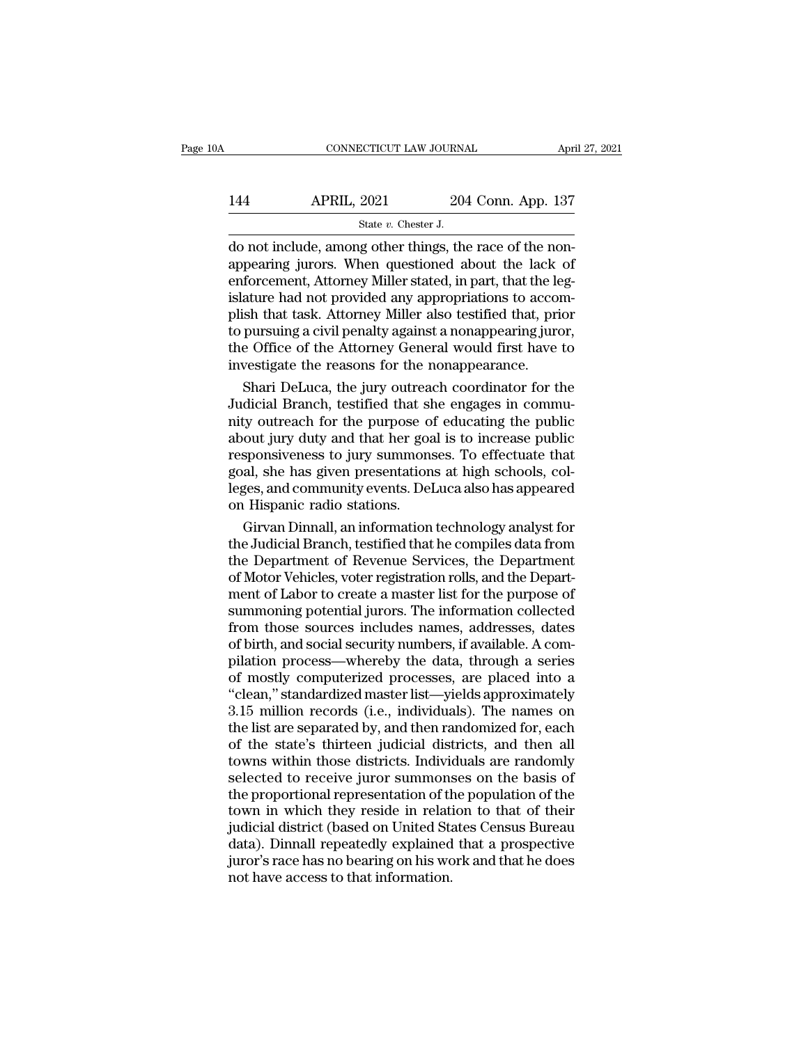# CONNECTICUT LAW JOURNAL April 27, 2021<br>144 APRIL, 2021 204 Conn. App. 137<br>144 State v. Chester J. SCTICUT LAW JOURNA<br>
2021 204<br>
State *v*. Chester J.<br> **g** other things the

CONNECTICUT LAW JOURNAL APRE<br>
144 APRIL, 2021 204 Conn. App. 137<br>
5tate v. Chester J.<br>
160 not include, among other things, the race of the non-<br>
appearing jurors. When questioned about the lack of  $\begin{array}{ll}\n 144 \quad \text{APRIL, } 2021 \quad \text{204 Conn. App. 137} \\
 \text{State } v. \text{ Chester J.} \\
 \text{do not include, among other things, the race of the non-  
appearing juros. When questioned about the lack of  
enforcement, Attorney Miller stated, in part, that the leg-  
islature had not provided any approximations to account.} \n\end{array}$ 144 APRIL, 2021 204 Conn. App. 137<br>  $\frac{37}{204}$  State v. Chester J.<br>
do not include, among other things, the race of the non-<br>
appearing jurors. When questioned about the lack of<br>
enforcement, Attorney Miller stated, in 144 APRIL, 2021 204 Conn. App. 137<br>  $\frac{37}{204}$  State v. Chester J.<br>
do not include, among other things, the race of the non-<br>
appearing jurors. When questioned about the lack of<br>
enforcement, Attorney Miller stated, in State v. Chester J.<br>
State v. Chester J.<br>
do not include, among other things, the race of the non-<br>
appearing jurors. When questioned about the lack of<br>
enforcement, Attorney Miller stated, in part, that the leg-<br>
islatur State  $v$ . Chester J.<br>
do not include, among other things, the race of the non-<br>
appearing jurors. When questioned about the lack of<br>
enforcement, Attorney Miller stated, in part, that the leg-<br>
islature had not provided do not include, among other things, the race of the non-<br>appearing jurors. When questioned about the lack of<br>enforcement, Attorney Miller stated, in part, that the leg-<br>islature had not provided any appropriations to accom appearing jurors. When questioned about the lack<br>enforcement, Attorney Miller stated, in part, that the le<br>islature had not provided any appropriations to accor<br>plish that task. Attorney Miller also testified that, pri<br>to forcement, Attorney Miller stated, in part, that the legarure had not provided any appropriations to accom-<br>ish that task. Attorney Miller also testified that, prior<br>pursuing a civil penalty against a nonappearing juror,<br>e islature had not provided any appropriations to accomplish that task. Attorney Miller also testified that, prior<br>to pursuing a civil penalty against a nonappearing juror,<br>the Office of the Attorney General would first have

plish that task. Attorney Miller also testified that, prior<br>to pursuing a civil penalty against a nonappearing juror,<br>the Office of the Attorney General would first have to<br>investigate the reasons for the nonappearance.<br>Sh to pursuing a civil penalty against a nonappearing juror,<br>the Office of the Attorney General would first have to<br>investigate the reasons for the nonappearance.<br>Shari DeLuca, the jury outreach coordinator for the<br>Judicial B the Office of the Attorney General would first have to<br>investigate the reasons for the nonappearance.<br>Shari DeLuca, the jury outreach coordinator for the<br>Judicial Branch, testified that she engages in commu-<br>nity outreach investigate the reasons for the nonappearance.<br>Shari DeLuca, the jury outreach coordinator for the<br>Judicial Branch, testified that she engages in commu-<br>nity outreach for the purpose of educating the public<br>about jury duty Shari DeLuca, the jury outreach coordinator for the<br>Judicial Branch, testified that she engages in commu-<br>nity outreach for the purpose of educating the public<br>about jury duty and that her goal is to increase public<br>respon Judicial Branch, testified that sl<br>nity outreach for the purpose o<br>about jury duty and that her goa<br>responsiveness to jury summons<br>goal, she has given presentation<br>leges, and community events. Del<br>on Hispanic radio station ty outreach for the purpose of educating the public<br>out jury duty and that her goal is to increase public<br>sponsiveness to jury summonses. To effectuate that<br>al, she has given presentations at high schools, col-<br>ges, and co about jury duty and that her goal is to increase public<br>responsiveness to jury summonses. To effectuate that<br>goal, she has given presentations at high schools, col-<br>leges, and community events. DeLuca also has appeared<br>on

responsiveness to jury summonses. To effectuate that<br>goal, she has given presentations at high schools, col-<br>leges, and community events. DeLuca also has appeared<br>on Hispanic radio stations.<br>Girvan Dinnall, an information goal, she has given presentations at high schools, colleges, and community events. DeLuca also has appeared<br>on Hispanic radio stations.<br>Girvan Dinnall, an information technology analyst for<br>the Judicial Branch, testified t leges, and community events. DeLuca also has appeared<br>on Hispanic radio stations.<br>Girvan Dinnall, an information technology analyst for<br>the Judicial Branch, testified that he compiles data from<br>the Department of Revenue Se on Hispanic radio stations.<br>
Girvan Dinnall, an information technology analyst for<br>
the Judicial Branch, testified that he compiles data from<br>
the Department of Revenue Services, the Department<br>
of Motor Vehicles, voter re Girvan Dinnall, an information technology analyst for<br>the Judicial Branch, testified that he compiles data from<br>the Department of Revenue Services, the Department<br>of Motor Vehicles, voter registration rolls, and the Depart the Judicial Branch, testified that he compiles data from<br>the Department of Revenue Services, the Department<br>of Motor Vehicles, voter registration rolls, and the Department<br>of Labor to create a master list for the purpose the Department of Revenue Services, the Department<br>of Motor Vehicles, voter registration rolls, and the Depart-<br>ment of Labor to create a master list for the purpose of<br>summoning potential jurors. The information collected of Motor Vehicles, voter registration rolls, and the Department of Labor to create a master list for the purpose of summoning potential jurors. The information collected from those sources includes names, addresses, dates ment of Labor to create a master list for the purpose of<br>
summoning potential jurors. The information collected<br>
from those sources includes names, addresses, dates<br>
of birth, and social security numbers, if available. A c summoning potential jurors. The information collected<br>from those sources includes names, addresses, dates<br>of birth, and social security numbers, if available. A com-<br>pilation process—whereby the data, through a series<br>of m from those sources includes names, addresses, dates<br>of birth, and social security numbers, if available. A com-<br>pilation process—whereby the data, through a series<br>of mostly computerized processes, are placed into a<br>"clean of birth, and social security numbers, if available. A compilation process—whereby the data, through a series<br>of mostly computerized processes, are placed into a<br>"clean," standardized master list—yields approximately<br>3.15 pilation process—whereby the data, through a series<br>of mostly computerized processes, are placed into a<br>"clean," standardized master list—yields approximately<br>3.15 million records (i.e., individuals). The names on<br>the list of mostly computerized processes, are placed into a<br>"clean," standardized master list—yields approximately<br>3.15 million records (i.e., individuals). The names on<br>the list are separated by, and then randomized for, each<br>of "clean," standardized master list—yields approximately<br>3.15 million records (i.e., individuals). The names on<br>the list are separated by, and then randomized for, each<br>of the state's thirteen judicial districts, and then al 3.15 million records (i.e., individuals). The names on<br>the list are separated by, and then randomized for, each<br>of the state's thirteen judicial districts, and then all<br>towns within those districts. Individuals are randoml the list are separated by, and then randomized for, each<br>of the state's thirteen judicial districts, and then all<br>towns within those districts. Individuals are randomly<br>selected to receive juror summonses on the basis of<br>t of the state's thirteen judicial districts, and then all<br>towns within those districts. Individuals are randomly<br>selected to receive juror summonses on the basis of<br>the proportional representation of the population of the<br>t towns within those districts. Individuals are randomly<br>selected to receive juror summonses on the basis of<br>the proportional representation of the population of the<br>town in which they reside in relation to that of their<br>jud selected to receive juror summons<br>the proportional representation of th<br>town in which they reside in relati<br>judicial district (based on United Sta<br>data). Dinnall repeatedly explained<br>juror's race has no bearing on his wo<br>n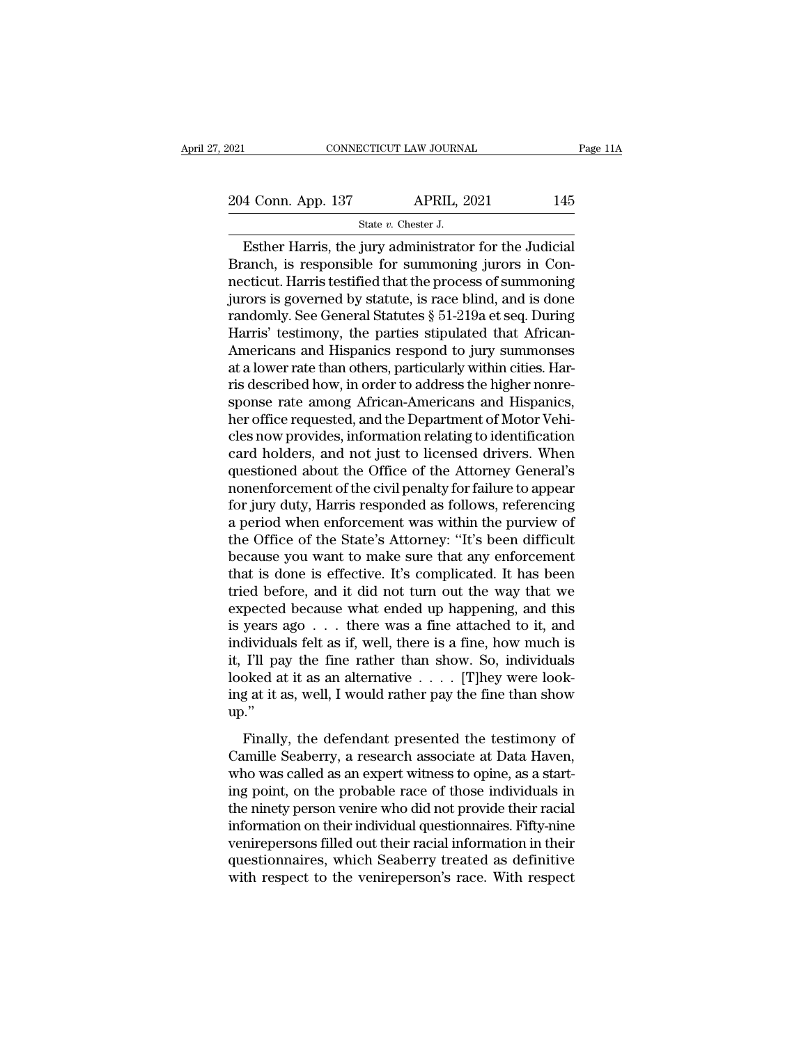2021 CONNECTICUT LAW JOURNAL Page 11A<br>204 Conn. App. 137 APRIL, 2021 145<br>31 State v. Chester J. SCTICUT LAW JOURNANT APRIL, 2<br>APRIL, 2<br>State *v.* Chester J.<br>iury administrato

Esther Harris, the jury administrator for the Judicial<br>
Esther Harris, the jury administrator for the Judicial<br>
The state value of the Judicial<br>
The second cancel and the second of the Sudicial<br>
The second state of the sec 204 Conn. App. 137 APRIL, 2021 145<br>
State v. Chester J.<br>
Esther Harris, the jury administrator for the Judicial<br>
Branch, is responsible for summoning jurors in Con-<br>
necticut. Harris testified that the process of summoning 204 Conn. App. 137 APRIL, 2021 145<br>
State v. Chester J.<br>
Esther Harris, the jury administrator for the Judicial<br>
Branch, is responsible for summoning jurors in Connecticut. Harris testified that the process of summoning<br> 204 Conn. App. 137 APRIL, 2021 145<br>
State v. Chester J.<br>
Esther Harris, the jury administrator for the Judicial<br>
Branch, is responsible for summoning jurors in Con-<br>
necticut. Harris testified that the process of summonin State v. Chester J.<br>
State v. Chester J.<br>
Esther Harris, the jury administrator for the Judicial<br>
Branch, is responsible for summoning jurors in Con-<br>
necticut. Harris testified that the process of summoning<br>
jurors is go State v. Chester J.<br>
Esther Harris, the jury administrator for the Judicial<br>
Branch, is responsible for summoning jurors in Con-<br>
necticut. Harris testified that the process of summoning<br>
jurors is governed by statute, is Esther Harris, the jury administrator for the Judicial<br>Branch, is responsible for summoning jurors in Con-<br>necticut. Harris testified that the process of summoning<br>jurors is governed by statute, is race blind, and is done Branch, is responsible for summoning jurors in Connecticut. Harris testified that the process of summoning<br>jurors is governed by statute, is race blind, and is done<br>randomly. See General Statutes § 51-219a et seq. During<br>H necticut. Harris testified that the process of summoning<br>jurors is governed by statute, is race blind, and is done<br>randomly. See General Statutes § 51-219a et seq. During<br>Harris' testimony, the parties stipulated that Afri jurors is governed by statute, is race blind, and is done randomly. See General Statutes § 51-219a et seq. During Harris' testimony, the parties stipulated that African-Americans and Hispanics respond to jury summonses at randomly. See General Statutes § 51-219a et seq. During<br>Harris' testimony, the parties stipulated that African-<br>Americans and Hispanics respond to jury summonses<br>at a lower rate than others, particularly within cities. Har Harris' testimony, the parties stipulated that African-Americans and Hispanics respond to jury summonses<br>at a lower rate than others, particularly within cities. Har-<br>ris described how, in order to address the higher nonre Americans and Hispanics respond to jury summonses<br>at a lower rate than others, particularly within cities. Har-<br>ris described how, in order to address the higher nonre-<br>sponse rate among African-Americans and Hispanics,<br>he at a lower rate than others, particularly within cities. Harris described how, in order to address the higher nonre-<br>sponse rate among African-Americans and Hispanics,<br>her office requested, and the Department of Motor Vehi ris described how, in order to address the higher nonresponse rate among African-Americans and Hispanics,<br>her office requested, and the Department of Motor Vehicles now provides, information relating to identification<br>card sponse rate among African-Americans and Hispanics,<br>her office requested, and the Department of Motor Vehi-<br>cles now provides, information relating to identification<br>card holders, and not just to licensed drivers. When<br>ques her office requested, and the Department of Motor Vehicles now provides, information relating to identification<br>card holders, and not just to licensed drivers. When<br>questioned about the Office of the Attorney General's<br>non cles now provides, information relating to identification<br>card holders, and not just to licensed drivers. When<br>questioned about the Office of the Attorney General's<br>nonenforcement of the civil penalty for failure to appear card holders, and not just to licensed drivers. When<br>questioned about the Office of the Attorney General's<br>nonenforcement of the civil penalty for failure to appear<br>for jury duty, Harris responded as follows, referencing<br>a questioned about the Office of the Attorney General's<br>nonenforcement of the civil penalty for failure to appear<br>for jury duty, Harris responded as follows, referencing<br>a period when enforcement was within the purview of<br>th nonenforcement of the civil penalty for failure to appear<br>for jury duty, Harris responded as follows, referencing<br>a period when enforcement was within the purview of<br>the Office of the State's Attorney: "It's been difficult for jury duty, Harris responded as follows, referencing<br>a period when enforcement was within the purview of<br>the Office of the State's Attorney: "It's been difficult<br>because you want to make sure that any enforcement<br>that a period when enforcement was within the purview of<br>the Office of the State's Attorney: "It's been difficult<br>because you want to make sure that any enforcement<br>that is done is effective. It's complicated. It has been<br>tried the Office of the State's Attorney: "It's been difficult<br>because you want to make sure that any enforcement<br>that is done is effective. It's complicated. It has been<br>tried before, and it did not turn out the way that we<br>exp because you want to make sure that any enforcement<br>that is done is effective. It's complicated. It has been<br>tried before, and it did not turn out the way that we<br>expected because what ended up happening, and this<br>is years that is done is effective. It's complicated. It has been<br>tried before, and it did not turn out the way that we<br>expected because what ended up happening, and this<br>is years ago . . . there was a fine attached to it, and<br>ind tried before, and it did not turn out the way that we expected because what ended up happening, and this is years ago . . . there was a fine attached to it, and individuals felt as if, well, there is a fine, how much is i up.'' Finally, the defendant presented the testimony of unile Seaberry, a research associate at Data Haven,<br>as well, I would rather pay the fine than show  $\ddot{\cdot}$ ... They were look-<br>g at it as, well, I would rather pay the fin The Seaberry, and Maxman show. So, individuals looked at it as an alternative  $\ldots$ . [T]hey were looking at it as, well, I would rather pay the fine than show up."<br>Finally, the defendant presented the testimony of Camille

looked at it as an alternative  $\ldots$  [T]hey were looking at it as, well, I would rather pay the fine than show up."<br>Finally, the defendant presented the testimony of Camille Seaberry, a research associate at Data Haven, w Finally, the defendant presented the testimony of<br>Tinally, the defendant presented the testimony of<br>Camille Seaberry, a research associate at Data Haven,<br>who was called as an expert witness to opine, as a start-<br>ing point the nine that is not the nine that the nine of the nine of the nine of camille Seaberry, a research associate at Data Haven, who was called as an expert witness to opine, as a starting point, on the probable race of those Finally, the defendant presented the testimony of<br>Camille Seaberry, a research associate at Data Haven,<br>who was called as an expert witness to opine, as a start-<br>ing point, on the probable race of those individuals in<br>the Finally, the defendant presented the testimony of<br>Camille Seaberry, a research associate at Data Haven,<br>who was called as an expert witness to opine, as a start-<br>ing point, on the probable race of those individuals in<br>the Camille Seaberry, a research associate at Data Haven,<br>who was called as an expert witness to opine, as a start-<br>ing point, on the probable race of those individuals in<br>the ninety person venire who did not provide their rac who was called as an expert witness to opine, as a starting point, on the probable race of those individuals in the ninety person venire who did not provide their racial information on their individual questionnaires. Fift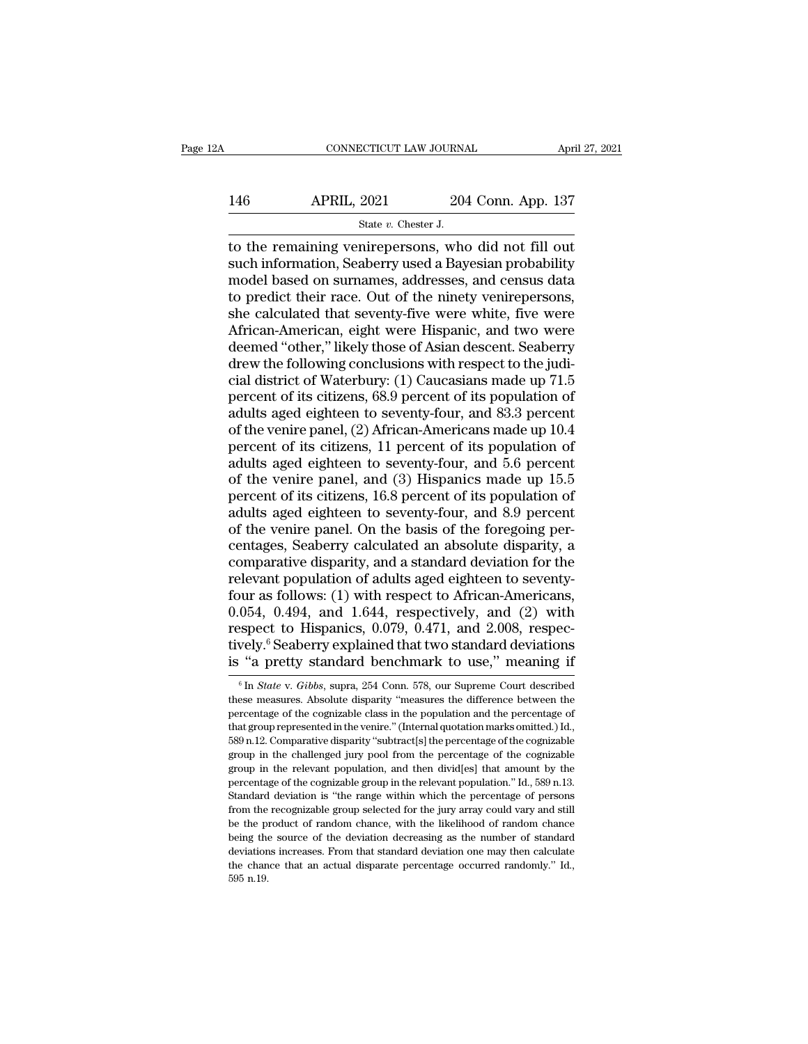# CONNECTICUT LAW JOURNAL April 27, 2021<br>146 APRIL, 2021 204 Conn. App. 137<br>5tate v. Chester J. ECTICUT LAW JOURNA<br>2021 204<br>State *v.* Chester J.<br>nirenersons who

CONNECTICUT LAW JOURNAL April 27, 202<br>
146 APRIL, 2021 204 Conn. App. 137<br>
5tate v. Chester J.<br>
16 the remaining venirepersons, who did not fill out<br>
16 such information, Seaberry used a Bayesian probability<br>
16 model base 146 APRIL, 2021 204 Conn. App. 137<br>
state v. Chester J.<br>
to the remaining venirepersons, who did not fill out<br>
such information, Seaberry used a Bayesian probability<br>
model based on surnames, addresses, and census data<br>
to 146 APRIL, 2021 204 Conn. App. 137<br>  $\frac{8\textrm{rate }v.\thinspace\text{Chester J.}}{3}$ <br>
to the remaining venirepersons, who did not fill out<br>
such information, Seaberry used a Bayesian probability<br>
model based on surnames, addresses, and census 146 APRIL, 2021 204 Conn. App. 137<br>  $\frac{137}{100}$ <br>  $\frac{137}{100}$ <br>
to the remaining venirepersons, who did not fill out<br>
such information, Seaberry used a Bayesian probability<br>
model based on surnames, addresses, and censu State v. Chester J.<br>
State v. Chester J.<br>
to the remaining venirepersons, who did not fill out<br>
such information, Seaberry used a Bayesian probability<br>
model based on surnames, addresses, and census data<br>
to predict their State v. Chester J.<br>
to the remaining venirepersons, who did not fill out<br>
such information, Seaberry used a Bayesian probability<br>
model based on surnames, addresses, and census data<br>
to predict their race. Out of the nine to the remaining venirepersons, who did not fill out<br>such information, Seaberry used a Bayesian probability<br>model based on surnames, addresses, and census data<br>to predict their race. Out of the ninety venirepersons,<br>she ca such information, Seaberry used a Bayesian probability<br>model based on surnames, addresses, and census data<br>to predict their race. Out of the ninety venirepersons,<br>she calculated that seventy-five were white, five were<br>Afri model based on surnames, addresses, and census data<br>to predict their race. Out of the ninety venirepersons,<br>she calculated that seventy-five were white, five were<br>African-American, eight were Hispanic, and two were<br>deemed to predict their race. Out of the ninety venirepersons,<br>she calculated that seventy-five were white, five were<br>African-American, eight were Hispanic, and two were<br>deemed "other," likely those of Asian descent. Seaberry<br>dre she calculated that seventy-five were white, five were<br>African-American, eight were Hispanic, and two were<br>deemed "other," likely those of Asian descent. Seaberry<br>drew the following conclusions with respect to the judi-<br>ci African-American, eight were Hispanic, and two were<br>deemed "other," likely those of Asian descent. Seaberry<br>drew the following conclusions with respect to the judi-<br>cial district of Waterbury: (1) Caucasians made up 71.5<br>p deemed "other," likely those of Asian descent. Seaberry<br>drew the following conclusions with respect to the judi-<br>cial district of Waterbury: (1) Caucasians made up 71.5<br>percent of its citizens, 68.9 percent of its populati drew the following conclusions with respect to the judicial district of Waterbury: (1) Caucasians made up 71.5<br>percent of its citizens, 68.9 percent of its population of<br>adults aged eighteen to seventy-four, and 83.3 perce cial district of Waterbury: (1) Caucasians made up 71.5<br>percent of its citizens, 68.9 percent of its population of<br>adults aged eighteen to seventy-four, and 83.3 percent<br>of the venire panel, (2) African-Americans made up 1 percent of its citizens, 68.9 percent of its population of<br>adults aged eighteen to seventy-four, and 83.3 percent<br>of the venire panel, (2) African-Americans made up 10.4<br>percent of its citizens, 11 percent of its populatio adults aged eighteen to seventy-four, and 83.3 percent<br>of the venire panel, (2) African-Americans made up 10.4<br>percent of its citizens, 11 percent of its population of<br>adults aged eighteen to seventy-four, and 5.6 percent<br> of the venire panel, (2) African-Americans made up 10.4<br>percent of its citizens, 11 percent of its population of<br>adults aged eighteen to seventy-four, and 5.6 percent<br>of the venire panel, and (3) Hispanics made up 15.5<br>per percent of its citizens, 11 percent of its population of<br>adults aged eighteen to seventy-four, and 5.6 percent<br>of the venire panel, and (3) Hispanics made up 15.5<br>percent of its citizens, 16.8 percent of its population of<br> adults aged eighteen to seventy-four, and  $\overline{5.6}$  percent<br>of the venire panel, and (3) Hispanics made up 15.5<br>percent of its citizens, 16.8 percent of its population of<br>adults aged eighteen to seventy-four, and 8.9 per of the venire panel, and (3) Hispanics made up 15.5<br>percent of its citizens, 16.8 percent of its population of<br>adults aged eighteen to seventy-four, and 8.9 percent<br>of the venire panel. On the basis of the foregoing per-<br> percent of its citizens,  $16.8$  percent of its population of<br>adults aged eighteen to seventy-four, and  $8.9$  percent<br>of the venire panel. On the basis of the foregoing per-<br>centages, Seaberry calculated an absolute dispar adults aged eighteen to seventy-four, and 8.9 percent<br>of the venire panel. On the basis of the foregoing per-<br>centages, Seaberry calculated an absolute disparity, a<br>comparative disparity, and a standard deviation for the<br> of the venire panel. On the basis of the foregoing percentages, Seaberry calculated an absolute disparity, a comparative disparity, and a standard deviation for the relevant population of adults aged eighteen to seventy-<br>f centages, Seaberry calculated an absolute disparity, a<br>comparative disparity, and a standard deviation for the<br>relevant population of adults aged eighteen to seventy-<br>four as follows: (1) with respect to African-Americans, comparative disparity, and a standard deviation for the relevant population of adults aged eighteen to seventy-<br>four as follows: (1) with respect to African-Americans,<br>0.054, 0.494, and 1.644, respectively, and (2) with<br>r 054, 0.494, and 1.644, respectively, and (2) with<br>spect to Hispanics, 0.079, 0.471, and 2.008, respec-<br>vely.<sup>6</sup> Seaberry explained that two standard deviations<br>"a pretty standard benchmark to use," meaning if<br><sup>6</sup> In *State* respect to Hispanics, 0.079, 0.471, and 2.008, respectively.<sup>6</sup> Seaberry explained that two standard deviations is "a pretty standard benchmark to use," meaning if  $\frac{1}{10}$  The *State v. Gibbs*, supra, 254 Conn. 578, ou

tively.<sup>6</sup> Seaberry explained that two standard deviations is "a pretty standard benchmark to use," meaning if  $\frac{1}{\pi}$  In *State v. Gibbs*, supra, 254 Conn. 578, our Supreme Court described these measures. Absolute dis is "a pretty standard benchmark to use," meaning if<br>  $\frac{1}{6}$  In *State v. Gibbs*, supra, 254 Conn. 578, our Supreme Court described<br>
these measures. Absolute disparity "measures the difference between the<br>
percentage of **EXECUTE ASSET ASSET ASSET ASSET ASSET ASSET AS A DETERMINE THE SET ASSET ASSET ASSET ASSOCIATE ASSET ASSOCIATE ASSET ASSOCIATE ASSET ASSOCIATE ASSOCIATE ASSOCIATE and the percentage of that group represented in the venir** <sup>6</sup> In *State* v. *Gibbs*, supra, 254 Conn. 578, our Supreme Court described these measures. Absolute disparity "measures the difference between the percentage of the cognizable class in the population and the percentage these measures. Absolute disparity "measures the difference between the percentage of the cognizable class in the population and the percentage of that group represented in the venire." (Internal quotation marks omitted.) percentage of the cognizable class in the population and the percentage of that group represented in the venire." (Internal quotation marks omitted.) Id., 589 n.12. Comparative disparity "subtract[s] the percentage of the that group represented in the venire." (Internal quotation marks omitted.) Id., 589 n.12. Comparative disparity "subtract[s] the percentage of the cognizable group in the challenged jury pool from the percentage of the cog from the recognizable group selected for the jury array could vary and still group in the challenged jury pool from the percentage of the cognizable group in the relevant population, and then divid[es] that amount by the p be the contract of random chance, with the percentage of the cognizable group in the relevant population, and then divid[es] that amount by the percentage of the cognizable group in the relevant population." Id., 589 n.13 being the source of the cognizable group in the relevant population, and then divid[es] that amount by the percentage of the cognizable group in the relevant population." Id., 589 n.13. Standard deviation is "the range wi From the cognizable group in the relevant population." Id., 589 n.13. Standard deviation is "the range within which the percentage of persons from the recognizable group selected for the jury array could vary and still be percentage of the cognizable group in the relevant population." Id., 589 n.13. Standard deviation is "the range within which the percentage of persons from the recognizable group selected for the jury array could vary and from the recognizable group selected for the jury array could vary and still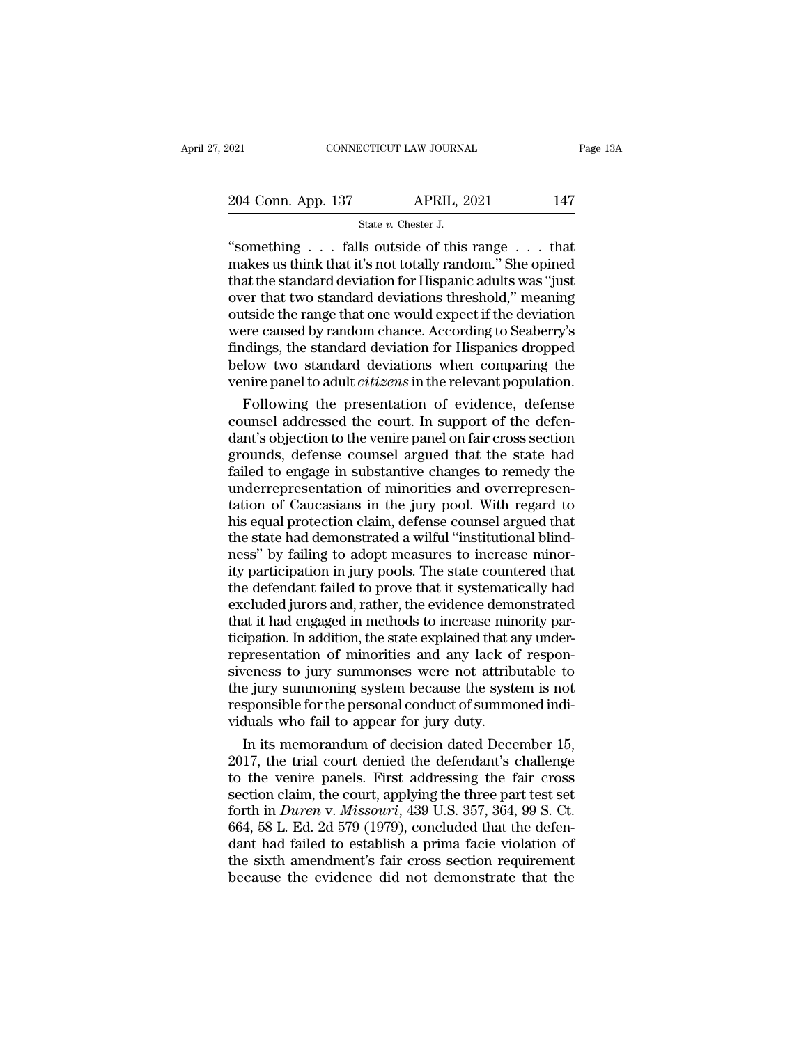CONNECTICUT LAW JOURNAL Page 13.<br>
204 Conn. App. 137 APRIL, 2021 147<br>
State v. Chester J.<br>
"something . . . falls outside of this range . . . that<br>
makes us think that it's not totally random." She opined<br>
that the standar 204 Conn. App. 137 APRIL, 2021 147<br>
State v. Chester J.<br>
"something . . . falls outside of this range . . . that<br>
makes us think that it's not totally random." She opined<br>
that the standard deviation for Hispanic adults w 204 Conn. App. 137 APRIL, 2021 147<br>
State v. Chester J.<br>
"something . . . falls outside of this range . . . that<br>
makes us think that it's not totally random." She opined<br>
that the standard deviation for Hispanic adults w 204 Conn. App. 137 APRIL, 2021 147<br>
State v. Chester J.<br>
"something . . . falls outside of this range . . . that<br>
makes us think that it's not totally random." She opined<br>
that the standard deviation for Hispanic adults w Solution of the range that one would expect if the deviation of the standard deviation for Hispanic adults was "just"<br>over that the standard deviation for Hispanic adults was "just" over that two standard deviations thres State v. Chester J.<br>
"something  $\ldots$  falls outside of this range  $\ldots$  that<br>
makes us think that it's not totally random." She opined<br>
that the standard deviation for Hispanic adults was "just<br>
over that two standard dev "something  $\ldots$  falls outside of this range  $\ldots$  that makes us think that it's not totally random." She opined that the standard deviation for Hispanic adults was "just over that two standard deviations threshold," mean makes us think that it's not totally random." She opined<br>that the standard deviation for Hispanic adults was "just<br>over that two standard deviations threshold," meaning<br>outside the range that one would expect if the deviat that the standard deviation for Hispanic adults was "just<br>over that two standard deviations threshold," meaning<br>outside the range that one would expect if the deviation<br>were caused by random chance. According to Seaberry's Follow is and the varies of evidence of the deviation<br>trial the range that one would expect if the deviation<br>rere caused by random chance. According to Seaberry's<br>dings, the standard deviation for Hispanics dropped<br>low two outside the range that one would expect if the deviation<br>were caused by random chance. According to Seaberry's<br>findings, the standard deviation for Hispanics dropped<br>below two standard deviations when comparing the<br>venire

were caused by random chance. According to Seaberry's<br>findings, the standard deviation for Hispanics dropped<br>below two standard deviations when comparing the<br>venire panel to adult *citizens* in the relevant population.<br>Fol findings, the standard deviation for Hispanics dropped<br>below two standard deviations when comparing the<br>venire panel to adult *citizens* in the relevant population.<br>Following the presentation of evidence, defense<br>counsel a below two standard deviations when comparing the<br>venire panel to adult *citizens* in the relevant population.<br>Following the presentation of evidence, defense<br>counsel addressed the court. In support of the defen-<br>dant's obj venire panel to adult *citizens* in the relevant population.<br>Following the presentation of evidence, defense<br>counsel addressed the court. In support of the defen-<br>dant's objection to the venire panel on fair cross section Following the presentation of evidence, defense<br>counsel addressed the court. In support of the defen-<br>dant's objection to the venire panel on fair cross section<br>grounds, defense counsel argued that the state had<br>failed to counsel addressed the court. In support of the defendant's objection to the venire panel on fair cross section<br>grounds, defense counsel argued that the state had<br>failed to engage in substantive changes to remedy the<br>underr dant's objection to the venire panel on fair cross section<br>grounds, defense counsel argued that the state had<br>failed to engage in substantive changes to remedy the<br>underrepresentation of minorities and overrepresen-<br>tation grounds, defense counsel argued that the state had failed to engage in substantive changes to remedy the underrepresentation of Caucasians in the jury pool. With regard to his equal protection claim, defense counsel argued failed to engage in substantive changes to remedy the underrepresentation of minorities and overrepresentation of Caucasians in the jury pool. With regard to his equal protection claim, defense counsel argued that the stat underrepresentation of minorities and overrepresentation of Caucasians in the jury pool. With regard to his equal protection claim, defense counsel argued that the state had demonstrated a wilful "institutional blindness" tation of Caucasians in the jury pool. With regard to<br>his equal protection claim, defense counsel argued that<br>the state had demonstrated a wilful "institutional blind-<br>ness" by failing to adopt measures to increase minor-<br> his equal protection claim, defense counsel argued that<br>the state had demonstrated a wilful "institutional blind-<br>ness" by failing to adopt measures to increase minor-<br>ity participation in jury pools. The state countered t the state had demonstrated a wilful "institutional blindness" by failing to adopt measures to increase minority participation in jury pools. The state countered that the defendant failed to prove that it systematically had representation in jury pools. The state countered that<br>the defendant failed to prove that it systematically had<br>excluded jurors and, rather, the evidence demonstrated<br>that it had engaged in methods to increase minority par ity participation in jury pools. The state countered that<br>the defendant failed to prove that it systematically had<br>excluded jurors and, rather, the evidence demonstrated<br>that it had engaged in methods to increase minority the defendant failed to prove that it systematically had<br>excluded jurors and, rather, the evidence demonstrated<br>that it had engaged in methods to increase minority par-<br>ticipation. In addition, the state explained that any excluded jurors and, rather, the evidence demonstrated<br>that it had engaged in methods to increase minority par-<br>ticipation. In addition, the state explained that any under-<br>representation of minorities and any lack of resp that it had engaged in methods to increase miniticipation. In addition, the state explained that a representation of minorities and any lack of siveness to jury summonses were not attribute jury summoning system because th In its memorial of minorities and any lack of respon-<br>presentation of minorities and any lack of respon-<br>veness to jury summonses were not attributable to<br>e jury summoning system because the system is not<br>sponsible for the representation of minorities and any lack of responsiveness to jury summonses were not attributable to<br>the jury summoning system because the system is not<br>responsible for the personal conduct of summoned indi-<br>viduals who

siveness to jury summonses were not attributable to<br>the jury summoning system because the system is not<br>responsible for the personal conduct of summoned indi-<br>viduals who fail to appear for jury duty.<br>In its memorandum of the jury summoning system because the system is not<br>responsible for the personal conduct of summoned indi-<br>viduals who fail to appear for jury duty.<br>In its memorandum of decision dated December 15,<br>2017, the trial court de responsible for the personal conduct of summoned individuals who fail to appear for jury duty.<br>In its memorandum of decision dated December 15,<br>2017, the trial court denied the defendant's challenge<br>to the venire panels. F viduals who fail to appear for jury duty.<br>
In its memorandum of decision dated December 15,<br>
2017, the trial court denied the defendant's challenge<br>
to the venire panels. First addressing the fair cross<br>
section claim, the In its memorandum of decision dated December 15,<br>2017, the trial court denied the defendant's challenge<br>to the venire panels. First addressing the fair cross<br>section claim, the court, applying the three part test set<br>forth 2017, the trial court denied the defendant's challenge<br>to the venire panels. First addressing the fair cross<br>section claim, the court, applying the three part test set<br>forth in *Duren v. Missouri*, 439 U.S. 357, 364, 99 S. to the venire panels. First addressing the fair cross section claim, the court, applying the three part test set forth in *Duren* v. *Missouri*, 439 U.S. 357, 364, 99 S. Ct. 664, 58 L. Ed. 2d 579 (1979), concluded that th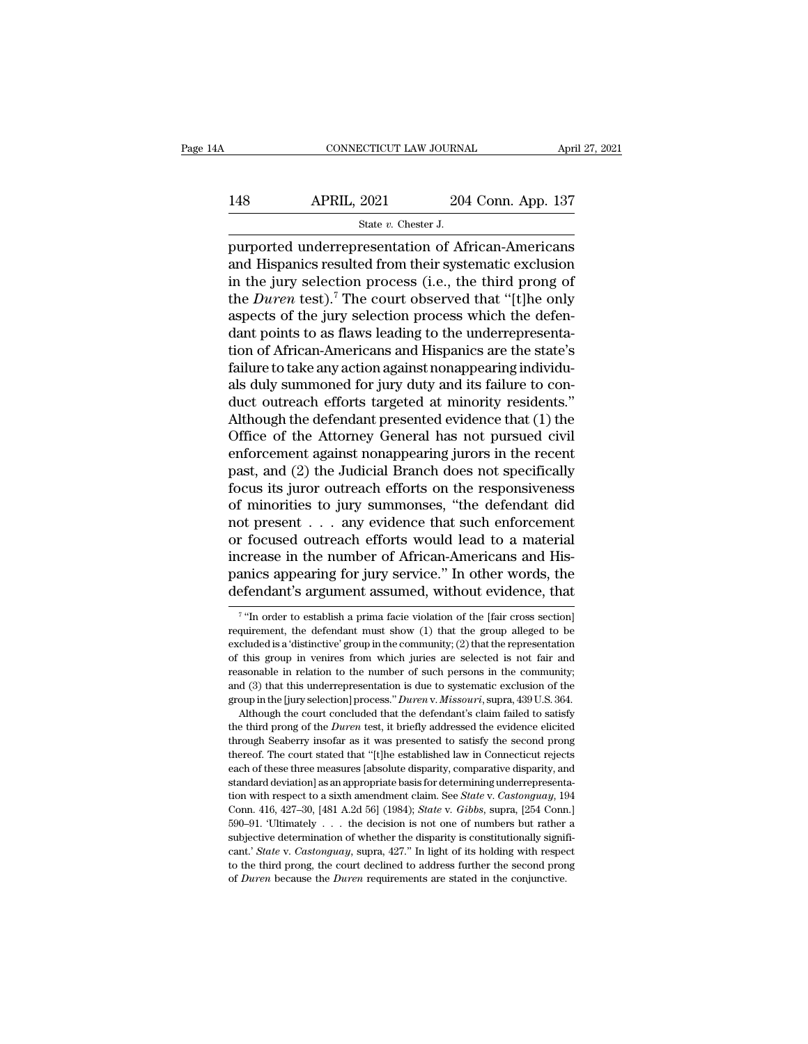# CONNECTICUT LAW JOURNAL April 27, 2021<br>148 APRIL, 2021 204 Conn. App. 137<br>5tate v. Chester J. ECTICUT LAW JOURNA<br>
2021 204<br>
State *v*. Chester J.<br>
resentation of Af

FRIL, 2021<br>
PURIL, 2021<br>
PURIL, 2021<br>
PURIL, 2021<br>
State v. Chester J.<br>
PURIC: Chester J.<br>
PURIC: Chester J.<br>
PURIC: Chester J.<br>
PURIC: Chester J.<br>
PURIC: Chester J.<br>
And Hispanics resulted from their systematic exclusion<br> 148 APRIL, 2021 204 Conn. App. 137<br>
state v. Chester J.<br>
purported underrepresentation of African-Americans<br>
and Hispanics resulted from their systematic exclusion<br>
in the jury selection process (i.e., the third prong of<br> 148 APRIL, 2021 204 Conn. App. 137<br>  $\frac{37}{204}$  State v. Chester J.<br>
purported underrepresentation of African-Americans<br>
and Hispanics resulted from their systematic exclusion<br>
in the jury selection process (i.e., the th 148 APRIL, 2021 204 Conn. App. 137<br>
<sup>State *v*. Chester J.<br>
purported underrepresentation of African-Americans<br>
and Hispanics resulted from their systematic exclusion<br>
in the jury selection process (i.e., the third prong o</sup> State v. Chester J.<br>
State v. Chester J.<br>
purported underrepresentation of African-Americans<br>
and Hispanics resulted from their systematic exclusion<br>
in the jury selection process (i.e., the third prong of<br>
the *Duren* te state v. Chester J.<br>
purported underrepresentation of African-Americans<br>
and Hispanics resulted from their systematic exclusion<br>
in the jury selection process (i.e., the third prong of<br>
the *Duren* test).<sup>7</sup> The court obs purported underrepresentation of African-Americans<br>and Hispanics resulted from their systematic exclusion<br>in the jury selection process (i.e., the third prong of<br>the *Duren* test).<sup>7</sup> The court observed that "[t]he only<br>as and Hispanics resulted from their systematic exclusion<br>in the jury selection process (i.e., the third prong of<br>the *Duren* test).<sup>7</sup> The court observed that "[t]he only<br>aspects of the jury selection process which the defen in the jury selection process (i.e., the third prong of<br>the *Duren* test).<sup>7</sup> The court observed that "[t]he only<br>aspects of the jury selection process which the defen-<br>dant points to as flaws leading to the underrepresen the *Duren* test).<sup>7</sup> The court observed that "[t]he only aspects of the jury selection process which the defendant points to as flaws leading to the underrepresentation of African-Americans and Hispanics are the state's aspects of the jury selection process which the defendant points to as flaws leading to the underrepresentation of African-Americans and Hispanics are the state's failure to take any action against nonappearing individuals dant points to as flaws leading to the underrepresentation of African-Americans and Hispanics are the state's<br>failure to take any action against nonappearing individuals duly summoned for jury duty and its failure to con-<br> tion of African-Americans and Hispanics are the state's<br>failure to take any action against nonappearing individuals<br>duly summoned for jury duty and its failure to con-<br>duct outreach efforts targeted at minority residents." failure to take any action against nonappearing individuals duly summoned for jury duty and its failure to conduct outreach efforts targeted at minority residents."<br>Although the defendant presented evidence that (1) the Of als duly summoned for jury duty and its failure to conduct outreach efforts targeted at minority residents."<br>Although the defendant presented evidence that (1) the<br>Office of the Attorney General has not pursued civil<br>enfor duct outreach efforts targeted at minority residents."<br>Although the defendant presented evidence that (1) the<br>Office of the Attorney General has not pursued civil<br>enforcement against nonappearing jurors in the recent<br>past, Although the defendant presented evidence that  $(1)$  the<br>Office of the Attorney General has not pursued civil<br>enforcement against nonappearing jurors in the recent<br>past, and  $(2)$  the Judicial Branch does not specifically Office of the Attorney General has not pursued civil<br>enforcement against nonappearing jurors in the recent<br>past, and (2) the Judicial Branch does not specifically<br>focus its juror outreach efforts on the responsiveness<br>of m enforcement against nonappearing jurors in the recent<br>past, and (2) the Judicial Branch does not specifically<br>focus its juror outreach efforts on the responsiveness<br>of minorities to jury summonses, "the defendant did<br>not past, and (2) the Judicial Branch does not specifically<br>focus its juror outreach efforts on the responsiveness<br>of minorities to jury summonses, "the defendant did<br>not present . . . any evidence that such enforcement<br>or foc focus its juror outreach efforts on the responsiveness<br>of minorities to jury summonses, "the defendant did<br>not present . . . any evidence that such enforcement<br>or focused outreach efforts would lead to a material<br>increase increase in the number of African-Americans and Hispanics appearing for jury service." In other words, the defendant's argument assumed, without evidence, that  $\frac{1}{\sqrt{2}}$  "In order to establish a prima facie violation o increase in the number of African-Americans and His-<br>panics appearing for jury service." In other words, the<br>defendant's argument assumed, without evidence, that<br> $\frac{7 \text{``In order to establish a prima facile violation of the [fair cross section]}$ <br>requirement, the defendant must s

 $7$  "In  $\alpha$ panics appearing for jury service." In other words, the defendant's argument assumed, without evidence, that  $\frac{7 \text{``In order to establish a prima face violation of the [fair cross section] requirement, the defendant must show (1) that the group alleged to be excluded is a 'distinctive' group in the community; (2) that the representation of this group in verifies from which juries are selected is not fair and$ defendant's argument assumed, without evidence, that<br>
<sup>7</sup> "In order to establish a prima facie violation of the [fair cross section]<br>
requirement, the defendant must show (1) that the group alleged to be<br>
excluded is a 'd The model is a guinter assumed, whilout evidence, that  $\frac{1}{2}$  in relation of the number of the number of the number of this group in the community; (2) that the representation of this group in venires from which juries <sup>7</sup> "In order to establish a prima facie violation of the [fair cross section]<br>requirement, the defendant must show (1) that the group alleged to be<br>excluded is a 'distinctive' group in the community; (2) that the represe requirement, the defendant must show (1) that the group alleged to be excluded is a 'distinctive' group in the community; (2) that the representation of this group in venires from which juries are selected is not fair and denoted is a 'distinctive' group in the community; (2) that the representation this group in venires from which juries are selected is not fair and assonable in relation to the number of such persons in the community; d ( of this group in venires from which juries are selected is not fair and reasonable in relation to the number of such persons in the community; and (3) that this underrepresentation is due to systematic exclusion of the gro

ereasonable in relation to the number of such persons in the community;<br>and (3) that this underrepresentation is due to systematic exclusion of the<br>group in the [jury selection] process." *Duren* v. *Missouri*, supra, 439 and (3) that this underrepresentation is due to systematic exclusion of the group in the [jury selection] process." *Duren* v. *Missouri*, supra, 439 U.S. 364. Although the court concluded that the defendant's claim faile each of these three measures [*buren v. Missouri*, supra, 439 U.S. 364.<br>Although the court concluded that the defendant's claim failed to satisfy<br>the third prong of the *Duren* test, it briefly addressed the evidence elici Although the court concluded that the defendant's claim failed to satisfy the third prong of the *Duren* test, it briefly addressed the evidence elicited through Seaberry insofar as it was presented to satisfy the second the third prong of the *Duren* test, it briefly addressed the evidence elicited through Seaberry insofar as it was presented to satisfy the second prong thereof. The court stated that "[t]he established law in Connecticut through Seaberry insofar as it was presented to satisfy the second prong<br>thereof. The court stated that "[t]he established law in Connecticut rejects<br>each of these three measures [absolute disparity, comparative disparity, thereof. The court stated that "[t]he established law in Connecticut rejects each of these three measures [absolute disparity, comparative disparity, and standard deviation] as an appropriate basis for determining underre each of these three measures [absolute disparity, comparative disparity, and standard deviation] as an appropriate basis for determining underrepresentation with respect to a sixth amendment claim. See *State* v. *Castong* standard deviation] as an appropriate basis for determining underrepresentation with respect to a sixth amendment claim. See *State* v. *Castonguay*, 194 Conn. 416, 427–30, [481 A.2d 56] (1984); *State* v. *Gibbs*, supra, tion with respect to a sixth amendment claim. See *State* v. *Castonguay*, 194 Conn. 416, 427–30, [481 A.2d 56] (1984); *State* v. *Gibbs*, supra, [254 Conn.] 590–91. 'Ultimately . . . the decision is not one of numbers b Conn. 416, 427-30, [481 A.2d 56] (1984); *State v. Gibbs*, supra, [254 Conn.]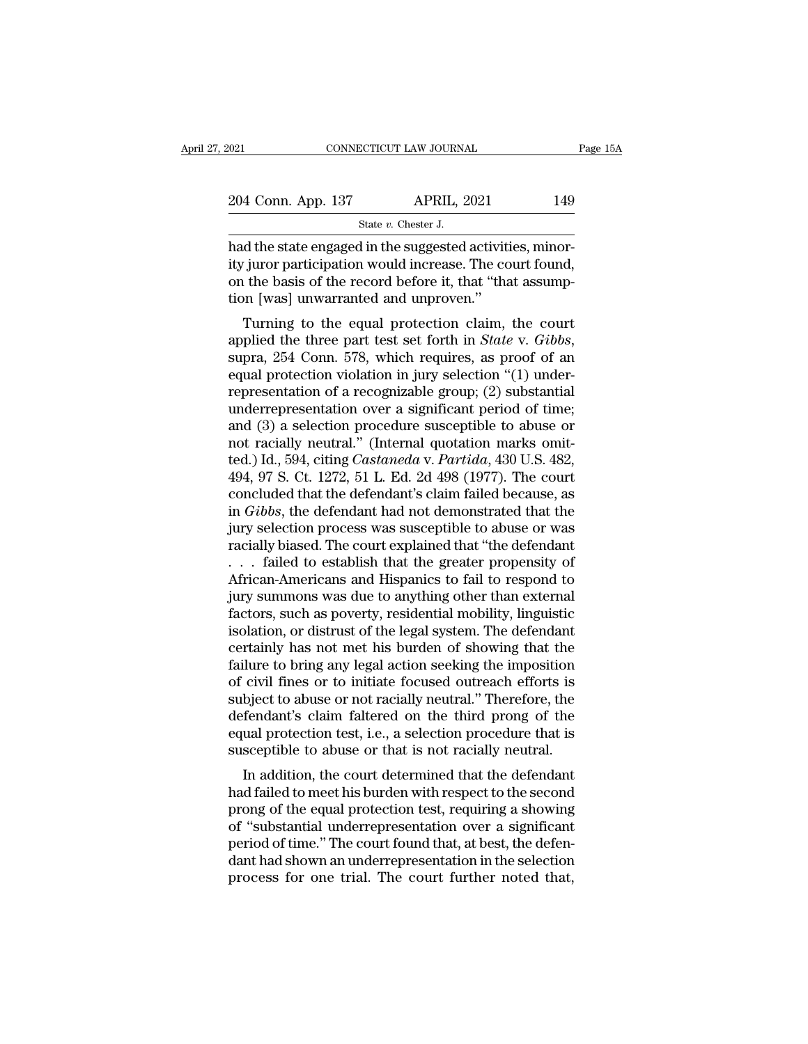Fault 2021<br>
CONNECTICUT LAW JOURNAL<br>
204 Conn. App. 137 APRIL, 2021 149<br>
State v. Chester J.<br>
had the state engaged in the suggested activities, minor-<br>
ity juror participation would increase. The court found,<br>
on the besi 204 Conn. App. 137 APRIL, 2021 149<br>
State v. Chester J.<br>
had the state engaged in the suggested activities, minor-<br>
ity juror participation would increase. The court found,<br>
on the basis of the record before it, that "tha  $\frac{204 \text{ Conn. App. 137}}{\text{State } v. \text{ Chester J.}}$  had the state engaged in the suggested activities, minority juror participation would increase. The court found, on the basis of the record before it, that "that assumption [was] unwarra 204 Conn. App. 137 APRIL, 2021<br>
State  $v$ . Chester J.<br>
had the state engaged in the suggested activitive juror participation would increase. The co<br>
on the basis of the record before it, that "that<br>
tion [was] unwarranted State v. Chester J.<br>
d the state engaged in the suggested activities, minor-<br>
juror participation would increase. The court found,<br>
the basis of the record before it, that "that assump-<br>
m [was] unwarranted and unproven."

applied the state engaged in the suggested activities, minority juror participation would increase. The court found, on the basis of the record before it, that "that assumption [was] unwarranted and unproven."<br>Turning to t ry furor participation would increase. The court found,<br>on the basis of the record before it, that "that assump-<br>tion [was] unwarranted and unproven."<br>Turning to the equal protection claim, the court<br>applied the three part on the basis of the record before it, that that assumption [was] unwarranted and unproven."<br>Turning to the equal protection claim, the court<br>applied the three part test set forth in *State* v. *Gibbs*,<br>supra, 254 Conn. 57 Turning to the equal protection claim, the court<br>applied the three part test set forth in *State* v. *Gibbs*,<br>supra, 254 Conn. 578, which requires, as proof of an<br>equal protection violation in jury selection "(1) under-<br>r Turning to the equal protection claim, the court<br>applied the three part test set forth in *State* v. *Gibbs*,<br>supra, 254 Conn. 578, which requires, as proof of an<br>equal protection violation in jury selection "(1) under-<br>r applied the three part test set forth in *State* v. *Gibbs*, supra, 254 Conn. 578, which requires, as proof of an equal protection violation in jury selection "(1) under-<br>representation of a recognizable group; (2) substa supra, 254 Conn. 578, which requires, as proof of an equal protection violation in jury selection "(1) under-<br>representation of a recognizable group; (2) substantial<br>underrepresentation over a significant period of time;<br>a equal protection violation in jury selection "(1) under-<br>representation of a recognizable group; (2) substantial<br>underrepresentation over a significant period of time;<br>and (3) a selection procedure susceptible to abuse or<br> representation of a recognizable group; (2) substantial underrepresentation over a significant period of time;<br>and (3) a selection procedure susceptible to abuse or<br>not racially neutral." (Internal quotation marks omit-<br>t underrepresentation over a significant period of time;<br>and (3) a selection procedure susceptible to abuse or<br>not racially neutral." (Internal quotation marks omit-<br>ted.) Id., 594, citing *Castaneda* v. *Partida*, 430 U.S. and (3) a selection procedure susceptible to abuse or<br>not racially neutral." (Internal quotation marks omit-<br>ted.) Id., 594, citing *Castaneda* v. *Partida*, 430 U.S. 482,<br>494, 97 S. Ct. 1272, 51 L. Ed. 2d 498 (1977). The not racially neutral." (Internal quotation marks omit-<br>ted.) Id., 594, citing *Castaneda* v. *Partida*, 430 U.S. 482,<br>494, 97 S. Ct. 1272, 51 L. Ed. 2d 498 (1977). The court<br>concluded that the defendant's claim failed beca ted.) Id., 594, citing *Castaneda* v. *Partida*, 430 U.S. 482, 494, 97 S. Ct. 1272, 51 L. Ed. 2d 498 (1977). The court concluded that the defendant's claim failed because, as in *Gibbs*, the defendant had not demonstrated 494, 97 S. Ct. 1272, 51 L. Ed. 2d 498 (1977). The court<br>concluded that the defendant's claim failed because, as<br>in *Gibbs*, the defendant had not demonstrated that the<br>jury selection process was susceptible to abuse or wa

concluded that the defendant's claim failed because, as<br>in *Gibbs*, the defendant had not demonstrated that the<br>jury selection process was susceptible to abuse or was<br>racially biased. The court explained that "the defendan in *Gibbs*, the defendant had not demonstrated that the<br>jury selection process was susceptible to abuse or was<br>racially biased. The court explained that "the defendant<br> $\dots$  failed to establish that the greater propensity jury selection process was susceptible to abuse or was<br>racially biased. The court explained that "the defendant<br>. . . . failed to establish that the greater propensity of<br>African-Americans and Hispanics to fail to respond racially biased. The court explained that "the defendant<br>  $\dots$  failed to establish that the greater propensity of<br>
African-Americans and Hispanics to fail to respond to<br>
jury summons was due to anything other than externa . . . failed to establish that the greater propensity of<br>African-Americans and Hispanics to fail to respond to<br>jury summons was due to anything other than external<br>factors, such as poverty, residential mobility, linguistic African-Americans and Hispanics to fail to respond to<br>jury summons was due to anything other than external<br>factors, such as poverty, residential mobility, linguistic<br>isolation, or distrust of the legal system. The defendan jury summons was due to anything other than external<br>factors, such as poverty, residential mobility, linguistic<br>isolation, or distrust of the legal system. The defendant<br>certainly has not met his burden of showing that the factors, such as poverty, residential mobility, linguistic<br>
isolation, or distrust of the legal system. The defendant<br>
certainly has not met his burden of showing that the<br>
failure to bring any legal action seeking the imp isolation, or distrust of the legal system. The defendant<br>certainly has not met his burden of showing that the<br>failure to bring any legal action seeking the imposition<br>of civil fines or to initiate focused outreach efforts certainly has not met his burden of showing that the failure to bring any legal action seeking the imposition of civil fines or to initiate focused outreach efforts is subject to abuse or not racially neutral." Therefore, In a bound and the course and the minimal of the course of the defendant's claim faltered on the third prong of the ual protection test, i.e., a selection procedure that is sceptible to abuse or that is not racially neutra or civil lines or to initiate focused outreach enots is<br>subject to abuse or not racially neutral." Therefore, the<br>defendant's claim failtered on the third prong of the<br>equal protection test, i.e., a selection procedure tha

subject to abuse of not raciany neutral. Therefore, the<br>defendant's claim faltered on the third prong of the<br>equal protection test, i.e., a selection procedure that is<br>susceptible to abuse or that is not racially neutral.<br> defendant's claim faitered on the time prong of the<br>equal protection test, i.e., a selection procedure that is<br>susceptible to abuse or that is not racially neutral.<br>In addition, the court determined that the defendant<br>had equal protection test, i.e., a selection procedule that is<br>susceptible to abuse or that is not racially neutral.<br>In addition, the court determined that the defendant<br>had failed to meet his burden with respect to the second susceptione to abuse of that is not factally heutral.<br>In addition, the court determined that the defendant<br>had failed to meet his burden with respect to the second<br>prong of the equal protection test, requiring a showing<br>of In addition, the court determined that the defendant<br>had failed to meet his burden with respect to the second<br>prong of the equal protection test, requiring a showing<br>of "substantial underrepresentation over a significant<br>p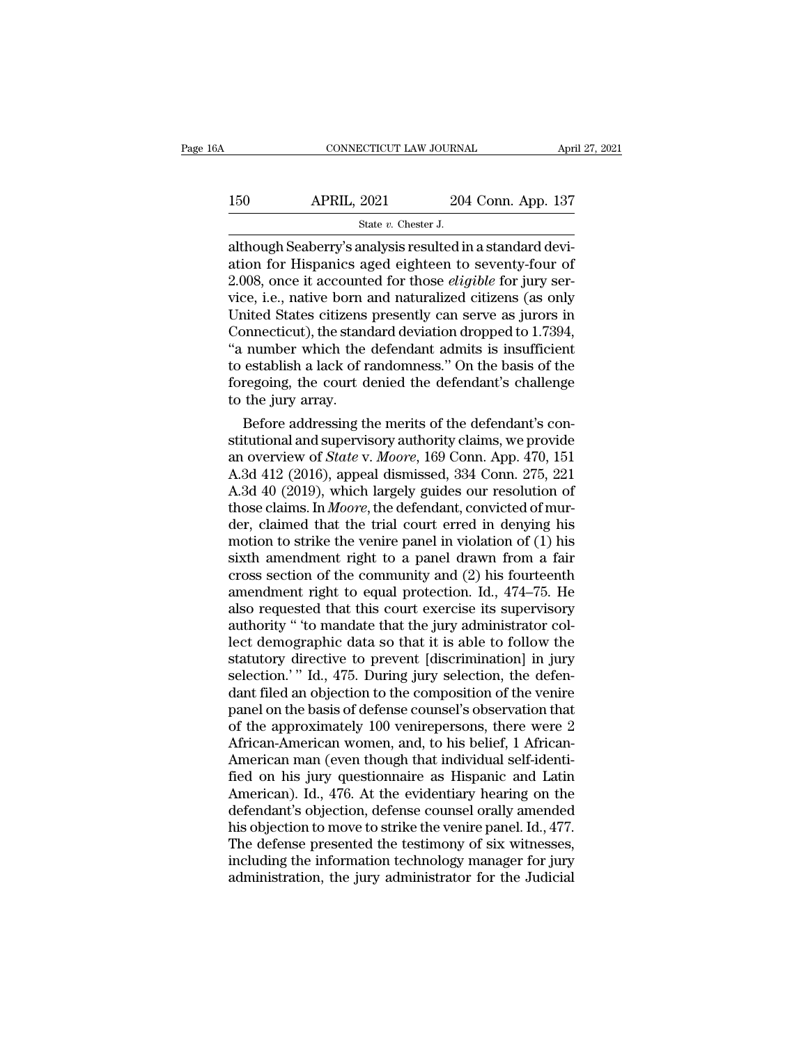|                    |                    | April 27, 2021                                    |
|--------------------|--------------------|---------------------------------------------------|
| <b>APRIL, 2021</b> | 204 Conn. App. 137 |                                                   |
|                    |                    |                                                   |
|                    |                    | CONNECTICUT LAW JOURNAL<br>State $v$ . Chester J. |

CONNECTICUT LAW JOURNAL Apr<br>
150 APRIL, 2021 204 Conn. App. 137<br>
31 State v. Chester J.<br>
204 Conn. App. 137<br>
2010 State v. Chester J.<br>
2008 once it accounted for those *cligible* for jury ser 150 APRIL, 2021 204 Conn. App. 137<br>
State v. Chester J.<br>
although Seaberry's analysis resulted in a standard devi-<br>
ation for Hispanics aged eighteen to seventy-four of<br>
2.008, once it accounted for those *eligible* for j 150 APRIL, 2021 204 Conn. App. 137<br>
<sup>204</sup> Conn. App. 137<br>
<sup>204</sup> Conn. App. 137<br>
although Seaberry's analysis resulted in a standard devi-<br>
ation for Hispanics aged eighteen to seventy-four of<br>
2.008, once it accounted for 150 APRIL, 2021 204 Conn. App. 137<br>
state v. Chester J.<br>
although Seaberry's analysis resulted in a standard devi-<br>
ation for Hispanics aged eighteen to seventy-four of<br>
2.008, once it accounted for those *eligible* for j State v. Chester J.<br>State v. Chester J.<br>although Seaberry's analysis resulted in a standard devi-<br>ation for Hispanics aged eighteen to seventy-four of<br>2.008, once it accounted for those *eligible* for jury ser-<br>vice, i.e. State v. Chester J.<br>
State v. Chester J.<br>
although Seaberry's analysis resulted in a standard devi-<br>
ation for Hispanics aged eighteen to seventy-four of<br>
2.008, once it accounted for those *eligible* for jury ser-<br>
vice, although Seaberry's analysis resulted in a standard deviation for Hispanics aged eighteen to seventy-four of 2.008, once it accounted for those *eligible* for jury service, i.e., native born and naturalized citizens (as on ation for Hispanics aged eighteen to seventy-four of 2.008, once it accounted for those *eligible* for jury service, i.e., native born and naturalized citizens (as only United States citizens presently can serve as jurors 2.008, once it accounted for those *eligible* for jury service, i.e., native born and naturalized citizens (as only United States citizens presently can serve as jurors in Connecticut), the standard deviation dropped to 1. vice, i.e., native born a<br>United States citizens<br>Connecticut), the stane<br>"a number which the<br>to establish a lack of r<br>foregoing, the court d<br>to the jury array.<br>Before addressing th ited states citizens presently can serve as jurors in<br>onnecticut), the standard deviation dropped to 1.7394,<br>number which the defendant admits is insufficient<br>establish a lack of randomness." On the basis of the<br>regoing, t Connecticut), the standard deviation dropped to  $1.7394$ ,<br>
"a number which the defendant admits is insufficient<br>
to establish a lack of randomness." On the basis of the<br>
foregoing, the court denied the defendant's challen

a number which the defendant admits is insufficient<br>to establish a lack of randomness." On the basis of the<br>foregoing, the court denied the defendant's challenge<br>to the jury array.<br>Before addressing the merits of the defen to establish a lack of randomness." On the basis of the<br>foregoing, the court denied the defendant's challenge<br>to the jury array.<br>Before addressing the merits of the defendant's con-<br>stitutional and supervisory authority cl roregoing, the court denied the defendant's challenge<br>to the jury array.<br>Before addressing the merits of the defendant's constitutional and supervisory authority claims, we provide<br>an overview of *State* v. *Moore*, 169 C to the jury array.<br>Before addressing the merits of the defendant's constitutional and supervisory authority claims, we provide<br>an overview of *State* v. *Moore*, 169 Conn. App. 470, 151<br>A.3d 412 (2016), appeal dismissed, 3 Before addressing the merits of the defendant's constitutional and supervisory authority claims, we provide<br>an overview of *State* v. *Moore*, 169 Conn. App. 470, 151<br>A.3d 412 (2016), appeal dismissed, 334 Conn. 275, 221<br> stitutional and supervisory authority claims, we provide<br>an overview of *State* v. *Moore*, 169 Conn. App. 470, 151<br>A.3d 412 (2016), appeal dismissed, 334 Conn. 275, 221<br>A.3d 40 (2019), which largely guides our resolution an overview of *State* v. *Moore*, 169 Conn. App. 470, 151<br>A.3d 412 (2016), appeal dismissed, 334 Conn. 275, 221<br>A.3d 40 (2019), which largely guides our resolution of<br>those claims. In *Moore*, the defendant, convicted of A.3d 412 (2016), appeal dismissed, 334 Conn. 275, 221<br>A.3d 40 (2019), which largely guides our resolution of<br>those claims. In *Moore*, the defendant, convicted of mur-<br>der, claimed that the trial court erred in denying hi A.3d 40 (2019), which largely guides our resolution of those claims. In *Moore*, the defendant, convicted of murder, claimed that the trial court erred in denying his motion to strike the venire panel in violation of (1) those claims. In *Moore*, the defendant, convicted of murder, claimed that the trial court erred in denying his motion to strike the venire panel in violation of (1) his sixth amendment right to a panel drawn from a fair der, claimed that the trial court erred in denying his<br>motion to strike the venire panel in violation of (1) his<br>sixth amendment right to a panel drawn from a fair<br>cross section of the community and (2) his fourteenth<br>amen motion to strike the venire panel in violation of (1) his<br>sixth amendment right to a panel drawn from a fair<br>cross section of the community and (2) his fourteenth<br>amendment right to equal protection. Id.,  $474-75$ . He<br>als sixth amendment right to a panel drawn from a fair<br>cross section of the community and (2) his fourteenth<br>amendment right to equal protection. Id., 474–75. He<br>also requested that this court exercise its supervisory<br>authorit cross section of the community and (2) his fourteenth<br>amendment right to equal protection. Id., 474–75. He<br>also requested that this court exercise its supervisory<br>authority " to mandate that the jury administrator col-<br>lec amendment right to equal protection. Id., 474–75. He<br>also requested that this court exercise its supervisory<br>authority " to mandate that the jury administrator col-<br>lect demographic data so that it is able to follow the<br>st also requested that this court exercise its supervisory<br>authority " 'to mandate that the jury administrator col-<br>lect demographic data so that it is able to follow the<br>statutory directive to prevent [discrimination] in jur authority " to mandate that the jury administrator collect demographic data so that it is able to follow the statutory directive to prevent [discrimination] in jury selection.'" Id., 475. During jury selection, the defenda lect demographic data so that it is able to follow the<br>statutory directive to prevent [discrimination] in jury<br>selection.'" Id., 475. During jury selection, the defen-<br>dant filed an objection to the composition of the veni statutory directive to prevent [discrimination] in jury<br>selection.'" Id., 475. During jury selection, the defen-<br>dant filed an objection to the composition of the venire<br>panel on the basis of defense counsel's observation selection.'" Id., 475. During jury selection, the defen-<br>dant filed an objection to the composition of the venire<br>panel on the basis of defense counsel's observation that<br>of the approximately 100 venirepersons, there were dant filed an objection to the composition of the venire<br>panel on the basis of defense counsel's observation that<br>of the approximately 100 venirepersons, there were 2<br>African-American women, and, to his belief, 1 African-<br> panel on the basis of defense counsel's observation that<br>of the approximately 100 venirepersons, there were 2<br>African-American women, and, to his belief, 1 African-<br>American man (even though that individual self-identi-<br>fi of the approximately 100 venirepersons, there were 2<br>African-American women, and, to his belief, 1 African-American man (even though that individual self-identi-<br>fied on his jury questionnaire as Hispanic and Latin<br>America African-American women, and, to his belief, 1 African-American man (even though that individual self-identified on his jury questionnaire as Hispanic and Latin American). Id., 476. At the evidentiary hearing on the defenda American man (even though that individual self-identi-<br>fied on his jury questionnaire as Hispanic and Latin<br>American). Id., 476. At the evidentiary hearing on the<br>defendant's objection, defense counsel orally amended<br>his o fied on his jury questionnaire as Hispanic and Latin<br>American). Id., 476. At the evidentiary hearing on the<br>defendant's objection, defense counsel orally amended<br>his objection to move to strike the venire panel. Id., 477.<br>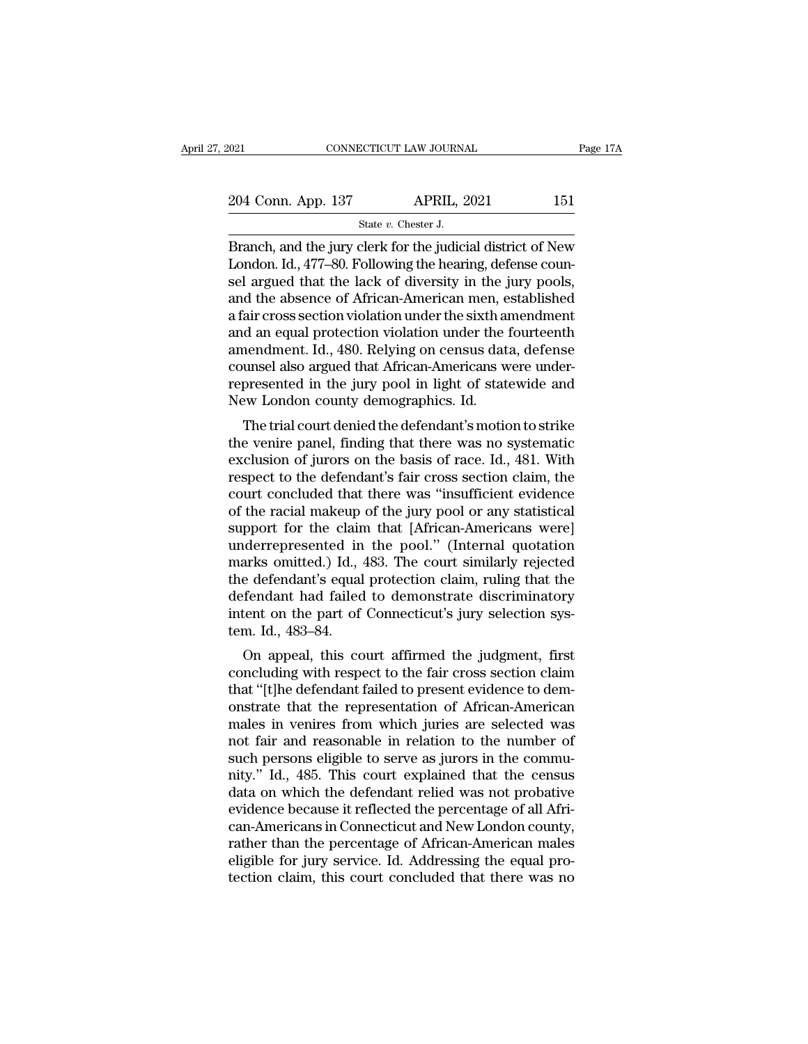2021 CONNECTICUT LAW JOURNAL Page 17A<br>204 Conn. App. 137 APRIL, 2021 151<br>31 State v. Chester J. SCTICUT LAW JOURNA<br>APRIL, 2<br>State *v.* Chester J.<br>Clerk for the judici

EXECUTE THE JOURNAL Page 17A<br>
204 Conn. App. 137 APRIL, 2021 151<br>
State v. Chester J.<br>
Branch, and the jury clerk for the judicial district of New<br>
London. Id., 477–80. Following the hearing, defense counsel argued that th 204 Conn. App. 137 APRIL, 2021 151<br>
State v. Chester J.<br>
Branch, and the jury clerk for the judicial district of New<br>
London. Id., 477–80. Following the hearing, defense coun-<br>
sel argued that the lack of diversity in the 204 Conn. App. 137 APRIL, 2021 151<br>
State v. Chester J.<br>
Branch, and the jury clerk for the judicial district of New<br>
London. Id., 477–80. Following the hearing, defense counsel argued that the lack of diversity in the ju 204 Conn. App. 137 APRIL, 2021 151<br>
State v. Chester J.<br>
Branch, and the jury clerk for the judicial district of New<br>
London. Id., 477–80. Following the hearing, defense counsel argued that the lack of diversity in the ju State v. Chester J.<br>
State v. Chester J.<br>
Branch, and the jury clerk for the judicial district of New<br>
London. Id., 477–80. Following the hearing, defense counsel argued that the lack of diversity in the jury pools,<br>
and state v. Chester J.<br>Branch, and the jury clerk for the judicial district of New<br>London. Id., 477–80. Following the hearing, defense coun-<br>sel argued that the lack of diversity in the jury pools,<br>and the absence of African Branch, and the jury clerk for the judicial district of New<br>London. Id., 477–80. Following the hearing, defense coun-<br>sel argued that the lack of diversity in the jury pools,<br>and the absence of African-American men, establ London. Id., 477–80. Following the hearing, defense counsel argued that the lack of diversity in the jury pools, and the absence of African-American men, established a fair cross section violation under the sixth amendment sel argued that the lack of diversity in the jury pools,<br>and the absence of African-American men, established<br>a fair cross section violation under the sixth amendment<br>and an equal protection violation under the fourteenth<br> and the absence of African-American men, e<br>a fair cross section violation under the sixth a<br>and an equal protection violation under the :<br>amendment. Id., 480. Relying on census dat<br>counsel also argued that African-American an cross section violation under the sixth antentument<br>d an equal protection violation under the fourteenth<br>nendment. Id., 480. Relying on census data, defense<br>unsel also argued that African-Americans were under-<br>presented and an equal protection violation thider the fourteenth<br>amendment. Id., 480. Relying on census data, defense<br>counsel also argued that African-Americans were under-<br>represented in the jury pool in light of statewide and<br>New

amendment. Id., 480. Rerying on Census data, defense<br>counsel also argued that African-Americans were under-<br>represented in the jury pool in light of statewide and<br>New London county demographics. Id.<br>The trial court denied represented in the jury pool in light of statewide and<br>New London county demographics. Id.<br>The trial court denied the defendant's motion to strike<br>the venire panel, finding that there was no systematic<br>exclusion of jurors represented in the jury poor in light of statewide and<br>New London county demographics. Id.<br>The trial court denied the defendant's motion to strike<br>the venire panel, finding that there was no systematic<br>exclusion of jurors New London county demographics. Id.<br>
The trial court denied the defendant's motion to strike<br>
the venire panel, finding that there was no systematic<br>
exclusion of jurors on the basis of race. Id., 481. With<br>
respect to the The trial court denied the defendant's motion to strike<br>the venire panel, finding that there was no systematic<br>exclusion of jurors on the basis of race. Id., 481. With<br>respect to the defendant's fair cross section claim, t the venire panel, finding that there was no systematic<br>exclusion of jurors on the basis of race. Id., 481. With<br>respect to the defendant's fair cross section claim, the<br>court concluded that there was "insufficient evidence exclusion of jurors on the basis of race. Id., 481. With<br>respect to the defendant's fair cross section claim, the<br>court concluded that there was "insufficient evidence<br>of the racial makeup of the jury pool or any statistic respect to the defendant's fair cross section claim, the<br>court concluded that there was "insufficient evidence<br>of the racial makeup of the jury pool or any statistical<br>support for the claim that [African-Americans were]<br>un court concluded that there was "insufficient evidence<br>of the racial makeup of the jury pool or any statistical<br>support for the claim that [African-Americans were]<br>underrepresented in the pool." (Internal quotation<br>marks om of the racial makeup of the jury pool or any statistical<br>support for the claim that [African-Americans were]<br>underrepresented in the pool." (Internal quotation<br>marks omitted.) Id., 483. The court similarly rejected<br>the def support for the clain<br>underrepresented in<br>marks omitted.) Id.,<br>the defendant's equal<br>defendant had failed<br>intent on the part of<br>tem. Id., 483–84.<br>On appeal, this co Mathematical in the poor. (Internal quotation<br>arks omitted.) Id., 483. The court similarly rejected<br>e defendant had failed to demonstrate discriminatory<br>tent on the part of Connecticut's jury selection sys-<br>m. Id., 483–84. marks onlined.) Id., 483. The court similarly rejected<br>the defendant and failed to demonstrate discriminatory<br>intent on the part of Connecticut's jury selection sys-<br>tem. Id., 483–84.<br>On appeal, this court affirmed the jud

the defendant sequal protection claim, ruling that the<br>defendant had failed to demonstrate discriminatory<br>intent on the part of Connecticut's jury selection sys-<br>tem. Id., 483–84.<br>On appeal, this court affirmed the judgmen defendant had raned to demonstrate discriminatory<br>intent on the part of Connecticut's jury selection sys-<br>tem. Id., 483–84.<br>On appeal, this court affirmed the judgment, first<br>concluding with respect to the fair cross secti ment on the part of connecticut s jury selection system. Id., 483–84.<br>
On appeal, this court affirmed the judgment, first<br>
concluding with respect to the fair cross section claim<br>
that "[t]he defendant failed to present ev ient. Id., 465–64.<br>
On appeal, this court affirmed the judgment, first<br>
concluding with respect to the fair cross section claim<br>
that "[t]he defendant failed to present evidence to dem-<br>
onstrate that the representation of On appeal, this court affirmed the judgment, first concluding with respect to the fair cross section claim that "[t]he defendant failed to present evidence to demonstrate that the representation of African-American males i concluding with respect to the fair cross section claim<br>that "[t]he defendant failed to present evidence to dem-<br>onstrate that the representation of African-American<br>males in venires from which juries are selected was<br>not that "[t]he defendant failed to present evidence to demonstrate that the representation of African-American<br>males in venires from which juries are selected was<br>not fair and reasonable in relation to the number of<br>such pers on interaction of African-American<br>males in venires from which juries are selected was<br>not fair and reasonable in relation to the number of<br>such persons eligible to serve as jurors in the commu-<br>nity." Id., 485. This court males in venires from which juries are selected was<br>not fair and reasonable in relation to the number of<br>such persons eligible to serve as jurors in the commu-<br>nity." Id., 485. This court explained that the census<br>data on not fair and reasonable in relation to the number of<br>such persons eligible to serve as jurors in the commu-<br>nity." Id., 485. This court explained that the census<br>data on which the defendant relied was not probative<br>evidenc such persons eligible to serve as jurors in the community." Id., 485. This court explained that the census data on which the defendant relied was not probative evidence because it reflected the percentage of all African-Am nity." Id., 485. This court explained that the census<br>data on which the defendant relied was not probative<br>evidence because it reflected the percentage of all Afri-<br>can-Americans in Connecticut and New London county,<br>rathe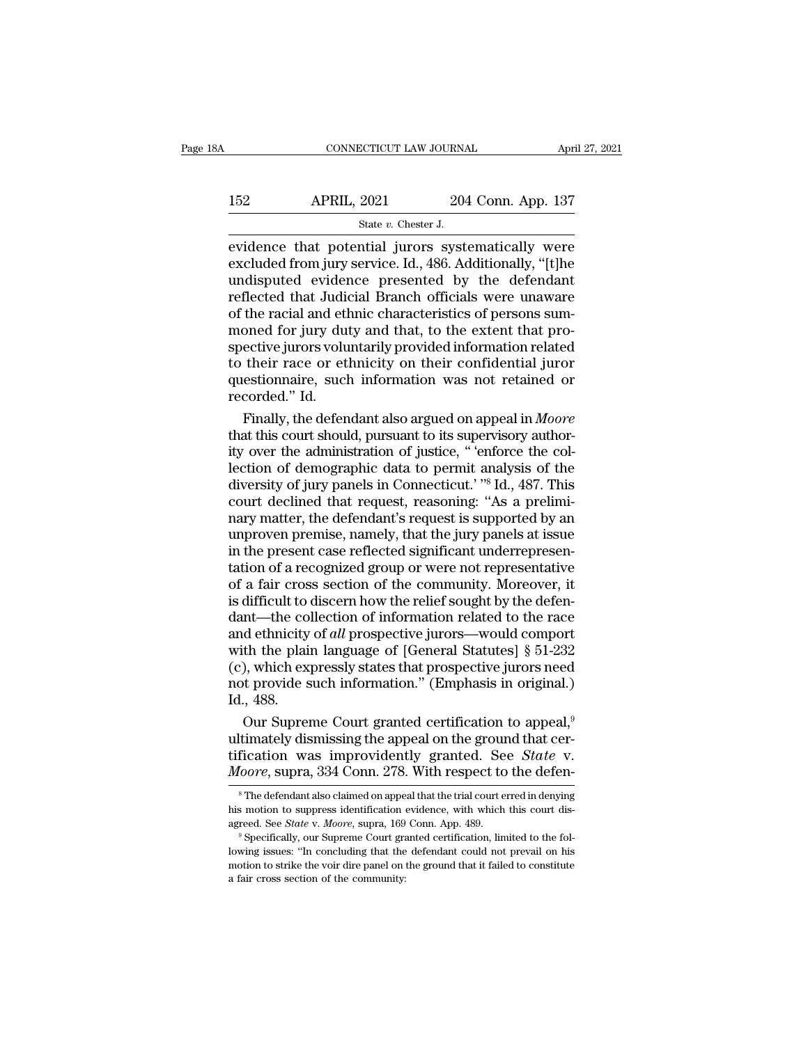# CONNECTICUT LAW JOURNAL April 27, 2021<br>152 APRIL, 2021 204 Conn. App. 137<br>152 State v. Chester J. SCTICUT LAW JOURNA<br>
2021 204<br>
State *v.* Chester J.<br>
ntial iurors syst

EXECUTE CONNECTICUT LAW JOURNAL April 27, 2021<br>152 APRIL, 2021 204 Conn. App. 137<br>162 State v. Chester J.<br>162 State v. Chester J.<br>162 State v. Chester J.<br>163 State v. Chester J.<br>163 State in potential jurors systematically 152 APRIL, 2021 204 Conn. App. 137<br>
state v. Chester J.<br>
evidence that potential jurors systematically were<br>
excluded from jury service. Id., 486. Additionally, "[t]he<br>
undisputed evidence presented by the defendant<br>
refle 152 APRIL, 2021 204 Conn. App. 137<br>  $\frac{37}{2}$ <br>  $\frac{37}{2}$ <br>
evidence that potential jurors systematically were<br>
excluded from jury service. Id., 486. Additionally, "[t]he<br>
undisputed evidence presented by the defendant<br>
r 152 APRIL, 2021 204 Conn. App. 137<br>
state v. Chester J.<br>
evidence that potential jurors systematically were<br>
excluded from jury service. Id., 486. Additionally, "[t]he<br>
undisputed evidence presented by the defendant<br>
refl State *v*. Chester J.<br>
State *v*. Chester J.<br>
evidence that potential jurors systematically were<br>
excluded from jury service. Id., 486. Additionally, "[t]he<br>
undisputed evidence presented by the defendant<br>
reflected that State  $v$ . Chester J.<br>
evidence that potential jurors systematically were<br>
excluded from jury service. Id., 486. Additionally, "[t]he<br>
undisputed evidence presented by the defendant<br>
reflected that Judicial Branch officia evidence that potential jurors systematically were<br>excluded from jury service. Id., 486. Additionally, "[t]he<br>undisputed evidence presented by the defendant<br>reflected that Judicial Branch officials were unaware<br>of the raci excluded from jury service. Id., 486. Additionally, "[t]he<br>undisputed evidence presented by the defendant<br>reflected that Judicial Branch officials were unaware<br>of the racial and ethnic characteristics of persons sum-<br>moned undisputed evidence presented by the defendant<br>reflected that Judicial Branch officials were unaware<br>of the racial and ethnic characteristics of persons sum-<br>moned for jury duty and that, to the extent that pro-<br>spective j reflected that Judio<br>of the racial and etl<br>moned for jury du<br>spective jurors volu<br>to their race or et<br>questionnaire, such<br>recorded.'' Id.<br>Finally, the defen the racial and ethnic characteristics of persons sum-<br>oned for jury duty and that, to the extent that pro-<br>ective jurors voluntarily provided information related<br>their race or ethnicity on their confidential juror<br>estionna moned for jury duty and that, to the extent that pro-<br>spective jurors voluntarily provided information related<br>to their race or ethnicity on their confidential juror<br>questionnaire, such information was not retained or<br>reco

spective jurors voluntarily provided information related<br>to their race or ethnicity on their confidential juror<br>questionnaire, such information was not retained or<br>recorded." Id.<br>Finally, the defendant also argued on appea to their race or ethnicity on their confidential juror<br>questionnaire, such information was not retained or<br>recorded." Id.<br>Finally, the defendant also argued on appeal in *Moore*<br>that this court should, pursuant to its supe questionnaire, such information was not retained or<br>recorded." Id.<br>Finally, the defendant also argued on appeal in *Moore*<br>that this court should, pursuant to its supervisory author-<br>ity over the administration of justice, recorded." Id.<br>Finally, the defendant also argued on appeal in *Moore*<br>that this court should, pursuant to its supervisory author-<br>ity over the administration of justice, "'enforce the col-<br>lection of demographic data to p Finally, the defendant also argued on appeal in *Moore*<br>that this court should, pursuant to its supervisory author-<br>ity over the administration of justice, " 'enforce the col-<br>lection of demographic data to permit analysis that this court should, pursuant to its supervisory authority over the administration of justice, "'enforce the collection of demographic data to permit analysis of the diversity of jury panels in Connecticut.' "<sup>8</sup> Id., 4 ity over the administration of justice, "'enforce the collection of demographic data to permit analysis of the diversity of jury panels in Connecticut.' "<sup>8</sup> Id., 487. This court declined that request, reasoning: "As a pre lection of demographic data to permit analysis of the<br>diversity of jury panels in Connecticut.' "<sup>8</sup> Id., 487. This<br>court declined that request, reasoning: "As a prelimi-<br>nary matter, the defendant's request is supported b diversity of jury panels in Connecticut.' "<sup>8</sup> Id., 487. This<br>court declined that request, reasoning: "As a prelimi-<br>nary matter, the defendant's request is supported by an<br>unproven premise, namely, that the jury panels at court declined that request, reasoning: "As a preliminary matter, the defendant's request is supported by an unproven premise, namely, that the jury panels at issue<br>in the present case reflected significant underrepresent nary matter, the defendant's request is supported by an unproven premise, namely, that the jury panels at issue<br>in the present case reflected significant underrepresentation of a recognized group or were not representative unproven premise, namely, that the jury panels at issue<br>in the present case reflected significant underrepresen-<br>tation of a recognized group or were not representative<br>of a fair cross section of the community. Moreover, i in the present case reflected significant underrepresentation of a recognized group or were not representative<br>of a fair cross section of the community. Moreover, it<br>is difficult to discern how the relief sought by the de tation of a recognized group or were not representative<br>of a fair cross section of the community. Moreover, it<br>is difficult to discern how the relief sought by the defen-<br>dant—the collection of information related to the r of a fair cross section of the community. Moreover, it<br>is difficult to discern how the relief sought by the defen-<br>dant—the collection of information related to the race<br>and ethnicity of *all* prospective jurors—would com is difficult to<br>dant—the co<br>and ethnicity<br>with the plai<br>(c), which ex<br>not provide s<br>Id., 488.<br>Our Supren nt—the collection of information related to the race<br>d ethnicity of *all* prospective jurors—would comport<br>th the plain language of [General Statutes] § 51-232<br>), which expressly states that prospective jurors need<br>t prov and ethnicity of *all* prospective jurors—would comport<br>with the plain language of [General Statutes] § 51-232<br>(c), which expressly states that prospective jurors need<br>not provide such information." (Emphasis in original.

with the plain language of [General Statutes] § 51-232 (c), which expressly states that prospective jurors need not provide such information." (Emphasis in original.) Id., 488.<br>Our Supreme Court granted certification to ap (c), which expressly states that prospective jurors need<br>not provide such information." (Emphasis in original.)<br>Id., 488.<br>Our Supreme Court granted certification to appeal,<sup>9</sup><br>ultimately dismissing the appeal on the ground Our Supreme Court granted certification to appeal,<sup>9</sup><br>timately dismissing the appeal on the ground that cer-<br>fication was improvidently granted. See *State* v.<br>foore, supra, 334 Conn. 278. With respect to the defen-<br><sup>8</sup>Th ultimately dismissing the appeal on the ground that certification was improvidently granted. See *State* v. *Moore*, supra, 334 Conn. 278. With respect to the defension of appears identification evidence, with which this c

tification was improvidently granted. See *State* v.<br>*Moore*, supra, 334 Conn. 278. With respect to the defen-<br><sup>8</sup>The defendant also claimed on appeal that the trial court erred in denying<br>his motion to suppress identifica

MOOTE, SUPTA, 334 COIII. 276. WILIT TESPECT TO THE REFIT—<br>
<sup>8</sup> The defendant also claimed on appeal that the trial court erred in denying<br>
his motion to suppress identification evidence, with which this court dis-<br>
agreed <sup>8</sup> The defendant also claimed on appeal that the trial court erred in denying his motion to suppress identification evidence, with which this court disagreed. See *State* v. *Moore*, supra, 169 Conn. App. 489. <sup>9</sup> Specif his motion to suppress identification evidence, with which this court disagreed. See *State v. Moore*, supra, 169 Conn. App. 489.<br><sup>9</sup> Specifically, our Supreme Court granted certification, limited to the following issues: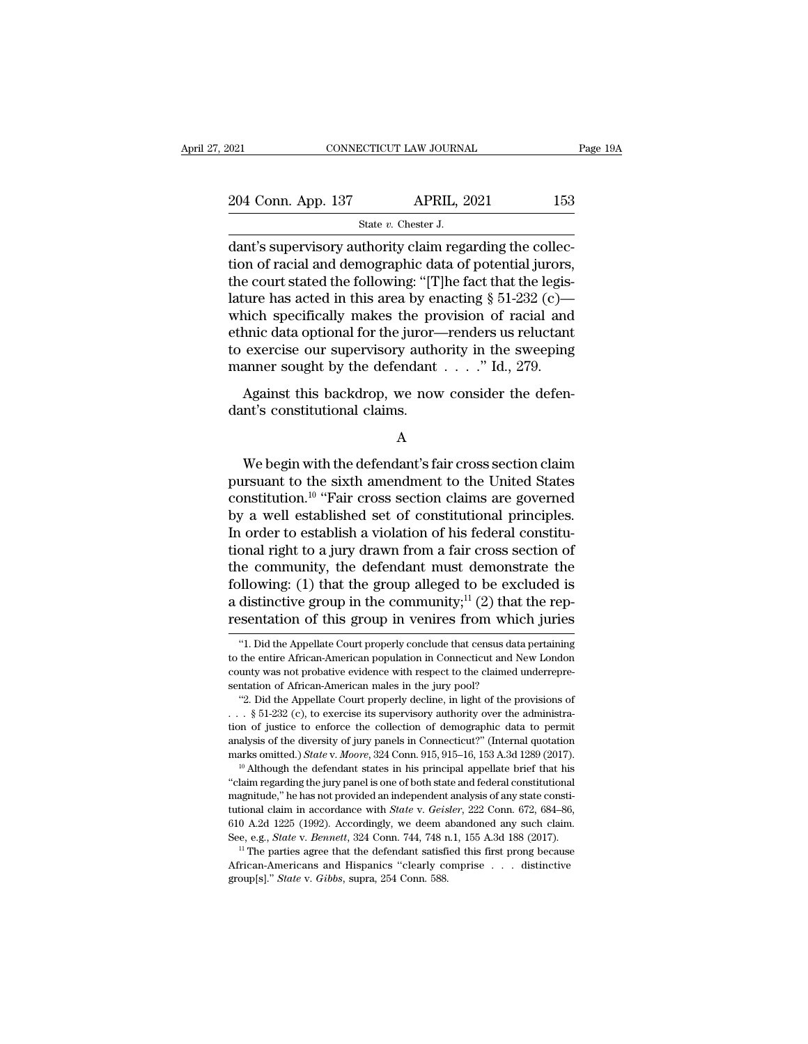| <b>APRIL, 2021</b><br>204 Conn. App. 137 | 153      |
|------------------------------------------|----------|
|                                          |          |
| 2021<br>CONNECTICUT LAW JOURNAL          | Page 19A |

connectricut LAW JOURNAL<br>
204 Conn. App. 137 APRIL, 2021 153<br>
31 State v. Chester J.<br>
2011 dant's supervisory authority claim regarding the collec-<br>
16 dant's supervisory authority claim regarding the collec-<br>
16 days the 204 Conn. App. 137 APRIL, 2021 153<br>
State v. Chester J.<br>
dant's supervisory authority claim regarding the collection of racial and demographic data of potential jurors,<br>
the court stated the following: "[T]he fact that th 204 Conn. App. 137 APRIL, 2021 153<br>
State v. Chester J.<br>
dant's supervisory authority claim regarding the collection of racial and demographic data of potential jurors,<br>
the court stated the following: "[T]he fact that th 204 Conn. App. 137 APRIL, 2021 153<br>
State v. Chester J.<br>
dant's supervisory authority claim regarding the collection of racial and demographic data of potential jurors,<br>
the court stated the following: "[T]he fact that th State v. Chester J.<br>
State v. Chester J.<br>
dant's supervisory authority claim regarding the collection of racial and demographic data of potential jurors,<br>
the court stated the following: "[T]he fact that the legis-<br>
latur state v. Chester J.<br>
dant's supervisory authority claim regarding the collection of racial and demographic data of potential jurors,<br>
the court stated the following: "[T]he fact that the legis-<br>
lature has acted in this a dant's supervisory authority claim regarding the collection of racial and demographic data of potential jurors,<br>the court stated the following: "[T]he fact that the legis-<br>lature has acted in this area by enacting  $\S 51-2$ tion of racial and demographic data of potential jurors,<br>the court stated the following: "[T]he fact that the legis-<br>lature has acted in this area by enacting  $\S 51-232$  (c)—<br>which specifically makes the provision of raci Figure has acted in this area by enacting § 51-232 (c)—<br>inch specifically makes the provision of racial and<br>this data optional for the juror—renders us reluctant<br>exercise our supervisory authority in the sweeping<br>anner so dante has acted in this area by enducted in the area by the which specifically makes the prethnic data optional for the juror-<br>to exercise our supervisory author manner sought by the defendant Against this backdrop, we now

A

Maximum Superior Community Community 2014<br>
Against this backdrop, we now consider the defen-<br>
Int's constitutional claims.<br>
A<br>
We begin with the defendant's fair cross section claim<br>
In travant to the sixth amendment to t Against this backdrop, we now consider the defendant's constitutional claims.<br>
A<br>
We begin with the defendant's fair cross section claim<br>
pursuant to the sixth amendment to the United States<br>
constitution.<sup>10</sup> "Fair cross Against this backdrop, we now consider the defendant's constitutional claims.<br>
A<br>
We begin with the defendant's fair cross section claim<br>
pursuant to the sixth amendment to the United States<br>
constitution.<sup>10</sup> "Fair cross dant's constitutional claims.<br>
A<br>
We begin with the defendant's fair cross section claim<br>
pursuant to the sixth amendment to the United States<br>
constitution.<sup>10</sup> "Fair cross section claims are governed<br>
by a well establish A<br>
We begin with the defendant's fair cross section claim<br>
pursuant to the sixth amendment to the United States<br>
constitution.<sup>10</sup> "Fair cross section claims are governed<br>
by a well established set of constitutional princi We begin with the defendant's fair cross section claim<br>pursuant to the sixth amendment to the United States<br>constitution.<sup>10</sup> "Fair cross section claims are governed<br>by a well established set of constitutional principles. We begin with the defendant's fair cross section claim<br>pursuant to the sixth amendment to the United States<br>constitution.<sup>10</sup> "Fair cross section claims are governed<br>by a well established set of constitutional principles. pursuant to the sixth amendment to the United States<br>constitution.<sup>10</sup> "Fair cross section claims are governed<br>by a well established set of constitutional principles.<br>In order to establish a violation of his federal consti constitution.<sup>10</sup> "Fair cross section claims are governed<br>by a well established set of constitutional principles.<br>In order to establish a violation of his federal constitu-<br>tional right to a jury drawn from a fair cross s by a well established set of constitutional principles.<br>In order to establish a violation of his federal constitu-<br>tional right to a jury drawn from a fair cross section of<br>the community, the defendant must demonstrate th the community, the defendant must demonstrate the pllowing: (1) that the group alleged to be excluded is distinctive group in the community;<sup>11</sup> (2) that the repsentation of this group in venires from which juries  $\cdot$ 1. following: (1) that the group alleged to be excluded is<br>a distinctive group in the community;<sup>11</sup> (2) that the rep-<br>resentation of this group in venires from which juries<br>"1. Did the Appellate Court properly conclude that

a distinctive group in the community;<sup>11</sup> (2) that the rep-<br>resentation of this group in venires from which juries<br>"1. Did the Appellate Court properly conclude that census data pertaining<br>to the entire African-American p **resentation of this group in venires from which juries**<br>
"1. Did the Appellate Court properly conclude that census data pertaining<br>
to the entire African-American population in Connecticut and New London<br>
county was not SEITURE TOIL WILL THE STOIL WILL THE STEEL AND THE STEEL TO THE STEEL TO THE STEEL TO THE Appellate Court properly conclude that census data pertaining the entire African-American population in Connecticut and New London u

to the entire African-American population in Connecticut and New London county was not probative evidence with respect to the claimed underrepresentation of African-American males in the jury pool?<br>
"2. Did the Appellate to the entire African-American population in Connecticut and New London<br>county was not probative evidence with respect to the claimed underrepre-<br>sentation of African-American males in the jury pool?<br>"2. Did the Appellate county was not probative evidence with respect to the claimed underrepresentation of African-American males in the jury pool?<br>
"2. Did the Appellate Court properly decline, in light of the provisions of<br>
... § 51-232 (c), sentation of African-American males in the jury pool?<br>
"2. Did the Appellate Court properly decline, in light of the provisions of<br>  $\ldots$  § 51-232 (c), to exercise its supervisory authority over the administra-<br>
tion of j  $\therefore$  \$51-232 (c), to exercise its supervisory authority over the administration of justice to enforce the collection of demographic data to permit analysis of the diversity of jury panels in Connecticut?" (Internal quota

tion of justice to enforce the collection of demographic data to permit analysis of the diversity of jury panels in Connecticut?" (Internal quotation marks omitted.) *State v. Moore*, 324 Conn. 915, 915–16, 153 A.3d 1289 analysis of the diversity of jury panels in Connecticut?" (Internal quotation marks omitted.) *State* v. *Moore*, 324 Conn. 915, 915–16, 153 A.3d 1289 (2017).<br><sup>10</sup> Although the defendant states in his principal appellate b marks omitted.) *State v. Moore*, 324 Conn. 915, 915–16, 153 A.3d 1289 (2017).<br><sup>10</sup> Although the defendant states in his principal appellate brief that his<br>"claim regarding the jury panel is one of both state and federal c <sup>10</sup> Although the defendant states in his principal appellate brief that his "claim regarding the jury panel is one of both state and federal constitutional magnitude," he has not provided an independent analysis of any st "claim regarding the jury panel is one of both state and federal constitutional magnitude," he has not provided an independent analysis of any state constitutional claim in accordance with *State* v. *Geisler*, 222 Conn. 610 A.2d 1225 (1992). Accordingly, we deem abandoned any such claim.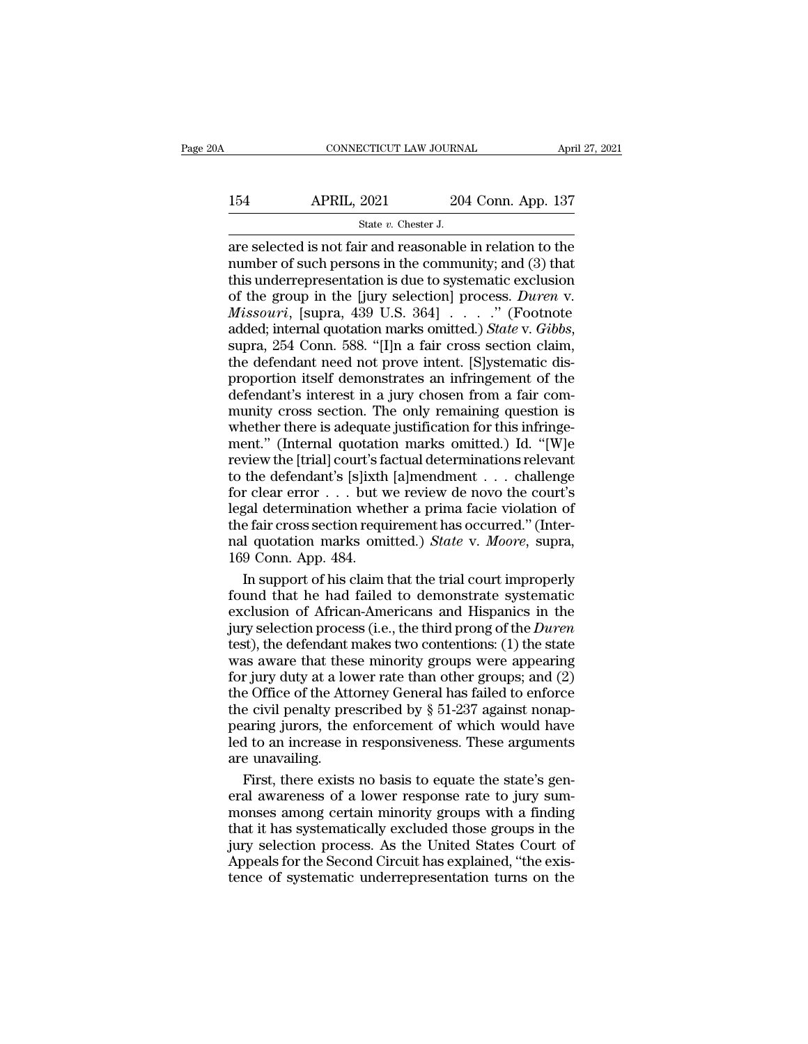# CONNECTICUT LAW JOURNAL April 27, 2021<br>154 APRIL, 2021 204 Conn. App. 137<br>154 State v. Chester J. ECTICUT LAW JOURNA<br>2021 204<br>State *v.* Chester J.<br>ir and reasonable

CONNECTICUT LAW JOURNAL April 27, 2021<br> **APRIL, 2021** 204 Conn. App. 137<br>
State v. Chester J.<br>
are selected is not fair and reasonable in relation to the<br>
number of such persons in the community; and (3) that<br>
this underre 154 APRIL, 2021 204 Conn. App. 137<br>
State v. Chester J.<br>
are selected is not fair and reasonable in relation to the<br>
number of such persons in the community; and (3) that<br>
this underrepresentation is due to systematic exc 154 APRIL, 2021 204 Conn. App. 137<br>  $\frac{\text{State } v. \text{ Chester J.}}{\text{rate } v. \text{ Chester J.}}$ <br>
are selected is not fair and reasonable in relation to the<br>
number of such persons in the community; and (3) that<br>
this underrepresentation is due to s 154 APRIL, 2021 204 Conn. App. 137<br>
<sup>State v. Chester J.<br>
are selected is not fair and reasonable in relation to the<br>
number of such persons in the community; and (3) that<br>
this underrepresentation is due to systematic exc</sup> *Missouri*, [supra, 439 U.S. 364] . . . .'' (Footnote state v. Chester J.<br>are selected is not fair and reasonable in relation to the<br>number of such persons in the community; and (3) that<br>this underrepresentation is due to systematic exclusion<br>of the group in the [jury selecti number of such persons in the community; and (3) that<br>this underrepresentation is due to systematic exclusion<br>of the group in the [jury selection] process. *Duren* v.<br>*Missouri*, [supra, 439 U.S. 364] . . . . . " (Footnote this underrepresentation is due to systematic exclusion<br>of the group in the [jury selection] process. Duren v.<br>Missouri, [supra, 439 U.S. 364] . . . . . " (Footnote<br>added; internal quotation marks omitted.) *State* v. *Gi* of the group in the [jury selection] process. *Duren* v.<br> *Missouri*, [supra, 439 U.S. 364] . . . . " (Footnote<br>
added; internal quotation marks omitted.) *State* v. *Gibbs*,<br>
supra, 254 Conn. 588. "[I]n a fair cross sect *Missouri*, [supra, 439 U.S. 364]  $\ldots$  ." (Footnote added; internal quotation marks omitted.) *State* v. *Gibbs*, supra, 254 Conn. 588. "[I]n a fair cross section claim, the defendant need not prove intent. [S]ystematic added; internal quotation marks omitted.) State v. Gibbs,<br>supra, 254 Conn. 588. "[I]n a fair cross section claim,<br>the defendant need not prove intent. [S]ystematic dis-<br>proportion itself demonstrates an infringement of th ment., 254 Conn. 588. "[I]n a fair cross section claim,<br>the defendant need not prove intent. [S]ystematic dis-<br>proportion itself demonstrates an infringement of the<br>defendant's interest in a jury chosen from a fair com-<br>mu refined field and prove intent. [S]ystematic dis-<br>proportion itself demonstrates an infringement of the<br>defendant's interest in a jury chosen from a fair com-<br>munity cross section. The only remaining question is<br>whether t proportion itself demonstrates an infringement of the<br>defendant's interest in a jury chosen from a fair com-<br>munity cross section. The only remaining question is<br>whether there is adequate justification for this infringe-<br> for clear and in a jury chosen from a fair community cross section. The only remaining question is<br>whether there is adequate justification for this infringe-<br>ment." (Internal quotation marks omitted.) Id. "[W]e<br>review the munity cross section. The only remaining question is<br>whether there is adequate justification for this infringe-<br>ment." (Internal quotation marks omitted.) Id. "[W]e<br>review the [trial] court's factual determinations releva whether there is adequate justification for this infringe-<br>ment." (Internal quotation marks omitted.) Id. "[W]e<br>review the [trial] court's factual determinations relevant<br>to the defendant's [s]ixth [a]mendment . . . chall ment." (Internal quotation marks omitted.) Id. "[W]e<br>review the [trial] court's factual determinations relevant<br>to the defendant's [s]ixth [a]mendment . . . challenge<br>for clear error . . . but we review de novo the court's more the control dental decoration<br>review the [trial] court's fate<br>for clear error . . . but w<br>legal determination whet<br>the fair cross section requentles<br>and quotation marks ominated in the connection of his claim<br>in suppo the defendant's [s]ixth [a]mendment . . . challenge<br>
r clear error . . . but we review de novo the court's<br>
gal determination whether a prima facie violation of<br>
e fair cross section requirement has occurred." (Inter-<br>
l for clear error . . . but we review de novo the court's<br>legal determination whether a prima facie violation of<br>the fair cross section requirement has occurred." (Inter-<br>nal quotation marks omitted.) *State* v. *Moore*, su

legal determination whether a prima facie violation of<br>the fair cross section requirement has occurred." (Inter-<br>nal quotation marks omitted.) *State v. Moore*, supra,<br>169 Conn. App. 484.<br>In support of his claim that the t the fair cross section requirement has occurred." (Inter-<br>nal quotation marks omitted.) *State* v. *Moore*, supra,<br>169 Conn. App. 484.<br>In support of his claim that the trial court improperly<br>found that he had failed to dem nal quotation marks omitted.) *State* v. *Moore*, supra, 169 Conn. App. 484.<br>In support of his claim that the trial court improperly found that he had failed to demonstrate systematic exclusion of African-Americans and Hi 169 Conn. App. 484.<br>In support of his claim that the trial court improperly<br>found that he had failed to demonstrate systematic<br>exclusion of African-Americans and Hispanics in the<br>jury selection process (i.e., the third pr In support of his claim that the trial court improperly<br>found that he had failed to demonstrate systematic<br>exclusion of African-Americans and Hispanics in the<br>jury selection process (i.e., the third prong of the *Duren*<br>t found that he had failed to demonstrate systematic<br>exclusion of African-Americans and Hispanics in the<br>jury selection process (i.e., the third prong of the *Duren*<br>test), the defendant makes two contentions: (1) the state exclusion of African-Americans and Hispanics in the<br>jury selection process (i.e., the third prong of the *Duren*<br>test), the defendant makes two contentions: (1) the state<br>was aware that these minority groups were appearin pear is a matter in the enforcement of the particular test), the defendant makes two contentions: (1) the state was aware that these minority groups were appearing for jury duty at a lower rate than other groups; and (2) dest), the defendant makes two contentions: (1) the state<br>test), the defendant makes two contentions: (1) the state<br>was aware that these minority groups were appearing<br>for jury duty at a lower rate than other groups; and ( are unavailing was aware that these<br>for jury duty at a love<br>the Office of the Att<br>the civil penalty pre<br>pearing jurors, the<br>led to an increase in<br>are unavailing.<br>First, there exists r jury duty at a lower rate than other groups; and (2)<br>e Office of the Attorney General has failed to enforce<br>e civil penalty prescribed by § 51-237 against nonap-<br>aring jurors, the enforcement of which would have<br>d to an the Office of the Attorney General has failed to enforce<br>the civil penalty prescribed by § 51-237 against nonap-<br>pearing jurors, the enforcement of which would have<br>led to an increase in responsiveness. These arguments<br>are

the civil penalty prescribed by  $\S$  51-237 against nonappearing jurors, the enforcement of which would have<br>led to an increase in responsiveness. These arguments<br>are unavailing.<br>First, there exists no basis to equate the pearing jurors, the enforcement of which would have<br>led to an increase in responsiveness. These arguments<br>are unavailing.<br>First, there exists no basis to equate the state's gen-<br>eral awareness of a lower response rate to j led to an increase in responsiveness. These arguments<br>are unavailing.<br>First, there exists no basis to equate the state's gen-<br>eral awareness of a lower response rate to jury sum-<br>monses among certain minority groups with a are unavailing.<br>First, there exists no basis to equate the state's general awareness of a lower response rate to jury sum-<br>monses among certain minority groups with a finding<br>that it has systematically excluded those group First, there exists no basis to equate the state's general awareness of a lower response rate to jury summonses among certain minority groups with a finding that it has systematically excluded those groups in the jury sele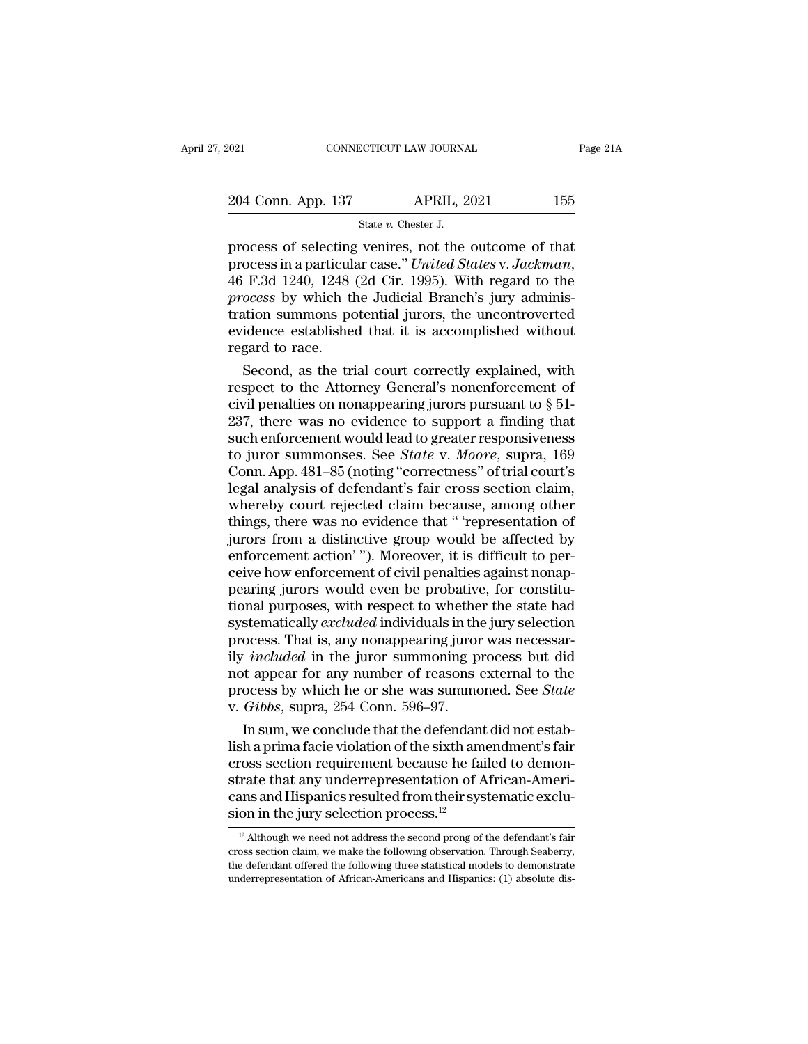# EXECUTE CONNECTICUT LAW JOURNAL Page 21A<br>204 Conn. App. 137 APRIL, 2021 155<br>31 State v. Chester J. SCTICUT LAW JOURNA<br>APRIL, 2<br>State *v.* Chester J.<br>Veni**res** not the

Fage 21/<br>
process of selecting venires, not the outcome of that<br>
process of selecting venires, not the outcome of that<br>
process in a particular case." United States v. Jackman,<br>
46 F.3d 1240, 1248. (2d Cir. 1995). With reg Process in a particular case.'' *United States* v. *Jackman*, 46 F.3d 1240, 1248 (2d Cir. 1995). With regard to the process by which the Judicial Branch's jury administration summons potential jurors the uncontroverted 204 Conn. App. 137 APRIL, 2021 155<br> **process** of selecting venires, not the outcome of that<br>
process in a particular case." United States v. Jackman,<br>
46 F.3d 1240, 1248 (2d Cir. 1995). With regard to the<br>
process by which State v. Chester J.<br>
State v. Chester J.<br>
process of selecting venires, not the outcome of that<br>
process in a particular case." United States v. Jackman,<br>
46 F.3d 1240, 1248 (2d Cir. 1995). With regard to the<br>
process by w State v. Chester J.<br>
process of selecting venires, not the outcome of that<br>
process in a particular case." United States v. Jackman,<br>
46 F.3d 1240, 1248 (2d Cir. 1995). With regard to the<br>
process by which the Judicial Br process of selecting<br>process in a particula<br>46 F.3d 1240, 1248<br>*process* by which the<br>tration summons po<br>evidence establishe<br>regard to race.<br>Second, as the tri ocess in a particular case." United States v. Jackman,<br>F.3d 1240, 1248 (2d Cir. 1995). With regard to the<br>ocess by which the Judicial Branch's jury adminis-<br>tion summons potential jurors, the uncontroverted<br>idence establis 46 F.3d 1240, 1248 (2d Cir. 1995). With regard to the<br>*process* by which the Judicial Branch's jury adminis-<br>tration summons potential jurors, the uncontroverted<br>evidence established that it is accomplished without<br>regard

process by which the Judicial Branch's jury administration summons potential jurors, the uncontroverted evidence established that it is accomplished without regard to race.<br>Second, as the trial court correctly explained, tration summons potential jurors, the uncontroverted<br>evidence established that it is accomplished without<br>regard to race.<br>Second, as the trial court correctly explained, with<br>respect to the Attorney General's nonenforceme evidence established that it is accomplished without<br>regard to race.<br>Second, as the trial court correctly explained, with<br>respect to the Attorney General's nonenforcement of<br>civil penalties on nonappearing jurors pursuant regard to race.<br>
Second, as the trial court correctly explained, with<br>
respect to the Attorney General's nonenforcement of<br>
civil penalties on nonappearing jurors pursuant to § 51-<br>
237, there was no evidence to support a Second, as the trial court correctly explained, with<br>respect to the Attorney General's nonenforcement of<br>civil penalties on nonappearing jurors pursuant to  $\S 51-$ <br>237, there was no evidence to support a finding that<br>such respect to the Attorney General's nonenforcement of<br>civil penalties on nonappearing jurors pursuant to  $\S$  51-<br>237, there was no evidence to support a finding that<br>such enforcement would lead to greater responsiveness<br>to civil penalties on nonappearing jurors pursuant to  $\S$  51-<br>237, there was no evidence to support a finding that<br>such enforcement would lead to greater responsiveness<br>to juror summonses. See *State* v. Moore, supra, 169<br>Co 237, there was no evidence to support a finding that<br>such enforcement would lead to greater responsiveness<br>to juror summonses. See *State v. Moore*, supra, 169<br>Conn. App. 481–85 (noting "correctness" of trial court's<br>lega such enforcement would lead to greater responsiveness<br>to juror summonses. See *State* v. *Moore*, supra, 169<br>Conn. App. 481–85 (noting "correctness" of trial court's<br>legal analysis of defendant's fair cross section claim,<br> to juror summonses. See *State v. Moore*, supra, 169<br>Conn. App. 481–85 (noting "correctness" of trial court's<br>legal analysis of defendant's fair cross section claim,<br>whereby court rejected claim because, among other<br>things Conn. App. 481–85 (noting "correctness" of trial court's<br>legal analysis of defendant's fair cross section claim,<br>whereby court rejected claim because, among other<br>things, there was no evidence that " representation of<br>juro legal analysis of defendant's fair cross section claim,<br>whereby court rejected claim because, among other<br>things, there was no evidence that " 'representation of<br>jurors from a distinctive group would be affected by<br>enforce whereby court rejected claim because, among other<br>things, there was no evidence that " 'representation of<br>jurors from a distinctive group would be affected by<br>enforcement action' "). Moreover, it is difficult to per-<br>ceive things, there was no evidence that " representation of<br>jurors from a distinctive group would be affected by<br>enforcement action"). Moreover, it is difficult to per-<br>ceive how enforcement of civil penalties against nonap-<br>pe jurors from a distinctive group would be affected by<br>enforcement action'"). Moreover, it is difficult to per-<br>ceive how enforcement of civil penalties against nonap-<br>pearing jurors would even be probative, for constitu-<br>ti enforcement action'"). Moreover, it is difficult to perceive how enforcement of civil penalties against nonap-<br>pearing jurors would even be probative, for constitu-<br>tional purposes, with respect to whether the state had<br>sy ceive how enforcement of civil penalties against nonap-<br>pearing jurors would even be probative, for constitu-<br>tional purposes, with respect to whether the state had<br>systematically *excluded* individuals in the jury selecti pearing jurors would even be probative, for constitu-<br>tional purposes, with respect to whether the state had<br>systematically *excluded* individuals in the jury selection<br>process. That is, any nonappearing juror was necessar tional purposes, with respect to whethe<br>systematically *excluded* individuals in the<br>process. That is, any nonappearing juror<br>ily *included* in the juror summoning p<br>not appear for any number of reasons of<br>process by which stematically excluded individuals in the jury selection<br>ocess. That is, any nonappearing juror was necessar-<br>*included* in the juror summoning process but did<br>t appear for any number of reasons external to the<br>ocess by wh process. That is, any nonappearing juror was necessarily *included* in the juror summoning process but did<br>not appear for any number of reasons external to the<br>process by which he or she was summoned. See *State*<br>v. *Gibbs* 

ily *included* in the juror summoning process but did<br>not appear for any number of reasons external to the<br>process by which he or she was summoned. See *State*<br>v. *Gibbs*, supra, 254 Conn. 596–97.<br>In sum, we conclude that not appear for any number of reasons external to the<br>process by which he or she was summoned. See *State*<br>v. *Gibbs*, supra, 254 Conn. 596–97.<br>In sum, we conclude that the defendant did not estab-<br>lish a prima facie viola process by which he or she was summoned. See *State* v. *Gibbs*, supra, 254 Conn. 596–97.<br>In sum, we conclude that the defendant did not establish a prima facie violation of the sixth amendment's fair cross section requir v. *Gibbs*, supra, 254 Conn. 596–97.<br>In sum, we conclude that the defendant<br>lish a prima facie violation of the sixth am<br>cross section requirement because he fai<br>strate that any underrepresentation of A<br>cans and Hispanics ross section requirement because he failed to demon-<br>rate that any underrepresentation of African-Ameri-<br>ans and Hispanics resulted from their systematic exclu-<br>on in the jury selection process.<sup>12</sup><br><sup>12</sup> Although we need n strate that any underrepresentation of African-Americans and Hispanics resulted from their systematic exclusion in the jury selection process.<sup>12</sup><br><sup>12</sup> Although we need not address the second prong of the defendant's fair

cans and Hispanics resulted from their systematic exclusion in the jury selection process.<sup>12</sup><br> $\frac{12}{12}$  Although we need not address the second prong of the defendant's fair cross section claim, we make the following o sion in the jury selection process.<sup>12</sup><br>
<sup>12</sup> Although we need not address the second prong of the defendant's fair<br>
cross section claim, we make the following observation. Through Seaberry,<br>
the defendant offered the fol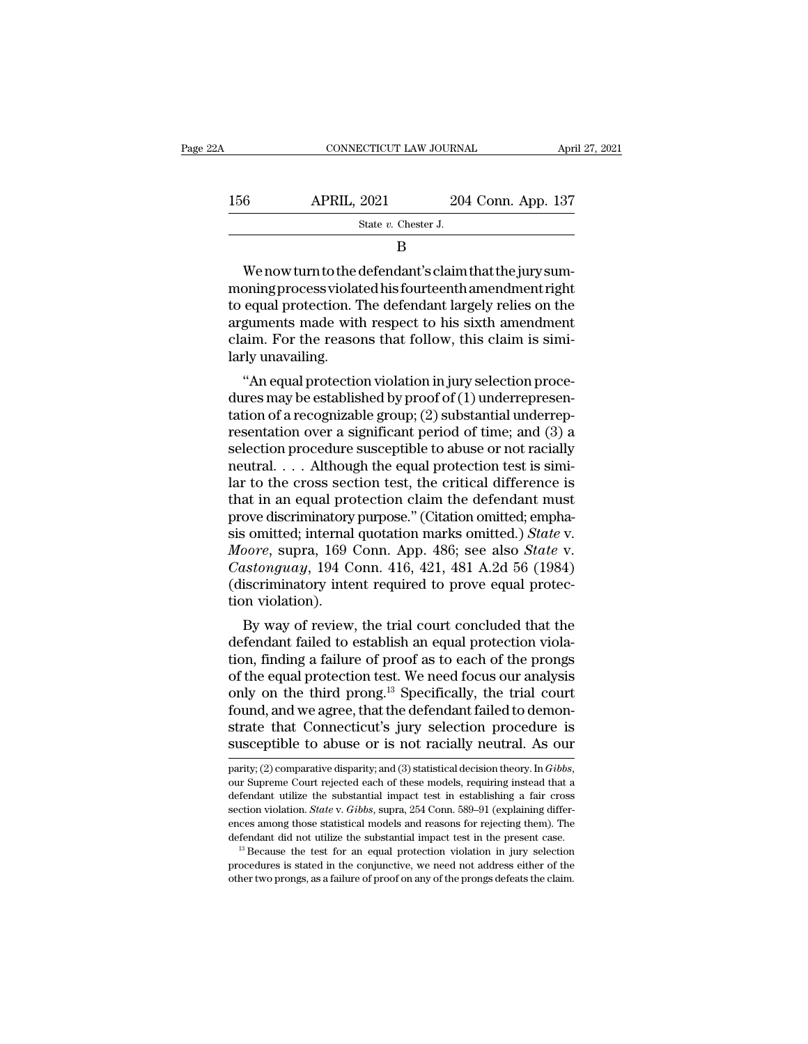| 22A |     | CONNECTICUT LAW JOURNAL |                    | April 27, 2021 |
|-----|-----|-------------------------|--------------------|----------------|
|     | 156 | <b>APRIL, 2021</b>      | 204 Conn. App. 137 |                |
|     |     | State $v$ . Chester J.  |                    |                |
|     | В   |                         |                    |                |

156 APRIL, 2021 204 Conn. App. 137<br>  $\frac{3.54}{100}$ <br>  $\frac{137}{100}$ <br>  $\frac{137}{100}$ <br>
We now turn to the defendant's claim that the jury sum-<br>
moning process violated his fourteenth amendment right<br>
to equal protection. The d 156 APRIL, 2021 204 Conn. App. 137<br>  $\frac{\text{State } v. \text{ Chester J.}}{B}$ <br>
We now turn to the defendant's claim that the jury sum-<br>
moning process violated his fourteenth amendment right<br>
to equal protection. The defendant largely relies  $\begin{tabular}{l} State $v$. \end{tabular} \vspace{0.5em} \begin{tabular}{l} \multicolumn{2}{l}{{\small\bf{B}}}\ \multicolumn{2}{l}{\begin{tabular}{l} \multicolumn{2}{l}{{\small\bf{B}}}\ \multicolumn{2}{l}{\begin{tabular}{l} \multicolumn{2}{l}{{\small\bf{B}}}\ \multicolumn{2}{l}{\textbf{B}}\ \multicolumn{2}{l}{\textbf{B}}\ \multicolumn{2}{l}{\textbf{B}}\ \multicolumn{2}{l}{\textbf{B}}\ \multicolumn{2}{l}{\textbf{B}}\ \multicolumn{2}{l}{\textbf{B}}\ \$ B<br>We now turn to the defendant's claim that the jury sum-<br>moning process violated his fourteenth amendment right<br>to equal protection. The defendant largely relies on the<br>arguments made with respect to his sixth amendment<br>c We now turn to the order<br>moning process violat<br>to equal protection. T<br>arguments made with<br>claim. For the reaso<br>larly unavailing.<br>"An equal protectic we now turn to the detendant sciantificatine jury sum-<br>
Similar protection. The defendant largely relies on the<br>
guments made with respect to his sixth amendment<br>
aim. For the reasons that follow, this claim is simi-<br>
ly u moning process violated instource null antendment right<br>to equal protection. The defendant largely relies on the<br>arguments made with respect to his sixth amendment<br>claim. For the reasons that follow, this claim is simi-<br>l

to equal protection. The defendant largely renes on the<br>arguments made with respect to his sixth amendment<br>claim. For the reasons that follow, this claim is simi-<br>larly unavailing.<br>"An equal protection violation in jury se arguments made with respect to his sixth antendment<br>claim. For the reasons that follow, this claim is simi-<br>larly unavailing.<br>"An equal protection violation in jury selection proce-<br>dures may be established by proof of (1) ciam. For the reasons that follow, this claim is similarly unavailing.<br>
"An equal protection violation in jury selection procedures may be established by proof of (1) underrepresentation of a recognizable group; (2) substa " An equal protection violation in jury selection procedures may be established by proof of  $(1)$  underrepresentation of a recognizable group;  $(2)$  substantial underrepresentation over a significant period of time; and "An equal protection violation in jury selection procedures may be established by proof of (1) underrepresentation of a recognizable group; (2) substantial underrepresentation over a significant period of time; and (3) a dures may be established by proof of (1) underrepresentation of a recognizable group; (2) substantial underrepresentation over a significant period of time; and (3) a selection procedure susceptible to abuse or not raciall tation of a recognizable group; (2) substantial underrep-<br>resentation over a significant period of time; and (3) a<br>selection procedure susceptible to abuse or not racially<br>neutral.... Although the equal protection test is resentation over a significant period of time; and (3) a<br>selection procedure susceptible to abuse or not racially<br>neutral.... Although the equal protection test is simi-<br>lar to the cross section test, the critical differen selection procedure susceptible to abuse or not racially<br>neutral. . . . Although the equal protection test is simi-<br>lar to the cross section test, the critical difference is<br>that in an equal protection claim the defendant neutral. . . . Although the equal protection test is similar to the cross section test, the critical difference is<br>that in an equal protection claim the defendant must<br>prove discriminatory purpose." (Citation omitted; emph lar to the cross section test, the critical difference is<br>that in an equal protection claim the defendant must<br>prove discriminatory purpose." (Citation omitted; empha-<br>sis omitted; internal quotation marks omitted.) *Stat* that in an equal pro<br>prove discriminatory<br>sis omitted; internal<br>*Moore*, supra, 169 (<br>*Castonguay*, 194 C<br>(discriminatory inte<br>tion violation).<br>By way of review by way of review, the trial court concluded that the tendent fields a field of review, the trial court concluded that the fendant failed to establish an equal protection finding a failure of proof as to each of the proper sis ontitied; internal quotation marks ontitied.) *State v.*<br>Moore, supra, 169 Conn. App. 486; see also *State v.*<br>Castonguay, 194 Conn. 416, 421, 481 A.2d 56 (1984)<br>(discriminatory intent required to prove equal protec-<br>t

moore, supra, 109 Conn. App. 480; see also *state* v.<br>Castonguay, 194 Conn. 416, 421, 481 A.2d 56 (1984)<br>(discriminatory intent required to prove equal protec-<br>tion violation).<br>By way of review, the trial court concluded Castonguay, 194 Conn. 410, 421, 481 A.2d 50 (1984)<br>(discriminatory intent required to prove equal protection violation).<br>By way of review, the trial court concluded that the<br>defendant failed to establish an equal protecti (discriminatory mient required to prove equal protection violation).<br>By way of review, the trial court concluded that the<br>defendant failed to establish an equal protection viola-<br>tion, finding a failure of proof as to eac found violation).<br>By way of review, the trial court concluded that the<br>defendant failed to establish an equal protection viola-<br>tion, finding a failure of proof as to each of the prongs<br>of the equal protection test. We ne By way of review, the trial court concluded that the<br>defendant failed to establish an equal protection viola-<br>tion, finding a failure of proof as to each of the prongs<br>of the equal protection test. We need focus our analys defendant failed to establish an equal protection violation, finding a failure of proof as to each of the prongs of the equal protection test. We need focus our analysis only on the third prong.<sup>13</sup> Specifically, the tria only on the third prong.<sup>13</sup> Specifically, the trial court found, and we agree, that the defendant failed to demonstrate that Connecticut's jury selection procedure is susceptible to abuse or is not racially neutral. As ou

strate that Connecticut's jury selection procedure is<br>susceptible to abuse or is not racially neutral. As our<br>parity; (2) comparative disparity; and (3) statistical decision theory. In *Gibbs*,<br>our Supreme Court rejected susceptible to abuse or is not racially neutral. As our parity; (2) comparative disparity; and (3) statistical decision theory. In *Gibbs*, our Supreme Court rejected each of these models, requiring instead that a defendan ences among those statistical models and reasons for rejection theory. In Gibbs,<br>parity; (2) comparative disparity; and (3) statistical decision theory. In Gibbs,<br>our Supreme Court rejected each of these models, requiring parity; (2) comparative disparity; and (3) statistical decision theory. In *Gibbs*, our Supreme Court rejected each of these models, requiring instead that a defendant utilize the substantial impact test in establishing a defendant utilize the substantial impact test in establishing a fair cross<br>section violation. *State* v. *Gibbs*, supra, 254 Conn. 589–91 (explaining differ-<br>ences among those statistical models and reasons for rejecting t section violation. *State* v. *Gibbs*, supra, 254 Conn. 589–91 (explaining differences among those statistical models and reasons for rejecting them). The defendant did not utilize the substantial impact test in the prese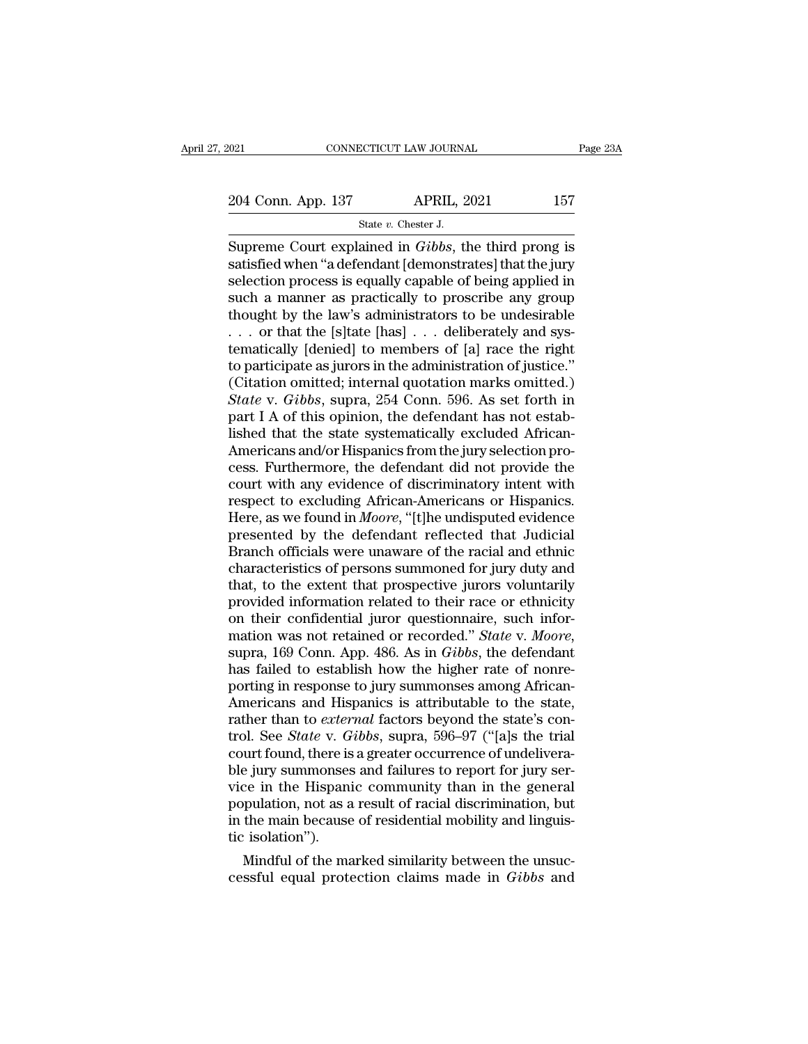SCTICUT LAW JOURNA<br>APRIL, 2<br>State *v.* Chester J.<br>ained in *Gibbs* th Fage 23A<br>
Supreme Court explained in *Gibbs*, the third prong is<br>
Supreme Court explained in *Gibbs*, the third prong is<br>
satisfied when "a defendant [demonstrates] that the jury<br>
selection process is equally capable of be 204 Conn. App. 137 APRIL, 2021 157<br>Supreme Court explained in *Gibbs*, the third prong is<br>satisfied when "a defendant [demonstrates] that the jury<br>selection process is equally capable of being applied in<br>such a manner as p 204 Conn. App. 137 APRIL, 2021 157<br>
State v. Chester J.<br>
Supreme Court explained in *Gibbs*, the third prong is<br>
satisfied when "a defendant [demonstrates] that the jury<br>
selection process is equally capable of being appl 204 Conn. App. 137 APRIL, 2021 157<br>
State v. Chester J.<br>
Supreme Court explained in *Gibbs*, the third prong is<br>
satisfied when "a defendant [demonstrates] that the jury<br>
selection process is equally capable of being appl Supreme Court explained in *Gibbs*, the third prong is<br>satisfied when "a defendant [demonstrates] that the jury<br>selection process is equally capable of being applied in<br>such a manner as practically to proscribe any group<br> Supreme Court explained in *Gibbs*, the third prong is<br>satisfied when "a defendant [demonstrates] that the jury<br>selection process is equally capable of being applied in<br>such a manner as practically to proscribe any group<br> Supreme Court explained in *Gibbs*, the third prong is<br>satisfied when "a defendant [demonstrates] that the jury<br>selection process is equally capable of being applied in<br>such a manner as practically to proscribe any group<br> satisfied when "a defendant [demonstrates] that the jury<br>selection process is equally capable of being applied in<br>such a manner as practically to proscribe any group<br>thought by the law's administrators to be undesirable<br>selection process is equally capable of being applied in<br>such a manner as practically to proscribe any group<br>thought by the law's administrators to be undesirable<br> $\ldots$  or that the [s]tate [has]  $\ldots$  deliberately and sys such a manner as practically to proscribe any group<br>thought by the law's administrators to be undesirable<br>... or that the [s]tate [has] ... deliberately and sys-<br>tematically [denied] to members of [a] race the right<br>to par thought by the law's administrators to be undesirable<br>  $\ldots$  or that the [s]tate [has]  $\ldots$  deliberately and sys-<br>
tematically [denied] to members of [a] race the right<br>
to participate as jurors in the administration of ... or that the [s]tate [has] ... deliberately and systematically [denied] to members of [a] race the right to participate as jurors in the administration of justice."<br>(Citation omitted; internal quotation marks omitted.) tematically [denied] to members of [a] race the right<br>to participate as jurors in the administration of justice."<br>(Citation omitted; internal quotation marks omitted.)<br>State v. Gibbs, supra, 254 Conn. 596. As set forth in<br> to participate as jurors in the administration of justice."<br>(Citation omitted; internal quotation marks omitted.)<br>State v. Gibbs, supra, 254 Conn. 596. As set forth in<br>part I A of this opinion, the defendant has not estab (Citation omitted; internal quotation marks omitted.)<br>
State v. Gibbs, supra, 254 Conn. 596. As set forth in<br>
part I A of this opinion, the defendant has not estab-<br>
lished that the state systematically excluded African-<br> State v. Gibbs, supra, 254 Conn. 596. As set forth in part I A of this opinion, the defendant has not established that the state systematically excluded African-Americans and/or Hispanics from the jury selection process. part I A of this opinion, the defendant has not established that the state systematically excluded African-Americans and/or Hispanics from the jury selection process. Furthermore, the defendant did not provide the court wi lished that the state systematically excluded African-<br>Americans and/or Hispanics from the jury selection process. Furthermore, the defendant did not provide the<br>court with any evidence of discriminatory intent with<br>respec Americans and/or Hispanics from the jury selection process. Furthermore, the defendant did not provide the court with any evidence of discriminatory intent with respect to excluding African-Americans or Hispanics. Here, as cess. Furthermore, the defendant did not provide the<br>court with any evidence of discriminatory intent with<br>respect to excluding African-Americans or Hispanics.<br>Here, as we found in *Moore*, "[t]he undisputed evidence<br>prese court with any evidence of discriminatory intent with<br>respect to excluding African-Americans or Hispanics.<br>Here, as we found in *Moore*, "[t]he undisputed evidence<br>presented by the defendant reflected that Judicial<br>Branch respect to excluding African-Americans or Hispanics.<br>Here, as we found in *Moore*, "[t]he undisputed evidence<br>presented by the defendant reflected that Judicial<br>Branch officials were unaware of the racial and ethnic<br>charac Here, as we found in *Moore*, "[t]he undisputed evidence<br>presented by the defendant reflected that Judicial<br>Branch officials were unaware of the racial and ethnic<br>characteristics of persons summoned for jury duty and<br>that, presented by the defendant reflected that Judicial<br>Branch officials were unaware of the racial and ethnic<br>characteristics of persons summoned for jury duty and<br>that, to the extent that prospective jurors voluntarily<br>provid characteristics of persons summoned for jury duty and<br>that, to the extent that prospective jurors voluntarily<br>provided information related to their race or ethnicity<br>on their confidential juror questionnaire, such infor-<br>m that, to the extent that prospective jurors voluntarily<br>provided information related to their race or ethnicity<br>on their confidential juror questionnaire, such infor-<br>mation was not retained or recorded." *State* v. Moore, provided information related to their race or ethnicity<br>on their confidential juror questionnaire, such infor-<br>mation was not retained or recorded." *State* v. *Moore*,<br>supra, 169 Conn. App. 486. As in *Gibbs*, the defenda on their confidential juror questionnaire, such information was not retained or recorded." *State* v. *Moore*, supra, 169 Conn. App. 486. As in *Gibbs*, the defendant has failed to establish how the higher rate of nonrepor mation was not retained or recorded." *State* v. *Moore*, supra, 169 Conn. App. 486. As in *Gibbs*, the defendant has failed to establish how the higher rate of nonreporting in response to jury summonses among African-Amer supra, 169 Conn. App. 486. As in *Gibbs*, the defendant<br>has failed to establish how the higher rate of nonre-<br>porting in response to jury summonses among African-<br>Americans and Hispanics is attributable to the state,<br>rathe has failed to establish how the higher rate of nonre-<br>porting in response to jury summonses among African-<br>Americans and Hispanics is attributable to the state,<br>rather than to *external* factors beyond the state's con-<br>tro porting in response to jury summonses among African-<br>Americans and Hispanics is attributable to the state,<br>rather than to *external* factors beyond the state's con-<br>trol. See *State* v. *Gibbs*, supra, 596–97 ("[a]s the tr Americans and Hispanics is attributable to the state,<br>rather than to *external* factors beyond the state's con-<br>trol. See *State* v. *Gibbs*, supra, 596–97 ("[a]s the trial<br>court found, there is a greater occurrence of und rather than to *external* factors beyond the state's control. See *State* v. *Gibbs*, supra, 596–97 ("[a]s the trial court found, there is a greater occurrence of undeliverable jury summonses and failures to report for jur trol. See *State* v. *G*<br>court found, there is<br>ble jury summonses<br>vice in the Hispan<br>population, not as a<br>in the main because<br>tic isolation'').<br>Mindful of the ma Figure 1 and the marked similar<br>term in the general pullation, not as a result of racial discrimination, but<br>the main because of residential mobility and linguis-<br>isolation").<br>Mindful of the marked similarity between the ble jury summonses and failures to report for jury service in the Hispanic community than in the general population, not as a result of racial discrimination, but in the main because of residential mobility and linguistic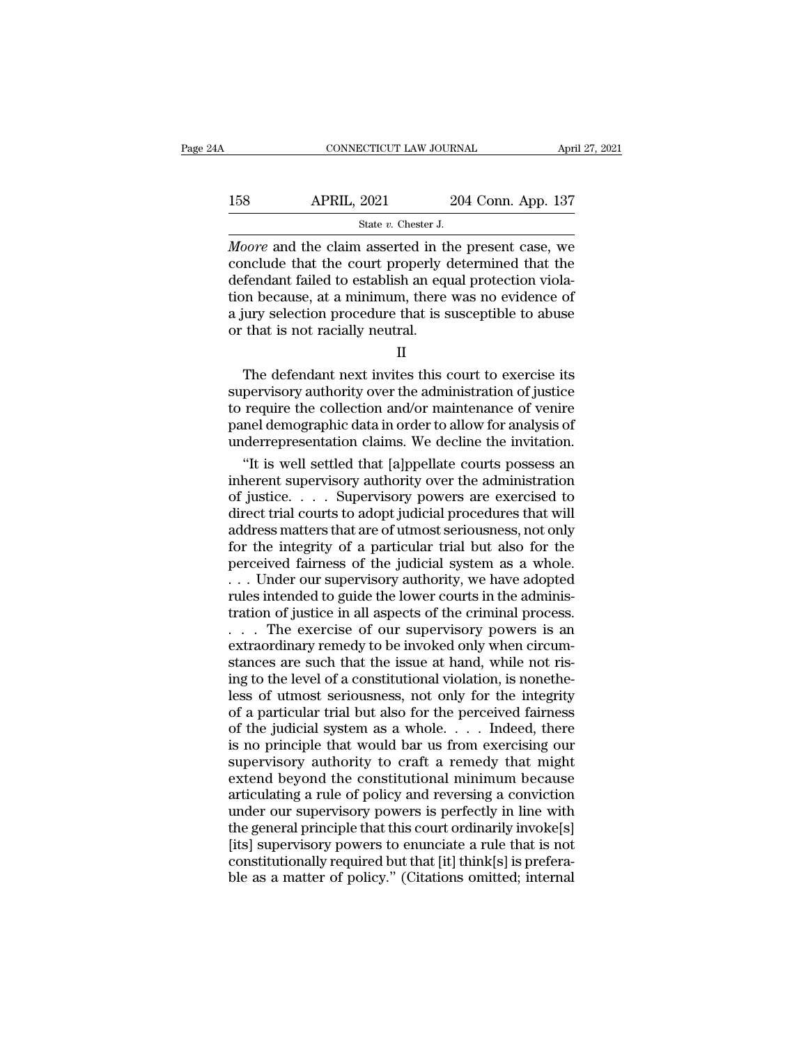# CONNECTICUT LAW JOURNAL April 27, 2021<br>158 APRIL, 2021 204 Conn. App. 137<br>158 APRIL, 2021 204 Conn. App. 137 SCTICUT LAW JOURNA<br>2021 204<br>State *v.* Chester J.<br>1 asserted in the

**EXECUTE CONNECTICUT LAW JOURNAL** April 27, 2021<br> **APRIL, 2021** 204 Conn. App. 137<br> **Moore** and the claim asserted in the present case, we<br>
conclude that the court properly determined that the<br>
defendant failed to establis 158 APRIL, 2021 204 Conn. App. 137<br>
State v. Chester J.<br>
Moore and the claim asserted in the present case, we<br>
conclude that the court properly determined that the<br>
defendant failed to establish an equal protection violati 158 APRIL, 2021 204 Conn. App. 137<br>  $\frac{8\times x}{204}$  Conn. App. 137<br>
Moore and the claim asserted in the present case, we<br>
conclude that the court properly determined that the<br>
defendant failed to establish an equal protect 158 APRIL, 2021 204 Conn. App. 137<br>  $\frac{1}{37}$ <br>  $\frac{1}{37}$ <br>  $\frac{1}{37}$ <br>  $\frac{1}{37}$ <br>  $\frac{1}{37}$ <br>  $\frac{1}{37}$ <br>  $\frac{1}{37}$ <br>  $\frac{1}{37}$ <br>  $\frac{1}{37}$ <br>  $\frac{1}{37}$ <br>  $\frac{1}{37}$ <br>  $\frac{1}{37}$ <br>  $\frac{1}{37}$ <br>  $\frac{1}{37}$ <br>  $\frac{1}{37}$ <br>  $\frac{1$ Fig. 2021<br>  $\frac{1}{201 \text{ Coff}}$ .  $\frac{1}{201 \text{ Coff}}$ .  $\frac{1}{201 \text{ Coff}}$ .  $\frac{1}{201 \text{ Coff}}$ .  $\frac{1}{201 \text{ Coff}}$ .  $\frac{1}{201 \text{ Coff}}$ .  $\frac{1}{201 \text{ Coff}}$ .  $\frac{1}{201 \text{ Coff}}$ .  $\frac{1}{201 \text{ Coff}}$ .  $\frac{1}{201 \text{ Coff}}$ .  $\frac{1}{201 \text{ Coff}}$ .  $\frac{1}{201 \text{$  $\begin{array}{l} \text{State }v\text{. Chester J.} \\\hline \text{Moore and the claim asserted in the conclude that the court properly (defendant failed to establish an equation because, at a minimum, there a jury selection procedure that is so that is not readily neutral.} \\\hline \end{array}$ Fendant failed to establish an equal protection viola-<br>
in because, at a minimum, there was no evidence of<br>
iury selection procedure that is susceptible to abuse<br>
that is not racially neutral.<br>
II<br>
The defendant next invit

II

supervisory authority over the administration of your selection procedure that is susceptible to abuse<br>or that is not racially neutral.<br>II<br>The defendant next invites this court to exercise its<br>supervisory authority over th to recause, at a numman, there was no evalence of<br>a jury selection procedure that is susceptible to abuse<br>or that is not racially neutral.<br>II<br>The defendant next invites this court to exercise its<br>supervisory authority over a jury selection procedure that is susceptible to abuse<br>or that is not racially neutral.<br>II<br>The defendant next invites this court to exercise its<br>supervisory authority over the administration of justice<br>to require the coll II<br>In The defendant next invites this court to exercise its<br>supervisory authority over the administration of justice<br>to require the collection and/or maintenance of venire<br>panel demographic data in order to allow for analy The defendant next invites this court to exercise its<br>pervisory authority over the administration of justice<br>require the collection and/or maintenance of venire<br>nel demographic data in order to allow for analysis of<br>derrep The defendant next invites this court to exercise its<br>supervisory authority over the administration of justice<br>to require the collection and/or maintenance of venire<br>panel demographic data in order to allow for analysis of

supervisory authority over the administration of justice<br>to require the collection and/or maintenance of venire<br>panel demographic data in order to allow for analysis of<br>underrepresentation claims. We decline the invitation to require the collection and/or maintenance of venire<br>panel demographic data in order to allow for analysis of<br>underrepresentation claims. We decline the invitation.<br>"It is well settled that [a]ppellate courts possess an<br> panel demographic data in order to allow for analysis of<br>underrepresentation claims. We decline the invitation.<br>"It is well settled that [a]ppellate courts possess an<br>inherent supervisory authority over the administration<br> underrepresentation claims. We decline the invitation.<br>
"It is well settled that [a]ppellate courts possess an<br>
inherent supervisory authority over the administration<br>
of justice. . . . Supervisory powers are exercised to<br> "It is well settled that [a]ppellate courts possess an inherent supervisory authority over the administration of justice. . . . Supervisory powers are exercised to direct trial courts to adopt judicial procedures that wil inherent supervisory authority over the administration<br>of justice. . . . Supervisory powers are exercised to<br>direct trial courts to adopt judicial procedures that will<br>address matters that are of utmost seriousness, not o of justice. . . . Supervisory powers are exercised to direct trial courts to adopt judicial procedures that will address matters that are of utmost seriousness, not only for the integrity of a particular trial but also for direct trial courts to adopt judicial procedures that will<br>address matters that are of utmost seriousness, not only<br>for the integrity of a particular trial but also for the<br>perceived fairness of the judicial system as a wh address matters that are of utmost seriousness, not only<br>for the integrity of a particular trial but also for the<br>perceived fairness of the judicial system as a whole.<br>... Under our supervisory authority, we have adopted<br>r for the integrity of a particular trial but also for the perceived fairness of the judicial system as a whole.<br>
... Under our supervisory authority, we have adopted rules intended to guide the lower courts in the administ perceived fairness of the judicial system as a whole.<br>  $\ldots$  Under our supervisory authority, we have adopted<br>
rules intended to guide the lower courts in the adminis-<br>
tration of justice in all aspects of the criminal pr Fig. . . . Under our supervisory authority, we have adopted rules intended to guide the lower courts in the administration of justice in all aspects of the criminal process.<br>  $\ldots$  The exercise of our supervisory powers i rules intended to guide the lower courts in the administration of justice in all aspects of the criminal process.<br>  $\ldots$  The exercise of our supervisory powers is an extraordinary remedy to be invoked only when circumstan tration of justice in all aspects of the criminal process.<br>  $\dots$  The exercise of our supervisory powers is an extraordinary remedy to be invoked only when circum-<br>
stances are such that the issue at hand, while not ris-<br> . . . . The exercise of our supervisory powers is an extraordinary remedy to be invoked only when circumstances are such that the issue at hand, while not rising to the level of a constitutional violation, is nonetheless extraordinary remedy to be invoked only when circum-<br>stances are such that the issue at hand, while not ris-<br>ing to the level of a constitutional violation, is nonethe-<br>less of utmost seriousness, not only for the integrit stances are such that the issue at hand, while not rising to the level of a constitutional violation, is nonetheless of utmost seriousness, not only for the integrity of a particular trial but also for the perceived fairn ing to the level of a constitutional violation, is nonetheless of utmost seriousness, not only for the integrity<br>of a particular trial but also for the perceived fairness<br>of the judicial system as a whole.... Indeed, there less of utmost seriousness, not only for the integrity<br>of a particular trial but also for the perceived fairness<br>of the judicial system as a whole. . . . Indeed, there<br>is no principle that would bar us from exercising our % of a particular trial but also for the perceived fairness<br>of the judicial system as a whole. . . . Indeed, there<br>is no principle that would bar us from exercising our<br>supervisory authority to craft a remedy that might<br>e of the judicial system as a whole. . . . . Indeed, there is no principle that would bar us from exercising our supervisory authority to craft a remedy that might extend beyond the constitutional minimum because articulati is no principle that would bar us from exercising our<br>supervisory authority to craft a remedy that might<br>extend beyond the constitutional minimum because<br>articulating a rule of policy and reversing a conviction<br>under our s supervisory authority to craft a remedy that might<br>extend beyond the constitutional minimum because<br>articulating a rule of policy and reversing a conviction<br>under our supervisory powers is perfectly in line with<br>the genera extend beyond the constitutional minimum because<br>articulating a rule of policy and reversing a conviction<br>under our supervisory powers is perfectly in line with<br>the general principle that this court ordinarily invoke[s]<br>[i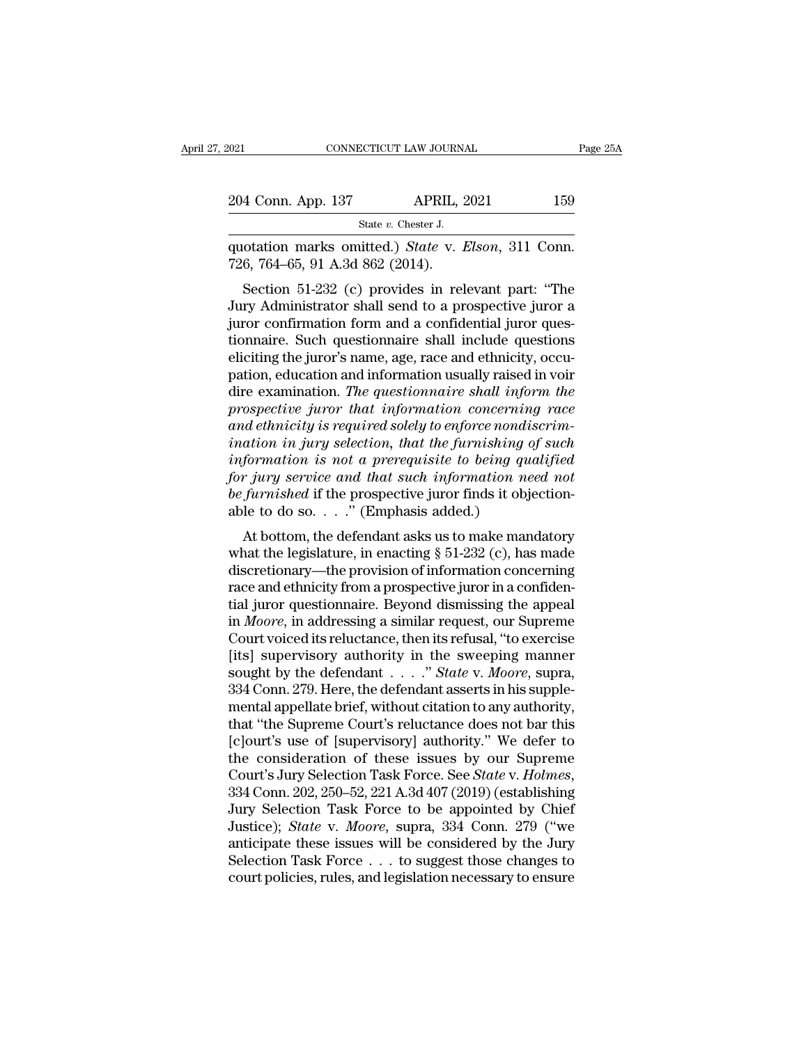| 021 |                    | CONNECTICUT LAW JOURNAL                         | Page 25A |
|-----|--------------------|-------------------------------------------------|----------|
|     |                    |                                                 |          |
|     | 204 Conn. App. 137 | <b>APRIL, 2021</b>                              | 159      |
|     |                    | State $v$ . Chester J.                          |          |
|     |                    | quotation marks omitted) State y Elson 311 Conn |          |

Fage 2<br>
204 Conn. App. 137 APRIL, 2021 159<br>
State v. Chester J.<br>
quotation marks omitted.) *State* v. *Elson*, 311 Conn.<br>
726, 764–65, 91 A.3d 862 (2014). 204 Conn. App. 137 APRIL, 2<br>
State v. Chester J.<br>
quotation marks omitted.) *State* v. 1<br>
726, 764–65, 91 A.3d 862 (2014).<br>
Section 51-232 (c) provides in rel

4 Conn. App. 137 APRIL, 2021 159<br>
State v. Chester J.<br>
otation marks omitted.) *State* v. *Elson*, 311 Conn.<br>
6, 764–65, 91 A.3d 862 (2014).<br>
Section 51-232 (c) provides in relevant part: "The<br>
ry Administrator shall send 204 Conn. App. 137 APRIL, 2021 159<br>
State v. Chester J.<br>
quotation marks omitted.) State v. Elson, 311 Conn.<br>
726, 764–65, 91 A.3d 862 (2014).<br>
Section 51-232 (c) provides in relevant part: "The<br>
Jury Administrator shall State v. Chester J.<br>
(aputation marks omitted.) State v. Elson, 311 Conn.<br>
726, 764–65, 91 A.3d 862 (2014).<br>
Section 51-232 (c) provides in relevant part: "The<br>
Jury Administrator shall send to a prospective juror a<br>
juro quotation marks omitted.) *State* v. *Elson*, 311 Conn.<br>726, 764–65, 91 A.3d 862 (2014).<br>Section 51-232 (c) provides in relevant part: "The<br>Jury Administrator shall send to a prospective juror a<br>juror confirmation form and quotation marks omitted.) *State* v. *Etson*, 511 Comi.<br>
726, 764–65, 91 A.3d 862 (2014).<br>
Section 51-232 (c) provides in relevant part: "The<br>
Jury Administrator shall send to a prospective juror a<br>
juror confirmation for pation, 104–05, 91 A.5d 802 (2014).<br>Section 51-232 (c) provides in relevant part: "The<br>Jury Administrator shall send to a prospective juror a<br>juror confirmation form and a confidential juror ques-<br>tionnaire. Such question Section 51-232 (c) provides in relevant part: "The<br>Jury Administrator shall send to a prospective juror a<br>juror confirmation form and a confidential juror ques-<br>tionnaire. Such questionnaire shall include questions<br>eliciti *Provided in Small send to a prospective juror a*<br> *pror confirmation form and a confidential juror questionnaire.* Such questionnaire shall include questions<br>
eliciting the juror's name, age, race and ethnicity, occupatio *juror confirmation form and a confidential juror questionnaire. Such questionnaire shall include questions* eliciting the juror's name, age, race and ethnicity, occupation, education and information usually raised in voir *ionnaire.* Such questionnaire shall include questions<br>eliciting the juror's name, age, race and ethnicity, occu-<br>pation, education and information usually raised in voir<br>dire examination. The questionnaire shall inform th eliciting the juror's name, age, race and ethnicity, occu-<br>pation, education and information usually raised in voir<br>dire examination. *The questionnaire shall inform the*<br>prospective juror that information concerning race<br> pation, education and information usually raised in voir<br>dire examination. *The questionnaire shall inform the*<br>prospective juror that information concerning race<br>and ethnicity is required solely to enforce nondiscrim-<br>ina dire examination. The questionnaire shall inform the prospective juror that information concerning race and ethnicity is required solely to enforce nondiscrimination in jury selection, that the furnishing of such informati prospective juror that information concernine and ethnicity is required solely to enforce nondi<br>ination in jury selection, that the furnishing information is not a prerequisite to being que<br>for jury service and that such ation in jury selection, that the furnishing of such<br>formation is not a prerequisite to being qualified<br>r jury service and that such information need not<br>furnished if the prospective juror finds it objection-<br>le to do so. that to the jurisdary of such information is not a prerequisite to being qualified<br>for jury service and that such information need not<br>be furnished if the prospective juror finds it objection-<br>able to do so...." (Emphasis

*discretionary* and that such information and the furnished if the prospective juror finds it objectionable to do so...." (Emphasis added.)<br>At bottom, the defendant asks us to make mandatory what the legislature, in enact for *jury* service and that such information need not<br>be furnished if the prospective juror finds it objection-<br>able to do so. . . ." (Emphasis added.)<br>At bottom, the defendant asks us to make mandatory<br>what the legislatu be *jurntshed* if the prospective juror finds it objection-<br>able to do so. . . ." (Emphasis added.)<br>At bottom, the defendant asks us to make mandatory<br>what the legislature, in enacting  $\S 51-232$  (c), has made<br>discretiona able to do so. . . . . (Emphasis added.)<br>At bottom, the defendant asks us to make mandatory<br>what the legislature, in enacting § 51-232 (c), has made<br>discretionary—the provision of information concerning<br>race and ethnicity At bottom, the defendant asks us to make mandatory<br>what the legislature, in enacting  $\S 51-232$  (c), has made<br>discretionary—the provision of information concerning<br>race and ethnicity from a prospective juror in a confiden what the legislature, in enacting  $\S$  51-232 (c), has made<br>discretionary—the provision of information concerning<br>race and ethnicity from a prospective juror in a confiden-<br>tial juror questionnaire. Beyond dismissing the a discretionary—the provision of information concerning<br>race and ethnicity from a prospective juror in a confiden-<br>tial juror questionnaire. Beyond dismissing the appeal<br>in *Moore*, in addressing a similar request, our Supre race and ethnicity from a prospective juror in a confidential juror questionnaire. Beyond dismissing the appeal<br>in *Moore*, in addressing a similar request, our Supreme<br>Court voiced its reluctance, then its refusal, "to ex tial juror questionnaire. Beyond dismissing the appeal<br>in *Moore*, in addressing a similar request, our Supreme<br>Court voiced its reluctance, then its refusal, "to exercise<br>[its] supervisory authority in the sweeping manne in *Moore*, in addressing a similar request, our Supreme<br>
Court voiced its reluctance, then its refusal, "to exercise<br>
[its] supervisory authority in the sweeping manner<br>
sought by the defendant  $\ldots$ ." State v. Moore, su Court voiced its reluctance, then its refusal, "to exercise<br>[its] supervisory authority in the sweeping manner<br>sought by the defendant  $\dots$ ." *State* v. Moore, supra,<br>334 Conn. 279. Here, the defendant asserts in his supp [its] supervisory authority in the sweeping manner<br>sought by the defendant . . . ." State v. Moore, supra,<br>334 Conn. 279. Here, the defendant asserts in his supple-<br>mental appellate brief, without citation to any authorit sought by the defendant . . . . " *State* v. *Moore*, supra,<br>334 Conn. 279. Here, the defendant asserts in his supple-<br>mental appellate brief, without citation to any authority,<br>that "the Supreme Court's reluctance does no mental appellate brief, without citation to any authority,<br>that "the Supreme Court's reluctance does not bar this<br>[c]ourt's use of [supervisory] authority." We defer to<br>the consideration of these issues by our Supreme<br>Cour that "the Supreme Court's reluctance does not bar this<br>[c]ourt's use of [supervisory] authority." We defer to<br>the consideration of these issues by our Supreme<br>Court's Jury Selection Task Force. See *State* v. *Holmes*,<br>334 [c]ourt's use of [supervisory] authority." We defer to<br>the consideration of these issues by our Supreme<br>Court's Jury Selection Task Force. See *State* v. *Holmes*,<br>334 Conn. 202, 250–52, 221 A.3d 407 (2019) (establishing<br> the consideration of these issues by our Supreme<br>Court's Jury Selection Task Force. See *State* v. *Holmes*,<br>334 Conn. 202, 250–52, 221 A.3d 407 (2019) (establishing<br>Jury Selection Task Force to be appointed by Chief<br>Justi Court's Jury Selection Task Force. See *State* v. Holmes, 334 Conn. 202, 250–52, 221 A.3d 407 (2019) (establishing Jury Selection Task Force to be appointed by Chief Justice); *State* v. Moore, supra, 334 Conn. 279 ("we an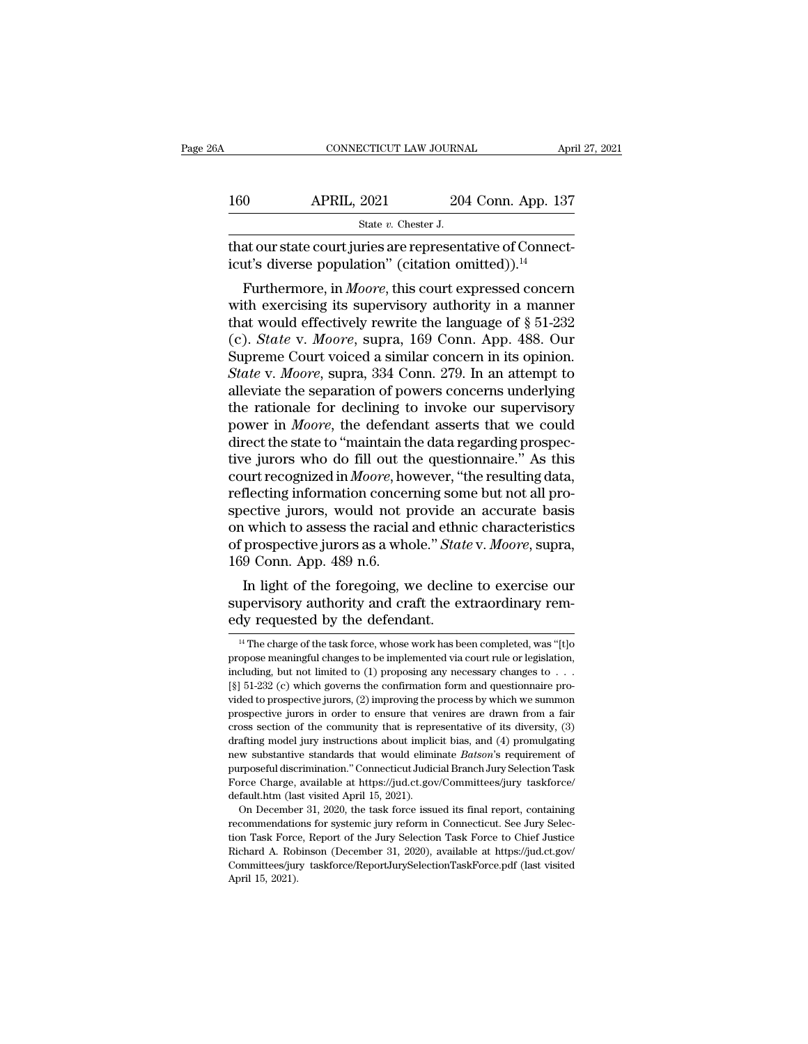| jΑ  | CONNECTICUT LAW JOURNAL                                                                                                     |                    | April 27, 2021 |
|-----|-----------------------------------------------------------------------------------------------------------------------------|--------------------|----------------|
| 160 | <b>APRIL, 2021</b>                                                                                                          | 204 Conn. App. 137 |                |
|     | State $v$ . Chester J.                                                                                                      |                    |                |
|     | that our state court juries are representative of Connect-<br>icut's diverse population" (citation omitted)). <sup>14</sup> |                    |                |
|     | Furthermore, in <i>Moore</i> , this court expressed concern                                                                 |                    |                |

Furthermore, in *Moore*, this court expressed concerned to the series of Connective's diverse population" (citation omitted)).<sup>14</sup><br>Furthermore, in *Moore*, this court expressed concerned the exercising its supervisory aut 160 APRIL, 2021 204 Conn. App. 137<br>
state v. Chester J.<br>
that our state court juries are representative of Connecticut's diverse population" (citation omitted)).<sup>14</sup><br>
Furthermore, in *Moore*, this court expressed concern<br> State v. Chester J.<br>
that our state court juries are representative of Connecticut's diverse population" (citation omitted)).<sup>14</sup><br>
Furthermore, in *Moore*, this court expressed concern<br>
with exercising its supervisory aut that our state court juries are representative of Connecticut's diverse population" (citation omitted)).<sup>14</sup><br>Furthermore, in *Moore*, this court expressed concern<br>with exercising its supervisory authority in a manner<br>that That our state court juries are representative of Connecticut's diverse population" (citation omitted)).<sup>14</sup><br>Furthermore, in *Moore*, this court expressed concern<br>with exercising its supervisory authority in a manner<br>that *State were population* (citation ontitied)).<sup>334</sup><br>*State with exercising its supervisory authority in a manner*<br>that would effectively rewrite the language of § 51-232<br>(c). *State v. Moore*, supra, 169 Conn. App. 488. Our Furthermore, in *Moore*, this court expressed concern<br>with exercising its supervisory authority in a manner<br>that would effectively rewrite the language of  $\S 51-232$ <br>(c). *State* v. *Moore*, supra, 169 Conn. App. 488. Our with exercising its supervisory authority in a manner<br>that would effectively rewrite the language of  $\S 51-232$ <br>(c). *State* v. *Moore*, supra, 169 Conn. App. 488. Our<br>Supreme Court voiced a similar concern in its opinion that would effectively rewrite the language of  $\S$  51-232 (c). *State* v. *Moore*, supra, 169 Conn. App. 488. Our Supreme Court voiced a similar concern in its opinion. *State* v. *Moore*, supra, 334 Conn. 279. In an atte (c). *State* v. *Moore*, supra, 169 Conn. App. 488. Our Supreme Court voiced a similar concern in its opinion. *State* v. *Moore*, supra, 334 Conn. 279. In an attempt to alleviate the separation of powers concerns underly Supreme Court voiced a similar concern in its opinion.<br>State v. Moore, supra, 334 Conn. 279. In an attempt to<br>alleviate the separation of powers concerns underlying<br>the rationale for declining to invoke our supervisory<br>pow State v. Moore, supra, 334 Conn. 279. In an attempt to alleviate the separation of powers concerns underlying the rationale for declining to invoke our supervisory power in *Moore*, the defendant asserts that we could dire alleviate the separation of powers concerns underlying<br>the rationale for declining to invoke our supervisory<br>power in *Moore*, the defendant asserts that we could<br>direct the state to "maintain the data regarding prospec-<br>t the rationale for declining to invoke our supervisory<br>power in *Moore*, the defendant asserts that we could<br>direct the state to "maintain the data regarding prospec-<br>tive jurors who do fill out the questionnaire." As this<br> power in *Moore*, the defendant asserts that we could<br>direct the state to "maintain the data regarding prospec-<br>tive jurors who do fill out the questionnaire." As this<br>court recognized in *Moore*, however, "the resulting d direct the state to "maintain the data regarding prospective jurors who do fill out the questionnaire." As this court recognized in *Moore*, however, "the resulting data, reflecting information concerning some but not all tive jurors who do fill out th<br>court recognized in *Moore*, ho<br>reflecting information concer<br>spective jurors, would not p<br>on which to assess the racial<br>of prospective jurors as a who<br>169 Conn. App. 489 n.6.<br>In light of the In recognized in *moore*, nowever, the resulting data,<br>flecting information concerning some but not all pro-<br>ective jurors, would not provide an accurate basis<br>which to assess the racial and ethnic characteristics<br>prospect reflecting information concerning some but not an prospective jurors, would not provide an accurate basis<br>on which to assess the racial and ethnic characteristics<br>of prospective jurors as a whole." *State v. Moore*, supra, spective jurors, would not provide a<br>on which to assess the racial and ethn<br>of prospective jurors as a whole." Stat<br>169 Conn. App. 489 n.6.<br>In light of the foregoing, we declin<br>supervisory authority and craft the ex-<br>edy r

In light of the foregoing, we decline to exercise our<br>upervisory authority and craft the extraordinary rem-<br>dy requested by the defendant.<br><sup>14</sup> The charge of the task force, whose work has been completed, was "[t]o<br>opose m In light of the foregoing, we decline to exercise our supervisory authority and craft the extraordinary remedy requested by the defendant.<br>
<sup>14</sup> The charge of the task force, whose work has been completed, was "[t] opropo

supervisory authority and craft the extraordinary remedy requested by the defendant.<br>
<sup>14</sup> The charge of the task force, whose work has been completed, was "[t]o propose meaningful changes to be implemented via court rule <sup>14</sup> The charge of the task force, whose work has been completed, was "[t] o propose meaningful changes to be implemented via court rule or legislation, including, but not limited to (1) proposing any necessary changes to Equivalent divided to provided to the task force, whose work has been completed, was "[t] opropose meaningful changes to be implemented via court rule or legislation, including, but not limited to (1) proposing any necess <sup>14</sup> The charge of the task force, whose work has been completed, was "[t] opropose meaningful changes to be implemented via court rule or legislation, including, but not limited to (1) proposing any necessary changes to propose meaningful changes to be implemented via court rule or legislation, including, but not limited to (1) proposing any necessary changes to  $\ldots$  [§] 51-232 (c) which governs the confirmation form and questionnaire p including, but not limited to (1) proposing any necessary changes to . . . is [§] 51-232 (c) which governs the confirmation form and questionnaire provided to prospective jurors, (2) improving the process by which we summ new substantive standards that would eliminate *Batson*'s requirement of [§] 51-232 (c) which governs the confirmation form and questionnaire pro-<br>vided to prospective jurors, (2) improving the process by which we summon<br>p purposeful discrimination.'' Connecticut Judicial Branch Jury Selection Task Process section of the community that is representative of its diversity, (3) drafting model jury instructions about implicit bias, and (4) prom prospective jurors in order to ensure that venires are drawn from a fair cross section of the community that is representative of its diversity,  $(3)$  drafting model jury instructions about implicit bias, and  $(4)$  promul cross section of the community that is representing model jury instructions about implies<br>hew substantive standards that would eliminal purposeful discrimination." Connecticut Judic<br>Force Charge, available at https://jud.c afting model jury instructions about implicit bias, and (4) promulgating<br>afting model jury instructions about implicit bias, and (4) promulgating<br>w substantive standards that would eliminate *Batson*'s requirement of<br>rpos reading means about 5 and and and the means of the means of the means substantive standards that would eliminate *Batson*'s requirement of purposeful discrimination." Connecticut Judicial Branch Jury Selection Task Force C

tion Task Force, available at https://jud.ct.gov/Committees/jury belection Task Force Charge, available at https://jud.ct.gov/Committees/jury taskforce/<br>default.htm (last visited April 15, 2021).<br>On December 31, 2020, the purposeful discrimination." Connecticut Judicial Branch Jury Selection Task Force Charge, available at https://jud.ct.gov/Committees/jury taskforce/ default.htm (last visited April 15, 2021). On December 31, 2020, the tas default.htm (last visited April 15, 2021).<br>
On December 31, 2020, the task force issued its final report, containing<br>
recommendations for systemic jury reform in Connecticut. See Jury Selec-<br>
tion Task Force, Report of the recommendations for systemic jury reform in Connecticut. See Jury Selec-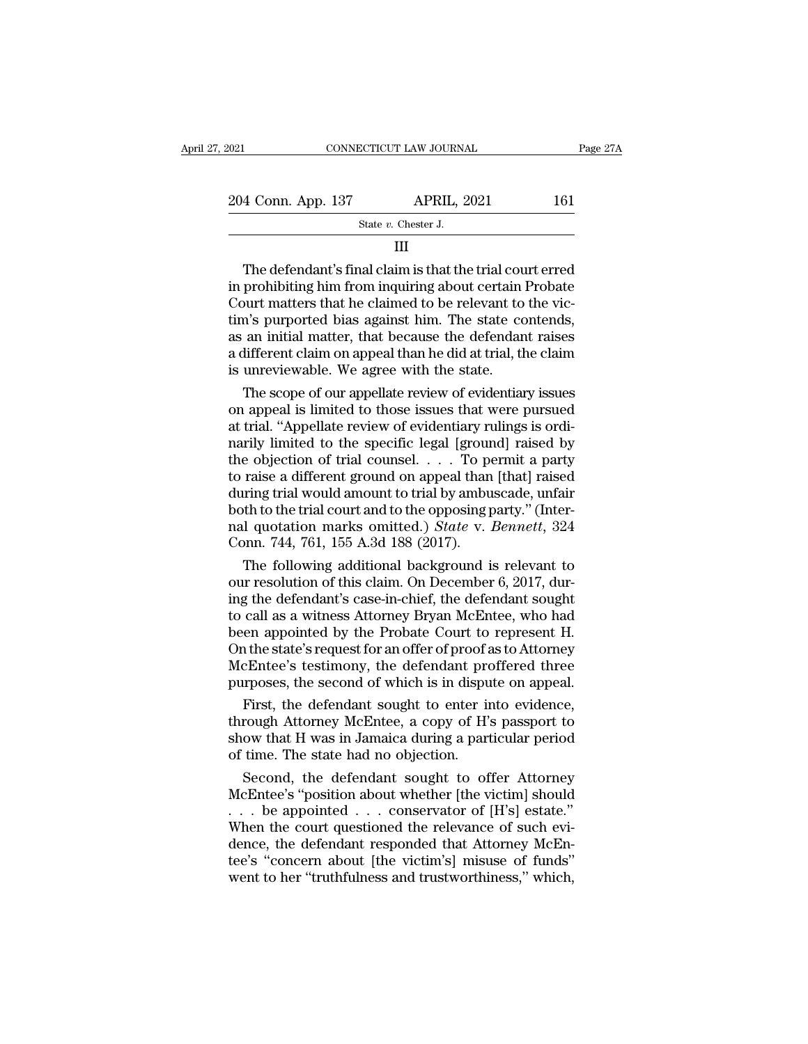| 2021               | CONNECTICUT LAW JOURNAL | Page 27A |
|--------------------|-------------------------|----------|
| 204 Conn. App. 137 | <b>APRIL, 2021</b>      | 161      |
|                    | State $v$ . Chester J.  |          |
|                    |                         |          |

III

 $\begin{array}{r} \text{4 Conn. App. 137} \qquad \qquad \text{APRIL, 2021} \qquad \qquad 161 \ \text{State } v. \text{ Chester J.} \ \text{III} \ \end{array}$ <br>The defendant's final claim is that the trial court erred prohibiting him from inquiring about certain Probate 204 Conn. App. 137 APRIL, 2021 161<br>
State v. Chester J.<br>
III<br>
The defendant's final claim is that the trial court erred<br>
in prohibiting him from inquiring about certain Probate<br>
Court matters that he claimed to be relevan 204 Conn. App. 137 APRIL, 2021 161<br>
State v. Chester J.<br>
III<br>
The defendant's final claim is that the trial court erred<br>
in prohibiting him from inquiring about certain Probate<br>
Court matters that he claimed to be relevan State  $v$ . Chester J.<br>
III<br>
The defendant's final claim is that the trial court erred<br>
in prohibiting him from inquiring about certain Probate<br>
Court matters that he claimed to be relevant to the vic-<br>
tim's purported bia THE MAGNET CONSIDER THE CONSIDERT THE ORDER IN THE ORDER IN PROVIDENT IN PROVIDENT IN PROVIDENT COURT MATTERS that he claimed to be relevant to the victim's purported bias against him. The state contends, as an initial mat III<br>The defendant's final claim is that the trial court erred<br>in prohibiting him from inquiring about certain Probate<br>Court matters that he claimed to be relevant to the vic-<br>tim's purported bias against him. The state con The defendant's final claim is that the trial cours in prohibiting him from inquiring about certain Court matters that he claimed to be relevant to tim's purported bias against him. The state cos as an initial matter, that prohibiting him from inquiring about certain Probate<br>ourt matters that he claimed to be relevant to the vic-<br>n's purported bias against him. The state contends,<br>an initial matter, that because the defendant raises<br>lifferen Court matters that he claimed to be relevant to the vic-<br>tim's purported bias against him. The state contends,<br>as an initial matter, that because the defendant raises<br>a different claim on appeal than he did at trial, the c

tim's purported bias against him. The state contends,<br>as an initial matter, that because the defendant raises<br>a different claim on appeal than he did at trial, the claim<br>is unreviewable. We agree with the state.<br>The scope as an initial matter, that because the defendant raises<br>a different claim on appeal than he did at trial, the claim<br>is unreviewable. We agree with the state.<br>The scope of our appellate review of evidentiary issues<br>on appea a different claim on appeal than he did at trial, the claim<br>is unreviewable. We agree with the state.<br>The scope of our appellate review of evidentiary issues<br>on appeal is limited to those issues that were pursued<br>at trial. is unreviewable. We agree with the state.<br>
The scope of our appellate review of evidentiary issues<br>
on appeal is limited to those issues that were pursued<br>
at trial. "Appellate review of evidentiary rulings is ordi-<br>
naril The scope of our appellate review of evidentiary issues<br>on appeal is limited to those issues that were pursued<br>at trial. "Appellate review of evidentiary rulings is ordi-<br>narily limited to the specific legal [ground] rais on appeal is limited to those issues that were pursued<br>at trial. "Appellate review of evidentiary rulings is ordi-<br>narily limited to the specific legal [ground] raised by<br>the objection of trial counsel.  $\ldots$  To permit a at trial. "Appellate review of evidentiary rulings is ordinarily limited to the specific legal [ground] raised by the objection of trial counsel. . . . To permit a party to raise a different ground on appeal than [that] ra marily limited to the specific legal [grour the objection of trial counsel. . . . To poto raise a different ground on appeal than during trial would amount to trial by ambu both to the trial court and to the opposing pal e objection of trial counsel. . . . To permit a party<br>raise a different ground on appeal than [that] raised<br>uring trial would amount to trial by ambuscade, unfair<br>th to the trial court and to the opposing party." (Inter-<br> to raise a different ground on appeal than [that] raised<br>during trial would amount to trial by ambuscade, unfair<br>both to the trial court and to the opposing party." (Inter-<br>nal quotation marks omitted.) *State* v. *Bennett* 

during trial would amount to trial by ambuscade, unfair<br>both to the trial court and to the opposing party." (Inter-<br>nal quotation marks omitted.) *State v. Bennett*, 324<br>Conn. 744, 761, 155 A.3d 188 (2017).<br>The following a both to the trial court and to the opposing party." (Inter-<br>nal quotation marks omitted.) *State* v. *Bennett*, 324<br>Conn. 744, 761, 155 A.3d 188 (2017).<br>The following additional background is relevant to<br>our resolution of nal quotation marks omitted.) *State v. Bennett*, 324<br>Conn. 744, 761, 155 A.3d 188 (2017).<br>The following additional background is relevant to<br>our resolution of this claim. On December 6, 2017, dur-<br>ing the defendant's case Conn. 744, 761, 155 A.3d 188 (2017).<br>
The following additional background is relevant to<br>
our resolution of this claim. On December 6, 2017, dur-<br>
ing the defendant's case-in-chief, the defendant sought<br>
to call as a witne The following additional background is relevant to<br>our resolution of this claim. On December 6, 2017, dur-<br>ing the defendant's case-in-chief, the defendant sought<br>to call as a witness Attorney Bryan McEntee, who had<br>been a our resolution of this claim. On December 6, 2017, during the defendant's case-in-chief, the defendant sought to call as a witness Attorney Bryan McEntee, who had been appointed by the Probate Court to represent H. On the g the defendant's case-in-chief, the defendant sought<br>call as a witness Attorney Bryan McEntee, who had<br>en appointed by the Probate Court to represent H.<br>the state's request for an offer of proof as to Attorney<br>cEntee's te to call as a witness Attorney Bryan McEntee, who had<br>been appointed by the Probate Court to represent H.<br>On the state's request for an offer of proof as to Attorney<br>McEntee's testimony, the defendant proffered three<br>purpos

been appointed by the Probate Court to represent H.<br>On the state's request for an offer of proof as to Attorney<br>McEntee's testimony, the defendant proffered three<br>purposes, the second of which is in dispute on appeal.<br>Firs On the state's request for an offer of proof a<br>McEntee's testimony, the defendant pro<br>purposes, the second of which is in dispu<br>First, the defendant sought to enter in<br>through Attorney McEntee, a copy of H's<br>show that H wa reflattice's testimoly, the defendant political directions,<br>the second of which is in dispute on appeal.<br>First, the defendant sought to enter into evidence,<br>rough Attorney McEntee, a copy of H's passport to<br>ow that H was i purposes, are second of which is in dispute on appear.<br>
First, the defendant sought to enter into evidence,<br>
through Attorney McEntee, a copy of H's passport to<br>
show that H was in Jamaica during a particular period<br>
of ti

First, the defendant sought to enter into evidence,<br>through Attorney McEntee, a copy of H's passport to<br>show that H was in Jamaica during a particular period<br>of time. The state had no objection.<br>Second, the defendant soug through Attorney McEntee, a copy of H's passport to<br>show that H was in Jamaica during a particular period<br>of time. The state had no objection.<br>Second, the defendant sought to offer Attorney<br>McEntee's "position about whethe show that H was in Jamaica during a particular period<br>of time. The state had no objection.<br>Second, the defendant sought to offer Attorney<br>McEntee's "position about whether [the victim] should<br>... be appointed ... conservat of time. The state had no objection.<br>Second, the defendant sought to offer Attorney<br>McEntee's "position about whether [the victim] should<br>... be appointed ... conservator of [H's] estate."<br>When the court questioned the rel Second, the defendant sought to offer Attorney<br>McEntee's "position about whether [the victim] should<br>... be appointed ... conservator of [H's] estate."<br>When the court questioned the relevance of such evi-<br>dence, the defen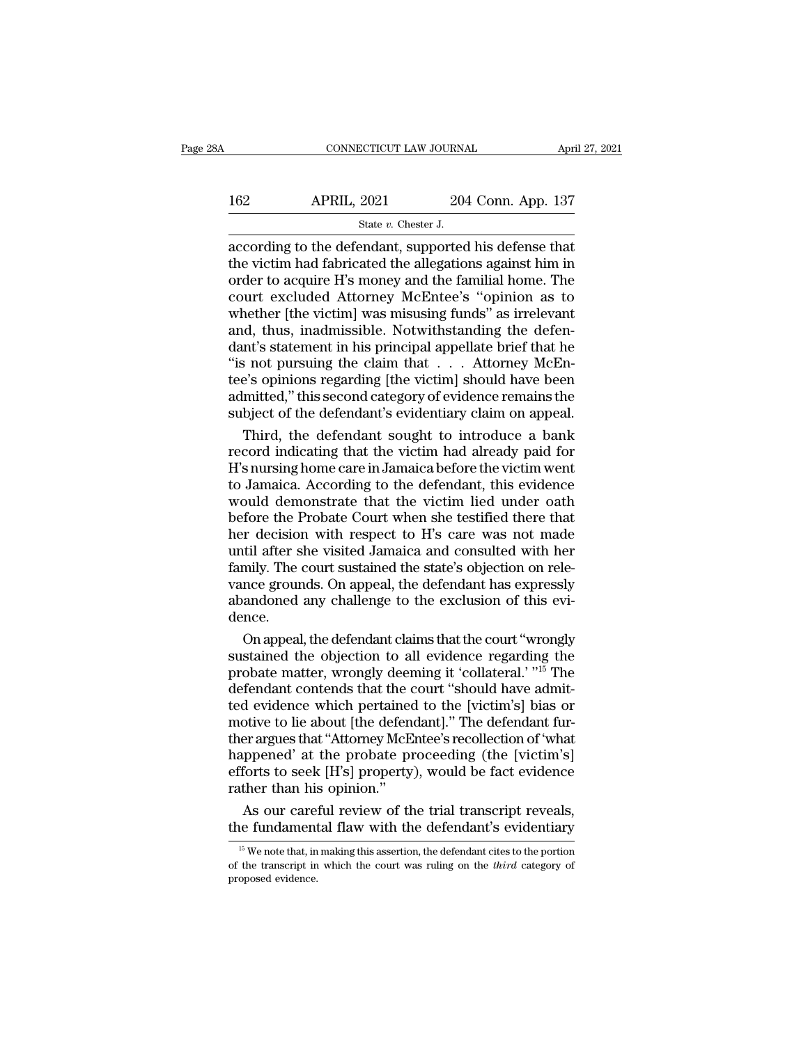# CONNECTICUT LAW JOURNAL April 27, 2021<br>162 APRIL, 2021 204 Conn. App. 137<br>5tate v. Chester J. ECTICUT LAW JOURNA<br>2021 204<br>State *v.* Chester J.<br>Pridant supported

 $\begin{tabular}{ll} \multicolumn{1}{l}{{\small \textbf{CONRECTICUT LAW JOURNAL}}{\small \textbf{APRIL, 2021}} & \multicolumn{1}{l}{\small \textbf{204 Conn. App. 137}} \\ \hline & \multicolumn{1}{l}{\small \textbf{State $v$. Chester J.}} \\ \hline \\ \multicolumn{1}{l}{\small \textbf{according to the defendant, supported his defense that} \\ \hline the victim had fabricated the allegations against him in order to acquire H's money and the familiar.} \end{tabular}$ 162 APRIL, 2021 204 Conn. App. 137<br>
State v. Chester J.<br>
according to the defendant, supported his defense that<br>
the victim had fabricated the allegations against him in<br>
order to acquire H's money and the familial home. T 162 APRIL, 2021 204 Conn. App. 137<br>  $\frac{8\textrm{rate }v.\thinspace\text{Chester J.}}{204\textrm{Conn. App. 137}}$ <br>
according to the defendant, supported his defense that<br>
the victim had fabricated the allegations against him in<br>
order to acquire H's money 162 APRIL, 2021 204 Conn. App. 137<br>  $\frac{1}{37}$ <br>  $\frac{1}{37}$ <br>  $\frac{1}{37}$ <br>  $\frac{1}{37}$ <br>  $\frac{1}{37}$ <br>  $\frac{1}{37}$ <br>  $\frac{1}{37}$ <br>  $\frac{1}{37}$ <br>  $\frac{1}{37}$ <br>  $\frac{1}{37}$ <br>  $\frac{1}{37}$ <br>  $\frac{1}{37}$ <br>  $\frac{1}{37}$ <br>  $\frac{1}{37}$ <br>  $\frac{1}{37}$ <br>  $\frac{1$ State v. Chester J.<br>
State v. Chester J.<br>
according to the defendant, supported his defense that<br>
the victim had fabricated the allegations against him in<br>
order to acquire H's money and the familial home. The<br>
court excl State v. Chester J.<br>according to the defendant, supported his defense that<br>the victim had fabricated the allegations against him in<br>order to acquire H's money and the familial home. The<br>court excluded Attorney McEntee's " according to the defendant, supported his defense that<br>the victim had fabricated the allegations against him in<br>order to acquire H's money and the familial home. The<br>court excluded Attorney McEntee's "opinion as to<br>whether the victim had fabricated the allegations against him in<br>order to acquire H's money and the familial home. The<br>court excluded Attorney McEntee's "opinion as to<br>whether [the victim] was misusing funds" as irrelevant<br>and, th order to acquire H's money and the familial home. The<br>court excluded Attorney McEntee's "opinion as to<br>whether [the victim] was misusing funds" as irrelevant<br>and, thus, inadmissible. Notwithstanding the defen-<br>dant's state court excluded Attorney McEntee's "opinion as to<br>whether [the victim] was misusing funds" as irrelevant<br>and, thus, inadmissible. Notwithstanding the defen-<br>dant's statement in his principal appellate brief that he<br>"is not whether [the victim] was misusing funds" as irrelevant<br>and, thus, inadmissible. Notwithstanding the defen-<br>dant's statement in his principal appellate brief that he<br>"is not pursuing the claim that  $\dots$  Attorney McEn-<br>tee' d, thus, inadmissible. Notwithstanding the defen-<br>nt's statement in his principal appellate brief that he<br>is not pursuing the claim that  $\dots$  Attorney McEn-<br>e's opinions regarding [the victim] should have been<br>mitted," th dant's statement in his principal appellate brief that he<br>"is not pursuing the claim that . . . Attorney McEntee's opinions regarding [the victim] should have been<br>admitted," this second category of evidence remains the<br>su

"is not pursuing the claim that  $\dots$  Attorney McEntee's opinions regarding [the victim] should have been admitted," this second category of evidence remains the subject of the defendant's evidentiary claim on appeal.<br>Thir tee's opinions regarding [the victim] should have been<br>admitted," this second category of evidence remains the<br>subject of the defendant's evidentiary claim on appeal.<br>Third, the defendant sought to introduce a bank<br>record admitted," this second category of evidence remains the<br>subject of the defendant's evidentiary claim on appeal.<br>Third, the defendant sought to introduce a bank<br>record indicating that the victim had already paid for<br>H's nur subject of the defendant's evidentiary claim on appeal.<br>Third, the defendant sought to introduce a bank<br>record indicating that the victim had already paid for<br>H's nursing home care in Jamaica before the victim went<br>to Jama Third, the defendant sought to introduce a bank<br>record indicating that the victim had already paid for<br>H's nursing home care in Jamaica before the victim went<br>to Jamaica. According to the defendant, this evidence<br>would dem record indicating that the victim had already paid for<br>H's nursing home care in Jamaica before the victim went<br>to Jamaica. According to the defendant, this evidence<br>would demonstrate that the victim lied under oath<br>before H's nursing home care in Jamaica before the victim went<br>to Jamaica. According to the defendant, this evidence<br>would demonstrate that the victim lied under oath<br>before the Probate Court when she testified there that<br>her dec to Jamaica. According to the defendant, this evidence<br>would demonstrate that the victim lied under oath<br>before the Probate Court when she testified there that<br>her decision with respect to H's care was not made<br>until after would demonstrate that the victim lied under oath<br>before the Probate Court when she testified there that<br>her decision with respect to H's care was not made<br>until after she visited Jamaica and consulted with her<br>family. The dence. r decision with respect to H's care was not made<br>til after she visited Jamaica and consulted with her<br>mily. The court sustained the state's objection on rele-<br>nce grounds. On appeal, the defendant has expressly<br>andoned any until after she visited Jamaica and consulted with her<br>family. The court sustained the state's objection on rele-<br>vance grounds. On appeal, the defendant has expressly<br>abandoned any challenge to the exclusion of this evi-<br>

family. The court sustained the state's objection on rele-<br>vance grounds. On appeal, the defendant has expressly<br>abandoned any challenge to the exclusion of this evi-<br>dence.<br>On appeal, the defendant claims that the court " vance grounds. On appeal, the defendant has expressly<br>abandoned any challenge to the exclusion of this evi-<br>dence.<br>On appeal, the defendant claims that the court "wrongly<br>sustained the objection to all evidence regarding t abandoned any challenge to the exclusion of this evidence.<br>
On appeal, the defendant claims that the court "wrongly<br>
sustained the objection to all evidence regarding the<br>
probate matter, wrongly deeming it 'collateral.' " dence.<br>
On appeal, the defendant claims that the court "wrongly<br>
sustained the objection to all evidence regarding the<br>
probate matter, wrongly deeming it 'collateral.' "<sup>15</sup> The<br>
defendant contends that the court "should On appeal, the defendant claims that the court "wrongly<br>sustained the objection to all evidence regarding the<br>probate matter, wrongly deeming it 'collateral.' "<sup>15</sup> The<br>defendant contends that the court "should have admitsustained the objection to all evidence regarding the<br>probate matter, wrongly deeming it 'collateral.' "<sup>15</sup> The<br>defendant contends that the court ''should have admit-<br>ted evidence which pertained to the [victim's] bias or probate matter, wrongly deeming it 'collateral.' "<sup>15</sup> The defendant contends that the court "should have admitted evidence which pertained to the [victim's] bias or motive to lie about [the defendant]." The defendant furt defendant contends that the contends that the contend evidence which pertained motive to lie about [the defend ther argues that "Attorney McE happened" at the probate profersion."<br>At the probate profers to seek [H's] prope d evidence which pertained to the [victim's] bias or<br>otive to lie about [the defendant]." The defendant fur-<br>er argues that "Attorney McEntee's recollection of 'what<br>ppened' at the probate proceeding (the [victim's]<br>forts motive to lie about [the defendant]." The defendant fur-<br>ther argues that "Attorney McEntee's recollection of 'what<br>happened' at the probate proceeding (the [victim's]<br>efforts to seek [H's] property), would be fact eviden

16 Ions to seek [H s] property), would be fact evidence<br>ther than his opinion."<br>As our careful review of the trial transcript reveals,<br>ne fundamental flaw with the defendant's evidentiary<br><sup>15</sup> We note that, in making this

Trather than his opinion."<br>As our careful review of the trial transcript reveals,<br>the fundamental flaw with the defendant's evidentiary<br><sup>15</sup> We note that, in making this assertion, the defendant cites to the portion<br>of the As our care<br>the fundament<br> $\frac{15}{15}$  We note that, in<br>of the transcript in<br>proposed evidence.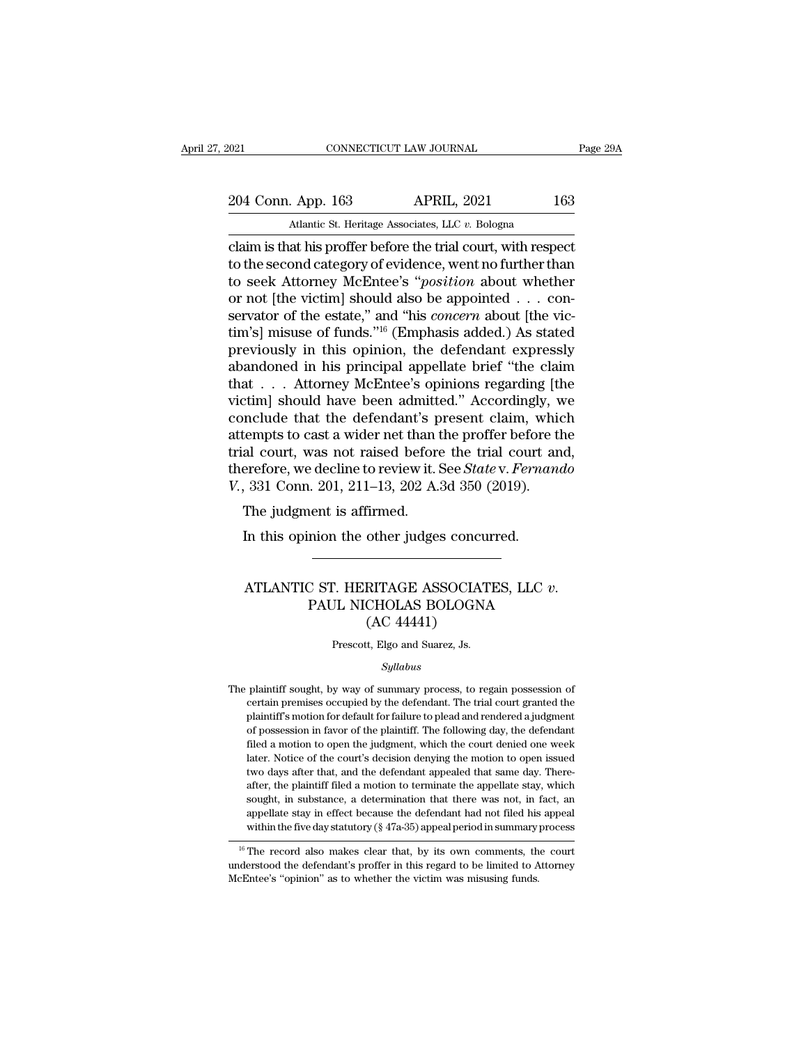2021 CONNECTICUT LAW JOURNAL Page 29A<br>204 Conn. App. 163 APRIL, 2021 163<br>Atlantic St. Heritage Associates, LLC v. Bologna

EXECUTE 2021 CONNECTICUT LAW JOURNAL<br>
204 Conn. App. 163 APRIL, 2021 163<br>
Atlantic St. Heritage Associates, LLC *v.* Bologna<br>
Claim is that his proffer before the trial court, with respect connecticut LAW JOURNAL Page 29/<br>
204 Conn. App. 163 APRIL, 2021 163<br>
Atlantic St. Heritage Associates, LLC v. Bologna<br>
Claim is that his proffer before the trial court, with respect<br>
to the second category of evidence, we 204 Conn. App. 163 APRIL, 2021 163<br>Atlantic St. Heritage Associates, LLC v. Bologna<br>Claim is that his proffer before the trial court, with respect<br>to the second category of evidence, went no further than<br>to seek Attorney M 204 Conn. App. 163 APRIL, 2021 163<br>Atlantic St. Heritage Associates, LLC v. Bologna<br>Claim is that his proffer before the trial court, with respect<br>to the second category of evidence, went no further than<br>to seek Attorney M to the second category of evidence, went no further than<br>to seek Attorney McEntee's "*position* about whether<br>or not [the victim] should also be appointed . . . con-<br>servator of the estate," and "his *concern* about [the v tim's] misuse of funds."<sup>16</sup> (Emphasis added.) As stated<br>previously in this opinion, the defendant expressly Atlantic St. Heritage Associates, LLC  $v$ . Bologna<br>
claim is that his proffer before the trial court, with respect<br>
to the second category of evidence, went no further than<br>
to seek Attorney McEntee's "*position* about wh claim is that his proffer before the trial court, with respect<br>to the second category of evidence, went no further than<br>to seek Attorney McEntee's "*position* about whether<br>or not [the victim] should also be appointed . . to the second category of evidence, went no further than<br>to seek Attorney McEntee's "*position* about whether<br>or not [the victim] should also be appointed . . . con-<br>servator of the estate," and "his *concern* about [the to seek Attorney McEntee's "*position* about whether<br>or not [the victim] should also be appointed . . . con-<br>servator of the estate," and "his *concern* about [the vic-<br>tim's] misuse of funds."<sup>16</sup> (Emphasis added.) As st or not [the victim] should also be appointed . . . conservator of the estate," and "his *concern* about [the victim's] misuse of funds."<sup>16</sup> (Emphasis added.) As stated previously in this opinion, the defendant expressly servator of the estate," and "his *concern* about [the victim's] misuse of funds."<sup>16</sup> (Emphasis added.) As stated<br>previously in this opinion, the defendant expressly<br>abandoned in his principal appellate brief "the claim<br> tim's] misuse of funds."<sup>16</sup> (Emphasis added.) As stated<br>previously in this opinion, the defendant expressly<br>abandoned in his principal appellate brief "the claim<br>that  $\dots$  Attorney McEntee's opinions regarding [the<br>victi previously in this opinion, the defendant expressly<br>abandoned in his principal appellate brief "the claim<br>that . . . Attorney McEntee's opinions regarding [the<br>victim] should have been admitted." Accordingly, we<br>conclude abandoned in his principal appellate brief "the claim<br>that . . . Attorney McEntee's opinions regarding [the<br>victim] should have been admitted." Accordingly, we<br>conclude that the defendant's present claim, which<br>attempts to that . . . Attorney McEntee's opinions regarding [t]<br>victim] should have been admitted." Accordingly, v<br>conclude that the defendant's present claim, whic<br>attempts to cast a wider net than the proffer before th<br>trial court, Finith should have been admitted<br>include that the defendant's p<br>tempts to cast a wider net than tal court, was not raised before<br>erefore, we decline to review it. !<br>, 331 Conn. 201, 211–13, 202 A.<br>The judgment is affirmed. Extempts to cast a wider net than the proffer before al court, was not raised before the trial court arefore, we decline to review it. See *State* v. *Ferna*, 331 Conn. 201, 211–13, 202 A.3d 350 (2019). The judgment is af

### 331 Conn. 201, 211–13, 202 A.3d 350 (2019).<br>The judgment is affirmed.<br>In this opinion the other judges concurred.<br>ATLANTIC ST. HERITAGE ASSOCIATES, LLC *v*.<br>PAUL NICHOLAS BOLOGNA<br>(AC 44441) other judges concu<br>RITAGE ASSOCIAT<br>CHOLAS BOLOGN.<br>(AC 44441)<br>t, Elgo and Suarez, Js. P. HERITAGE ASSOCIATI<br>JL NICHOLAS BOLOGNA<br>(AC 44441)<br>Prescott, Elgo and Suarez, Js.<br>Sullabus

### *Syllabus*

The plaintiff sought, by way of summary process, to regain possession of<br>erratin premises occupied by the defendant. The trial court granted the (AC 444441)<br>
Prescott, Elgo and Suarez, Js.<br>
Syllabus<br>
plaintiff sought, by way of summary process, to regain possession of<br>
certain premises occupied by the defendant. The trial court granted the<br>
plaintiff's motion for d Prescott, Elgo and Suarez, Js.<br>Syllabus<br>plaintiff's sought, by way of summary process, to regain possession of<br>certain premises occupied by the defendant. The trial court granted the<br>plaintiff's motion for default for fail Syllabus<br>
plaintiff sought, by way of summary process, to regain possession of<br>
certain premises occupied by the defendant. The trial court granted the<br>
plaintiff's motion for default for failure to plead and rendered a ju *Syllabus*<br>plaintiff sought, by way of summary process, to regain possession of<br>certain premises occupied by the defendant. The trial court granted the<br>plaintiff's motion for default for failure to plead and rendered a jud plaintiff sought, by way of summary process, to regain possession of certain premises occupied by the defendant. The trial court granted the plaintiff's motion for default for failure to plead and rendered a judgment of po pertain premises occupied by the defendant. The trial court granted the plaintiff's motion for default for failure to plead and rendered a judgment of possession in favor of the plaintiff. The following day, the defendant plaintiff's motion for default for failure to plead and rendered a judgment<br>of possession in favor of the plaintiff. The following day, the defendant<br>filed a motion to open the judgment, which the court denied one week<br>lat parameters of possession in favor of the plaintiff. The following day, the defendant filed a motion to open the judgment, which the court denied one week later. Notice of the court's decision denying the motion to open iss Filed a motion to open the judgment, which the court denied one week later. Notice of the court's decision denying the motion to open issued two days after that, and the defendant appealed that same day. Thereafter, the p meter. Notice of the court's decision denying the motion to open issued<br>two days after that, and the defendant appealed that same day. There-<br>after, the plaintiff filed a motion to terminate the appellate stay, which<br>sough two days atter that, and the defendant appealed that same day. Thereafter, the plaintiff filed a motion to terminate the appellate stay, which sought, in substance, a determination that there was not, in fact, an appellat and sought, in substance, a determination that there was not, in fact, an appellate stay in effect because the defendant had not filed his appeal within the five day statutory (§ 47a-35) appeal period in summary process

sought, in substance, a determination that there was not, in appellate stay in effect because the defendant had not filed his within the five day statutory (§ 47a-35) appeal period in summary  $\frac{16}{16}$  The record also m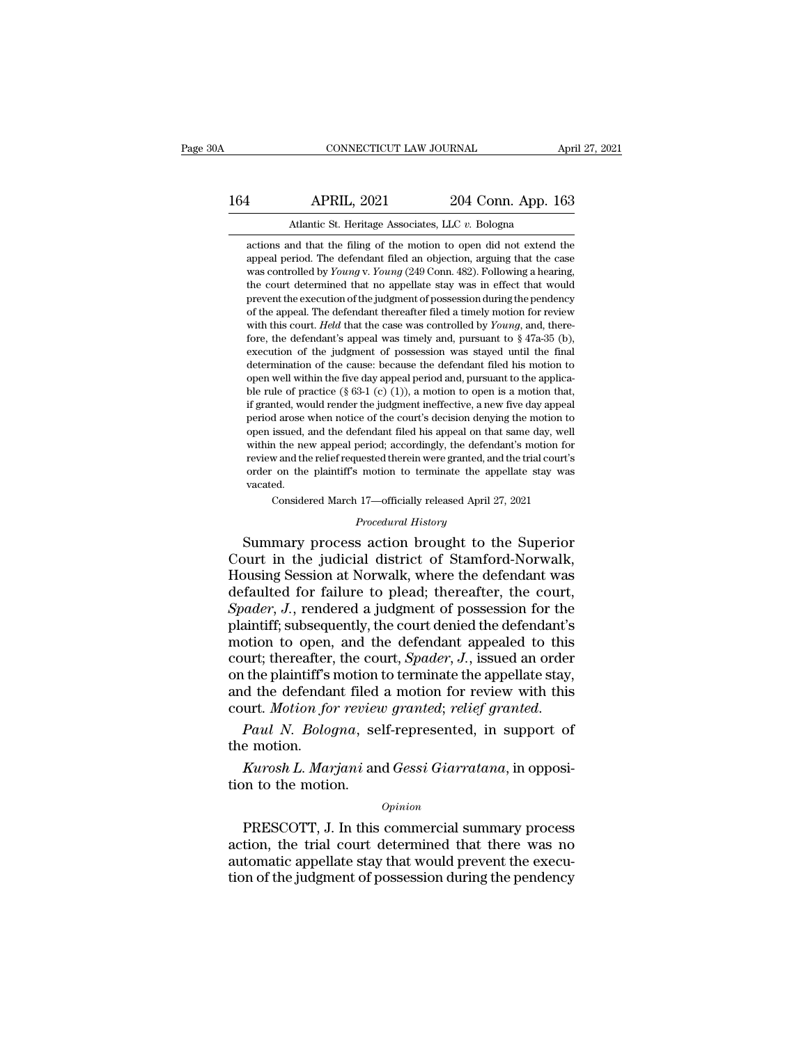# 164 CONNECTICUT LAW JOURNAL April 27, 2021<br>164 APRIL, 2021 204 Conn. App. 163<br>164 Atlantic St. Heritage Associates, LLC v. Bologna CONNECTICUT LAW JOURNAL April 27, 2021<br>4 APRIL, 2021 204 Conn. App. 163<br>4 Atlantic St. Heritage Associates, LLC *v*. Bologna<br>actions and that the filing of the motion to open did not extend the

APRIL, 2021 204 Conn. App. 163<br>Atlantic St. Heritage Associates, LLC v. Bologna<br>actions and that the filing of the motion to open did not extend the<br>appeal period. The defendant filed an objection, arguing that the case **APRIL, 2021** 204 Conn. App. 163<br>Atlantic St. Heritage Associates, LLC v. Bologna<br>actions and that the filing of the motion to open did not extend the<br>appeal period. The defendant filed an objection, arguing that the case<br> APRIL, 2021 204 Conn. App. 163<br>Atlantic St. Heritage Associates, LLC v. Bologna<br>actions and that the filing of the motion to open did not extend the<br>appeal period. The defendant filed an objection, arguing that the case<br>wa Atlantic St. Heritage Associates, LLC v. Bologna<br>actions and that the filing of the motion to open did not extend the<br>appeal period. The defendant filed an objection, arguing that the case<br>was controlled by *Young* v. *You* Atlantic St. Heritage Associates, LLC  $v$ . Bologna<br>actions and that the filing of the motion to open did not extend the<br>appeal period. The defendant filed an objection, arguing that the case<br>was controlled by  $Young \nu. Young (249 \text$ actions and that the filing of the motion to open did not extend the appeal period. The defendant filed an objection, arguing that the case was controlled by  $Young$  v.  $Young$  (249 Conn. 482). Following a hearing, the court dete actions and that the hing of the induotricol open that not extend the<br>appeal period. The defendant filed an objection, arguing that the case<br>was controlled by *Young* v. *Young* (249 Conn. 482). Following a hearing,<br>the co appear period. The defendant med an objection, arguing that the case<br>was controlled by *Young* v. *Young* (249 Conn. 482). Following a hearing,<br>the court determined that no appellate stay was in effect that would<br>prevent was colutioned by Tollary V. Tollary (249 Colut. 462). Following a nearing, the court determined that no appellate stay was in effect that would prevent the execution of the judgment of possession during the pendency of t the court determined that no appenate stay was in enect that would<br>prevent the execution of the judgment of possession during the pendency<br>of the appeal. The defendant thereafter filed a timely motion for review<br>with this prevent the execution of the judgment of possession during the pendency<br>of the appeal. The defendant thereafter filed a timely motion for review<br>with this court. Held that the case was controlled by *Young*, and, there-<br>f of the appear. The detendant inerealier filed a limely motion for review<br>with this court. *Held* that the case was controlled by *Young*, and, there-<br>fore, the defendant's appeal was timely and, pursuant to § 47a-35 (b),<br> with this court. *Heta* that the case was controlled by *Foung*, and, therefore, the defendant's appeal was timely and, pursuant to § 47a-35 (b), execution of the judgment of possession was stayed until the final determin period arose when notice of the court's decision was stayed until the final determination of the judgment of possession was stayed until the final determination of the cause: because the defendant filed his motion to open execution of the judgment of possession was stayed until the final determination of the cause: because the defendant filed his motion to open well within the five day appeal period and, pursuant to the applica-<br>ble rule o determination of the cause: because the defendant filed his motion to open well within the five day appeal period and, pursuant to the applica-<br>ble rule of practice (§ 63-1 (c) (1)), a motion to open is a motion that,<br>if be rule of practice (§ 63-1 (c) (1)), a motion to open is a motion that, if granted, would render the judgment ineffective, a new five day appeal period arose when notice of the court's decision denying the motion to open ble rule of practice ( $\S$  63-1 (C) (1)), a motion to open is a motion that, if granted, would render the judgment ineffective, a new five day appeal period arose when notice of the court's decision denying the motion to o vacated. a saved, and the defendant filed his appeal on that same day, well<br>issued, and the defendant filed his appeal on that same day, well<br>in the new appeal period; accordingly, the defendant's motion for<br>w and the relief reques period; accordingly, the defend<br>
uested therein were granted, and<br>
<sup>1</sup> motion to terminate the app<br>
<sup>1</sup> 17—officially released April 2<br> *Procedural History*<br> **8** action brought to the been issued, and the declement incomissipped on that same day, went<br>within the new appeal period; accordingly, the defendant's motion for<br>review and the relief requested therein were granted, and the trial court's<br>order on

review and the relief requested therein were granted, and the trial court's<br>order on the plaintiff's motion to terminate the appellate stay was<br>vacated.<br>Considered March 17—officially released April 27, 2021<br>*Procedural Hi* order on the plaintiff's motion to terminate the appellate stay was<br>vacated.<br>Considered March 17—officially released April 27, 2021<br>*Procedural History*<br>Summary process action brought to the Superior<br>Court in the judicial vacated.<br>
Considered March 17—officially released April 27, 2021<br> *Procedural History*<br>
Summary process action brought to the Superior<br>
Court in the judicial district of Stamford-Norwalk,<br>
Housing Session at Norwalk, where *Procedural History*<br>*Procedural History*<br>*Procedural History*<br>Court in the judicial district of Stamford-Norwalk,<br>Housing Session at Norwalk, where the defendant was<br>defaulted for failure to plead; thereafter, the court,<br> *Procedural History*<br>
Court in the judicial district of Stamford-Norwalk,<br>
Housing Session at Norwalk, where the defendant was<br>
defaulted for failure to plead; thereafter, the court,<br> *Spader*, *J.*, rendered a judgment of Summary process action brought to the Superior<br>Court in the judicial district of Stamford-Norwalk,<br>Housing Session at Norwalk, where the defendant was<br>defaulted for failure to plead; thereafter, the court,<br>Spader, J., rend Court in the judicial district of Stamford-Norwalk,<br>Housing Session at Norwalk, where the defendant was<br>defaulted for failure to plead; thereafter, the court,<br>*Spader*, *J.*, rendered a judgment of possession for the<br>plain Housing Session at Norwalk, where the defendant was<br>defaulted for failure to plead; thereafter, the court,<br>Spader, J., rendered a judgment of possession for the<br>plaintiff; subsequently, the court denied the defendant's<br>mot defaulted for failure to plead; thereafter, the court,<br>Spader, J., rendered a judgment of possession for the<br>plaintiff; subsequently, the court denied the defendant's<br>motion to open, and the defendant appealed to this<br>cour Spader, J., rendered a judgment of possession for the plaintiff; subsequently, the court denied the defendant's motion to open, and the defendant appealed to this court; thereafter, the court, *Spader*, J., issued an order motion to open,<br>court; thereafter,<br>on the plaintiff's<br>and the defendar<br>court. *Motion fo:<br>Paul N. Bolog*<br>the motion.<br>*Kurosh L. Mar Kurosh L. Marjani* and *Gessi Giarratana*, in opposite the matric filed a motion for review with this urt. *Motion for review granted*; *relief granted.*<br>*Paul N. Bologna*, self-represented, in support of e motion.<br>*Kuros* on the plantificant filed<br>court. *Motion for revier*<br>*Paul N. Bologna*, se<br>the motion.<br>*Kurosh L. Marjani* an<br>tion to the motion.

### *Opinion*

Paul N. Bologna, self-represented, in support of<br>
e motion.<br> *Kurosh L. Marjani* and *Gessi Giarratana*, in opposi-<br>
n to the motion.<br> *Opinion*<br>
PRESCOTT, J. In this commercial summary process<br>
tion, the trial court deter the motion.<br>  $Kurosh L. Marjani$  and *Gessi Giarratana*, in opposition to the motion.<br>  $\frac{opinion}{1}$ <br>
PRESCOTT, J. In this commercial summary process<br>
action, the trial court determined that there was no<br>
automatic appellate stay tha Xurosh L. Marjani and Gessi Giarratana, in opposition to the motion.<br>
opinion<br>
PRESCOTT, J. In this commercial summary process<br>
action, the trial court determined that there was no<br>
automatic appellate stay that would prev Aurosh L. Marjam and Gesst Guarratama, in opposition to the motion.<br>
Opinion<br>
PRESCOTT, J. In this commercial summary process<br>
action, the trial court determined that there was no<br>
automatic appellate stay that would preve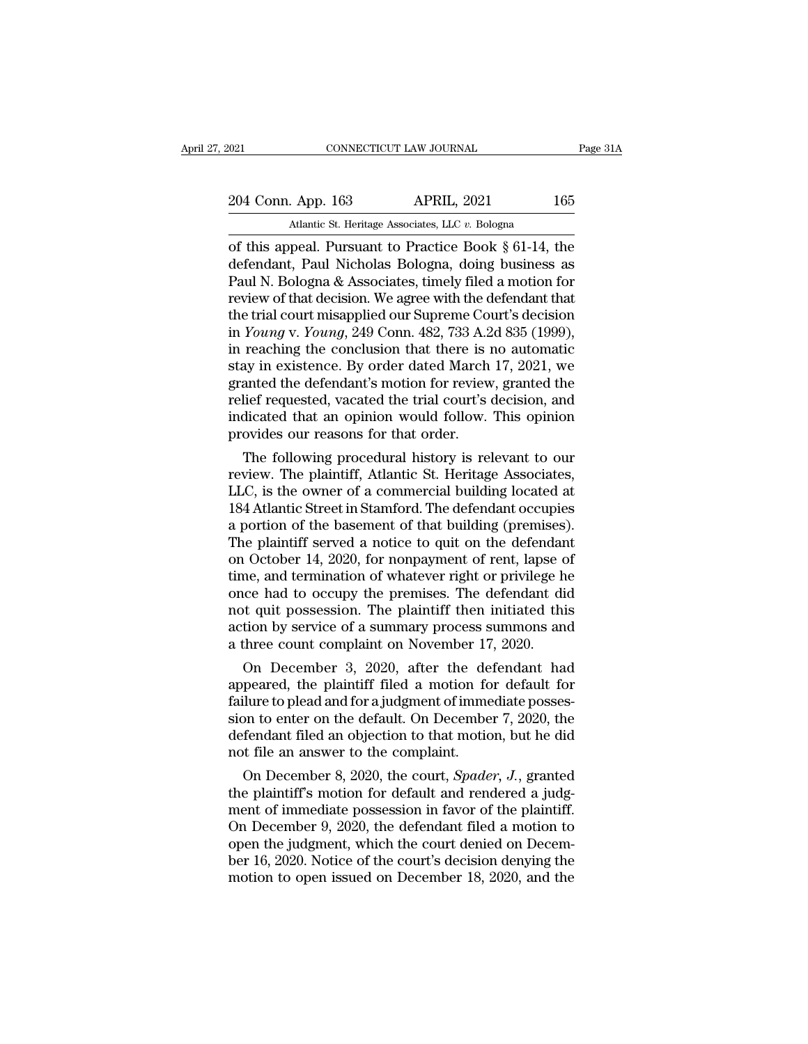2021 CONNECTICUT LAW JOURNAL Page 31A<br>204 Conn. App. 163 APRIL, 2021 165<br>Atlantic St. Heritage Associates, LLC v. Bologna CONNECTICUT LAW JOURNAL<br>
204 Conn. App. 163 APRIL, 2021 165<br>
Atlantic St. Heritage Associates, LLC *v.* Bologna<br>
of this appeal. Pursuant to Practice Book § 61-14, the

CONNECTICUT LAW JOURNAL Page 31A<br>
204 Conn. App. 163 APRIL, 2021 165<br>
Atlantic St. Heritage Associates, LLC v. Bologna<br>
of this appeal. Pursuant to Practice Book § 61-14, the<br>
defendant, Paul Nicholas Bologna, doing busine 204 Conn. App. 163 APRIL, 2021 165<br>Atlantic St. Heritage Associates, LLC v. Bologna<br>of this appeal. Pursuant to Practice Book § 61-14, the<br>defendant, Paul Nicholas Bologna, doing business as<br>Paul N. Bologna & Associates, t 204 Conn. App. 163 APRIL, 2021 165<br>Atlantic St. Heritage Associates, LLC v. Bologna<br>of this appeal. Pursuant to Practice Book  $\S 61-14$ , the<br>defendant, Paul Nicholas Bologna, doing business as<br>Paul N. Bologna & Associates 204 Conn. App. 163 APRIL, 2021 165<br>
Atlantic St. Heritage Associates, LLC v. Bologna<br>
of this appeal. Pursuant to Practice Book § 61-14, the<br>
defendant, Paul Nicholas Bologna, doing business as<br>
Paul N. Bologna & Associat Atlantic St. Heritage Associates, LLC v. Bologna<br>
of this appeal. Pursuant to Practice Book § 61-14, the<br>
defendant, Paul Nicholas Bologna, doing business as<br>
Paul N. Bologna & Associates, timely filed a motion for<br>
review Atlantic St. Heritage Associates, LLC v. Bologna<br>
of this appeal. Pursuant to Practice Book § 61-14, the<br>
defendant, Paul Nicholas Bologna, doing business as<br>
Paul N. Bologna & Associates, timely filed a motion for<br>
review of this appeal. Pursuant to Practice Book § 61-14, the<br>defendant, Paul Nicholas Bologna, doing business as<br>Paul N. Bologna & Associates, timely filed a motion for<br>review of that decision. We agree with the defendant that<br>t defendant, Paul Nicholas Bologna, doing business as<br>Paul N. Bologna & Associates, timely filed a motion for<br>review of that decision. We agree with the defendant that<br>the trial court misapplied our Supreme Court's decision<br> Paul N. Bologna & Associates, timely filed a motion for<br>review of that decision. We agree with the defendant that<br>the trial court misapplied our Supreme Court's decision<br>in *Young* v. *Young*, 249 Conn. 482, 733 A.2d 835 ( review of that decision. We agree with the defendant that<br>the trial court misapplied our Supreme Court's decision<br>in *Young* v. *Young*, 249 Conn. 482, 733 A.2d 835 (1999),<br>in reaching the conclusion that there is no autom the trial court misapplied our Supreme Court's decision<br>in *Young* v. *Young*, 249 Conn. 482, 733 A.2d 835 (1999),<br>in reaching the conclusion that there is no automatic<br>stay in existence. By order dated March 17, 2021, we<br> in *Young* v. *Young*, 249 Conn. 482, 733 A.2d 835 (1999), in reaching the conclusion that there is no automatic stay in existence. By order dated March 17, 2021, we granted the defendant's motion for review, granted the reaching the conclusion that there is no automatic<br>ay in existence. By order dated March 17, 2021, we<br>anted the defendant's motion for review, granted the<br>lief requested, vacated the trial court's decision, and<br>dicated tha stay in existence. By order dated march 17, 2021, we<br>granted the defendant's motion for review, granted the<br>relief requested, vacated the trial court's decision, and<br>indicated that an opinion would follow. This opinion<br>pro

granted the defendant s motion for review, granted the<br>relief requested, vacated the trial court's decision, and<br>indicated that an opinion would follow. This opinion<br>provides our reasons for that order.<br>The following proce rener requested, vacated the trial court's decision, and<br>indicated that an opinion would follow. This opinion<br>provides our reasons for that order.<br>The following procedural history is relevant to our<br>review. The plaintiff, malcated that an opinion would follow. This opinion<br>provides our reasons for that order.<br>The following procedural history is relevant to our<br>review. The plaintiff, Atlantic St. Heritage Associates,<br>LLC, is the owner of a c provides our reasons for that order.<br>
The following procedural history is relevant to our<br>
review. The plaintiff, Atlantic St. Heritage Associates,<br>
LLC, is the owner of a commercial building located at<br>
184 Atlantic Stree The following procedural history is relevant to our<br>review. The plaintiff, Atlantic St. Heritage Associates,<br>LLC, is the owner of a commercial building located at<br>184 Atlantic Street in Stamford. The defendant occupies<br>a p review. The plaintiff, Atlantic St. Heritage Associates,<br>LLC, is the owner of a commercial building located at<br>184 Atlantic Street in Stamford. The defendant occupies<br>a portion of the basement of that building (premises).<br> LLC, is the owner of a commercial building located at 184 Atlantic Street in Stamford. The defendant occupies<br>a portion of the basement of that building (premises).<br>The plaintiff served a notice to quit on the defendant<br>on 184 Atlantic Street in Stamford. The defendant occupies<br>a portion of the basement of that building (premises).<br>The plaintiff served a notice to quit on the defendant<br>on October 14, 2020, for nonpayment of rent, lapse of<br>ti a portion of the basement of that building (premises).<br>The plaintiff served a notice to quit on the defendant<br>on October 14, 2020, for nonpayment of rent, lapse of<br>time, and termination of whatever right or privilege he<br>on The plaintiff served a notice to quit on the defendar<br>on October 14, 2020, for nonpayment of rent, lapse c<br>time, and termination of whatever right or privilege h<br>once had to occupy the premises. The defendant di<br>not quit p I October 14, 2020, for nonpayment of rent, lapse of<br>me, and termination of whatever right or privilege he<br>ice had to occupy the premises. The defendant did<br>t quit possession. The plaintiff then initiated this<br>tion by serv time, and termination of whatever right or privilege he<br>once had to occupy the premises. The defendant did<br>not quit possession. The plaintiff then initiated this<br>action by service of a summary process summons and<br>a three

once nad to occupy the premises. The defendant did<br>not quit possession. The plaintiff then initiated this<br>action by service of a summary process summons and<br>a three count complaint on November 17, 2020.<br>On December 3, 2020 not quit possession. The plaintiff then initiated this<br>action by service of a summary process summons and<br>a three count complaint on November 17, 2020.<br>On December 3, 2020, after the defendant had<br>appeared, the plaintiff f action by service of a summary process summons and<br>a three count complaint on November 17, 2020.<br>On December 3, 2020, after the defendant had<br>appeared, the plaintiff filed a motion for default for<br>failure to plead and for a three count complaint on November  $17$ <br>On December 3, 2020, after the de<br>appeared, the plaintiff filed a motion fo<br>failure to plead and for a judgment of imme<br>sion to enter on the default. On Decembe<br>defendant filed an On December 3, 2020, after the defendant had<br>peared, the plaintiff filed a motion for default for<br>ilure to plead and for a judgment of immediate posses-<br>on to enter on the default. On December 7, 2020, the<br>fendant filed an appeared, the plaintiff filed a motion for default for<br>failure to plead and for a judgment of immediate posses-<br>sion to enter on the default. On December 7, 2020, the<br>defendant filed an objection to that motion, but he di

railure to plead and for a judgment of immediate possession to enter on the default. On December 7, 2020, the defendant filed an objection to that motion, but he did not file an answer to the complaint.<br>On December 8, 2020 sion to enter on the default. On December 7, 2020, the<br>defendant filed an objection to that motion, but he did<br>not file an answer to the complaint.<br>On December 8, 2020, the court, *Spader*, *J*., granted<br>the plaintiff's m defendant filed an objection to that motion, but he did<br>not file an answer to the complaint.<br>On December 8, 2020, the court, *Spader*, *J*., granted<br>the plaintiff's motion for default and rendered a judg-<br>ment of immediate not file an answer to the complaint.<br>
On December 8, 2020, the court, *Spader*, *J*., granted<br>
the plaintiff's motion for default and rendered a judg-<br>
ment of immediate possession in favor of the plaintiff.<br>
On December 9 On December 8, 2020, the court, *Spader*, *J.*, granted<br>the plaintiff's motion for default and rendered a judg-<br>ment of immediate possession in favor of the plaintiff.<br>On December 9, 2020, the defendant filed a motion to<br>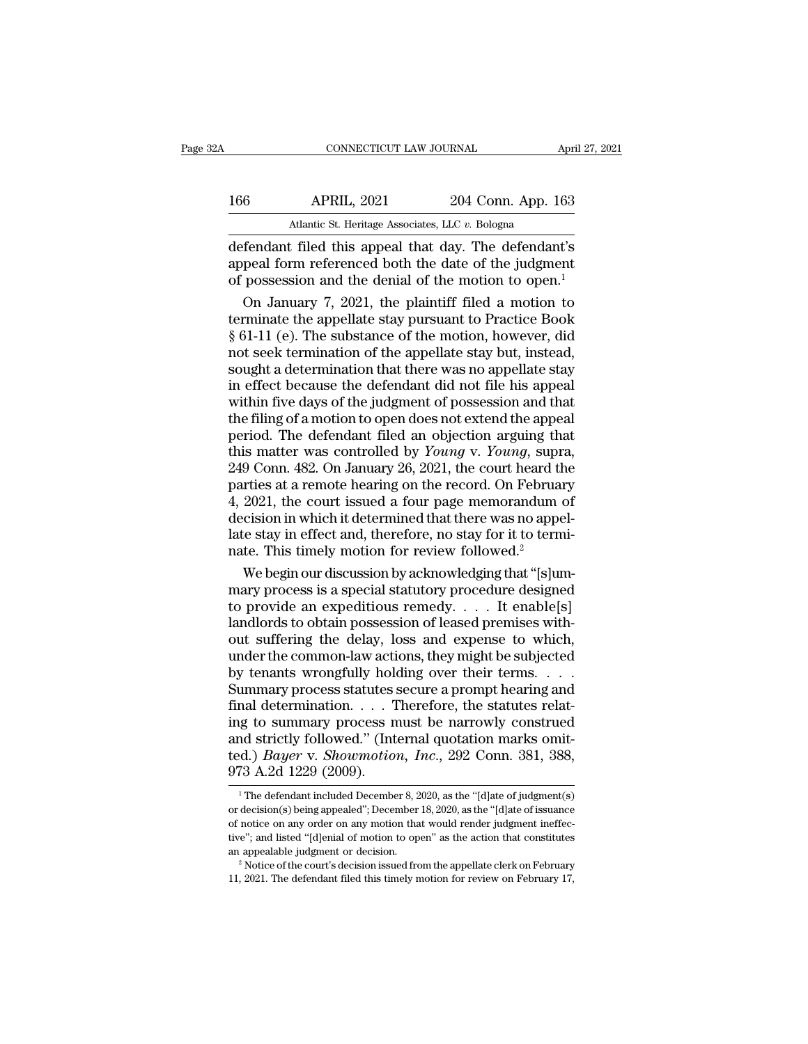| 32A | CONNECTICUT LAW JOURNAL                               |                    | April 27, 2021 |
|-----|-------------------------------------------------------|--------------------|----------------|
| 166 | <b>APRIL, 2021</b>                                    | 204 Conn. App. 163 |                |
|     | Atlantic St. Heritage Associates, LLC v. Bologna      |                    |                |
|     | defendant filed this anneal that day. The defendant's |                    |                |

 $\begin{tabular}{ll} \multicolumn{1}{l}{{\small \textbf{COMRECTICUT LAW JOURNAL}}{\small \textbf{APRIL, 2021}} & \multicolumn{1}{l}{\small \textbf{April 27, 2021}} \\ \hline \multicolumn{1}{l}{\textbf{APRIL, 2021}} & \multicolumn{1}{l}{\textbf{204 Conn. App. 163}} \\ \hline \multicolumn{1}{l}{\textbf{Atlantic St. Heritage Associates, LLC $v. Bologna}} \\ \hline \multicolumn{1}{l}{\textbf{defendant filed this appeal that day. The defendant's} \\ \hline \textbf{append form referenced both the date of the judgment} \\ \hline \textbf$ 166 APRIL, 2021 204 Conn. App. 163<br>Atlantic St. Heritage Associates, LLC v. Bologna<br>defendant filed this appeal that day. The defendant's<br>appeal form referenced both the date of the judgment<br>of possession and the denial of 166 APRIL, 2021 204 Conn. App. 163<br>Atlantic St. Heritage Associates, LLC  $v$ . Bologna<br>defendant filed this appeal that day. The defendant's<br>appeal form referenced both the date of the judgment<br>of possession and the denial **EXECUTE:** APRIL, 2021, 204 Conn. App. 163<br>
Atlantic St. Heritage Associates, LLC  $v$ . Bologna<br> **EXECUTE:** Findant filed this appeal that day. The defendant's<br>
peal form referenced both the date of the judgment<br>
possessio

Atlantic St. Heritage Associates, LLC  $v$ . Bologna<br>
defendant filed this appeal that day. The defendant's<br>
appeal form referenced both the date of the judgment<br>
of possession and the denial of the motion to open.<sup>1</sup><br>
On J France of heliage Associates, and *i*. Bologna<br>
defendant filed this appeal that day. The defendant's<br>
appeal form referenced both the date of the judgment<br>
of possession and the denial of the motion to open.<sup>1</sup><br>
On Janua defendant filed this appeal that day. The defendant's<br>appeal form referenced both the date of the judgment<br>of possession and the denial of the motion to open.<sup>1</sup><br>On January 7, 2021, the plaintiff filed a motion to<br>terminat appeal form referenced both the date of the judgment<br>of possession and the denial of the motion to open.<sup>1</sup><br>On January 7, 2021, the plaintiff filed a motion to<br>terminate the appellate stay pursuant to Practice Book<br>§ 61-11 of possession and the denial of the motion to open.<sup>1</sup><br>On January 7, 2021, the plaintiff filed a motion to<br>terminate the appellate stay pursuant to Practice Book<br>§ 61-11 (e). The substance of the motion, however, did<br>not s On January 7, 2021, the plaintiff filed a motion to<br>terminate the appellate stay pursuant to Practice Book<br>§ 61-11 (e). The substance of the motion, however, did<br>not seek termination of the appellate stay but, instead,<br>sou terminate the appellate stay pursuant to Practice Book  $\S$  61-11 (e). The substance of the motion, however, did not seek termination of the appellate stay but, instead, sought a determination that there was no appellate s § 61-11 (e). The substance of the motion, however, did<br>not seek termination of the appellate stay but, instead,<br>sought a determination that there was no appellate stay<br>in effect because the defendant did not file his appe not seek termination of the appellate stay but, instead,<br>sought a determination that there was no appellate stay<br>in effect because the defendant did not file his appeal<br>within five days of the judgment of possession and th sought a determination that there was no appellate stay<br>in effect because the defendant did not file his appeal<br>within five days of the judgment of possession and that<br>the filing of a motion to open does not extend the app in effect because the defendant did not file his appeal<br>within five days of the judgment of possession and that<br>the filing of a motion to open does not extend the appeal<br>period. The defendant filed an objection arguing th within five days of the judgment of possession and that<br>the filing of a motion to open does not extend the appeal<br>period. The defendant filed an objection arguing that<br>this matter was controlled by *Young* v. *Young*, supr the filing of a motion to open does not extend the appeal<br>period. The defendant filed an objection arguing that<br>this matter was controlled by *Young* v. *Young*, supra,<br>249 Conn. 482. On January 26, 2021, the court heard t period. The defendant filed an objection arguing that<br>this matter was controlled by *Young* v. *Young*, supra,<br>249 Conn. 482. On January 26, 2021, the court heard the<br>parties at a remote hearing on the record. On February this matter was controlled by *Young* v. *Young*, suprement 249 Conn. 482. On January 26, 2021, the court heard the parties at a remote hearing on the record. On Februa 4, 2021, the court issued a four page memorandum dec 9 Conn. 482. On January 26, 2021, the court heard the<br>rties at a remote hearing on the record. On February<br>2021, the court issued a four page memorandum of<br>cision in which it determined that there was no appel-<br>te stay in parties at a remote hearing on the record. On February<br>4, 2021, the court issued a four page memorandum of<br>decision in which it determined that there was no appel-<br>late stay in effect and, therefore, no stay for it to ter

4, 2021, the court issued a four page memorandum of<br>decision in which it determined that there was no appel-<br>late stay in effect and, therefore, no stay for it to termi-<br>nate. This timely motion for review followed.<sup>2</sup><br>We decision in which it determined that there was no appel-<br>late stay in effect and, therefore, no stay for it to termi-<br>nate. This timely motion for review followed.<sup>2</sup><br>We begin our discussion by acknowledging that "[s]um-<br>m late stay in effect and, therefore, no stay for it to termi-<br>nate. This timely motion for review followed.<sup>2</sup><br>We begin our discussion by acknowledging that "[s]um-<br>mary process is a special statutory procedure designed<br>to nate. This timely motion for review followed.<sup>2</sup><br>We begin our discussion by acknowledging that "[s]um-<br>mary process is a special statutory procedure designed<br>to provide an expeditious remedy. . . . It enable[s]<br>landlords t We begin our discussion by acknowledging that "[s]ummary process is a special statutory procedure designed<br>to provide an expeditious remedy. . . . It enable[s]<br>landlords to obtain possession of leased premises with-<br>out s mary process is a special statutory procedure designed<br>to provide an expeditious remedy.  $\dots$  It enable[s]<br>landlords to obtain possession of leased premises with-<br>out suffering the delay, loss and expense to which,<br>under to provide an expeditious remedy. . . . It enable[s] landlords to obtain possession of leased premises without suffering the delay, loss and expense to which, under the common-law actions, they might be subjected by tenan landlords to obtain possession of leased premises with-<br>out suffering the delay, loss and expense to which,<br>under the common-law actions, they might be subjected<br>by tenants wrongfully holding over their terms....<br>Summary out suffering the delay, loss and expense to which,<br>under the common-law actions, they might be subjected<br>by tenants wrongfully holding over their terms....<br>Summary process statutes secure a prompt hearing and<br>final deter under the common-law actions, they might be subjected<br>by tenants wrongfully holding over their terms. . . . .<br>Summary process statutes secure a prompt hearing and<br>final determination. . . . Therefore, the statutes relat-<br>i by tenants wrongfully hold<br>Summary process statutes :<br>final determination. . . . . T<br>ing to summary process n<br>and strictly followed." (Int<br>ted.) *Bayer* v. *Showmotion*<br>973 A.2d 1229 (2009). ight of summary process must be narrowly construed<br>
1 And strictly followed." (Internal quotation marks omit-<br>
1.381, 388, 73 A.2d 1229 (2009).<br>
<sup>1</sup>The defendant included December 8, 2020, as the "[d]ate of judgment(s)<br>
de and strictly followed." (Internal quotation marks omit-<br>ted.) *Bayer* v. *Showmotion*, *Inc.*, 292 Conn. 381, 388,<br>973 A.2d 1229 (2009).<br><sup>1</sup> The defendant included December 8, 2020, as the "[d]ate of judgment(s)<br>or decisio

ted.) *Bayer* v. *Showmotion*, *Inc.*, 292 Conn. 381, 388, 973 A.2d 1229 (2009).<br>
The defendant included December 8, 2020, as the "[d]ate of judgment(s) or decision(s) being appealed"; December 18, 2020, as the "[d]ate of 973 A.2d 1229 (2009).<br>
The defendant included December 8, 2020, as the "[d]ate of judgment(s)<br>
or decision(s) being appealed"; December 18, 2020, as the "[d]ate of issuance<br>
of notice on any order on any motion that would and  $\frac{1}{2}$  and  $\frac{1}{2}$  and  $\frac{1}{2}$  and  $\frac{1}{2}$  correspondent or decision(s) being appealed"; December 18, 2020, as the "[d]ate of issuance of notice on any order on any motion that would render judgment ineffecti or decision(s) being appealed"; December 18, 2020, as the "[d]ate of issuance of notice on any order on any motion that would render judgment ineffective"; and listed "[d]enial of motion to open" as the action that consti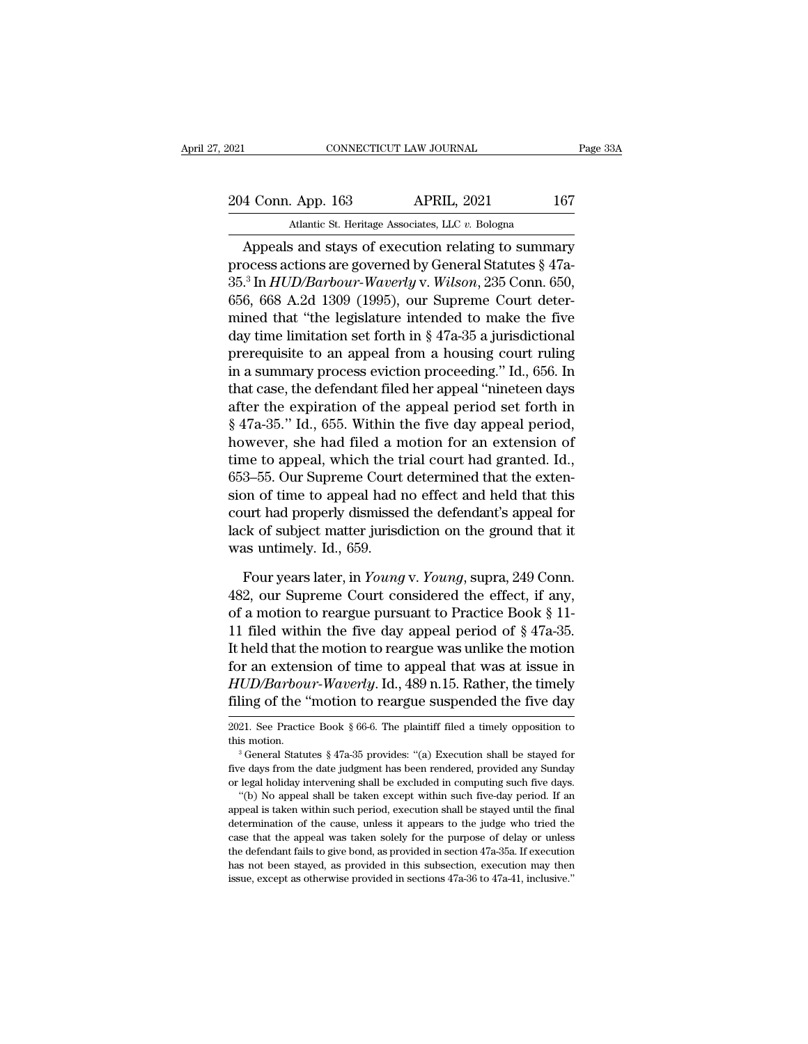2021 CONNECTICUT LAW JOURNAL Page 33A<br>204 Conn. App. 163 APRIL, 2021 167<br>Atlantic St. Heritage Associates, LLC v. Bologna EXECUTE AN JOURNAL<br>
204 Conn. App. 163 APRIL, 2021 167<br>
Atlantic St. Heritage Associates, LLC *v.* Bologna<br>
Appeals and stays of execution relating to summary

CONNECTICUT LAW JOURNAL Page 33A<br>
4 Conn. App. 163 APRIL, 2021 167<br>
Atlantic St. Heritage Associates, LLC v. Bologna<br>
Appeals and stays of execution relating to summary<br>
ocess actions are governed by General Statutes § 47a 204 Conn. App. 163 APRIL, 2021 167<br>Atlantic St. Heritage Associates, LLC v. Bologna<br>Appeals and stays of execution relating to summary<br>process actions are governed by General Statutes § 47a-<br>35.<sup>3</sup> In *HUD/Barbour-Waverly* 204 Conn. App. 163 APRIL, 2021 167<br>Atlantic St. Heritage Associates, LLC v. Bologna<br>Appeals and stays of execution relating to summary<br>process actions are governed by General Statutes § 47a-<br>35.<sup>3</sup> In *HUD/Barbour-Waverly* 204 Conn. App. 163 APRIL, 2021 167<br>Atlantic St. Heritage Associates, LLC v. Bologna<br>Appeals and stays of execution relating to summary<br>process actions are governed by General Statutes § 47a-<br>35.<sup>3</sup> In *HUD/Barbour-Waverly* Atlantic St. Heritage Associates, LLC v. Bologna<br>
Appeals and stays of execution relating to summary<br>
process actions are governed by General Statutes § 47a-<br>
35.<sup>3</sup> In *HUD/Barbour-Waverly v. Wilson*, 235 Conn. 650,<br>
656 Analist St. Henage Associates, ELC *t.* Bologna<br>
Appeals and stays of execution relating to summary<br>
process actions are governed by General Statutes § 47a-<br>
35.<sup>3</sup> In *HUD/Barbour-Waverly v. Wilson*, 235 Conn. 650,<br>
656, Appeals and stays of execution relating to summary<br>process actions are governed by General Statutes § 47a-<br>35.<sup>3</sup> In *HUD/Barbour-Waverly v. Wilson*, 235 Conn. 650,<br>656, 668 A.2d 1309 (1995), our Supreme Court deter-<br>mine process actions are governed by General Statutes  $\S$  47a-<br>35.<sup>3</sup> In *HUD/Barbour-Waverly v. Wilson*, 235 Conn. 650,<br>656, 668 A.2d 1309 (1995), our Supreme Court deter-<br>mined that "the legislature intended to make the five 35.<sup>3</sup> In *HUD/Barbour-Waverly v. Wilson*, 235 Conn. 650, 656, 668 A.2d 1309 (1995), our Supreme Court determined that "the legislature intended to make the five day time limitation set forth in § 47a-35 a jurisdictional 656, 668 A.2d 1309 (1995), our Supreme Court deter-<br>mined that "the legislature intended to make the five<br>day time limitation set forth in § 47a-35 a jurisdictional<br>prerequisite to an appeal from a housing court ruling<br>in mined that "the legislature intended to make the five<br>day time limitation set forth in  $\S 47a-35$  a jurisdictional<br>prerequisite to an appeal from a housing court ruling<br>in a summary process eviction proceeding." Id., 656. day time limitation set forth in § 47a-35 a jurnsdictional<br>prerequisite to an appeal from a housing court ruling<br>in a summary process eviction proceeding." Id., 656. In<br>that case, the defendant filed her appeal "nineteen prerequisite to an appeal from a housing court ruling<br>in a summary process eviction proceeding." Id., 656. In<br>that case, the defendant filed her appeal "nineteen days<br>after the expiration of the appeal period set forth in<br> in a summary process eviction proceeding." Id., 656. In<br>that case, the defendant filed her appeal "nineteen days<br>after the expiration of the appeal period set forth in<br> $§ 47a-35$ ." Id., 655. Within the five day appeal per that case, the defendant filed her appeal "nineteen days<br>after the expiration of the appeal period set forth in<br>§ 47a-35." Id., 655. Within the five day appeal period,<br>however, she had filed a motion for an extension of<br>ti after the expiration of the appeal period set forth in  $\S$  47a-35." Id., 655. Within the five day appeal period, however, she had filed a motion for an extension of time to appeal, which the trial court had granted. Id., § 47a-35.7 Id., 655. Within the five day appeal period,<br>however, she had filed a motion for an extension of<br>time to appeal, which the trial court had granted. Id.,<br>653–55. Our Supreme Court determined that the exten-<br>sion however, she had filed a n<br>time to appeal, which the t:<br>653–55. Our Supreme Court<br>sion of time to appeal had r<br>court had properly dismissee<br>lack of subject matter jurisd<br>was untimely. Id., 659.<br>Four years later, in *Young* 3–55. Our Supreme Court determined that the exten-<br>on of time to appeal had no effect and held that this<br>urt had properly dismissed the defendant's appeal for<br>ck of subject matter jurisdiction on the ground that it<br>as unti sion of time to appeal had no effect and held that this<br>court had properly dismissed the defendant's appeal for<br>lack of subject matter jurisdiction on the ground that it<br>was untimely. Id., 659.<br>Four years later, in *Young* 

court had properly dismissed the defendant's appeal for<br>lack of subject matter jurisdiction on the ground that it<br>was untimely. Id., 659.<br>Four years later, in *Young* v. *Young*, supra, 249 Conn.<br>482, our Supreme Court co lack of subject matter jurisdiction on the ground that it<br>was untimely. Id., 659.<br>Four years later, in *Young* v. *Young*, supra, 249 Conn.<br>482, our Supreme Court considered the effect, if any,<br>of a motion to reargue purs was untimely. Id., 659.<br>
Four years later, in *Young* v. *Young*, supra, 249 Conn.<br>
482, our Supreme Court considered the effect, if any,<br>
of a motion to reargue pursuant to Practice Book § 11-<br>
11 filed within the five d Four years later, in *Young* v. *Young*, supra, 249 Conn.<br>482, our Supreme Court considered the effect, if any,<br>of a motion to reargue pursuant to Practice Book § 11-<br>11 filed within the five day appeal period of § 47a-35 Four years later, in *Young* v. *Young*, supra, 249 Conn.<br>482, our Supreme Court considered the effect, if any,<br>of a motion to reargue pursuant to Practice Book § 11-<br>11 filed within the five day appeal period of § 47a-35. 482, our Supreme Court considered the effect, if any,<br>of a motion to reargue pursuant to Practice Book § 11-<br>11 filed within the five day appeal period of § 47a-35.<br>It held that the motion to reargue was unlike the motion It held that the motion to reargue was unlike the motion<br>for an extension of time to appeal that was at issue in<br> $HUD/Barbour-Waverly$ . Id., 489 n.15. Rather, the timely<br>filing of the "motion to reargue suspended the five day<br> $\frac{2$ for an extension of time to appeal that was at issue in  $HUD/Barbour-Waverly$ . Id., 489 n.15. Rather, the timely filing of the "motion to reargue suspended the five day  $2021$ . See Practice Book § 66-6. The plaintiff filed a timely

This motion.<br>
Altis motion.<br>  $\alpha$  3 General Statutes § 47a-35 provides: "(a) Execution shall be stayed for<br>
five days from the date judgment has been rendered, provided any Sunday<br>
or legal holiday intervening shall be ex <sup>a</sup> <sup>3</sup> General Statutes § 47a-35 provides: "(a) Execution shall be stayed for<br><sup>a</sup> <sup>3</sup> General Statutes § 47a-35 provides: "(a) Execution shall be imposed any Sunday<br>or legal holiday intervening shall be excluded in compu five days from the date judgment has been rendered, provided any Sunday or legal holiday intervening shall be excluded in computing such five days. "(b) No appeal shall be taken except within such five-day period. If an ap the defendant fails to give bond, as provided in computing such five days.<br>
"(b) No appeal shall be taken except within such five-day period. If an<br>
appeal is taken within such period, execution shall be stayed until the f "(b) No appeal shall be taken except within such five-day period. If an appeal is taken within such period, execution shall be stayed until the final determination of the cause, unless it appears to the judge who tried th appeal is taken within such period, execution shall be stayed until the final determination of the cause, unless it appears to the judge who tried the case that the appeal was taken solely for the purpose of delay or unle

filing of the "motion to reargue suspended the five day<br>2021. See Practice Book § 66-6. The plaintiff filed a timely opposition to<br>this motion.<br><sup>3</sup> General Statutes § 47a-35 provides: "(a) Execution shall be stayed for<br>fi or life intotion to reargue susperious the five day<br>
2021. See Practice Book § 66-6. The plaintiff filed a timely opposition to<br>
<sup>3</sup> General Statutes § 47a-35 provides: "(a) Execution shall be stayed for<br>
five days from th 21. See Practice Book § 66-6. The plaintiff filed a timely opposition to<br>is motion.<br><sup>3</sup> General Statutes § 47a-35 provides: "(a) Execution shall be stayed for<br>e days from the date judgment has been rendered, provided any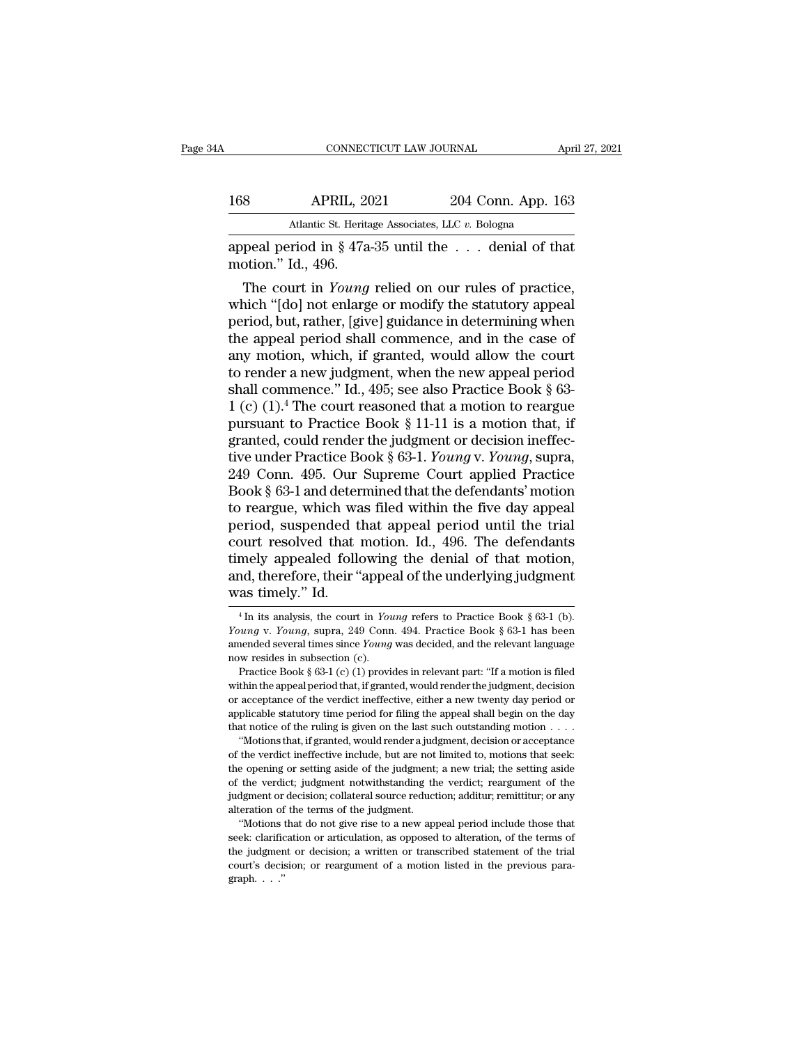| A   | CONNECTICUT LAW JOURNAL                                                      |                    | April 27, 2021 |
|-----|------------------------------------------------------------------------------|--------------------|----------------|
|     |                                                                              |                    |                |
| 168 | <b>APRIL, 2021</b>                                                           | 204 Conn. App. 163 |                |
|     | Atlantic St. Heritage Associates, LLC v. Bologna                             |                    |                |
|     | appeal period in $\S 47a-35$ until the  denial of that<br>motion." Id., 496. |                    |                |
|     | The court in <i>Young</i> relied on our rules of practice,                   |                    |                |

APRIL, 2021 204 Conn. App. 163<br>
Atlantic St. Heritage Associates, LLC v. Bologna<br>
peal period in § 47a-35 until the ... denial of that<br>
otion." Id., 496.<br>
The court in *Young* relied on our rules of practice,<br>
nich "[do] n 168 APRIL, 2021 204 Conn. App. 163<br>
Atlantic St. Heritage Associates, LLC  $v$ . Bologna<br>
appeal period in § 47a-35 until the . . . denial of that<br>
motion." Id., 496.<br>
The court in *Young* relied on our rules of practice,<br> Atlantic St. Heritage Associates, LLC v. Bologna<br>
appeal period in § 47a-35 until the . . . denial of that<br>
motion." Id., 496.<br>
The court in *Young* relied on our rules of practice,<br>
which "[do] not enlarge or modify the s appeal period in § 47a-35 until the  $\ldots$  denial of that<br>motion." Id., 496.<br>The court in *Young* relied on our rules of practice,<br>which "[do] not enlarge or modify the statutory appeal<br>period, but, rather, [give] guidance appeal period in § 47a-35 until the . . . denial of that<br>motion." Id., 496.<br>The court in *Young* relied on our rules of practice,<br>which "[do] not enlarge or modify the statutory appeal<br>period, but, rather, [give] guidance motion. 1d., 496.<br>
The court in *Young* relied on our rules of practice,<br>
which "[do] not enlarge or modify the statutory appeal<br>
period, but, rather, [give] guidance in determining when<br>
the appeal period shall commence, The court in *Young* relied on our rules of practice,<br>which "[do] not enlarge or modify the statutory appeal<br>period, but, rather, [give] guidance in determining when<br>the appeal period shall commence, and in the case of<br>an which "[do] not enlarge or modify the statutory appeal<br>period, but, rather, [give] guidance in determining when<br>the appeal period shall commence, and in the case of<br>any motion, which, if granted, would allow the court<br>to r period, but, rather, [give] guidance in determining when<br>the appeal period shall commence, and in the case of<br>any motion, which, if granted, would allow the court<br>to render a new judgment, when the new appeal period<br>shall the appeal period shall commence, and in the case of<br>any motion, which, if granted, would allow the court<br>to render a new judgment, when the new appeal period<br>shall commence." Id., 495; see also Practice Book § 63-<br>1 (c) any motion, which, if granted, would allow the court<br>to render a new judgment, when the new appeal period<br>shall commence." Id., 495; see also Practice Book § 63-<br>1 (c) (1).<sup>4</sup> The court reasoned that a motion to reargue<br>pu to render a new judgment, when the new appeal period<br>shall commence." Id., 495; see also Practice Book § 63-<br>1 (c)  $(1).<sup>4</sup>$  The court reasoned that a motion to reargue<br>pursuant to Practice Book § 11-11 is a motion tha shall commence." Id., 495; see also Practice Book § 63-1 (c) (1).<sup>4</sup> The court reasoned that a motion to reargue<br>pursuant to Practice Book § 11-11 is a motion that, if<br>granted, could render the judgment or decision ineffe 1 (c)  $(1)^4$  The court reasoned that a motion to reargue<br>pursuant to Practice Book § 11-11 is a motion that, if<br>granted, could render the judgment or decision ineffec-<br>tive under Practice Book § 63-1. *Young v. Young*, su pursuant to Practice Book § 11-11 is a motion that, if granted, could render the judgment or decision ineffec-<br>tive under Practice Book § 63-1. *Young v. Young*, supra,<br>249 Conn. 495. Our Supreme Court applied Practice<br>Boo granted, could render the judgment or decision ineffective under Practice Book § 63-1. *Young* v. *Young*, supra, 249 Conn. 495. Our Supreme Court applied Practice Book § 63-1 and determined that the defendants' motion to tive under Practice Book § 63-1. *Young* v. *Young*, supra,<br>249 Conn. 495. Our Supreme Court applied Practice<br>Book § 63-1 and determined that the defendants' motion<br>to reargue, which was filed within the five day appeal<br>pe 249 Conn. 495. Our Supreme Court applied Practice<br>Book § 63-1 and determined that the defendants' motion<br>to reargue, which was filed within the five day appeal<br>period, suspended that appeal period until the trial<br>court res Book § 63-1 and deter<br>to reargue, which was<br>period, suspended t<br>court resolved that<br>timely appealed followed and, therefore, their "<br>was timely." Id. bout resolved that motion. Id., 496. The defendants<br>mely appealed following the denial of that motion,<br>nd, therefore, their "appeal of the underlying judgment<br>as timely." Id.<br><sup>4</sup>In its analysis, the court in *Young* refers timely appealed following the denial of that motion,<br>and, therefore, their "appeal of the underlying judgment<br>was timely." Id.<br><sup>4</sup> In its analysis, the court in *Young* refers to Practice Book § 63-1 (b).<br>*Young* v. *Young* 

or acceptance of the verdict ineffective, either a new twenty day period or applicable statutory time period for filing the appeal shall begin on the day that notice of the ruling is given on the last such outstanding moti applicable statutory time period for filing the appeal shall begin on the day<br>that notice of the ruling is given on the last such outstanding motion  $\dots$ <br>"Motions that, if granted, would render a judgment, decision or acc that notice of the ruling is given on the last such outstanding motion  $\ldots$  "Motions that, if granted, would render a judgment, decision or acceptance of the verdict ineffective include, but are not limited to, motions t alterative increases in the verdict, if granted, would render a jud of the verdict ineffective include, but are not the opening or setting aside of the judgment; of the verdict; judgment notwithstanding the judgment or dec The wordict ineffective include, but are not limited to, motions that seek:<br>the verdict ineffective include, but are not limited to, motions that seek:<br>e opening or setting aside of the judgment; a new trial; the setting a the opening or setting aside of the judgment; a new trial; the setting aside of the verdict; judgment notwithstanding the verdict; reargument of the judgment or decision; collateral source reduction; additur; remittitur; o alteration of the terms of the judgment.

% of the verdict; judgment notwithstanding the verdict; reargument of the judgment or decision; collateral source reduction; additur; remittitur; or any alteration of the terms of the judgment. "Motions that do not give r "Motions that do not give rise to a new appeal period include those that

and, therefore, their "appeal of the underlying judgment<br>was timely." Id.<br> $\frac{4}{1}$  in its analysis, the court in *Young* refers to Practice Book § 63-1 (b).<br>*Young* v. *Young*, supra, 249 Conn. 494. Practice Book § 63-1 <sup>4</sup> In its analysis, the court in *Young* refers to Practice Book § 63-1 (b).<br>*Young* v. *Young*, supra, 249 Conn. 494. Practice Book § 63-1 has been amended several times since *Young* was decided, and the relevant langu **28 UIIIEIJY.** IQ.<br>
<sup>4</sup> In its analysis, the court in *Young* refers to Practice Book § 63-1 (b).<br> *nung* v. *Young*, supra, 249 Conn. 494. Practice Book § 63-1 has been<br>
eended several times since *Young* was decided, an <sup>4</sup> In its analysis, the court in *Young* refers to Practice Book § 63-1 (b).<br> *Young* v. *Young*, supra, 249 Conn. 494. Practice Book § 63-1 has been<br>
amended several times since *Young* was decided, and the relevant lan

Young v. Young, supra, 249 Conn. 494. Practice Book § 63-1 has been<br>amended several times since *Young* was decided, and the relevant language<br>now resides in subsection (c).<br>Practice Book § 63-1 (c) (1) provides in releva Found several times since *Young* was decided, and the relevant language now resides in subsection (c).<br>
Practice Book § 63-1 (c) (1) provides in relevant part: "If a motion is filed within the appeal period that, if gran how resides in subsection (c).<br>
Practice Book § 63-1 (c) (1) provides in relevant part: "If a motion is filed<br>
within the appeal period that, if granted, would render the judgment, decision<br>
or acceptance of the verdict i Practice Book § 63-1 (c) (1) provides in relevant part: "If a motion is filed thin the appeal period that, if granted, would render the judgment, decision acceptance of the verdict ineffective, either a new twenty day per within the appeal period that, if granted, would render the judgment, decision or acceptance of the verdict ineffective, either a new twenty day period or applicable statutory time period for filing the appeal shall begin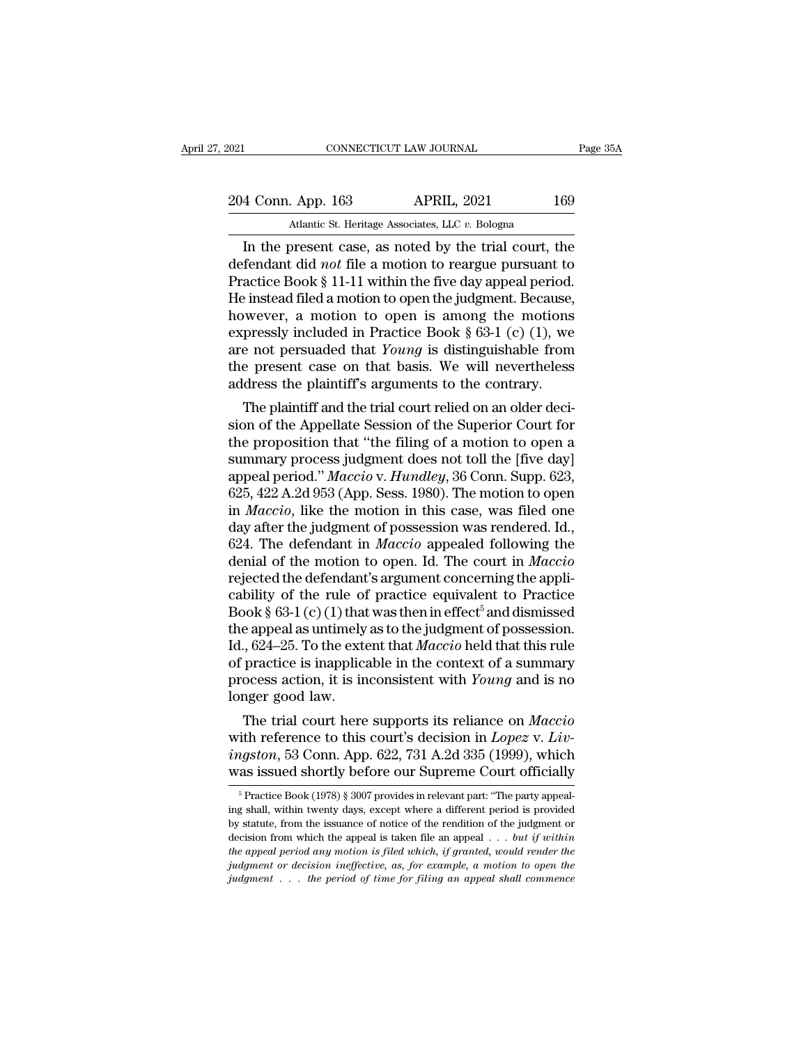| 2021               |  | CONNECTICUT LAW JOURNAL                               | Page 35A |
|--------------------|--|-------------------------------------------------------|----------|
| 204 Conn. App. 163 |  | <b>APRIL, 2021</b>                                    | 169      |
|                    |  | Atlantic St. Heritage Associates, LLC v. Bologna      |          |
|                    |  | In the present case, as noted by the trial court, the |          |

CONNECTICUT LAW JOURNAL Page 35A<br>
4 Conn. App. 163 APRIL, 2021 169<br>
Atlantic St. Heritage Associates, LLC v. Bologna<br>
In the present case, as noted by the trial court, the<br>
fendant did *not* file a motion to reargue pursua 204 Conn. App. 163 APRIL, 2021 169<br>Atlantic St. Heritage Associates, LLC v. Bologna<br>In the present case, as noted by the trial court, the<br>defendant did *not* file a motion to reargue pursuant to<br>Practice Book § 11-11 withi 204 Conn. App. 163 APRIL, 2021 169<br>Atlantic St. Heritage Associates, LLC v. Bologna<br>In the present case, as noted by the trial court, the<br>defendant did *not* file a motion to reargue pursuant to<br>Practice Book § 11-11 with 204 Conn. App. 163 APRIL, 2021 169<br>
Atlantic St. Heritage Associates, LLC v. Bologna<br>
In the present case, as noted by the trial court, the<br>
defendant did *not* file a motion to reargue pursuant to<br>
Practice Book § 11-11 Atlantic St. Heritage Associates, LLC v. Bologna<br>
In the present case, as noted by the trial court, the<br>
defendant did *not* file a motion to reargue pursuant to<br>
Practice Book § 11-11 within the five day appeal period.<br> Atlantic St. Heritage Associates, LLC v. Bologna<br>
In the present case, as noted by the trial court, the<br>
defendant did *not* file a motion to reargue pursuant to<br>
Practice Book § 11-11 within the five day appeal period.<br> In the present case, as noted by the trial court, the<br>defendant did *not* file a motion to reargue pursuant to<br>Practice Book § 11-11 within the five day appeal period.<br>He instead filed a motion to open the judgment. Becau defendant did *not* file a motion to reargue pursuant to<br>Practice Book § 11-11 within the five day appeal period.<br>He instead filed a motion to open the judgment. Because,<br>however, a motion to open is among the motions<br>exp Practice Book § 11-11 within the five day appeal period.<br>He instead filed a motion to open the judgment. Because,<br>however, a motion to open is among the motions<br>expressly included in Practice Book § 63-1 (c) (1), we<br>are n Firstead thed a modon to open the judgment. Because,<br>wever, a motion to open is among the motions<br>pressly included in Practice Book § 63-1 (c) (1), we<br>e not persuaded that *Young* is distinguishable from<br>e present case on mowever, a motion to open is among the motions<br>expressly included in Practice Book § 63-1 (c) (1), we<br>are not persuaded that *Young* is distinguishable from<br>the present case on that basis. We will nevertheless<br>address the

Expressly included in Fractice Book  $\S$  05-1 (C) (1), we<br>are not persuaded that *Young* is distinguishable from<br>the present case on that basis. We will nevertheless<br>address the plaintiff's arguments to the contrary.<br>The p are not persuaded that *Toung* is distinguishable from<br>the present case on that basis. We will nevertheless<br>address the plaintiff's arguments to the contrary.<br>The plaintiff and the trial court relied on an older deci-<br>sion and a present case on that basis. We will nevertheress<br>address the plaintiff's arguments to the contrary.<br>The plaintiff and the trial court relied on an older deci-<br>sion of the Appellate Session of the Superior Court for<br>t address the plaintiff and the trial court relied on an older decision of the Appellate Session of the Superior Court for the proposition that "the filing of a motion to open a summary process judgment does not toll the [fi The plaintiff and the trial court relied on an older decision of the Appellate Session of the Superior Court for<br>the proposition that "the filing of a motion to open a<br>summary process judgment does not toll the [five day]<br> sion of the Appellate Session of the Superior Court for<br>the proposition that "the filing of a motion to open a<br>summary process judgment does not toll the [five day]<br>appeal period." *Maccio* v. Hundley, 36 Conn. Supp. 623, the proposition that "the filing of a motion to open a<br>summary process judgment does not toll the [five day]<br>appeal period." *Maccio* v. *Hundley*, 36 Conn. Supp. 623,<br>625, 422 A.2d 953 (App. Sess. 1980). The motion to ope summary process judgment does not toll the [five day]<br>appeal period." *Maccio* v. *Hundley*, 36 Conn. Supp. 623,<br>625, 422 A.2d 953 (App. Sess. 1980). The motion to open<br>in *Maccio*, like the motion in this case, was filed appeal period." *Maccio* v. *Hundley*, 36 Conn. Supp. 623, 625, 422 A.2d 953 (App. Sess. 1980). The motion to open<br>in *Maccio*, like the motion in this case, was filed one<br>day after the judgment of possession was rendered 625, 422 A.2d 953 (App. Sess. 1980). The motion to open<br>in *Maccio*, like the motion in this case, was filed one<br>day after the judgment of possession was rendered. Id.,<br>624. The defendant in *Maccio* appealed following th in *Maccio*, like the motion in this case, was filed one<br>day after the judgment of possession was rendered. Id.,<br>624. The defendant in *Maccio* appealed following the<br>denial of the motion to open. Id. The court in *Maccio* day after the judgment of possession was rendered. Id., 624. The defendant in *Maccio* appealed following the denial of the motion to open. Id. The court in *Maccio* rejected the defendant's argument concerning the applic 624. The defendant in *Maccio* appealed following the<br>denial of the motion to open. Id. The court in *Maccio*<br>rejected the defendant's argument concerning the appli-<br>cability of the rule of practice equivalent to Practice denial of the motion to open. Id. The court in *Maccio*<br>rejected the defendant's argument concerning the appli-<br>cability of the rule of practice equivalent to Practice<br>Book § 63-1 (c) (1) that was then in effect<sup>5</sup> and di rejected the defendant's argument concerning the applicability of the rule of practice equivalent to Practice Book § 63-1 (c) (1) that was then in effect<sup>5</sup> and dismissed the appeal as untimely as to the judgment of posses cability of the rule of<br>Book  $\S$  63-1 (c) (1) that<br>the appeal as untimely<br>Id., 624–25. To the exte<br>of practice is inapplica<br>process action, it is in<br>longer good law.<br>The trial court here bok s 63-1 (C) (1) that was then in effect and dismissed<br>e appeal as untimely as to the judgment of possession.<br>., 624–25. To the extent that *Maccio* held that this rule<br>practice is inapplicable in the context of a summa Id., 624–25. To the extent that *Maccio* held that this rule<br>of practice is inapplicable in the context of a summary<br>process action, it is inconsistent with *Young* and is no<br>longer good law.<br>The trial court here supports

*id.*, 024–25. To the extent that *Maccio* neid that this rule<br>of practice is inapplicable in the context of a summary<br>process action, it is inconsistent with *Young* and is no<br>longer good law.<br>The trial court here support or practice is mappicable in the context or a summary<br>process action, it is inconsistent with *Young* and is no<br>longer good law.<br>The trial court here supports its reliance on *Maccio*<br>with reference to this court's decisi The trial court here supports its reliance on *Maccio*<br>ith reference to this court's decision in *Lopez* v. *Liv-*<br>*igston*, 53 Conn. App. 622, 731 A.2d 335 (1999), which<br>as issued shortly before our Supreme Court official with reference to this court's decision in *Lopez* v. *Livingston*, 53 Conn. App. 622, 731 A.2d 335 (1999), which was issued shortly before our Supreme Court officially  $\frac{5}{\pi}$  Practice Book (1978) § 3007 provides in r

*ingston*, 53 Conn. App. 622, 731 A.2d 335 (1999), which was issued shortly before our Supreme Court officially  $\frac{1}{\sqrt{2}}$  Practice Book (1978) § 3007 provides in relevant part: "The party appealing shall, within twenty decision, 59 Column Hype. 522, 101 11.2d 559 (1000), which<br>was issued shortly before our Supreme Court officially<br>in <sup>5</sup> Practice Book (1978) § 3007 provides in relevant part: "The party appeal-<br>ing shall, within twenty da *the appeal and the appeal shortly before our supreme Court officially***<br>
<sup>5</sup> Practice Book (1978) § 3007 provides in relevant part: "The party appealing shall, within twenty days, except where a different period is provid** <sup>5</sup> Practice Book (1978) § 3007 provides in relevant part: "The party appealing shall, within twenty days, except where a different period is provided by statute, from the issuance of notice of the rendition of the judgme *ing shall, within twenty days, except where a different period is provided by statute, from the issuance of notice of the rendition of the judgment or decision from which the appeal is taken file an appeal ... but if with*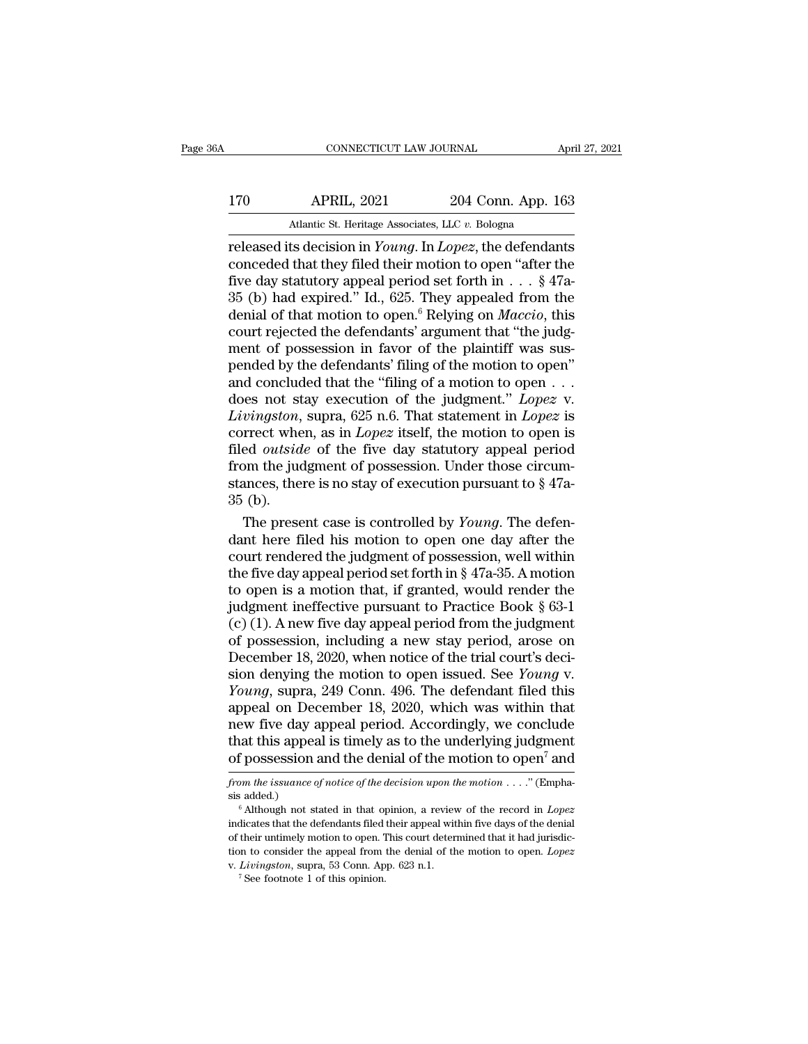|                    | April 27, 2021     |                                                                             |
|--------------------|--------------------|-----------------------------------------------------------------------------|
| <b>APRIL, 2021</b> | 204 Conn. App. 163 |                                                                             |
|                    |                    |                                                                             |
|                    |                    | CONNECTICUT LAW JOURNAL<br>Atlantic St. Heritage Associates, LLC v. Bologna |

released its decision in *Young*. In *Lopez*, the defendants<br>
released its decision in *Young*. In *Lopez*, the defendants<br>
conceded that they filed their motion to open "after the<br>
five day statutory appeal period set for 170 APRIL, 2021 204 Conn. App. 163<br>Atlantic St. Heritage Associates, LLC v. Bologna<br>Treleased its decision in *Young*. In *Lopez*, the defendants<br>conceded that they filed their motion to open "after the<br>five day statutory 170 APRIL, 2021 204 Conn. App. 163<br>Atlantic St. Heritage Associates, LLC v. Bologna<br>released its decision in *Young*. In *Lopez*, the defendants<br>conceded that they filed their motion to open "after the<br>five day statutory 170 APRIL, 2021 204 Conn. App. 163<br>Atlantic St. Heritage Associates, LLC v. Bologna<br>
released its decision in *Young*. In *Lopez*, the defendants<br>
conceded that they filed their motion to open "after the<br>
five day statuto Atlantic St. Heritage Associates, LLC v. Bologna<br>
released its decision in *Young*. In *Lopez*, the defendants<br>
conceded that they filed their motion to open "after the<br>
five day statutory appeal period set forth in . . . Atlantic St. Heritage Associates, LLC v. Bologna<br>
released its decision in *Young*. In *Lopez*, the defendants<br>
conceded that they filed their motion to open "after the<br>
five day statutory appeal period set forth in  $\dots$  released its decision in *Young*. In *Lopez*, the defendants<br>conceded that they filed their motion to open "after the<br>five day statutory appeal period set forth in  $\dots$  § 47a-<br>35 (b) had expired." Id., 625. They appealed conceded that they filed their motion to open "after the<br>five day statutory appeal period set forth in . . . § 47a-<br>35 (b) had expired." Id., 625. They appealed from the<br>denial of that motion to open.<sup>6</sup> Relying on *Macci* five day statutory appeal period set forth in . . . § 47a-<br>35 (b) had expired." Id., 625. They appealed from the<br>denial of that motion to open.<sup>6</sup> Relying on *Maccio*, this<br>court rejected the defendants' argument that "th 35 (b) had expired." Id., 625. They appealed from the denial of that motion to open.<sup>6</sup> Relying on *Maccio*, this court rejected the defendants' argument that "the judgment of possession in favor of the plaintiff was susp denial of that motion to open.<sup>6</sup> Relying on *Maccio*, this<br>court rejected the defendants' argument that "the judg-<br>ment of possession in favor of the plaintiff was sus-<br>pended by the defendants' filing of the motion to op court rejected the defendants' argument that "the judgment of possession in favor of the plaintiff was sus-<br>pended by the defendants' filing of the motion to open"<br>and concluded that the "filing of a motion to open . . .<br>d ment of possession in favor of the plaintiff was sus-<br>pended by the defendants' filing of the motion to open"<br>and concluded that the "filing of a motion to open  $\dots$ <br>does not stay execution of the judgment." *Lopez* v.<br>*L* pended by the defendants' filing of the motion to open"<br>and concluded that the "filing of a motion to open . . .<br>does not stay execution of the judgment." *Lopez* v.<br>*Livingston*, supra, 625 n.6. That statement in *Lopez* and concluded that the "filing of a motion to open . . . does not stay execution of the judgment." *Lopez* v.<br>*Livingston*, supra, 625 n.6. That statement in *Lopez* is<br>correct when, as in *Lopez* itself, the motion to op does not st<br> *Livingston*,<br>
correct whe<br>
filed *outsid*<br>
from the jud<br>
stances, the<br>
35 (b).<br>
The prese *vingston*, supra, 625 n.6. That statement in *Lopez* is<br>rrect when, as in *Lopez* itself, the motion to open is<br>ed *outside* of the five day statutory appeal period<br>om the judgment of possession. Under those circum-<br>ances correct when, as in *Lopez* itself, the motion to open is<br>filed *outside* of the five day statutory appeal period<br>from the judgment of possession. Under those circum-<br>stances, there is no stay of execution pursuant to  $\S$ 

filed *outside* of the five day statutory appeal period<br>from the judgment of possession. Under those circum-<br>stances, there is no stay of execution pursuant to  $\S 47a-$ <br>35 (b).<br>The present case is controlled by *Young*. T from the judgment of possession. Under those circum-<br>stances, there is no stay of execution pursuant to § 47a-<br>35 (b).<br>The present case is controlled by *Young*. The defen-<br>dant here filed his motion to open one day after stances, there is no stay of execution pursuant to  $\S$  47a-35 (b).<br>The present case is controlled by *Young*. The defendant here filed his motion to open one day after the court rendered the judgment of possession, well w 35 (b).<br>The present case is controlled by *Young*. The defendant here filed his motion to open one day after the<br>court rendered the judgment of possession, well within<br>the five day appeal period set forth in § 47a-35. A m The present case is controlled by *Young*. The defen-<br>dant here filed his motion to open one day after the<br>court rendered the judgment of possession, well within<br>the five day appeal period set forth in § 47a-35. A motion<br> dant here filed his motion to open one day after the<br>court rendered the judgment of possession, well within<br>the five day appeal period set forth in § 47a-35. A motion<br>to open is a motion that, if granted, would render the court rendered the judgment of possession, well within<br>the five day appeal period set forth in § 47a-35. A motion<br>to open is a motion that, if granted, would render the<br>judgment ineffective pursuant to Practice Book § 63the five day appeal period set forth in § 47a-35. A motion<br>to open is a motion that, if granted, would render the<br>judgment ineffective pursuant to Practice Book § 63-1<br>(c) (1). A new five day appeal period from the judgmen to open is a motion that, if granted, would render the<br>judgment ineffective pursuant to Practice Book § 63-1<br>(c) (1). A new five day appeal period from the judgment<br>of possession, including a new stay period, arose on<br>Dece judgment ineffective pursuant to Practice Book § 63-1 (c) (1). A new five day appeal period from the judgment of possession, including a new stay period, arose on December 18, 2020, when notice of the trial court's decisi (c) (1). A new five day appeal period from the judgment<br>of possession, including a new stay period, arose on<br>December 18, 2020, when notice of the trial court's deci-<br>sion denying the motion to open issued. See *Young* v. of possession, including a new stay period, arose on<br>December 18, 2020, when notice of the trial court's deci-<br>sion denying the motion to open issued. See *Young* v.<br>*Young*, supra, 249 Conn. 496. The defendant filed this December 18, 2020, when notice of the trial court's decision denying the motion to open issued. See *Young* v. *Young*, supra, 249 Conn. 496. The defendant filed this appeal on December 18, 2020, which was within that new appeal on December 18, 2020, which was within that<br>new five day appeal period. Accordingly, we conclude<br>that this appeal is timely as to the underlying judgment<br>of possession and the denial of the motion to open<sup>7</sup> and<br>fro new five day :<br>that this appear<br>of possession<br>from the issuance of<br>sis added.)<br> $^6$ Although not s

that this appeal is timely as to the underlying judgment<br>of possession and the denial of the motion to open<sup>7</sup> and<br>*from the issuance of notice of the decision upon the motion* . . . . " (Empha-<br>sis added.)<br><sup>6</sup> Although n of possession and the denial of the motion to open<sup>7</sup> and<br>from the issuance of notice of the decision upon the motion . . . ." (Empha-<br>sis added.)<br><sup>6</sup> Although not stated in that opinion, a review of the record in *Lopez* indicates that the defendants filed their appeal within five days of the denial of their untimely motion to open. This court determined that it had jurisdiction to consider the appeal from the denial of the motion to open from the issuance of notice of the decision upon the motion  $\ldots$ ." (Emphasis added.)<br>
<sup>6</sup> Although not stated in that opinion, a review of the record in *Lopez*<br>
indicates that the defendants filed their appeal within fi <sup>s</sup>. Suppresses a between the defendants filed their appear in that opinion, a review indicates that the defendants filed their appeal wit of their untimely motion to open. This court determ to consider the appeal from the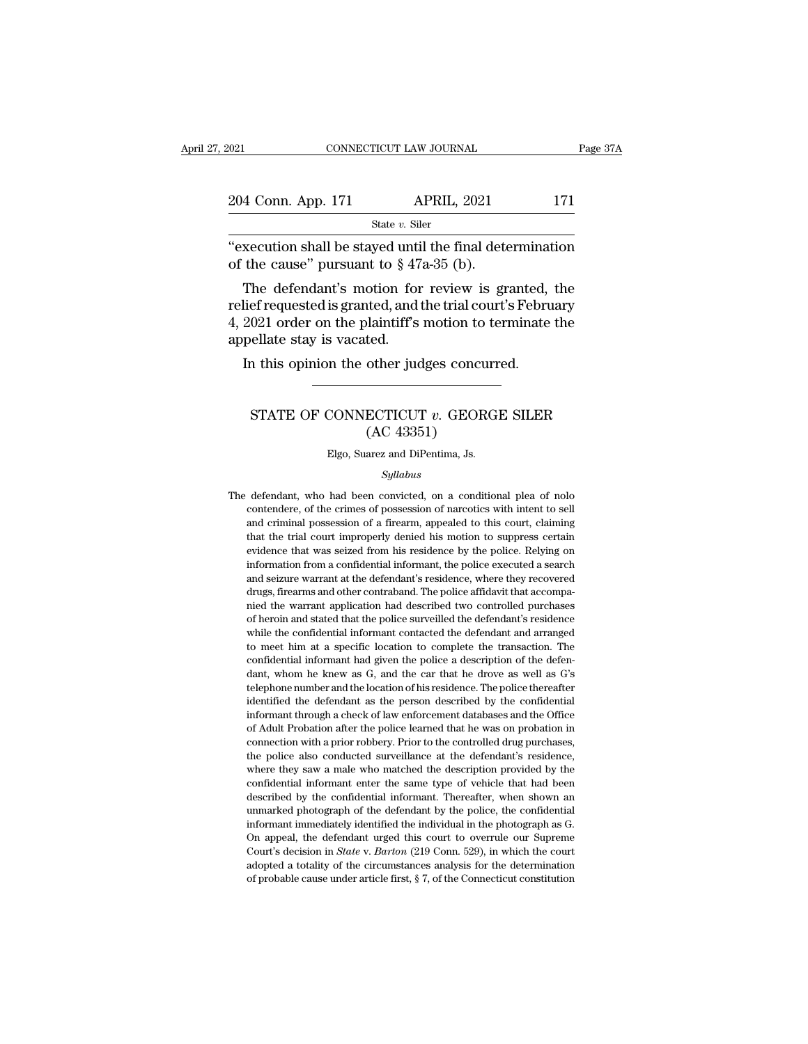| 2021                                                                                                   |                | CONNECTICUT LAW JOURNAL |     | Page 37A |
|--------------------------------------------------------------------------------------------------------|----------------|-------------------------|-----|----------|
| 204 Conn. App. 171                                                                                     |                | <b>APRIL, 2021</b>      | 171 |          |
|                                                                                                        | State v. Siler |                         |     |          |
| "execution shall be stayed until the final determination<br>of the cause" pursuant to $\S$ 47a-35 (b). |                |                         |     |          |
| The defendant's motion for review is granted, the                                                      |                |                         |     |          |

4 Conn. App. 171 APRIL, 2021 171<br>
State v. Siler<br>
xecution shall be stayed until the final determination<br>
the cause" pursuant to § 47a-35 (b).<br>
The defendant's motion for review is granted, the<br>
lief requested is granted, 204 Conn. App. 171 APRIL, 2021 171<br>
State v. Siler<br>
"execution shall be stayed until the final determination<br>
of the cause" pursuant to  $\S 47a-35$  (b).<br>
The defendant's motion for review is granted, the<br>
relief requested <sup>53</sup> State *v*. Siler<br>
"execution shall be stayed until the final determination<br>
of the cause" pursuant to § 47a-35 (b).<br>
The defendant's motion for review is granted, the<br>
relief requested is granted, and the trial court "execution shall be stayed untiof the cause" pursuant to  $\S$  47<br>The defendant's motion for relief requested is granted, and<br>4, 2021 order on the plaintiff's<br>appellate stay is vacated.<br>In this opinion the other juc the cause" pursuant to  $\S$  47a-35 (b).<br>The defendant's motion for review is granted,<br>lief requested is granted, and the trial court's Febru<br>2021 order on the plaintiff's motion to terminate<br>pellate stay is vacated.<br>In thi Electrical Sylanted, and the trial court s February<br>021 order on the plaintiff's motion to terminate the<br>ellate stay is vacated.<br>n this opinion the other judges concurred.<br>STATE OF CONNECTICUT *v*. GEORGE SILER<br>(AC 43351)

### $\begin{align*} \text{the equation of the equation} \ \text{the equation} \ \text{the equation} \ \text{the equation} \ \text{the equation} \ \text{the equation} \ \text{the equation} \ \text{the equation} \ \text{the equation} \ \text{the equation} \ \text{the equation} \ \text{the equation} \ \text{the equation} \ \text{the equation} \ \text{the equation} \ \text{the equation} \ \text{the equation} \ \text{the equation} \ \text{the equation} \ \text{the equation} \ \text{the equation} \ \text{the equation} \ \text{the equation} \ \text{the equation} \ \text{the equation} \ \text{the equation} \ \text{the equation} \ \text{the equation} \ \text{the equation} \ \text{the equation} \ \$ CONNECTICUT v. GEORG<br>
(AC 43351)<br>
Elgo, Suarez and DiPentima, Js.<br>
Syllabus

### *Syllabus*

 $(AC 43351)$ <br>
Elgo, Suarez and DiPentima, Js.<br>
Syllabus<br>
The defendant, who had been convicted, on a conditional plea of nolo contendere, of the crimes of possession of narcotics with intent to sell  $(AC 43351)$ <br>Elgo, Suarez and DiPentima, Js.<br>Syllabus<br>defendant, who had been convicted, on a conditional plea of nolo<br>contendere, of the crimes of possession of narcotics with intent to sell<br>and criminal possession of a f Elgo, Suarez and DiPentima, Js.<br>
Syllabus<br>
defendant, who had been convicted, on a conditional plea of nolo<br>
contendere, of the crimes of possession of narcotics with intent to sell<br>
and criminal possession of a firearm, a Syllabus<br>Syllabus<br>defendant, who had been convicted, on a conditional plea of nolo<br>contendere, of the crimes of possession of narcotics with intent to sell<br>and criminal possession of a firearm, appealed to this court, clai Syllabus<br>defendant, who had been convicted, on a conditional plea of nolo<br>contendere, of the crimes of possession of narcotics with intent to sell<br>and criminal possession of a firearm, appealed to this court, claiming<br>that defendant, who had been convicted, on a conditional plea of nolo contendere, of the crimes of possession of narcotics with intent to sell and criminal possession of a firearm, appealed to this court, claiming that the tria contendere, of the crimes of possession of narcotics with intent to sell<br>and criminal possession of a firearm, appealed to this court, claiming<br>that the trial court improperly denied his motion to suppress certain<br>evidence contendere, of the crimes of possession of narcotics with intent to sell<br>and criminal possession of a firearm, appealed to this court, claiming<br>that the trial court improperly denied his motion to suppress certain<br>evidence and chinanal possession of a medial, appear of an isomoromy denied that the trial court improperly denied his motion to suppress certain evidence that was seized from his residence by the police. Relying on information fro evidence that was seized from his residence by the police. Relying on information from a confidential informant, the police executed a search and seizure warrant at the defendant's residence, where they recovered drugs, fi evidence that was sensed from all restactive by the police excelled a search<br>and seizure warrant at the defendant's residence, where they recovered<br>drugs, firearms and other contraband. The police affidavit that accompa-<br>n Information from a confidential informati, are police checated a setarch<br>and seizure warrant at the defendant's residence, where they recovered<br>drugs, firearms and other contraband. The police affidavit that accompa-<br>nied while the confidential informant contacted the defendant and arranged<br>to meet him at a specific location to complete the transaction. The<br>confidential informant had given the police a description of the defen-<br>dant, whom dant, more as different and the container and described two controlled purchases of heroin and stated that the police surveilled the defendant is residence while the confidential informant contacted the defendant and arran the method and stated that the police surveilled the defendant's residence while the confidential informant contacted the defendant and arranged to meet him at a specific location to complete the transaction. The confident of heroid and stated and the point of the defendant and arranged to meet him at a specific location to complete the transaction. The confidential informant had given the police a description of the defendant, whom he knew information and a specific location to complete the transaction. The confidential informant had given the police a description of the defendant, whom he knew as G, and the car that he drove as well as G's telephone number of Adult Probation after the police and series are description of the defendant, whom he knew as G, and the car that he drove as well as G's telephone number and the location of his residence. The police thereafter identif connection with a prior in point of the car that he drove as well as G's<br>dant, whom he knew as G, and the car that he drove as well as G's<br>telephone number and the location of his residence. The police thereafter<br>identifie the police also conducted surveillance at the defendant's residence. The police thereafter identified the defendant as the person described by the confidential informant through a check of law enforcement databases and the dentified the defendant as the person described by the confidential<br>informant through a check of law enforcement databases and the Office<br>of Adult Probation after the police learned that he was on probation in<br>connection w informant through a check of law enforcement databases and the Office of Adult Probation after the police learned that he was on probation in connection with a prior robbery. Prior to the controlled drug purchases, the pol described by the confidential informant. Thereafter, when shown and confidential information after the police learned that he was on probation in connection with a prior robbery. Prior to the controlled drug purchases, the of ridaily resolution and a point of the controlled drug purchases, the police also conducted surveillance at the defendant's residence, where they saw a male who matched the description provided by the confidential inform information what a phot roosety. This to did controlled the goldenties, the police also conducted surveillance at the defendant's residence, where they saw a male who matched the description provided by the confidential in are police and contributed of an other<br>deferred the description provided by the<br>confidential informant enter the same type of vehicle that had been<br>described by the confidential informant. Thereafter, when shown an<br>unmarke of the confidential informant enter the same type of vehicle that had been described by the confidential informant. Thereafter, when shown an unmarked photograph of the defendant by the police, the confidential informant i described by the confidential informant. Thereafter, when shown an unmarked photograph of the defendant by the police, the confidential informant immediately identified the individual in the photograph as G. On appeal, th described by the confidential information. Therefore, the confidential informant immediately identified the individual in the photograph as G. On appeal, the defendant urged this court to overrule our Supreme Court's decis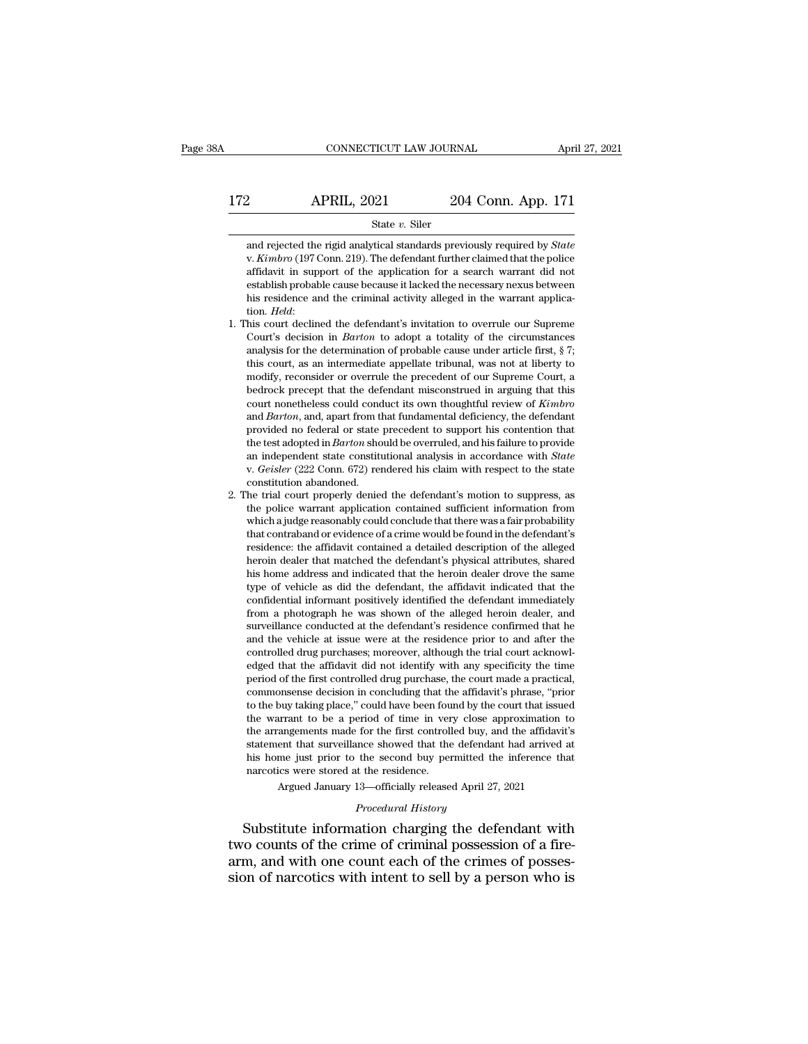$\begin{array}{r|l} \text{CONNECTICUT LAW JOURNAL} & \text{April 27, 2021} \\ \hline \text{172} & \text{APRIL, 2021} & \text{204 Conn. App. 171} \\ \hline \text{State } v. \text{ Siler} & \end{array}$ 

### State *v.* Siler

2 **and 1.2.1 2021** 204 Conn. App. 171<br>
State *v*. Siler<br>
and rejected the rigid analytical standards previously required by *State*<br>
v. *Kimbro* (197 Conn. 219). The defendant further claimed that the police<br>
affidavit in 2021 204 Conn. App. 171<br>
31 2021 204 Conn. App. 171<br>
204 Conn. App. 171<br>
204 Conn. 219<br>
204 Conn. App. 171<br>
204 Conn. App. 171<br>
204 Conn. 219<br>
204 Conn. App. 171<br>
204 Conn. 219<br>
204 Conn. 219<br>
204 Conn. Supported by *State* Establish probable cause because it lacked the necessary nexus between<br>the v. Kimbro (197 Conn. 219). The defendant further claimed that the police<br>affidavit in support of the application for a search warrant did not<br>esta State v. Siler<br>and rejected the rigid analytical standards previously required by *State*<br>v. *Kimbro* (197 Conn. 219). The defendant further claimed that the police<br>affidavit in support of the application for a search warr and rejected the rigid analytical standards previously required by *state* v. *Kimbro* (197 Conn. 219). The defendant further claimed that the police affidavit in support of the application for a search warrant did not est v. *Atmoro* (197 Conn. 219). The detendant further claimed that the poice affidavit in support of the application for a search warrant did not establish probable cause because it lacked the necessary nexus between his resi

- amaavit in support of the application for a search warrant did not establish probable cause because it lacked the necessary nexus between his residence and the criminal activity alleged in the warrant application. *Held*: establish probable cause because it lacked the necessary next<br>s between this residence and the criminal activity alleged in the warrant applica-<br>tion. *Held*:<br>his court declined the defendant's invitation to overrule our S model in the certain and the criminal activity and<br>get in the warrant application. Held:<br>his court declined the defendant's invitation to overrule our Supreme<br>Court's decision in *Barton* to adopt a totality of the circum uon. *Heut*:<br>his court declined the defendant's invitation to overrule our Supreme<br>Court's decision in *Barton* to adopt a totality of the circumstances<br>analysis for the determination of probable cause under article first the court decimed the defendant s invitation to overtue our supreme<br>Court's decision in *Barton* to adopt a totality of the circumstances<br>analysis for the determination of probable cause under article first, § 7;<br>this cour Court's decision in *Barton*, to adopt a totality of the circumstances analysis for the determination of probable cause under article first, § 7; this court, as an intermediate appellate tribunal, was not at liberty to mod analysis for the determination of probable cause under article inst,  $\frac{1}{2}$  if this court, as an intermediate appellate tribunal, was not at liberty to modify, reconsider or overrule the precedent of our Supreme Court, the test adopted in *Barton* should be overrule to show the should be one of the precedent of our Supreme Court, a bedrock precept that the defendant misconstrued in arguing that this court nonetheless could conduct its ow moduly, reconsider or overrule the precedent of our supreme Court, a<br>bedrock precept that the defendant misconstrued in arguing that this<br>court nonetheless could conduct its own thoughtful review of *Kimbro*<br>and *Barton*, court nonetneless could conca<br>and *Barton*, and, apart from the provided no federal or state<br>the test adopted in *Barton* sho<br>an independent state constitution *shandoned*.<br>be trial court properly denies and *Barton*, and, apart from that fundamental deficiency, the defendant<br>provided no federal or state precedent to support his contention that<br>the test adopted in *Barton* should be overruled, and his failure to provide<br>a provided no federal or state precedent to support his contention that<br>the test adopted in *Barton* should be overruled, and his failure to provide<br>an independent state constitutional analysis in accordance with *State*<br>v.
- the test adopted in *Barton* should be overruled, and his failure to provide<br>an independent state constitutional analysis in accordance with *State*<br>v. *Geisler* (222 Conn. 672) rendered his claim with respect to the state an maependent state constitutional analysis in accordance with *State* v. *Geisler* (222 Conn. 672) rendered his claim with respect to the state constitution abandoned.<br>He trial court properly denied the defendant's motion v. Geisler (222 Conn. 672) rendered his claim with respect to the state constitution abandoned.<br>
he trial court properly denied the defendant's motion to suppress, as<br>
the police warrant application contained sufficient in constitution abandoned.<br>
he trial court properly denied the defendant's motion to suppress, as<br>
the police warrant application contained sufficient information from<br>
which a judge reasonably could conclude that there was a he trial court property denied the defendant is motion to suppress, as<br>the police warrant application contained sufficient information from<br>which a judge reasonably could conclude that there was a fair probability<br>that con the police warrant application contained sufficient information from which a judge reasonably could conclude that there was a fair probability that contraband or evidence of a crime would be found in the defendant's reside which a judge reasonably could conclude that there was a fair probability<br>that contraband or evidence of a crime would be found in the defendant's<br>residence: the affidavit contained a detailed description of the alleged<br>he that contraband or evidence of a crime would be found in the defendant is<br>residence: the affidavit contained a detailed description of the alleged<br>heroin dealer that matched the defendant's physical attributes, shared<br>his residence: the amdavit contained a detailed description of the alleged<br>heroin dealer that matched the defendant's physical attributes, shared<br>his home address and indicated that the heroin dealer drove the same<br>type of veh heroin dealer that matched the defendant s physical autroutes, snared<br>his home address and indicated that the heroin dealer drove the same<br>type of vehicle as did the defendant, the affidavit indicated that the<br>confidential has no me address and mucated that the nerom dealer drove the same<br>type of vehicle as did the defendant, the affidavit indicated that the<br>confidential informant positively identified the defendant immediately<br>from a photog type of venicle as aid the defendant, the affidavit indicated that the confidential informant positively identified the defendant immediately from a photograph he was shown of the alleged heroin dealer, and surveillance co connaential informant positively identified the defendant inmediately<br>from a photograph he was shown of the alleged heroin dealer, and<br>surveillance conducted at the defendant's residence confirmed that he<br>and the vehicle a rrom a pnotograph ne was snown of the alleged nerom dealer, and<br>surveillance conducted at the defendant's residence confirmed that he<br>and the vehicle at issue were at the residence prior to and after the<br>controlled drug pu survelliance conducted at the defendant s residence confirmed that he<br>and the vehicle at issue were at the residence prior to and after the<br>controlled drug purchases; moreover, although the trial court acknowl-<br>edged that and the venicle at issue were at the residence prior to and arter the controlled drug purchases; moreover, although the trial court acknowledged that the affidavit did not identify with any specificity the time period of t controlled drug purchases; increover, although the trial court acknowledged that the affidavit did not identify with any specificity the time period of the first controlled drug purchase, the court made a practical, common eaged that the amaavit did not identify with any specificity the time<br>period of the first controlled drug purchase, the court made a practical,<br>commonsense decision in concluding that the affidavit's phrase, "prior<br>to the period of the first controlled drug purchase, the court made a practical, commonsense decision in concluding that the affidavit's phrase, "prior to the buy taking place," could have been found by the court that issued the commonsense decision in concluding that the buy taking place," could have been fou<br>the warrant to be a period of time in ver<br>the arrangements made for the first controll<br>statement that surveillance showed that the<br>his home by darming place, columnation by the court and space approximation to be a period of time in very close approximation to transperents made for the first controlled buy, and the affidavit's ent that surveillance showed that the arrangements made for the first controlled buy, and the affidavit's<br>statement that surveillance showed that the defendant had arrived at<br>his home just prior to the second buy permitted the inference that<br>narcotics were the wariant to be a period of thie in very close approximation to<br>the arrangements made for the first controlled buy, and the affidavit's<br>statement that surveillance showed that the defendant had arrived at<br>his home just p

In the statement that surveillance showed that the defendant had arrived at<br>his home just prior to the second buy permitted the inference that<br>narcotics were stored at the residence.<br>Argued January 13—officially released A his home just prior to the second buy permitted the inference that<br>narcotics were stored at the residence.<br>Argued January 13—officially released April 27, 2021<br>*Procedural History*<br>Substitute information charging the defen Francotics were stored at the residence.<br>Argued January 13—officially released April 27, 2021<br>*Procedural History*<br>Substitute information charging the defendant with<br>two counts of the crime of criminal possession of a fire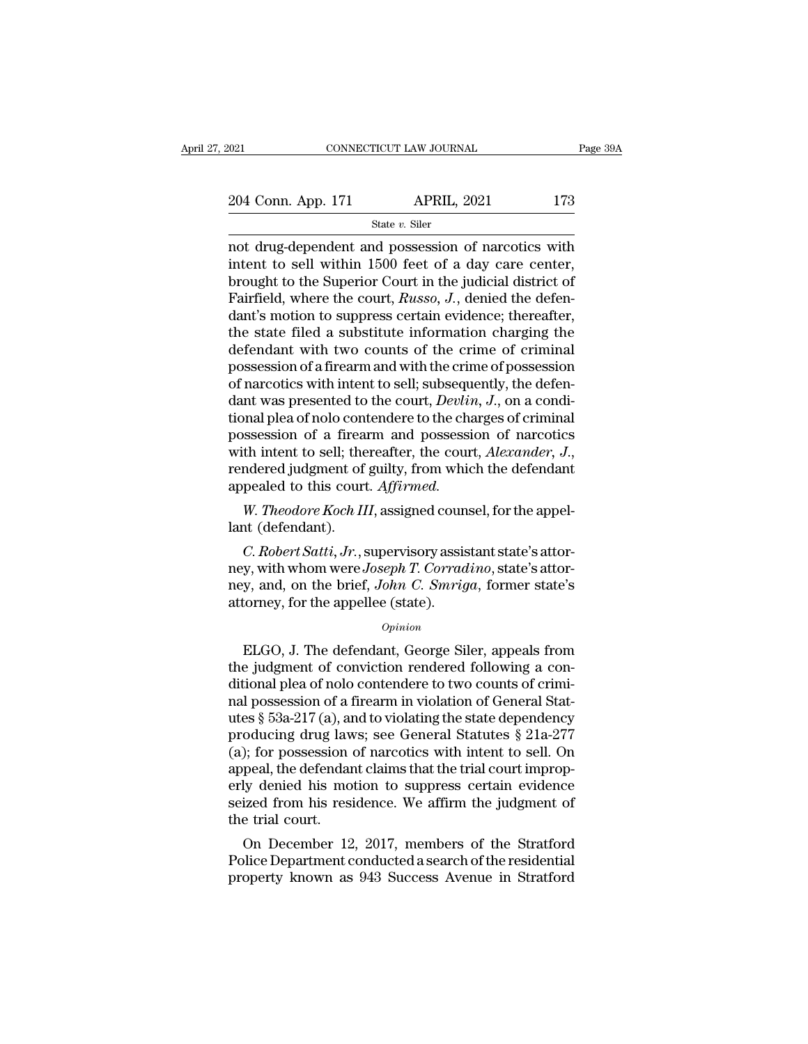| 2021               | CONNECTICUT LAW JOURNAL | Page 39A |
|--------------------|-------------------------|----------|
| 204 Conn. App. 171 | <b>APRIL, 2021</b>      | 173      |
|                    | State $v$ . Siler       |          |

Fage 39A<br>
204 Conn. App. 171 APRIL, 2021 173<br>  $\frac{\text{State } v. \text{ Siler}}{\text{Not drug-dependent and possession of narcotics with}}$ <br>
intent to sell within 1500 feet of a day care center,<br>
hrought to the Superior Court in the judicial district of 204 Conn. App. 171 APRIL, 2021 173<br>
State v. Siler<br>
not drug-dependent and possession of narcotics with<br>
intent to sell within 1500 feet of a day care center,<br>
brought to the Superior Court in the judicial district of<br>
Fa 204 Conn. App. 171 APRIL, 2021 173<br>
State v. Siler<br>
not drug-dependent and possession of narcotics with<br>
intent to sell within 1500 feet of a day care center,<br>
brought to the Superior Court in the judicial district of<br>
Fa Fair 173<br>
Faith 2021 173<br>
Faith 2021 173<br>
State v. Siler<br>
not drug-dependent and possession of narcotics with<br>
intent to sell within 1500 feet of a day care center,<br>
brought to the Superior Court in the judicial district State v. Siler<br>
not drug-dependent and possession of narcotics with<br>
intent to sell within 1500 feet of a day care center,<br>
brought to the Superior Court in the judicial district of<br>
Fairfield, where the court, *Russo*, state v. Siler<br>
not drug-dependent and possession of narcotics with<br>
intent to sell within 1500 feet of a day care center,<br>
brought to the Superior Court in the judicial district of<br>
Fairfield, where the court, *Russo*, not drug-dependent and possession of narcotics with<br>intent to sell within 1500 feet of a day care center,<br>brought to the Superior Court in the judicial district of<br>Fairfield, where the court, *Russo*, *J.*, denied the defe intent to sell within 1500 feet of a day care center,<br>brought to the Superior Court in the judicial district of<br>Fairfield, where the court, *Russo*, *J*., denied the defen-<br>dant's motion to suppress certain evidence; ther brought to the Superior Court in the judicial district of Fairfield, where the court, *Russo*, *J*., denied the defendant's motion to suppress certain evidence; thereafter, the state filed a substitute information charging Fairfield, where the court, *Russo*, *J.*, denied the defendant's motion to suppress certain evidence; thereafter, the state filed a substitute information charging the defendant with two counts of the crime of criminal po dant's motion to suppress certain evidence; thereafter,<br>the state filed a substitute information charging the<br>defendant with two counts of the crime of criminal<br>possession of a firearm and with the crime of possession<br>of n the state filed a substitute information charging the<br>defendant with two counts of the crime of criminal<br>possession of a firearm and with the crime of possession<br>of narcotics with intent to sell; subsequently, the defen-<br> defendant with two counts of the crime of criminal<br>possession of a firearm and with the crime of possession<br>of narcotics with intent to sell; subsequently, the defen-<br>dant was presented to the court, *Devlin*, *J*., on a c of narcotics with intent to sell; subseque<br>dant was presented to the court, *Devlin*<br>tional plea of nolo contendere to the cha<br>possession of a firearm and possessie<br>with intent to sell; thereafter, the court<br>rendered judgm In was presented to the court, *Devivn*, *J*., on a condi-<br>phalplea of nolo contendere to the charges of criminal<br>ssession of a firearm and possession of narcotics<br>th intent to sell; thereafter, the court, *Alexander*, *J.* donal plea of noio compossession of a firear<br>with intent to sell; the<br>rendered judgment of<br>appealed to this court<br>W. Theodore Koch II<br>lant (defendant).<br>C. Robert Satti, Jr., s *C. Robert Satti, Jr.*, supervisory assistant state's attor-<br>*C. Robert Satti, Jr.*, supervisory assistant state's attor-<br>*C. Robert Satti, Jr.*, supervisory assistant state's attor-<br>*C. Robert Satti, Jr.*, supervisory ass

rendered judgment of guilty, from which the defendant<br>appealed to this court. Affirmed.<br>W. Theodore Koch III, assigned counsel, for the appel-<br>lant (defendant).<br>C. Robert Satti, Jr., supervisory assistant state's attor-<br>ne appealed to this court. *Affirmed*.<br> *W. Theodore Koch III*, assigned counsel, for the appel-<br>
lant (defendant).<br> *C. Robert Satti, Jr.*, supervisory assistant state's attor-<br>
ney, with whom were *Joseph T. Corradino*, sta W. Theodore Koch III, assigned coun<br>lant (defendant).<br>C. Robert Satti, Jr., supervisory assis<br>ney, with whom were Joseph T. Corrad<br>ney, and, on the brief, John C. Smrig<br>attorney, for the appellee (state).<br>opinion C. Robert Satti, Jr., supervisory assistant state's attor-<br>y, with whom were Joseph T. Corradino, state's attor-<br>y, and, on the brief, John C. Smriga, former state's<br>torney, for the appellee (state).<br> $opinion$ <br>ELGO, J. The defe

### *Opinion*

the whom were *Joseph T. Corradino*, state's attor-<br>ney, and, on the brief, *John C. Smriga*, former state's<br>attorney, for the appellee (state).<br>*Opinion*<br>ELGO, J. The defendant, George Siler, appeals from<br>the judgment of ney, and, on the brief, *John C. Smriga*, former state's<br>attorney, for the appellee (state).<br>*Opinion*<br>ELGO, J. The defendant, George Siler, appeals from<br>the judgment of conviction rendered following a con-<br>ditional plea o attorney, for the appellee (state).<br>
opinion<br>
ELGO, J. The defendant, George Siler, appeals from<br>
the judgment of conviction rendered following a con-<br>
ditional plea of nolo contendere to two counts of crimi-<br>
rail possess opinion<br>
ELGO, J. The defendant, George Siler, appeals from<br>
the judgment of conviction rendered following a con-<br>
ditional plea of nolo contendere to two counts of crimi-<br>
nal possession of a firearm in violation of Gene *Opinion*<br>ELGO, J. The defendant, George Siler, appeals from<br>the judgment of conviction rendered following a con-<br>ditional plea of nolo contendere to two counts of crimi-<br>nal possession of a firearm in violation of Genera ELGO, J. The defendant, George Siler, appeals from<br>the judgment of conviction rendered following a con-<br>ditional plea of nolo contendere to two counts of crimi-<br>nal possession of a firearm in violation of General Stat-<br>ute the judgment of conviction rendered following a conditional plea of nolo contendere to two counts of criminal possession of a firearm in violation of General Statutes § 53a-217 (a), and to violating the state dependency p ditional plea of nolo contendere to two counts of crimi-<br>nal possession of a firearm in violation of General Stat-<br>utes § 53a-217 (a), and to violating the state dependency<br>producing drug laws; see General Statutes § 21a-2 nal possession of a firearm in violation of General Statutes § 53a-217 (a), and to violating the state dependency<br>producing drug laws; see General Statutes § 21a-277<br>(a); for possession of narcotics with intent to sell. On utes  $\S$  53a-217(a), and producing drug law<br>(a); for possession expeal, the defendancerly denied his mo<br>seized from his resident the trial court.<br>On December 12 oducing arug laws; see General Statutes  $\S 21a-277$ <br>); for possession of narcotics with intent to sell. On<br>peal, the defendant claims that the trial court improp-<br>ly denied his motion to suppress certain evidence<br>ized fro (a); for possession of narcotics with intent to self. On<br>appeal, the defendant claims that the trial court improp-<br>erly denied his motion to suppress certain evidence<br>seized from his residence. We affirm the judgment of<br>th appear, the defendant claims that the trial court improperty denied his motion to suppress certain evidence<br>seized from his residence. We affirm the judgment of<br>the trial court.<br>On December 12, 2017, members of the Stratfo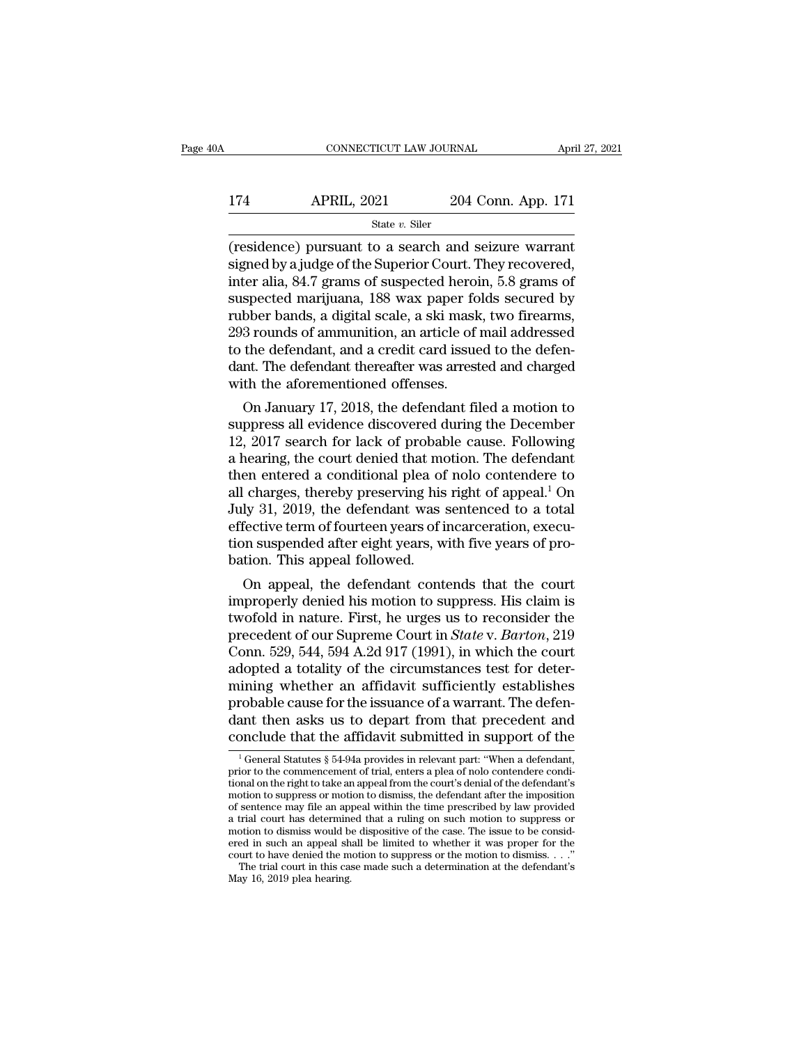### CONNECTICUT LAW JOURNAL April 27, 2021<br>174 APRIL, 2021 204 Conn. App. 171<br>State v. Siler State *v.* Siler

(residence) pursuant to a search and seizure warrant<br>
inter the Superior Court. They recovered,<br>
the state variant signed by a judge of the Superior Court. They recovered,<br>
there also 84.7 cross of suspected begins 5.8 cro 174 APRIL, 2021 204 Conn. App. 171<br>
state v. Siler<br>
(residence) pursuant to a search and seizure warrant<br>
signed by a judge of the Superior Court. They recovered,<br>
inter alia, 84.7 grams of suspected heroin, 5.8 grams of<br> 174 APRIL, 2021 204 Conn. App. 171<br>  $\frac{\text{State } v. \text{ Siler}}{\text{(residence) pursuit to a search and seizure warrant} }\n \text{signed by a judge of the Superior Court. They recovered, \ninter alia, 84.7 grams of suspected heroin, 5.8 grams of \nsuspected marijuana, 188 wax paper folds secured by \nruhbar ends a digital scale, a skin mesh, two fragments.$ 174 APRIL, 2021 204 Conn. App. 171<br>  $\frac{\text{State } v. \text{ Siler}}{\text{(residence) pursuit to a search and seizure warrant}}$ <br>
signed by a judge of the Superior Court. They recovered,<br>
inter alia, 84.7 grams of suspected heroin, 5.8 grams of<br>
suspected marijuana, 188 wax paper State v. Siler<br>
(residence) pursuant to a search and seizure warrant<br>
signed by a judge of the Superior Court. They recovered,<br>
inter alia, 84.7 grams of suspected heroin, 5.8 grams of<br>
suspected marijuana, 188 wax paper state  $v$ . Siler<br>
(residence) pursuant to a search and seizure warrant<br>
signed by a judge of the Superior Court. They recovered,<br>
inter alia, 84.7 grams of suspected heroin, 5.8 grams of<br>
suspected marijuana, 188 wax pape (residence) pursuant to a search and seizure warrant<br>signed by a judge of the Superior Court. They recovered,<br>inter alia, 84.7 grams of suspected heroin, 5.8 grams of<br>suspected marijuana, 188 wax paper folds secured by<br>rub signed by a judge of the Superior Court. They recovered,<br>inter alia, 84.7 grams of suspected heroin, 5.8 grams of<br>suspected marijuana, 188 wax paper folds secured by<br>rubber bands, a digital scale, a ski mask, two firearms, inter alia, 84.7 grams of suspected heroi<br>suspected marijuana, 188 wax paper fo<br>rubber bands, a digital scale, a ski mask<br>293 rounds of ammunition, an article of<br>to the defendant, and a credit card issue<br>dant. The defendan spected marijuana, 188 wax paper rotus secured by<br>bber bands, a digital scale, a ski mask, two firearms,<br>3 rounds of ammunition, an article of mail addressed<br>the defendant, and a credit card issued to the defen-<br>nt. The de rubber bands, a digital scale, a ski mask, two lirearns,<br>293 rounds of ammunition, an article of mail addressed<br>to the defendant, and a credit card issued to the defen-<br>dant. The defendant thereafter was arrested and charg

295 rounds of antifiuntion, an article of mail addressed<br>to the defendant, and a credit card issued to the defen-<br>dant. The defendant thereafter was arrested and charged<br>with the aforementioned offenses.<br>On January 17, 201 to the defendant, and a credit card issued to the defendant. The defendant thereafter was arrested and charged<br>with the aforementioned offenses.<br>On January 17, 2018, the defendant filed a motion to<br>suppress all evidence di dant. The defendant inerealier was arrested and charged<br>with the aforementioned offenses.<br>On January 17, 2018, the defendant filed a motion to<br>suppress all evidence discovered during the December<br>12, 2017 search for lack with the aforementioned offerses.<br>
On January 17, 2018, the defendant filed a motion to<br>
suppress all evidence discovered during the December<br>
12, 2017 search for lack of probable cause. Following<br>
a hearing, the court den On January 17, 2018, the defendant filed a motion to<br>suppress all evidence discovered during the December<br>12, 2017 search for lack of probable cause. Following<br>a hearing, the court denied that motion. The defendant<br>then en suppress all evidence discovered during the December 12, 2017 search for lack of probable cause. Following a hearing, the court denied that motion. The defendant then entered a conditional plea of nolo contendere to all ch 12, 2017 search for lack of probable cause. Following<br>a hearing, the court denied that motion. The defendant<br>then entered a conditional plea of nolo contendere to<br>all charges, thereby preserving his right of appeal.<sup>1</sup> On a hearing, the court denied that mothen entered a conditional plea of<br>all charges, thereby preserving his<br>July 31, 2019, the defendant was :<br>effective term of fourteen years of i<br>tion suspended after eight years, w<br>bation. en entered a conditional piea of noto contendere to<br>charges, thereby preserving his right of appeal.<sup>1</sup> On<br>ly 31, 2019, the defendant was sentenced to a total<br>fective term of fourteen years of incarceration, execu-<br>on susp all charges, thereby preserving his right of appeal.<sup>.</sup> On<br>July 31, 2019, the defendant was sentenced to a total<br>effective term of fourteen years of incarceration, execu-<br>tion suspended after eight years, with five years o

July 31, 2019, the defendant was sentenced to a total<br>effective term of fourteen years of incarceration, execu-<br>tion suspended after eight years, with five years of pro-<br>bation. This appeal followed.<br>On appeal, the defend enective term of fourteen years of incarceration, execution suspended after eight years, with five years of probation. This appeal followed.<br>On appeal, the defendant contends that the court improperly denied his motion to tion suspended after eight years, with five years of probation. This appeal followed.<br>
On appeal, the defendant contends that the court<br>
improperly denied his motion to suppress. His claim is<br>
twofold in nature. First, he bation. This appear followed.<br>
On appeal, the defendant contends that the court<br>
improperly denied his motion to suppress. His claim is<br>
twofold in nature. First, he urges us to reconsider the<br>
precedent of our Supreme Cou On appeal, the defendant contends that the court<br>improperly denied his motion to suppress. His claim is<br>twofold in nature. First, he urges us to reconsider the<br>precedent of our Supreme Court in *State* v. *Barton*, 219<br>Con improperly denied his motion to suppress. His claim is<br>twofold in nature. First, he urges us to reconsider the<br>precedent of our Supreme Court in *State* v. *Barton*, 219<br>Conn. 529, 544, 594 A.2d 917 (1991), in which the co twofold in nature. First, he urges us to reconsider the<br>precedent of our Supreme Court in *State* v. *Barton*, 219<br>Conn. 529, 544, 594 A.2d 917 (1991), in which the court<br>adopted a totality of the circumstances test for de precedent of our Supreme Court in *State* v. *Barton*, 219<br>Conn. 529, 544, 594 A.2d 917 (1991), in which the court<br>adopted a totality of the circumstances test for deter-<br>mining whether an affidavit sufficiently establish ining whether an affidavit sufficiently establishes<br>robable cause for the issuance of a warrant. The defen-<br>ant then asks us to depart from that precedent and<br>porcel that the affidavit submitted in support of the<br> $\frac{1}{1}$ probable cause for the issuance of a warrant. The defendant then asks us to depart from that precedent and conclude that the affidavit submitted in support of the  $\frac{1}{1}$  General Statutes § 54-94a provides in relevant p

dant then asks us to depart from that precedent and<br>conclude that the affidavit submitted in support of the<br> $\frac{1}{1}$ General Statutes § 54-94a provides in relevant part: "When a defendant,<br>prior to the commencement of tri dant then asks us to depart from that precedent and<br>conclude that the affidavit submitted in support of the<br> $\frac{1}{1}$ General Statutes § 54-94a provides in relevant part: "When a defendant,<br>prior to the commencement of tri conclude that the affidavit submitted in support of the<br>
<sup>1</sup>General Statutes § 54-94a provides in relevant part: "When a defendant,<br>
prior to the commencement of trial, enters a plea of nolo contendere condi-<br>
tional on t <sup>1</sup> General Statutes § 54-94a provides in relevant part: "When a defendant,<br>prior to the commencement of trial, enters a plea of nolo contendere condi-<br>tional on the right to take an appeal from the court's denial of the <sup>1</sup> General Statutes § 54-94a provides in relevant part: "When a defendant, prior to the commencement of trial, enters a plea of nolo contendere conditional on the right to take an appeal from the court's denial of the de prior to the commencement of trial, enters a plea of nolo contendere conditional on the right to take an appeal from the court's denial of the defendant's motion to suppress or motion to dismiss, the defendant after the im ional on the right to take an appeal from the court's denial of the defendant's<br>motion to suppress or motion to dismiss, the defendant after the imposition<br>of sentence may file an appeal within the time prescribed by law otion to suppress or motion to dismiss, the defendant after the imposition sentence may file an appeal within the time prescribed by law provided trial court has determined that a ruling on such motion to suppress or otio a trial court has determined that a ruling on such motion to suppress or motion to dismiss would be dispositive of the case. The issue to be considered in such an appeal shall be limited to whether it was proper for the c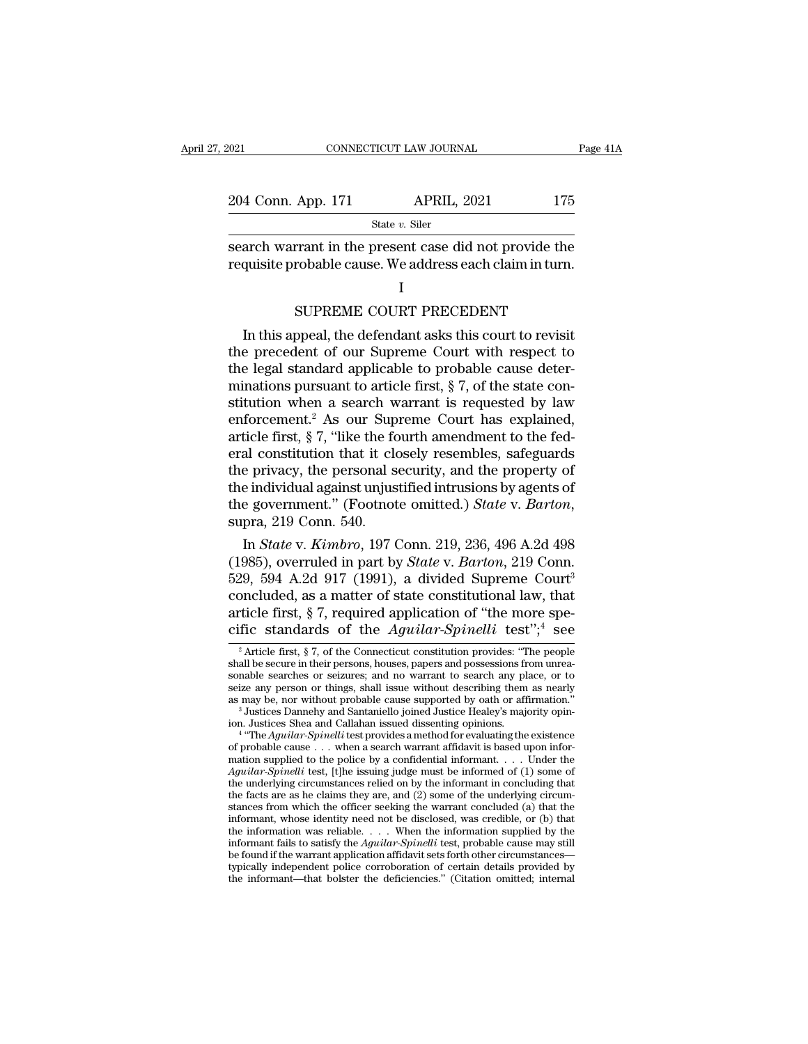| 2021               | CONNECTICUT LAW JOURNAL                                                                                            | Page 41A |
|--------------------|--------------------------------------------------------------------------------------------------------------------|----------|
| 204 Conn. App. 171 | <b>APRIL, 2021</b>                                                                                                 | 175      |
|                    | State v. Siler                                                                                                     |          |
|                    | search warrant in the present case did not provide the<br>requisite probable cause. We address each claim in turn. |          |
|                    |                                                                                                                    |          |
|                    | SUPREME COURT PRECEDENT                                                                                            |          |
|                    | In this appeal, the defendant asks this court to revisit                                                           |          |

### I and the set of  $\mathbf I$

 $\frac{1}{\text{state } v \cdot \text{user}}$ <br>arch warrant in the present case did not provide the<br>quisite probable cause. We address each claim in turn.<br> $I$ <br>SUPREME COURT PRECEDENT<br>In this appeal, the defendant asks this court to revisit<br>e prece search warrant in the present case did not provide the<br>requisite probable cause. We address each claim in turn.<br>I<br>SUPREME COURT PRECEDENT<br>In this appeal, the defendant asks this court to revisit<br>the precedent of our Suprem requisite probable cause. We address each claim in turn.<br>
I<br>
SUPREME COURT PRECEDENT<br>
In this appeal, the defendant asks this court to revisit<br>
the precedent of our Supreme Court with respect to<br>
the legal standard applica I<br>
SUPREME COURT PRECEDENT<br>
In this appeal, the defendant asks this court to revisit<br>
the precedent of our Supreme Court with respect to<br>
the legal standard applicable to probable cause deter-<br>
minations pursuant to artic SUPREME COURT PRECEDENT<br>In this appeal, the defendant asks this court to revisit<br>the precedent of our Supreme Court with respect to<br>the legal standard applicable to probable cause deter-<br>minations pursuant to article firs SUPREME COURT PRECEDENT<br>In this appeal, the defendant asks this court to revisit<br>the precedent of our Supreme Court with respect to<br>the legal standard applicable to probable cause deter-<br>minations pursuant to article firs In this appeal, the defendant asks this court to revisit<br>the precedent of our Supreme Court with respect to<br>the legal standard applicable to probable cause deter-<br>minations pursuant to article first,  $\S 7$ , of the state c the precedent of our Supreme Court with respect to<br>the legal standard applicable to probable cause deter-<br>minations pursuant to article first, § 7, of the state con-<br>stitution when a search warrant is requested by law<br>enfo the legal standard applicable to probable cause deter-<br>minations pursuant to article first,  $\S 7$ , of the state con-<br>stitution when a search warrant is requested by law<br>enforcement.<sup>2</sup> As our Supreme Court has explained,<br> minations pursuant to article first,  $\S$  7, of the state constitution when a search warrant is requested by law<br>enforcement.<sup>2</sup> As our Supreme Court has explained,<br>article first,  $\S$  7, "like the fourth amendment to the f stitution when a search warrant is requested by law<br>enforcement.<sup>2</sup> As our Supreme Court has explained,<br>article first, § 7, "like the fourth amendment to the fed-<br>eral constitution that it closely resembles, safeguards<br>the Increasing the First, 8 7, like the fourth amendment to the red-<br>al constitution that it closely resembles, safeguards<br>e privacy, the personal security, and the property of<br>e individual against unjustified intrusions by ag eral constitution that it closely resembles, saleguards<br>the privacy, the personal security, and the property of<br>the individual against unjustified intrusions by agents of<br>the government." (Footnote omitted.) *State* v. *Ba* 

the privacy, the personal security, and the property of<br>the individual against unjustified intrusions by agents of<br>the government." (Footnote omitted.) *State v. Barton*,<br>supra, 219 Conn. 540.<br>In *State v. Kimbro*, 197 Con the matvidual against unjustined intrusions by agents of<br>the government." (Footnote omitted.) *State v. Barton*,<br>supra, 219 Conn. 540.<br>In *State v. Kimbro*, 197 Conn. 219, 236, 496 A.2d 498<br>(1985), overruled in part by *S* the government." (Foothote omitted.) *State v. Barton*,<br>supra, 219 Conn. 540.<br>In *State v. Kimbro*, 197 Conn. 219, 236, 496 A.2d 498<br>(1985), overruled in part by *State v. Barton*, 219 Conn.<br>529, 594 A.2d 917 (1991), a div supra, 219 Conn. 540.<br>
In *State* v. *Kimbro*, 197 Conn. 219, 236, 496 A.2d 498<br>
(1985), overruled in part by *State* v. *Barton*, 219 Conn.<br>
529, 594 A.2d 917 (1991), a divided Supreme Court<sup>3</sup><br>
concluded, as a matter of 29, 594 A.2d 917 (1991), a divided Supreme Court<sup>3</sup><br>
bncluded, as a matter of state constitutional law, that<br>
ticle first, § 7, required application of "the more spe-<br>
fic standards of the *Aguilar-Spinelli* test";<sup>4</sup> see concluded, as a matter of state constitutional law, that article first, § 7, required application of "the more specific standards of the *Aguilar-Spinelli* test";<sup>4</sup> see  $\frac{1}{2}$  Article first, § 7, of the Connecticut co

concluded, as a matter or state constitutional raw, that<br>article first, § 7, required application of "the more spe-<br>cific standards of the *Aguilar-Spinelli* test",<sup>4</sup> see<br> $\frac{1}{2}$  Article first, § 7, of the Connecticut article first, § 7, required application of "the more specific standards of the *Aguilar-Spinelli* test";<sup>4</sup> see<br>  $\frac{1}{2}$  Article first, § 7, of the Connecticut constitution provides: "The people<br>
shall be secure in the cific standards of the *Aguilar-Spinelli* test";<sup>4</sup> see<br>
<sup>2</sup> Article first, § 7, of the Connecticut constitution provides: "The people<br>
shall be secure in their persons, houses, papers and possessions from unrea-<br>
sonable <sup>2</sup> Article first, § 7, of the Connecticut constitution provides: "The people shall be secure in their persons, houses, papers and possessions from unreasonable searches or seizures; and no warrant to search any place, or If the secure in their persons, houses, papers and possessions from unrea-<br>able searches or seizures; and no warrant to search any place, or to<br>te any person or things, shall issue without describing them as nearly<br>may be, sonable searches or seizures; and no warrant to search any place, or to<br>seize any person or things, shall issue without describing them as nearly<br>as may be, nor without probable cause supported by oath or affirmation."<br><sup>3</sup>

seize any person or things, shall issue without describing them as nearly<br>as may be, nor without probable cause supported by oath or affirmation."<br><sup>3</sup> Justices Dannehy and Santaniello joined Justice Healey's majority opin as may be, nor without probable cause supported by oath or affirmation."<br>
<sup>3</sup> Justices Dannehy and Santaniello joined Justice Healey's majority opin-<br>
ion. Justices Shea and Callahan issued dissenting opinions.<br>
<sup>4</sup> "The <sup>3</sup> Justices Dannehy and Santaniello joined Justice Healey's majority opinion. Justices Shea and Callahan issued dissenting opinions.<br><sup>4</sup> "The *Aguilar-Spinelli* test provides a method for evaluating the existence of prob ion. Justices Shea and Callahan issued dissenting opinions.<br>
<sup>4</sup> "The *Aguilar-Spinelli* test provides a method for evaluating the existence<br>
of probable cause . . . when a search warrant affidavit is based upon infor-<br>
m <sup>4</sup> "The *Aguilar-Spinelli* test provides a method for evaluating the existence of probable cause . . . when a search warrant affidavit is based upon information supplied to the police by a confidential informant. . . . U of probable cause ... when a search warrant affidavit is based upon information supplied to the police by a confidential informant.... Under the *Aguilar-Spinelli* test, [t]he issuing judge must be informant in concluding mation supplied to the police by a confidential informant. . . . . Under the *Aguilar-Spinelli* test, [t]he issuing judge must be informed of (1) some of the underlying circumstances relied on by the informant in concludi *Aguilar-Spinelli* test, [t]he issuing judge must be informed of (1) some of the underlying circumstances relied on by the informant in concluding that the facts are as he claims they are, and (2) some of the underlying ci the underlying circumstances relied on by the informant in concluding that<br>the facts are as he claims they are, and (2) some of the underlying circum-<br>stances from which the officer seeking the warrant concluded (a) that t the facts are as he claims they are, and (2) some of the underlying circum-<br>stances from which the officer seeking the warrant concluded (a) that the<br>informant, whose identity need not be disclosed, was credible, or (b) t the facts are as he claims they are, and (2) some of the underlying circumstances from which the officer seeking the warrant concluded (a) that the informant, whose identity need not be disclosed, was credible, or (b) tha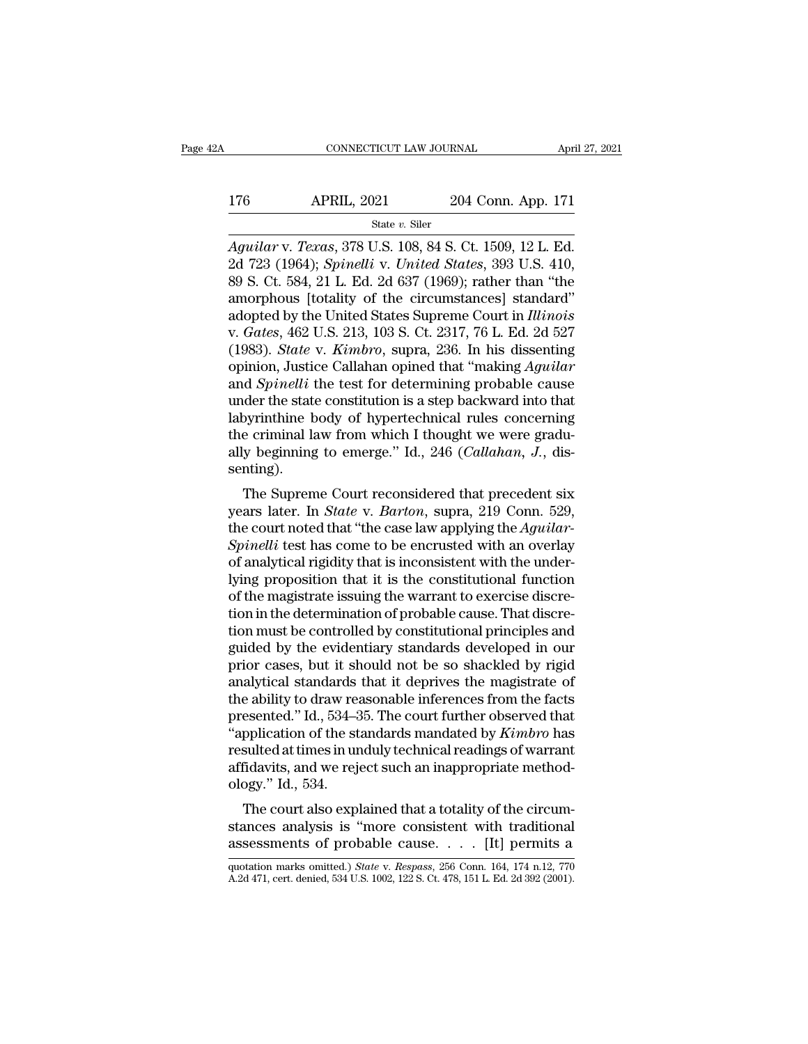# $\begin{array}{r|l} \text{CONNECTICUT LAW JOURNAL} & \text{April 27, 2021} \\ \hline \text{176} & \text{APRIL, 2021} & \text{204 Conn. App. 171} \\ & \text{State $v$. Siler} \end{array}$

### State *v.* Siler

*CONNECTICUT LAW JOURNAL April 27, 2*<br> *APRIL, 2021 204 Conn. App. 171*<br> *State v. Siler*<br> *Aguilar v. Texas, 378 U.S. 108, 84 S. Ct. 1509, 12 L. Ed.*<br>
2d 723 (1964); *Spinelli v. United States,* 393 U.S. 410,<br>
80 S. C 176 APRIL, 2021 204 Conn. App. 171<br>
state v. Siler<br> *Aguilar* v. *Texas*, 378 U.S. 108, 84 S. Ct. 1509, 12 L. Ed.<br>
2d 723 (1964); *Spinelli* v. *United States*, 393 U.S. 410,<br>
89 S. Ct. 584, 21 L. Ed. 2d 637 (1969); rather 176 APRIL, 2021 204 Conn. App. 171<br>  $\frac{\text{State } v. \text{ Siler}}{ \text{Again } x \cdot x. \text{ Texas, } 378 \text{ U.S. } 108, 84 \text{ S. Ct. } 1509, 12 \text{ L. Ed.} }$ <br>
2d 723 (1964); *Spinelliv. United States*, 393 U.S. 410,<br>
89 S. Ct. 584, 21 L. Ed. 2d 637 (1969); rather 176 APRIL, 2021 204 Conn. App. 171<br>
State v. Siler<br>
Aguilar v. Texas, 378 U.S. 108, 84 S. Ct. 1509, 12 L. Ed.<br>
2d 723 (1964); *Spinelli v. United States*, 393 U.S. 410,<br>
89 S. Ct. 584, 21 L. Ed. 2d 637 (1969); rather than State v. Siler<br>
Aguilar v. Texas, 378 U.S. 108, 84 S. Ct. 1509, 12 L. Ed.<br>
2d 723 (1964); *Spinelli v. United States*, 393 U.S. 410,<br>
89 S. Ct. 584, 21 L. Ed. 2d 637 (1969); rather than "the<br>
amorphous [totality of the cir state v. Siler<br>Aguilar v. *Texas*, 378 U.S. 108, 84 S. Ct. 1509, 12 L. Ed.<br>2d 723 (1964); *Spinelli* v. *United States*, 393 U.S. 410,<br>89 S. Ct. 584, 21 L. Ed. 2d 637 (1969); rather than "the<br>amorphous [totality of the cir Aguilar v. *Texas*, 378 U.S. 108, 84 S. Ct. 1509, 12 L. Ed.<br>2d 723 (1964); *Spinelli v. United States*, 393 U.S. 410,<br>89 S. Ct. 584, 21 L. Ed. 2d 637 (1969); rather than "the<br>amorphous [totality of the circumstances] stand 2d 723 (1964); *Spinelli* v. *United States*, 393 U.S. 410,<br>89 S. Ct. 584, 21 L. Ed. 2d 637 (1969); rather than "the<br>amorphous [totality of the circumstances] standard"<br>adopted by the United States Supreme Court in *Illino* 89 S. Ct. 584, 21 L. Ed. 2d 637 (1969); rather than "the amorphous [totality of the circumstances] standard"<br>adopted by the United States Supreme Court in *Illinois*<br>v. *Gates*, 462 U.S. 213, 103 S. Ct. 2317, 76 L. Ed. 2d amorphous [totality of the circumstances] standard"<br>adopted by the United States Supreme Court in *Illinois*<br>v. *Gates*, 462 U.S. 213, 103 S. Ct. 2317, 76 L. Ed. 2d 527<br>(1983). *State* v. *Kimbro*, supra, 236. In his disse adopted by the United States Supreme Court in *Illinois*<br>v. *Gates*, 462 U.S. 213, 103 S. Ct. 2317, 76 L. Ed. 2d 527<br>(1983). *State* v. *Kimbro*, supra, 236. In his dissenting<br>opinion, Justice Callahan opined that "making v. *Gates*, 462 U.S. 213, 103 S. Ct. 2317, 76 L. Ed. 2d 527 (1983). *State* v. *Kimbro*, supra, 236. In his dissenting opinion, Justice Callahan opined that "making *Aguilar* and *Spinelli* the test for determining probabl (1983). *State v. Kimbro*, supra, 236. In his dissenting opinion, Justice Callahan opined that "making *Aguilar* and *Spinelli* the test for determining probable cause under the state constitution is a step backward into t senting). der the state constitution is a step backward into that<br>byrinthine body of hypertechnical rules concerning<br>e criminal law from which I thought we were gradu-<br>y beginning to emerge." Id., 246 (*Callahan*, *J.*, dis-<br>nting) under the state constitution is a step backward into that<br>labyrinthine body of hypertechnical rules concerning<br>the criminal law from which I thought we were gradu-<br>ally beginning to emerge." Id., 246 (*Callahan*, J., dis-<br>

reading the criminal law from which I thought we were gradually beginning to emerge." Id., 246 (*Callahan*, *J.*, dissenting).<br>The Supreme Court reconsidered that precedent six years later. In *State v. Barton*, supra, 219 Intertunal raw front which I thought we were gradually beginning to emerge." Id., 246 (*Callahan*, *J*., dissenting).<br>
The Supreme Court reconsidered that precedent six<br>
years later. In *State* v. *Barton*, supra, 219 Conn any beginning to emerge. Tu., 240 (Catalahan, J., dissenting).<br>
The Supreme Court reconsidered that precedent six<br>
years later. In *State* v. *Barton*, supra, 219 Conn. 529,<br>
the court noted that "the case law applying the Senting).<br>
The Supreme Court reconsidered that precedent six<br>
years later. In *State* v. *Barton*, supra, 219 Conn. 529,<br>
the court noted that "the case law applying the *Aguilar-<br>
Spinelli* test has come to be encrusted w The Supreme Court reconsidered that precedent six<br>years later. In *State* v. *Barton*, supra, 219 Conn. 529,<br>the court noted that "the case law applying the *Aguilar-<br>Spinelli* test has come to be encrusted with an overlay years later. In *State* v. *Barton*, supra, 219 Conn. 529, the court noted that "the case law applying the *Aguilar-Spinelli* test has come to be encrusted with an overlay of analytical rigidity that is inconsistent with t the court noted that "the case law applying the *Aguilar-Spinelli* test has come to be encrusted with an overlay of analytical rigidity that is inconsistent with the underlying proposition that it is the constitutional fun Spinelli test has come to be encrusted with an overlay<br>of analytical rigidity that is inconsistent with the under-<br>lying proposition that it is the constitutional function<br>of the magistrate issuing the warrant to exercise of analytical rigidity that is inconsistent with the underlying proposition that it is the constitutional function<br>of the magistrate issuing the warrant to exercise discretion in the determination of probable cause. That d lying proposition that it is the constitutional function<br>of the magistrate issuing the warrant to exercise discre-<br>tion in the determination of probable cause. That discre-<br>tion must be controlled by constitutional princip of the magistrate issuing the warrant to exercise discretion in the determination of probable cause. That discretion must be controlled by constitutional principles and guided by the evidentiary standards developed in our tion in the determination of probable cause. That discretion must be controlled by constitutional principles and guided by the evidentiary standards developed in our prior cases, but it should not be so shackled by rigid a tion must be controlled by constitutional principles and<br>guided by the evidentiary standards developed in our<br>prior cases, but it should not be so shackled by rigid<br>analytical standards that it deprives the magistrate of<br>t guided by the evidentiary standards developed in our<br>prior cases, but it should not be so shackled by rigid<br>analytical standards that it deprives the magistrate of<br>the ability to draw reasonable inferences from the facts<br>p prior cases, but it should not be so shackled by rigid<br>analytical standards that it deprives the magistrate of<br>the ability to draw reasonable inferences from the facts<br>presented." Id., 534–35. The court further observed th analytical standards<br>the ability to draw rea<br>presented." Id., 534-5<br>"application of the st<br>resulted at times in ur<br>affidavits, and we rejo<br>ology." Id., 534.<br>The court also exp e ability to that reasonable interences from the facts<br>esented." Id., 534–35. The court further observed that<br>pplication of the standards mandated by *Kimbro* has<br>sulted at times in unduly technical readings of warrant<br>fid presented. Tal., 354–55. The court further observed that<br>
"application of the standards mandated by *Kimbro* has<br>
resulted at times in unduly technical readings of warrant<br>
affidavits, and we reject such an inappropriate application of the standards mandated by *Ktmoro* has<br>resulted at times in unduly technical readings of warrant<br>affidavits, and we reject such an inappropriate method-<br>ology." Id., 534.<br>The court also explained that a tot

The court also explained that a totality of the circumstances analysis is "more consistent with traditional assessments of probable cause. . . . [It] permits a quotation marks omitted.) *State* v. *Respass*, 256 Conn. 164, The court also explained that a totality of the circum-<br>stances analysis is "more consistent with traditional<br>assessments of probable cause. . . . . [It] permits a<br>quotation marks omitted.) *State* v. *Respass*, 256 Conn.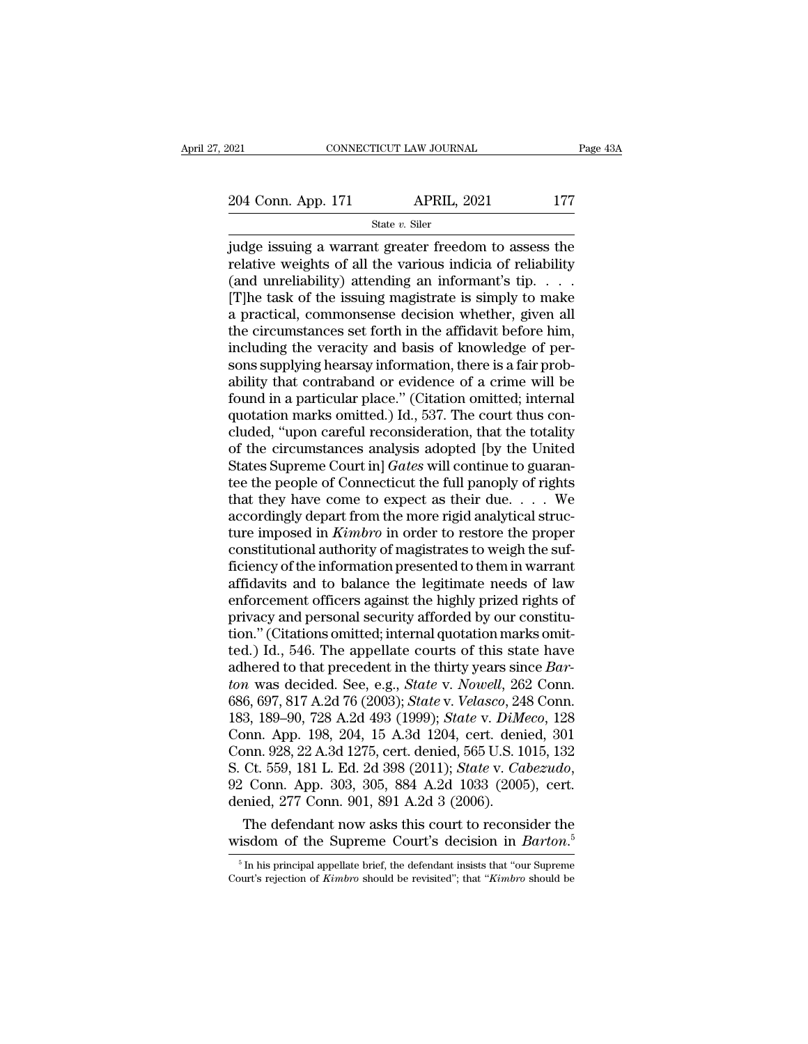2021 CONNECTICUT LAW JOURNAL Page 43A<br>204 Conn. App. 171 APRIL, 2021 177<br>204 Conn. App. 171 State v. Siler

State *v.* Siler

Figure 1021 CONNECTICUT LAW JOURNAL Page 43A<br>
204 Conn. App. 171 APRIL, 2021 177<br>
State v. Siler<br>
judge issuing a warrant greater freedom to assess the<br>
relative weights of all the various indicia of reliability<br>
(and unr 204 Conn. App. 171 APRIL, 2021 177<br>
State v. Siler<br>
judge issuing a warrant greater freedom to assess the<br>
relative weights of all the various indicia of reliability<br>
(and unreliability) attending an informant's tip. . . 204 Conn. App. 171 APRIL, 2021 177<br>
State v. Siler<br>
judge issuing a warrant greater freedom to assess the<br>
relative weights of all the various indicia of reliability<br>
(and unreliability) attending an informant's tip. . . 204 Conn. App. 171 APRIL, 2021 177<br>
State v. Siler<br>
judge issuing a warrant greater freedom to assess the<br>
relative weights of all the various indicia of reliability<br>
(and unreliability) attending an informant's tip. . . Solution, 1999. The common State v. Siler<br>
in Ram, 2021<br>
in Ram, 2021<br>
in Ram, 2021<br>
in Ram, 2021<br>
in Ram, 2021<br>
in Ram, 2021<br>
in Ram, 2021<br>
in Ram, 2021<br>
in Ram, 2021<br>
in Ram Basement, given all the circumstances set for State v. Siler<br>
indge issuing a warrant greater freedom to assess the<br>
relative weights of all the various indicia of reliability<br>
(and unreliability) attending an informant's tip.  $\dots$ <br>
[T]he task of the issuing magistra judge issuing a warrant greater freedom to assess the relative weights of all the various indicia of reliability (and unreliability) attending an informant's tip.  $\ldots$  [T]he task of the issuing magistrate is simply to ma relative weights of all the various indicia of reliability<br>(and unreliability) attending an informant's tip.  $\dots$ <br>[T]he task of the issuing magistrate is simply to make<br>a practical, commonsense decision whether, given all (and unreliability) attending an informant's tip.  $\dots$  [T]he task of the issuing magistrate is simply to make<br>a practical, commonsense decision whether, given all<br>the circumstances set forth in the affidavit before him,<br>i [T]he task of the issuing magistrate is simply to make<br>a practical, commonsense decision whether, given all<br>the circumstances set forth in the affidavit before him,<br>including the veracity and basis of knowledge of per-<br>son a practical, commonsense decision whether, given all<br>the circumstances set forth in the affidavit before him,<br>including the veracity and basis of knowledge of per-<br>sons supplying hearsay information, there is a fair prob-<br> the circumstances set forth in the affidavit before him,<br>including the veracity and basis of knowledge of per-<br>sons supplying hearsay information, there is a fair prob-<br>ability that contraband or evidence of a crime will b including the veracity and basis of knowledge of persons supplying hearsay information, there is a fair probability that contraband or evidence of a crime will be found in a particular place." (Citation omitted; internal sons supplying hearsay information, there is a fair probability that contraband or evidence of a crime will be<br>found in a particular place." (Citation omitted; internal<br>quotation marks omitted.) Id., 537. The court thus co ability that contraband or evidence of a crime will be<br>found in a particular place." (Citation omitted; internal<br>quotation marks omitted.) Id., 537. The court thus con-<br>cluded, "upon careful reconsideration, that the tota found in a particular place." (Citation omitted; internal quotation marks omitted.) Id., 537. The court thus concluded, "upon careful reconsideration, that the totality of the circumstances analysis adopted [by the United quotation marks omitted.) Id., 537. The court thus concluded, "upon careful reconsideration, that the totality of the circumstances analysis adopted [by the United States Supreme Court in] *Gates* will continue to guarant cluded, "upon careful reconsideration, that the totality<br>of the circumstances analysis adopted [by the United<br>States Supreme Court in] *Gates* will continue to guaran-<br>tee the people of Connecticut the full panoply of righ of the circumstances analysis adopted [by the United States Supreme Court in] *Gates* will continue to guarantee the people of Connecticut the full panoply of rights that they have come to expect as their due.  $\ldots$  We ac States Supreme Court in] *Gates* will continue to guarantee the people of Connecticut the full panoply of rights that they have come to expect as their due.  $\ldots$  We accordingly depart from the more rigid analytical struc tee the people of Connecticut the full panoply of rights<br>that they have come to expect as their due. . . . We<br>accordingly depart from the more rigid analytical struc-<br>ture imposed in  $Kimbro$  in order to restore the proper<br>c that they have come to expect as their due.  $\dots$  We<br>accordingly depart from the more rigid analytical struc-<br>ture imposed in *Kimbro* in order to restore the proper<br>constitutional authority of magistrates to weigh the suf accordingly depart from the more rigid analytical structure imposed in *Kimbro* in order to restore the proper constitutional authority of magistrates to weigh the sufficiency of the information presented to them in warran ture imposed in *Kimbro* in order to restore the proper constitutional authority of magistrates to weigh the sufficiency of the information presented to them in warrant affidavits and to balance the legitimate needs of law constitutional authority of magistrates to weigh the suf-<br>ficiency of the information presented to them in warrant<br>affidavits and to balance the legitimate needs of law<br>enforcement officers against the highly prized rights ficiency of the information presented to them in warrant<br>affidavits and to balance the legitimate needs of law<br>enforcement officers against the highly prized rights of<br>privacy and personal security afforded by our constitu affidavits and to balance the legitimate needs of law<br>enforcement officers against the highly prized rights of<br>privacy and personal security afforded by our constitu-<br>tion." (Citations omitted; internal quotation marks omi enforcement officers against the highly prized rights of<br>privacy and personal security afforded by our constitu-<br>tion." (Citations omitted; internal quotation marks omit-<br>ted.) Id., 546. The appellate courts of this state privacy and personal security afforded by our constitu-<br>tion." (Citations omitted; internal quotation marks omit-<br>ted.) Id., 546. The appellate courts of this state have<br>adhered to that precedent in the thirty years since tion." (Citations omitted; internal quotation marks omitted.) Id., 546. The appellate courts of this state have<br>adhered to that precedent in the thirty years since *Bar-*<br>*ton* was decided. See, e.g., *State v. Nowell*, 2 ted.) Id., 546. The appellate courts of this state have<br>adhered to that precedent in the thirty years since *Bar-*<br>*ton* was decided. See, e.g., *State v. Nowell*, 262 Conn.<br>686, 697, 817 A.2d 76 (2003); *State v. Velasco* adhered to that precedent in the thirty years since *Barton* was decided. See, e.g., *State* v. *Nowell*, 262 Conn. 686, 697, 817 A.2d 76 (2003); *State* v. *Velasco*, 248 Conn. 183, 189–90, 728 A.2d 493 (1999); *State* v. 686, 697, 817 A.2d 76 (2003); *State v. Velasco*, 24<br>183, 189–90, 728 A.2d 493 (1999); *State v. DiM*<br>Conn. App. 198, 204, 15 A.3d 1204, cert. deni<br>Conn. 928, 22 A.3d 1275, cert. denied, 565 U.S. 1<br>S. Ct. 559, 181 L. Ed. 2 3, 189–90, 728 A.2d 493 (1999); *State v. DuMeco*, 128<br>pnn. App. 198, 204, 15 A.3d 1204, cert. denied, 301<br>pnn. 928, 22 A.3d 1275, cert. denied, 565 U.S. 1015, 132<br>Ct. 559, 181 L. Ed. 2d 398 (2011); *State v. Cabezudo*,<br>C Conn. App. 198, 204, 15 A.3d 1204, cert. denied, 301<br>Conn. 928, 22 A.3d 1275, cert. denied, 565 U.S. 1015, 132<br>S. Ct. 559, 181 L. Ed. 2d 398 (2011); *State v. Cabezudo*,<br>92 Conn. App. 303, 305, 884 A.2d 1033 (2005), cert.<br>

Framinand, 277 Conn. 901, 891 A.2d 3 (2005), cert.<br>
Finited, 277 Conn. 901, 891 A.2d 3 (2006).<br>
The defendant now asks this court to reconsider the<br>
isdom of the Supreme Court's decision in *Barton*.<sup>5</sup><br>
<sup>5</sup> In his princi denied, 277 Conn. 901, 891 A.2d 3 (2006).<br>The defendant now asks this court to reconsider the<br>wisdom of the Supreme Court's decision in *Barton*.<sup>5</sup><br><sup>5</sup> In his principal appellate brief, the defendant insists that "our Sup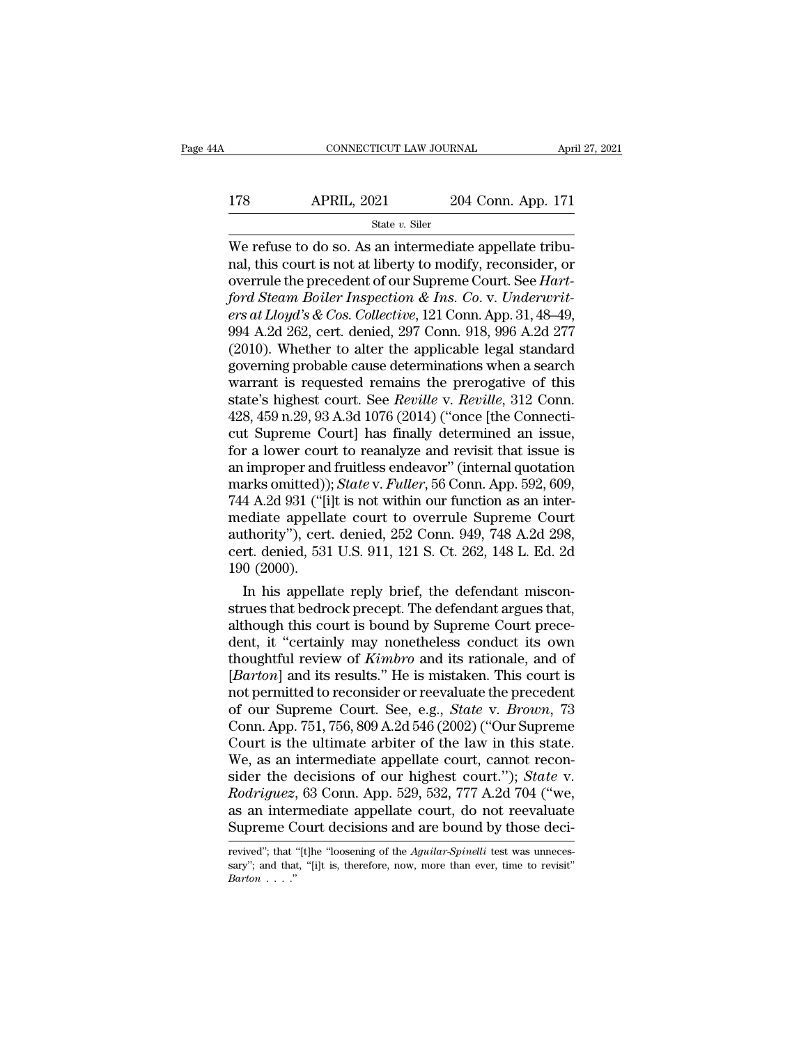# $\begin{array}{r|l} \text{CONNECTICUT LAW JOURNAL} & \text{April 27, 2021} \\ \hline \text{178} & \text{APRIL, 2021} & \text{204 Conn. App. 171} \\ \hline \text{State } v. \text{ Siler} & \end{array}$

### State *v.* Siler

CONNECTICUT LAW JOURNAL APT 178 APRIL, 2021 204 Conn. App. 171<br>
State v. Siler<br>
We refuse to do so. As an intermediate appellate tribu-<br>
nal, this court is not at liberty to modify, reconsider, or<br>
overrule the precedent of our Supreme Court. See *H* 178 APRIL, 2021 204 Conn. App. 171<br>
<sup>State v. Siler</sup><br>
We refuse to do so. As an intermediate appellate tribu-<br>
nal, this court is not at liberty to modify, reconsider, or<br>
overrule the precedent of our Supreme Court. See *ford State v. Siler*<br> *ford State v. Siler*<br> *ford State v. Siler*<br> *fore fuse to do so. As an intermediate appellate tribu-<br>
ral, this court is not at liberty to modify, reconsider, or<br>
overrule the precedent of our Supr EG CORD. HTTPP:* 2021<br> *EGT CORD. App.* 2021<br> *EGT CORD. App.* 211<br> *EGT CORD.* The State *v*. Siler<br> *ers at Lloyd's & Cos. Collective, 121 Conn. App. 31, 48–49,<br>
<i>g94 A.2d 262, cert. denied, 297 Conn. 918, 996 A.2d 277* State v. Siler<br>
We refuse to do so. As an intermediate appellate tribu-<br>
nal, this court is not at liberty to modify, reconsider, or<br>
overrule the precedent of our Supreme Court. See *Hart-*<br>
ford Steam Boiler Inspection We refuse to do so. As an intermediate appellate tribu-<br>nal, this court is not at liberty to modify, reconsider, or<br>overrule the precedent of our Supreme Court. See *Hart-*<br>ford Steam Boiler Inspection & Ins. Co. v. Underw nal, this court is not at liberty to modify, reconsider, or<br>overrule the precedent of our Supreme Court. See *Hart-<br>ford Steam Boiler Inspection & Ins. Co. v. Underwrit-<br>ers at Lloyd's & Cos. Collective, 121 Conn. App. 31,* overrule the precedent of our Supreme Court. See *Hart-*<br>ford Steam Boiler Inspection & Ins. Co. v. Underwrit-<br>ers at Lloyd's & Cos. Collective, 121 Conn. App. 31, 48–49,<br>994 A.2d 262, cert. denied, 297 Conn. 918, 996 A.2d ford Steam Boiler Inspection & Ins. Co. v. Underwrit-<br>ers at Lloyd's & Cos. Collective, 121 Conn. App. 31, 48–49,<br>994 A.2d 262, cert. denied, 297 Conn. 918, 996 A.2d 277<br>(2010). Whether to alter the applicable legal standa ers at Lloyd's & Cos. Collective, 121 Conn. App. 31, 48–49, 994 A.2d 262, cert. denied, 297 Conn. 918, 996 A.2d 277 (2010). Whether to alter the applicable legal standard governing probable cause determinations when a sear 994 A.2d 262, cert. denied, 297 Conn. 918, 996 A.2d 277 (2010). Whether to alter the applicable legal standard governing probable cause determinations when a search warrant is requested remains the prerogative of this sta (2010). Whether to alter the applicable legal standard<br>governing probable cause determinations when a search<br>warrant is requested remains the prerogative of this<br>state's highest court. See *Reville* v. *Reville*, 312 Conn governing probable cause determinations when a search<br>warrant is requested remains the prerogative of this<br>state's highest court. See *Reville* v. *Reville*, 312 Conn.<br>428, 459 n.29, 93 A.3d 1076 (2014) ("once [the Connect warrant is requested remains the prerogative of this<br>state's highest court. See *Reville* v. *Reville*, 312 Conn.<br>428, 459 n.29, 93 A.3d 1076 (2014) ("once [the Connecti-<br>cut Supreme Court] has finally determined an issue, state's highest court. See *Reville* v. *Reville*, 312 Conn.<br>428, 459 n.29, 93 A.3d 1076 (2014) ("once [the Connecti-<br>cut Supreme Court] has finally determined an issue,<br>for a lower court to reanalyze and revisit that issu 428, 459 n.29, 93 A.3d 1076 (2014) ("once [the Connecticut Supreme Court] has finally determined an issue, for a lower court to reanalyze and revisit that issue is an improper and fruitless endeavor" (internal quotation m cut Supreme Court] has finally determined an issue,<br>for a lower court to reanalyze and revisit that issue is<br>an improper and fruitless endeavor" (internal quotation<br>marks omitted)); *State* v. *Fuller*, 56 Conn. App. 592, for a lower court to reanalyze and revisit that issue is<br>an improper and fruitless endeavor" (internal quotation<br>marks omitted)); *State* v. *Fuller*, 56 Conn. App. 592, 609,<br>744 A.2d 931 ("[i]t is not within our function an improper and<br>marks omitted))<br>744 A.2d 931 ("[i<br>mediate appella<br>authority"), cert<br>cert. denied, 531<br>190 (2000).<br>In his appella arks omitted)); *State* v. *Futter*, 56 Conn. App. 592, 609, 4 A.2d 931 ("[i]t is not within our function as an inter-<br>ediate appellate court to overrule Supreme Court<br>thority"), cert. denied, 252 Conn. 949, 748 A.2d 298,<br> 744 A.2d 931 ("[1]t is not within our function as an inter-<br>mediate appellate court to overrule Supreme Court<br>authority"), cert. denied, 252 Conn. 949, 748 A.2d 298,<br>cert. denied, 531 U.S. 911, 121 S. Ct. 262, 148 L. Ed. 2

mediate appellate court to overrule Supreme Court<br>authority"), cert. denied, 252 Conn. 949, 748 A.2d 298,<br>cert. denied, 531 U.S. 911, 121 S. Ct. 262, 148 L. Ed. 2d<br>190 (2000).<br>In his appellate reply brief, the defendant mi authority"), cert. denied, 252 Conn. 949, 748 A.2d 298,<br>cert. denied, 531 U.S. 911, 121 S. Ct. 262, 148 L. Ed. 2d<br>190 (2000).<br>In his appellate reply brief, the defendant miscon-<br>strues that bedrock precept. The defendant a cert. denied, 531 U.S. 911, 121 S. Ct. 262, 148 L. Ed. 2d<br>190 (2000).<br>In his appellate reply brief, the defendant miscon-<br>strues that bedrock precept. The defendant argues that,<br>although this court is bound by Supreme Cour I<sup>90</sup> (2000).<br>
In his appellate reply brief, the defendant misconstrues that bedrock precept. The defendant argues that,<br>
although this court is bound by Supreme Court prece-<br>
dent, it "certainly may nonetheless conduct it In his appellate reply brief, the defendant miscon-<br>strues that bedrock precept. The defendant argues that,<br>although this court is bound by Supreme Court prece-<br>dent, it "certainly may nonetheless conduct its own<br>thoughtf strues that bedrock precept. The defendant argues that,<br>although this court is bound by Supreme Court prece-<br>dent, it "certainly may nonetheless conduct its own<br>thoughtful review of *Kimbro* and its rationale, and of<br>[*Bar* although this court is bound by Supreme Court prece-<br>dent, it "certainly may nonetheless conduct its own<br>thoughtful review of *Kimbro* and its rationale, and of<br>[*Barton*] and its results." He is mistaken. This court is<br>no dent, it "certainly may nonetheless conduct its own<br>thoughtful review of *Kimbro* and its rationale, and of<br>[*Barton*] and its results." He is mistaken. This court is<br>not permitted to reconsider or reevaluate the precedent thoughtful review of *Kimbro* and its rationale, and of [*Barton*] and its results." He is mistaken. This court is not permitted to reconsider or reevaluate the precedent of our Supreme Court. See, e.g., *State v. Brown*, [*Barton*] and its results." He is mistaken. This court is<br>not permitted to reconsider or reevaluate the precedent<br>of our Supreme Court. See, e.g., *State* v. *Brown*, 73<br>Conn. App. 751, 756, 809 A.2d 546 (2002) ("Our Supr not permitted to reconsider or reevaluate the precedent<br>of our Supreme Court. See, e.g., *State v. Brown*, 73<br>Conn. App. 751, 756, 809 A.2d 546 (2002) ("Our Supreme<br>Court is the ultimate arbiter of the law in this state.<br>W of our Supreme Court. See, e.g., *State* v. *Brown*, 73<br>Conn. App. 751, 756, 809 A.2d 546 (2002) ("Our Supreme<br>Court is the ultimate arbiter of the law in this state.<br>We, as an intermediate appellate court, cannot recon-<br>s Conn. App. 751, 756, 809 A.2d 546 (2002) ("Our Supreme<br>Court is the ultimate arbiter of the law in this state.<br>We, as an intermediate appellate court, cannot recon-<br>sider the decisions of our highest court."); *State* v.<br>R sider the decisions of our highest court."); *State* v.<br>*Rodriguez*, 63 Conn. App. 529, 532, 777 A.2d 704 ("we,<br>as an intermediate appellate court, do not reevaluate<br>Supreme Court decisions and are bound by those deci-<br>rev Rodriguez, 63 Conn. App. 529, 532, 777 A.2d 704 ("we, as an intermediate appellate court, do not reevaluate Supreme Court decisions and are bound by those deci-<br>Frevived"; that "[t]he "loosening of the *Aguilar-Spinelli* t

as an intermee<br>
Supreme Cour<br>
revived"; that "[t]he<br>
sary"; and that, "[i]<br> *Barton* . . . . ."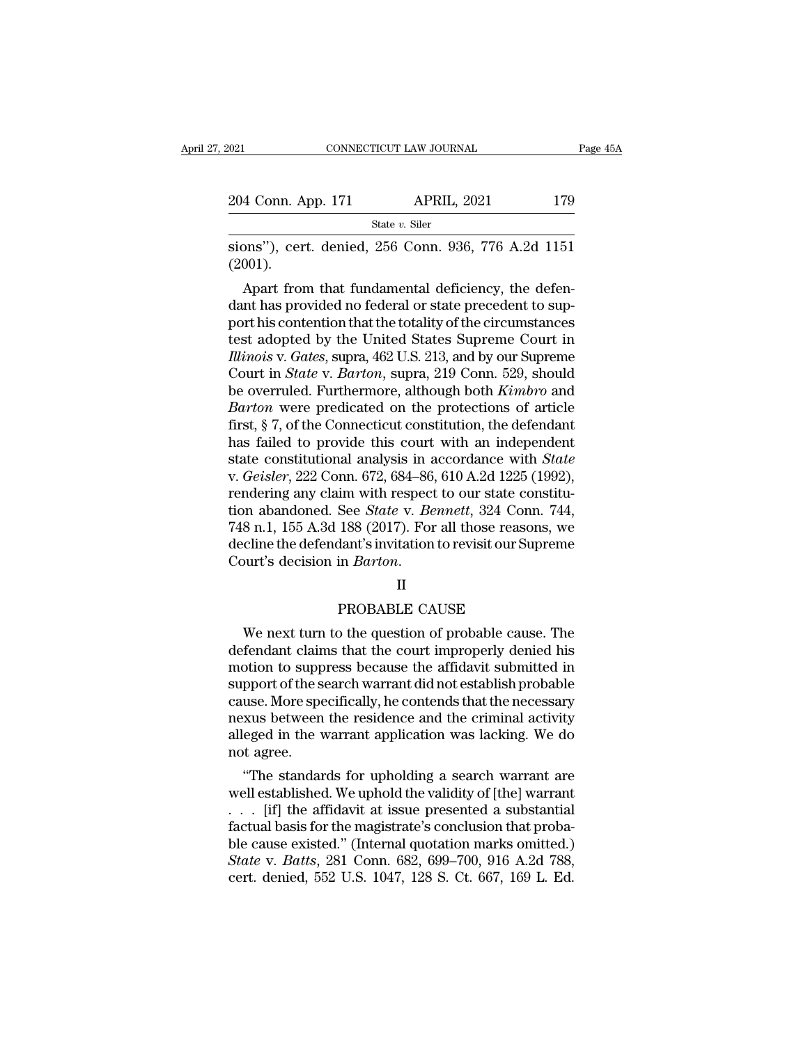| 021                | CONNECTICUT LAW JOURNAL | Page 45A |  |
|--------------------|-------------------------|----------|--|
|                    |                         |          |  |
| 204 Conn. App. 171 | <b>APRIL, 2021</b>      | 179      |  |
|                    | State $v$ . Siler       |          |  |

SIONE CONNECTICUT LAW JOURNAL Page 45A<br>
204 Conn. App. 171 APRIL, 2021 179<br>
State v. Siler<br>
Sions''), cert. denied, 256 Conn. 936, 776 A.2d 1151<br>
(2001). (2001).

4 Conn. App. 171 APRIL, 2021 179<br>
State v. Siler<br>
DOM), cert. denied, 256 Conn. 936, 776 A.2d 1151<br>
(151).<br>
Apart from that fundamental deficiency, the defen-<br>
that provided no federal or state precedent to sup-<br>
Nother t 204 Conn. App. 171 APRIL, 2021 179<br>  $\frac{\text{State } v. \text{ Siler}}{\text{sions''}}$ , cert. denied, 256 Conn. 936, 776 A.2d 1151<br>
(2001).<br>
Apart from that fundamental deficiency, the defen-<br>
dant has provided no federal or state precedent to sup State v. Siler<br>
sions"), cert. denied, 256 Conn. 936, 776 A.2d 1151<br>
(2001).<br>
Apart from that fundamental deficiency, the defen-<br>
dant has provided no federal or state precedent to sup-<br>
port his contention that the total sions"), cert. denied, 256 Conn. 936, 776 A.2d 1151<br>(2001).<br>Apart from that fundamental deficiency, the defen-<br>dant has provided no federal or state precedent to sup-<br>port his contention that the totality of the circumsta *Illinois J*, cert. defiled, 250 Collif. 950, 770 A.2d 1151<br> *Illinois* (2001).<br> **Apart from that fundamental deficiency, the defendant has provided no federal or state precedent to sup-<br>
port his contention that the tot** (2001).<br>
Apart from that fundamental deficiency, the defen-<br>
dant has provided no federal or state precedent to sup-<br>
port his contention that the totality of the circumstances<br>
test adopted by the United States Supreme Co Apart from that fundamental deficiency, the defen-<br>dant has provided no federal or state precedent to sup-<br>port his contention that the totality of the circumstances<br>test adopted by the United States Supreme Court in<br>*Illi* dant has provided no federal or state precedent to support his contention that the totality of the circumstances<br>test adopted by the United States Supreme Court in<br>*Illinois* v. *Gates*, supra, 462 U.S. 213, and by our Sup port his contention that the totality of the circumstances<br>test adopted by the United States Supreme Court in<br>*Illinois v. Gates*, supra, 462 U.S. 213, and by our Supreme<br>Court in *State v. Barton*, supra, 219 Conn. 529, s test adopted by the United States Supreme Court in *Illinois v. Gates*, supra, 462 U.S. 213, and by our Supreme Court in *State v. Barton*, supra, 219 Conn. 529, should be overruled. Furthermore, although both *Kimbro* an Illinois v. Gates, supra, 462 U.S. 213, and by our Supreme<br>Court in *State* v. *Barton*, supra, 219 Conn. 529, should<br>be overruled. Furthermore, although both *Kimbro* and<br>*Barton* were predicated on the protections of art Court in *State* v. *Barton*, supra, 219 Conn. 529, should<br>be overruled. Furthermore, although both *Kimbro* and<br>*Barton* were predicated on the protections of article<br>first, § 7, of the Connecticut constitution, the defen be overruled. Furthermore, although both *Kimbro* and *Barton* were predicated on the protections of article first,  $\S 7$ , of the Connecticut constitution, the defendant has failed to provide this court with an independen Barton were predicated on the protections of article<br>first, § 7, of the Connecticut constitution, the defendant<br>has failed to provide this court with an independent<br>state constitutional analysis in accordance with *State*<br> first, § 7, of the Connecticut constitution, the defendant<br>has failed to provide this court with an independent<br>state constitutional analysis in accordance with *State*<br>v. *Geisler*, 222 Conn. 672, 684–86, 610 A.2d 1225 (1 has failed to provide this court with an independent<br>state constitutional analysis in accordance with *State*<br>v. *Geisler*, 222 Conn. 672, 684–86, 610 A.2d 1225 (1992),<br>rendering any claim with respect to our state constit state constitutional analysis in acc<br>v. *Geisler*, 222 Conn. 672, 684–86, 6<br>rendering any claim with respect to<br>tion abandoned. See *State* v. *Benr*<br>748 n.1, 155 A.3d 188 (2017). For al<br>decline the defendant's invitation See *State* v. *Bennett*, 324 Conn. '<br>188 (2017). For all those reasons,<br>dant's invitation to revisit our Supre<br>in *Barton*.<br>II<br>PROBABLE CAUSE<br>o the question of probable cause. ' 8 n.1, 155 A.3d 188 (2017). For all those reasons, we<br>cline the defendant's invitation to revisit our Supreme<br>ourt's decision in *Barton*.<br>II<br>PROBABLE CAUSE<br>We next turn to the question of probable cause. The<br>fendant claim

decline the defendant's invitation to revisit our Supreme<br>Court's decision in *Barton*.<br>II<br>PROBABLE CAUSE<br>We next turn to the question of probable cause. The<br>defendant claims that the court improperly denied his<br>motion to Court's decision in *Barton*.<br>  $\begin{aligned} \Pi \end{aligned}$  PROBABLE CAUSE<br>
We next turn to the question of probable cause. The<br>
defendant claims that the court improperly denied his<br>
motion to suppress because the affidavit submitted II<br>
PROBABLE CAUSE<br>
We next turn to the question of probable cause. The<br>
defendant claims that the court improperly denied his<br>
motion to suppress because the affidavit submitted in<br>
support of the search warrant did not e PROBABLE CAUSE<br>We next turn to the question of probable cause. The<br>defendant claims that the court improperly denied his<br>motion to suppress because the affidavit submitted in<br>support of the search warrant did not establish PROBABLE CAUSE<br>We next turn to the question of probable cause. The<br>defendant claims that the court improperly denied his<br>motion to suppress because the affidavit submitted in<br>support of the search warrant did not establish We next turn to the question of probable cause. The<br>defendant claims that the court improperly denied his<br>motion to suppress because the affidavit submitted in<br>support of the search warrant did not establish probable<br>cause defendant clain<br>motion to supp<br>support of the s<br>cause. More spe<br>nexus between<br>alleged in the v<br>not agree.<br>"The standar buon to suppress because the amdavit submitted in<br>
pport of the search warrant did not establish probable<br>
use. More specifically, he contends that the necessary<br>
xus between the residence and the criminal activity<br>
eged i support of the search warrant did not establish probable<br>cause. More specifically, he contends that the necessary<br>nexus between the residence and the criminal activity<br>alleged in the warrant application was lacking. We do<br>

cause. More specifically, he contends that the necessary<br>nexus between the residence and the criminal activity<br>alleged in the warrant application was lacking. We do<br>not agree.<br>"The standards for upholding a search warrant flexus between the residence and the criminal activity<br>alleged in the warrant application was lacking. We do<br>not agree.<br>"The standards for upholding a search warrant are<br>well established. We uphold the validity of [the] w alleged in the warrant application was lacking. we do<br>not agree.<br>'' The standards for upholding a search warrant are<br>well established. We uphold the validity of [the] warrant<br>. . . [if] the affidavit at issue presented a s mot agree.<br>
"The standards for upholding a search warrant are<br>
well established. We uphold the validity of [the] warrant<br>
. . . [if] the affidavit at issue presented a substantial<br>
factual basis for the magistrate's conclu "The standards for upholding a search warrant are<br>well established. We uphold the validity of [the] warrant<br>. . . [if] the affidavit at issue presented a substantial<br>factual basis for the magistrate's conclusion that prob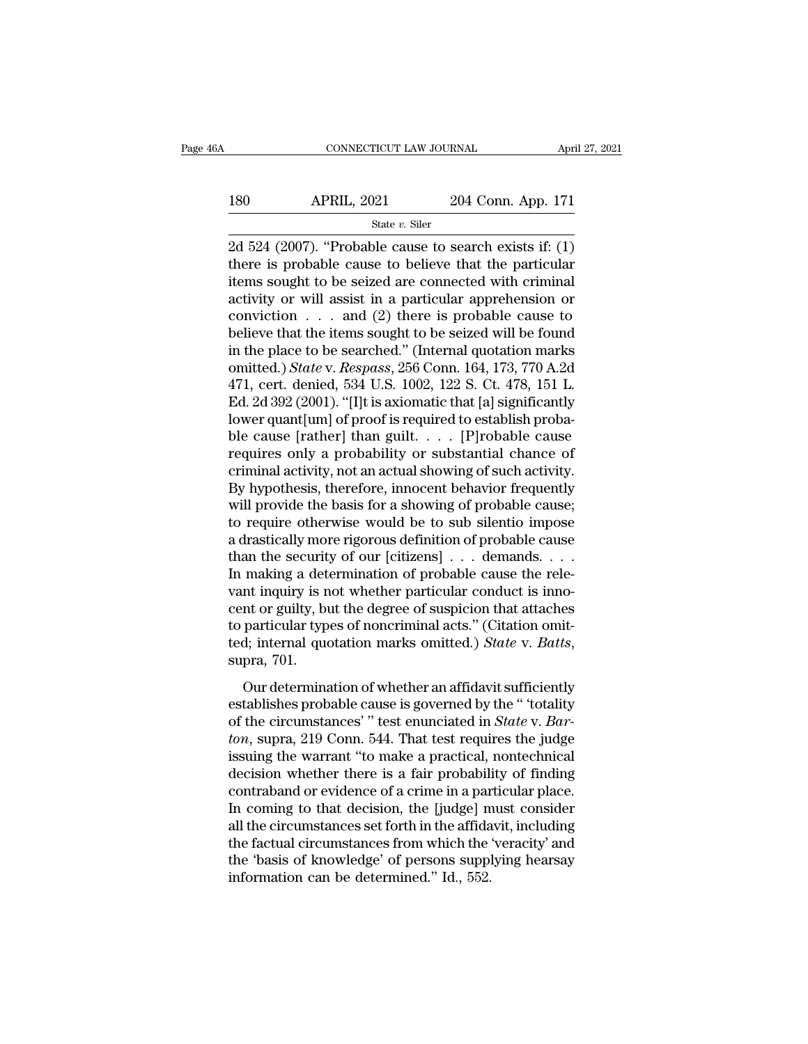### $\begin{array}{r|l} \text{CONNECTICUT LAW JOURNAL} & \text{April 27, 2021} \\ \hline \text{180} & \text{APRIL, 2021} & \text{204 Conn. App. 171} \\ & \text{State $v$. Siler} \end{array}$ State *v.* Siler

CONNECTICUT LAW JOURNAL April 27, 2021<br>
204 Conn. App. 171<br>
2d 524 (2007). "Probable cause to search exists if: (1)<br>
there is probable cause to believe that the particular<br>
ditions sought to be seized are connected with cr 180 APRIL, 2021 204 Conn. App. 171<br>
<sup>State v. Siler</sup><br>
2d 524 (2007). "Probable cause to search exists if: (1)<br>
there is probable cause to believe that the particular<br>
items sought to be seized are connected with criminal<br> 180 APRIL, 2021 204 Conn. App. 171<br>
<sup>State v. Siler</sup><br>
2d 524 (2007). "Probable cause to search exists if: (1)<br>
there is probable cause to believe that the particular<br>
items sought to be seized are connected with criminal<br> 180 APRIL, 2021 204 Conn. App. 171<br>
<sup>State v. Siler</sup><br>
2d 524 (2007). "Probable cause to search exists if: (1)<br>
there is probable cause to believe that the particular<br>
items sought to be seized are connected with criminal<br> State v. Siler<br>
2d 524 (2007). "Probable cause to search exists if: (1)<br>
there is probable cause to believe that the particular<br>
items sought to be seized are connected with criminal<br>
activity or will assist in a particul state v. suer<br>
2d 524 (2007). "Probable cause to search exists if: (1)<br>
there is probable cause to believe that the particular<br>
items sought to be seized are connected with criminal<br>
activity or will assist in a particula 2d 524 (2007). "Probable cause to search exists if: (1)<br>there is probable cause to believe that the particular<br>items sought to be seized are connected with criminal<br>activity or will assist in a particular apprehension or<br> there is probable cause to believe that the particular<br>items sought to be seized are connected with criminal<br>activity or will assist in a particular apprehension or<br>conviction . . . and (2) there is probable cause to<br>belie items sought to be seized are connected with criminal<br>activity or will assist in a particular apprehension or<br>conviction . . . and (2) there is probable cause to<br>believe that the items sought to be seized will be found<br>in activity or will assist in a particular apprehension or<br>
conviction . . . and (2) there is probable cause to<br>
believe that the items sought to be seized will be found<br>
in the place to be searched." (Internal quotation mar conviction . . . and (2) there is probable cause to<br>believe that the items sought to be seized will be found<br>in the place to be searched." (Internal quotation marks<br>omitted.) *State* v. *Respass*, 256 Conn. 164, 173, 770 believe that the items sought to be seized will be found<br>in the place to be searched." (Internal quotation marks<br>omitted.) *State* v. *Respass*, 256 Conn. 164, 173, 770 A.2d<br>471, cert. denied, 534 U.S. 1002, 122 S. Ct. 478 in the place to be searched." (Internal quotation marks<br>omitted.) State v. Respass, 256 Conn. 164, 173, 770 A.2d<br>471, cert. denied, 534 U.S. 1002, 122 S. Ct. 478, 151 L.<br>Ed. 2d 392 (2001). "[I]t is axiomatic that [a] sign omitted.) *State* v. *Respass*, 256 Conn. 164, 173, 770 A.2d<br>471, cert. denied, 534 U.S. 1002, 122 S. Ct. 478, 151 L.<br>Ed. 2d 392 (2001). "[I]t is axiomatic that [a] significantly<br>lower quant[um] of proof is required to est 471, cert. denied, 534 U.S. 1002, 122 S. Ct. 478, 151 L.<br>Ed. 2d 392 (2001). "[I]t is axiomatic that [a] significantly<br>lower quant[um] of proof is required to establish proba-<br>ble cause [rather] than guilt. . . . [P]robable Ed. 2d 392 (2001). "[I]t is axiomatic that [a] significantly<br>lower quant[um] of proof is required to establish proba-<br>ble cause [rather] than guilt. . . . . [P]robable cause<br>requires only a probability or substantial chanc lower quant[um] of proof is required to establish probable cause<br>ble cause [rather] than guilt. . . . [P]robable cause<br>requires only a probability or substantial chance of<br>criminal activity, not an actual showing of such a ble cause [rather] than guilt. . . . . [P]robable cause<br>requires only a probability or substantial chance of<br>criminal activity, not an actual showing of such activity.<br>By hypothesis, therefore, innocent behavior frequently requires only a probability or substantial chance of<br>criminal activity, not an actual showing of such activity.<br>By hypothesis, therefore, innocent behavior frequently<br>will provide the basis for a showing of probable cause; criminal activity, not an actual showing of such activity.<br>By hypothesis, therefore, innocent behavior frequently<br>will provide the basis for a showing of probable cause;<br>to require otherwise would be to sub silentio impose By hypothesis, therefore, innocent behavior frequently<br>will provide the basis for a showing of probable cause;<br>to require otherwise would be to sub silentio impose<br>a drastically more rigorous definition of probable cause<br> will provide the basis for a showing of probable cause;<br>to require otherwise would be to sub silentio impose<br>a drastically more rigorous definition of probable cause<br>than the security of our [citizens]  $\dots$  demands.  $\dots$ <br> to require otherwise would be to sub silentio impose<br>a drastically more rigorous definition of probable cause<br>than the security of our [citizens]  $\ldots$  demands.  $\ldots$ <br>In making a determination of probable cause the rele-<br> a drastically more rigorous definition of probable cause<br>than the security of our [citizens] . . . demands. . . .<br>In making a determination of probable cause the rele-<br>vant inquiry is not whether particular conduct is inno Indians a determination of probabile cause are referred in inquiry is not whether particular conduct is inno-<br>nt or guilty, but the degree of suspicion that attaches<br>particular types of noncriminal acts." (Citation omit-<br>d vand inquiry is not whencer paractinal conduct is finite<br>cent or guilty, but the degree of suspicion that attaches<br>to particular types of noncriminal acts." (Citation omit-<br>ted; internal quotation marks omitted.) *State*

of the circular types of noncriminal acts." (Citation omitted; internal quotation marks omitted.) *State* v. *Batts*, supra, 701.<br>Our determination of whether an affidavit sufficiently establishes probable cause is governe *to paracedar sypes of noncernation decay.* (*chalater of the*<br>ted; internal quotation marks omitted.) *State v. Batts*,<br>supra, 701.<br>Our determination of whether an affidavit sufficiently<br>establishes probable cause is gove supra, 701.<br>
Our determination of whether an affidavit sufficiently<br>
establishes probable cause is governed by the " totality<br>
of the circumstances' " test enunciated in *State* v. *Bar-*<br>
ton, supra, 219 Conn. 544. That Our determination of whether an affidavit sufficiently<br>establishes probable cause is governed by the " 'totality<br>of the circumstances' " test enunciated in *State* v. *Bar-*<br>*ton*, supra, 219 Conn. 544. That test requires Our determination of whether an affidavit sufficiently<br>establishes probable cause is governed by the " 'totality<br>of the circumstances' " test enunciated in *State* v. *Bar-*<br>*ton*, supra, 219 Conn. 544. That test requires establishes probable cause is governed by the " 'totality<br>of the circumstances' " test enunciated in *State* v. *Bar-*<br>*ton*, supra, 219 Conn. 544. That test requires the judge<br>issuing the warrant "to make a practical, non of the circumstances' " test enunciated in *State* v. *Barton*, supra, 219 Conn. 544. That test requires the judge issuing the warrant "to make a practical, nontechnical decision whether there is a fair probability of find *ton*, supra, 219 Conn. 544. That test requires the judge<br>issuing the warrant "to make a practical, nontechnical<br>decision whether there is a fair probability of finding<br>contraband or evidence of a crime in a particular pl issuing the warrant "to make a practical, nontechnical<br>decision whether there is a fair probability of finding<br>contraband or evidence of a crime in a particular place.<br>In coming to that decision, the [judge] must consider<br> decision whether there is a fair probabili<br>contraband or evidence of a crime in a par<br>In coming to that decision, the [judge] n<br>all the circumstances set forth in the affida<br>the factual circumstances from which the<br>the 'ba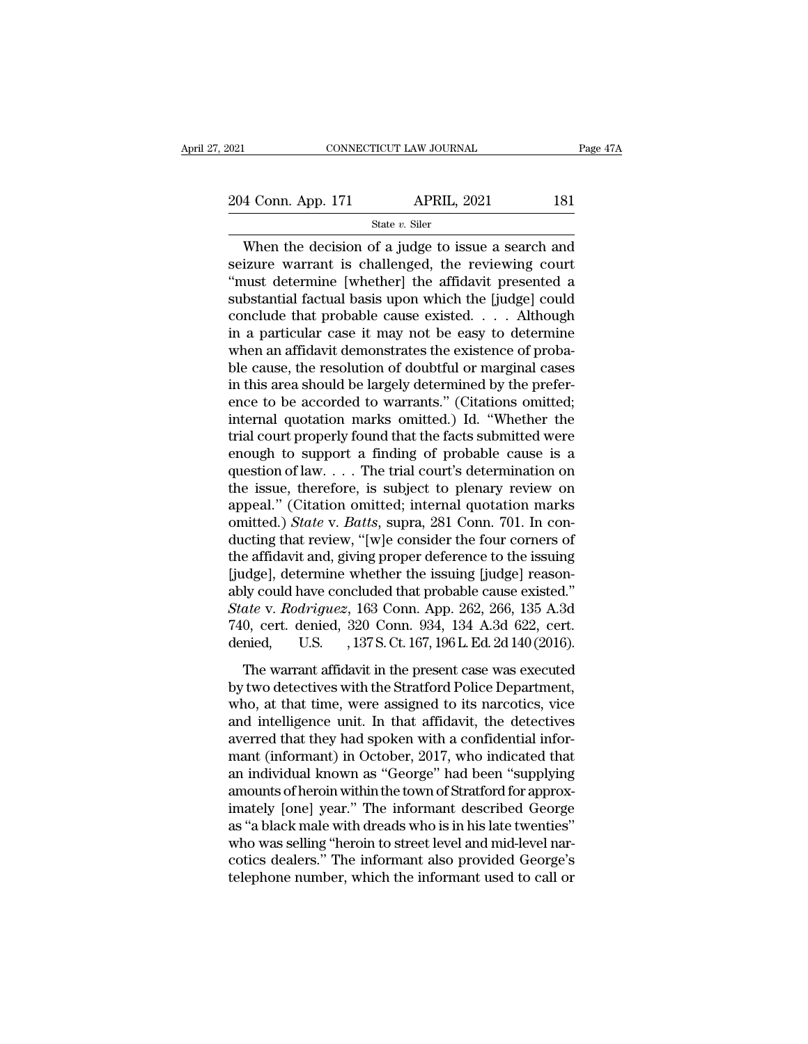# 2021 CONNECTICUT LAW JOURNAL Page 47A<br>204 Conn. App. 171 APRIL, 2021 181

State *v.* Siler

CONNECTICUT LAW JOURNAL Page 47A<br>
4 Conn. App. 171 APRIL, 2021 181<br>
State v. Siler<br>
When the decision of a judge to issue a search and<br>
izure warrant is challenged, the reviewing court<br>
wust determine whether the effidevit 204 Conn. App. 171 APRIL, 2021 181<br>
State v. Siler<br>
When the decision of a judge to issue a search and<br>
seizure warrant is challenged, the reviewing court<br>
"must determine [whether] the affidavit presented a<br>
substantial 204 Conn. App. 171 APRIL, 2021 181<br>
State v. Siler<br>
When the decision of a judge to issue a search and<br>
seizure warrant is challenged, the reviewing court<br>
"must determine [whether] the affidavit presented a<br>
substantial 204 Conn. App. 171 APRIL, 2021 181<br>
State v. Siler<br>
When the decision of a judge to issue a search and<br>
seizure warrant is challenged, the reviewing court<br>
"must determine [whether] the affidavit presented a<br>
substantial State v. Siler<br>
When the decision of a judge to issue a search and<br>
seizure warrant is challenged, the reviewing court<br>
"must determine [whether] the affidavit presented a<br>
substantial factual basis upon which the [judge] State v. Siler<br>
When the decision of a judge to issue a search and<br>
seizure warrant is challenged, the reviewing court<br>
"must determine [whether] the affidavit presented a<br>
substantial factual basis upon which the [judge] When the decision of a judge to issue a search and<br>seizure warrant is challenged, the reviewing court<br>"must determine [whether] the affidavit presented a<br>substantial factual basis upon which the [judge] could<br>conclude tha seizure warrant is challenged, the reviewing court<br>"must determine [whether] the affidavit presented a<br>substantial factual basis upon which the [judge] could<br>conclude that probable cause existed. . . . Although<br>in a partic "must determine [whether] the affidavit presented a substantial factual basis upon which the [judge] could conclude that probable cause existed. . . . Although in a particular case it may not be easy to determine when an substantial factual basis upon which the [judge] could<br>conclude that probable cause existed. . . . Although<br>in a particular case it may not be easy to determine<br>when an affidavit demonstrates the existence of proba-<br>ble ca conclude that probable cause existed.  $\ldots$  . Although<br>in a particular case it may not be easy to determine<br>when an affidavit demonstrates the existence of proba-<br>ble cause, the resolution of doubtful or marginal cases<br>in in a particular case it may not be easy to determine<br>when an affidavit demonstrates the existence of proba-<br>ble cause, the resolution of doubtful or marginal cases<br>in this area should be largely determined by the prefer-<br>e when an affidavit demonstrates the existence of probable cause, the resolution of doubtful or marginal cases<br>in this area should be largely determined by the prefer-<br>ence to be accorded to warrants." (Citations omitted;<br>i ble cause, the resolution of doubtful or marginal cases<br>in this area should be largely determined by the prefer-<br>ence to be accorded to warrants." (Citations omitted;<br>internal quotation marks omitted.) Id. "Whether the<br>tri in this area should be largely determined by the prefer-<br>ence to be accorded to warrants." (Citations omitted;<br>internal quotation marks omitted.) Id. "Whether the<br>trial court properly found that the facts submitted were<br>e ence to be accorded to warrants." (Citations omitted;<br>internal quotation marks omitted.) Id. "Whether the<br>trial court properly found that the facts submitted were<br>enough to support a finding of probable cause is a<br>questio internal quotation marks omitted.) Id. "Whether the<br>trial court properly found that the facts submitted were<br>enough to support a finding of probable cause is a<br>question of law.... The trial court's determination on<br>the iss trial court properly found that the facts submitted were<br>enough to support a finding of probable cause is a<br>question of law.... The trial court's determination on<br>the issue, therefore, is subject to plenary review on<br>appe enough to support a finding of probable cause is a<br>question of law.... The trial court's determination on<br>the issue, therefore, is subject to plenary review on<br>appeal." (Citation omitted; internal quotation marks<br>omitted. question of law. . . . The trial court's determination on<br>the issue, therefore, is subject to plenary review on<br>appeal." (Citation omitted; internal quotation marks<br>omitted.) *State* v. *Batts*, supra, 281 Conn. 701. In c the issue, therefore, is subject to plenary review on appeal." (Citation omitted; internal quotation marks omitted.) *State* v. *Batts*, supra, 281 Conn. 701. In conducting that review, "[w]e consider the four corners of appeal." (Citation omitted; internal quotation marks<br>omitted.) *State* v. *Batts*, supra, 281 Conn. 701. In con-<br>ducting that review, "[w]e consider the four corners of<br>the affidavit and, giving proper deference to the iss omitted.) *State* v. *Batts*, supra, 281 Conn. 701. In conducting that review, "[w]e consider the four corners of the affidavit and, giving proper deference to the issuing [judge], determine whether the issuing [judge] rea ducting that review, "[w]e consider the four corners of<br>the affidavit and, giving proper deference to the issuing<br>[judge], determine whether the issuing [judge] reason-<br>ably could have concluded that probable cause existed dge], determine whether the issuing [judge] reason-<br>ly could have concluded that probable cause existed."<br>*ate* v. *Rodriguez*, 163 Conn. App. 262, 266, 135 A.3d<br>0, cert. denied, 320 Conn. 934, 134 A.3d 622, cert.<br>nied, U  $\mu$  and  $\mu$  and  $\mu$  and  $\mu$  and  $\mu$  and  $\mu$  and  $\mu$  and  $\mu$  and  $\mu$  and  $\mu$  and  $\mu$  and  $\mu$  and  $\mu$  and  $\mu$  and  $\mu$  and  $\mu$  and  $\mu$  and  $\mu$  and  $\mu$  and  $\mu$  and  $\mu$  and  $\mu$  and  $\mu$  and  $\mu$  and  $\mu$ 

State v. Rodriguez, 163 Conn. App. 262, 266, 135 A.3d<br>
740, cert. denied, 320 Conn. 934, 134 A.3d 622, cert.<br>
denied, U.S. , 137 S. Ct. 167, 196 L. Ed. 2d 140 (2016).<br>
The warrant affidavit in the present case was executed 740, cert. denied, 320 Conn. 934, 134 A.3d 622, cert.<br>
denied, U.S. , 137 S. Ct. 167, 196 L. Ed. 2d 140 (2016).<br>
The warrant affidavit in the present case was executed<br>
by two detectives with the Stratford Police Departme and the U.S. (137 S.Ct. 167, 196 L. Ed. 2d 140 (2016).<br>The warrant affidavit in the present case was executed<br>by two detectives with the Stratford Police Department,<br>who, at that time, were assigned to its narcotics, vice The warrant affidavit in the present case was executed<br>by two detectives with the Stratford Police Department,<br>who, at that time, were assigned to its narcotics, vice<br>and intelligence unit. In that affidavit, the detective The warrant affidavit in the present case was executed<br>by two detectives with the Stratford Police Department,<br>who, at that time, were assigned to its narcotics, vice<br>and intelligence unit. In that affidavit, the detective by two detectives with the Stratford Police Department,<br>who, at that time, were assigned to its narcotics, vice<br>and intelligence unit. In that affidavit, the detectives<br>averred that they had spoken with a confidential info who, at that time, were assigned to its narcotics, vice<br>and intelligence unit. In that affidavit, the detectives<br>averred that they had spoken with a confidential infor-<br>mant (informant) in October, 2017, who indicated that and intelligence unit. In that affidavit, the detectives<br>averred that they had spoken with a confidential infor-<br>mant (informant) in October, 2017, who indicated that<br>an individual known as "George" had been "supplying<br>amo averred that they had spoken with a confidential informant (informant) in October, 2017, who indicated that<br>an individual known as "George" had been "supplying<br>amounts of heroin within the town of Stratford for approx-<br>ima mant (informant) in October, 2017, who indicated that<br>an individual known as "George" had been "supplying<br>amounts of heroin within the town of Stratford for approx-<br>imately [one] year." The informant described George<br>as "a an individual known as "George" had been "supplying<br>amounts of heroin within the town of Stratford for approx-<br>imately [one] year." The informant described George<br>as "a black male with dreads who is in his late twenties"<br>w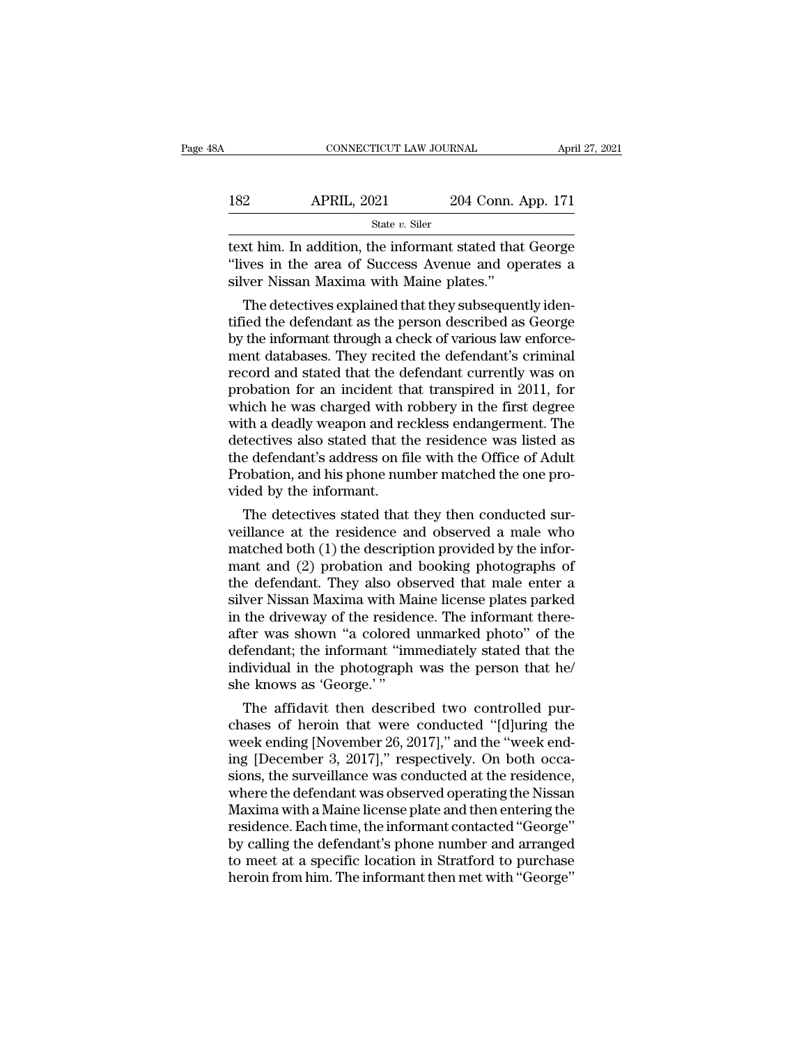| 3A  | CONNECTICUT LAW JOURNAL |                    | April 27, 2021 |
|-----|-------------------------|--------------------|----------------|
| 182 | <b>APRIL, 2021</b>      | 204 Conn. App. 171 |                |
|     | State $v$ . Siler       |                    |                |

CONNECTICUT LAW JOURNAL April 27, 2021<br>182 APRIL, 2021 204 Conn. App. 171<br>184 State v. Siler<br>1958 Text him. In addition, the informant stated that George<br>1979 State in the area of Success Avenue and operates a 182 APRIL, 2021 204 Conn. App. 171<br>
<sup>State v. Siler</sup><br>
text him. In addition, the informant stated that George<br>
"lives in the area of Success Avenue and operates a<br>
silver Nissan Maxima with Maine plates."  $\begin{tabular}{ll} \bf 182 & APRIL, 2021 & 204 Conn. \bf \color{red}{\it State v. Siler} \\ \hline \end{tabular}$  <br> state  $v.$  Siler text him. In addition, the informant stated that "lives in the area of Success Avenue and op silver Nissan Maxima with Maine plates." <br> The dete 22 APRIL, 2021 204 Conn. App. 171<br>  $\frac{1}{2}$  State v. Siler<br>
xt him. In addition, the informant stated that George<br>
ves in the area of Success Avenue and operates a<br>
ver Nissan Maxima with Maine plates."<br>
The detectives e

State  $v$ . Siler<br>
text him. In addition, the informant stated that George<br>
"lives in the area of Success Avenue and operates a<br>
silver Nissan Maxima with Maine plates."<br>
The detectives explained that they subsequently ide text him. In addition, the informant stated that George<br>
"lives in the area of Success Avenue and operates a<br>
silver Nissan Maxima with Maine plates."<br>
The detectives explained that they subsequently identified the defenda rext nim. In addition, the informant stated that George<br>"lives in the area of Success Avenue and operates a<br>silver Nissan Maxima with Maine plates."<br>The detectives explained that they subsequently iden-<br>tified the defendan record and stated that they subsequently identified the defendant as the person described as George<br>by the informant through a check of various law enforce-<br>tified the defendant as the person described as George<br>by the inf silver Nissan Maxima with Maine plates.<br>The detectives explained that they subsequently identified the defendant as the person described as George<br>by the informant through a check of various law enforce-<br>ment databases. Th The detectives explained that they subsequently identified the defendant as the person described as George<br>by the informant through a check of various law enforce-<br>ment databases. They recited the defendant's criminal<br>reco tified the defendant as the person described as George<br>by the informant through a check of various law enforce-<br>ment databases. They recited the defendant's criminal<br>record and stated that the defendant currently was on<br>pr by the informant through a check of various law enforcement databases. They recited the defendant's criminal record and stated that the defendant currently was on probation for an incident that transpired in 2011, for whic ment databases. They recited the defendant's criminal<br>record and stated that the defendant currently was on<br>probation for an incident that transpired in 2011, for<br>which he was charged with robbery in the first degree<br>with record and stated that the defendant currently was on<br>probation for an incident that transpired in 2011, for<br>which he was charged with robbery in the first degree<br>with a deadly weapon and reckless endangerment. The<br>detecti probation for an incident th<br>which he was charged with r<br>with a deadly weapon and red<br>detectives also stated that th<br>the defendant's address on fi<br>Probation, and his phone nun<br>vided by the informant.<br>The detectives stated The detectives also stated that the residence was listed as<br>tectives also stated that the residence was listed as<br>e defendant's address on file with the Office of Adult<br>obation, and his phone number matched the one pro-<br>de with a deadly weapon and reckless endangerment. The<br>detectives also stated that the residence was listed as<br>the defendant's address on file with the Office of Adult<br>Probation, and his phone number matched the one pro-<br>vide

detectives also stated that the residence was listed as<br>the defendant's address on file with the Office of Adult<br>Probation, and his phone number matched the one pro-<br>vided by the informant.<br>The detectives stated that they the defendant s address on hie with the Office of Adult<br>Probation, and his phone number matched the one pro-<br>vided by the informant.<br>The detectives stated that they then conducted sur-<br>veillance at the residence and observ Probation, and his phone number matched the one provided by the informant.<br>The detectives stated that they then conducted surveillance at the residence and observed a male who<br>matched both (1) the description provided by t vided by the informant.<br>The detectives stated that they then conducted surveillance at the residence and observed a male who<br>matched both (1) the description provided by the infor-<br>mant and (2) probation and booking photog The detectives stated that they then conducted surveillance at the residence and observed a male who matched both (1) the description provided by the informant and (2) probation and booking photographs of the defendant. Th veillance at the residence and observed a male who<br>matched both (1) the description provided by the infor-<br>mant and (2) probation and booking photographs of<br>the defendant. They also observed that male enter a<br>silver Nissan matched both (1) the description provided by the informant and (2) probation and booking photographs of the defendant. They also observed that male enter a silver Nissan Maxima with Maine license plates parked in the drive mant and (2) probation and booking photographs of<br>the defendant. They also observed that male enter a<br>silver Nissan Maxima with Maine license plates parked<br>in the driveway of the residence. The informant there-<br>after was s the defendant. They also obsilver Nissan Maxima with Main the driveway of the resident<br>after was shown "a colored defendant; the informant "im<br>individual in the photograph<br>she knows as 'George.' "<br>The affidavit then descri ver Nissan Maxima with Maine license plates parked<br>the driveway of the residence. The informant there-<br>ter was shown "a colored unmarked photo" of the<br>fendant; the informant "immediately stated that the<br>dividual in the pho In the arrveway of the residence. The informant thereafter was shown "a colored unmarked photo" of the defendant; the informant "immediately stated that the individual in the photograph was the person that he/<br>she knows a

after was shown "a colored unmarked photo" of the<br>defendant; the informant "immediately stated that the<br>individual in the photograph was the person that he/<br>she knows as 'George.'"<br>The affidavit then described two controll defendant; the miormant immediately stated that the<br>individual in the photograph was the person that he/<br>she knows as 'George.'"<br>The affidavit then described two controlled pur-<br>chases of heroin that were conducted "[d]uri marviaual in the photograph was the person that he<br>she knows as 'George.' "<br>The affidavit then described two controlled pur-<br>chases of heroin that were conducted "[d]uring the<br>week ending [November 26, 2017]," and the "wee sne knows as 'George."<br>
The affidavit then described two controlled pur-<br>
chases of heroin that were conducted "[d]uring the<br>
week ending [November 26, 2017]," and the "week end-<br>
ing [December 3, 2017]," respectively. On The affidavit then described two controlled pur-<br>chases of heroin that were conducted "[d]uring the<br>week ending [November 26, 2017]," and the "week end-<br>ing [December 3, 2017]," respectively. On both occa-<br>sions, the surve chases of heroin that were conducted "[d]uring the<br>week ending [November 26, 2017]," and the "week end-<br>ing [December 3, 2017]," respectively. On both occa-<br>sions, the surveillance was conducted at the residence,<br>where the week ending [November 26, 2017]," and the "week end-<br>ing [December 3, 2017]," respectively. On both occa-<br>sions, the surveillance was conducted at the residence,<br>where the defendant was observed operating the Nissan<br>Maxima ing [December 3, 2017]," respectively. On both occasions, the surveillance was conducted at the residence, where the defendant was observed operating the Nissan Maxima with a Maine license plate and then entering the resid sions, the surveillance was conducted at the residence, where the defendant was observed operating the Nissan Maxima with a Maine license plate and then entering the residence. Each time, the informant contacted "George" b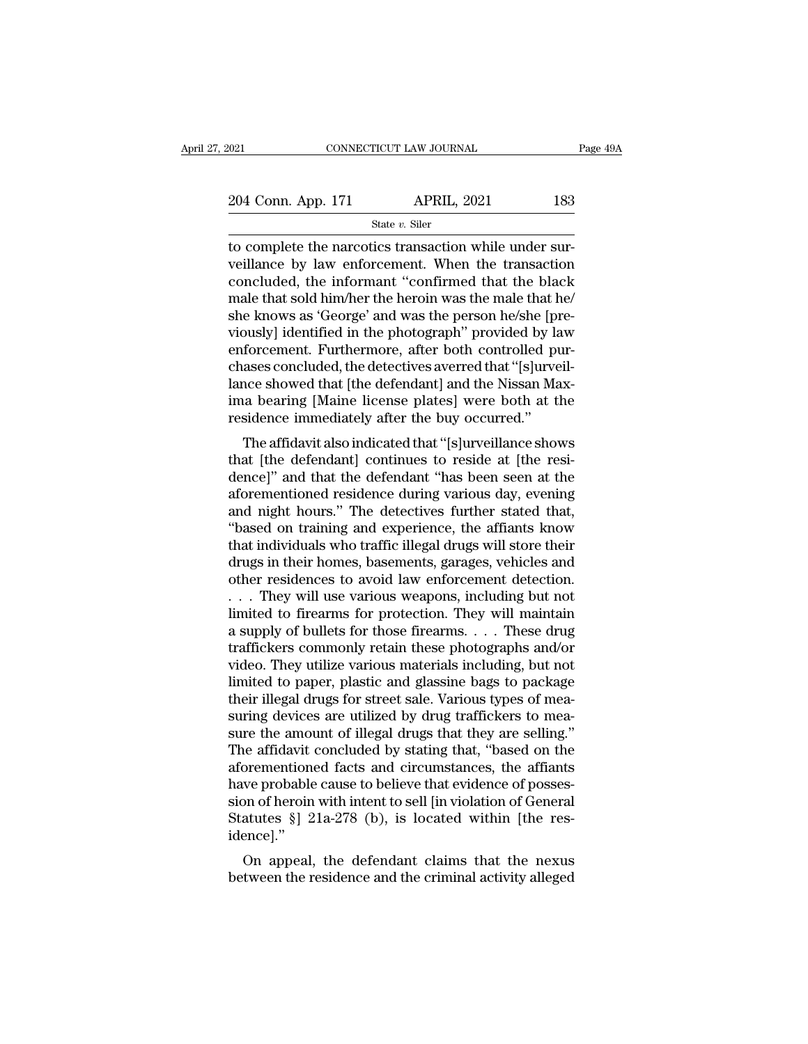| 2021               | CONNECTICUT LAW JOURNAL | Page 49A |
|--------------------|-------------------------|----------|
| 204 Conn. App. 171 | <b>APRIL, 2021</b>      | 183      |
|                    | State $v$ . Siler       |          |

to complete the narcotics transaction while under sur-<br>  $\frac{204 \text{ Conn. App. 171}}{\text{State } v. \text{ Siler}}$ <br>
to complete the narcotics transaction while under sur-<br>
veillance by law enforcement. When the transaction<br>
concluded the informan 204 Conn. App. 171 APRIL, 2021 183<br>
state v. Siler<br>
to complete the narcotics transaction while under surveillance by law enforcement. When the transaction<br>
concluded, the informant "confirmed that the black<br>
male that so 204 Conn. App. 171 APRIL, 2021 183<br>
State v. Siler<br>
to complete the narcotics transaction while under surveillance by law enforcement. When the transaction<br>
concluded, the informant "confirmed that the black<br>
male that so 204 Conn. App. 171 APRIL, 2021 183<br>  $\frac{\text{State } v. \text{ Siler}}{\text{to complete the narcotics transaction while under sur-  
veillance by law enforcement. When the transaction  
concluded, the informat "confirmed that the black  
male that sold him/her the heroin was the male that he/  
she knows as "George" and was the person he/she [pre-  
viewelyl identified in the photograph" provided by law$ State v. Siler<br>state v. Siler<br>to complete the narcotics transaction while under surveillance by law enforcement. When the transaction<br>concluded, the informant "confirmed that the black<br>male that sold him/her the heroin wa state v. Siler<br>to complete the narcotics transaction while under sur-<br>veillance by law enforcement. When the transaction<br>concluded, the informant "confirmed that the black<br>male that sold him/her the heroin was the male th to complete the narcotics transaction while under surveillance by law enforcement. When the transaction concluded, the informant "confirmed that the black male that sold him/her the heroin was the male that he/she knows as veillance by law enforcement. When the transaction<br>concluded, the informant "confirmed that the black<br>male that sold him/her the heroin was the male that he/<br>she knows as 'George' and was the person he/she [pre-<br>viously] i concluded, the informant "confirmed that the black<br>male that sold him/her the heroin was the male that he/<br>she knows as 'George' and was the person he/she [pre-<br>viously] identified in the photograph" provided by law<br>enforc male that sold him/her the heroin was the male that he/<br>she knows as 'George' and was the person he/she [pre-<br>viously] identified in the photograph" provided by law<br>enforcement. Furthermore, after both controlled pur-<br>chas she knows as 'George' and was the person he/she [p<br>viously] identified in the photograph" provided by la<br>enforcement. Furthermore, after both controlled p<br>chases concluded, the detectives averred that "[s]urve<br>lance showed busiy] identified in the photograph provided by law<br>forcement. Furthermore, after both controlled pur-<br>ases concluded, the detectives averred that "[s]urveil-<br>nce showed that [the defendant] and the Nissan Max-<br>a bearing [ emocement. Furthermore, after both controlled purchases concluded, the detectives averred that "[s]urveillance showed that [the defendant] and the Nissan Maxima bearing [Maine license plates] were both at the residence imm

chases concluded, the defectives averted that [s]uven-<br>lance showed that [the defendant] and the Nissan Max-<br>ima bearing [Maine license plates] were both at the<br>residence immediately after the buy occurred."<br>The affidavit rance showed that [the defendant] and the Nissan Maxima bearing [Maine license plates] were both at the residence immediately after the buy occurred."<br>The affidavit also indicated that "[s]urveillance shows that [the defen ma bearing [waine incense piates] were both at the<br>residence immediately after the buy occurred."<br>The affidavit also indicated that "[s]urveillance shows<br>that [the defendant] continues to reside at [the resi-<br>dence]" and t The affidavit also indicated that "[s]urveillance shows<br>that [the defendant] continues to reside at [the resi-<br>dence]" and that the defendant "has been seen at the<br>aforementioned residence during various day, evening<br>and n The affidavit also indicated that "[s]urveillance shows<br>that [the defendant] continues to reside at [the resi-<br>dence]" and that the defendant "has been seen at the<br>aforementioned residence during various day, evening<br>and n that [the defendant] continues to reside at [the resi-<br>dence]" and that the defendant "has been seen at the<br>aforementioned residence during various day, evening<br>and night hours." The detectives further stated that,<br>"based dence]" and that the defendant "has been seen at the aforementioned residence during various day, evening<br>and night hours." The detectives further stated that,<br>"based on training and experience, the affiants know<br>that indi aforementioned residence during various day, evening<br>and night hours." The detectives further stated that,<br>"based on training and experience, the affiants know<br>that individuals who traffic illegal drugs will store their<br>dr and night hours." The detectives further stated that,<br>"based on training and experience, the affiants know<br>that individuals who traffic illegal drugs will store their<br>drugs in their homes, basements, garages, vehicles and "based on training and experience, the affiants know<br>that individuals who traffic illegal drugs will store their<br>drugs in their homes, basements, garages, vehicles and<br>other residences to avoid law enforcement detection.<br> that individuals who traffic illegal drugs will store their<br>drugs in their homes, basements, garages, vehicles and<br>other residences to avoid law enforcement detection.<br>. . . They will use various weapons, including but not drugs in their homes, basements, garages, vehicles and<br>other residences to avoid law enforcement detection.<br>... They will use various weapons, including but not<br>limited to firearms for protection. They will maintain<br>a supp other residences to avoid law enforcement detection.<br>
. . . They will use various weapons, including but not<br>
limited to firearms for protection. They will maintain<br>
a supply of bullets for those firearms. . . . These drug . . . They will use various weapons, including but not<br>limited to firearms for protection. They will maintain<br>a supply of bullets for those firearms. . . . These drug<br>traffickers commonly retain these photographs and/or<br>vi limited to firearms for protection. They will maintain<br>a supply of bullets for those firearms. . . . These drug<br>traffickers commonly retain these photographs and/or<br>video. They utilize various materials including, but not<br> a supply of bullets for those firearms. . . . These drug<br>traffickers commonly retain these photographs and/or<br>video. They utilize various materials including, but not<br>limited to paper, plastic and glassine bags to package<br> traffickers commonly retain these photographs and/or<br>video. They utilize various materials including, but not<br>limited to paper, plastic and glassine bags to package<br>their illegal drugs for street sale. Various types of mea video. They utilize various materials including, but not<br>limited to paper, plastic and glassine bags to package<br>their illegal drugs for street sale. Various types of mea-<br>suring devices are utilized by drug traffickers to limited to paper, plastic and glassine bags to package<br>their illegal drugs for street sale. Various types of mea-<br>suring devices are utilized by drug traffickers to mea-<br>sure the amount of illegal drugs that they are sell their illegal drugs for street sale. Various types of mea-<br>suring devices are utilized by drug traffickers to mea-<br>sure the amount of illegal drugs that they are selling."<br>The affidavit concluded by stating that, "based on suring devices are utilized by drug traffickers to measure the amount of illegal drugs that they are selling."<br>The affidavit concluded by stating that, "based on the aforementioned facts and circumstances, the affiants<br>hav idence].'' de amazon concluded by stating that, based on the<br>orementioned facts and circumstances, the affiants<br>we probable cause to believe that evidence of posses-<br>on of heroin with intent to sell [in violation of General<br>atutes §] afferentioned facts and circumstances, the amains<br>have probable cause to believe that evidence of posses-<br>sion of heroin with intent to sell [in violation of General<br>Statutes §] 21a-278 (b), is located within [the res-<br>ide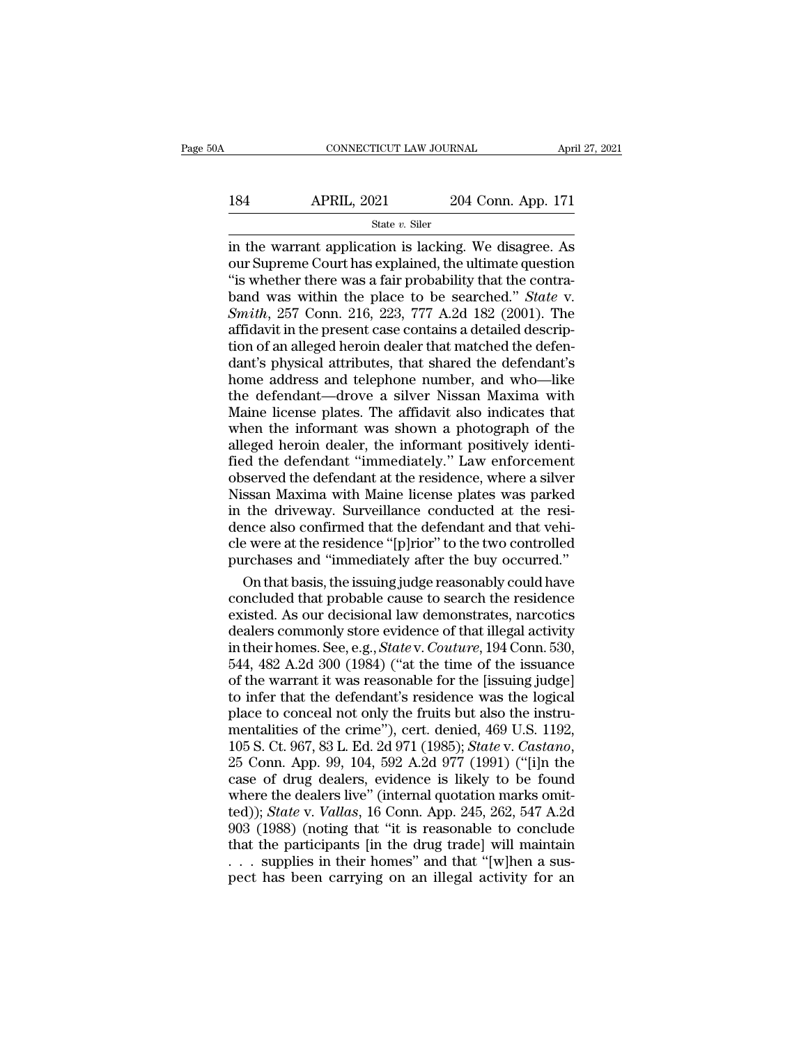# 184 CONNECTICUT LAW JOURNAL April 27, 2021<br>184 APRIL, 2021 204 Conn. App. 171<br>184 State v. Siler

### State *v.* Siler

CONNECTICUT LAW JOURNAL April 27, 2021<br>
184 APRIL, 2021 204 Conn. App. 171<br>  $\frac{\text{State } v. \text{ Siler}}{\text{in the warrant application is lacking. We disagree. As}}$ <br>
our Supreme Court has explained, the ultimate question<br>
"is whether there was a fair probability that the contr 184 APRIL, 2021 204 Conn. App. 171<br>
state v. Siler<br>
in the warrant application is lacking. We disagree. As<br>
our Supreme Court has explained, the ultimate question<br>
"is whether there was a fair probability that the contra-184 APRIL, 2021 204 Conn. App. 171<br>
State v. Siler<br>
in the warrant application is lacking. We disagree. As<br>
our Supreme Court has explained, the ultimate question<br>
"is whether there was a fair probability that the contra**band 184** APRIL, 2021 204 Conn. App. 171<br>  $\frac{8\textrm{rate }v}{\textrm{state }v}$  Siler<br>
in the warrant application is lacking. We disagree. As<br>
our Supreme Court has explained, the ultimate question<br>
"is whether there was a fair probab *State v. Siler*<br> **State v. Siler**<br> **State v. Siler**<br> **State v. Siler**<br> **State v. Siler**<br> **State v. Siler**<br> **State v. Spinner Court has explained, the ultimate question<br>
<b>State v.**<br> **State v.**<br> **Smith, 257 Conn. 216, 223,** State v. Siler<br>in the warrant application is lacking. We disagree. As<br>our Supreme Court has explained, the ultimate question<br>"is whether there was a fair probability that the contra-<br>band was within the place to be search in the warrant application is lacking. We disagree. As<br>our Supreme Court has explained, the ultimate question<br>"is whether there was a fair probability that the contra-<br>band was within the place to be searched." *State* v.<br> our Supreme Court has explained, the ultimate question<br>
"is whether there was a fair probability that the contra-<br>
band was within the place to be searched." *State* v.<br> *Smith*, 257 Conn. 216, 223, 777 A.2d 182 (2001). Th "is whether there was a fair probability that the contra-<br>band was within the place to be searched." *State* v.<br>*Smith*, 257 Conn. 216, 223, 777 A.2d 182 (2001). The<br>affidavit in the present case contains a detailed descr band was within the place to be searched." State v.<br>
Smith, 257 Conn. 216, 223, 777 A.2d 182 (2001). The<br>
affidavit in the present case contains a detailed descrip-<br>
tion of an alleged heroin dealer that matched the defen Smith, 257 Conn. 216, 223, 777 A.2d 182 (2001). The affidavit in the present case contains a detailed description of an alleged heroin dealer that matched the defendant's physical attributes, that shared the defendant's h affidavit in the present case contains a detailed description of an alleged heroin dealer that matched the defendant's physical attributes, that shared the defendant's home address and telephone number, and who—like the de tion of an alleged heroin dealer that matched the defendant's physical attributes, that shared the defendant's<br>home address and telephone number, and who—like<br>the defendant—drove a silver Nissan Maxima with<br>Maine license p dant's physical attributes, that shared the defendant's<br>home address and telephone number, and who—like<br>the defendant—drove a silver Nissan Maxima with<br>Maine license plates. The affidavit also indicates that<br>when the infor home address and telephone number, and who—like<br>the defendant—drove a silver Nissan Maxima with<br>Maine license plates. The affidavit also indicates that<br>when the informant was shown a photograph of the<br>alleged heroin dealer the defendant—drove a silver Nissan Maxima with<br>Maine license plates. The affidavit also indicates that<br>when the informant was shown a photograph of the<br>alleged heroin dealer, the informant positively identi-<br>fied the defe Maine license plates. The affidavit also indicates that<br>when the informant was shown a photograph of the<br>alleged heroin dealer, the informant positively identi-<br>fied the defendant "immediately." Law enforcement<br>observed th Maine license plates. The affidavit also indicates that<br>when the informant was shown a photograph of the<br>alleged heroin dealer, the informant positively identi-<br>fied the defendant "immediately." Law enforcement<br>observed th alleged heroin dealer, the informant positively identified the defendant "immediately." Law enforcement observed the defendant at the residence, where a silver Nissan Maxima with Maine license plates was parked in the driv fied the defendant "immediately." Law enforcement<br>observed the defendant at the residence, where a silver<br>Nissan Maxima with Maine license plates was parked<br>in the driveway. Surveillance conducted at the resi-<br>dence also c served the defendant at the residence, where a silver<br>ssan Maxima with Maine license plates was parked<br>the driveway. Surveillance conducted at the resi-<br>nce also confirmed that the defendant and that vehi-<br>e were at the re Nissan Maxima with Maine license plates was parked<br>in the driveway. Surveillance conducted at the resi-<br>dence also confirmed that the defendant and that vehi-<br>cle were at the residence "[p]rior" to the two controlled<br>purch

in the driveway. Surveillance conducted at the residence also confirmed that the defendant and that vehi-<br>cle were at the residence "[p]rior" to the two controlled<br>purchases and "immediately after the buy occurred."<br>On th dence also confirmed that the defendant and that vehi-<br>cle were at the residence "[p]rior" to the two controlled<br>purchases and "immediately after the buy occurred."<br>On that basis, the issuing judge reasonably could have<br>co cle were at the residence "[p]rior" to the two controlled<br>purchases and "immediately after the buy occurred."<br>On that basis, the issuing judge reasonably could have<br>concluded that probable cause to search the residence<br>exi purchases and "immediately after the buy occurred."<br>On that basis, the issuing judge reasonably could have<br>concluded that probable cause to search the residence<br>existed. As our decisional law demonstrates, narcotics<br>dealer On that basis, the issuing judge reasonably could have<br>concluded that probable cause to search the residence<br>existed. As our decisional law demonstrates, narcotics<br>dealers commonly store evidence of that illegal activity<br>i concluded that probable cause to search the residence<br>existed. As our decisional law demonstrates, narcotics<br>dealers commonly store evidence of that illegal activity<br>in their homes. See, e.g., *State* v. *Couture*, 194 Co existed. As our decisional law demonstrates, narcotics<br>dealers commonly store evidence of that illegal activity<br>in their homes. See, e.g., *State* v. *Couture*, 194 Conn. 530,<br>544, 482 A.2d 300 (1984) ("at the time of the dealers commonly store evidence of that illegal activity<br>in their homes. See, e.g., *State* v. *Couture*, 194 Conn. 530,<br>544, 482 A.2d 300 (1984) ("at the time of the issuance<br>of the warrant it was reasonable for the [issu in their homes. See, e.g., *State* v. *Couture*, 194 Conn. 530, 544, 482 A.2d 300 (1984) ("at the time of the issuance of the warrant it was reasonable for the [issuing judge] to infer that the defendant's residence was th of the warrant it was reasonable for the [issuing judge]<br>to infer that the defendant's residence was the logical<br>place to conceal not only the fruits but also the instru-<br>mentalities of the crime"), cert. denied,  $469$  U. to infer that the defendant's residence was the logical<br>place to conceal not only the fruits but also the instru-<br>mentalities of the crime''), cert. denied, 469 U.S. 1192,<br>105 S. Ct. 967, 83 L. Ed. 2d 971 (1985); *State v* place to conceal not only the fruits but also the instrumentalities of the crime"), cert. denied, 469 U.S. 1192, 105 S. Ct. 967, 83 L. Ed. 2d 971 (1985); *State* v. *Castano*, 25 Conn. App. 99, 104, 592 A.2d 977 (1991) ("[ mentalities of the crime"), cert. denied,  $469$  U.S.  $1192$ ,  $105$  S. Ct.  $967$ ,  $83$  L. Ed.  $2d$   $971$  ( $1985$ );  $State$  v.  $Castano$ ,  $25$  Conn. App.  $99$ ,  $104$ ,  $592$  A. $2d$   $977$  ( $1991$ ) ("[i]n the case of drug dealers, evid 105 S. Ct. 967, 83 L. Ed. 2d 971 (1985); *State v. Castano*, 25 Conn. App. 99, 104, 592 A.2d 977 (1991) ("[i]n the case of drug dealers, evidence is likely to be found where the dealers live" (internal quotation marks omi 25 Conn. App. 99, 104, 592 A.2d 977 (1991) ("[i]n the case of drug dealers, evidence is likely to be found where the dealers live" (internal quotation marks omitted)); *State* v. *Vallas*, 16 Conn. App. 245, 262, 547 A.2d case of drug dealers, evidence is likely to be found<br>where the dealers live" (internal quotation marks omit-<br>ted)); *State* v. *Vallas*, 16 Conn. App. 245, 262, 547 A.2d<br>903 (1988) (noting that "it is reasonable to conclu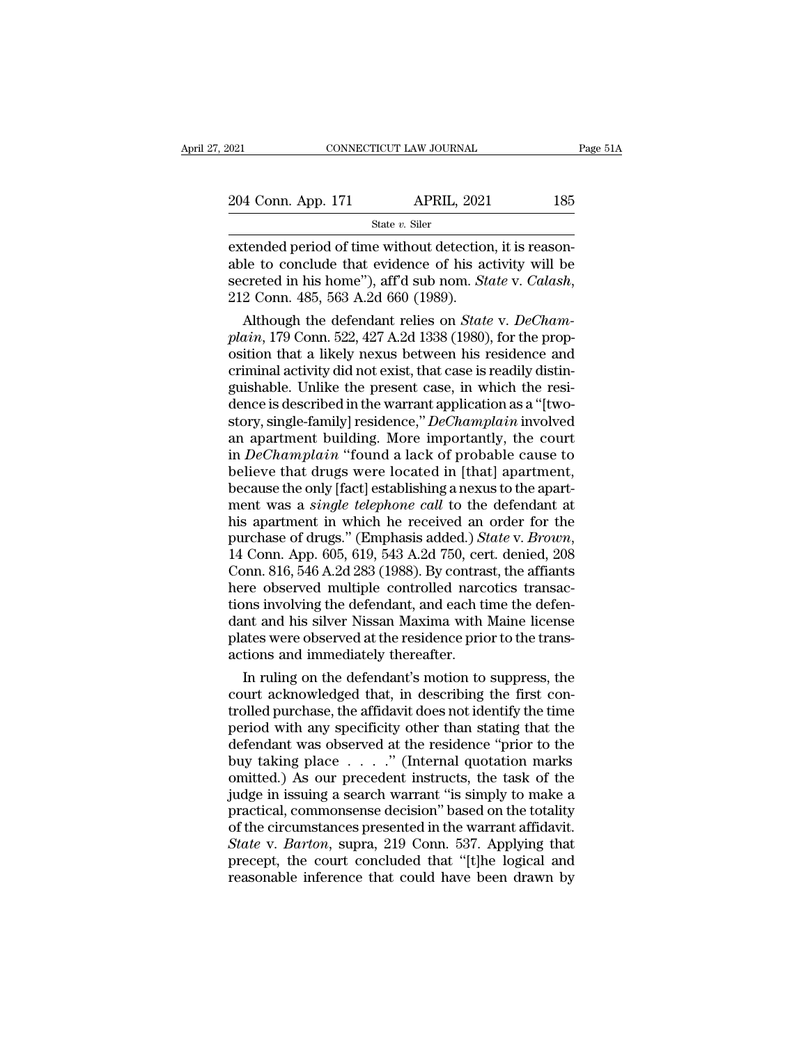| 021                | CONNECTICUT LAW JOURNAL | Page 51A |  |
|--------------------|-------------------------|----------|--|
|                    |                         |          |  |
| 204 Conn. App. 171 | <b>APRIL, 2021</b>      | 185      |  |
|                    | State $v$ . Siler       |          |  |

EXECUTE THE SURVEY OF THE SERVICE ON THE SERVICE OF THE SERVICE OF THE SURVEY OF THE SURVEY OF THE SURVEY OF THE SURVEY OF THE SURVEY OF THE SURVEY OF THE SURVEY OF THE SURVEY OF THE SURVEY OF THE SURVEY OF THE SURVEY OF 204 Conn. App. 171 APRIL, 2021 185<br>
State v. Siler<br>
extended period of time without detection, it is reasonable to conclude that evidence of his activity will be<br>
secreted in his home"), aff'd sub nom. *State* v. *Calash* State *v*. Siler<br>
State *v*. Siler<br>
extended period of time without detection, it is reason-<br>
able to conclude that evidence of his activity will be<br>
secreted in his home''), aff'd sub nom. *State* v. *Calash*,<br>
212 Conn. State *v*. Siler<br>
tended period of time without detection, it is reason-<br>
le to conclude that evidence of his activity will be<br>
creted in his home"), aff'd sub nom. *State* v. *Calash*,<br>
2 Conn. 485, 563 A.2d 660 (1989).<br> **plant of the set of the set of the second<br>able to conclude that evidence of his activity will be<br>secreted in his home"), aff'd sub nom.** *State* **v.** *Calash***,<br>212 Conn. 485, 563 A.2d 660 (1989).<br>Although the defendant relie** 

extended period of time without detection, it is reasonable to conclude that evidence of his activity will be<br>secreted in his home"), aff'd sub nom. *State* v. *Calash*,<br>212 Conn. 485, 563 A.2d 660 (1989).<br>Although the def able to conclude that evidence of his activity will be<br>secreted in his home"), aff'd sub nom. State v. Calash,<br>212 Conn. 485, 563 A.2d 660 (1989).<br>Although the defendant relies on State v. DeCham-<br>plain, 179 Conn. 522, 42 secreted in his home"), aff'd sub nom. *State v. Calash*,<br>212 Conn. 485, 563 A.2d 660 (1989).<br>Although the defendant relies on *State v. DeCham-<br>plain*, 179 Conn. 522, 427 A.2d 1338 (1980), for the prop-<br>osition that a li 212 Conn. 485, 563 A.2d 660 (1989).<br>
Although the defendant relies on *State v. DeCham-*<br>
plain, 179 Conn. 522, 427 A.2d 1338 (1980), for the prop-<br>
osition that a likely nexus between his residence and<br>
criminal activity Although the defendant relies on *State* v. *DeCham-<br>plain*, 179 Conn. 522, 427 A.2d 1338 (1980), for the prop-<br>osition that a likely nexus between his residence and<br>criminal activity did not exist, that case is readily di plain, 179 Conn. 522, 427 A.2d 1338 (1980), for the proposition that a likely nexus between his residence and<br>criminal activity did not exist, that case is readily distinguishable. Unlike the present case, in which the re osition that a likely nexus between his residence and<br>criminal activity did not exist, that case is readily distin-<br>guishable. Unlike the present case, in which the resi-<br>dence is described in the warrant application as a criminal activity did not exist, that case is readily distinguishable. Unlike the present case, in which the residence is described in the warrant application as a "[two-<br>story, single-family] residence," *DeChamplain* inv guishable. Unlike the present case, in which the residence is described in the warrant application as a "[two-<br>story, single-family] residence," *DeChamplain* involved<br>an apartment building. More importantly, the court<br>in dence is described in the warrant application as a "[two-<br>story, single-family] residence," *DeChamplain* involved<br>an apartment building. More importantly, the court<br>in *DeChamplain* "found a lack of probable cause to<br>beli story, single-family] residence," *DeChamplain* involved<br>an apartment building. More importantly, the court<br>in *DeChamplain* "found a lack of probable cause to<br>believe that drugs were located in [that] apartment,<br>because t an apartment building. More importantly, the court<br>in *DeChamplain* "found a lack of probable cause to<br>believe that drugs were located in [that] apartment,<br>because the only [fact] establishing a nexus to the apart-<br>ment wa believe that drugs were located in [that] apartment,<br>because the only [fact] establishing a nexus to the apart-<br>ment was a *single telephone call* to the defendant at<br>his apartment in which he received an order for the<br>pur because the only [fact] establishing a nexus to the apartment was a *single telephone call* to the defendant at his apartment in which he received an order for the purchase of drugs." (Emphasis added.) *State* v. *Brown*, ment was a *single telephone call* to the defendant at<br>his apartment in which he received an order for the<br>purchase of drugs." (Emphasis added.) *State* v. *Brown*,<br>14 Conn. App. 605, 619, 543 A.2d 750, cert. denied, 208<br>C his apartment in which he received an order for the<br>purchase of drugs." (Emphasis added.) *State* v. *Brown*,<br>14 Conn. App. 605, 619, 543 A.2d 750, cert. denied, 208<br>Conn. 816, 546 A.2d 283 (1988). By contrast, the affiant purchase of drugs." (Emphasis added.) *State* v. *Brown*, 14 Conn. App. 605, 619, 543 A.2d 750, cert. denied, 208 Conn. 816, 546 A.2d 283 (1988). By contrast, the affiants here observed multiple controlled narcotics transa 14 Conn. App. 605, 619, 543 A.2d 750, cer<br>Conn. 816, 546 A.2d 283 (1988). By contras<br>here observed multiple controlled narce<br>tions involving the defendant, and each ti<br>dant and his silver Nissan Maxima with<br>plates were obs In ruling on the defendant, and each time diffiants<br>In the defendant, and each time the defen-<br>In and his silver Nissan Maxima with Maine license<br>ates were observed at the residence prior to the trans-<br>tions and immediatel here observed multiple controlled narcotics transactions involving the defendant, and each time the defendant and his silver Nissan Maxima with Maine license plates were observed at the residence prior to the transactions

tions involving the defendant, and each time the defendant and his silver Nissan Maxima with Maine license<br>plates were observed at the residence prior to the trans-<br>actions and immediately thereafter.<br>In ruling on the defe dant and his silver Nissan Maxima with Maine license<br>plates were observed at the residence prior to the trans-<br>actions and immediately thereafter.<br>In ruling on the defendant's motion to suppress, the<br>court acknowledged tha plates were observed at the residence prior to the trans-<br>actions and immediately thereafter.<br>In ruling on the defendant's motion to suppress, the<br>court acknowledged that, in describing the first con-<br>trolled purchase, the actions and immediately thereafter.<br>
In ruling on the defendant's motion to suppress, the<br>
court acknowledged that, in describing the first con-<br>
trolled purchase, the affidavit does not identify the time<br>
period with any In ruling on the defendant's motion to suppress, the<br>court acknowledged that, in describing the first con-<br>trolled purchase, the affidavit does not identify the time<br>period with any specificity other than stating that the court acknowledged that, in describing the first controlled purchase, the affidavit does not identify the time<br>period with any specificity other than stating that the<br>defendant was observed at the residence "prior to the<br>b trolled purchase, the affidavit does not identify the time<br>period with any specificity other than stating that the<br>defendant was observed at the residence "prior to the<br>buy taking place  $\ldots$ ..." (Internal quotation marks period with any specificity other than stating that the defendant was observed at the residence "prior to the buy taking place  $\ldots$ ." (Internal quotation marks omitted.) As our precedent instructs, the task of the judge defendant was observed at the residence "prior to the<br>buy taking place . . . ." (Internal quotation marks<br>omitted.) As our precedent instructs, the task of the<br>judge in issuing a search warrant "is simply to make a<br>practic buy taking place  $\ldots$ ." (Internal quotation marks omitted.) As our precedent instructs, the task of the judge in issuing a search warrant "is simply to make a practical, commonsense decision" based on the totality of the omitted.) As our precedent instructs, the task of the judge in issuing a search warrant "is simply to make a practical, commonsense decision" based on the totality of the circumstances presented in the warrant affidavit. S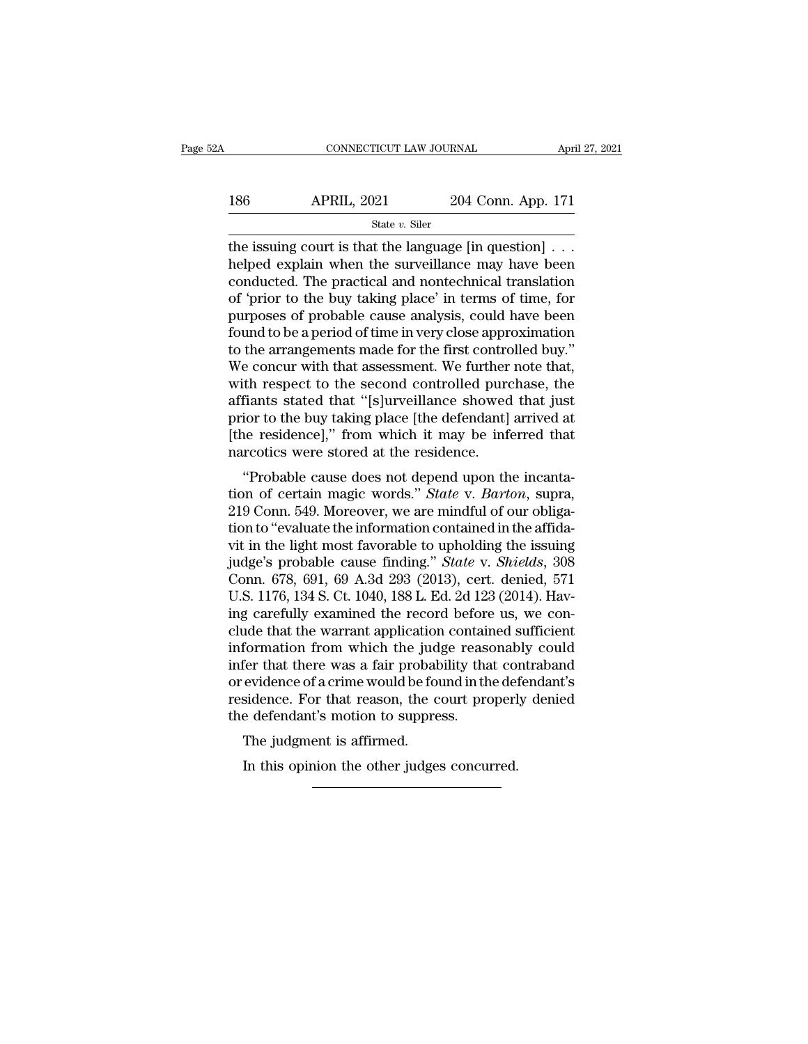| 2Α  | CONNECTICUT LAW JOURNAL |                    | April 27, 2021 |
|-----|-------------------------|--------------------|----------------|
| 186 | <b>APRIL, 2021</b>      | 204 Conn. App. 171 |                |
|     | State $v$ . Siler       |                    |                |

 $\begin{tabular}{ll} \multicolumn{2}{l}{{\small \textbf{CONPECTCUT LAW JOURNAL}}{\small \textbf{APRIL, 2021}} & \multicolumn{2}{l}{\small \textbf{204 Conn. App. 171}} \\ & \multicolumn{2}{l}{\small \textbf{State }v.~\textbf{Siler}} \\ \hline \end{tabular}$ 186 APRIL, 2021 204 Conn. App. 171<br>
state v. Siler<br>
the issuing court is that the language [in question] . . .<br>
helped explain when the surveillance may have been<br>
conducted. The practical and nontechnical translation<br>
of 186 APRIL, 2021 204 Conn. App. 171<br>  $\frac{\text{State } v. \text{ Siler}}{\text{the issuing court is that the language [in question]} \dots}$ <br>
helped explain when the surveillance may have been<br>
conducted. The practical and nontechnical translation<br>
of 'prior to the buy taking place' in term 186 APRIL, 2021 204 Conn. App. 171<br>  $\frac{\text{State } v. \text{ Siler}}{\text{the issuing court is that the language [in question]} \dots}$ <br>
helped explain when the surveillance may have been<br>
conducted. The practical and nontechnical translation<br>
of 'prior to the buy taking place' in term State v. Siler<br>
State v. Siler<br>
the issuing court is that the language [in question] . . .<br>
helped explain when the surveillance may have been<br>
conducted. The practical and nontechnical translation<br>
of 'prior to the buy t state  $v$ . Siler<br>the issuing court is that the language [in question]  $\ldots$ <br>helped explain when the surveillance may have been<br>conducted. The practical and nontechnical translation<br>of 'prior to the buy taking place' in te the issuing court is that the language [in question] . . .<br>helped explain when the surveillance may have been<br>conducted. The practical and nontechnical translation<br>of 'prior to the buy taking place' in terms of time, for<br>p helped explain when the surveillance may have been<br>conducted. The practical and nontechnical translation<br>of 'prior to the buy taking place' in terms of time, for<br>purposes of probable cause analysis, could have been<br>found t conducted. The practical and nontechnical translation<br>of 'prior to the buy taking place' in terms of time, for<br>purposes of probable cause analysis, could have been<br>found to be a period of time in very close approximation<br>t of 'prior to the buy taking place' in terms of time, for<br>purposes of probable cause analysis, could have been<br>found to be a period of time in very close approximation<br>to the arrangements made for the first controlled buy." purposes of probable cause analysis, could have been<br>found to be a period of time in very close approximation<br>to the arrangements made for the first controlled buy."<br>We concur with that assessment. We further note that,<br>wi found to be a period of time in very close approximation<br>to the arrangements made for the first controlled buy."<br>We concur with that assessment. We further note that,<br>with respect to the second controlled purchase, the<br>aff to the arrangements made for the first control<br>We concur with that assessment. We further<br>with respect to the second controlled pure<br>affiants stated that "[s]urveillance showed<br>prior to the buy taking place [the defendant] th respect to the second controlled purchase, the<br>fiants stated that "[s]urveillance showed that just<br>ior to the buy taking place [the defendant] arrived at<br>ne residence]," from which it may be inferred that<br>rcotics were s with respect to the second controlled purchase, the<br>affiants stated that "[s]urveillance showed that just<br>prior to the buy taking place [the defendant] arrived at<br>[the residence]," from which it may be inferred that<br>narcot

amants stated that [s]ulverhance showed that just<br>prior to the buy taking place [the defendant] arrived at<br>[the residence]," from which it may be inferred that<br>narcotics were stored at the residence.<br>"Probable cause does n phot to the buy taking place [the defendant] arrived at<br>
[the residence]," from which it may be inferred that<br>
narcotics were stored at the residence.<br>
"Probable cause does not depend upon the incanta-<br>
tion of certain mag pute residence], from which it hay be interfed that<br>narcotics were stored at the residence.<br>"Probable cause does not depend upon the incanta-<br>tion of certain magic words." *State v. Barton*, supra,<br>219 Conn. 549. Moreover fractures were stored at the residence.<br>
"Probable cause does not depend upon the incanta-<br>
tion of certain magic words." *State* v. *Barton*, supra,<br>
219 Conn. 549. Moreover, we are mindful of our obliga-<br>
tion to "evalua "Probable cause does not depend upon the incantation of certain magic words." *State* v. *Barton*, supra, 219 Conn. 549. Moreover, we are mindful of our obligation to "evaluate the information contained in the affidavit i tion of certain magic words." *State* v. *Barton*, supra, 219 Conn. 549. Moreover, we are mindful of our obligation to "evaluate the information contained in the affidavit in the light most favorable to upholding the issui 219 Conn. 549. Moreover, we are mindful of our obligation to "evaluate the information contained in the affidavit in the light most favorable to upholding the issuing judge's probable cause finding." *State* v. *Shields*, tion to "evaluate the information contained in the affidavit in the light most favorable to upholding the issuing<br>judge's probable cause finding." *State* v. *Shields*, 308<br>Conn. 678, 691, 69 A.3d 293 (2013), cert. denied, vit in the light most favorable to upholding the issuing<br>judge's probable cause finding." *State* v. *Shields*, 308<br>Conn. 678, 691, 69 A.3d 293 (2013), cert. denied, 571<br>U.S. 1176, 134 S. Ct. 1040, 188 L. Ed. 2d 123 (2014) judge's probable cause finding." *State* v. *Shields*, 308<br>Conn. 678, 691, 69 A.3d 293 (2013), cert. denied, 571<br>U.S. 1176, 134 S. Ct. 1040, 188 L. Ed. 2d 123 (2014). Hav-<br>ing carefully examined the record before us, we co Conn. 678, 691, 69 A.3d 293 (2013), cert. denied, 571<br>U.S. 1176, 134 S. Ct. 1040, 188 L. Ed. 2d 123 (2014). Hav-<br>ing carefully examined the record before us, we con-<br>clude that the warrant application contained sufficient<br> U.S. 1176, 134 S. Ct. 1040, 188 L. Ed. 2d 123 (2014). Having carefully examined the record before us, we conclude that the warrant application contained sufficient information from which the judge reasonably could infer th ing carefully examined the record before<br>clude that the warrant application contain<br>information from which the judge rease<br>infer that there was a fair probability tha<br>or evidence of a crime would be found in th<br>residence. clude that the warrant application contained sufficient<br>information from which the judge reasonably could<br>infer that there was a fair probability that contraband<br>or evidence of a crime would be found in the defendant's<br>res In the contribution of the other interpretence of a crime would be found in the determindence. For that reason, the court properly defendant's motion to suppress.<br>The judgment is affirmed.<br>In this opinion the other judges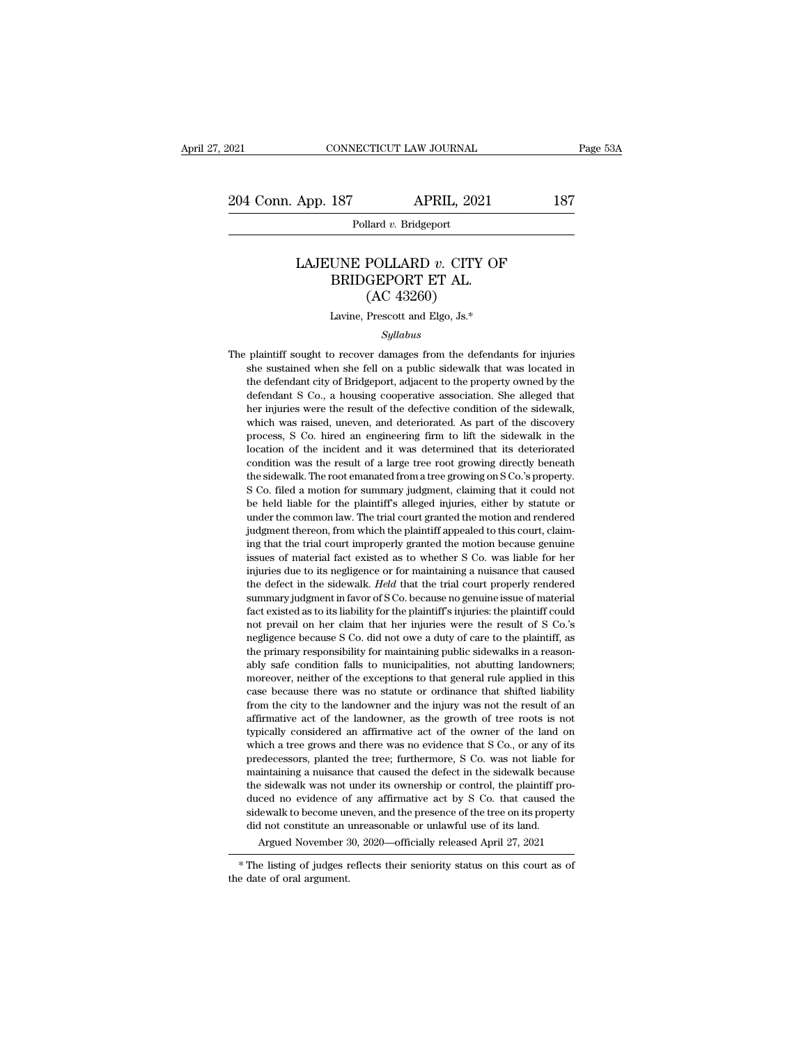Pollard *v.* Bridgeport

### App. 187 APRIL, 2021 187<br>
Pollard *v.* Bridgeport<br>
LAJEUNE POLLARD *v.* CITY OF<br>
BRIDGEPORT ET AL. (AC 43260) 187 APRIL, 2021<br>
Pollard v. Bridgeport<br>
UNE POLLARD v. CITY OF<br>
BRIDGEPORT ET AL.<br>
(AC 43260) APRIL, 202<br>
1<br>
1<br>
1<br>
1<br>
1<br>
ROLLARD v. CITY<br>
GEPORT ET AL.<br>
(AC 43260)<br>
Prescott and Elgo, Js.\* LAJEUNE POLLARD  $v$ . CITY OF<br>BRIDGEPORT ET AL.<br>(AC 43260)<br>Lavine, Prescott and Elgo, Js.\*

### *Syllabus*

BRIDGEPORT ET AL.<br>  $(AC 43260)$ <br>
Lavine, Prescott and Elgo, Js.\*<br>  $Syllabus$ <br>
The plaintiff sought to recover damages from the defendants for injuries<br>
she sustained when she fell on a public sidewalk that was located in  ${\rm (AC~43260)}$  Lavine, Prescott and Elgo, Js.\*<br>Syllabus<br>plaintiff sought to recover damages from the defendants for injuries<br>she sustained when she fell on a public sidewalk that was located in<br>the defendant city of Bridge Lavine, Prescott and Elgo, Js.\*<br>Syllabus<br>plaintiff sought to recover damages from the defendants for injuries<br>she sustained when she fell on a public sidewalk that was located in<br>the defendant city of Bridgeport, adjacent Extendant Syllabus<br>Syllabus<br>plaintiff sought to recover damages from the defendants for injuries<br>she sustained when she fell on a public sidewalk that was located in<br>the defendant city of Bridgeport, adjacent to the proper *Syllabus*<br> *Syllabus*<br>
plaintiff sought to recover damages from the defendants for injuries<br>
she sustained when she fell on a public sidewalk that was located in<br>
the defendant city of Bridgeport, adjacent to the propert plaintiff sought to recover damages from the defendants for injuries<br>she sustained when she fell on a public sidewalk that was located in<br>the defendant city of Bridgeport, adjacent to the property owned by the<br>defendant S prain solgar to recover danages non all determines of injuries<br>she sustained when she fell on a public sidewalk that was located in<br>the defendant S Co., a housing cooperative association. She alleged that<br>her injuries were she sastance when she ich on a public steewark that was located in<br>the defendant S Co., a housing cooperative association. She alleged that<br>her injuries were the result of the defective condition of the sidewalk,<br>which was defendant Chy of Drugcport, adjacent to the property owned by the defendant S Co., a housing cooperative association. She alleged that her injuries were the result of the defective condition of the sidewalk, which was rais definition of the root, a housing cooperative association. Site angele that<br>her injuries were the result of the defective condition of the sidewalk,<br>which was raised, uneven, and deteriorated. As part of the discovery<br>proc The motion was raised, uneven, and deteriorated. As part of the discovery process, S Co. hired an engineering firm to lift the sidewalk in the location of the incident and it was determined that its deteriorated condition which was raised, tartven, and deteriorated. As part of the tastovery<br>process, S Co. hired an engineering firm to lift the sidewalk in the<br>location of the incident and it was determined that its deteriorated<br>condition was process, 5 co. micd an engineering firm to the motion of the incident of the incident and it was determined that its deteriorated condition was the result of a large tree root growing directly beneath the sidewalk. The roo location of the incident and it was determined that its deteriorated condition was the result of a large tree root growing directly beneath the sidewalk. The root emanated from a tree growing on S Co.'s property. S Co. fil the sidewalk. The root emanated from a tree growing unceally benefit the sidewalk. The root emanated from a tree growing on S Co.'s property. S Co. filed a motion for summary judgment, claiming that it could not be held li issues of material fact existed as to whether S Co. was liable for her material fact the plaintiff's alleged injuries, either by statute or under the common law. The trial court granted the motion and rendered judgment the is co. med a modon for summary judgment, claiming that it codd not<br>be held liable for the plaintiff's alleged injuries, either by statute or<br>under the common law. The trial court granted the motion and rendered<br>judgment th be held hable for the plantint's aneged hijuties, entier by statute of under the common law. The trial court granted the motion and rendered judgment thereon, from which the plaintiff appealed to this court, claiming that diated at columbrian. The trafficulated at models and chacted<br>judgment thereon, from which the plaintiff appealed to this court, claim-<br>ing that the trial court improperly granted the motion because genuine<br>issues of mater fact existed as to its liability for the plaintiff's injuries: the plaintif could, change in the trial court improperly granted the motion because genuine issues of material fact existed as to whether S Co. was liable for ing that the trial court improperly granted the modor because genuine<br>issues of material fact existed as to whether S Co. was liable for her<br>injuries due to its negligence or for maintaining a nuisance that caused<br>the defe issues of material fact existed as to whether 5 Co. was habite for her injuries due to its negligence or for maintaining a nuisance that caused the defect in the sidewalk. *Held* that the trial court properly rendered summ the defect in the sidewalk. *Held* that the trial court properly rendered summary judgment in favor of S Co. because no genuine issue of material fact existed as to its liability for the plaintiff's injuries: the plaintiff able condition falls to municipalities, not abutting landowners; and the municipalities of material fact existed as to its liability for the plaintiff's injuries: the plaintiff could not prevail on her claim that her injur suminary judgment in favor of s Co. because no genuine issue of infaterial<br>fact existed as to its liability for the plaintiff's injuries: the plaintiff could<br>not prevail on her claim that her injuries were the result of S ract existed as to its nability for the plantin's rigures, the plantin's count<br>not prevail on her claim that her injuries were the result of S Co.'s<br>negligence because S Co. did not owe a duty of care to the plaintiff, as<br> from the city of the city to the injuries were the result of 3 Co. s<br>negligence because S Co. did not owe a duty of care to the plaintiff, as<br>the primary responsibility for maintaining public sidewalks in a reason-<br>ably sa degree because 3 CO. and not owe a tauy of care to the plantum, as<br>the primary responsibility for maintaining public sidewalks in a reason-<br>ably safe condition falls to municipalities, not abutting landowners;<br>moreover, ne the printary responsionly for maintaining public suewarks in a reasonably safe condition falls to municipalities, not abutting landowners; moreover, neither of the exceptions to that general rule applied in this case becau ably sale conduon lans to municipalities, not abituing landowners, moreover, neither of the exceptions to that general rule applied in this case because there was no statute or ordinance that shifted liability from the cit moreover, nether of the exceptions to that general rule applied in this case because there was no statute or ordinance that shifted liability from the city to the landowner and the injury was not the result of an affirmati case because there was no statute of ordinance that sinted nability<br>from the city to the landowner and the injury was not the result of an<br>affirmative act of the landowner, as the growth of tree roots is not<br>typically cons from the city to the landowner and the hijury was not the result of an<br>affirmative act of the landowner, as the growth of tree roots is not<br>typically considered an affirmative act of the owner of the land on<br>which a tree g animative act of the landowner, as the growth of the loots is not typically considered an affirmative act of the owner of the land on which a tree grows and there was no evidence that S Co., or any of its predecessors, pla sypically considered an animidative act of the owner of the land on<br>which a tree grows and there was no evidence that S Co., or any of its<br>predecessors, planted the tree; furthermore, S Co. was not liable for<br>maintaining a which a tree grows and there was no evidence that S Co., or any of its predecessors, planted the tree; furthermore, S Co. was not liable for maintaining a nuisance that caused the defect in the sidewalk because the sidewa initaining a nuisance that caused the defect in the sidewalk because<br>
e sidewalk was not under its ownership or control, the plaintiff pro-<br>
ced no evidence of any affirmative act by S Co. that caused the<br>
lewalk to become the staewark was not under its ownership or control, the plantini produced no evidence of any affirmative act by S Co. that caused the sidewalk to become uneven, and the presence of the tree on its property did not constit diction in evidence of<br>sidewalk to become un<br>did not constitute an u<br>Argued November 3<br>\* The listing of judges r<br>the date of oral argument.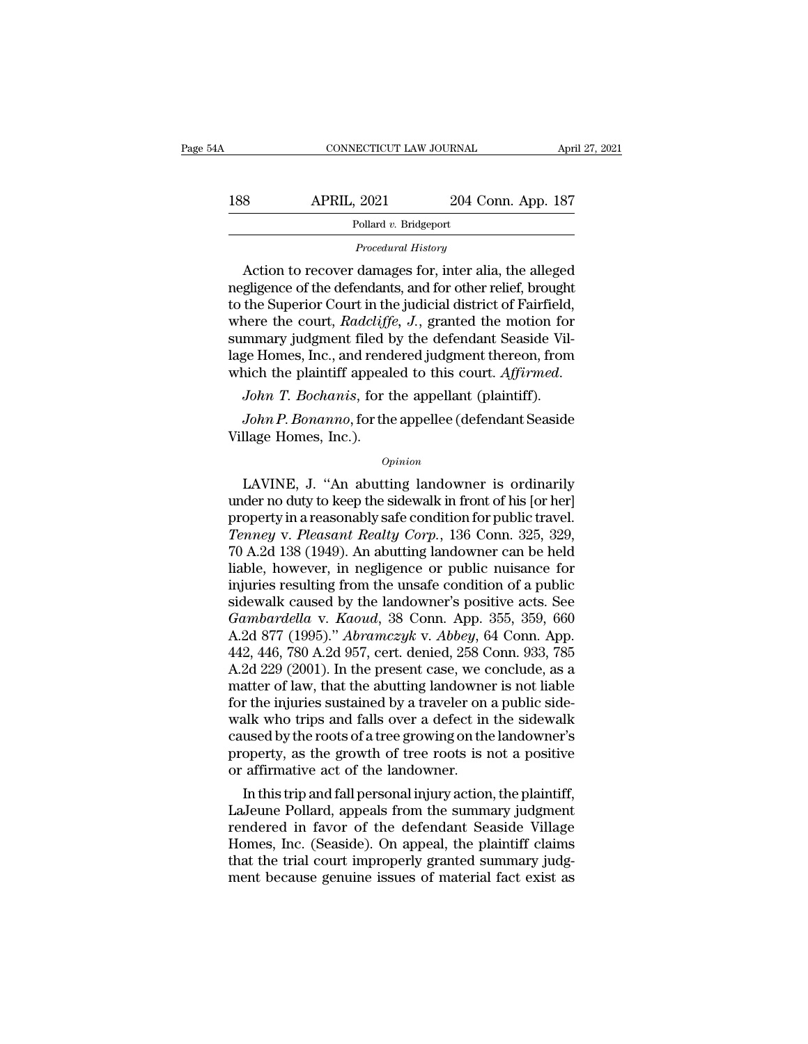| 54A | CONNECTICUT LAW JOURNAL                              |                    | April 27, 2021 |
|-----|------------------------------------------------------|--------------------|----------------|
| 188 | <b>APRIL, 2021</b>                                   | 204 Conn. App. 187 |                |
|     | Pollard v. Bridgeport                                |                    |                |
|     | Procedural History                                   |                    |                |
|     | Action to recover damages for inter alia the alleged |                    |                |

APRIL, 2021 204 Conn. App. 187<br>
Pollard v. Bridgeport<br>
Procedural History<br>
Action to recover damages for, inter alia, the alleged<br>
gligence of the defendants, and for other relief, brought<br>
the Superior Court in the judici 188 APRIL, 2021 204 Conn. App. 187<br>
Pollard v. Bridgeport<br>
Procedural History<br>
Action to recover damages for, inter alia, the alleged<br>
negligence of the defendants, and for other relief, brought<br>
to the Superior Court in 188 APRIL, 2021 204 Conn. App. 187<br>
Pollard v. Bridgeport<br>
Procedural History<br>
Action to recover damages for, inter alia, the alleged<br>
negligence of the defendants, and for other relief, brought<br>
to the Superior Court in Pollard *v.* Bridgeport<br>
Procedural History<br>
Action to recover damages for, inter alia, the alleged<br>
negligence of the defendants, and for other relief, brought<br>
to the Superior Court in the judicial district of Fairfield,  $\begin{array}{l} \hline \text{Proceedural History} \\ \text{Action to recover damages for, inter alia, the alleged\nnegligence of the defendants, and for other relief, brought\nto the Superior Court in the judicial district of Fairfield,\nwhere the court, Radcliffe, J., granted the motion for\nsummary judgment filed by the defendant Seaside Vil-\nlage Homes, Inc., and rendered judgment thereon, from\nwhich the plaintiff appcaled to this court. \end{array}$ *Procedural History*<br>Action to recover damages for, inter alia, the alleged<br>negligence of the defendants, and for other relief, brought<br>to the Superior Court in the judicial district of Fairfield,<br>where the court, *Radclif* Action to recover damages for, inter alia, the alleged<br>negligence of the defendants, and for other relief, brought<br>to the Superior Court in the judicial district of Fairfield,<br>where the court, *Radcliffe*, *J*., granted th France the court, *Radcliffe*, *J.*, granted the motion for mmary judgment filed by the defendant Seaside Vilge Homes, Inc., and rendered judgment thereon, from hich the plaintiff appealed to this court. *Affirmed.* John Following summary judgment filed by<br>lage Homes, Inc., and rend<br>which the plaintiff appeal<br> $John T. Bochanis$ , for the<br>Village Homes, Inc.).

### *Opinion*

LAVINE, J. "An abutting landowner is ordinarily<br>
Dohn P. Bonanno, for the appellee (defendant Seaside<br>
llage Homes, Inc.).<br>
Opinion<br>
LAVINE, J. "An abutting landowner is ordinarily<br>
der no duty to keep the sidewalk in fron John T. Bochanis, for the appellant (plaintiff).<br>
John P. Bonanno, for the appellee (defendant Seaside<br>
Village Homes, Inc.).<br>  $\frac{Opinion}{opinion}$ <br>
LAVINE, J. "An abutting landowner is ordinarily<br>
under no duty to keep the side John P. Bonanno, for the appellee (defendant Seaside<br>Village Homes, Inc.).<br>Opinion<br>LAVINE, J. "An abutting landowner is ordinarily<br>under no duty to keep the sidewalk in front of his [or her]<br>property in a reasonably safe c *Tenney, State of Preacy (accordinate states*<br> *Tenney, I. "An abutting landowner is ordinarily under no duty to keep the sidewalk in front of his [or her]*<br> *Tenney v. Pleasant Realty Corp.*, 136 Conn. 325, 329,<br> *Tenney*  $o$ <sub>pinion</sub><br>LAVINE, J. "An abutting landowner is ordinarily<br>under no duty to keep the sidewalk in front of his [or her]<br>property in a reasonably safe condition for public travel.<br>*Tenney v. Pleasant Realty Corp.*, 136 Con *Opinion*<br>LAVINE, J. "An abutting landowner is ordinarily<br>under no duty to keep the sidewalk in front of his [or her]<br>property in a reasonably safe condition for public travel.<br>Tenney v. Pleasant Realty Corp., 136 Conn. 3 LAVINE, J. "An abutting landowner is ordinarily<br>under no duty to keep the sidewalk in front of his [or her]<br>property in a reasonably safe condition for public travel.<br>Tenney v. Pleasant Realty Corp., 136 Conn. 325, 329,<br>7 under no duty to keep the sidewalk in front of his [or her]<br>property in a reasonably safe condition for public travel.<br>Tenney v. Pleasant Realty Corp., 136 Conn. 325, 329,<br>70 A.2d 138 (1949). An abutting landowner can be h property in a reasonably safe condition for public travel.<br> *Tenney v. Pleasant Realty Corp.*, 136 Conn. 325, 329,<br>
70 A.2d 138 (1949). An abutting landowner can be held<br>
liable, however, in negligence or public nuisance f Tenney v. Pleasant Realty Corp., 136 Conn. 325, 329,<br>70 A.2d 138 (1949). An abutting landowner can be held<br>liable, however, in negligence or public nuisance for<br>injuries resulting from the unsafe condition of a public<br>side 70 A.2d 138 (1949). An abutting landowner can be held<br>liable, however, in negligence or public nuisance for<br>injuries resulting from the unsafe condition of a public<br>sidewalk caused by the landowner's positive acts. See<br>*Ga* liable, however, in negligence or public nuisance for<br>injuries resulting from the unsafe condition of a public<br>sidewalk caused by the landowner's positive acts. See<br>*Gambardella* v. *Kaoud*, 38 Conn. App. 355, 359, 660<br>A.2 injuries resulting from the unsafe condition of a public<br>sidewalk caused by the landowner's positive acts. See<br>*Gambardella v. Kaoud*, 38 Conn. App. 355, 359, 660<br>A.2d 877 (1995)." *Abramczyk v. Abbey*, 64 Conn. App.<br>442, sidewalk caused by the landowner's positive acts. See<br>Gambardella v. Kaoud, 38 Conn. App. 355, 359, 660<br>A.2d 877 (1995)." *Abramczyk* v. *Abbey*, 64 Conn. App.<br>442, 446, 780 A.2d 957, cert. denied, 258 Conn. 933, 785<br>A.2d *Gambardella* v. *Kaoud*, 38 Conn. App. 355, 359, 660<br>A.2d 877 (1995)." *Abramczyk* v. *Abbey*, 64 Conn. App.<br>442, 446, 780 A.2d 957, cert. denied, 258 Conn. 933, 785<br>A.2d 229 (2001). In the present case, we conclude, as A.2d 877 (1995)." *Abramczyk v. Abbey,* 64 Conn. App.<br>442, 446, 780 A.2d 957, cert. denied, 258 Conn. 933, 785<br>A.2d 229 (2001). In the present case, we conclude, as a<br>matter of law, that the abutting landowner is not liab 442, 446, 780 A.2d 957, cert. denied, 258 Conn. 933, 785<br>A.2d 229 (2001). In the present case, we conclude, as a<br>matter of law, that the abutting landowner is not liable<br>for the injuries sustained by a traveler on a public A.2d 229 (2001). In the present case, we c<br>matter of law, that the abutting landowne<br>for the injuries sustained by a traveler on<br>walk who trips and falls over a defect in<br>caused by the roots of a tree growing on the<br>proper atter of law, that the abutting landowner is not liable<br>
r the injuries sustained by a traveler on a public side-<br>
alk who trips and falls over a defect in the sidewalk<br>
used by the roots of a tree growing on the landowner For the injuries sustained by a traveler on a public side-<br>walk who trips and falls over a defect in the sidewalk<br>caused by the roots of a tree growing on the landowner's<br>property, as the growth of tree roots is not a posi

walk who trips and falls over a defect in the sidewalk<br>caused by the roots of a tree growing on the landowner's<br>property, as the growth of tree roots is not a positive<br>or affirmative act of the landowner.<br>In this trip and caused by the roots of a tree growing on the landowner's<br>property, as the growth of tree roots is not a positive<br>or affirmative act of the landowner.<br>In this trip and fall personal injury action, the plaintiff,<br>LaJeune Pol property, as the growth of tree roots is not a positive<br>or affirmative act of the landowner.<br>In this trip and fall personal injury action, the plaintiff,<br>LaJeune Pollard, appeals from the summary judgment<br>rendered in favor or attirmative act of the landowner.<br>
In this trip and fall personal injury action, the plaintiff,<br>
LaJeune Pollard, appeals from the summary judgment<br>
rendered in favor of the defendant Seaside Village<br>
Homes, Inc. (Seasi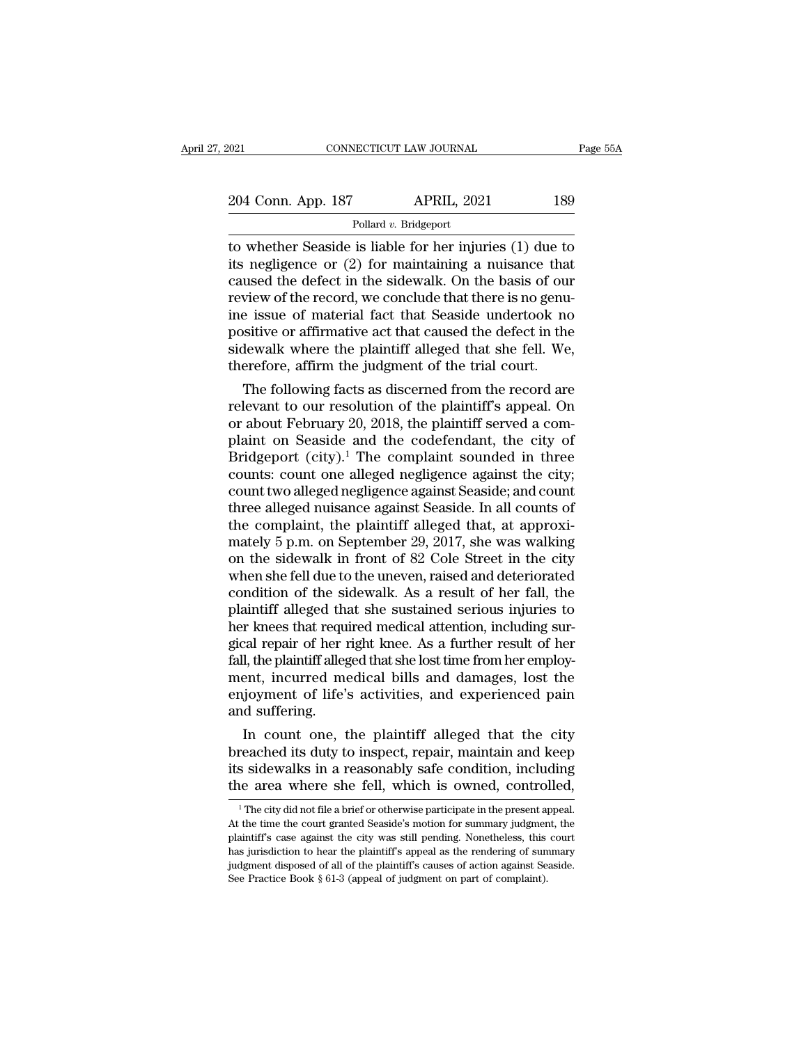Pollard *v.* Bridgeport

The CONNECTICUT LAW JOURNAL Page 55A<br>
204 Conn. App. 187 APRIL, 2021 189<br>
Pollard v. Bridgeport<br>
to whether Seaside is liable for her injuries (1) due to<br>
its negligence or (2) for maintaining a nuisance that<br>
caused the d 204 Conn. App. 187 APRIL, 2021 189<br>
Pollard v. Bridgeport<br>
to whether Seaside is liable for her injuries (1) due to<br>
its negligence or (2) for maintaining a nuisance that<br>
caused the defect in the sidewalk. On the basis o 204 Conn. App. 187 APRIL, 2021 189<br>
Pollard v. Bridgeport<br>
to whether Seaside is liable for her injuries (1) due to<br>
its negligence or (2) for maintaining a nuisance that<br>
caused the defect in the sidewalk. On the basis o 204 Conn. App. 187 APRIL, 2021 189<br>
Pollard v. Bridgeport<br>
to whether Seaside is liable for her injuries (1) due to<br>
its negligence or (2) for maintaining a nuisance that<br>
caused the defect in the sidewalk. On the basis o Follard v. Bridgeport<br>
Follard v. Bridgeport<br>
to whether Seaside is liable for her injuries (1) due to<br>
its negligence or (2) for maintaining a nuisance that<br>
caused the defect in the sidewalk. On the basis of our<br>
review Pollard v. Bridgeport<br>to whether Seaside is liable for her injuries (1) due to<br>its negligence or (2) for maintaining a nuisance that<br>caused the defect in the sidewalk. On the basis of our<br>review of the record, we conclude to whether Seaside is liable for her injuries (1) due to<br>its negligence or (2) for maintaining a nuisance that<br>caused the defect in the sidewalk. On the basis of our<br>review of the record, we conclude that there is no genuits negligence or  $(2)$  for maintaining a nuisance tha<br>caused the defect in the sidewalk. On the basis of our<br>review of the record, we conclude that there is no genu<br>ine issue of material fact that Seaside undertook no<br>po used the defect in the sidewalk. On the basis of our<br>view of the record, we conclude that there is no genu-<br>e issue of material fact that Seaside undertook no<br>sitive or affirmative act that caused the defect in the<br>lewalk review of the record, we conclude that there is no genu-<br>ine issue of material fact that Seaside undertook no<br>positive or affirmative act that caused the defect in the<br>sidewalk where the plaintiff alleged that she fell. We

me issue or material ract that seaside undertook no<br>positive or affirmative act that caused the defect in the<br>sidewalk where the plaintiff alleged that she fell. We,<br>therefore, affirm the judgment of the trial court.<br>The f positive or anirmative act that caused the defect in the<br>sidewalk where the plaintiff alleged that she fell. We,<br>therefore, affirm the judgment of the trial court.<br>The following facts as discerned from the record are<br>relev sidewalk where the plaintiff alleged that she fell. we,<br>therefore, affirm the judgment of the trial court.<br>The following facts as discerned from the record are<br>relevant to our resolution of the plaintiff's appeal. On<br>or ab therefore, affirm the judgment of the trial court.<br>The following facts as discerned from the record are<br>relevant to our resolution of the plaintiff's appeal. On<br>or about February 20, 2018, the plaintiff served a com-<br>plain The following facts as discerned from the record are<br>relevant to our resolution of the plaintiff's appeal. On<br>or about February 20, 2018, the plaintiff served a com-<br>plaint on Seaside and the codefendant, the city of<br>Bridg relevant to our resolution of the plaintiff's appeal. On<br>or about February 20, 2018, the plaintiff served a com-<br>plaint on Seaside and the codefendant, the city of<br>Bridgeport (city).<sup>1</sup> The complaint sounded in three<br>coun or about February 20, 2018, the plaintiff served a complaint on Seaside and the codefendant, the city of Bridgeport (city).<sup>1</sup> The complaint sounded in three counts: count one alleged negligence against seaside; and count plaint on Seaside and the codefendant, the city of<br>Bridgeport (city).<sup>1</sup> The complaint sounded in three<br>counts: count one alleged negligence against the city;<br>count two alleged negligence against Seaside; and count<br>three a Bridgeport (city).<sup>1</sup> The complaint sounded in three<br>counts: count one alleged negligence against the city;<br>count two alleged negligence against Seaside; and count<br>three alleged nuisance against Seaside. In all counts of<br>t counts: count one alleged negligence against the city;<br>count two alleged negligence against Seaside; and count<br>three alleged nuisance against Seaside. In all counts of<br>the complaint, the plaintiff alleged that, at approxicount two alleged negligence against Seaside; and count<br>three alleged nuisance against Seaside. In all counts of<br>the complaint, the plaintiff alleged that, at approxi-<br>mately 5 p.m. on September 29, 2017, she was walking<br>o three alleged nuisance against Seaside. In all counts of<br>the complaint, the plaintiff alleged that, at approxi-<br>mately 5 p.m. on September 29, 2017, she was walking<br>on the sidewalk in front of 82 Cole Street in the city<br>wh the complaint, the plaintiff alleged that, at approximately 5 p.m. on September 29, 2017, she was walking<br>on the sidewalk in front of 82 Cole Street in the city<br>when she fell due to the uneven, raised and deteriorated<br>cond mately 5 p.m. on September 29, 2017, she was walking<br>on the sidewalk in front of 82 Cole Street in the city<br>when she fell due to the uneven, raised and deteriorated<br>condition of the sidewalk. As a result of her fall, the<br>p on the sidewalk in front of 82 Cole Street in the city<br>when she fell due to the uneven, raised and deteriorated<br>condition of the sidewalk. As a result of her fall, the<br>plaintiff alleged that she sustained serious injuries when she fell due to the uneven, raised and deteriorated<br>condition of the sidewalk. As a result of her fall, the<br>plaintiff alleged that she sustained serious injuries to<br>her knees that required medical attention, including condition of the sidewalk. As a result of her fall, the plaintiff alleged that she sustained serious injuries to her knees that required medical attention, including surgical repair of her right knee. As a further result o plaintiff alleged the<br>her knees that reque<br>gical repair of her 1<br>fall, the plaintiff alleg<br>ment, incurred me<br>enjoyment of life';<br>and suffering.<br>In count one, t r knees that required medical attention, including sur-<br>cal repair of her right knee. As a further result of her<br>l, the plaintiff alleged that she lost time from her employ-<br>ent, incurred medical bills and damages, lost th gical repair of her right knee. As a further result of her<br>fall, the plaintiff alleged that she lost time from her employ-<br>ment, incurred medical bills and damages, lost the<br>enjoyment of life's activities, and experienced

rail, the plaintif alleged that she lost time from her employment, incurred medical bills and damages, lost the enjoyment of life's activities, and experienced pain and suffering.<br>In count one, the plaintiff alleged that t ment, incurred medical bills and damages, lost the<br>enjoyment of life's activities, and experienced pain<br>and suffering.<br>In count one, the plaintiff alleged that the city<br>breached its duty to inspect, repair, maintain and ke In count one, the plaintiff alleged that the city reached its duty to inspect, repair, maintain and keep s sidewalks in a reasonably safe condition, including le area where she fell, which is owned, controlled,  $\frac{1}{1}$  T breached its duty to inspect, repair, maintain and keep<br>its sidewalks in a reasonably safe condition, including<br>the area where she fell, which is owned, controlled,<br><sup>1</sup>The city did not file a brief or otherwise participate

its sidewalks in a reasonably safe condition, including<br>the area where she fell, which is owned, controlled,<br><sup>1</sup>The city did not file a brief or otherwise participate in the present appeal.<br>At the time the court granted Se the area where she fell, which is owned, controlled,<br>
<sup>1</sup> The city did not file a brief or otherwise participate in the present appeal.<br>
At the time the court granted Seaside's motion for summary judgment, the<br>
plaintiff's The city did not file a brief or otherwise participate in the present appeal.<br>
The city did not file a brief or otherwise participate in the present appeal.<br>
At the time the court granted Seaside's motion for summary judgm At the time the court granted Seaside's motion for summary judgment, the plaintiff's case against the city was still pending. Nonetheless, this court has jurisdiction to hear the plaintiff's appeal as the rendering of sum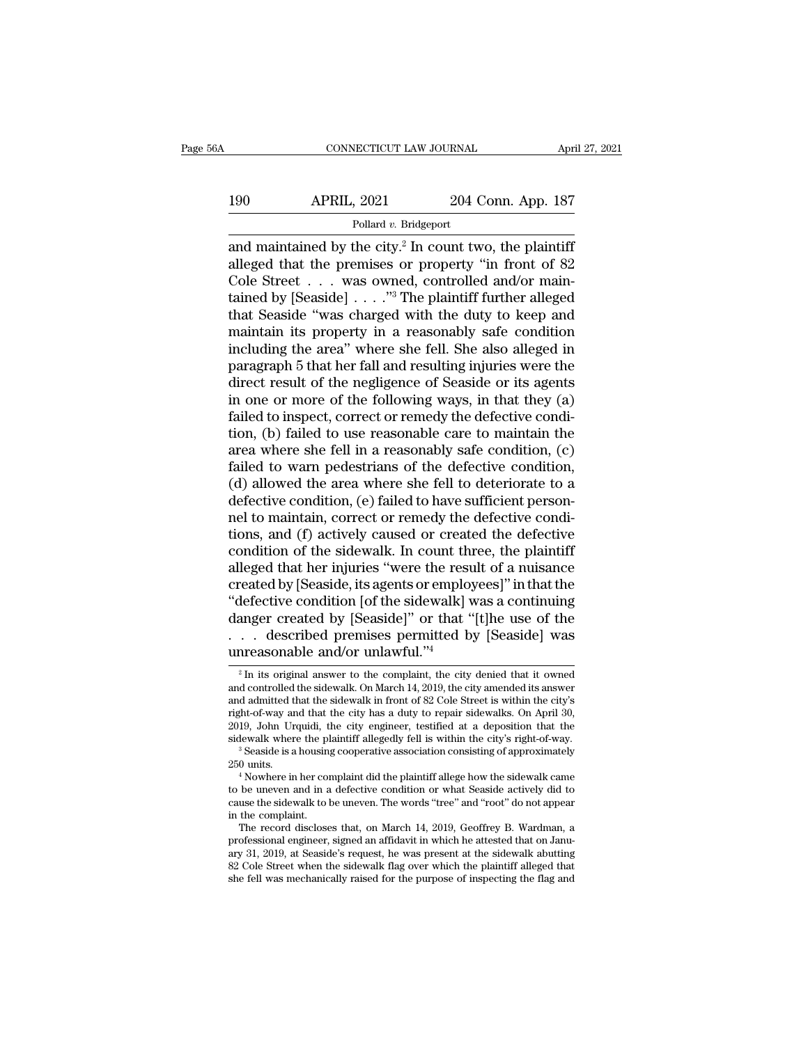### CONNECTICUT LAW JOURNAL April 27, 2021<br>190 APRIL, 2021 204 Conn. App. 187<br>Pollard v. Bridgeport Pollard *v.* Bridgeport

CONNECTICUT LAW JOURNAL April 27, 202<br>
190 APRIL, 2021 204 Conn. App. 187<br>
Pollard v. Bridgeport<br>
and maintained by the city.<sup>2</sup> In count two, the plaintiff<br>
alleged that the premises or property "in front of 82<br>
Colo Stro 190 APRIL, 2021 204 Conn. App. 187<br>
Pollard v. Bridgeport<br>
and maintained by the city.<sup>2</sup> In count two, the plaintiff<br>
alleged that the premises or property "in front of 82<br>
Cole Street . . . was owned, controlled and/or m 190 APRIL, 2021 204 Conn. App. 187<br>
Pollard v. Bridgeport<br>
and maintained by the city.<sup>2</sup> In count two, the plaintiff<br>
alleged that the premises or property "in front of 82<br>
Cole Street . . . was owned, controlled and/or 190 APRIL, 2021 204 Conn. App. 187<br>
Pollard v. Bridgeport<br>
and maintained by the city.<sup>2</sup> In count two, the plaintiff<br>
alleged that the premises or property "in front of 82<br>
Cole Street . . . was owned, controlled and/or Follard v. Bridgeport<br>
and maintained by the city.<sup>2</sup> In count two, the plaintiff<br>
alleged that the premises or property "in front of 82<br>
Cole Street . . . was owned, controlled and/or main-<br>
tained by [Seaside] . . . . " Pollard v. Bridgeport<br>
and maintained by the city.<sup>2</sup> In count two, the plaintiff<br>
alleged that the premises or property "in front of 82<br>
Cole Street . . . was owned, controlled and/or main-<br>
tained by [Seaside] . . . . " and maintained by the city.<sup>2</sup> In count two, the plaintiff alleged that the premises or property "in front of 82 Cole Street . . . was owned, controlled and/or maintained by [Seaside] . . . . "<sup>3</sup> The plaintiff further al alleged that the premises or property "in front of 82<br>Cole Street . . . was owned, controlled and/or main-<br>tained by [Seaside] . . . ."<sup>3</sup> The plaintiff further alleged<br>that Seaside "was charged with the duty to keep and<br> Cole Street  $\ldots$  was owned, controlled and/or maintained by [Seaside]  $\ldots$ ."<sup>3</sup> The plaintiff further alleged that Seaside "was charged with the duty to keep and maintain its property in a reasonably safe condition incl tained by [Seaside]  $\ldots$  ."<sup>3</sup> The plaintiff further alleged<br>that Seaside "was charged with the duty to keep and<br>maintain its property in a reasonably safe condition<br>including the area" where she fell. She also alleged i that Seaside "was charged with the duty to keep and<br>maintain its property in a reasonably safe condition<br>including the area" where she fell. She also alleged in<br>paragraph 5 that her fall and resulting injuries were the<br>dir maintain its property in a reasonably safe condition<br>including the area" where she fell. She also alleged in<br>paragraph 5 that her fall and resulting injuries were the<br>direct result of the negligence of Seaside or its agent including the area" where she fell. She also alleged in<br>paragraph 5 that her fall and resulting injuries were the<br>direct result of the negligence of Seaside or its agents<br>in one or more of the following ways, in that they paragraph 5 that her fall and resulting injuries were the<br>direct result of the negligence of Seaside or its agents<br>in one or more of the following ways, in that they (a)<br>failed to inspect, correct or remedy the defective c direct result of the negligence of Seaside or its agents<br>in one or more of the following ways, in that they (a)<br>failed to inspect, correct or remedy the defective condi-<br>tion, (b) failed to use reasonable care to maintain in one or more of the following ways, in that they (a) failed to inspect, correct or remedy the defective condition, (b) failed to use reasonable care to maintain the area where she fell in a reasonably safe condition, (c failed to inspect, correct or remedy the defective condition, (b) failed to use reasonable care to maintain the area where she fell in a reasonably safe condition, (c) failed to warn pedestrians of the defective condition, tion, (b) failed to use reasonable care to maintain the<br>area where she fell in a reasonably safe condition, (c)<br>failed to warn pedestrians of the defective condition,<br>(d) allowed the area where she fell to deteriorate to a area where she fell in a reasonably safe condition, (c)<br>failed to warn pedestrians of the defective condition,<br>(d) allowed the area where she fell to deteriorate to a<br>defective condition, (e) failed to have sufficient pers failed to warn pedestrians of the defective condition,<br>
(d) allowed the area where she fell to deteriorate to a<br>
defective condition, (e) failed to have sufficient person-<br>
nel to maintain, correct or remedy the defective (d) allowed the area where she fell to deteriorate to a<br>defective condition, (e) failed to have sufficient person-<br>nel to maintain, correct or remedy the defective condi-<br>tions, and (f) actively caused or created the defec defective condition, (e) failed to have sufficient person-<br>
nel to maintain, correct or remedy the defective condi-<br>
tions, and (f) actively caused or created the defective<br>
condition of the sidewalk. In count three, the p nel to maintain, correct or remedy the defective condi-<br>tions, and (f) actively caused or created the defective<br>condition of the sidewalk. In count three, the plaintiff<br>alleged that her injuries "were the result of a nuisa tions, and (f) actively caused or created the defective<br>condition of the sidewalk. In count three, the plaintiff<br>alleged that her injuries "were the result of a nuisance<br>created by [Seaside, its agents or employees]" in t condition of the sidewalk. In count the alleged that her injuries "were the resu<br>created by [Seaside, its agents or employ"<br>defective condition [of the sidewalk] v<br>danger created by [Seaside]" or that "<br> $\ldots$  described pr defective condition [of the sidewalk] was a continuing<br>
anger created by [Seaside]" or that "[t]he use of the<br>
... described premises permitted by [Seaside] was<br>
areasonable and/or unlawful."<sup>4</sup><br>  $\frac{1}{2}$  In its original danger created by [Seaside]" or that "[t]he use of the<br>
. . . described premises permitted by [Seaside] was<br>
unreasonable and/or unlawful."<sup>4</sup><br>
<sup>2</sup> In its original answer to the complaint, the city denied that it owned<br>
a

<sup>. . .</sup> described premises permitted by [Seaside] was unreasonable and/or unlawful."<sup>4</sup><br><sup>2</sup> In its original answer to the complaint, the city denied that it owned and controlled the sidewalk. On March 14, 2019, the city ame and controlled the sidewalk. On March 14, 2019, the city amended its answer and admitted that the sidewalk in front of 82 Cole Street is within the city's right-of-way and that the city has a duty to repair sidewalks. On **Exampleme and/or unlawful.**"<sup>4</sup><br><sup>2</sup> In its original answer to the complaint, the city denied that it owned<br>and controlled the sidewalk. On March 14, 2019, the city amended its answer<br>and admitted that the sidewalk in fro <sup>2</sup> In its original answer to the complaint, the city denied that it owned and controlled the sidewalk in front 0f 82 Cole Street is within the city's right-of-way and that the city has a duty to repair sidewalks. On Apri and controlled the sidewalk. On March 14, 2019, the city amended its answer<br>and admitted that the sidewalk in front of 82 Cole Street is within the city's<br>right-of-way and that the city has a duty to repair sidewalks. On A

right-of-way and that the city has a duty to repair sidewalks. On April 30,<br>2019, John Urquidi, the city engineer, testified at a deposition that the<br>sidewalk where the plaintiff allegedly fell is within the city's right-o 2019, John Urquidi, the city engineer, testified at a deposition that the sidewalk where the plaintiff allegedly fell is within the city's right-of-way.<br>
<sup>3</sup> Seaside is a housing cooperative association consisting of appro sidewalk where the pl<br>
<sup>3</sup> Seaside is a housing<br>
250 units.<br>
<sup>4</sup> Nowhere in her cor<br>
to be uneven and in a<br>
cause the sidewalk to l<br>
in the complaint.<br>
The record disclose <sup>3</sup> Seaside is a housing cooperative association consisting of approximately 0 units.<br>
<sup>4</sup> Nowhere in her complaint did the plaintiff allege how the sidewalk came be uneven and in a defective condition or what Seaside acti 250 units.<br>
<sup>4</sup> Nowhere in her complaint did the plaintiff allege how the sidewalk came<br>
to be uneven and in a defective condition or what Seaside actively did to<br>
cause the sidewalk to be uneven. The words "tree" and "roo

<sup>&</sup>lt;sup>4</sup> Nowhere in her complaint did the plaintiff allege how the sidewalk came to be uneven and in a defective condition or what Seaside actively did to cause the sidewalk to be uneven. The words "tree" and "root" do not app to be uneven and in a defective condition or what Seaside actively did to cause the sidewalk to be uneven. The words "tree" and "root" do not appear in the complaint.<br>The record discloses that, on March 14, 2019, Geoffrey cause the sidewalk to be uneven. The words "tree" and "root" do not appear<br>in the complaint.<br>The record discloses that, on March 14, 2019, Geoffrey B. Wardman, a<br>professional engineer, signed an affidavit in which he attes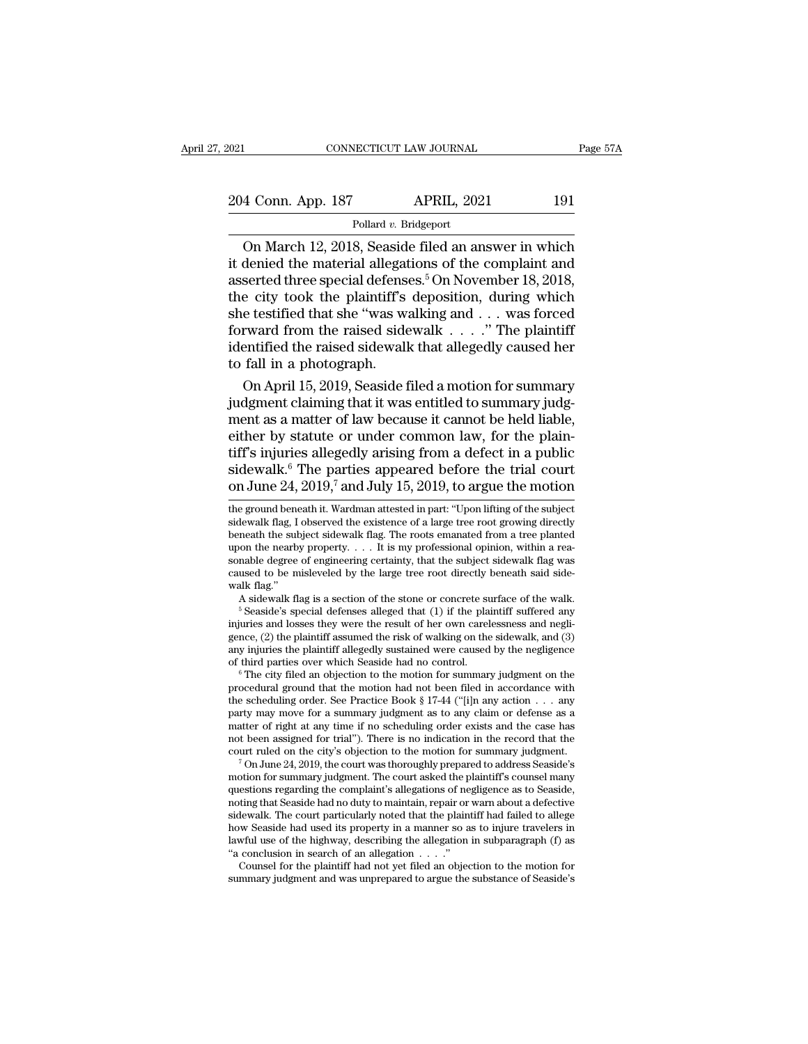# 2021 CONNECTICUT LAW JOURNAL Page 57A<br>204 Conn. App. 187 APRIL, 2021 191<br>Pollard v. Bridgeport

### Pollard *v.* Bridgeport

CONNECTICUT LAW JOURNAL Page 57A<br>
4 Conn. App. 187 APRIL, 2021 191<br>
Pollard v. Bridgeport<br>
On March 12, 2018, Seaside filed an answer in which<br>
denied the material allegations of the complaint and<br>
serted three special def 204 Conn. App. 187 APRIL, 2021 191<br>
Pollard v. Bridgeport<br>
On March 12, 2018, Seaside filed an answer in which<br>
it denied the material allegations of the complaint and<br>
asserted three special defenses.<sup>5</sup> On November 18, 204 Conn. App. 187 APRIL, 2021 191<br>
Pollard v. Bridgeport<br>
On March 12, 2018, Seaside filed an answer in which<br>
it denied the material allegations of the complaint and<br>
asserted three special defenses.<sup>5</sup> On November 18, 204 Conn. App. 187 APRIL, 2021 191<br>
Pollard v. Bridgeport<br>
On March 12, 2018, Seaside filed an answer in which<br>
it denied the material allegations of the complaint and<br>
asserted three special defenses.<sup>5</sup> On November 18, Follard v. Bridgeport<br>
On March 12, 2018, Seaside filed an answer in which<br>
it denied the material allegations of the complaint and<br>
asserted three special defenses.<sup>5</sup> On November 18, 2018,<br>
the city took the plaintiff's Pollard v. Bridgeport<br>
On March 12, 2018, Seaside filed an answer in which<br>
it denied the material allegations of the complaint and<br>
asserted three special defenses.<sup>5</sup> On November 18, 2018,<br>
the city took the plaintiff's On March 12, 2018, Seaside filed an answer in which<br>it denied the material allegations of the complaint and<br>asserted three special defenses.<sup>5</sup> On November 18, 2018,<br>the city took the plaintiff's deposition, during which<br> it denied the material allegat<br>asserted three special defens<br>the city took the plaintiff's<br>she testified that she "was wi<br>forward from the raised side<br>identified the raised sidewall<br>to fall in a photograph.<br>On April 15, 20 serted three special defenses.<sup>5</sup> On November 18, 2018,<br>e city took the plaintiff's deposition, during which<br>e testified that she "was walking and . . . was forced<br>rward from the raised sidewalk . . . . ." The plaintiff<br>en the city took the plaintiff's deposition, during which<br>she testified that she "was walking and  $\ldots$  was forced<br>forward from the raised sidewalk  $\ldots$ ." The plaintiff<br>identified the raised sidewalk that allegedly caused h

she testified that she "was walking and . . . was forced<br>forward from the raised sidewalk  $\ldots$ ." The plaintiff<br>identified the raised sidewalk that allegedly caused her<br>to fall in a photograph.<br>On April 15, 2019, Seaside forward from the raised sidewalk  $\ldots$  ." The plaintiff<br>identified the raised sidewalk that allegedly caused her<br>to fall in a photograph.<br>On April 15, 2019, Seaside filed a motion for summary<br>judgment claiming that it was identified the raised sidewalk that allegedly caused her<br>to fall in a photograph.<br>On April 15, 2019, Seaside filed a motion for summary<br>judgment claiming that it was entitled to summary judg-<br>ment as a matter of law becau to fall in a photograph.<br>
On April 15, 2019, Seaside filed a motion for summary<br>
judgment claiming that it was entitled to summary judg-<br>
ment as a matter of law because it cannot be held liable,<br>
either by statute or und On April 15, 2019, Seaside filed a motion for summary<br>judgment claiming that it was entitled to summary judg-<br>ment as a matter of law because it cannot be held liable,<br>either by statute or under common law, for the plaineither by statute or under common law, for the plain-<br>tiff's injuries allegedly arising from a defect in a public<br>sidewalk.<sup>6</sup> The parties appeared before the trial court<br>on June 24, 2019,<sup>7</sup> and July 15, 2019, to argue th tiff's injuries allegedly arising from a defect in a public<br>sidewalk.<sup>6</sup> The parties appeared before the trial court<br>on June 24, 2019,<sup>7</sup> and July 15, 2019, to argue the motion<br>the ground beneath it. Wardman attested in p

caused to be misleveled by the large tree root directly beneath said side-<br>walk flag." A sidewalk flag is a section of the stone or concrete surface of the walk.<br> $5$  Seaside's special defenses alleged that (1) if the plai sonable degree of engineering certainty, that the subject sidewalk flag was caused to be misleveled by the large tree root directly beneath said sidewalk flag."<br>A sidewalk flag is a section of the stone or concrete surfac caused to be misleveled by the large tree root directly beneath said side-<br>walk flag."<br>A sidewalk flag is a section of the stone or concrete surface of the walk.<br><sup>5</sup> Seaside's special defenses alleged that (1) if the plain walk flag."<br>A sidewalk flag is a section of the stone or concrete surface of the walk.<br>
<sup>5</sup> Seaside's special defenses alleged that (1) if the plaintiff suffered any<br>
injuries and losses they were the result of her own ca <sup>9</sup> Seaside's special defenses alleged that (1) if the plaintiff suffered any injuries and losses they were the result of her own carelessness and negligence, (2) the plaintiff assumed the risk of walking on the sidewalk,

injuries and losses they were the result of her own carelessness and negli-<br>gence, (2) the plaintiff assumed the risk of walking on the sidewalk, and (3)<br>any injuries the plaintiff allegedly sustained were caused by the n gence, (2) the plaintiff assumed the risk of walking on the sidewalk, and (3) any injuries the plaintiff allegedly sustained were caused by the negligence of third parties over which Seaside had no control.<br>
<sup>6</sup> The city any injuries the plaintiff allegedly sustained were caused by the negligence<br>of third parties over which Seaside had no control.<br>
<sup>6</sup> The city filed an objection to the motion for summary judgment on the<br>
procedural groun of third parties over which Seaside had no control.<br>
" The city filed an objection to the motion for summary judgment on the procedural ground that the motion had not been filed in accordance with the scheduling order. Se <sup>o</sup> The city filed an objection to the motion for summary judgment on the procedural ground that the motion had not been filed in accordance with the scheduling order. See Practice Book § 17-44 ("[i]n any action  $\ldots$  any the scheduling order. See Practice Book § 17-44 ("[i]n any action  $\ldots$  any party may move for a summary judgment as to any claim or defense as a matter of right at any time if no scheduling order exists and the case has

party may move for a summary judgment as to any claim or defense as a matter of right at any time if no scheduling order exists and the case has not been assigned for trial"). There is no indication in the record that the matter of right at any time if no scheduling order exists and the case has not been assigned for trial"). There is no indication in the record that the court ruled on the city's objection to the motion for summary judgment not been assigned for trial"). There is no indication in the record that the court ruled on the city's objection to the motion for summary judgment.<br><sup>7</sup> On June 24, 2019, the court was thoroughly prepared to address Seasid court ruled on the city's objection to the motion for summary judgment.<br>
<sup>7</sup> On June 24, 2019, the court was thoroughly prepared to address Seaside's<br>
motion for summary judgment. The court asked the plaintiff's counsel ma <sup>1</sup> On June 24, 2019, the court was thoroughly prepared to address Seaside's motion for summary judgment. The court asked the plaintiff's counsel many questions regarding the complaint's allegations of negligence as to Se motion for summary judgment. The court asked the plaintiff's counsel many questions regarding the complaint's allegations of negligence as to Seaside, noting that Seaside had no duty to maintain, repair or warn about a de estions regarding the complaint's allegations of negligence as to Seaside, thing that Seaside had no duty to maintain, repair or warn about a defective lewalk. The court particularly noted that the plaintiff had failed to how Seaside had used its property in a manner so as to injure travelers in

sidewalk.<sup>6</sup> The parties appeared before the trial court<br>on June 24, 2019,<sup>7</sup> and July 15, 2019, to argue the motion<br>the ground beneath it. Wardman attested in part: "Upon lifting of the subject<br>sidewalk flag. I observed sidewalk. The parties appeared before the trial court<br>on June 24, 2019,<sup>7</sup> and July 15, 2019, to argue the motion<br>the ground beneath it. Wardman attested in part: "Upon lifting of the subject<br>sidewalk flag, I observed the on June 24, 2019,<sup>7</sup> and July 15, 2019, to argue the motion<br>the ground beneath it. Wardman attested in part: "Upon lifting of the subject<br>sidewalk flag, I observed the existence of a large tree root growing directly<br>benea the ground beneath it. Wardman attested in part: "Upon lifting of the subject sidewalk flag, I observed the existence of a large tree root growing directly beneath the subject sidewalk flag. The roots emanated from a tree sidewalk flag, I observed the existence of a large tree root growing directly<br>beneath the subject sidewalk flag. The roots emanated from a tree planted<br>upon the nearby property. . . . It is my professional opinion, within Hewalk flag, I observed the existence of a large tree root growing directly<br>meath the subject sidewalk flag. The roots emanated from a tree planted<br>on the nearby property. . . . It is my professional opinion, within a rea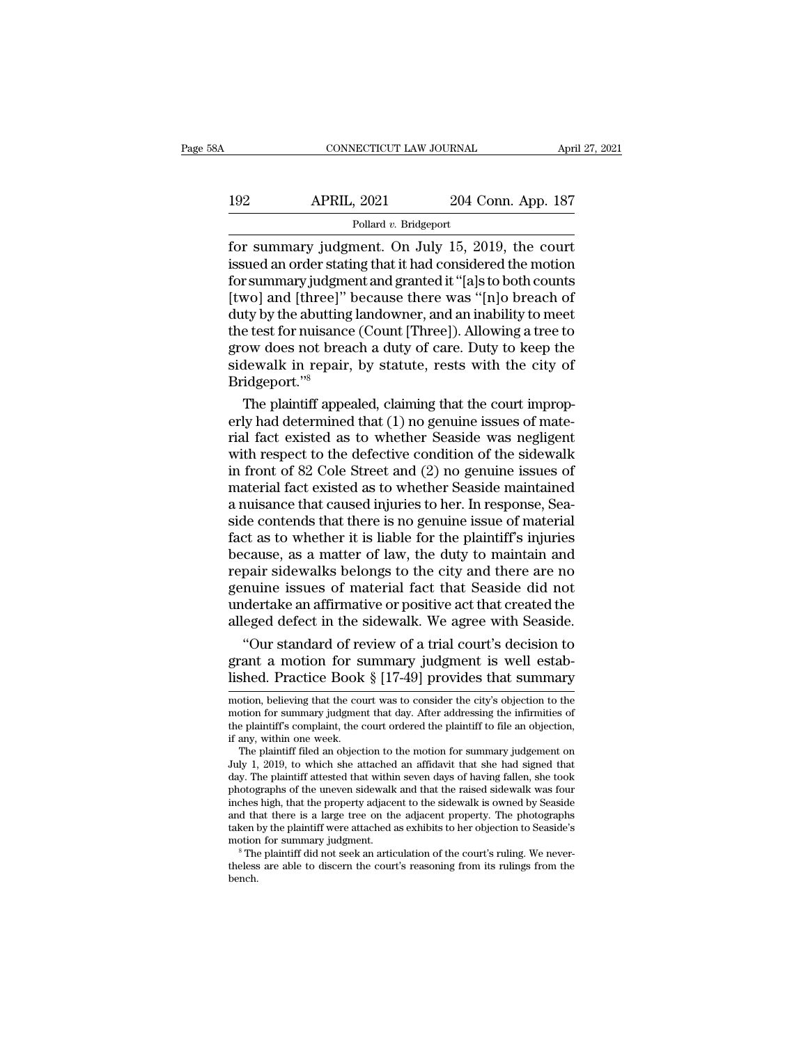### CONNECTICUT LAW JOURNAL April 27, 2021<br>192 APRIL, 2021 204 Conn. App. 187<br>Pollard v. Bridgeport Pollard *v.* Bridgeport

For summary judgment. On July 15, 2019, the court<br>for summary judgment. On July 15, 2019, the court<br>issued an order stating that it had considered the motion<br>for summary judgment and granted it "fals to both counts" 192 APRIL, 2021 204 Conn. App. 187<br>Pollard v. Bridgeport<br>for summary judgment. On July 15, 2019, the court<br>issued an order stating that it had considered the motion<br>for summary judgment and granted it "[a]s to both counts<br> For summary judgment. On July 15, 2019, the court<br>for summary judgment. On July 15, 2019, the court<br>issued an order stating that it had considered the motion<br>for summary judgment and granted it "[a]s to both counts<br>[two] 192 APRIL, 2021 204 Conn. App. 187<br>
Pollard v. Bridgeport<br>
for summary judgment. On July 15, 2019, the court<br>
issued an order stating that it had considered the motion<br>
for summary judgment and granted it "[a]s to both co Pollard v. Bridgeport<br>
Follard v. Bridgeport<br>
for summary judgment. On July 15, 2019, the court<br>
issued an order stating that it had considered the motion<br>
for summary judgment and granted it "[a]s to both counts<br>
[two] a Pollard v. Bridgeport<br>for summary judgment. On July 15, 2019, the court<br>issued an order stating that it had considered the motion<br>for summary judgment and granted it "[a]s to both counts<br>[two] and [three]" because there wa for summary judgment. On July 15, 2019, the court<br>issued an order stating that it had considered the motion<br>for summary judgment and granted it "[a]s to both counts<br>[two] and [three]" because there was "[n]o breach of<br>duty issued an order stating that it had considered the motion<br>for summary judgment and granted it "[a]s to both counts<br>[two] and [three]" because there was "[n]o breach of<br>duty by the abutting landowner, and an inability to me Bridgeport.''<sup>8</sup> wo] and [three]" because there was "[n]o breach of<br>ty by the abutting landowner, and an inability to meet<br>e test for nuisance (Count [Three]). Allowing a tree to<br>ow does not breach a duty of care. Duty to keep the<br>dewalk i duty by the abutting landowner, and an inability to meet<br>the test for nuisance (Count [Three]). Allowing a tree to<br>grow does not breach a duty of care. Duty to keep the<br>sidewalk in repair, by statute, rests with the city o

the test for nuisance (Count [Three]). Allowing a tree to<br>grow does not breach a duty of care. Duty to keep the<br>sidewalk in repair, by statute, rests with the city of<br>Bridgeport."<br>The plaintiff appealed, claiming that the grow does not breach a duty of care. Duty to keep the<br>sidewalk in repair, by statute, rests with the city of<br>Bridgeport."<sup>8</sup><br>The plaintiff appealed, claiming that the court improp-<br>erly had determined that (1) no genuine i sidewalk in repair, by statute, rests with the city of<br>Bridgeport."<sup>8</sup><br>The plaintiff appealed, claiming that the court improp-<br>erly had determined that (1) no genuine issues of mate-<br>rial fact existed as to whether Seaside Bridgeport."<br>
The plaintiff appealed, claiming that the court improp-<br>
erly had determined that (1) no genuine issues of mate-<br>
rial fact existed as to whether Seaside was negligent<br>
with respect to the defective condition The plaintiff appealed, claiming that the court improperly had determined that (1) no genuine issues of mate-<br>rial fact existed as to whether Seaside was negligent<br>with respect to the defective condition of the sidewalk<br>in erly had determined that (1) no genuine issues of mate-<br>rial fact existed as to whether Seaside was negligent<br>with respect to the defective condition of the sidewalk<br>in front of 82 Cole Street and (2) no genuine issues of<br> rial fact existed as to whether Seaside was negligent<br>with respect to the defective condition of the sidewalk<br>in front of 82 Cole Street and (2) no genuine issues of<br>material fact existed as to whether Seaside maintained<br>a with respect to the defective condition of the sidewalk<br>in front of 82 Cole Street and (2) no genuine issues of<br>material fact existed as to whether Seaside maintained<br>a nuisance that caused injuries to her. In response, Se in front of 82 Cole Street and (2) no genuine issues of<br>material fact existed as to whether Seaside maintained<br>a nuisance that caused injuries to her. In response, Sea-<br>side contends that there is no genuine issue of mater material fact existed as to whether Seaside maintained<br>a nuisance that caused injuries to her. In response, Sea-<br>side contends that there is no genuine issue of material<br>fact as to whether it is liable for the plaintiff's a nuisance that caused injuries to her. In response, Seaside contends that there is no genuine issue of material fact as to whether it is liable for the plaintiff's injuries because, as a matter of law, the duty to maintai side contends that there is no genuine issue of material<br>fact as to whether it is liable for the plaintiff's injuries<br>because, as a matter of law, the duty to maintain and<br>repair sidewalks belongs to the city and there are ct as to whether it is liable for the plaintiff's injuries<br>
cause, as a matter of law, the duty to maintain and<br>
pair sidewalks belongs to the city and there are no<br>
nuine issues of material fact that Seaside did not<br>
dert because, as a matter of law, the duty to maintain and<br>repair sidewalks belongs to the city and there are no<br>genuine issues of material fact that Seaside did not<br>undertake an affirmative or positive act that created the<br>all repair sidewalks belongs to the city and there are no<br>genuine issues of material fact that Seaside did not<br>undertake an affirmative or positive act that created the<br>alleged defect in the sidewalk. We agree with Seaside.<br>"O

an eged defect in the sidewalk. We agree with seaside.<br>
"Our standard of review of a trial court's decision to<br>
grant a motion for summary judgment is well estab-<br>
lished. Practice Book § [17-49] provides that summary<br>
mot "Our standard of review of a trial court's decision to<br>grant a motion for summary judgment is well estab-<br>lished. Practice Book  $\S$  [17-49] provides that summary<br>motion, believing that the court was to consider the city's

bench.

From a motion for summary judgment is well established. Practice Book  $\S$  [17-49] provides that summary motion, believing that the court was to consider the city's objection to the motion for summary judgment that day. Af grant a motion for single<br>lished. Practice Book<br>motion, believing that the councion for summary judgmer<br>the plaintiff's complaint, the of<br>if any, within one week.<br>The plaintiff filed an object<br>the l shed. Practice Book  $\S$  [17-49] provides that summary<br>potion, believing that the court was to consider the city's objection to the<br>potion for summary judgment that day. After addressing the infirmities of<br>e plaintiff's co motion, believing that the court was to consider the city's objection to the motion for summary judgment that day. After addressing the infirmities of the plaintiff's complaint, the court ordered the plaintiff to file an o

motion, believing that the court was to consider the city's objection to the<br>motion for summary judgment that day. After addressing the infirmities of<br>the plaintiff's complaint, the court ordered the plaintiff to file an o motion for summary judgment that day. After addressing the infirmities of<br>the plaintiff's complaint, the court ordered the plaintiff to file an objection,<br>if any, within one week.<br>The plaintiff filed an objection to the mo the plaintiff's complaint, the court ordered the plaintiff to file an objection,<br>if any, within one week.<br>The plaintiff filed an objection to the motion for summary judgement on<br>July 1, 2019, to which she attached an affid if any, within one week.<br>The plaintiff filed an objection to the motion for summary judgement on<br>July 1, 2019, to which she attached an affidavit that she had signed that<br>day. The plaintiff attested that within seven days The plaintiff filed an objection to the motion for summary judgement on July 1, 2019, to which she attached an affidavit that she had signed that day. The plaintiff attested that within seven days of having fallen, she too July 1, 2019, to which she attached an affidavit that she had signed that day. The plaintiff attested that within seven days of having fallen, she took photographs of the uneven sidewalk and that the raised sidewalk was fo photographs of the uneven sidewalk and that the raised sidewalk was four inches high, that the property adjacent to the sidewalk is owned by Seaside and that there is a large tree on the adjacent property. The photographs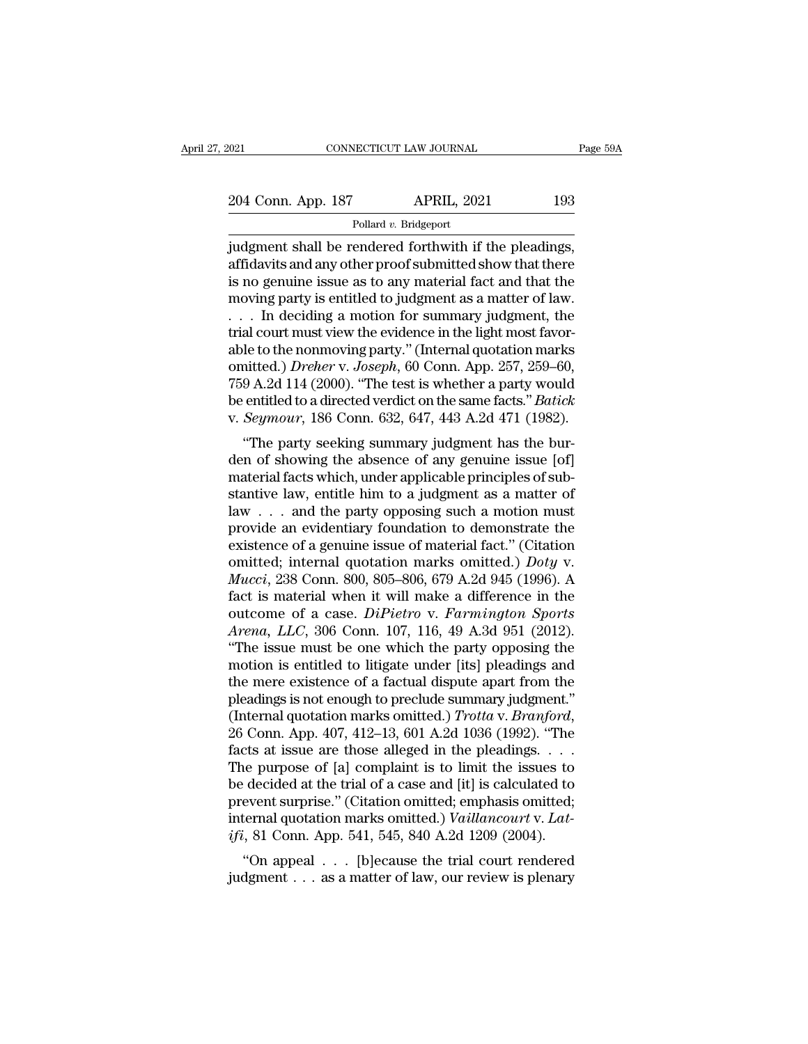| 021                | CONNECTICUT LAW JOURNAL | Page 59A |
|--------------------|-------------------------|----------|
|                    |                         |          |
| 204 Conn. App. 187 | <b>APRIL, 2021</b>      | 193      |
|                    | Pollard v. Bridgeport   |          |

Fage & CONNECTICUT LAW JOURNAL Page & Page & 204 Conn. App. 187 APRIL, 2021 193<br>Pollard v. Bridgeport<br>judgment shall be rendered forthwith if the pleadings,<br>affidavits and any other proof submitted show that there<br>is no go 204 Conn. App. 187 APRIL, 2021 193<br>
Pollard v. Bridgeport<br>
judgment shall be rendered forthwith if the pleadings,<br>
affidavits and any other proof submitted show that there<br>
is no genuine issue as to any material fact and 204 Conn. App. 187 APRIL, 2021 193<br>
Pollard v. Bridgeport<br>
judgment shall be rendered forthwith if the pleadings,<br>
affidavits and any other proof submitted show that there<br>
is no genuine issue as to any material fact and 204 Conn. App. 187 APRIL, 2021 193<br>
Pollard v. Bridgeport<br>
judgment shall be rendered forthwith if the pleadings,<br>
affidavits and any other proof submitted show that there<br>
is no genuine issue as to any material fact and Pollard v. Bridgeport<br>
in the pleadings,<br>
indigment shall be rendered forthwith if the pleadings,<br>
affidavits and any other proof submitted show that there<br>
is no genuine issue as to any material fact and that the<br>
moving Pollard v. Bridgeport<br>judgment shall be rendered forthwith if the pleadings,<br>affidavits and any other proof submitted show that there<br>is no genuine issue as to any material fact and that the<br>moving party is entitled to ju judgment shall be rendered forthwith if the pleadings,<br>affidavits and any other proof submitted show that there<br>is no genuine issue as to any material fact and that the<br>moving party is entitled to judgment as a matter of affidavits and any other proof submitted show that there<br>is no genuine issue as to any material fact and that the<br>moving party is entitled to judgment as a matter of law.<br>. . . In deciding a motion for summary judgment, th is no genuine issue as to any material fact and that the<br>moving party is entitled to judgment as a matter of law.<br>... In deciding a motion for summary judgment, the<br>trial court must view the evidence in the light most fav moving party is entitled to judgment as a matter of law.<br>  $\ldots$  In deciding a motion for summary judgment, the<br>
trial court must view the evidence in the light most favor-<br>
able to the nonmoving party." (Internal quotatio ... In deciding a motion for summary judgment, the trial court must view the evidence in the light most favorable to the nonmoving party." (Internal quotation marks omitted.) *Dreher* v. Joseph, 60 Conn. App. 257, 259–60, at court must view the evidence in the light most ravoi-<br>le to the nonmoving party." (Internal quotation marks<br>nitted.) *Dreher* v. Joseph, 60 Conn. App. 257, 259–60,<br>9 A.2d 114 (2000). "The test is whether a party would<br>e able to the nonlinoving party. (Internal quotation marks<br>
omitted.) *Dreher v. Joseph*, 60 Conn. App. 257, 259–60,<br>
759 A.2d 114 (2000). "The test is whether a party would<br>
be entitled to a directed verdict on the same fac

matted.) *Dreher* v. *Joseph*, ob Collii. App. 251, 259–00, 759 A.2d 114 (2000). "The test is whether a party would be entitled to a directed verdict on the same facts." *Batick* v. *Seymour*, 186 Conn. 632, 647, 443 A.2d standard the entitled to a directed verdict on the same facts." *Batick* v. *Seymour*, 186 Conn. 632, 647, 443 A.2d 471 (1982).<br>"The party seeking summary judgment has the burden of showing the absence of any genuine issu be entitled to a directed vertict of the same facts. *Batter*<br>v. *Seymour*, 186 Conn. 632, 647, 443 A.2d 471 (1982).<br>"The party seeking summary judgment has the bur-<br>den of showing the absence of any genuine issue [of]<br>ma provide an evidentiary judgment has the burden of showing the absence of any genuine issue [of] material facts which, under applicable principles of substantive law, entitle him to a judgment as a matter of law . . . and "The party seeking summary judgment has the bur-<br>den of showing the absence of any genuine issue [of]<br>material facts which, under applicable principles of sub-<br>stantive law, entitle him to a judgment as a matter of<br>law . den of showing the absence of any genuine issue [of]<br>material facts which, under applicable principles of sub-<br>stantive law, entitle him to a judgment as a matter of<br>law . . . and the party opposing such a motion must<br>prov material facts which, under applicable principles of substantive law, entitle him to a judgment as a matter of<br>law . . . and the party opposing such a motion must<br>provide an evidentiary foundation to demonstrate the<br>existe stantive law, entitle him to a judgment as a matter of<br>law . . . and the party opposing such a motion must<br>provide an evidentiary foundation to demonstrate the<br>existence of a genuine issue of material fact." (Citation<br>omi law . . . and the party opposing such a motion must<br>provide an evidentiary foundation to demonstrate the<br>existence of a genuine issue of material fact." (Citation<br>omitted; internal quotation marks omitted.) *Doty* v.<br>*Mucc* provide an evidentiary foundation to demonstrate the existence of a genuine issue of material fact." (Citation omitted; internal quotation marks omitted.) *Doty v. Mucci*, 238 Conn. 800, 805–806, 679 A.2d 945 (1996). A fac existence of a genuine issue of material fact." (Citation<br>
omitted; internal quotation marks omitted.) *Doty* v.<br> *Mucci*, 238 Conn. 800, 805–806, 679 A.2d 945 (1996). A<br>
fact is material when it will make a difference in omitted; internal quotation marks omitted.) *Doty* v.<br> *Mucci*, 238 Conn. 800, 805–806, 679 A.2d 945 (1996). A<br>
fact is material when it will make a difference in the<br>
outcome of a case. *DiPietro* v. *Farmington Sports*<br> *Mucci*, 238 Conn. 800, 805–806, 679 A.2d 945 (1996). A<br>fact is material when it will make a difference in the<br>outcome of a case. *DiPietro* v. *Farmington Sports*<br>*Arena*, *LLC*, 306 Conn. 107, 116, 49 A.3d 951 (2012).<br>" fact is material when it will make a difference in the outcome of a case. *DiPietro* v. *Farmington Sports Arena*, *LLC*, 306 Conn. 107, 116, 49 A.3d 951 (2012). "The issue must be one which the party opposing the motio outcome of a case. *DiPietro* v. *Farmington Sports*<br>Arena, LLC, 306 Conn. 107, 116, 49 A.3d 951 (2012).<br>"The issue must be one which the party opposing the<br>motion is entitled to litigate under [its] pleadings and<br>the mere "The issue must be one which the party opposing the<br>motion is entitled to litigate under [its] pleadings and<br>the mere existence of a factual dispute apart from the<br>pleadings is not enough to preclude summary judgment."<br>(I motion is entitled to litigate under [its] pleadings and<br>the mere existence of a factual dispute apart from the<br>pleadings is not enough to preclude summary judgment."<br>(Internal quotation marks omitted.)  $Trotta$  v.  $Branford$ ,<br> $2$ the mere existence of a factual dispute apart from the pleadings is not enough to preclude summary judgment."<br>(Internal quotation marks omitted.)  $Trotta$  v.  $Branford$ ,  $26$  Conn. App. 407, 412–13, 601 A.2d 1036 (1992). "The fac pleadings is not enough to preclude summary judgment."<br>(Internal quotation marks omitted.) *Trotta v. Branford*,<br>26 Conn. App. 407, 412–13, 601 A.2d 1036 (1992). "The<br>facts at issue are those alleged in the pleadings. . . (Internal quotation marks omitted.) *Trotta v. Branford*, 26 Conn. App. 407, 412–13, 601 A.2d 1036 (1992). "The facts at issue are those alleged in the pleadings. . . . The purpose of [a] complaint is to limit the issues t 26 Conn. App. 407, 412–13, 601 A.2d 1036 (1992). "The facts at issue are those alleged in the pleadings. . . . The purpose of [a] complaint is to limit the issues to be decided at the trial of a case and [it] is calculate Let  $\alpha$  is at issue are those aneged in the preadings. . . . .<br>
i.e purpose of [a] complaint is to limit the issues to<br>
decided at the trial of a case and [it] is calculated to<br>
event surprise." (Citation omitted; emphas The purpose of [a] complaint is to finitude issues to<br>be decided at the trial of a case and [it] is calculated to<br>prevent surprise." (Citation omitted; emphasis omitted;<br>internal quotation marks omitted.) Vaillancourt v. L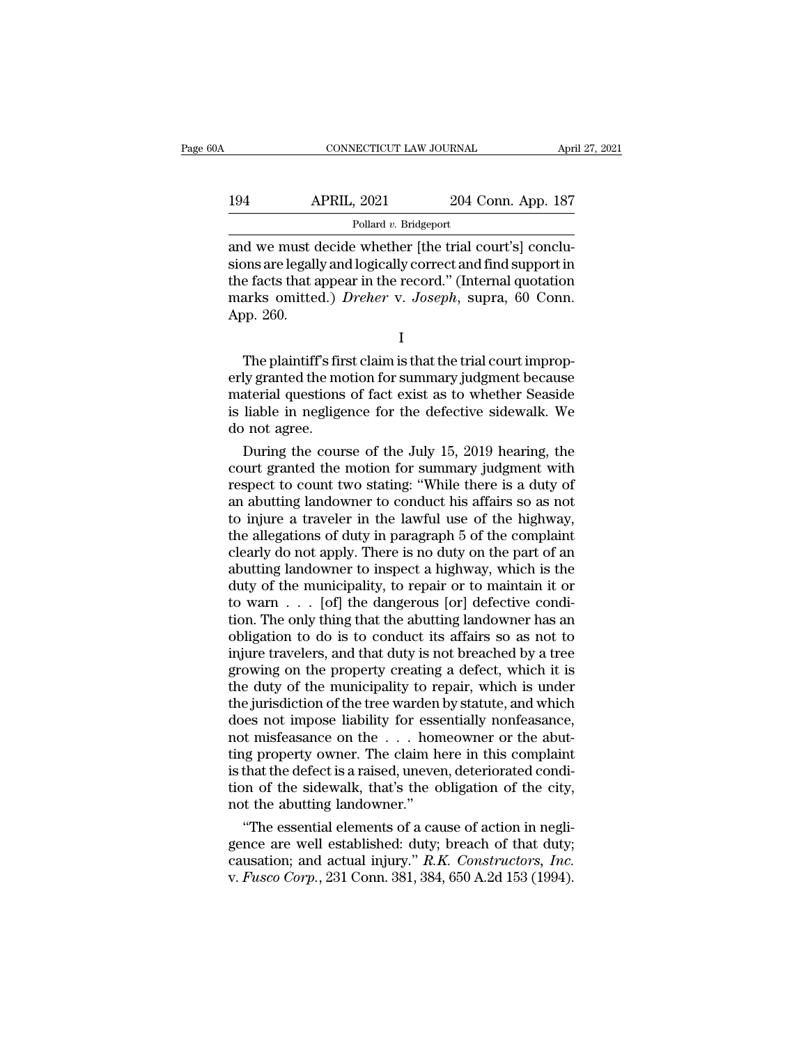| A   | CONNECTICUT LAW JOURNAL |                    | April 27, 2021 |
|-----|-------------------------|--------------------|----------------|
|     |                         |                    |                |
| 194 | <b>APRIL, 2021</b>      | 204 Conn. App. 187 |                |
|     | Pollard v. Bridgeport   |                    |                |

CONNECTICUT LAW JOURNAL APT<br>
APRIL, 2021 204 Conn. App. 187<br>
Pollard v. Bridgeport<br>
and we must decide whether [the trial court's] conclu-<br>
sions are legally and logically correct and find support in<br>
the facts that appear Since 194<br>
Simulate 2021 204 Conn. App. 187<br>
Pollard v. Bridgeport<br>
and we must decide whether [the trial court's] conclusions<br>
are legally and logically correct and find support in<br>
the facts that appear in the record." (  $\begin{tabular}{ll} \bf 194 & APRIL, 2021 & 204 Conn. App. 187 \\ \hline \multicolumn{1}{l}{\bf 194} & \multicolumn{1}{l}{\bf 194} & \multicolumn{1}{l}{\bf 197} \\ \hline \end{tabular} \\ \begin{tabular}{ll} \bf 194 & \bf 1987 \\ \bf 204 & \bf 1997 \\ \bf 204 & \bf 1997 \\ \bf 204 & \bf 1997 \\ \bf 204 & \bf 1997 \\ \bf 205 & \bf 1987 \\ \bf 206 & \bf 1997 \\ \bf 207$ 194 APRIL, 2021 204 Conn. App. 187<br>
Pollard v. Bridgeport<br>
and we must decide whether [the trial court's] conclusions are legally and logically correct and find support in<br>
the facts that appear in the record." (Internal q and we must defined<br>and we must defined<br>sions are legall<br>the facts that a<br>marks omitted<br>App. 260. The plaintiff's first claim is that the trial court in prop-<br>The plaintiff's first claim is that the trial quotation<br>pp. 260.<br>The plaintiff's first claim is that the trial court improp-<br>ly granted the motion for summary ju

I

Erlie are regainy analogically correct and interact points.<br>
the facts that appear in the record." (Internal quotation<br>
marks omitted.) *Dreher* v. *Joseph*, supra, 60 Conn.<br>
App. 260.<br>
I<br>
The plaintiff's first claim is th marks omitted.) *Dreher* v. *Joseph*, supra, 60 Conn.<br>App. 260.<br>I<br>The plaintiff's first claim is that the trial court improp-<br>erly granted the motion for summary judgment because<br>material questions of fact exist as to whet Final is since in state in the defective sidewalk.<br>App. 260.<br>I<br>The plaintiff's first claim is that the trial court improp-<br>erly granted the motion for summary judgment because<br>material questions of fact exist as to whethe The plaintiff's fir<br>erly granted the mo<br>material questions<br>is liable in neglige<br>do not agree.<br>During the cour The plaintiff's first claim is that the trial court improp-<br>ly granted the motion for summary judgment because<br>aterial questions of fact exist as to whether Seaside<br>liable in negligence for the defective sidewalk. We<br>not The plaintiff s first claim is that the trial court improperly granted the motion for summary judgment because<br>material questions of fact exist as to whether Seaside<br>is liable in negligence for the defective sidewalk. We<br>d

erly granted the motion for summary judgment because<br>material questions of fact exist as to whether Seaside<br>is liable in negligence for the defective sidewalk. We<br>do not agree.<br>During the course of the July 15, 2019 hearin material questions of fact exist as to whether Seaside<br>is liable in negligence for the defective sidewalk. We<br>do not agree.<br>During the course of the July 15, 2019 hearing, the<br>court granted the motion for summary judgment is liable in negligence for the defective sidewalk. We<br>do not agree.<br>During the course of the July 15, 2019 hearing, the<br>court granted the motion for summary judgment with<br>respect to count two stating: "While there is a du do not agree.<br>
During the course of the July 15, 2019 hearing, the<br>
court granted the motion for summary judgment with<br>
respect to count two stating: "While there is a duty of<br>
an abutting landowner to conduct his affairs During the course of the July 15, 2019 hearing, the<br>court granted the motion for summary judgment with<br>respect to count two stating: "While there is a duty of<br>an abutting landowner to conduct his affairs so as not<br>to injur court granted the motion for summary judgment with<br>respect to count two stating: "While there is a duty of<br>an abutting landowner to conduct his affairs so as not<br>to injure a traveler in the lawful use of the highway,<br>the a respect to count two stating: "While there is a duty of<br>an abutting landowner to conduct his affairs so as not<br>to injure a traveler in the lawful use of the highway,<br>the allegations of duty in paragraph 5 of the complaint<br> an abutting landowner to conduct his affairs so as not<br>to injure a traveler in the lawful use of the highway,<br>the allegations of duty in paragraph 5 of the complaint<br>clearly do not apply. There is no duty on the part of a to injure a traveler in the lawful use of the highway,<br>the allegations of duty in paragraph 5 of the complaint<br>clearly do not apply. There is no duty on the part of an<br>abutting landowner to inspect a highway, which is the the allegations of duty in paragraph 5 of the complaint<br>clearly do not apply. There is no duty on the part of an<br>abutting landowner to inspect a highway, which is the<br>duty of the municipality, to repair or to maintain it clearly do not apply. There is no duty on the part of an abutting landowner to inspect a highway, which is the duty of the municipality, to repair or to maintain it or to warn  $\dots$  [of] the dangerous [or] defective condit abutting landowner to inspect a highway, which is the<br>duty of the municipality, to repair or to maintain it or<br>to warn  $\ldots$  [of] the dangerous [or] defective condi-<br>tion. The only thing that the abutting landowner has an duty of the municipality, to repair or to maintain it or<br>to warn  $\ldots$  [of] the dangerous [or] defective condi-<br>tion. The only thing that the abutting landowner has an<br>obligation to do is to conduct its affairs so as not to warn  $\ldots$  [of] the dangerous [or] defective condition. The only thing that the abutting landowner has an obligation to do is to conduct its affairs so as not to injure travelers, and that duty is not breached by a tre tion. The only thing that the abutting landowner has an obligation to do is to conduct its affairs so as not to injure travelers, and that duty is not breached by a tree growing on the property creating a defect, which it obligation to do is to conduct its affairs so as not to<br>injure travelers, and that duty is not breached by a tree<br>growing on the property creating a defect, which it is<br>the duty of the municipality to repair, which is unde injure travelers, and that duty is not breached by a tree<br>growing on the property creating a defect, which it is<br>the duty of the municipality to repair, which is under<br>the jurisdiction of the tree warden by statute, and wh growing on the property creating a defect, which it is<br>the duty of the municipality to repair, which is under<br>the jurisdiction of the tree warden by statute, and which<br>does not impose liability for essentially nonfeasance, the duty of the municipality to repair, which is under<br>the jurisdiction of the tree warden by statute, and which<br>does not impose liability for essentially nonfeasance,<br>not misfeasance on the  $\dots$  homeowner or the abut-<br>ti the jurisdiction of the tree warden<br>does not impose liability for esse<br>not misfeasance on the  $\dots$  hon<br>ting property owner. The claim h<br>is that the defect is a raised, unever<br>tion of the sidewalk, that's the o<br>not the abu es not mpose hability for essentially nonteasance,<br>t misfeasance on the  $\ldots$  homeowner or the abut-<br>ig property owner. The claim here in this complaint<br>that the defect is a raised, uneven, deteriorated condi-<br>on of the s not misteasance on the  $\ldots$  homeowner or the abutting property owner. The claim here in this complaint<br>is that the defect is a raised, uneven, deteriorated condi-<br>tion of the sidewalk, that's the obligation of the city,<br>

ting property owner. The claim here in this complaint<br>is that the defect is a raised, uneven, deteriorated condi-<br>tion of the sidewalk, that's the obligation of the city,<br>not the abutting landowner."<br>"The essential element is that the defect is a raised, uneven, deteriorated condition of the sidewalk, that's the obligation of the city, not the abutting landowner."<br>"The essential elements of a cause of action in negligence are well establishe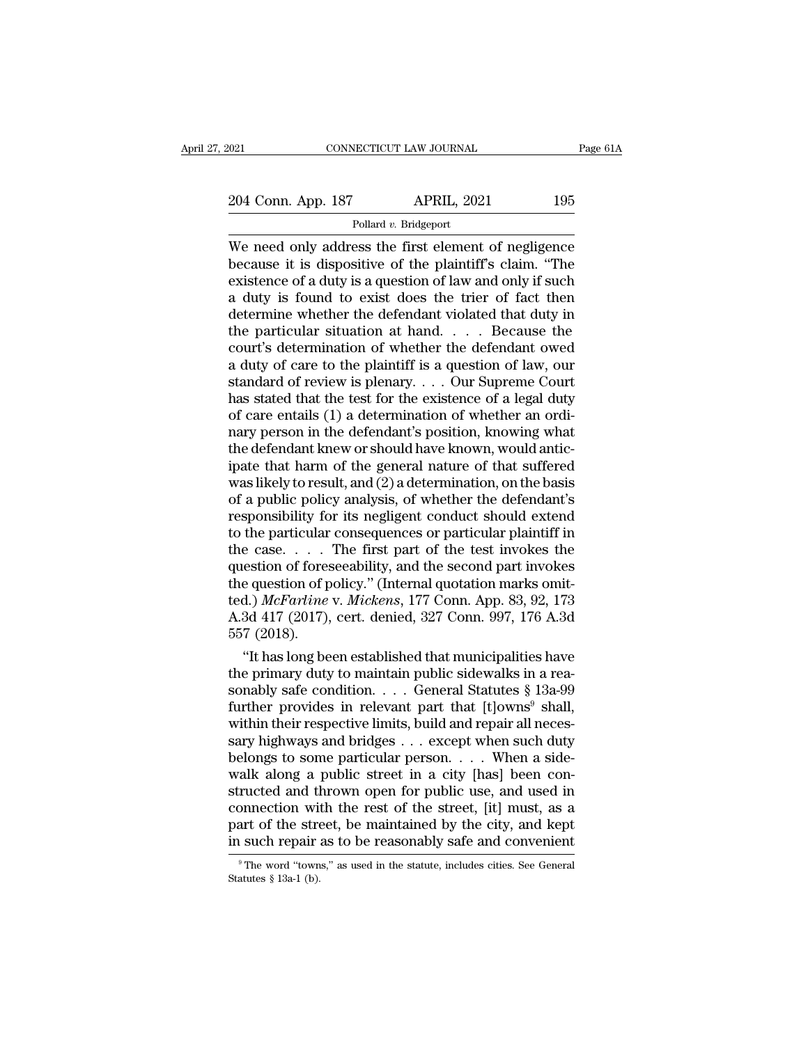Pollard *v.* Bridgeport

CONNECTICUT LAW JOURNAL Page 61A<br>
204 Conn. App. 187 APRIL, 2021 195<br>
Pollard v. Bridgeport<br>
We need only address the first element of negligence<br>
because it is dispositive of the plaintiff's claim. "The<br>
existence of a du 204 Conn. App. 187 APRIL, 2021 195<br>
Pollard v. Bridgeport<br>
We need only address the first element of negligence<br>
because it is dispositive of the plaintiff's claim. "The<br>
existence of a duty is a question of law and only 204 Conn. App. 187 APRIL, 2021 195<br>
Pollard v. Bridgeport<br>
We need only address the first element of negligence<br>
because it is dispositive of the plaintiff's claim. "The<br>
existence of a duty is a question of law and only 204 Conn. App. 187 APRIL, 2021 195<br>
Pollard v. Bridgeport<br>
We need only address the first element of negligence<br>
because it is dispositive of the plaintiff's claim. "The<br>
existence of a duty is a question of law and only Pollard v. Bridgeport<br>
We need only address the first element of negligence<br>
because it is dispositive of the plaintiff's claim. "The<br>
existence of a duty is a question of law and only if such<br>
a duty is found to exist do Pollard v. Bridgeport<br>We need only address the first element of negligence<br>because it is dispositive of the plaintiff's claim. "The<br>existence of a duty is a question of law and only if such<br>a duty is found to exist does t We need only address the first element of negligence<br>because it is dispositive of the plaintiff's claim. "The<br>existence of a duty is a question of law and only if such<br>a duty is found to exist does the trier of fact then<br> because it is dispositive of the plaintiff's claim. "The existence of a duty is a question of law and only if such a duty is found to exist does the trier of fact then determine whether the defendant violated that duty in existence of a duty is a question of law and only if such<br>a duty is found to exist does the trier of fact then<br>determine whether the defendant violated that duty in<br>the particular situation at hand....Because the<br>court's a duty is found to exist does the trier of fact then<br>determine whether the defendant violated that duty in<br>the particular situation at hand.... Because the<br>court's determination of whether the defendant owed<br>a duty of car determine whether the defendant violated that duty in<br>the particular situation at hand. . . . Because the<br>court's determination of whether the defendant owed<br>a duty of care to the plaintiff is a question of law, our<br>standa the particular situation at hand.... Because the<br>court's determination of whether the defendant owed<br>a duty of care to the plaintiff is a question of law, our<br>standard of review is plenary.... Our Supreme Court<br>has stated court's determination of whether the defendant owed<br>a duty of care to the plaintiff is a question of law, our<br>standard of review is plenary.... Our Supreme Court<br>has stated that the test for the existence of a legal duty<br> a duty of care to the plaintiff is a question of law, our standard of review is plenary. . . . Our Supreme Court<br>has stated that the test for the existence of a legal duty<br>of care entails (1) a determination of whether an standard of review is plenary. . . . Our Supreme Court<br>has stated that the test for the existence of a legal duty<br>of care entails (1) a determination of whether an ordi-<br>nary person in the defendant's position, knowing wha has stated that the test for the existence of a legal duty<br>of care entails (1) a determination of whether an ordi-<br>nary person in the defendant's position, knowing what<br>the defendant knew or should have known, would anticof care entails (1) a determination of whether an ordinary person in the defendant's position, knowing what<br>the defendant knew or should have known, would antic-<br>ipate that harm of the general nature of that suffered<br>was l mary person in the defendant's position, knowing what<br>the defendant knew or should have known, would antic-<br>ipate that harm of the general nature of that suffered<br>was likely to result, and (2) a determination, on the basi the defendant knew or should have known, would antic-<br>ipate that harm of the general nature of that suffered<br>was likely to result, and (2) a determination, on the basis<br>of a public policy analysis, of whether the defendant ipate that harm of the general nature of that suffered<br>was likely to result, and (2) a determination, on the basis<br>of a public policy analysis, of whether the defendant's<br>responsibility for its negligent conduct should ex was likely to result, and (2) a determination, on the basis<br>of a public policy analysis, of whether the defendant's<br>responsibility for its negligent conduct should extend<br>to the particular consequences or particular plain of a public policy analysis, of whether the defendant's<br>responsibility for its negligent conduct should extend<br>to the particular consequences or particular plaintiff in<br>the case. . . . The first part of the test invokes<br>th responsibility for its negligent conduct should extend<br>to the particular consequences or particular plaintiff in<br>the case.... The first part of the test invokes the<br>question of foreseeability, and the second part invokes<br> to the particular<br>the case....<br>question of fores<br>the question of p<br>ted.) *McFarline*<br>A.3d 417 (2017),<br>557 (2018).<br>"It has long be e case.... The first part of the test invokes the<br>
estion of foreseeability, and the second part invokes<br>
e question of policy." (Internal quotation marks omit-<br>
d.) *McFarline* v. *Mickens*, 177 Conn. App. 83, 92, 173<br>
3 question of foreseeability, and the second part invokes<br>the question of policy." (Internal quotation marks omit-<br>ted.) *McFarline* v. *Mickens*, 177 Conn. App. 83, 92, 173<br>A.3d 417 (2017), cert. denied, 327 Conn. 997, 176

the question of policy." (Internal quotation marks omitted.) *McFarline* v. *Mickens*, 177 Conn. App. 83, 92, 173<br>A.3d 417 (2017), cert. denied, 327 Conn. 997, 176 A.3d<br>557 (2018).<br>"It has long been established that munic fed.) *McFarline* v. *Mckens*, 177 Conn. App. 83, 92, 173<br>A.3d 417 (2017), cert. denied, 327 Conn. 997, 176 A.3d<br>557 (2018).<br>"It has long been established that municipalities have<br>the primary duty to maintain public sidew A.3d 417 (2017), cert. denied, 327 Conn. 997, 176 A.3d<br>557 (2018).<br>"It has long been established that municipalities have<br>the primary duty to maintain public sidewalks in a rea-<br>sonably safe condition. . . . General Statu b57 (2018).<br>
"It has long been established that municipalities have<br>
the primary duty to maintain public sidewalks in a rea-<br>
sonably safe condition. . . . General Statutes § 13a-99<br>
further provides in relevant part that "It has long been established that municipalities have<br>the primary duty to maintain public sidewalks in a rea-<br>sonably safe condition. . . . General Statutes § 13a-99<br>further provides in relevant part that [t]owns<sup>9</sup> shal the primary duty to maintain public sidewalks in a reasonably safe condition. . . . General Statutes § 13a-99 further provides in relevant part that [t]owns<sup>9</sup> shall, within their respective limits, build and repair all n sonably safe condition. . . . General Statutes  $\S$  13a-99<br>further provides in relevant part that [t]owns<sup>9</sup> shall,<br>within their respective limits, build and repair all neces-<br>sary highways and bridges . . . except when su further provides in relevant part that [t]owns<sup>9</sup> shall,<br>within their respective limits, build and repair all neces-<br>sary highways and bridges  $\ldots$  except when such duty<br>belongs to some particular person.  $\ldots$  When a si within their respective limits, build and repair all necessary highways and bridges . . . except when such duty belongs to some particular person. . . . When a sidewalk along a public street in a city [has] been construct sary highways and bridges  $\ldots$  except when such duty<br>belongs to some particular person.  $\ldots$  When a side-<br>walk along a public street in a city [has] been con-<br>structed and thrown open for public use, and used in<br>connect ructed and thrown open for public use, and used in onnection with the rest of the street, [it] must, as a art of the street, be maintained by the city, and kept  $\frac{1}{1}$  such repair as to be reasonably safe and convenien connection wire<br>part of the stre<br>in such repair<br><sup>9</sup>The word "town<br>Statutes § 13a-1 (b).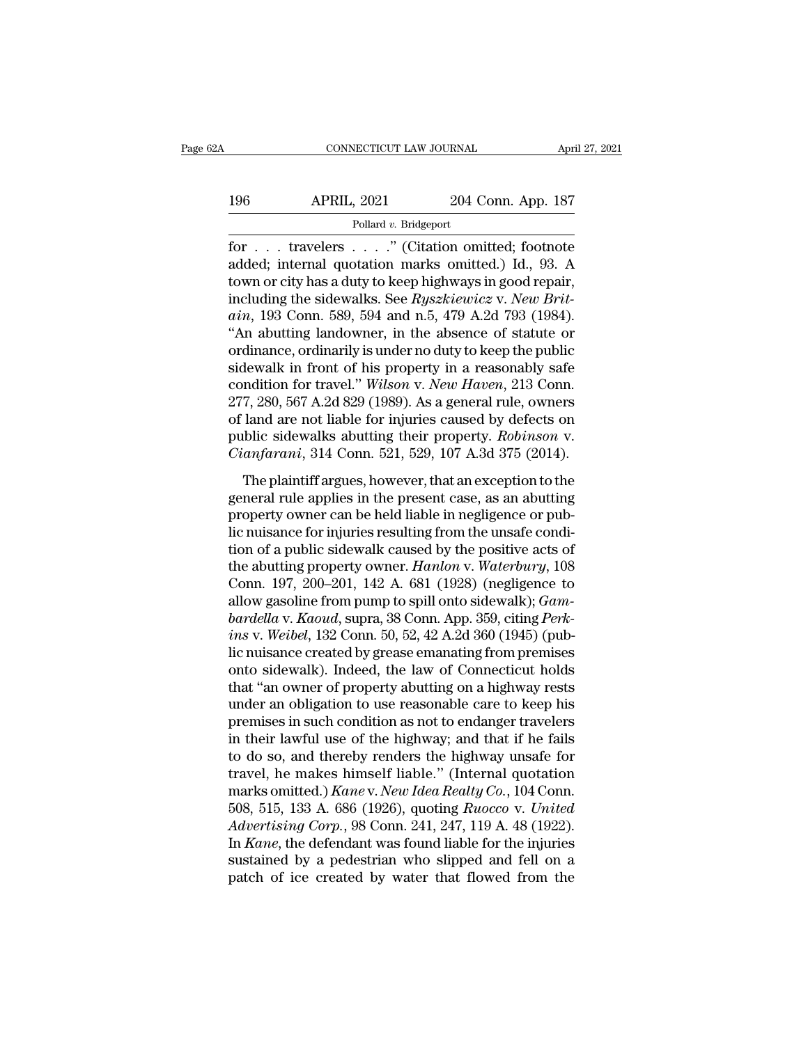# CONNECTICUT LAW JOURNAL April 27, 2021<br>196 APRIL, 2021 204 Conn. App. 187<br>Pollard v. Bridgeport

Pollard *v.* Bridgeport

FORTE CONNECTICUT LAW JOURNAL April 27, 2021<br>196 APRIL, 2021 204 Conn. App. 187<br>Pollard v. Bridgeport<br>for . . . travelers . . . .'' (Citation omitted; footnote<br>added; internal quotation marks omitted.) Id., 93. A<br>town or g added; internal quotation marks omitted.) Id., 93. A 196 APRIL, 2021 204 Conn. App. 187<br>
Pollard v. Bridgeport<br>
for . . . travelers . . . . " (Citation omitted; footnote<br>
added; internal quotation marks omitted.) Id., 93. A<br>
town or city has a duty to keep highways in good 196 APRIL, 2021 204 Conn. App. 187<br>
Pollard v. Bridgeport<br>
for . . . travelers . . . . " (Citation omitted; footnote<br>
added; internal quotation marks omitted.) Id., 93. A<br>
town or city has a duty to keep highways in good r Pollard v. Bridgeport<br> **aince in the Connect of Science And Algerity Connect added;** internal quotation marks omitted.) Id., 93. A<br>
town or city has a duty to keep highways in good repair,<br>
including the sidewalks. See *Ry* Pollard v. Bridgeport<br>
for . . . travelers . . . . " (Citation omitted; footnote<br>
added; internal quotation marks omitted.) Id., 93. A<br>
town or city has a duty to keep highways in good repair,<br>
including the sidewalks. Se for . . . travelers . . . ." (Citation omitted; footnote added; internal quotation marks omitted.) Id., 93. A town or city has a duty to keep highways in good repair, including the sidewalks. See  $Ryszkiewicz$  v. New Brit-<br>ain added; internal quotation marks omitted.) Id., 93. A<br>town or city has a duty to keep highways in good repair,<br>including the sidewalks. See  $Ryszkiewicz$  v. New Brit-<br>ain, 193 Conn. 589, 594 and n.5, 479 A.2d 793 (1984).<br>"An ab town or city has a duty to keep highways in good repair,<br>including the sidewalks. See *Ryszkiewicz* v. *New Brit-*<br>ain, 193 Conn. 589, 594 and n.5, 479 A.2d 793 (1984).<br>"An abutting landowner, in the absence of statute or<br> including the sidewalks. See *Ryszkiewicz* v. *New Britain*, 193 Conn. 589, 594 and n.5, 479 A.2d 793 (1984).<br>"An abutting landowner, in the absence of statute or ordinance, ordinarily is under no duty to keep the public s *ain*, 193 Conn. 589, 594 and n.5, 479 A.2d 793 (1984).<br>
"An abutting landowner, in the absence of statute or ordinance, ordinarily is under no duty to keep the public<br>
sidewalk in front of his property in a reasonably sa "An abutting landowner, in the absence of statute or ordinance, ordinarily is under no duty to keep the public sidewalk in front of his property in a reasonably safe condition for travel." *Wilson* v. *New Haven*, 213 Conn ordinance, ordinarily is under no duty to keep the public<br>sidewalk in front of his property in a reasonably safe<br>condition for travel." *Wilson v. New Haven*, 213 Conn.<br>277, 280, 567 A.2d 829 (1989). As a general rule, own The plaintiff argues, however, that are exception to the neral rule, owners<br>and are not liable for injuries caused by defects on<br>blic sidewalks abutting their property. *Robinson* v.<br>anfarani, 314 Conn. 521, 529, 107 A.3d 277, 280, 567 A.2d 829 (1989). As a general rule, owners<br>of land are not liable for injuries caused by defects on<br>public sidewalks abutting their property. *Robinson v.*<br>*Cianfarani*, 314 Conn. 521, 529, 107 A.3d 375 (201

property set that the form in a general rate, owners<br>of land are not liable for injuries caused by defects on<br>public sidewalks abutting their property. *Robinson v.*<br>*Cianfarani*, 314 Conn. 521, 529, 107 A.3d 375 (2014).<br> public sidewalks abutting their property. *Robinson v.*<br>Cianfarani, 314 Conn. 521, 529, 107 A.3d 375 (2014).<br>The plaintiff argues, however, that an exception to the<br>general rule applies in the present case, as an abutting Cianfarani, 314 Conn. 521, 529, 107 A.3d 375 (2014).<br>The plaintiff argues, however, that an exception to the<br>general rule applies in the present case, as an abutting<br>property owner can be held liable in negligence or pub-The plaintiff argues, however, that an exception to the<br>general rule applies in the present case, as an abutting<br>property owner can be held liable in negligence or pub-<br>lic nuisance for injuries resulting from the unsafe c The plaintiff argues, however, that an exception to the<br>general rule applies in the present case, as an abutting<br>property owner can be held liable in negligence or pub-<br>lic nuisance for injuries resulting from the unsafe c general rule applies in the present case, as an abutting<br>property owner can be held liable in negligence or pub-<br>lic nuisance for injuries resulting from the unsafe condi-<br>tion of a public sidewalk caused by the positive a property owner can be held liable in negligence or pub-<br>lic nuisance for injuries resulting from the unsafe condi-<br>tion of a public sidewalk caused by the positive acts of<br>the abutting property owner. *Hanlon* v. *Waterbur* lic nuisance for injuries resulting from the unsafe condition of a public sidewalk caused by the positive acts of<br>the abutting property owner. *Hanlon* v. *Waterbury*, 108<br>Conn. 197, 200–201, 142 A. 681 (1928) (negligence tion of a public sidewalk caused by the positive acts of<br>the abutting property owner. *Hanlon v. Waterbury*, 108<br>Conn. 197, 200–201, 142 A. 681 (1928) (negligence to<br>allow gasoline from pump to spill onto sidewalk); *Gam-<br>* the abutting property owner. *Hanlon* v. *Waterbury*, 108<br>Conn. 197, 200–201, 142 A. 681 (1928) (negligence to<br>allow gasoline from pump to spill onto sidewalk); *Gam-<br>bardella* v. *Kaoud*, supra, 38 Conn. App. 359, citing Conn. 197, 200–201, 142 A. 681 (1928) (negligence to<br>allow gasoline from pump to spill onto sidewalk);  $Gam$ <br>bardella v. Kaoud, supra, 38 Conn. App. 359, citing *Perk-*<br>ins v. Weibel, 132 Conn. 50, 52, 42 A.2d 360 (1945) (p allow gasoline from pump to spill onto sidewalk); *Gambardella v. Kaoud*, supra, 38 Conn. App. 359, citing *Perkins v. Weibel*, 132 Conn. 50, 52, 42 A.2d 360 (1945) (public nuisance created by grease emanating from premise bardella v. Kaoud, supra, 38 Conn. App. 359, citing Perkins v. Weibel, 132 Conn. 50, 52, 42 A.2d 360 (1945) (pub-<br>lic nuisance created by grease emanating from premises<br>onto sidewalk). Indeed, the law of Connecticut holds<br> ins v. Weibel, 132 Conn. 50, 52, 42 A.2d 360 (1945) (pub-<br>lic nuisance created by grease emanating from premises<br>onto sidewalk). Indeed, the law of Connecticut holds<br>that "an owner of property abutting on a highway rests<br>u lic nuisance created by grease emanating from premises<br>onto sidewalk). Indeed, the law of Connecticut holds<br>that "an owner of property abutting on a highway rests<br>under an obligation to use reasonable care to keep his<br>prem onto sidewalk). Indeed, the law of Connecticut holds<br>that "an owner of property abutting on a highway rests<br>under an obligation to use reasonable care to keep his<br>premises in such condition as not to endanger travelers<br>in that "an owner of property abutting on a highway rests<br>under an obligation to use reasonable care to keep his<br>premises in such condition as not to endanger travelers<br>in their lawful use of the highway; and that if he fails under an obligation to use reasonable care to keep his<br>premises in such condition as not to endanger travelers<br>in their lawful use of the highway; and that if he fails<br>to do so, and thereby renders the highway unsafe for<br>t premises in such condition as not to endanger travelers<br>in their lawful use of the highway; and that if he fails<br>to do so, and thereby renders the highway unsafe for<br>travel, he makes himself liable." (Internal quotation<br>ma in their lawful use of the highway; and that if he fails<br>to do so, and thereby renders the highway unsafe for<br>travel, he makes himself liable." (Internal quotation<br>marks omitted.) *Kane* v. *New Idea Realty Co.*, 104 Conn. to do so, and thereby renders the highway unsafe for<br>travel, he makes himself liable." (Internal quotation<br>marks omitted.)  $Kane$  v. New Idea Realty Co., 104 Conn.<br>508, 515, 133 A. 686 (1926), quoting Ruocco v. United<br>Adver travel, he makes himself liable." (Internal quotation marks omitted.) *Kane* v. *New Idea Realty Co.*, 104 Conn. 508, 515, 133 A. 686 (1926), quoting *Ruocco v. United Advertising Corp.*, 98 Conn. 241, 247, 119 A. 48 (1922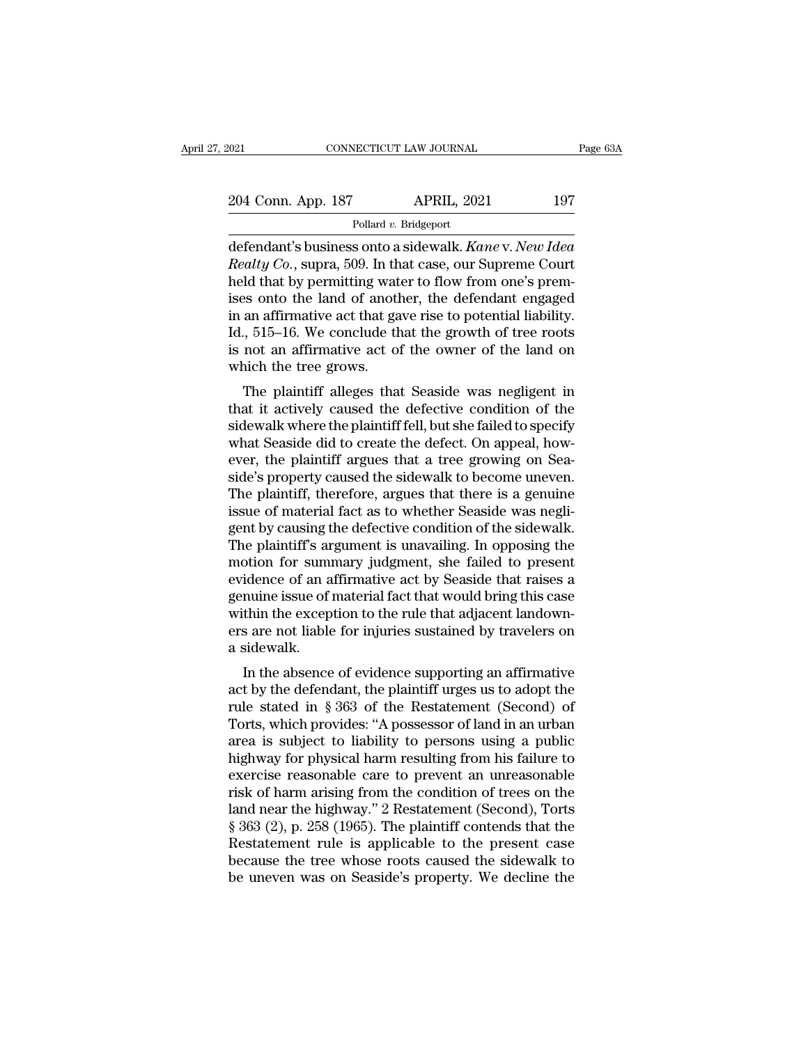2021 CONNECTICUT LAW JOURNAL Page 63A<br>204 Conn. App. 187 APRIL, 2021 197<br>Pollard v. Bridgeport

Pollard *v.* Bridgeport

onton app. 187 MPRIL, 2021 Page 63A<br>
204 Conn. App. 187 APRIL, 2021 197<br>
Pollard v. Bridgeport<br>
defendant's business onto a sidewalk. *Kane* v. *New Idea*<br> *Realty Co.*, supra, 509. In that case, our Supreme Court<br>
hold th *Realty Co.*, supra, 509. In that case, our Supreme Court and that by permitting water to flow from one's premises onto the land of another, the defendant engaged 204 Conn. App. 187 APRIL, 2021 197<br>
Pollard v. Bridgeport<br>
defendant's business onto a sidewalk. Kane v. New Idea<br>
Realty Co., supra, 509. In that case, our Supreme Court<br>
held that by permitting water to flow from one's 204 Conn. App. 187 APRIL, 2021 197<br>
Pollard v. Bridgeport<br>
defendant's business onto a sidewalk. Kane v. New Idea<br>
Realty Co., supra, 509. In that case, our Supreme Court<br>
held that by permitting water to flow from one's Follard v. Bridgeport<br>
defendant's business onto a sidewalk. Kane v. New Idea<br>
Realty Co., supra, 509. In that case, our Supreme Court<br>
held that by permitting water to flow from one's prem-<br>
ises onto the land of another, Pollard v. Bridgeport<br>defendant's business onto a sidewalk. Kane v. New Idea<br>Realty Co., supra, 509. In that case, our Supreme Court<br>held that by permitting water to flow from one's prem-<br>ises onto the land of another, the defendant's business onto a sidewalk. *Kane* v. *New Idea*<br>*Realty Co.*, supra, 509. In that case, our Supreme Court<br>held that by permitting water to flow from one's prem-<br>ises onto the land of another, the defendant engag Realty Co., supra, 509. In th<br>held that by permitting wat<br>ises onto the land of anotl<br>in an affirmative act that ga<br>Id., 515–16. We conclude th<br>is not an affirmative act of<br>which the tree grows.<br>The plaintiff alleges tha In that by permitting water to now front one s premises onto the land of another, the defendant engaged<br>an affirmative act that gave rise to potential liability.<br>., 515–16. We conclude that the growth of tree roots<br>not an that it actively caused that defective conditions and the side was negliged in an affirmative act that the growth of tree roots<br>is not an affirmative act of the owner of the land on<br>which the tree grows.<br>The plaintiff alle

Id., 515–16. We conclude that the growth of tree roots<br>is not an affirmative act of the owner of the land on<br>which the tree grows.<br>The plaintiff alleges that Seaside was negligent in<br>that it actively caused the defective c id., 515–10. We conclude that the growth of the roots<br>is not an affirmative act of the owner of the land on<br>which the tree grows.<br>The plaintiff alleges that Seaside was negligent in<br>that it actively caused the defective co is not an animative act of the owner of the land on<br>which the tree grows.<br>The plaintiff alleges that Seaside was negligent in<br>that it actively caused the defective condition of the<br>sidewalk where the plaintiff fell, but sh The plaintiff alleges that Seaside was negligent in<br>that it actively caused the defective condition of the<br>sidewalk where the plaintiff fell, but she failed to specify<br>what Seaside did to create the defect. On appeal, how-The plaintiff alleges that Seaside was negligent in<br>that it actively caused the defective condition of the<br>sidewalk where the plaintiff fell, but she failed to specify<br>what Seaside did to create the defect. On appeal, howthat it actively caused the defective condition of the sidewalk where the plaintiff fell, but she failed to specify what Seaside did to create the defect. On appeal, however, the plaintiff argues that a tree growing on Sea sidewalk where the plaintiff fell, but she failed to specify<br>what Seaside did to create the defect. On appeal, how-<br>ever, the plaintiff argues that a tree growing on Sea-<br>side's property caused the sidewalk to become uneve what Seaside did to create the defect. On appeal, how-<br>ever, the plaintiff argues that a tree growing on Sea-<br>side's property caused the sidewalk to become uneven.<br>The plaintiff, therefore, argues that there is a genuine<br>i ever, the plaintiff argues that a tree growing on Seaside's property caused the sidewalk to become uneven.<br>The plaintiff, therefore, argues that there is a genuine issue of material fact as to whether Seaside was negligent side's property caused the sidewalk to become uneven.<br>The plaintiff, therefore, argues that there is a genuine<br>issue of material fact as to whether Seaside was negli-<br>gent by causing the defective condition of the sidewalk The plaintiff, therefore, argues that there is a genuine<br>issue of material fact as to whether Seaside was negli-<br>gent by causing the defective condition of the sidewalk.<br>The plaintiff's argument is unavailing. In opposing issue of material fact as to whether Seaside was negligent by causing the defective condition of the sidewalk.<br>The plaintiff's argument is unavailing. In opposing the motion for summary judgment, she failed to present evid gent by causing the defective condition of the sidewalk.<br>The plaintiff's argument is unavailing. In opposing the<br>motion for summary judgment, she failed to present<br>evidence of an affirmative act by Seaside that raises a<br>ge The plaintiff's are<br>motion for summevidence of an a<br>genuine issue of<br>within the excep<br>ers are not liable<br>a sidewalk.<br>In the absence Duon for summary judgment, she raned to present<br>idence of an affirmative act by Seaside that raises a<br>muine issue of material fact that would bring this case<br>thin the exception to the rule that adjacent landown-<br>s are not evidence of an animative act by seaside that raises a<br>genuine issue of material fact that would bring this case<br>within the exception to the rule that adjacent landown-<br>ers are not liable for injuries sustained by travelers

relative in the exception to the rule that adjacent landowners are not liable for injuries sustained by travelers on<br>a sidewalk.<br>In the absence of evidence supporting an affirmative<br>act by the defendant, the plaintiff urge whim the exception to the rule that adjacent fantowners<br>ers are not liable for injuries sustained by travelers on<br>a sidewalk.<br>In the absence of evidence supporting an affirmative<br>act by the defendant, the plaintiff urges u ers are not name for figures sustained by travelers on<br>a sidewalk.<br>In the absence of evidence supporting an affirmative<br>act by the defendant, the plaintiff urges us to adopt the<br>rule stated in § 363 of the Restatement (Sec a suewark.<br>
In the absence of evidence supporting an affirmative<br>
act by the defendant, the plaintiff urges us to adopt the<br>
rule stated in § 363 of the Restatement (Second) of<br>
Torts, which provides: "A possessor of land In the absence of evidence supporting an affirmative<br>act by the defendant, the plaintiff urges us to adopt the<br>rule stated in § 363 of the Restatement (Second) of<br>Torts, which provides: "A possessor of land in an urban<br>ar act by the defendant, the plaintiff urges us to adopt the<br>rule stated in § 363 of the Restatement (Second) of<br>Torts, which provides: "A possessor of land in an urban<br>area is subject to liability to persons using a public<br> rule stated in § 363 of the Restatement (Second) of<br>Torts, which provides: "A possessor of land in an urban<br>area is subject to liability to persons using a public<br>highway for physical harm resulting from his failure to<br>exe Torts, which provides: "A possessor of land in an urban<br>area is subject to liability to persons using a public<br>highway for physical harm resulting from his failure to<br>exercise reasonable care to prevent an unreasonable<br>ris area is subject to liability to persons using a public<br>highway for physical harm resulting from his failure to<br>exercise reasonable care to prevent an unreasonable<br>risk of harm arising from the condition of trees on the<br>lan highway for physical harm resulting from his failure to<br>exercise reasonable care to prevent an unreasonable<br>risk of harm arising from the condition of trees on the<br>land near the highway." 2 Restatement (Second), Torts<br>§ 36 exercise reasonable care to prevent an unreasonable<br>risk of harm arising from the condition of trees on the<br>land near the highway." 2 Restatement (Second), Torts<br>§ 363 (2), p. 258 (1965). The plaintiff contends that the<br>Re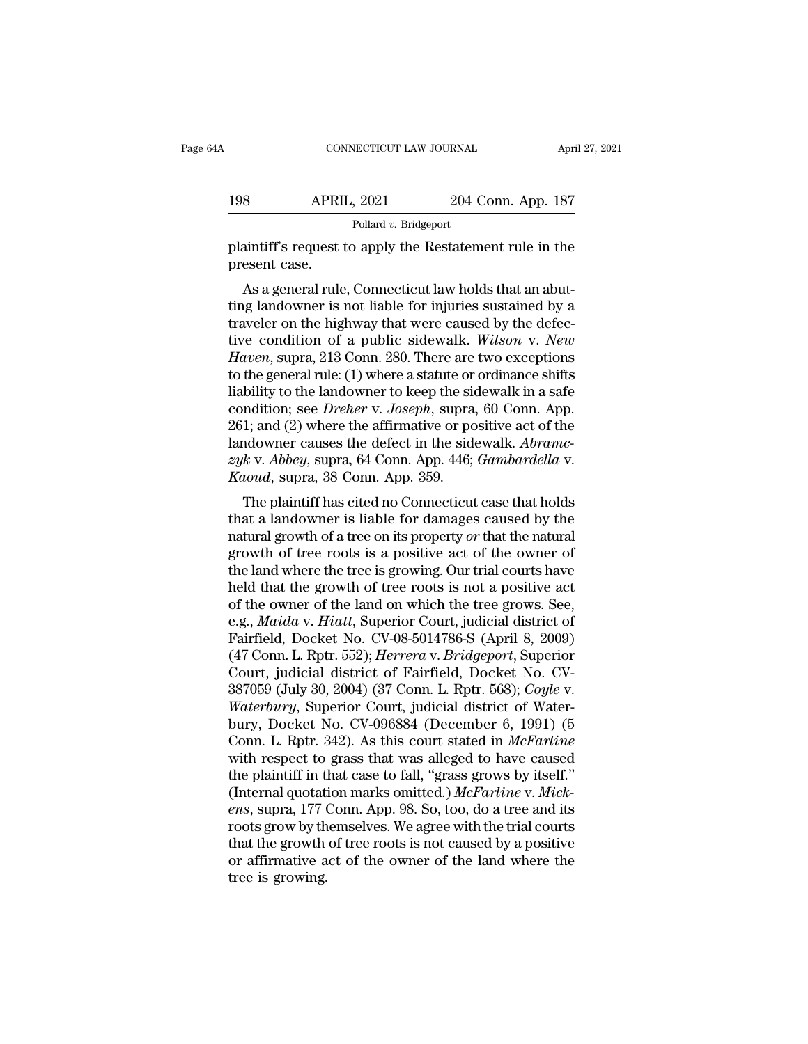| ŀΑ            | CONNECTICUT LAW JOURNAL                                  |                    | April 27, 2021 |
|---------------|----------------------------------------------------------|--------------------|----------------|
| 198           | <b>APRIL, 2021</b>                                       | 204 Conn. App. 187 |                |
|               | Pollard v. Bridgeport                                    |                    |                |
| present case. | plaintiff's request to apply the Restatement rule in the |                    |                |

 $\frac{\text{APRIL, 2021}}{\text{Pollard } v. \text{ Bridgeport}}$ <br>aintiff's request to apply the Restatement rule in the esent case.<br>As a general rule, Connecticut law holds that an abut-<br>ug landowner is not liable for injuries sustained by a<br>weler on t 198 APRIL, 2021 204 Conn. App. 187<br>
Pollard v. Bridgeport<br>
plaintiff's request to apply the Restatement rule in the<br>
present case.<br>
As a general rule, Connecticut law holds that an abut-<br>
ting landowner is not liable for Pollard *v*. Bridgeport<br>plaintiff's request to apply the Restatement rule in the<br>present case.<br>As a general rule, Connecticut law holds that an abut-<br>ting landowner is not liable for injuries sustained by a<br>traveler on th plaintiff's request to apply the Restatement rule in the<br>present case.<br>As a general rule, Connecticut law holds that an abut-<br>ting landowner is not liable for injuries sustained by a<br>traveler on the highway that were cause plantiful strategies to apply the restatement rule in the<br>present case.<br>As a general rule, Connecticut law holds that an abut-<br>ting landowner is not liable for injuries sustained by a<br>traveler on the highway that were caus As a general rule, Connecticut law holds that an abutting landowner is not liable for injuries sustained by a traveler on the highway that were caused by the defective condition of a public sidewalk. Wilson v. New Haven, As a general rule, Connecticut law holds that an abutting landowner is not liable for injuries sustained by a traveler on the highway that were caused by the defective condition of a public sidewalk. *Wilson v. New Haven* ting landowner is not liable for injuries sustained by a<br>traveler on the highway that were caused by the defec-<br>tive condition of a public sidewalk. *Wilson v. New*<br>*Haven*, supra, 213 Conn. 280. There are two exceptions<br>t traveler on the highway that were caused by the defec-<br>tive condition of a public sidewalk. Wilson v. New<br>Haven, supra, 213 Conn. 280. There are two exceptions<br>to the general rule: (1) where a statute or ordinance shifts<br>l tive condition of a public sidewalk. *Wilson v. New Haven*, supra, 213 Conn. 280. There are two exceptions to the general rule: (1) where a statute or ordinance shifts liability to the landowner to keep the sidewalk in a s *Haven*, supra, 213 Conn. 280. There are two exceptions<br>to the general rule: (1) where a statute or ordinance shifts<br>liability to the landowner to keep the sidewalk in a safe<br>condition; see *Dreher* v. *Joseph*, supra, 60 to the general rule: (1) where a statute or<br>liability to the landowner to keep the sic<br>condition; see *Dreher* v. Joseph, supra,<br>261; and (2) where the affirmative or po<br>landowner causes the defect in the side<br> $zyk$  v. Abbe binty to the landowner to keep the sidewark in a safe<br>ndition; see *Dreher v. Joseph*, supra, 60 Conn. App.<br>1; and (2) where the affirmative or positive act of the<br>ndowner causes the defect in the sidewalk. Abramc-<br>k v. A condition, see *Drener* v. Joseph, supra, 60 Coluit. App.<br>261; and (2) where the affirmative or positive act of the<br>landowner causes the defect in the sidewalk. Abramc-<br> $zyk$  v. Abbey, supra, 64 Conn. App. 446; *Gambardell* 

201, and (2) where the animative or positive act of the<br>landowner causes the defect in the sidewalk. Abramc-<br>zyk v. Abbey, supra, 64 Conn. App. 446; *Gambardella v.*<br>Kaoud, supra, 38 Conn. App. 359.<br>The plaintiff has cite randowner causes the defect in the sidewark. Abraham-<br>  $zyk$  v. Abbey, supra, 64 Conn. App. 446; *Gambardella v.*<br> *Kaoud*, supra, 38 Conn. App. 359.<br>
The plaintiff has cited no Connecticut case that holds<br>
that a landowne  $zg_k$  v. Alobey, supra, 04 Collit. App. 440, *Gamodraead* v.<br> *Kaoud*, supra, 38 Conn. App. 359.<br>
The plaintiff has cited no Connecticut case that holds<br>
that a landowner is liable for damages caused by the<br>
natural growt The plaintiff has cited no Connecticut case that holds<br>that a landowner is liable for damages caused by the<br>natural growth of a tree on its property or that the natural<br>growth of tree roots is a positive act of the owner The plaintiff has cited no Connecticut case that holds<br>that a landowner is liable for damages caused by the<br>natural growth of a tree on its property *or* that the natural<br>growth of tree roots is a positive act of the owne that a landowner is liable for damages caused by the<br>natural growth of a tree on its property *or* that the natural<br>growth of tree roots is a positive act of the owner of<br>the land where the tree is growing. Our trial court natural growth of a tree on its property *or* that the natural<br>growth of tree roots is a positive act of the owner of<br>the land where the tree is growing. Our trial courts have<br>held that the growth of tree roots is not a po growth of tree roots is a positive act of the owner of<br>the land where the tree is growing. Our trial courts have<br>held that the growth of tree roots is not a positive act<br>of the owner of the land on which the tree grows. Se the land where the tree is growing. Our trial courts have<br>held that the growth of tree roots is not a positive act<br>of the owner of the land on which the tree grows. See,<br>e.g., *Maida* v. *Hiatt*, Superior Court, judicial d held that the growth of tree roots is not a positive act<br>of the owner of the land on which the tree grows. See,<br>e.g., *Maida* v. *Hiatt*, Superior Court, judicial district of<br>Fairfield, Docket No. CV-08-5014786-S (April 8, of the owner of the land on which the tree grows. See, e.g., *Maida v. Hiatt*, Superior Court, judicial district of Fairfield, Docket No. CV-08-5014786-S (April 8, 2009) (47 Conn. L. Rptr. 552); *Herrera v. Bridgeport*, Su e.g., *Maida* v. *Hiatt*, Superior Court, judicial district of Fairfield, Docket No. CV-08-5014786-S (April 8, 2009)<br>(47 Conn. L. Rptr. 552); *Herrera v. Bridgeport*, Superior Court, judicial district of Fairfield, Docket Fairfield, Docket No. CV-08-5014786-S (April 8, 2009)<br>(47 Conn. L. Rptr. 552); *Herrera v. Bridgeport*, Superior<br>Court, judicial district of Fairfield, Docket No. CV-<br>387059 (July 30, 2004) (37 Conn. L. Rptr. 568); *Coyle* (47 Conn. L. Rptr. 552); *Herrera* v. *Bridgeport*, Superior Court, judicial district of Fairfield, Docket No. CV-387059 (July 30, 2004) (37 Conn. L. Rptr. 568); *Coyle* v. *Waterbury*, Superior Court, judicial district o Court, judicial district of Fairfield, Docket No. CV-387059 (July 30, 2004) (37 Conn. L. Rptr. 568); Coyle v.<br>Waterbury, Superior Court, judicial district of Waterbury, Docket No. CV-096884 (December 6, 1991) (5<br>Conn. L. 387059 (July 30, 2004) (37 Conn. L. Rptr. 568); *Coyle v.*<br>Waterbury, Superior Court, judicial district of Waterbury, Docket No. CV-096884 (December 6, 1991) (5<br>Conn. L. Rptr. 342). As this court stated in *McFarline*<br>with *Waterbury*, Superior Court, judicial district of Waterbury, Docket No. CV-096884 (December 6, 1991) (5 Conn. L. Rptr. 342). As this court stated in *McFarline* with respect to grass that was alleged to have caused the pla bury, Docket No. CV-096884 (December 6, 1991) (5<br>Conn. L. Rptr. 342). As this court stated in *McFarline*<br>with respect to grass that was alleged to have caused<br>the plaintiff in that case to fall, "grass grows by itself."<br>( Conn. L. Rptr. 342). As this court stated in *McFarline*<br>with respect to grass that was alleged to have caused<br>the plaintiff in that case to fall, "grass grows by itself."<br>(Internal quotation marks omitted.) *McFarline* v. with respect to grass that was alleged to have caused<br>the plaintiff in that case to fall, "grass grows by itself."<br>(Internal quotation marks omitted.) *McFarline* v. *Mick-*<br>ens, supra, 177 Conn. App. 98. So, too, do a tre the plaintiff in t<br>(Internal quotat<br>*ens*, supra, 177 (<br>roots grow by th<br>that the growth<br>or affirmative a<br>tree is growing.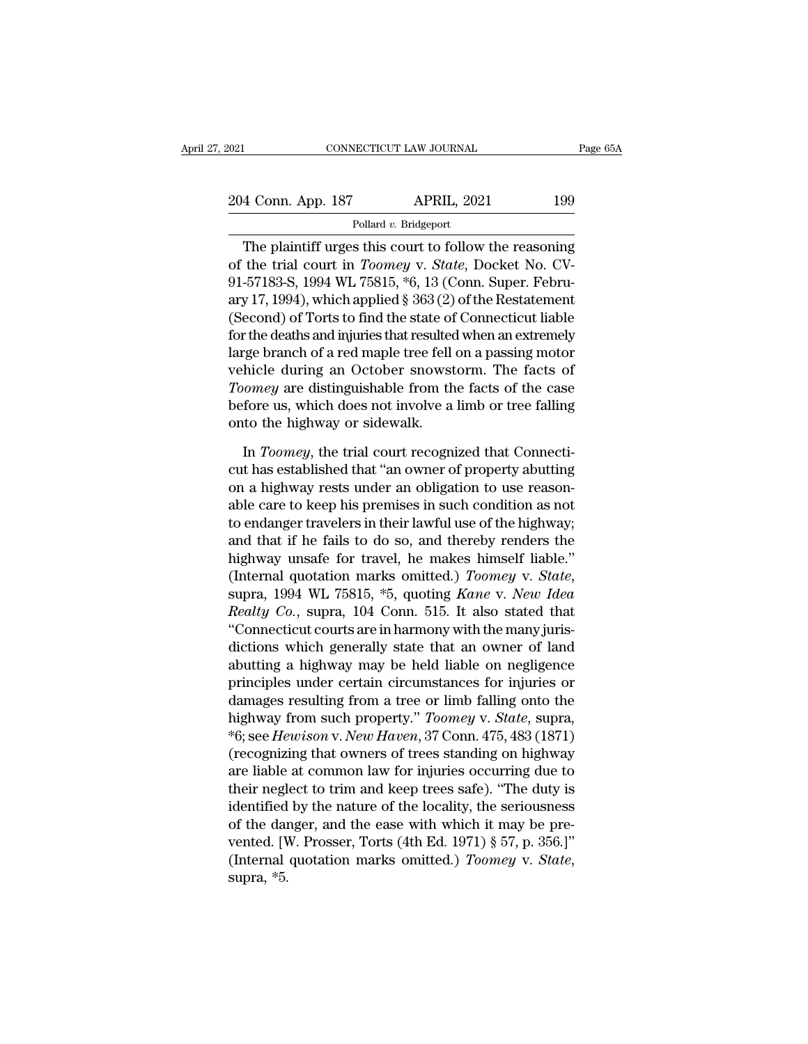| 2021               | CONNECTICUT LAW JOURNAL | Page 65A |
|--------------------|-------------------------|----------|
| 204 Conn. App. 187 | <b>APRIL, 2021</b>      | 199      |
|                    | Pollard v. Bridgeport   |          |

CONNECTICUT LAW JOURNAL Page 65A<br>
4 Conn. App. 187 APRIL, 2021 199<br>
Pollard v. Bridgeport<br>
The plaintiff urges this court to follow the reasoning<br>
the trial court in *Toomey* v. *State*, Docket No. CV-204 Conn. App. 187 APRIL, 2021 199<br>
Pollard v. Bridgeport<br>
The plaintiff urges this court to follow the reasoning<br>
of the trial court in *Toomey* v. *State*, Docket No. CV-<br>
91-57183-S, 1994 WL 75815, \*6, 13 (Conn. Super. 204 Conn. App. 187 APRIL, 2021 199<br>
Pollard v. Bridgeport<br>
The plaintiff urges this court to follow the reasoning<br>
of the trial court in *Toomey* v. *State*, Docket No. CV-<br>
91-57183-S, 1994 WL 75815, \*6, 13 (Conn. Super. 204 Conn. App. 187 APRIL, 2021 199<br>
Pollard v. Bridgeport<br>
The plaintiff urges this court to follow the reasoning<br>
of the trial court in *Toomey* v. *State*, Docket No. CV-<br>
91-57183-S, 1994 WL 75815, \*6, 13 (Conn. Super. Pollard v. Bridgeport<br>
The plaintiff urges this court to follow the reasoning<br>
of the trial court in *Toomey* v. *State*, Docket No. CV-<br>
91-57183-S, 1994 WL 75815, \*6, 13 (Conn. Super. Febru-<br>
ary 17, 1994), which applie Fouard *v*. Budgepon<br>
The plaintiff urges this court to follow the reasoning<br>
of the trial court in *Toomey* v. *State*, Docket No. CV-<br>
91-57183-S, 1994 WL 75815, \*6, 13 (Conn. Super. Febru-<br>
ary 17, 1994), which applied The plaintiff urges this court to follow the reasoning<br>of the trial court in *Toomey* v. *State*, Docket No. CV-<br>91-57183-S, 1994 WL 75815, \*6, 13 (Conn. Super. Febru-<br>ary 17, 1994), which applied § 363 (2) of the Restatem of the trial court in *Toomey* v. *State*, Docket No. CV-<br>91-57183-S, 1994 WL 75815, \*6, 13 (Conn. Super. Febru-<br>ary 17, 1994), which applied § 363 (2) of the Restatement<br>(Second) of Torts to find the state of Connecticut 91-57183-S, 1994 WL 75815, \*6, 13 (Conn. Super. February 17, 1994), which applied § 363 (2) of the Restatement<br>(Second) of Torts to find the state of Connecticut liable<br>for the deaths and injuries that resulted when an ext ary 17, 1994), which applied § 363 (2) of the Restatement<br>(Second) of Torts to find the state of Connecticut liable<br>for the deaths and injuries that resulted when an extremely<br>large branch of a red maple tree fell on a pas (Second) of Torts to find the state of<br>for the deaths and injuries that resulted<br>large branch of a red maple tree fell<br>vehicle during an October snowst<br>*Toomey* are distinguishable from th<br>before us, which does not involve reference branch of a red maple tree fell on a passing motor<br>hicle during an October snowstorm. The facts of<br>*tomey* are distinguishable from the facts of the case<br>fore us, which does not involve a limb or tree falling<br>to vehicle during an October snowstorm. The facts of<br> *Toomey* are distinguishable from the facts of the case<br>
before us, which does not involve a limb or tree falling<br>
onto the highway or sidewalk.<br>
In *Toomey*, the trial co

Toomey are distinguishable from the facts of the case<br>before us, which does not involve a limb or tree falling<br>onto the highway or sidewalk.<br>In Toomey, the trial court recognized that Connecti-<br>cut has established that "an before us, which does not involve a limb or tree falling<br>onto the highway or sidewalk.<br>In *Toomey*, the trial court recognized that Connecti-<br>cut has established that "an owner of property abutting<br>on a highway rests under onto the highway or sidewalk.<br>In *Toomey*, the trial court recognized that Connecticut has established that "an owner of property abutting<br>on a highway rests under an obligation to use reason-<br>able care to keep his premise In *Toomey*, the trial court recognized that Connecticut has established that "an owner of property abutting<br>on a highway rests under an obligation to use reason-<br>able care to keep his premises in such condition as not<br>to In *Toomey*, the trial court recognized that Connecticut has established that "an owner of property abutting<br>on a highway rests under an obligation to use reason-<br>able care to keep his premises in such condition as not<br>to cut has established that "an owner of property abutting<br>on a highway rests under an obligation to use reason-<br>able care to keep his premises in such condition as not<br>to endanger travelers in their lawful use of the highway able care to keep his premises in such condition as not<br>to endanger travelers in their lawful use of the highway;<br>and that if he fails to do so, and thereby renders the<br>highway unsafe for travel, he makes himself liable."<br> to endanger travelers in their lawful use of the highway;<br>and that if he fails to do so, and thereby renders the<br>highway unsafe for travel, he makes himself liable."<br>(Internal quotation marks omitted.) *Toomey v. State*,<br>s and that if he fails to do so, and thereby renders the<br>highway unsafe for travel, he makes himself liable."<br>(Internal quotation marks omitted.) *Toomey v. State*,<br>supra, 1994 WL 75815, \*5, quoting *Kane v. New Idea<br>Realty* highway unsafe for travel, he makes himself liable."<br>(Internal quotation marks omitted.) *Toomey v. State*,<br>supra, 1994 WL 75815, \*5, quoting *Kane v. New Idea*<br>*Realty Co.*, supra, 104 Conn. 515. It also stated that<br>"Conn (Internal quotation marks omitted.) Toomey v. State,<br>supra, 1994 WL 75815, \*5, quoting Kane v. New Idea<br>Realty Co., supra, 104 Conn. 515. It also stated that<br>"Connecticut courts are in harmony with the many juris-<br>diction supra, 1994 WL 75815, \*5, quoting *Kane v. New Idea*<br>*Realty Co.*, supra, 104 Conn. 515. It also stated that<br>"Connecticut courts are in harmony with the many juris-<br>dictions which generally state that an owner of land<br>abu *Realty Co.*, supra, 104 Conn. 515. It also stated that<br>
"Connecticut courts are in harmony with the many juris-<br>
dictions which generally state that an owner of land<br>
abutting a highway may be held liable on negligence<br>
p "Connecticut courts are in harmony with the many juris-<br>dictions which generally state that an owner of land<br>abutting a highway may be held liable on negligence<br>principles under certain circumstances for injuries or<br>damage dictions which generally state that an owner of land<br>abutting a highway may be held liable on negligence<br>principles under certain circumstances for injuries or<br>damages resulting from a tree or limb falling onto the<br>highway abutting a highway may be held liable on negligence<br>principles under certain circumstances for injuries or<br>damages resulting from a tree or limb falling onto the<br>highway from such property." *Toomey v. State*, supra,<br>\*6; s principles under certain circumstances for injuries or<br>damages resulting from a tree or limb falling onto the<br>highway from such property." *Toomey* v. *State*, supra,<br>\*6; see *Hewison* v. *New Haven*, 37 Conn. 475, 483 (18 damages resulting from a tree or limb falling onto the<br>highway from such property." *Toomey* v. *State*, supra,<br>\*6; see *Hewison* v. *New Haven*, 37 Conn. 475, 483 (1871)<br>(recognizing that owners of trees standing on high highway from such property." Toomey v. State, supra,  $*6$ ; see Hewison v. New Haven, 37 Conn. 475, 483 (1871) (recognizing that owners of trees standing on highway are liable at common law for injuries occurring due to th <sup>\*6</sup>6; see *Hewison* v. *New Haven*, 37 Conn. 475, 483 (1871)<br>(recognizing that owners of trees standing on highway<br>are liable at common law for injuries occurring due to<br>their neglect to trim and keep trees safe). "The d (recognizing that owners of trees standing on highway<br>are liable at common law for injuries occurring due to<br>their neglect to trim and keep trees safe). "The duty is<br>identified by the nature of the locality, the seriousnes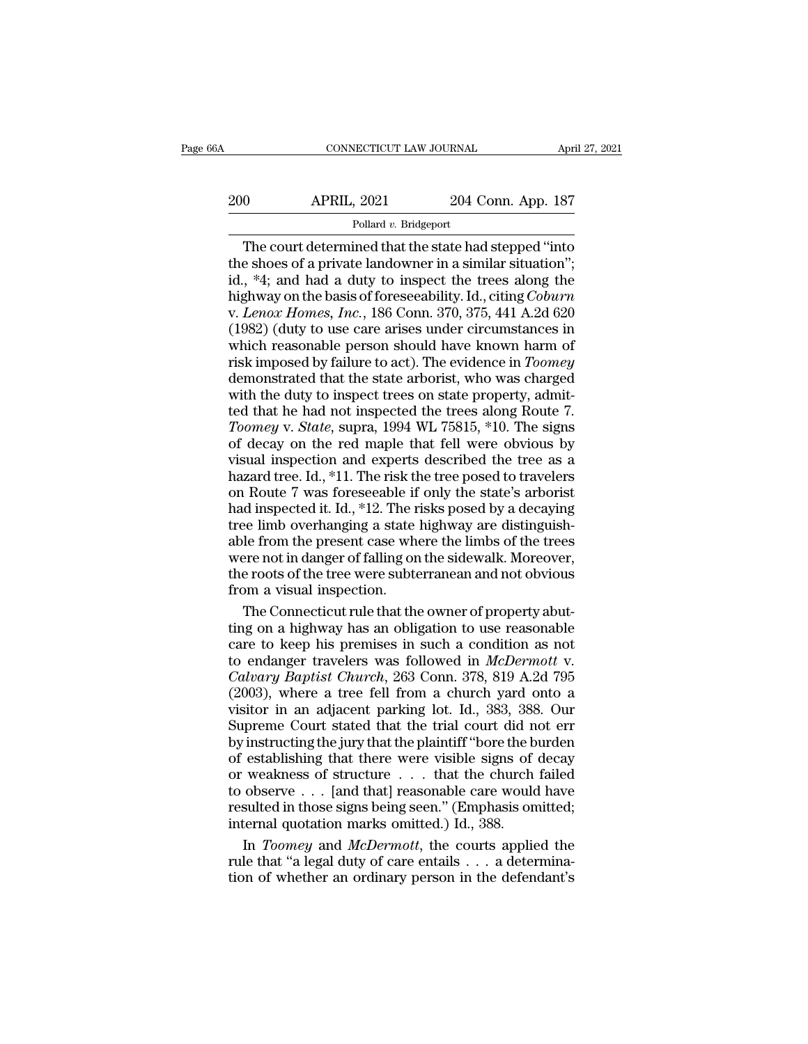# CONNECTICUT LAW JOURNAL April 27, 2021<br>200 APRIL, 2021 204 Conn. App. 187<br>Pollard v. Bridgeport

### Pollard *v.* Bridgeport

CONNECTICUT LAW JOURNAL April 27, 2021<br>
0 APRIL, 2021 204 Conn. App. 187<br>
Pollard v. Bridgeport<br>
The court determined that the state had stepped "into<br>
e shoes of a private landowner in a similar situation";<br>
\*4: and had a 200 APRIL, 2021 204 Conn. App. 187<br>
Pollard v. Bridgeport<br>
The court determined that the state had stepped "into<br>
the shoes of a private landowner in a similar situation";<br>
id., \*4; and had a duty to inspect the trees alo 200 APRIL, 2021 204 Conn. App. 187<br>
Pollard v. Bridgeport<br>
The court determined that the state had stepped "into<br>
the shoes of a private landowner in a similar situation";<br>
id., \*4; and had a duty to inspect the trees alo APRIL, 2021 204 Conn. App. 187<br>
Pollard v. Bridgeport<br>
The court determined that the state had stepped "into<br>
the shoes of a private landowner in a similar situation";<br>
id., \*4; and had a duty to inspect the trees along th Follard v. Bridgeport<br>
Pollard v. Bridgeport<br>
The court determined that the state had stepped "into<br>
the shoes of a private landowner in a similar situation";<br>
id., \*4; and had a duty to inspect the trees along the<br>
highwa Pollard v. Bridgeport<br>
The court determined that the state had stepped "into<br>
the shoes of a private landowner in a similar situation";<br>
id., \*4; and had a duty to inspect the trees along the<br>
highway on the basis of fore The court determined that the state had stepped "into<br>the shoes of a private landowner in a similar situation";<br>id., \*4; and had a duty to inspect the trees along the<br>highway on the basis of foreseeability. Id., citing *Co* the shoes of a private landowner in a similar situation";<br>id., \*4; and had a duty to inspect the trees along the<br>highway on the basis of foreseeability. Id., citing *Coburn*<br>v. *Lenox Homes*, *Inc.*, 186 Conn. 370, 375, 44 id., \*4; and had a duty to inspect the trees along the<br>highway on the basis of foreseeability. Id., citing *Coburn*<br>v. *Lenox Homes, Inc.*, 186 Conn. 370, 375, 441 A.2d 620<br>(1982) (duty to use care arises under circumstan highway on the basis of foreseeability. Id., citing *Coburn* v. *Lenox Homes, Inc.*, 186 Conn. 370, 375, 441 A.2d 620 (1982) (duty to use care arises under circumstances in which reasonable person should have known harm of v. *Lenox Homes, Inc.*, 186 Conn. 370, 375, 441 A.2d 620 (1982) (duty to use care arises under circumstances in which reasonable person should have known harm of risk imposed by failure to act). The evidence in *Toomey* de (1982) (duty to use care arises under circumstances in<br>which reasonable person should have known harm of<br>risk imposed by failure to act). The evidence in *Toomey*<br>demonstrated that the state arborist, who was charged<br>with which reasonable person should have known harm of<br>risk imposed by failure to act). The evidence in *Toomey*<br>demonstrated that the state arborist, who was charged<br>with the duty to inspect trees on state property, admit-<br>te risk imposed by failure to act). The evidence in *Toomey*<br>demonstrated that the state arborist, who was charged<br>with the duty to inspect trees on state property, admit-<br>ted that he had not inspected the trees along Route demonstrated that the state arborist, who was charged<br>with the duty to inspect trees on state property, admit-<br>ted that he had not inspected the trees along Route 7.<br>Toomey v. State, supra, 1994 WL 75815, \*10. The signs<br>o with the duty to inspect trees on state property, admitted that he had not inspected the trees along Route 7.<br> *Toomey* v. *State*, supra, 1994 WL 75815, \*10. The signs of decay on the red maple that fell were obvious by *Had inspected it is and inspected the trees along Route 7.*<br> *Toomey v. State, supra, 1994 WL 75815,* \*10. The signs of decay on the red maple that fell were obvious by visual inspection and experts described the tree as Toomey v. State, supra, 1994 WL 75815, \*10. The signs<br>of decay on the red maple that fell were obvious by<br>visual inspection and experts described the tree as a<br>hazard tree. Id., \*11. The risk the tree posed to travelers<br>o Form of decay on the red maple that fell were obvious by<br>visual inspection and experts described the tree as a<br>hazard tree. Id., \*11. The risk the tree posed to travelers<br>on Route 7 was foreseeable if only the state's arbo visual inspection and experts described the tree as a hazard tree. Id., \*11. The risk the tree posed to travelers on Route 7 was foreseeable if only the state's arborist had inspected it. Id., \*12. The risks posed by a de the range of the risk that the resolution Route 7 was foreseeable if only the state's arborist<br>had inspected it. Id., \*12. The risks posed by a decaying<br>tree limb overhanging a state highway are distinguish-<br>able from the From a visual interests on Route 7 was foreseeable if<br>thad inspected it. Id., \*12. The r<br>tree limb overhanging a state<br>able from the present case where not in danger of falling on<br>the roots of the tree were subte<br>from a vi d inspected it. Id., \*12. The risks posed by a decaying<br>ee limb overhanging a state highway are distinguish-<br>le from the present case where the limbs of the trees<br>ere not in danger of falling on the sidewalk. Moreover,<br>e r tree limb overhanging a state highway are distinguishable from the present case where the limbs of the trees<br>were not in danger of falling on the sidewalk. Moreover,<br>the roots of the tree were subterranean and not obvious<br>

able from the present case where the limbs of the trees<br>were not in danger of falling on the sidewalk. Moreover,<br>the roots of the tree were subterranean and not obvious<br>from a visual inspection.<br>The Connecticut rule that were not in danger of falling on the sidewalk. Moreover,<br>the roots of the tree were subterranean and not obvious<br>from a visual inspection.<br>The Connecticut rule that the owner of property abut-<br>ting on a highway has an obli the roots of the tree were subterranean and not obvious<br>from a visual inspection.<br>*Calvary and the connection* of property abut-<br>ting on a highway has an obligation to use reasonable<br>care to keep his premises in such a con from a visual inspection.<br>
The Connecticut rule that the owner of property abut-<br>
ting on a highway has an obligation to use reasonable<br>
care to keep his premises in such a condition as not<br>
to endanger travelers was foll The Connecticut rule that the owner of property abutting on a highway has an obligation to use reasonable<br>care to keep his premises in such a condition as not<br>to endanger travelers was followed in *McDermott v.*<br>*Calvary B* The contentrate that the trial copperty as at<br>ting on a highway has an obligation to use reasonable<br>care to keep his premises in such a condition as not<br>to endanger travelers was followed in *McDermott* v.<br>*Calvary Baptist* by the interest of the plaintiff ''bore the burden of establishing that there were visible signs of the plantific the plantific the plantific in an adjacent parking lot. Id., 383, 388. Our Supreme Court stated that the tri to endanger travelers was followed in *McDermott* v.<br>Calvary Baptist Church, 263 Conn. 378, 819 A.2d 795<br>(2003), where a tree fell from a church yard onto a<br>visitor in an adjacent parking lot. Id., 383, 388. Our<br>Supreme C Calvary Baptist Church, 263 Conn. 378, 819 A.2d 795 (2003), where a tree fell from a church yard onto a visitor in an adjacent parking lot. Id., 383, 388. Our Supreme Court stated that the trial court did not err by instr (2003), where a tree fell from a church yard onto a<br>visitor in an adjacent parking lot. Id., 383, 388. Our<br>Supreme Court stated that the trial court did not err<br>by instructing the jury that the plaintiff "bore the burden<br> visitor in an adjacent parking lot. Id., 383, 388. Our<br>Supreme Court stated that the trial court did not err<br>by instructing the jury that the plaintiff "bore the burden<br>of establishing that there were visible signs of dec Supreme Court stated that the trial court did n<br>by instructing the jury that the plaintiff "bore the b<br>of establishing that there were visible signs of<br>or weakness of structure  $\ldots$  that the church<br>to observe  $\ldots$  [and instructing the jury that the plaintiff "bore the burden<br>establishing that there were visible signs of decay<br>weakness of structure  $\ldots$  that the church failed<br>observe  $\ldots$  [and that] reasonable care would have<br>sulted in % of establishing that there were visible signs of decay<br>or weakness of structure . . . that the church failed<br>to observe . . . [and that] reasonable care would have<br>resulted in those signs being seen." (Emphasis omitted; % or weakness of structure  $\dots$  that the church failed to observe  $\dots$  [and that] reasonable care would have resulted in those signs being seen." (Emphasis omitted; internal quotation marks omitted.) Id., 388. In *Toomey*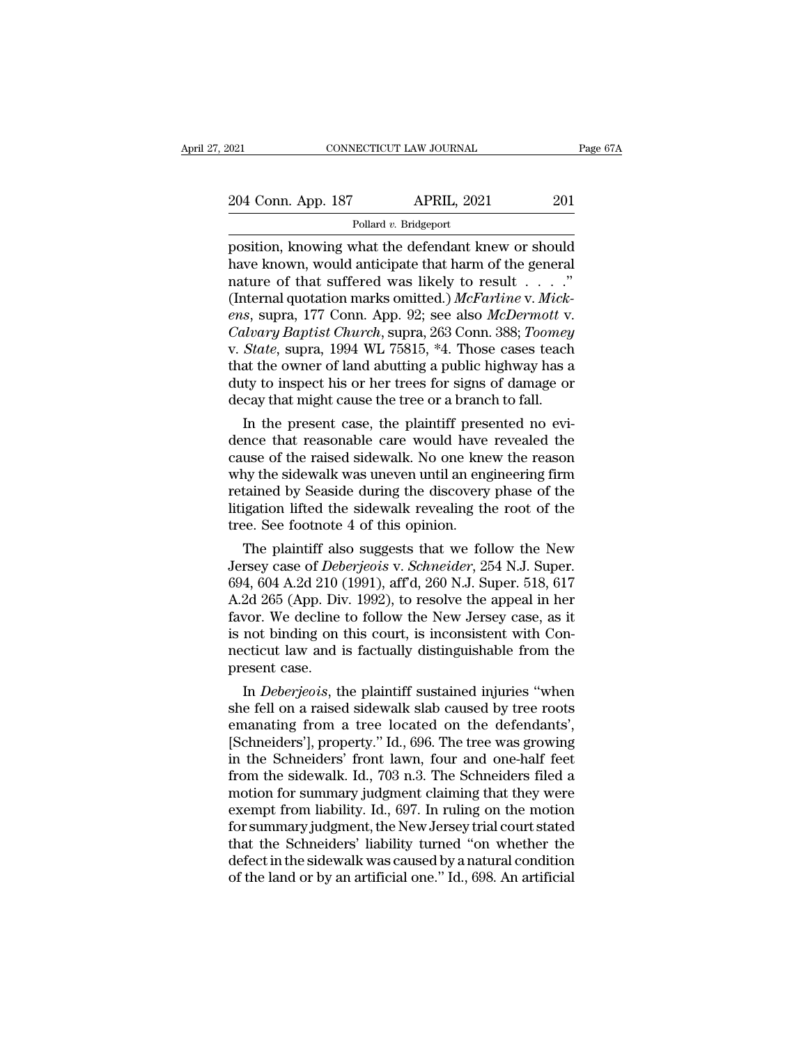Pollard *v.* Bridgeport

Fage 67A<br>
204 Conn. App. 187 APRIL, 2021 201<br>
Pollard v. Bridgeport<br>
position, knowing what the defendant knew or should<br>
have known, would anticipate that harm of the general<br>
position, would anticipate that harm of the g 204 Conn. App. 187 APRIL, 2021 201<br>Pollard v. Bridgeport<br>position, knowing what the defendant knew or should<br>have known, would anticipate that harm of the general<br>nature of that suffered was likely to result . . . ."<br>(Int 204 Conn. App. 187 APRIL, 2021 201<br>
Pollard v. Bridgeport<br>
position, knowing what the defendant knew or should<br>
have known, would anticipate that harm of the general<br>
nature of that suffered was likely to result . . . . . (14 Conn. App. 187 APRIL, 2021 201<br>
Pollard v. Bridgeport<br>
position, knowing what the defendant knew or should<br>
have known, would anticipate that harm of the general<br>
nature of that suffered was likely to result . . . . ." Pollard v. Bridgeport<br>
position, knowing what the defendant knew or should<br>
have known, would anticipate that harm of the general<br>
nature of that suffered was likely to result . . . . ."<br>
(Internal quotation marks omitted. Pollard v. Bridgeport<br>position, knowing what the defendant knew or should<br>have known, would anticipate that harm of the general<br>nature of that suffered was likely to result . . . . ."<br>(Internal quotation marks omitted.) *M* position, knowing what the defendant knew or should<br>have known, would anticipate that harm of the general<br>nature of that suffered was likely to result . . . . ."<br>(Internal quotation marks omitted.) McFarline v. Mick-<br>ens, have known, would anticipate that harm of the general<br>nature of that suffered was likely to result  $\ldots$ ."<br>(Internal quotation marks omitted.) McFarline v. Mick-<br>ens, supra, 177 Conn. App. 92; see also McDermott v.<br>Calvar nature of that suffered was likely to result . . . . ."<br>(Internal quotation marks omitted.) McFarline v. Mick-<br>ens, supra, 177 Conn. App. 92; see also McDermott v.<br>Calvary Baptist Church, supra, 263 Conn. 388; Toomey<br>v. S (Internal quotation marks omitted.) *McFarline* v. *Mickens*, supra, 177 Conn. App. 92; see also *McDermott* v. *Calvary Baptist Church*, supra, 263 Conn. 388; *Toomey* v. *State*, supra, 1994 WL 75815, \*4. Those cases te s, supra,  $177$  Conn. App. 92; see also *McDermott v.*<br>*Ilvary Baptist Church*, supra, 263 Conn. 388; *Toomey*<br>*State*, supra, 1994 WL 75815, \*4. Those cases teach<br>at the owner of land abutting a public highway has a<br>tty Cavary Baptist Church, supra, 203 Conn. 388; Toomey<br>v. State, supra, 1994 WL 75815, \*4. Those cases teach<br>that the owner of land abutting a public highway has a<br>duty to inspect his or her trees for signs of damage or<br>decay

v. *State*, supra, 1994 WL (5815, "4. Those cases teach<br>that the owner of land abutting a public highway has a<br>duty to inspect his or her trees for signs of damage or<br>decay that might cause the tree or a branch to fall.<br>In that the owner of land abutting a public highway has a<br>duty to inspect his or her trees for signs of damage or<br>decay that might cause the tree or a branch to fall.<br>In the present case, the plaintiff presented no evi-<br>dence duty to inspect his or her trees for signs of damage or<br>decay that might cause the tree or a branch to fall.<br>In the present case, the plaintiff presented no evi-<br>dence that reasonable care would have revealed the<br>cause of decay that might cause the tree or a branch to fail.<br>In the present case, the plaintiff presented no evi-<br>dence that reasonable care would have revealed the<br>cause of the raised sidewalk. No one knew the reason<br>why the side In the present case, the plaintiff preselence that reasonable care would have cause of the raised sidewalk. No one kneed why the sidewalk was uneven until an engertained by Seaside during the discovery litigation lifted th ince that reasonable care would have revealed the<br>use of the raised sidewalk. No one knew the reason<br>ty the sidewalk was uneven until an engineering firm<br>tained by Seaside during the discovery phase of the<br>igation lifted t cause of the raised sidewalk. No one knew the reason<br>why the sidewalk was uneven until an engineering firm<br>retained by Seaside during the discovery phase of the<br>litigation lifted the sidewalk revealing the root of the<br>tree

why the slaewalk was uneven until an engineering firm<br>retained by Seaside during the discovery phase of the<br>litigation lifted the sidewalk revealing the root of the<br>tree. See footnote 4 of this opinion.<br>The plaintiff also retained by Seaside during the discovery phase of the<br>litigation lifted the sidewalk revealing the root of the<br>tree. See footnote 4 of this opinion.<br>The plaintiff also suggests that we follow the New<br>Jersey case of *Deberj* flugation lifted the sidewalk revealing the root of the<br>tree. See footnote 4 of this opinion.<br>The plaintiff also suggests that we follow the New<br>Jersey case of *Deberjeois v. Schneider*, 254 N.J. Super.<br>694, 604 A.2d 210 ( tree. See rootnote 4 or this opinion.<br>
The plaintiff also suggests that we follow the New<br>
Jersey case of *Deberjeois v. Schneider*, 254 N.J. Super.<br>
694, 604 A.2d 210 (1991), aff'd, 260 N.J. Super. 518, 617<br>
A.2d 265 (App The plaintiff also suggests that we follow the New<br>Jersey case of *Deberjeois* v. *Schneider*, 254 N.J. Super.<br>694, 604 A.2d 210 (1991), aff'd, 260 N.J. Super. 518, 617<br>A.2d 265 (App. Div. 1992), to resolve the appeal in h Jersey case of *Deb*<br>694, 604 A.2d 210 (<br>A.2d 265 (App. Div<br>favor. We decline<br>is not binding on<br>necticut law and i<br>present case.<br>In *Deberjeois*, th 4, 604 A.2d 210 (1991), and, 260 N.J. Super. 518, 617<br>2d 265 (App. Div. 1992), to resolve the appeal in her<br>vor. We decline to follow the New Jersey case, as it<br>not binding on this court, is inconsistent with Con-<br>cticut l A.2d 200 (App. Div. 1992), to resolve the appeal in her<br>favor. We decline to follow the New Jersey case, as it<br>is not binding on this court, is inconsistent with Con-<br>necticut law and is factually distinguishable from the<br>

ravor. we decline to follow the New Jersey case, as it<br>is not binding on this court, is inconsistent with Con-<br>necticut law and is factually distinguishable from the<br>present case.<br>In *Deberjeois*, the plaintiff sustained i Is not binding on this court, is inconsistent with Con-<br>necticut law and is factually distinguishable from the<br>present case.<br>In *Deberjeois*, the plaintiff sustained injuries "when<br>she fell on a raised sidewalk slab cause mecticut law and is factually distinguishable from the<br>present case.<br>In *Deberjeois*, the plaintiff sustained injuries "when<br>she fell on a raised sidewalk slab caused by tree roots<br>emanating from a tree located on the defe present case.<br>
In *Deberjeois*, the plaintiff sustained injuries "when<br>
she fell on a raised sidewalk slab caused by tree roots<br>
emanating from a tree located on the defendants',<br>
[Schneiders'], property." Id., 696. The tr In *Deberjeois*, the plaintiff sustained injuries "when<br>she fell on a raised sidewalk slab caused by tree roots<br>emanating from a tree located on the defendants',<br>[Schneiders'], property." Id., 696. The tree was growing<br>in she fell on a raised sidewalk slab caused by tree roots<br>emanating from a tree located on the defendants',<br>[Schneiders'], property.'' Id., 696. The tree was growing<br>in the Schneiders' front lawn, four and one-half feet<br>from emanating from a tree located on the defendants',<br>[Schneiders'], property." Id., 696. The tree was growing<br>in the Schneiders' front lawn, four and one-half feet<br>from the sidewalk. Id., 703 n.3. The Schneiders filed a<br>motio [Schneiders'], property." Id., 696. The tree was growing<br>in the Schneiders' front lawn, four and one-half feet<br>from the sidewalk. Id., 703 n.3. The Schneiders filed a<br>motion for summary judgment claiming that they were<br>exe in the Schneiders' front lawn, four and one-half feet<br>from the sidewalk. Id., 703 n.3. The Schneiders filed a<br>motion for summary judgment claiming that they were<br>exempt from liability. Id., 697. In ruling on the motion<br>for from the sidewalk. Id., 703 n.3. The Schneiders filed a<br>motion for summary judgment claiming that they were<br>exempt from liability. Id., 697. In ruling on the motion<br>for summary judgment, the New Jersey trial court stated<br>t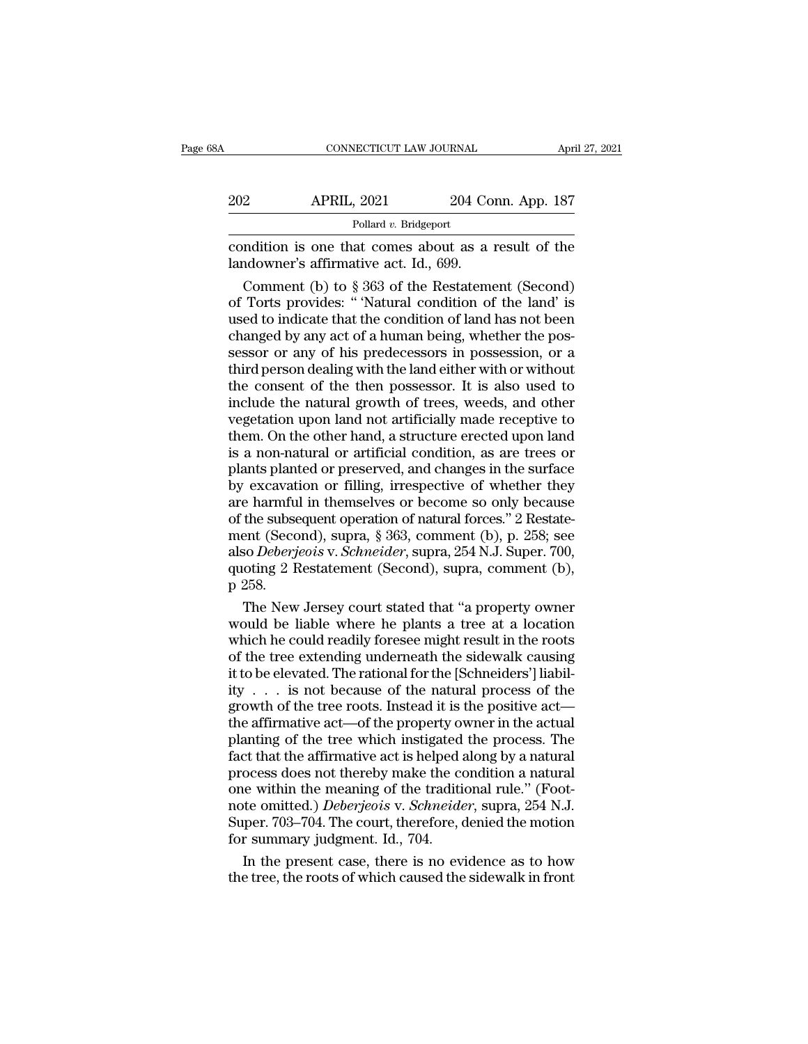| 8Α  | CONNECTICUT LAW JOURNAL                                                                        |                    | April 27, 2021 |
|-----|------------------------------------------------------------------------------------------------|--------------------|----------------|
|     |                                                                                                |                    |                |
| 202 | <b>APRIL, 2021</b>                                                                             | 204 Conn. App. 187 |                |
|     | Pollard v. Bridgeport                                                                          |                    |                |
|     | condition is one that comes about as a result of the<br>landowner's affirmative act. Id., 699. |                    |                |
|     | Comment (b) to $\S 363$ of the Restatement (Second)                                            |                    |                |

**Example 1888**<br>
Pollard v. Bridgeport<br>
Pollard v. Bridgeport<br>
multion is one that comes about as a result of the<br>
ndowner's affirmative act. Id., 699.<br>
Comment (b) to § 363 of the Restatement (Second)<br>
Torts provides: "Na 202 APRIL, 2021 204 Conn. App. 187<br>
Pollard v. Bridgeport<br>
condition is one that comes about as a result of the<br>
landowner's affirmative act. Id., 699.<br>
Comment (b) to § 363 of the Restatement (Second)<br>
of Torts provides: Pollard v. Bridgeport<br>
condition is one that comes about as a result of the<br>
landowner's affirmative act. Id., 699.<br>
Comment (b) to § 363 of the Restatement (Second)<br>
of Torts provides: "Natural condition of the land' is<br> condition is one that comes about as a result of the<br>landowner's affirmative act. Id., 699.<br>Comment (b) to  $\S 363$  of the Restatement (Second)<br>of Torts provides: "'Natural condition of the land' is<br>used to indicate that t condition is one that comes about as a result of the<br>landowner's affirmative act. Id., 699.<br>Comment (b) to  $\S 363$  of the Restatement (Second)<br>of Torts provides: "Natural condition of the land' is<br>used to indicate that th landowner's affirmative act. Id., 699.<br>
Comment (b) to  $\S 363$  of the Restatement (Second)<br>
of Torts provides: "Natural condition of the land' is<br>
used to indicate that the condition of land has not been<br>
changed by any a Comment (b) to  $\S 363$  of the Restatement (Second)<br>of Torts provides: " 'Natural condition of the land' is<br>used to indicate that the condition of land has not been<br>changed by any act of a human being, whether the pos-<br>ses of Torts provides: " 'Natural condition of the land' is<br>used to indicate that the condition of land has not been<br>changed by any act of a human being, whether the pos-<br>sessor or any of his predecessors in possession, or a<br>t used to indicate that the condition of land has not been<br>changed by any act of a human being, whether the pos-<br>sessor or any of his predecessors in possession, or a<br>third person dealing with the land either with or without changed by any act of a human being, whether the possessor or any of his predecessors in possession, or a<br>third person dealing with the land either with or without<br>the consent of the then possessor. It is also used to<br>incl sessor or any of his predecessors in possession, or a<br>third person dealing with the land either with or without<br>the consent of the then possessor. It is also used to<br>include the natural growth of trees, weeds, and other<br>ve third person dealing with the land either with or without<br>the consent of the then possessor. It is also used to<br>include the natural growth of trees, weeds, and other<br>vegetation upon land not artificially made receptive to<br> the consent of the then possessor. It is also used to<br>include the natural growth of trees, weeds, and other<br>vegetation upon land not artificially made receptive to<br>them. On the other hand, a structure erected upon land<br>is include the natural growth of trees, weeds, and other<br>vegetation upon land not artificially made receptive to<br>them. On the other hand, a structure erected upon land<br>is a non-natural or artificial condition, as are trees o vegetation upon land not artificially made receptive to<br>them. On the other hand, a structure erected upon land<br>is a non-natural or artificial condition, as are trees or<br>plants planted or preserved, and changes in the surfa them. On the other hand, a structure erected upon land<br>is a non-natural or artificial condition, as are trees or<br>plants planted or preserved, and changes in the surface<br>by excavation or filling, irrespective of whether the is a non-natural or artificial condition, as are trees or<br>plants planted or preserved, and changes in the surface<br>by excavation or filling, irrespective of whether they<br>are harmful in themselves or become so only because<br>o plants planted or preserved, and changes in the surface<br>by excavation or filling, irrespective of whether they<br>are harmful in themselves or become so only because<br>of the subsequent operation of natural forces." 2 Restate-<br> by excavat<br>are harmfu<br>of the subse<br>ment (Secc<br>also *Deberj*<br>quoting 2 F<br>p 258.<br>The New e harmful in themselves or become so only because<br>the subsequent operation of natural forces." 2 Restate-<br>ent (Second), supra, § 363, comment (b), p. 258; see<br>so *Deberjeois* v. *Schneider*, supra, 254 N.J. Super. 700,<br>oti of the subsequent operation of natural forces." 2 Restatement (Second), supra, § 363, comment (b), p. 258; see<br>also *Deberjeois v. Schneider*, supra, 254 N.J. Super. 700,<br>quoting 2 Restatement (Second), supra, comment (b),

ment (Second), supra, § 363, comment (b), p. 258; see<br>also *Deberjeois v. Schneider*, supra, 254 N.J. Super. 700,<br>quoting 2 Restatement (Second), supra, comment (b),<br>p 258.<br>The New Jersey court stated that "a property owne also *Deberjeois* v. *Schneider*, supra, 254 N.J. Super. 700,<br>quoting 2 Restatement (Second), supra, comment (b),<br>p 258.<br>The New Jersey court stated that "a property owner<br>would be liable where he plants a tree at a locati quoting 2 Restatement (Second), supra, comment (b),<br>p 258.<br>The New Jersey court stated that "a property owner<br>would be liable where he plants a tree at a location<br>which he could readily foresee might result in the roots<br>of p 258.<br>The New Jersey court stated that "a property owner<br>would be liable where he plants a tree at a location<br>which he could readily foresee might result in the roots<br>of the tree extending underneath the sidewalk causing<br> The New Jersey court stated that "a property owner<br>would be liable where he plants a tree at a location<br>which he could readily foresee might result in the roots<br>of the tree extending underneath the sidewalk causing<br>it to would be liable where he plants a tree at a location<br>which he could readily foresee might result in the roots<br>of the tree extending underneath the sidewalk causing<br>it to be elevated. The rational for the [Schneiders'] lia which he could readily foresee might result in the roots<br>of the tree extending underneath the sidewalk causing<br>it to be elevated. The rational for the [Schneiders'] liabil-<br>ity  $\dots$  is not because of the natural process o of the tree extending underneath the sidewalk causing<br>it to be elevated. The rational for the [Schneiders'] liabil-<br>ity  $\ldots$  is not because of the natural process of the<br>growth of the tree roots. Instead it is the positi it to be elevated. The rational for the [Schneiders'] liability . . . is not because of the natural process of the growth of the tree roots. Instead it is the positive act—the affirmative act—of the property owner in the ity . . . . is not because of the natural process of the growth of the tree roots. Instead it is the positive act—<br>the affirmative act—of the property owner in the actual<br>planting of the tree which instigated the process. growth of the tree roots. Instead it is the positive act—<br>the affirmative act—of the property owner in the actual<br>planting of the tree which instigated the process. The<br>fact that the affirmative act is helped along by a na the affirmative act—of the property owner in the actual<br>planting of the tree which instigated the process. The<br>fact that the affirmative act is helped along by a natural<br>process does not thereby make the condition a natura planting of the tree which instigated<br>fact that the affirmative act is helped a<br>process does not thereby make the co<br>one within the meaning of the tradition<br>ote omitted.) Deberjeois v. Schneide<br>Super. 703–704. The court, t ct that the affirmative act is helped along by a natural<br>ocess does not thereby make the condition a natural<br>le within the meaning of the traditional rule." (Foot-<br>te omitted.) *Deberjeois* v. *Schneider*, supra, 254 N.J.<br> process does not thereby make the condition a natural<br>one within the meaning of the traditional rule." (Foot-<br>note omitted.) *Deberjeois* v. *Schneider*, supra, 254 N.J.<br>Super. 703–704. The court, therefore, denied the mot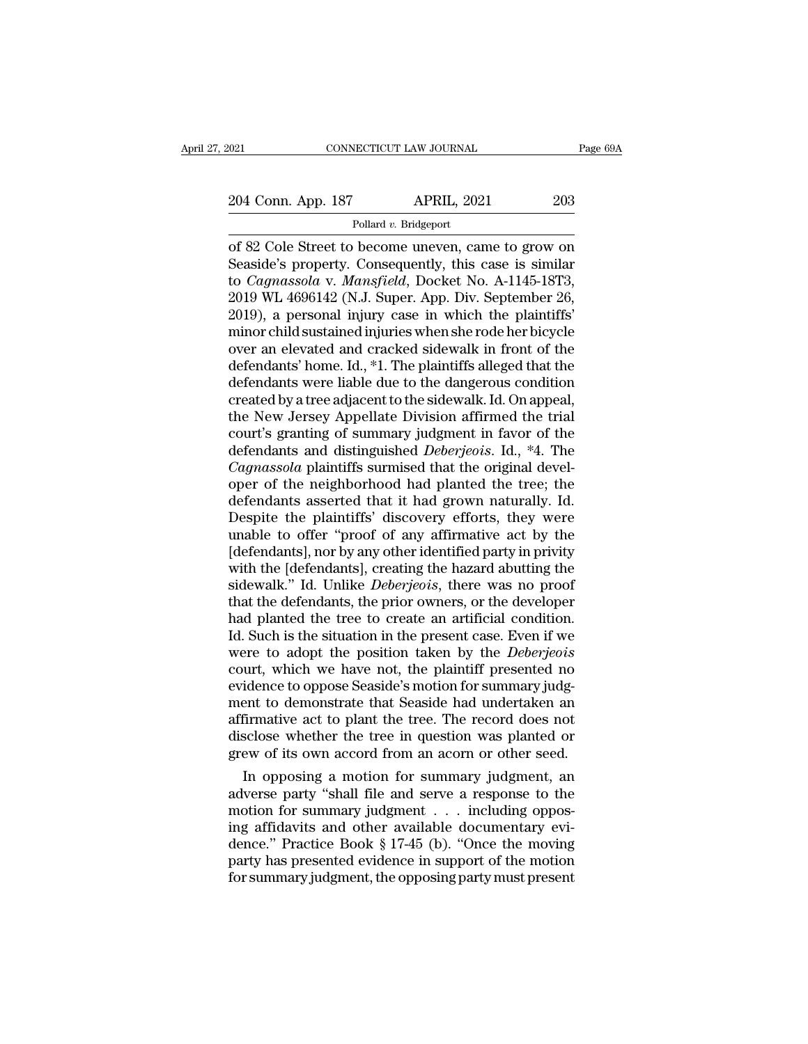Pollard *v.* Bridgeport

Fage 69A<br>
204 Conn. App. 187 APRIL, 2021 203<br>
Pollard v. Bridgeport<br>
of 82 Cole Street to become uneven, came to grow on<br>
Seaside's property. Consequently, this case is similar<br>
to *Camassela v. Mansfield*, Docket No. A 11 204 Conn. App. 187 APRIL, 2021 203<br>
Pollard v. Bridgeport<br>
of 82 Cole Street to become uneven, came to grow on<br>
Seaside's property. Consequently, this case is similar<br>
to *Cagnassola* v. *Mansfield*, Docket No. A-1145-18T3 204 Conn. App. 187 APRIL, 2021 203<br>
Pollard v. Bridgeport<br>
of 82 Cole Street to become uneven, came to grow on<br>
Seaside's property. Consequently, this case is similar<br>
to *Cagnassola* v. *Mansfield*, Docket No. A-1145-18T3 204 Conn. App. 187 APRIL, 2021 203<br>
Pollard v. Bridgeport<br>
of 82 Cole Street to become uneven, came to grow on<br>
Seaside's property. Consequently, this case is similar<br>
to *Cagnassola* v. *Mansfield*, Docket No. A-1145-18T3 Pollard v. Bridgeport<br>
of 82 Cole Street to become uneven, came to grow on<br>
Seaside's property. Consequently, this case is similar<br>
to *Cagnassola* v. *Mansfield*, Docket No. A-1145-18T3,<br>
2019 WL 4696142 (N.J. Super. App Pollard v. Bridgeport<br>
of 82 Cole Street to become uneven, came to grow on<br>
Seaside's property. Consequently, this case is similar<br>
to *Cagnassola* v. *Mansfield*, Docket No. A-1145-18T3,<br>
2019 WL 4696142 (N.J. Super. App of 82 Cole Street to become uneven, came to grow on<br>Seaside's property. Consequently, this case is similar<br>to *Cagnassola* v. *Mansfield*, Docket No. A-1145-18T3,<br>2019 WL 4696142 (N.J. Super. App. Div. September 26,<br>2019), Seaside's property. Consequently, this case is similar<br>to *Cagnassola* v. *Mansfield*, Docket No. A-1145-18T3,<br>2019 WL 4696142 (N.J. Super. App. Div. September 26,<br>2019), a personal injury case in which the plaintiffs'<br>min to *Cagnassola* v. *Mansfield*, Docket No. A-1145-18T3,<br>2019 WL 4696142 (N.J. Super. App. Div. September 26,<br>2019), a personal injury case in which the plaintiffs'<br>minor child sustained injuries when she rode her bicycle<br>o 2019 WL 4696142 (N.J. Super. App. Div. September 26,<br>2019), a personal injury case in which the plaintiffs'<br>minor child sustained injuries when she rode her bicycle<br>over an elevated and cracked sidewalk in front of the<br>def 2019), a personal injury case in which the plaintiffs'<br>minor child sustained injuries when she rode her bicycle<br>over an elevated and cracked sidewalk in front of the<br>defendants' home. Id., \*1. The plaintiffs alleged that minor child sustained injuries when she rode her bicycle<br>over an elevated and cracked sidewalk in front of the<br>defendants' home. Id., \*1. The plaintiffs alleged that the<br>defendants were liable due to the dangerous conditio over an elevated and cracked sidewalk in front of the<br>defendants' home. Id., \*1. The plaintiffs alleged that the<br>defendants were liable due to the dangerous condition<br>created by a tree adjacent to the sidewalk. Id. On appe defendants' home. Id., \*1. The plaintiffs alleged that the defendants were liable due to the dangerous condition created by a tree adjacent to the sidewalk. Id. On appeal, the New Jersey Appellate Division affirmed the tri defendants were liable due to the dangerous condition<br>created by a tree adjacent to the sidewalk. Id. On appeal,<br>the New Jersey Appellate Division affirmed the trial<br>court's granting of summary judgment in favor of the<br>def created by a tree adjacent to the sidewalk. Id. On appeal,<br>the New Jersey Appellate Division affirmed the trial<br>court's granting of summary judgment in favor of the<br>defendants and distinguished *Deberjeois*. Id., \*4. The<br> the New Jersey Appellate Division affirmed the trial<br>court's granting of summary judgment in favor of the<br>defendants and distinguished *Deberjeois*. Id., \*4. The<br>*Cagnassola* plaintiffs surmised that the original devel-<br>op court's granting of summary judgment in favor of the<br>defendants and distinguished *Deberjeois*. Id., \*4. The<br>*Cagnassola* plaintiffs surmised that the original devel-<br>oper of the neighborhood had planted the tree; the<br>defe defendants and distinguished *Deberjeois*. Id., <sup>\*</sup>4. The *Cagnassola* plaintiffs surmised that the original developer of the neighborhood had planted the tree; the defendants asserted that it had grown naturally. Id. Desp Cagnassola plaintiffs surmised that the original developer of the neighborhood had planted the tree; the defendants asserted that it had grown naturally. Id. Despite the plaintiffs' discovery efforts, they were unable to o oper of the neighborhood had planted the tree; the<br>defendants asserted that it had grown naturally. Id.<br>Despite the plaintiffs' discovery efforts, they were<br>unable to offer "proof of any affirmative act by the<br>[defendants] defendants asserted that it had grown naturally. Id.<br>Despite the plaintiffs' discovery efforts, they were<br>unable to offer "proof of any affirmative act by the<br>[defendants], nor by any other identified party in privity<br>with Despite the plaintiffs' discovery efforts, they were<br>unable to offer "proof of any affirmative act by the<br>[defendants], nor by any other identified party in privity<br>with the [defendants], creating the hazard abutting the<br>s unable to offer "proof of any affirmative act by the [defendants], nor by any other identified party in privity with the [defendants], creating the hazard abutting the sidewalk." Id. Unlike *Deberjeois*, there was no proof [defendants], nor by any other identified party in privity<br>with the [defendants], creating the hazard abutting the<br>sidewalk." Id. Unlike *Deberjeois*, there was no proof<br>that the defendants, the prior owners, or the develo with the [defendants], creating the hazard abutting the sidewalk." Id. Unlike *Deberjeois*, there was no proof that the defendants, the prior owners, or the developer had planted the tree to create an artificial condition. sidewalk." Id. Unlike *Deberjeois*, there was no proof<br>that the defendants, the prior owners, or the developer<br>had planted the tree to create an artificial condition.<br>Id. Such is the situation in the present case. Even if that the defendants, the prior owners, or the developer<br>had planted the tree to create an artificial condition.<br>Id. Such is the situation in the present case. Even if we<br>were to adopt the position taken by the *Deberjeois* had planted the tree to create an artificial condition.<br>Id. Such is the situation in the present case. Even if we<br>were to adopt the position taken by the *Deberjeois*<br>court, which we have not, the plaintiff presented no<br>ev Id. Such is the situation in the present case. Even if we<br>were to adopt the position taken by the *Deberjeois*<br>court, which we have not, the plaintiff presented no<br>evidence to oppose Seaside's motion for summary judg-<br>ment were to adopt the position taken by the *Deberjeois*<br>court, which we have not, the plaintiff presented no<br>evidence to oppose Seaside's motion for summary judg-<br>ment to demonstrate that Seaside had undertaken an<br>affirmative urt, which we have not, the plaintiff presented no<br>idence to oppose Seaside's motion for summary judg-<br>ent to demonstrate that Seaside had undertaken an<br>firmative act to plant the tree. The record does not<br>sclose whether t evidence to oppose seaside's motion for summary judgment to demonstrate that Seaside had undertaken an affirmative act to plant the tree. The record does not disclose whether the tree in question was planted or grew of its

ment to demonstrate that Seaside had undertaken an<br>affirmative act to plant the tree. The record does not<br>disclose whether the tree in question was planted or<br>grew of its own accord from an acorn or other seed.<br>In opposing aminmative act to plant the tree. The record does not<br>disclose whether the tree in question was planted or<br>grew of its own accord from an acorn or other seed.<br>In opposing a motion for summary judgment, an<br>adverse party "sh disclose whether the tree in question was planted or<br>grew of its own accord from an acorn or other seed.<br>In opposing a motion for summary judgment, an<br>adverse party "shall file and serve a response to the<br>motion for summar grew of its own accord from an acorn or other seed.<br>
In opposing a motion for summary judgment, an<br>
adverse party "shall file and serve a response to the<br>
motion for summary judgment . . . including oppos-<br>
ing affidavits In opposing a motion for summary judgment, an adverse party "shall file and serve a response to the motion for summary judgment  $\ldots$  including opposing affidavits and other available documentary evidence." Practice Book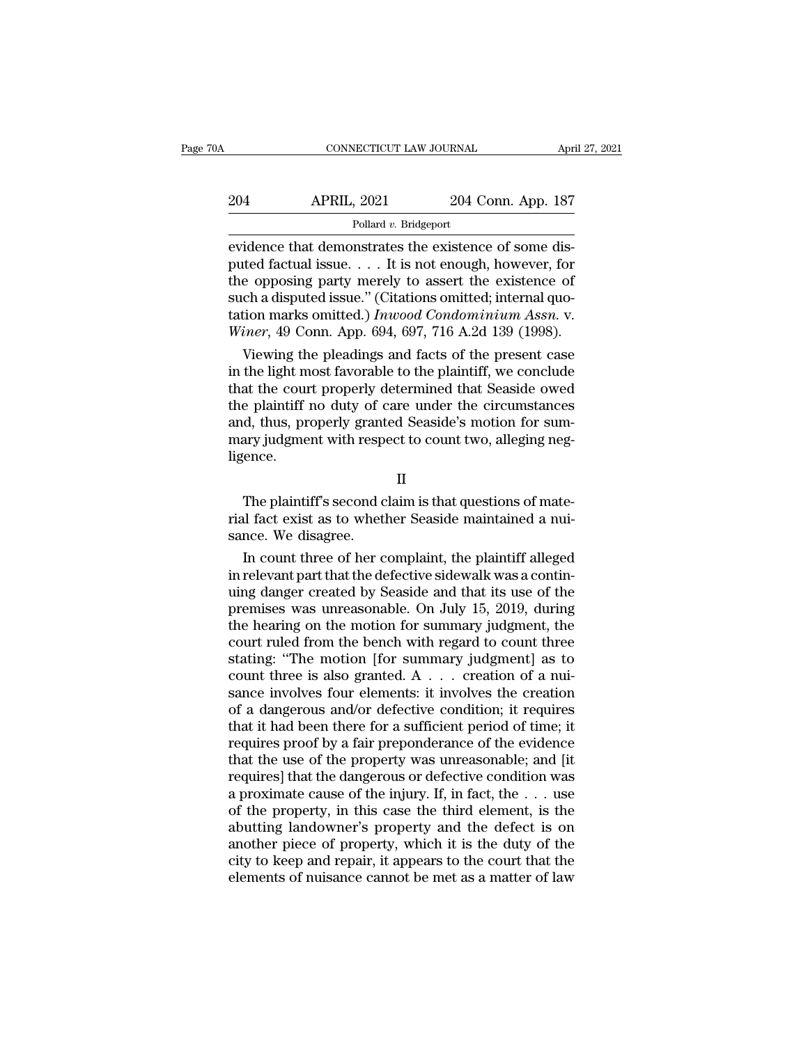| 0A  | CONNECTICUT LAW JOURNAL |                    | April 27, 2021 |  |
|-----|-------------------------|--------------------|----------------|--|
| 204 | <b>APRIL, 2021</b>      | 204 Conn. App. 187 |                |  |
|     | Pollard v. Bridgeport   |                    |                |  |

EXERCITE CONNECTICUT LAW JOURNAL APT<br>
204 APRIL, 2021 204 Conn. App. 187<br>
Pollard v. Bridgeport<br>
evidence that demonstrates the existence of some dis-<br>
puted factual issue.... It is not enough, however, for<br>
the existence 204 APRIL, 2021 204 Conn. App. 187<br>
Pollard v. Bridgeport<br>
evidence that demonstrates the existence of some dis-<br>
puted factual issue. . . . It is not enough, however, for<br>
the opposing party merely to assert the existence 204 APRIL, 2021 204 Conn. App. 187<br>Pollard v. Bridgeport<br>evidence that demonstrates the existence of some dis-<br>puted factual issue.... It is not enough, however, for<br>the opposing party merely to assert the existence of<br>su 204 APRIL, 2021 204 Conn. App. 187<br>
Pollard v. Bridgeport<br>
evidence that demonstrates the existence of some dis-<br>
puted factual issue.... It is not enough, however, for<br>
the opposing party merely to assert the existence o Follard v. Bridgeport<br>
evidence that demonstrates the existence of some dis-<br>
puted factual issue. . . . It is not enough, however, for<br>
the opposing party merely to assert the existence of<br>
such a disputed issue." (Citati Pollard v. Bridgeport<br>
evidence that demonstrates the existence of some dis-<br>
puted factual issue. . . . It is not enough, however, for<br>
the opposing party merely to assert the existence of<br>
such a disputed issue." (Citati idence that demonstrates the existence of some districted factual issue. . . . It is not enough, however, for<br>e opposing party merely to assert the existence of<br>ch a disputed issue." (Citations omitted; internal quo-<br>tion puted factual issue. . . . It is not enough, however, for<br>the opposing party merely to assert the existence of<br>such a disputed issue." (Citations omitted; internal quo-<br>tation marks omitted.) Inwood Condominium Assn. v.<br>Wi

the opposing party merely to assert the existence of<br>such a disputed issue." (Citations omitted; internal quo-<br>tation marks omitted.) Inwood Condominium Assn. v.<br>Winer, 49 Conn. App. 694, 697, 716 A.2d 139 (1998).<br>Viewing such a disputed issue." (Citations omitted; internal quotation marks omitted.) Inwood Condominium Assn. v.<br>Winer, 49 Conn. App. 694, 697, 716 A.2d 139 (1998).<br>Viewing the pleadings and facts of the present case<br>in the ligh tation marks omitted.) *Inwood Condominium Assn.* v.<br>Winer, 49 Conn. App. 694, 697, 716 A.2d 139 (1998).<br>Viewing the pleadings and facts of the present case<br>in the light most favorable to the plaintiff, we conclude<br>that th *Winer*, 49 Conn. App. 694, 697, 716 A.2d 139 (1998).<br>Viewing the pleadings and facts of the present case<br>in the light most favorable to the plaintiff, we conclude<br>that the court properly determined that Seaside owed<br>the ligence. Experience and second property determined and second over<br>
e plaintiff no duty of care under the circumstances<br>
d, thus, properly granted Seaside's motion for sum-<br>
ary judgment with respect to count two, alleging neg-<br>
en rial fact exist as to whether Seaside's motion for summary judgment with respect to count two, alleging negligence.<br>
II<br>
The plaintiff's second claim is that questions of material fact exist as to whether Seaside maintaine

II

mary judgment with responsional mary judgment with responsion<br>ligence.<br>The plaintiff's second corrial fact exist as to whether<br>sance. We disagree.<br>In count three of her c II<br>IN The plaintiff's second claim is that questions of mate-<br>I fact exist as to whether Seaside maintained a nui-<br>nce. We disagree.<br>In count three of her complaint, the plaintiff alleged<br>relevant part that the defective s

II<br>
The plaintiff's second claim is that questions of mate-<br>
rial fact exist as to whether Seaside maintained a nui-<br>
sance. We disagree.<br>
In count three of her complaint, the plaintiff alleged<br>
in relevant part that the d The plaintiff's second claim is that questions of mate-<br>rial fact exist as to whether Seaside maintained a nui-<br>sance. We disagree.<br>In count three of her complaint, the plaintiff alleged<br>in relevant part that the defective The plaintiff's second claim is that questions of mate-<br>rial fact exist as to whether Seaside maintained a nui-<br>sance. We disagree.<br>In count three of her complaint, the plaintiff alleged<br>in relevant part that the defective rial fact exist as to whether Seaside maintained a nuisance. We disagree.<br>In count three of her complaint, the plaintiff alleged<br>in relevant part that the defective sidewalk was a contin-<br>uing danger created by Seaside and sance. We disagree.<br>
In count three of her complaint, the plaintiff alleged<br>
in relevant part that the defective sidewalk was a contin-<br>
uing danger created by Seaside and that its use of the<br>
premises was unreasonable. O In count three of her complaint, the plaintiff alleged<br>in relevant part that the defective sidewalk was a contin-<br>uing danger created by Seaside and that its use of the<br>premises was unreasonable. On July 15, 2019, during<br> in relevant part that the defective sidewalk was a continuing danger created by Seaside and that its use of the premises was unreasonable. On July 15, 2019, during the hearing on the motion for summary judgment, the court uing danger created by Seaside and that its use of the<br>premises was unreasonable. On July 15, 2019, during<br>the hearing on the motion for summary judgment, the<br>court ruled from the bench with regard to count three<br>stating: premises was unreasonable. On July 15, 2019, during<br>the hearing on the motion for summary judgment, the<br>court ruled from the bench with regard to count three<br>stating: "The motion [for summary judgment] as to<br>count three is the hearing on the motion for summary judgment, the<br>court ruled from the bench with regard to count three<br>stating: "The motion [for summary judgment] as to<br>count three is also granted. A  $\ldots$  creation of a nui-<br>sance inv court ruled from the bench with regard to count three<br>stating: "The motion [for summary judgment] as to<br>count three is also granted. A  $\ldots$  creation of a nui-<br>sance involves four elements: it involves the creation<br>of a d stating: "The motion [for summary judgment] as to<br>count three is also granted. A  $\ldots$  creation of a nui-<br>sance involves four elements: it involves the creation<br>of a dangerous and/or defective condition; it requires<br>that count three is also granted. A  $\ldots$  creation of a nuisance involves four elements: it involves the creation<br>of a dangerous and/or defective condition; it requires<br>that it had been there for a sufficient period of time; i sance involves four elements: it involves the creation<br>of a dangerous and/or defective condition; it requires<br>that it had been there for a sufficient period of time; it<br>requires proof by a fair preponderance of the eviden of a dangerous and/or defective condition; it requires<br>that it had been there for a sufficient period of time; it<br>requires proof by a fair preponderance of the evidence<br>that the use of the property was unreasonable; and [i that it had been there for a sufficient period of time; it<br>requires proof by a fair preponderance of the evidence<br>that the use of the property was unreasonable; and [it<br>requires] that the dangerous or defective condition requires proof by a fair preponderance of the evidence<br>that the use of the property was unreasonable; and [it<br>requires] that the dangerous or defective condition was<br>a proximate cause of the injury. If, in fact, the . . . that the use of the property was unreasonable; and [it requires] that the dangerous or defective condition was a proximate cause of the injury. If, in fact, the  $\ldots$  use of the property, in this case the third element, i requires] that the dangerous or defective condition was<br>a proximate cause of the injury. If, in fact, the  $\ldots$  use<br>of the property, in this case the third element, is the<br>abutting landowner's property and the defect is o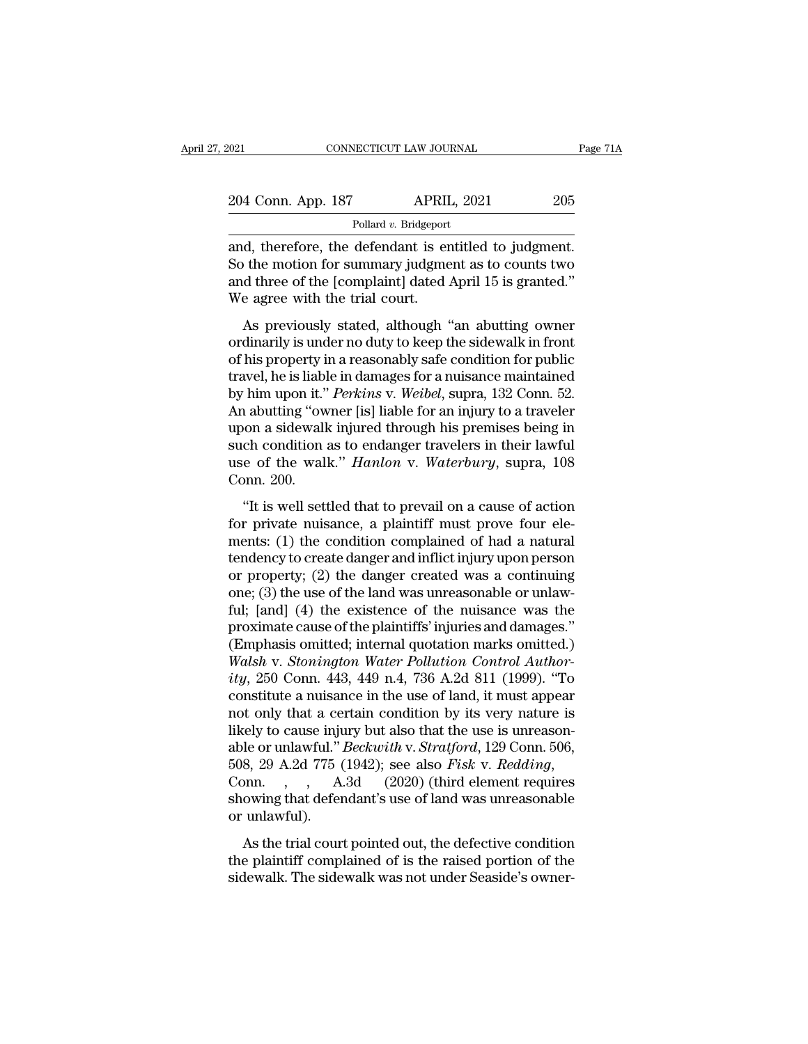| 021                   |  | CONNECTICUT LAW JOURNAL | Page 71A |  |
|-----------------------|--|-------------------------|----------|--|
|                       |  |                         |          |  |
| 204 Conn. App. 187    |  | <b>APRIL, 2021</b>      | 205      |  |
| Pollard v. Bridgeport |  |                         |          |  |

connecticut LAW JOURNAL Page 7<br>
204 Conn. App. 187 APRIL, 2021 205<br>
Pollard v. Bridgeport<br>
and, therefore, the defendant is entitled to judgment.<br>
So the motion for summary judgment as to counts two 204 Conn. App. 187 APRIL, 2021 205<br>Pollard v. Bridgeport<br>and, therefore, the defendant is entitled to judgment.<br>So the motion for summary judgment as to counts two<br>and three of the [complaint] dated April 15 is granted."<br>W 204 Conn. App. 187 APRIL, 2021 205<br>Pollard v. Bridgeport<br>and, therefore, the defendant is entitled to judgment.<br>So the motion for summary judgment as to counts two<br>and three of the [complaint] dated April 15 is granted.''  $\begin{tabular}{l} 204 \textbf{Conn. App. 187} \hspace{2.5cm} \textbf{APRII} \\ \hline \textbf{Pollard } v. \textbf{Bridgeport} \\ \hline \textbf{and, therefore, the defendant is er} \\ \textbf{So the motion for summary judgme} \\ \textbf{and three of the [complaint] dated.} \\ \textbf{We agree with the trial court.} \\ \textbf{As previously stated, although '} \\ \end{tabular}$ Pollard  $v$ . Bridgeport<br>
A, therefore, the defendant is entitled to judgment.<br>
b the motion for summary judgment as to counts two<br>
d three of the [complaint] dated April 15 is granted."<br>
e agree with the trial court.<br>
As and, therefore, the defendant is entitled to judgment.<br>So the motion for summary judgment as to counts two<br>and three of the [complaint] dated April 15 is granted."<br>We agree with the trial court.<br>As previously stated, altho

So the motion for summary judgment as to counts two<br>sand three of the [complaint] dated April 15 is granted."<br>We agree with the trial court.<br>As previously stated, although "an abutting owner<br>ordinarily is under no duty to travel, the is liable in damages for an injury to a traveler the set of the property of the trial court.<br>As previously stated, although "an abutting owner ordinarily is under no duty to keep the sidewalk in front of his p and three of the [complaint] dated TipTh 19 is granted.<br>We agree with the trial court.<br>As previously stated, although "an abutting owner<br>ordinarily is under no duty to keep the sidewalk in front<br>of his property in a reason As previously stated, although "an abutting owner<br>ordinarily is under no duty to keep the sidewalk in front<br>of his property in a reasonably safe condition for public<br>travel, he is liable in damages for a nuisance maintaine As previously stated, although "an abutting owner<br>ordinarily is under no duty to keep the sidewalk in front<br>of his property in a reasonably safe condition for public<br>travel, he is liable in damages for a nuisance maintain ordinarily is under no duty to keep the sidewalk in front<br>of his property in a reasonably safe condition for public<br>travel, he is liable in damages for a nuisance maintained<br>by him upon it." *Perkins* v. Weibel, supra, 132 of his property in a reasonably safe condition for public<br>travel, he is liable in damages for a nuisance maintained<br>by him upon it." *Perkins* v. *Weibel*, supra, 132 Conn. 52.<br>An abutting "owner [is] liable for an injury travel, he is liabl<br>by him upon it."<br>An abutting "ow<br>upon a sidewall<br>such condition<br>use of the wal<br>Conn. 200.<br>"It is well sett Tant aponta: Tommo v. motoc, sappa, 132 com. 32.<br>
a abutting "owner [is] liable for an injury to a traveler<br>
on a sidewalk injured through his premises being in<br>
ch condition as to endanger travelers in their lawful<br>
e of For a sidewalk injured through his premises being in<br>such condition as to endanger travelers in their lawful<br>use of the walk." *Hanlon* v. *Waterbury*, supra, 108<br>Conn. 200.<br>"It is well settled that to prevail on a cause

ments: (1) the danger and inflict injury upon person<br>one. 200.<br>The condition as to endanger travelers in their lawful<br>use of the walk." *Hanlon* v. *Waterbury*, supra, 108<br>Conn. 200.<br>"It is well settled that to prevail on the value of the walk." *Hanlon* v. *Waterbury*, supra, 108<br>Conn. 200.<br>"It is well settled that to prevail on a cause of action<br>for private nuisance, a plaintiff must prove four ele-<br>ments: (1) the condition complained of Conn. 200.<br>
"It is well settled that to prevail on a cause of action<br>
for private nuisance, a plaintiff must prove four ele-<br>
ments: (1) the condition complained of had a natural<br>
tendency to create danger and inflict inj "It is well settled that to prevail on a cause of action<br>for private nuisance, a plaintiff must prove four ele-<br>ments: (1) the condition complained of had a natural<br>tendency to create danger and inflict injury upon person "It is well settled that to prevail on a cause of action<br>for private nuisance, a plaintiff must prove four ele-<br>ments: (1) the condition complained of had a natural<br>tendency to create danger and inflict injury upon person for private nuisance, a plaintiff must prove four elements: (1) the condition complained of had a natural tendency to create danger and inflict injury upon person or property; (2) the danger created was a continuing one; ments: (1) the condition complained of had a natural<br>tendency to create danger and inflict injury upon person<br>or property; (2) the danger created was a continuing<br>one; (3) the use of the land was unreasonable or unlaw-<br>fu *Were tendency to create danger and inflict injury upon person* or property; (2) the danger created was a continuing one; (3) the use of the land was unreasonable or unlawful; [and] (4) the existence of the nuisance was th or property; (2) the danger created was a continuing<br>
one; (3) the use of the land was unreasonable or unlaw-<br>
ful; [and] (4) the existence of the nuisance was the<br>
proximate cause of the plaintiffs' injuries and damages." one; (3) the use of the land was unreasonable or unlaw-<br>ful; [and] (4) the existence of the nuisance was the<br>proximate cause of the plaintiffs' injuries and damages."<br>(Emphasis omitted; internal quotation marks omitted.)<br>W ful; [and] (4) the existence of the nuisance was the<br>proximate cause of the plaintiffs' injuries and damages."<br>(Emphasis omitted; internal quotation marks omitted.)<br> $Walsh$  v. Stonington Water Pollution Control Author-<br>ity, proximate cause of the plaintiffs' injuries and damages."<br>(Emphasis omitted; internal quotation marks omitted.)<br>Walsh v. Stonington Water Pollution Control Author-<br>ity, 250 Conn. 443, 449 n.4, 736 A.2d 811 (1999). "To<br>con (Emphasis omitted; internal quotation marks omitted.)<br> *Walsh v. Stonington Water Pollution Control Author-*<br> *ity*, 250 Conn. 443, 449 n.4, 736 A.2d 811 (1999). "To<br>
constitute a nuisance in the use of land, it must appea Walsh v. Stonington Water Pollution Control Author-<br>ity, 250 Conn. 443, 449 n.4, 736 A.2d 811 (1999). "To<br>constitute a nuisance in the use of land, it must appear<br>not only that a certain condition by its very nature is<br>lik constitute a nuisance in the use of land, it must appear<br>not only that a certain condition by its very nature is<br>likely to cause injury but also that the use is unreason-<br>able or unlawful." *Beckwith* v. *Stratford*, 129 not only that a ce<br>likely to cause inju<br>able or unlawful."<br>508, 29 A.2d 775 (<br>Conn., , , A.<br>showing that defer<br>or unlawful).<br>As the trial cour Let it is cause in the trial court be trial court of the trial court points.<br>
As the trial court pointed out, the defective condition<br>  $\alpha$  the trial court pointed out, the defective condition<br>  $\alpha$  be plaintiff complaine following that the exist of undertaked of is the raised portion, the soc, 508, 29 A.2d 775 (1942); see also *Fisk v. Redding*, Conn. , , A.3d (2020) (third element requires showing that defendant's use of land was unreaso sidewalk. The sidewalk was not under Seaside's owner-<br>showing that defendant's use of land was unreasonable<br>or unlawful).<br>As the trial court pointed out, the defective condition<br>the plaintiff complained of is the raised p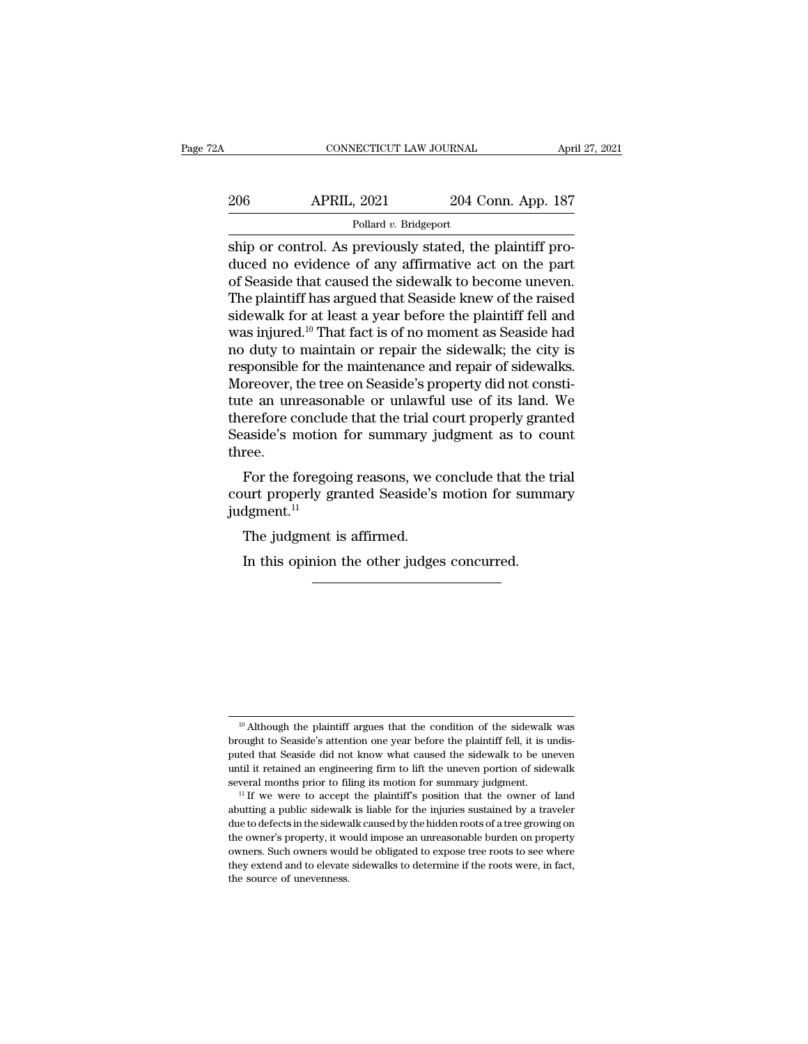| 2Α  | CONNECTICUT LAW JOURNAL |                    | April 27, 2021 |  |
|-----|-------------------------|--------------------|----------------|--|
| 206 | <b>APRIL, 2021</b>      | 204 Conn. App. 187 |                |  |
|     | Pollard v. Bridgeport   |                    |                |  |

CONNECTICUT LAW JOURNAL Apr<br>
206 APRIL, 2021 204 Conn. App. 187<br>
Pollard v. Bridgeport<br>
Ship or control. As previously stated, the plaintiff pro-<br>
duced no evidence of any affirmative act on the part<br>
of Sosside that cause 206 APRIL, 2021 204 Conn. App. 187<br>Pollard v. Bridgeport<br>Ship or control. As previously stated, the plaintiff pro-<br>duced no evidence of any affirmative act on the part<br>of Seaside that caused the sidewalk to become uneven.<br>  $\begin{array}{c|c} \text{206} & \text{APRIL, 2021} & \text{204 Conn. App. 187} \ \hline \text{Pollard } v. \text{ Bridgeport} \ \hline \text{ship or control. As previously stated, the plaintiff produced no evidence of any affirmative act on the part of Seaside that caused the sidewalk to become uneven.} \ \hline \text{The plaintiff has argued that Seaside knew of the raised sidewalk for at least a voor before the plaintiff fell and the algorithm is a good.} \end{array}$ 206 APRIL, 2021 204 Conn. App. 187<br>
Pollard v. Bridgeport<br>
ship or control. As previously stated, the plaintiff pro-<br>
duced no evidence of any affirmative act on the part<br>
of Seaside that caused the sidewalk to become une Follard v. Bridgeport<br>
Ship or control. As previously stated, the plaintiff pro-<br>
duced no evidence of any affirmative act on the part<br>
of Seaside that caused the sidewalk to become uneven.<br>
The plaintiff has argued that Pollard v. Bridgeport<br>
ship or control. As previously stated, the plaintiff pro-<br>
duced no evidence of any affirmative act on the part<br>
of Seaside that caused the sidewalk to become uneven.<br>
The plaintiff has argued that S ship or control. As previously stated, the plaintiff produced no evidence of any affirmative act on the part of Seaside that caused the sidewalk to become uneven. The plaintiff has argued that Seaside knew of the raised si duced no evidence of any affirmative act on the part<br>of Seaside that caused the sidewalk to become uneven.<br>The plaintiff has argued that Seaside knew of the raised<br>sidewalk for at least a year before the plaintiff fell and of Seaside that caused the sidewalk to become uneven.<br>The plaintiff has argued that Seaside knew of the raised<br>sidewalk for at least a year before the plaintiff fell and<br>was injured.<sup>10</sup> That fact is of no moment as Seasid The plaintiff has argued that Seaside knew of the raised<br>sidewalk for at least a year before the plaintiff fell and<br>was injured.<sup>10</sup> That fact is of no moment as Seaside had<br>no duty to maintain or repair the sidewalk; the sidewalk for at least a year before the plaintiff fell and<br>was injured.<sup>10</sup> That fact is of no moment as Seaside had<br>no duty to maintain or repair the sidewalk; the city is<br>responsible for the maintenance and repair of sid was injured.<sup>10</sup> That fact is of no moment as Seaside had<br>no duty to maintain or repair the sidewalk; the city is<br>responsible for the maintenance and repair of sidewalks.<br>Moreover, the tree on Seaside's property did not co three. sponsible for the finalliteriance and repair of sidewarks.<br>Dreover, the tree on Seaside's property did not constite<br>an unreasonable or unlawful use of its land. We<br>erefore conclude that the trial court properly granted<br>asi moreover, the tree on seaside s property did not consult<br>tute an unreasonable or unlawful use of its land. We<br>therefore conclude that the trial court properly granted<br>Seaside's motion for summary judgment as to count<br>three

judgment. $^{11}$ aside's motion for summary ju<br>ree.<br>For the foregoing reasons, we c<br>urt properly granted Seaside's<br>dgment.<sup>11</sup><br>The judgment is affirmed.<br>In this opinion the other judge: For the foregoing reasons, we conclude that the turt properly granted Seaside's motion for summ<br>dgment.<sup>11</sup><br>The judgment is affirmed.<br>In this opinion the other judges concurred.

 $\frac{10}{10}$  Although the plaintiff argues that the condition of the sidewalk was ought to Seaside's attention one year before the plaintiff fell, it is undis-<sup>10</sup> Although the plaintiff argues that the condition of the sidewalk was<br>brought to Seaside's attention one year before the plaintiff fell, it is undis-<br>puted that Seaside did not know what caused the sidewalk to be unev  $\frac{10}{10}$  Although the plaintiff argues that the condition of the sidewalk was brought to Seaside's attention one year before the plaintiff fell, it is undisputed that Seaside did not know what caused the sidewalk to be <sup>10</sup> Although the plaintiff argues that the condition of the sidewalk was brought to Seaside's attention one year before the plaintiff fell, it is undisputed that Seaside did not know what caused the sidewalk to be uneven <sup>10</sup> Although the plaintiff argues that the condition of the sidewalk was brought to Seaside's attention one year before the plaintiff fell, it is undisputed that Seaside did not know what caused the sidewalk to be uneven brought to Seaside's attention one year before the plaintiff fell, it is undisputed that Seaside did not know what caused the sidewalk to be uneven until it retained an engineering firm to lift the uneven portion of sidew

puted that Seaside did not know what caused the sidewalk to be uneven until it retained an engineering firm to lift the uneven portion of sidewalk several months prior to filing its motion for summary judgment.  $\text{ }^{11}$ putual it retained an engineering firm to lift the uneven portion of sidewalk several months prior to filing its motion for summary judgment.<br>
<sup>11</sup> If we were to accept the plaintiff's position that the owner of land abutt several months prior to filing its motion for summary judgment.<br>
<sup>11</sup> If we were to accept the plaintiff's position that the owner of land<br>
abutting a public sidewalk is liable for the injuries sustained by a traveler<br>
due <sup>11</sup> If we were to accept the plaintiff's position that the owner of land abutting a public sidewalk is liable for the injuries sustained by a traveler due to defects in the sidewalk caused by the hidden roots of a tree g abutting a public sidewalk<br>abutting a public sidewalk<br>due to defects in the sidewa<br>the owner's property, it we<br>owners. Such owners wou<br>they extend and to elevate<br>the source of unevenness.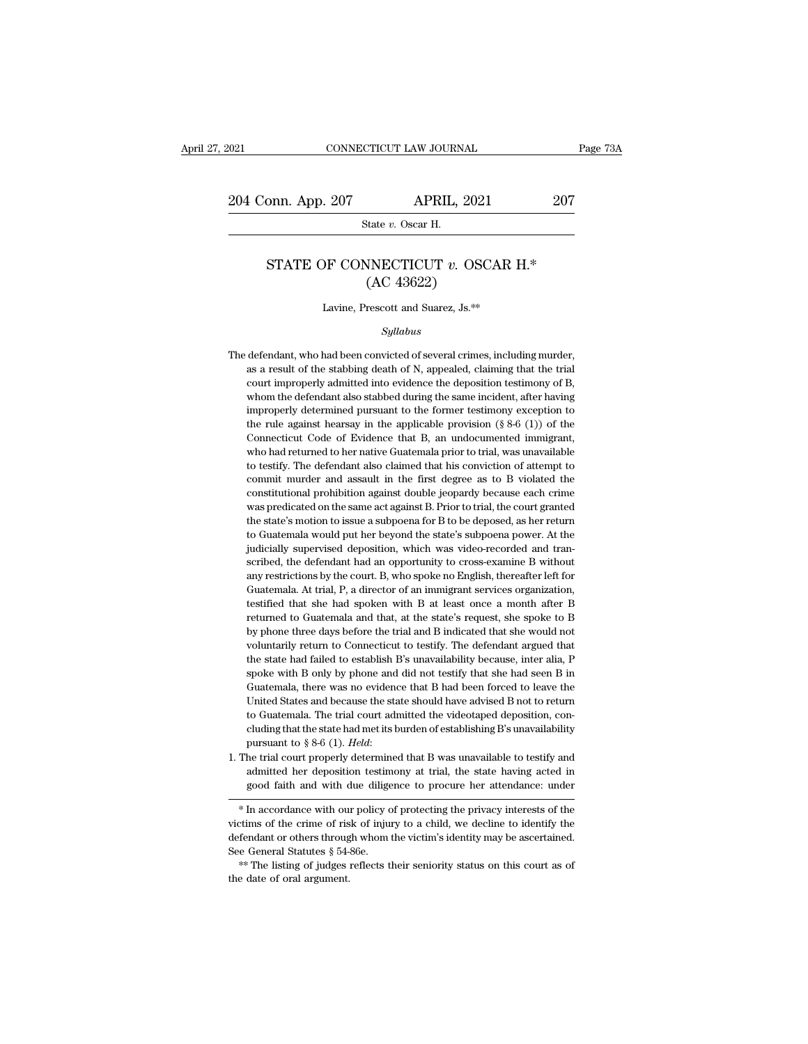### 9 (17) Pape 207<br>
State *v.* Oscar H.<br>
STATE OF CONNECTICUT *v.* OSCAR H.\*<br>
(AC 43622) APRIL, 2021<br>
State v. Oscar H.<br>
NNECTICUT v. OSC<br>
(AC 43622)<br>
rescott and Suarez, Js.\*\* State v. Oscar H.<br>
STATE OF CONNECTICUT v. OSCAR H.\*<br>
(AC 43622)<br>
Lavine, Prescott and Suarez, Js.\*\*

### *Syllabus*

(AC 43622)<br>Lavine, Prescott and Suarez, Js.\*\*<br>Syllabus<br>The defendant, who had been convicted of several crimes, including murder,<br>as a result of the stabbing death of N, appealed, claiming that the trial Lavine, Prescott and Suarez, Js. $**$ <br>  $Syllabus$ <br>
defendant, who had been convicted of several crimes, including murder,<br>
as a result of the stabbing death of N, appealed, claiming that the trial<br>
court improperly admitted into Lavine, Prescott and Suarez, Js.\*\*<br>Syllabus<br>defendant, who had been convicted of several crimes, including murder,<br>as a result of the stabbing death of N, appealed, claiming that the trial<br>court improperly admitted into ev *Syllabus*<br>defendant, who had been convicted of several crimes, including murder,<br>as a result of the stabbing death of N, appealed, claiming that the trial<br>court improperly admitted into evidence the deposition testimony o *syuaous*<br>defendant, who had been convicted of several crimes, including murder,<br>as a result of the stabbing death of N, appealed, claiming that the trial<br>court improperly admitted into evidence the deposition testimony of defendant, who had been convicted of several crimes, including murder,<br>as a result of the stabbing death of N, appealed, claiming that the trial<br>court improperly admitted into evidence the deposition testimony of B,<br>whom t as a result of the stabbing death of N, appealed, claiming that the trial<br>court improperly admitted into evidence the deposition testimony of B,<br>whom the defendant also stabbed during the same incident, after having<br>impro court improperly admitted into evidence the deposition testimony of B, whom the defendant also stabbed during the same incident, after having improperly determined pursuant to the former testimony exception to the rule ag whom the defendant also stabbed during the same incident, after having improperly determined pursuant to the former testimony exception to the rule against hearsay in the applicable provision (§ 8-6 (1)) of the Connecticut improperly determined pursuant to the former testimony exception to the rule against hearsay in the applicable provision  $(\S 8-6 (1))$  of the Connecticut Code of Evidence that B, an undocumented immigrant, who had returned the rule against hearsay in the applicable provision ( $\S$  8-6 (1)) of the Connecticut Code of Evidence that B, an undocumented immigrant, who had returned to her native Guatemala prior to trial, was unavailable to testify Connecticut Code of Evidence that B, an undocumented immigrant, who had returned to her native Guatemala prior to trial, was unavailable to testify. The defendant also claimed that his conviction of attempt to commit murde who had returned to her native Guatemala prior to trial, was unavailable to testify. The defendant also claimed that his conviction of attempt to commit murder and assault in the first degree as to B violated the constitut to testify. The defendant also claimed that his conviction of attempt to commit murder and assault in the first degree as to B violated the constitutional prohibition against double jeopardy because each crime was predicat to testify. The defendant also claimed that his conviction of attempt to commit murder and assault in the first degree as to B violated the constitutional prohibition against double jeopardy because each crime was predicat constitutional prohibition against double jeopardy because each crime was predicated on the same act against B. Prior to trial, the court granted the state's motion to issue a subpoena for B to be deposed, as her return to was predicated on the same act against B. Prior to trial, the court granted the state's motion to issue a subpoena for B to be deposed, as her return to Guatemala would put her beyond the state's subpoena power. At the jud the state's motion to issue a subpoena for B to be deposed, as her return to Guatemala would put her beyond the state's subpoena power. At the judicially supervised deposition, which was video-recorded and transcribed, the to Guatemala would put her beyond the state's subpoena power. At the judicially supervised deposition, which was video-recorded and transcribed, the defendant had an opportunity to cross-examine B without any restrictions judicially supervised deposition, which was video-recorded and tran-<br>scribed, the defendant had an opportunity to cross-examine B without<br>any restrictions by the court. B, who spoke no English, thereafter left for<br>Guatemal scribed, the defendant had an opportunity to cross-examine B without any restrictions by the court. B, who spoke no English, thereafter left for Guatemala. At trial, P, a director of an immigrant services organization, tes any restrictions by the court. B, who spoke no English, thereafter left for Guatemala. At trial, P, a director of an immigrant services organization, testified that she had spoken with B at least once a month after B retur Guatemala. At trial, P, a director of an inmigrant services organization, testified that she had spoken with B at least once a month after B returned to Guatemala and that, at the state's request, she spoke to B by phone t testified that she had spoken with B at least once a month after B<br>returned to Guatemala and that, at the state's request, she spoke to B<br>by phone three days before the trial and B indicated that she would not<br>voluntarily returned to Guatemala and that, at the state's request, she spoke to B<br>by phone three days before the trial and B indicated that she would not<br>voluntarily return to Connecticut to testify. The defendant argued that<br>the sta by phone three days before the trial and B indicated that she would not voluntarily return to Connecticut to testify. The defendant argued that the state had failed to establish B's unavailability because, inter alia, P sp by phone three days before the trial and B indicated that she would not voluntarily return to Connecticut to testify. The defendant argued that the state had failed to establish B's unavailability because, inter alia, P s the state had failed to establish B's unavailability because, inter alia, P spoke with B only by phone and did not testify that she had seen B in Guatemala, there was no evidence that B had been forced to leave the United spoke with B only by phone and did not testify that she had seen B in Guatemala, there was no evidence that B had been forced to leave the United States and because the state should have advised B not to return to Guatemal United States and because the state should have advised B not to return to Guatemala. The trial court admitted the videotaped deposition, concluding that the state had met its burden of establishing B's unavailability pur to Guatemala. The trial court admitted the videotaped deposition, concluding that the state had met its burden of establishing B's unavailability pursuant to  $\S 8-6$  (1). *Held*:<br>The trial court properly determined that B

Fursuant to  $y$  o-o (1). Theta.<br>
1. The trial court properly determined that B was unavailable to testify and<br>
admitted her deposition testimony at trial, the state having acted in<br>
good faith and with due diligence to pr defined the defendant or others through whom the victim's identity may be assetted in good faith and with due diligence to procure her attendance: under  $*$  In accordance with our policy of protecting the privacy interests see General Statutes § 54-86e.<br>\* In accordance with our policy of protecting the privacy interests of the victims of the crime of risk of injury to a child, we decline to identify the defendant or others through whom the v  $\begin{array}{c} \ast \text{ In accordance with our  
victimes of the crime of ris-  
defendant or others through  
See General Statistics § 54-  

$$
\ast \text{The listing of judges} :\\ \text{the date of oral argument.} \end{array}
$$$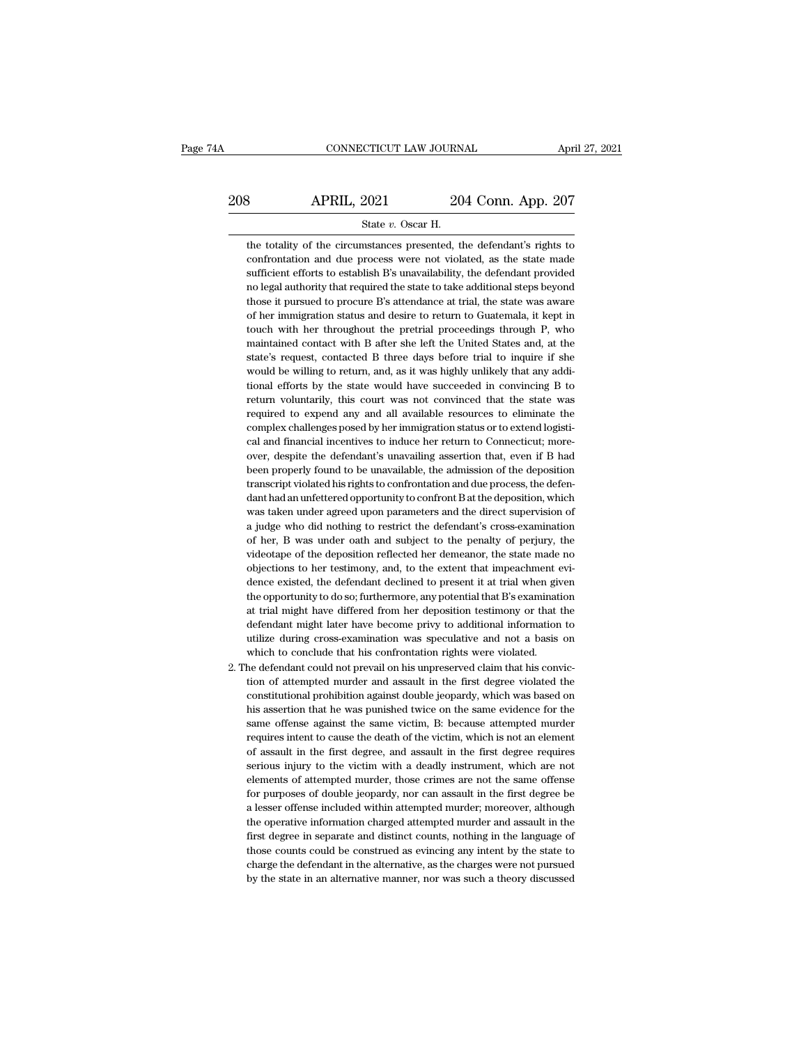### 208 CONNECTICUT LAW JOURNAL April 27, 2021<br>208 APRIL, 2021 204 Conn. App. 207<br>204 Conn. App. 207 CONNECTICUT LAW JOURNAL April<br>By APRIL, 2021 204 Conn. App. 207<br>State *v*. Oscar H.<br>the totality of the circumstances presented, the defendant's rights to

 $\begin{array}{r} \text{APRIL, 2021} \text{204 Conn. App. 207} \\ \text{State } v. \text{ Oscar H.} \end{array}$ <br>the totality of the circumstances presented, the defendant's rights to confrontation and due process were not violated, as the state made **COLUTE:**  $\frac{2021}{\text{State } v. \text{ Oscar H.}}$ <br>
the totality of the circumstances presented, the defendant's rights to confrontation and due process were not violated, as the state made sufficient efforts to establish B's unavailabil  $\begin{minipage}[t]{.4cm} \begin{tabular}{p{0.8cm}} \bf 3 & APRIL, 2021 & 204 Conn. App. 207 \end{tabular} \\ \hline \hline \end{minipage} \\ \begin{minipage}[t]{.4cm} \begin{tabular}[t]{l@{0.8cm}} \bf 204 & Conn. App. 207 \end{tabular} \\ \hline \end{minipage} \\ \begin{minipage}[t]{.4cm} \bf 204 & Conn. App. 207 \end{tabular} \\ \hline \end{minipage} \\ \begin{minipage}[t]{.4cm} \bf 204 & Conn. App. 207 \end{minipage} \\$ State v. Oscar H.<br>
the totality of the circumstances presented, the defendant's rights to<br>
confrontation and due process were not violated, as the state made<br>
sufficient efforts to establish B's unavailability, the defenda State  $v$ . Oscar H.<br>
the totality of the circumstances presented, the defendant's rights to<br>
confrontation and due process were not violated, as the state made<br>
sufficient efforts to establish B's unavailability, the defe the totality of the circumstances presented, the defendant's rights to confrontation and due process were not violated, as the state made sufficient efforts to establish B's unavailability, the defendant provided no legal confrontation and due process were not violated, as the state made sufficient efforts to establish B's unavailability, the defendant provided no legal authority that required the state to take additional steps beyond those sufficient efforts to establish B's unavailability, the defendant provided<br>no legal authority that required the state to take additional steps beyond<br>those it pursued to procure B's attendance at trial, the state was aware no legal authority that required the state to take additional steps beyond<br>those it pursued to procure B's attendance at trial, the state was aware<br>of her immigration status and desire to return to Guatemala, it kept in<br>to those it pursued to procure B's attendance at trial, the state was aware<br>of her immigration status and desire to return to Guatemala, it kept in<br>touch with her throughout the pretrial proceedings through P, who<br>maintained of her immigration status and desire to return to Guatemala, it kept in touch with her throughout the pretrial proceedings through P, who maintained contact with B after she left the United States and, at the state's reque touch with her throughout the pretrial proceedings through P, who maintained contact with B after she left the United States and, at the state's request, contacted B three days before trial to inquire if she would be willi maintained contact with B after she left the United States and, at the state's request, contacted B three days before trial to inquire if she would be willing to return, and, as it was highly unlikely that any additional e state's request, contacted B three days before trial to inquire if she<br>would be willing to return, and, as it was highly unlikely that any addi-<br>tional efforts by the state would have succeeded in convincing B to<br>return vo would be willing to return, and, as it was highly unlikely that any additional efforts by the state would have succeeded in convincing B to return voluntarily, this court was not convinced that the state was required to ex tional efforts by the state would have succeeded in convincing B to<br>return voluntarily, this court was not convinced that the state was<br>required to expend any and all available resources to eliminate the<br>complex challenges return voluntarily, this court was not convinced that the state was<br>required to expend any and all available resources to eliminate the<br>complex challenges posed by her immigration status or to extend logisti-<br>cal and finan return voluntarily, this court was not convinced that the state was required to expend any and all available resources to eliminate the complex challenges posed by her immigration status or to extend logistical and financi complex challenges posed by her immigration status or to extend logistical and financial incentives to induce her return to Connecticut; moreover, despite the defendant's unavailing assertion that, even if B had been prope cal and financial incentives to induce her return to Connecticut; more-<br>over, despite the defendant's unavailing assertion that, even if B had<br>been properly found to be unavailable, the admission of the deposition<br>transcri over, despite the defendant's unavailing assertion that, even if B had<br>been properly found to be unavailable, the admission of the deposition<br>transcript violated his rights to confrontation and due process, the defen-<br>dant been properly found to be unavailable, the admission of the deposition transcript violated his rights to confrontation and due process, the defendant had an unfettered opportunity to confront B at the deposition, which was transcript violated his rights to confrontation and due process, the defendant had an unfettered opportunity to confront B at the deposition, which was taken under agreed upon parameters and the direct supervision of a jud dant had an unfettered opportunity to confront B at the deposition, which was taken under agreed upon parameters and the direct supervision of a judge who did nothing to restrict the defendant's cross-examination of her, B was taken under agreed upon parameters and the direct supervision of a judge who did nothing to restrict the defendant's cross-examination of her, B was under oath and subject to the penalty of perjury, the videotape of th a judge who did nothing to restrict the defendant's cross-examination<br>of her, B was under oath and subject to the penalty of perjury, the<br>videotape of the deposition reflected her demeanor, the state made no<br>objections to of her, B was under oath and subject to the penalty of perjury, the videotape of the deposition reflected her demeanor, the state made no objections to her testimony, and, to the extent that impeachment evidence existed, t videotape of the deposition reflected her demeanor, the state made no<br>objections to her testimony, and, to the extent that impeachment evi-<br>dence existed, the defendant declined to present it at trial when given<br>the opport objections to her testimony, and, to the extent that impeachment evidence existed, the defendant declined to present it at trial when given the opportunity to do so; furthermore, any potential that B's examination at trial dence existed, the defendant declined to present it at trial when given the opportunity to do so; furthermore, any potential that B's examination at trial might have differed from her deposition testimony or that defendant the opportunity to do so; furthermore, any potential that B's examination at trial might have differed from her deposition testimony or that the defendant might later have become privy to additional information to utilize at trial might have differed from her deposition testimony or that the defendant might later have become privy to additional information to utilize during cross-examination was speculative and not a basis on which to concl

defendant might later have become privy to additional information to<br>utilize during cross-examination was speculative and not a basis on<br>which to conclude that his confrontation rights were violated.<br>he defendant could not utilize during cross-examination was speculative and not a basis on which to conclude that his confrontation rights were violated.<br>he defendant could not prevail on his unpreserved claim that his conviction of attempted mu which to conclude that his confrontation rights were violated.<br>he defendant could not prevail on his unpreserved claim that his convic-<br>tion of attempted murder and assault in the first degree violated the<br>constitutional p he defendant could not prevail on his unpreserved claim that his conviction of attempted murder and assault in the first degree violated the constitutional prohibition against double jeopardy, which was based on his assert tion of attempted murder and assault in the first degree violated the constitutional prohibition against double jeopardy, which was based on his assertion that he was punished twice on the same evidence for the same offens tion of attempted murder and assault in the first degree violated the constitutional prohibition against double jeopardy, which was based on his assertion that he was punished twice on the same evidence for the same offen his assertion that he was punished twice on the same evidence for the same offense against the same victim, B: because attempted murder requires intent to cause the death of the victim, which is not an element of assault i same offense against the same victim, B: because attempted murder requires intent to cause the death of the victim, which is not an element of assault in the first degree requires serious injury to the victim with a deadly requires intent to cause the death of the victim, which is not an element of assault in the first degree, and assault in the first degree requires serious injury to the victim with a deadly instrument, which are not elemen of assault in the first degree, and assault in the first degree requires<br>serious injury to the victim with a deadly instrument, which are not<br>elements of attempted murder, those crimes are not the same offense<br>for purposes serious injury to the victim with a deadly instrument, which are not elements of attempted murder, those crimes are not the same offense for purposes of double jeopardy, nor can assault in the first degree be a lesser offe elements of attempted murder, those crimes are not the same offense for purposes of double jeopardy, nor can assault in the first degree be a lesser offense included within attempted murder; moreover, although the operativ for purposes of double jeopardy, nor can assault in the first degree be<br>a lesser offense included within attempted murder; moreover, although<br>the operative information charged attempted murder and assault in the<br>first degr a lesser offense included within attempted murder; moreover, although the operative information charged attempted murder and assault in the first degree in separate and distinct counts, nothing in the language of those cou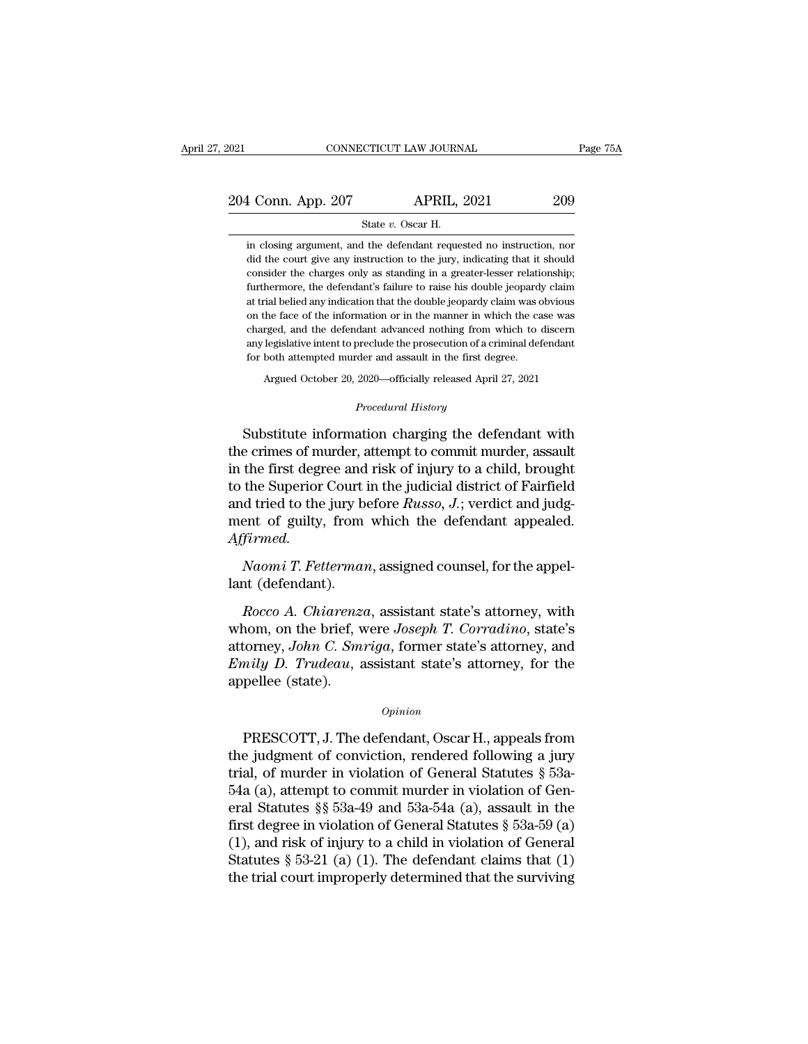2021 CONNECTICUT LAW JOURNAL Page 75A<br>204 Conn. App. 207 APRIL, 2021 209<br>3tate v. Oscar H. CONNECTICUT LAW JOURNAL<br>
4 Conn. App. 207 APRIL, 2021 209<br>
State *v*. Oscar H.<br>
in closing argument, and the defendant requested no instruction, nor

1 Conn. App. 207 APRIL, 2021 209<br>
State v. Oscar H.<br>
in closing argument, and the defendant requested no instruction, nor<br>
did the court give any instruction to the jury, indicating that it should 1 Conn. App. 207 APRIL, 2021 209<br>State v. Oscar H.<br>in closing argument, and the defendant requested no instruction, nor<br>did the court give any instruction to the jury, indicating that it should<br>consider the charges only as 1 Conn. App. 207 APRIL, 2021 209<br>
State v. Oscar H.<br>
in closing argument, and the defendant requested no instruction, nor<br>
did the court give any instruction to the jury, indicating that it should<br>
consider the charges onl State v. Oscar H.<br>
in closing argument, and the defendant requested no instruction, nor<br>
did the court give any instruction to the jury, indicating that it should<br>
consider the charges only as standing in a greater-lesser State  $v$ . Oscar H.<br>
in closing argument, and the defendant requested no instruction, nor<br>
did the court give any instruction to the jury, indicating that it should<br>
consider the charges only as standing in a greater-less in closing argument, and the defendant requested no instruction, nor did the court give any instruction to the jury, indicating that it should consider the charges only as standing in a greater-lesser relationship; further did the court give any instruction to the jury, indicating that it should consider the charges only as standing in a greater-lesser relationship; furthermore, the defendant's failure to raise his double jeopardy claim at t consider the charges only as standing in a greater-lesser relationship;<br>furthermore, the defendant's failure to raise his double jeopardy claim<br>at trial belied any indication that the double jeopardy claim was obvious<br>on t consider the charges only as standing in a greater-lesser relationship; furthermore, the defendant's failure to raise his double jeopardy claim at trial belied any indication that the double jeopardy claim was obvious on ral belied any indication that the double jeopardy claim was obvious<br>the face of the information or in the manner in which the case was<br>rged, and the defendant advanced nothing from which to discern<br>legislative intent to p any legislative intent to preclude the prosecution of a criminal defendant<br>for both attempted murder and assault in the first degree.<br>Argued October 20, 2020—officially released April 27, 2021<br>*Procedural History*<br>Substitu

charged, and the defendant advanced nothing from which to discern<br>any legislative intent to preclude the prosecution of a criminal defendant<br>for both attempted murder and assault in the first degree.<br>Argued October 20, 202 any legislative intent to preclude the prosecution of a criminal detendant<br>for both attempted murder and assault in the first degree.<br>Argued October 20, 2020—officially released April 27, 2021<br>*Procedural History*<br>Substitu In the first degree and assaut in the first degree.<br>
Argued October 20, 2020—officially released April 27, 2021<br>
Procedural History<br>
Substitute information charging the defendant with<br>
the crimes of murder, attempt to comm Argued October 20, 2020—officially released April 27, 2021<br>
Procedural History<br>
Substitute information charging the defendant with<br>
the crimes of murder, attempt to commit murder, assault<br>
in the first degree and risk of i Frocedural History<br>Substitute information charging the defendant with<br>the crimes of murder, attempt to commit murder, assault<br>in the first degree and risk of injury to a child, brought<br>to the Superior Court in the judicial Substitute information charging the defendant with<br>the crimes of murder, attempt to commit murder, assault<br>in the first degree and risk of injury to a child, brought<br>to the Superior Court in the judicial district of Fairf *Affirmed. Naomi T. Fetterman, and risk of injury to a child, brought* the first degree and risk of injury to a child, brought the Superior Court in the judicial district of Fairfield d tried to the jury before *Russo*, *J*.; verdic to the Superior Court<br>and tried to the jury bo<br>ment of guilty, from<br>Affirmed.<br>Naomi T. Fetterman<br>lant (defendant).<br>Rocco A. Chiarenzo *Rocco A. Chiarenza*, assistant state's attorney, politically and the defendant state.<br>*Rocco A. Chiarenza*, assistant state's attorney, with<br>nom, on the brief, were *Joseph T. Corradino*, state's<br>formey, John C. Smarian f

ment or guity, from which the defendant appealed.<br>Affirmed.<br>Naomi T. Fetterman, assigned counsel, for the appel-<br>lant (defendant).<br>Rocco A. Chiarenza, assistant state's attorney, with<br>whom, on the brief, were Joseph T. Cor Affirmed.<br> *Naomi T. Fetterman*, assigned counsel, for the appel-<br>
lant (defendant).<br> *Rocco A. Chiarenza*, assistant state's attorney, with<br>
whom, on the brief, were Joseph T. Corradino, state's<br>
attorney, John C. Smriga, *Naomi T. Fetterman*, assigned counsel, for the appellant (defendant).<br> *Rocco A. Chiarenza*, assistant state's attorney, with<br>
whom, on the brief, were *Joseph T. Corradino*, state's<br>
attorney, *John C. Smriga*, former st lant (defendant).<br> *Rocco A. Chiarenz*<br>
whom, on the brief, v<br>
attorney, John C. Sm<br> *Emily D. Trudeau*, a<br>
appellee (state). Fraction, on the brief, were *Joseph 1*. Corraatino, state s<br>torney, *John C. Smriga*, former state's attorney, and<br>mily D. Trudeau, assistant state's attorney, for the<br>pellee (state).<br>*Opinion*<br>PRESCOTT, J. The defendant,

## *Opinion*

attorney, *John C. Smrtga*, former state's attorney, and<br> *Emily D. Trudeau*, assistant state's attorney, for the<br>
appellee (state).<br>  $\qquad$ <br> *Opinion*<br>
PRESCOTT, J. The defendant, Oscar H., appeals from<br>
the judgment of c E*muy D. Trudeau*, assistant state's attorney, for the<br>appellee (state).<br> $o_{pinion}$ <br>PRESCOTT, J. The defendant, Oscar H., appeals from<br>the judgment of conviction, rendered following a jury<br>trial, of murder in violation of Ge opinion<br>
54 appenee (state).<br>
54 appends from<br>
54a (a), attempt to conviction, rendered following a jury<br>
54a (a), attempt to commit murder in violation of Gen-<br>
54a (a), attempt to commit murder in violation of Gen-<br>
54a opinion<br>
PRESCOTT, J. The defendant, Oscar H., appeals from<br>
the judgment of conviction, rendered following a jury<br>
trial, of murder in violation of General Statutes § 53a-<br>
54a (a), attempt to commit murder in violation PRESCOTT, J. The defendant, Oscar H., appeals from<br>the judgment of conviction, rendered following a jury<br>trial, of murder in violation of General Statutes § 53a-<br>54a (a), attempt to commit murder in violation of Gen-<br>eral PRESCOTT, J. The defendant, Oscar H., appeals from<br>the judgment of conviction, rendered following a jury<br>trial, of murder in violation of General Statutes § 53a-<br>54a (a), attempt to commit murder in violation of Gen-<br>eral the judgment of conviction, rendered following a jury<br>trial, of murder in violation of General Statutes § 53a-<br>54a (a), attempt to commit murder in violation of General<br>Statutes §§ 53a-49 and 53a-54a (a), assault in the<br>f trial, of murder in violation of General Statutes § 53a-54a (a), attempt to commit murder in violation of General Statutes §§ 53a-49 and 53a-54a (a), assault in the first degree in violation of General Statutes § 53a-59 (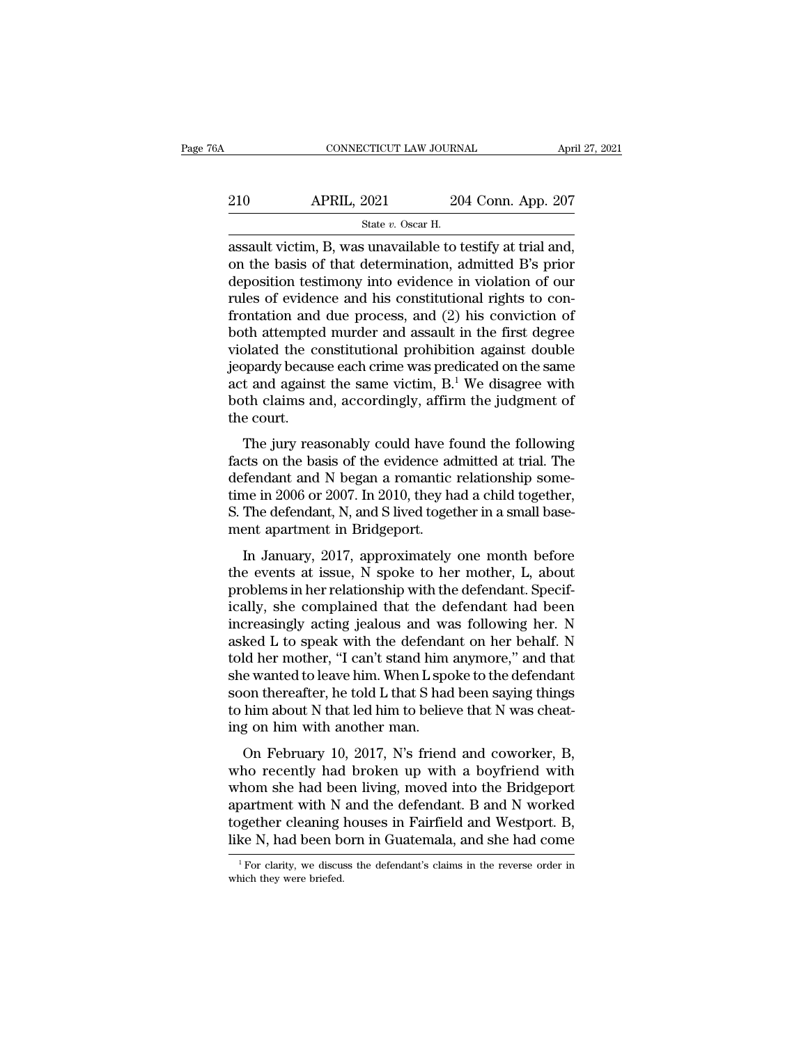| ЗA  | CONNECTICUT LAW JOURNAL                                  |                    | April 27, 2021 |
|-----|----------------------------------------------------------|--------------------|----------------|
| 210 | <b>APRIL, 2021</b>                                       | 204 Conn. App. 207 |                |
|     | State v. Oscar H.                                        |                    |                |
|     | assault victim B was unavailable to testify at trial and |                    |                |

CONNECTICUT LAW JOURNAL April 27, 20<br>
210 APRIL, 2021 204 Conn. App. 207<br>  $\frac{\text{State } v. \text{ Oscar H.}}{\text{assault victim, B, was unavailable to testify at trial and,}}$ <br>
on the basis of that determination, admitted B's prior 210 APRIL, 2021 204 Conn. App. 207<br>
State v. Oscar H.<br>
assault victim, B, was unavailable to testify at trial and,<br>
on the basis of that determination, admitted B's prior<br>
deposition testimony into evidence in violation o 210 APRIL, 2021 204 Conn. App. 207<br>
State v. Oscar H.<br>
assault victim, B, was unavailable to testify at trial and,<br>
on the basis of that determination, admitted B's prior<br>
deposition testimony into evidence in violation o 210 APRIL, 2021 204 Conn. App. 207<br>
state v. Oscar H.<br>
assault victim, B, was unavailable to testify at trial and,<br>
on the basis of that determination, admitted B's prior<br>
deposition testimony into evidence in violation o State v. Oscar H.<br>
State v. Oscar H.<br>
assault victim, B, was unavailable to testify at trial and,<br>
on the basis of that determination, admitted B's prior<br>
deposition testimony into evidence in violation of our<br>
rules of e state v. Oscar H.<br>
assault victim, B, was unavailable to testify at trial and,<br>
on the basis of that determination, admitted B's prior<br>
deposition testimony into evidence in violation of our<br>
rules of evidence and his con assault victim, B, was unavailable to testify at trial and,<br>on the basis of that determination, admitted B's prior<br>deposition testimony into evidence in violation of our<br>rules of evidence and his constitutional rights to on the basis of that determination, admitted B's prior<br>deposition testimony into evidence in violation of our<br>rules of evidence and his constitutional rights to con-<br>frontation and due process, and (2) his conviction of<br>b deposition testimony into evidence in violation of our<br>rules of evidence and his constitutional rights to con-<br>frontation and due process, and (2) his conviction of<br>both attempted murder and assault in the first degree<br>vio rules of evidence and his constitutional rights to confrontation and due process, and  $(2)$  his conviction of both attempted murder and assault in the first degree violated the constitutional prohibition against double je frontation and<br>both attemptec<br>violated the co<br>jeopardy becau<br>act and agains<br>both claims ar<br>the court.<br>The jury rea blated the constitutional prohibition against double<br>pardy because each crime was predicated on the same<br>t and against the same victim,  $B$ <sup>1</sup> We disagree with<br>th claims and, accordingly, affirm the judgment of<br>e court.<br>T beyondy because each crime was predicated on the same<br>act and against the same victim,  $B^1$  We disagree with<br>both claims and, accordingly, affirm the judgment of<br>the court.<br>The jury reasonably could have found the follow

act and against the same victim,  $B$ .<sup>1</sup> We disagree with both claims and, accordingly, affirm the judgment of the court.<br>The jury reasonably could have found the following facts on the basis of the evidence admitted at t act and against the same victim, b. We disagree with<br>both claims and, accordingly, affirm the judgment of<br>the court.<br>The jury reasonably could have found the following<br>facts on the basis of the evidence admitted at trial. Sourcelessing, accordingly, and the discussion of the court.<br>The jury reasonably could have found the following<br>facts on the basis of the evidence admitted at trial. The<br>defendant and N began a romantic relationship some-<br> The jury reasonably could have facts on the basis of the evidence addefendant and N began a romantic time in 2006 or 2007. In 2010, they has S. The defendant, N, and S lived toget ment apartment in Bridgeport. In January, The Jary reasonably collid flave found the following<br>the son the basis of the evidence admitted at trial. The<br>fendant and N began a romantic relationship some-<br>ne in 2006 or 2007. In 2010, they had a child together,<br>The de racts on the basis of the evidence admitted at that. The<br>defendant and N began a romantic relationship some-<br>time in 2006 or 2007. In 2010, they had a child together,<br>S. The defendant, N, and S lived together in a small ba

decendant and N began a romantic relationship sometime in 2006 or 2007. In 2010, they had a child together, S. The defendant, N, and S lived together in a small basement apartment in Bridgeport.<br>In January, 2017, approxima ince in 2000 or 2007. In 2010, they had a child together,<br>S. The defendant, N, and S lived together in a small base-<br>ment apartment in Bridgeport.<br>In January, 2017, approximately one month before<br>the events at issue, N spo is. The decendant, it, and is also algorithment at sindar basement apartment in Bridgeport.<br>
In January, 2017, approximately one month before<br>
the events at issue, N spoke to her mother, L, about<br>
problems in her relations In January, 2017, approximately one month before<br>the events at issue, N spoke to her mother, L, about<br>problems in her relationship with the defendant. Specif-<br>ically, she complained that the defendant had been<br>increasingly In January, 2017, approximately one month before<br>the events at issue, N spoke to her mother, L, about<br>problems in her relationship with the defendant. Specif-<br>ically, she complained that the defendant had been<br>increasingly the events at issue, N spoke to her mother, L, about<br>problems in her relationship with the defendant. Specif-<br>ically, she complained that the defendant had been<br>increasingly acting jealous and was following her. N<br>asked L problems in her relationship with the defendant. Specifically, she complained that the defendant had been increasingly acting jealous and was following her. N<br>asked L to speak with the defendant on her behalf. N<br>told her m ically, she complained that the defendant had been<br>increasingly acting jealous and was following her. N<br>asked L to speak with the defendant on her behalf. N<br>told her mother, "I can't stand him anymore," and that<br>she wanted increasingly acting jealous and wasked L to speak with the defendatold her mother, "I can't stand him she wanted to leave him. When L sposon thereafter, he told L that S had to him about N that led him to believing on him Id her mother, "I can't stand him anymore," and that<br>e wanted to leave him. When L spoke to the defendant<br>on thereafter, he told L that S had been saying things<br>him about N that led him to believe that N was cheat-<br>g on hi she wanted to leave him. When L spoke to the defendant<br>soon thereafter, he told L that S had been saying things<br>to him about N that led him to believe that N was cheat-<br>ing on him with another man.<br>On February 10, 2017, N'

she wanted to cave him. When Espoke to the detendant<br>soon thereafter, he told L that S had been saying things<br>to him about N that led him to believe that N was cheat-<br>ing on him with another man.<br>On February 10, 2017, N's From about N that led him to believe that N was cheat-<br>ing on him with another man.<br>On February 10, 2017, N's friend and coworker, B,<br>who recently had broken up with a boyfriend with<br>whom she had been living, moved into t to find about it that icd find to befice that it was clear<br>ing on him with another man.<br>On February 10, 2017, N's friend and coworker, B,<br>who recently had broken up with a boyfriend with<br>whom she had been living, moved int In February 10, 2017, N's friend and coworker, B,<br>who recently had broken up with a boyfriend with<br>whom she had been living, moved into the Bridgeport<br>apartment with N and the defendant. B and N worked<br>together cleaning h whom she had been living, moved into the Bridgeport apartment with N and the defendant. B and N worked together cleaning houses in Fairfield and Westport. B, like N, had been born in Guatemala, and she had come  $\frac{1}{1}$  like N, had been born in Guatemala, and she had come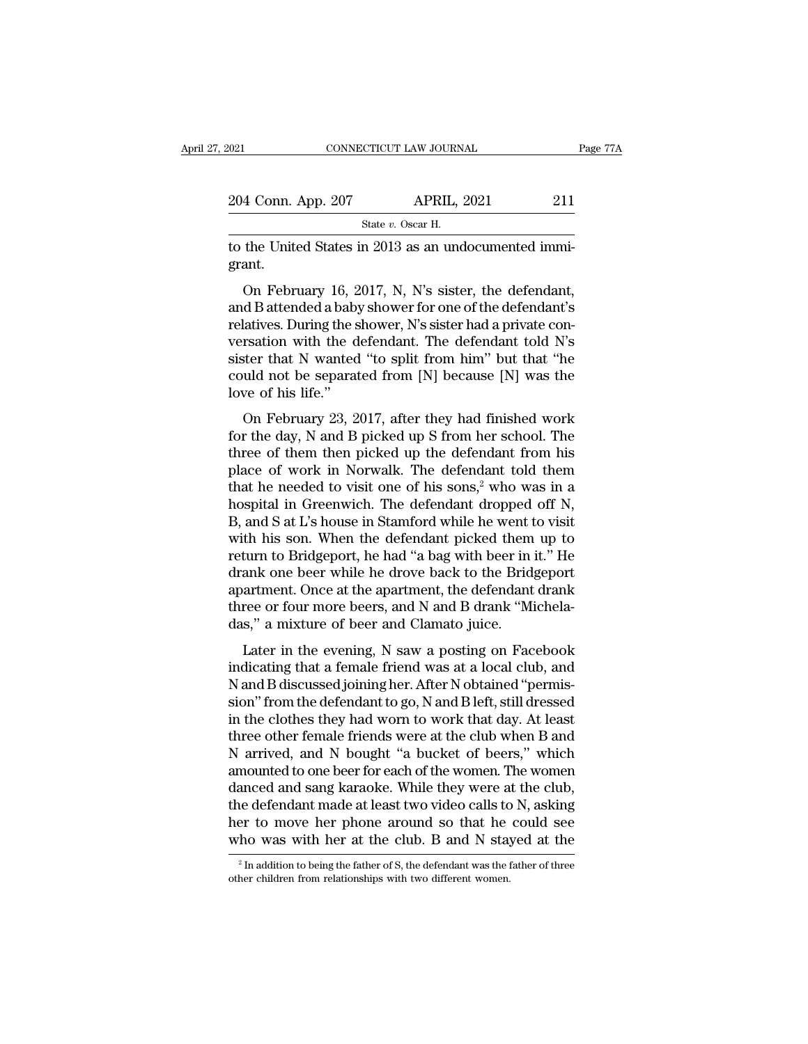| 2021                                                  | CONNECTICUT LAW JOURNAL | Page 77A |
|-------------------------------------------------------|-------------------------|----------|
| 204 Conn. App. 207                                    | <b>APRIL, 2021</b>      | 211      |
|                                                       | State v. Oscar H.       |          |
| to the United States in 2013 as an undocumented immi- |                         |          |

to the United States in 2013 as an undocumented immigrant. grant.

4 Conn. App. 207 APRIL, 2021 211<br>
State v. Oscar H.<br>
the United States in 2013 as an undocumented immiant.<br>
On February 16, 2017, N, N's sister, the defendant,<br>
d B attended a baby shower for one of the defendant's<br>
lativ 204 Conn. App. 207 APRIL, 2021 211<br>
State v. Oscar H.<br>
to the United States in 2013 as an undocumented immigrant.<br>
On February 16, 2017, N, N's sister, the defendant,<br>
and B attended a baby shower for one of the defendant State v. Oscar H.<br>
to the United States in 2013 as an undocumented immigrant.<br>
On February 16, 2017, N, N's sister, the defendant,<br>
and B attended a baby shower for one of the defendant's<br>
relatives. During the shower, N' to the United States in 2013 as an undocumented immigrant.<br>
On February 16, 2017, N, N's sister, the defendant,<br>
and B attended a baby shower for one of the defendant's<br>
relatives. During the shower, N's sister had a priva of the United Blacks in 2019 as an undocumented inhin-<br>grant.<br>On February 16, 2017, N, N's sister, the defendant,<br>and B attended a baby shower for one of the defendant's<br>relatives. During the shower, N's sister had a priva On February 16, 2017, N, N's sister, the defendant,<br>and B attended a baby shower for one of the defendant's<br>relatives. During the shower, N's sister had a private con-<br>versation with the defendant. The defendant told N's<br>s On February 16, 2<br>and B attended a baby<br>relatives. During the s<br>versation with the d<br>sister that N wanted<br>could not be separat<br>love of his life."<br>On February 23, 2 a b attended a baby shower for one of the determinant is<br>latives. During the shower, N's sister had a private con-<br>rsation with the defendant. The defendant told N's<br>ster that N wanted "to split from him" but that "he<br>uld Fractives. During the shower, it's stister had a private conversation with the defendant. The defendant told N's<br>sister that N wanted "to split from him" but that "he<br>could not be separated from [N] because [N] was the<br>lov

sister that N wanted "to split from him" but that "he<br>could not be separated from [N] because [N] was the<br>love of his life."<br>On February 23, 2017, after they had finished work<br>for the day, N and B picked up S from her sch sister that it wanted to spin from finit but that its<br>could not be separated from [N] because [N] was the<br>love of his life."<br>On February 23, 2017, after they had finished work<br>for the day, N and B picked up S from her sch to be separated from [N] because [N] was the<br>love of his life."<br>On February 23, 2017, after they had finished work<br>for the day, N and B picked up S from her school. The<br>three of them then picked up the defendant from his<br> On February 23, 2017, after they had finished work<br>for the day, N and B picked up S from her school. The<br>three of them then picked up the defendant from his<br>place of work in Norwalk. The defendant told them<br>that he needed On February 23, 2017, after they had finished work<br>for the day, N and B picked up S from her school. The<br>three of them then picked up the defendant from his<br>place of work in Norwalk. The defendant told them<br>that he needed for the day, N and B picked up S from her school. The<br>three of them then picked up the defendant from his<br>place of work in Norwalk. The defendant told them<br>that he needed to visit one of his sons,<sup>2</sup> who was in a<br>hospital three of them then picked up the defendant from his<br>place of work in Norwalk. The defendant told them<br>that he needed to visit one of his sons,<sup>2</sup> who was in a<br>hospital in Greenwich. The defendant dropped off N,<br>B, and S at place of work in Norwalk. The defendant told them<br>that he needed to visit one of his sons,<sup>2</sup> who was in a<br>hospital in Greenwich. The defendant dropped off N,<br>B, and S at L's house in Stamford while he went to visit<br>with h that he needed to visit one of his sons,<sup>2</sup> who was in a<br>hospital in Greenwich. The defendant dropped off N,<br>B, and S at L's house in Stamford while he went to visit<br>with his son. When the defendant picked them up to<br>retur hospital in Greenwich. The defendant dropped off N, B, and S at L's house in Stamford while he went to visit with his son. When the defendant picked them up to return to Bridgeport, he had "a bag with beer in it." He drank B, and S at L's house in Stamford while he went t<br>with his son. When the defendant picked them<br>return to Bridgeport, he had "a bag with beer in<br>drank one beer while he drove back to the Brid<br>apartment. Once at the apartmen Later in the evening, N saw a posting on Facebook<br>Later in it." He<br>ank one beer while he drove back to the Bridgeport<br>artment. Once at the apartment, the defendant drank<br>ree or four more beers, and N and B drank "Michela-<br> indicating that a female friend was at a local club, and B discussed joining her. After N obtained "Michela-<br>Later in the evening, N saw a posting on Facebook<br>indicating that a female friend was at a local club, and<br>N and

Mark one beef while he drove back to the Bridgeport<br>apartment. Once at the apartment, the defendant drank<br>three or four more beers, and N and B drank "Michela-<br>das," a mixture of beer and Clamato juice.<br>Later in the evenin aparament. Once at the aparament, the defendant drame<br>three or four more beers, and N and B drank "Michela-<br>das," a mixture of beer and Clamato juice.<br>Later in the evening, N saw a posting on Facebook<br>indicating that a fem das," a mixture of beer and Clamato juice.<br>
Later in the evening, N saw a posting on Facebook<br>
indicating that a female friend was at a local club, and<br>
N and B discussed joining her. After N obtained "permis-<br>
sion" from the means of sect and standard gate.<br>Later in the evening, N saw a posting on Facebook<br>indicating that a female friend was at a local club, and<br>N and B discussed joining her. After N obtained "permis-<br>sion" from the defend Later in the evening, N saw a posting on Facebook<br>indicating that a female friend was at a local club, and<br>N and B discussed joining her. After N obtained "permis-<br>sion" from the defendant to go, N and B left, still dresse indicating that a female friend was at a local club, and<br>N and B discussed joining her. After N obtained "permis-<br>sion" from the defendant to go, N and B left, still dressed<br>in the clothes they had worn to work that day. A N and B discussed joining her. After N obtained "permission" from the defendant to go, N and B left, still dressed<br>in the clothes they had worn to work that day. At least<br>three other female friends were at the club when B sion" from the defendant to go, N and B left, still dressed<br>in the clothes they had worn to work that day. At least<br>three other female friends were at the club when B and<br>N arrived, and N bought "a bucket of beers," which<br> in the clothes they had worn to work that day. At least<br>three other female friends were at the club when B and<br>N arrived, and N bought "a bucket of beers," which<br>amounted to one beer for each of the women. The women<br>danced three other female friends were at the club when B and N arrived, and N bought "a bucket of beers," which amounted to one beer for each of the women. The women danced and sang karaoke. While they were at the club, the def danced and sang karaoke. While they were at the club,<br>the defendant made at least two video calls to N, asking<br>her to move her phone around so that he could see<br>who was with her at the club. B and N stayed at the<br> $\frac{2 \text{$ who was with her at the club. B and N stayed at the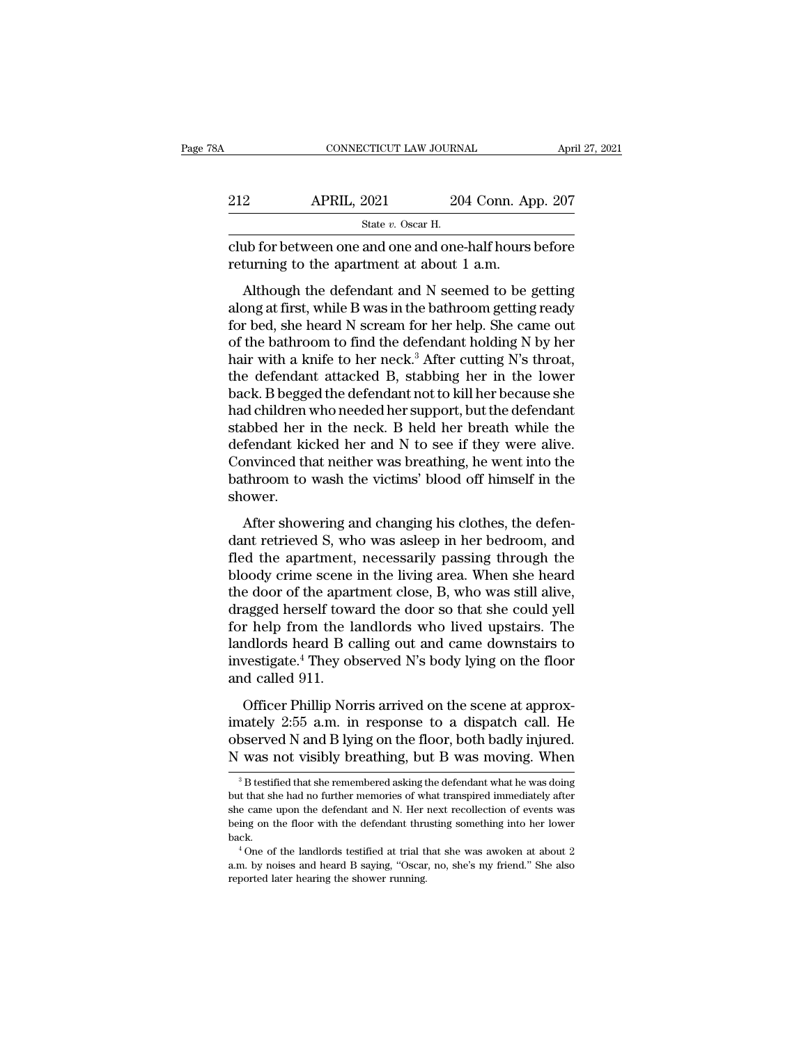| Ά   | CONNECTICUT LAW JOURNAL                                                                              |                    | April 27, 2021 |
|-----|------------------------------------------------------------------------------------------------------|--------------------|----------------|
| 212 | <b>APRIL, 2021</b>                                                                                   | 204 Conn. App. 207 |                |
|     | State v. Oscar H.                                                                                    |                    |                |
|     | club for between one and one and one-half hours before<br>returning to the apartment at about 1 a.m. |                    |                |
|     | Although the defendant and N seemed to be getting                                                    |                    |                |

APRIL, 2021 204 Conn. App. 207<br>
State v. Oscar H.<br>
ab for between one and one and one-half hours before<br>
turning to the apartment at about 1 a.m.<br>
Although the defendant and N seemed to be getting<br>
ong at first, while B w 212 APRIL, 2021 204 Conn. App. 207<br>  $\frac{\text{State } v. \text{ Oscar H.}}{\text{club for between one and one and one-half hours before}$ <br>
returning to the apartment at about 1 a.m.<br>
Although the defendant and N seemed to be getting<br>
along at first, while B was in the bathroom getting re State v. Oscar H.<br>
club for between one and one and one-half hours before<br>
returning to the apartment at about 1 a.m.<br>
Although the defendant and N seemed to be getting<br>
along at first, while B was in the bathroom getting club for between one and one and one-half hours before<br>returning to the apartment at about 1 a.m.<br>Although the defendant and N seemed to be getting<br>along at first, while B was in the bathroom getting ready<br>for bed, she he returning to the apartment at about 1 a.m.<br>Although the defendant and N seemed to be getting<br>along at first, while B was in the bathroom getting ready<br>for bed, she heard N scream for her help. She came out<br>of the bathroom Although the defendant and N seemed to be getting<br>along at first, while B was in the bathroom getting ready<br>for bed, she heard N scream for her help. She came out<br>of the bathroom to find the defendant holding N by her<br>hai Although the defendant and N seemed to be getting<br>along at first, while B was in the bathroom getting ready<br>for bed, she heard N scream for her help. She came out<br>of the bathroom to find the defendant holding N by her<br>hair along at first, while B was in the bathroom getting ready<br>for bed, she heard N scream for her help. She came out<br>of the bathroom to find the defendant holding N by her<br>hair with a knife to her neck.<sup>3</sup> After cutting N's th for bed, she heard N scream for her help. She came out<br>of the bathroom to find the defendant holding N by her<br>hair with a knife to her neck.<sup>3</sup> After cutting N's throat,<br>the defendant attacked B, stabbing her in the lower<br> of the bathroom to find the defendant holding N by her<br>hair with a knife to her neck.<sup>3</sup> After cutting N's throat,<br>the defendant attacked B, stabbing her in the lower<br>back. B begged the defendant not to kill her because sh hair with a knife to her neck.<sup>3</sup> After cutting N's throat,<br>the defendant attacked B, stabbing her in the lower<br>back. B begged the defendant not to kill her because she<br>had children who needed her support, but the defendan the defendant attacked B, stabbing her in the lower<br>back. B begged the defendant not to kill her because she<br>had children who needed her support, but the defendant<br>stabbed her in the neck. B held her breath while the<br>defen shower. After showering and changing his clothes, the defendant his feeder in the neck. B held her breath while the fendant kicked her and N to see if they were alive.<br>
Invinced that neither was breathing, he went into the throom defendant kicked her and N to see if they were alive.<br>Convinced that neither was breathing, he went into the<br>bathroom to wash the victims' blood off himself in the<br>shower.<br>After showering and changing his clothes, the defe

flexibility denoted the apartment of the second intervals.<br>Convinced that neither was breathing, he went into the bathroom to wash the victims' blood off himself in the<br>shower.<br>After showering and changing his clothes, the bathroom to wash the victims' blood off himself in the<br>shower.<br>After showering and changing his clothes, the defen-<br>dant retrieved S, who was asleep in her bedroom, and<br>fled the apartment, necessarily passing through the<br>b station to wash are viesness stood of finals in and<br>shower.<br>After showering and changing his clothes, the defen-<br>dant retrieved S, who was asleep in her bedroom, and<br>fled the apartment, necessarily passing through the<br>bloo After showering and changing his clothes, the defendant retrieved S, who was asleep in her bedroom, and fled the apartment, necessarily passing through the bloody crime scene in the living area. When she heard the door of After showering and changing his clothes, the defen-<br>dant retrieved S, who was asleep in her bedroom, and<br>fled the apartment, necessarily passing through the<br>bloody crime scene in the living area. When she heard<br>the door dant retrieved S, who was asleep in her bedroom, and<br>fled the apartment, necessarily passing through the<br>bloody crime scene in the living area. When she heard<br>the door of the apartment close, B, who was still alive,<br>dragge fled the apartment, necessarily passing through the<br>bloody crime scene in the living area. When she heard<br>the door of the apartment close, B, who was still alive,<br>dragged herself toward the door so that she could yell<br>for bloody crime scene<br>the door of the apart<br>dragged herself tow:<br>for help from the la<br>landlords heard B c:<br>investigate.<sup>4</sup> They ob<br>and called 911.<br>Officer Phillip Nor de door of the apdrament crose, *D*, who was san anve,<br>agged herself toward the door so that she could yell<br>r help from the landlords who lived upstairs. The<br>adlords heard B calling out and came downstairs to<br>vestigate.<sup>4</sup> imately 2:55 a.m. in response to a dispatch call. He<br>observed N's body lying on the floor<br>investigate.<sup>4</sup> They observed N's body lying on the floor<br>and called 911.<br>Officer Phillip Norris arrived on the scene at approx-<br>ima

For Rep Hom are analored who fived appears. The landlords heard B calling out and came downstairs to investigate.<sup>4</sup> They observed N's body lying on the floor and called 911.<br>Officer Phillip Norris arrived on the scene at investigate.<sup>4</sup> They observed N's body lying on the floor<br>and called 911.<br>Officer Phillip Norris arrived on the scene at approx-<br>imately 2:55 a.m. in response to a dispatch call. He<br>observed N and B lying on the floor, bot Officer Phillip Norris arrived on the scene at approx-<br>nately 2:55 a.m. in response to a dispatch call. He<br>bserved N and B lying on the floor, both badly injured.<br>was not visibly breathing, but B was moving. When<br> $\frac{3}{8}$ imately 2:55 a.m. in response to a dispatch call. He observed N and B lying on the floor, both badly injured.<br>N was not visibly breathing, but B was moving. When  $\frac{3}{B}$  after memories of what transpired immediately aft

observed N and B lying on the floor, both badly injured.<br>N was not visibly breathing, but B was moving. When<br><sup>3</sup>B testified that she remembered asking the defendant what he was doing<br>but that she had no further memories of N was not visibly breathing, but B was moving. When<br>  $\frac{3}{10}$  B testified that she remembered asking the defendant what he was doing<br>
but that she had no further memories of what transpired immediately after<br>
she came u back. <sup>3</sup> B testified that she remembered asking the defendant what he was doing it that she had no further memories of what transpired immediately after e came upon the defendant and N. Her next recollection of events was aing but that she had no further memories of what transpired immediately after she came upon the defendant and N. Her next recollection of events was being on the floor with the defendant thrusting something into her lower back but that she had no further memories of what transpired immediately after she came upon the defendant and N. Her next recollection of events was being on the floor with the defendant thrusting something into her lower back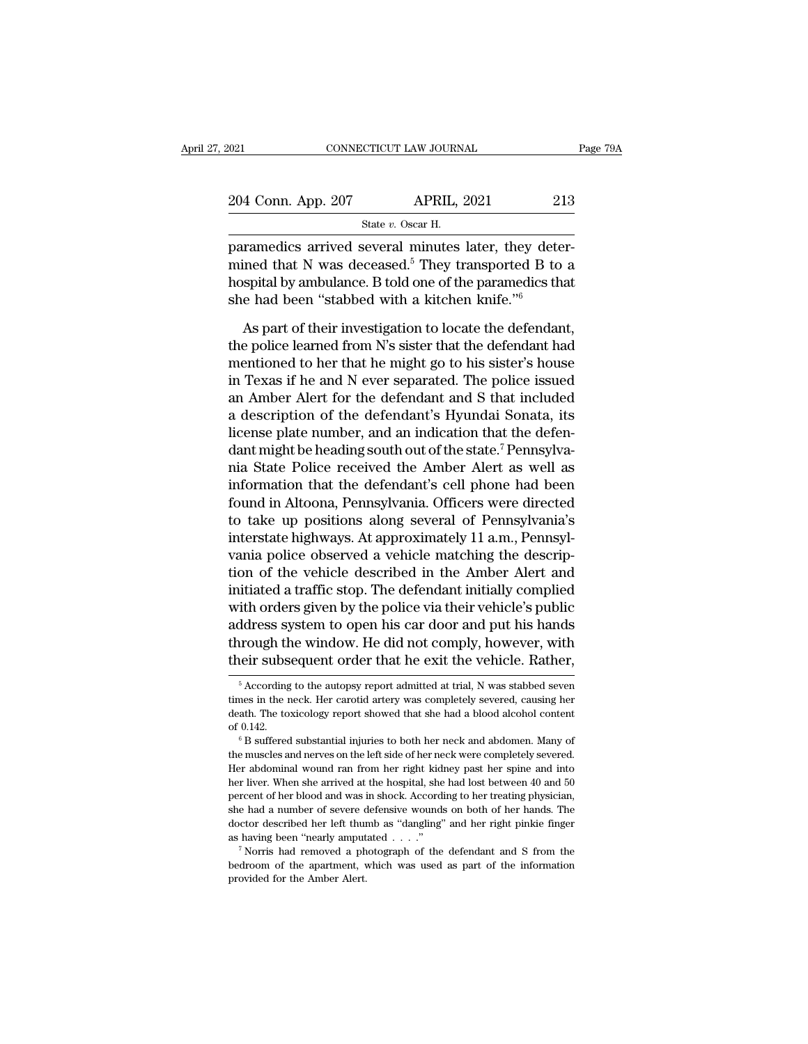| 2021                                                 | CONNECTICUT LAW JOURNAL | Page 79A |
|------------------------------------------------------|-------------------------|----------|
| 204 Conn. App. 207                                   | <b>APRIL, 2021</b>      | 213      |
|                                                      | State v. Oscar H.       |          |
| naramedics arrived several minutes later they deter- |                         |          |

FORT CONNECTICUT LAW JOURNAL<br>
2014 Conn. App. 207 APRIL, 2021 213<br>
5tate v. Oscar H.<br>
paramedics arrived several minutes later, they deter-<br>
mined that N was deceased.<sup>5</sup> They transported B to a<br>
homital by ambulance B tol 204 Conn. App. 207 APRIL, 2021 213<br>
State v. Oscar H.<br>
paramedics arrived several minutes later, they deter-<br>
mined that N was deceased.<sup>5</sup> They transported B to a<br>
hospital by ambulance. B told one of the paramedics that 204 Conn. App. 207 APRIL, 2021 213<br>
State v. Oscar H.<br>
paramedics arrived several minutes later, they deter-<br>
mined that N was deceased.<sup>5</sup> They transported B to a<br>
hospital by ambulance. B told one of the paramedics that 204 Conn. App. 207 APRIL, 2021 22<br>
State v. Oscar H.<br>
paramedics arrived several minutes later, they determined that N was deceased.<sup>5</sup> They transported B to<br>
hospital by ambulance. B told one of the paramedics the<br>
she h State v. Oscar H.<br>
Framedics arrived several minutes later, they deter-<br>
ined that N was deceased.<sup>5</sup> They transported B to a<br>
spital by ambulance. B told one of the paramedics that<br>
e had been "stabbed with a kitchen kni paramedics arrived several minutes later, they deter-<br>mined that N was deceased.<sup>5</sup> They transported B to a<br>hospital by ambulance. B told one of the paramedics that<br>she had been "stabbed with a kitchen knife."<br>As part of t

mined that N was deceased.<sup>5</sup> They transported B to a<br>hospital by ambulance. B told one of the paramedics that<br>she had been "stabbed with a kitchen knife."<br>As part of their investigation to locate the defendant,<br>the polic hospital by ambulance. B told one of the paramedics that<br>she had been "stabbed with a kitchen knife."<br>As part of their investigation to locate the defendant,<br>the police learned from N's sister that the defendant had<br>mentio she had been "stabbed with a kitchen knife."<br>As part of their investigation to locate the defendant,<br>the police learned from N's sister that the defendant had<br>mentioned to her that he might go to his sister's house<br>in Texa As part of their investigation to locate the defendant,<br>the police learned from N's sister that the defendant had<br>mentioned to her that he might go to his sister's house<br>in Texas if he and N ever separated. The police iss As part of their investigation to locate the defendant,<br>the police learned from N's sister that the defendant had<br>mentioned to her that he might go to his sister's house<br>in Texas if he and N ever separated. The police issu the police learned from N's sister that the defendant had<br>mentioned to her that he might go to his sister's house<br>in Texas if he and N ever separated. The police issued<br>an Amber Alert for the defendant and S that included<br> mentioned to her that he might go to his sister's house<br>in Texas if he and N ever separated. The police issued<br>an Amber Alert for the defendant and S that included<br>a description of the defendant's Hyundai Sonata, its<br>licen in Texas if he and N ever separated. The police issued<br>an Amber Alert for the defendant and S that included<br>a description of the defendant's Hyundai Sonata, its<br>license plate number, and an indication that the defen-<br>dant an Amber Alert for the defendant and S that included<br>a description of the defendant's Hyundai Sonata, its<br>license plate number, and an indication that the defen-<br>dant might be heading south out of the state.<sup>7</sup> Pennsylva-<br> a description of the defendant's Hyundai Sonata, its<br>license plate number, and an indication that the defen-<br>dant might be heading south out of the state.<sup>7</sup> Pennsylva-<br>nia State Police received the Amber Alert as well as<br> license plate number, and an indication that the defendant might be heading south out of the state.<sup>7</sup> Pennsylvania State Police received the Amber Alert as well as information that the defendant's cell phone had been foun dant might be heading south out of the state.<sup>7</sup> Pennsylvania State Police received the Amber Alert as well as information that the defendant's cell phone had been found in Altoona, Pennsylvania. Officers were directed to nia State Police received the Amber Alert as well as<br>information that the defendant's cell phone had been<br>found in Altoona, Pennsylvania. Officers were directed<br>to take up positions along several of Pennsylvania's<br>intersta information that the defendant's cell phone had been<br>found in Altoona, Pennsylvania. Officers were directed<br>to take up positions along several of Pennsylvania's<br>interstate highways. At approximately 11 a.m., Pennsyl-<br>vania found in Altoona, Pennsylvania. Officers were directed<br>to take up positions along several of Pennsylvania's<br>interstate highways. At approximately 11 a.m., Pennsyl-<br>vania police observed a vehicle matching the descrip-<br>tion to take up positions along several of Pennsylvania's<br>interstate highways. At approximately 11 a.m., Pennsyl-<br>vania police observed a vehicle matching the descrip-<br>tion of the vehicle described in the Amber Alert and<br>initia interstate highways. At approximately 11 a.m., Pennsylvania police observed a vehicle matching the description of the vehicle described in the Amber Alert and initiated a traffic stop. The defendant initially complied with vania police observed a vehicle matching the description of the vehicle described in the Amber Alert and initiated a traffic stop. The defendant initially complied with orders given by the police via their vehicle's public The formulation of the poince via their venicle's public<br>ddress system to open his car door and put his hands<br>irough the window. He did not comply, however, with<br>eir subsequent order that he exit the vehicle. Rather,<br> $\frac{5$ address system to open his car door and put his hands<br>through the window. He did not comply, however, with<br>their subsequent order that he exit the vehicle. Rather,<br><sup>5</sup> According to the autopsy report admitted at trial, N w

through the window. He did not comply, however, with<br>their subsequent order that he exit the vehicle. Rather,<br><sup>5</sup> According to the autopsy report admitted at trial, N was stabbed seven<br>times in the neck. Her carotid artery Their subsequent order that he exit the vehicle. Rather,<br>
<sup>5</sup> According to the autopsy report admitted at trial, N was stabbed seven<br>
times in the neck. Her carotid artery was completely severed, causing her<br>
death. The to <sup>5</sup> According to the autopsy report admitted at trial, N was stabbed seven times in the neck. Her carotid artery was completely severed, causing her death. The toxicology report showed that she had a blood alcohol content

Here abdominal wound ran from her right kidney past her spine and interesting her death. The toxicology report showed that she had a blood alcohol content of 0.142.<br>
<sup>6</sup> B suffered substantial injuries to both her neck and death. The toxicology report showed that she had a blood alcohol content of 0.142.<br>
<sup>6</sup> B suffered substantial injuries to both her neck and abdomen. Many of the muscles and nerves on the left side of her neck were complet of 0.142.<br>
<sup>6</sup> B suffered substantial injuries to both her neck and abdomen. Many of<br>
the muscles and nerves on the left side of her neck were completely severed.<br>
Her abdominal wound ran from her right kidney past her spi <sup>or</sup> B suffered substantial injuries to both her neck and abdomen. Many of<br>the muscles and nerves on the left side of her neck were completely severed.<br>Her abdominal wound ran from her right kidney past her spine and into<br> the muscles and nerves on the left side of her neck were completely severed.<br>Her abdominal wound ran from her right kidney past her spine and into<br>her liver. When she arrived at the hospital, she had lost between 40 and 50 Her abdominal wound ran from her right kidney past her spine and into her liver. When she arrived at the hospital, she had lost between 40 and 50 percent of her blood and was in shock. According to her treating physician, be percent of her blood and was in shock. According to her treating physician, she had a number of severe defensive wounds on both of her hands. The doctor described her left thumb as "dangling" and her right pinkie finge percent of her blood and was in shock. According to her treating physician, she had a number of severe defensive wounds on both of her hands. The doctor described her left thumb as "dangling" and her right pinkie finger a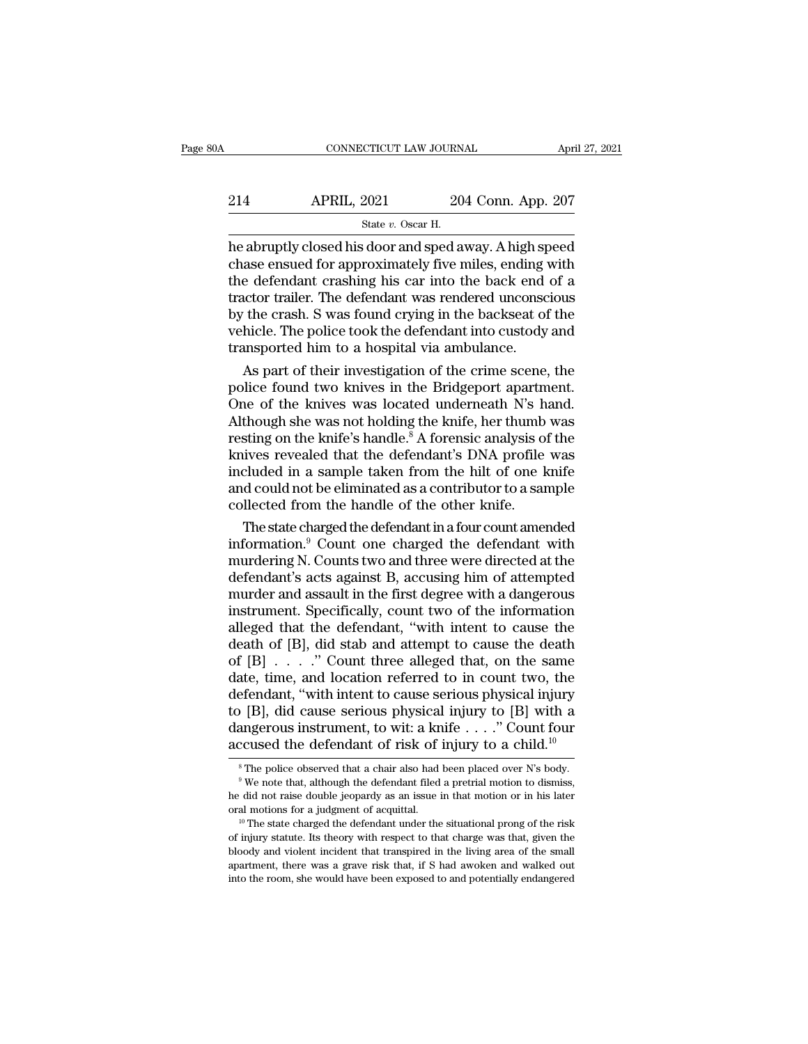# CONNECTICUT LAW JOURNAL April 27, 2021<br>214 APRIL, 2021 204 Conn. App. 207<br>3tate v. Oscar H. EXTICUT LAW JOURN.<br>2021 20<br>State *v.* Oscar H.<br>Gloor and sped a

CONNECTICUT LAW JOURNAL April 27, 2021<br>
214 APRIL, 2021 204 Conn. App. 207<br>
<sup>214</sup> State v. Oscar H.<br>
he abruptly closed his door and sped away. A high speed<br>
chase ensued for approximately five miles, ending with<br>
the defe 214 APRIL, 2021 204 Conn. App. 207<br>  $\frac{\text{State } v. \text{ Oscar H.}}{\text{Rate } v. \text{ Oscar H.}}$ <br>
he abruptly closed his door and sped away. A high speed<br>
chase ensued for approximately five miles, ending with<br>
the defendant crashing his car into th 214 APRIL, 2021 204 Conn. App. 207<br>  $\frac{8\textrm{tate }v.\ \textrm{Oscar H.}}{204\textrm{t}.\ \textrm{A}^2}$ <br>
he abruptly closed his door and sped away. A high speed<br>
chase ensued for approximately five miles, ending with<br>
the defendant crashing h 214 APRIL, 2021 204 Conn. App. 207<br>  $\frac{\text{State } v. \text{ Oscar H.}}{\text{the abruptly closed his door and speed away. A high speed}}$ <br>
chase ensued for approximately five miles, ending with<br>
the defendant crashing his car into the back end of a<br>
tractor trailer. The defendant was ren  $\frac{1}{20}$  State v. Oscar H.<br>
State v. Oscar H.<br>
he abruptly closed his door and sped away. A high speed<br>
chase ensued for approximately five miles, ending with<br>
the defendant crashing his car into the back end of a<br>
trac State v. Oscar H.<br>
he abruptly closed his door and sped away. A high speed<br>
chase ensued for approximately five miles, ending with<br>
the defendant crashing his car into the back end of a<br>
tractor trailer. The defendant was he abruptly closed his door and sped away. A high sp<br>chase ensued for approximately five miles, ending v<br>the defendant crashing his car into the back end<br>tractor trailer. The defendant was rendered unconsc<br>by the crash. S as eensued for approximately five miles, ending with<br>
e defendant crashing his car into the back end of a<br>
actor trailer. The defendant was rendered unconscious<br>
the crash. S was found crying in the backseat of the<br>
hicle. the defendant crashing his car into the back end of a<br>tractor trailer. The defendant was rendered unconscious<br>by the crash. S was found crying in the backseat of the<br>vehicle. The police took the defendant into custody and<br>

tractor trailer. The defendant was rendered unconscious<br>by the crash. S was found crying in the backseat of the<br>vehicle. The police took the defendant into custody and<br>transported him to a hospital via ambulance.<br>As part o by the crash. S was found crying in the backseat of the<br>vehicle. The police took the defendant into custody and<br>transported him to a hospital via ambulance.<br>As part of their investigation of the crime scene, the<br>police fou vehicle. The police took the defendant into custody and<br>transported him to a hospital via ambulance.<br>As part of their investigation of the crime scene, the<br>police found two knives in the Bridgeport apartment.<br>One of the kn transported him to a hospital via ambulance.<br>
As part of their investigation of the crime scene, the<br>
police found two knives in the Bridgeport apartment.<br>
One of the knives was located underneath N's hand.<br>
Although she w As part of their investigation of the crime scene, the<br>police found two knives in the Bridgeport apartment.<br>One of the knives was located underneath N's hand.<br>Although she was not holding the knife, her thumb was<br>resting o police found two knives in the Bridgeport apartment.<br>One of the knives was located underneath N's hand.<br>Although she was not holding the knife, her thumb was<br>resting on the knife's handle.<sup>8</sup> A forensic analysis of the<br>kni One of the knives was located underneath  $N$ 's h<br>Although she was not holding the knife, her thumb<br>resting on the knife's handle.<sup>8</sup> A forensic analysis of<br>knives revealed that the defendant's DNA profile<br>included in a sa though she was not holding the knife, her thumb was<br>sting on the knife's handle.<sup>8</sup> A forensic analysis of the<br>ives revealed that the defendant's DNA profile was<br>cluded in a sample taken from the hilt of one knife<br>d could resting on the knife's handle.° A forensic analysis of the<br>knives revealed that the defendant's DNA profile was<br>included in a sample taken from the hilt of one knife<br>and could not be eliminated as a contributor to a sample

knives revealed that the defendant's DNA profile was<br>included in a sample taken from the hilt of one knife<br>and could not be eliminated as a contributor to a sample<br>collected from the handle of the other knife.<br>The state ch included in a sample taken from the hilt of one knife<br>and could not be eliminated as a contributor to a sample<br>collected from the handle of the other knife.<br>The state charged the defendant in a four count amended<br>informati and could not be eliminated as a contributor to a sample<br>collected from the handle of the other knife.<br>The state charged the defendant in a four count amended<br>information.<sup>9</sup> Count one charged the defendant with<br>murdering collected from the handle of the other knife.<br>
The state charged the defendant in a four count amended<br>
information.<sup>9</sup> Count one charged the defendant with<br>
murdering N. Counts two and three were directed at the<br>
defendan The state charged the defendant in a four count amended<br>information.<sup>9</sup> Count one charged the defendant with<br>murdering N. Counts two and three were directed at the<br>defendant's acts against B, accusing him of attempted<br>murd information.<sup>9</sup> Count one charged the defendant with<br>murdering N. Counts two and three were directed at the<br>defendant's acts against B, accusing him of attempted<br>murder and assault in the first degree with a dangerous<br>ins murdering N. Counts two and three were directed at the<br>defendant's acts against B, accusing him of attempted<br>murder and assault in the first degree with a dangerous<br>instrument. Specifically, count two of the information<br>al defendant's acts against B, accusing him of attempted<br>murder and assault in the first degree with a dangerous<br>instrument. Specifically, count two of the information<br>alleged that the defendant, "with intent to cause the de murder and assault in the first degree with a dangerous<br>instrument. Specifically, count two of the information<br>alleged that the defendant, "with intent to cause the<br>death of [B], did stab and attempt to cause the death<br>of instrument. Specifically, count two of the information<br>alleged that the defendant, "with intent to cause the<br>death of [B], did stab and attempt to cause the death<br>of [B] . . . . " Count three alleged that, on the same<br>dat alleged that the defendant, "with intent to cause the death of [B], did stab and attempt to cause the death of [B] . . . . " Count three alleged that, on the same date, time, and location referred to in count two, the def death of [B], did stab and attempt to cause the death of [B]  $\ldots$  ." Count three alleged that, on the same date, time, and location referred to in count two, the defendant, "with intent to cause serious physical injury t

to [B], did cause serious physical injury to [B] with a dangerous instrument, to wit: a knife . . . ." Count four accused the defendant of risk of injury to a child.<sup>10</sup><br><sup>8</sup> The police observed that a chair also had been dangerous instrument, to wit: a knife . . . ." Count four<br>accused the defendant of risk of injury to a child.<sup>10</sup><br><sup>8</sup> The police observed that a chair also had been placed over N's body.<br><sup>9</sup> We note that, although the def accused the defendant of risk of injury to a child.<sup>10</sup><br><sup>8</sup>The police observed that a chair also had been placed over N's body.<br><sup>9</sup>We note that, although the defendant filed a pretrial motion to dismiss,<br>he did not raise <sup>8</sup> The police observed that a chair also had been placed over N's body.<br><sup>9</sup> We note that, although the defendant filed a pretrial motion to dismiss,<br>he did not raise double jeopardy as an issue in that motion or in his l

We note that, although the defendant filed a pretrial motion to dismiss,<br>we we note that, although the defendant filed a pretrial motion to dismiss,<br>he did not raise double jeopardy as an issue in that motion or in his la All the did not raise double jeopardy as an issue in that motion or in his later oral motions for a judgment of acquittal.<br>
<sup>10</sup> The state charged the defendant under the situational prong of the risk of injury statute. I of injury statute. Its theory with respect to that charge was that, given the bloody and violent incident that transpired in the living area of the small apartment, there was a grave risk that, if S had awoken and walked o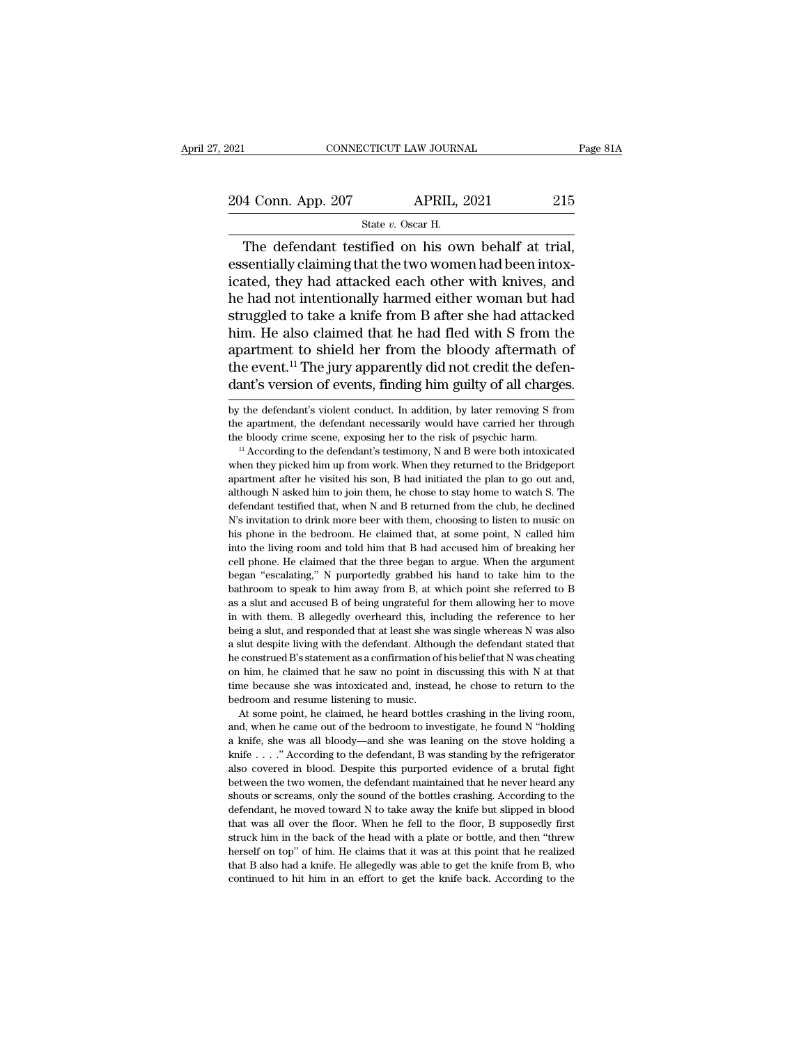2021 CONNECTICUT LAW JOURNAL Page 81A<br>
204 Conn. App. 207 APRIL, 2021 215<br>
215 State v. Oscar H. STICUT LAW JOURN.<br>APRIL, :<br>State *v.* Oscar H.<br>tified on his ow

CONNECTICUT LAW JOURNAL Page 8<br>  $\frac{4 \text{ Conn. App. 207}}{\text{State } v. \text{ Oscar H.}}$ The defendant testified on his own behalf at trial,<br>
sentially claiming that the two women had been intox-204 Conn. App. 207 APRIL, 2021 215<br>
State v. Oscar H.<br>
The defendant testified on his own behalf at trial,<br>
essentially claiming that the two women had been intox-<br>
icated, they had attacked each other with knives, and<br>
t 204 Conn. App. 207 APRIL, 2021 215<br>
State v. Oscar H.<br>
The defendant testified on his own behalf at trial,<br>
essentially claiming that the two women had been intox-<br>
icated, they had attacked each other with knives, and<br>
t 204 Conn. App. 207 APRIL, 2021 215<br>
State v. Oscar H.<br>
The defendant testified on his own behalf at trial,<br>
essentially claiming that the two women had been intox-<br>
icated, they had attacked each other with knives, and<br>
t State v. Oscar H.<br>
The defendant testified on his own behalf at trial,<br>
essentially claiming that the two women had been intox-<br>
icated, they had attacked each other with knives, and<br>
he had not intentionally harmed eithe State v. Oscar H.<br>The defendant testified on his own behalf at trial,<br>essentially claiming that the two women had been intox-<br>icated, they had attacked each other with knives, and<br>he had not intentionally harmed either wo The defendant testified on his own behalf at trial,<br>essentially claiming that the two women had been intox-<br>icated, they had attacked each other with knives, and<br>he had not intentionally harmed either woman but had<br>struggl essentially claiming that the two women had been intox-<br>icated, they had attacked each other with knives, and<br>he had not intentionally harmed either woman but had<br>struggled to take a knife from B after she had attacked<br>hi icated, they had attacked each other with knives, and<br>he had not intentionally harmed either woman but had<br>struggled to take a knife from B after she had attacked<br>him. He also claimed that he had fled with S from the<br>apart him. He also claimed that he had tled with S from the<br>apartment to shield her from the bloody aftermath of<br>the event.<sup>11</sup> The jury apparently did not credit the defen-<br>dant's version of events, finding him guilty of all ch apartment to shield her from the bloody aftermath of<br>the event.<sup>11</sup> The jury apparently did not credit the defen-<br>dant's version of events, finding him guilty of all charges.<br>by the defendant's violent conduct. In addition

the event.<sup>11</sup> The jury apparently did not credit the defendant's version of events, finding him guilty of all charges.<br>by the defendant's violent conduct. In addition, by later removing S from<br>the apartment, the defendant

We defendant's vision of events, intuiting intit guinty of an charges.<br>by the defendant's violent conduct. In addition, by later removing S from<br>the apartment, the defendant necessarily would have carried her through<br>the b by the defendant's violent conduct. In addition, by later removing S from<br>the apartment, the defendant necessarily would have carried her through<br>the bloody crime scene, exposing her to the risk of psychic harm.<br> $14$  Acco the apartment, the defendant necessarily would have carried her through the bloody crime scene, exposing her to the risk of psychic harm.<br>
"According to the defendant's testimony, N and B were both intoxicated when they pi the bloody crime scene, exposing her to the risk of psychic harm.<br>
<sup>11</sup> According to the defendant's testimony, N and B were both intoxicated<br>
when they picked him up from work. When they returned to the Bridgeport<br>
apartm <sup>11</sup> According to the defendant's testimony, N and B were both intoxicated when they picked him up from work. When they returned to the Bridgeport apartment after he visited his son, B had initiated the plan to go out and when they picked him up from work. When they returned to the Bridgeport apartment after he visited his son, B had initiated the plan to go out and, although N asked him to join them, he chose to stay home to watch S. The d mart after he visited his son, B had initiated the plan to go out and, although N asked him to join them, he chose to stay home to watch S. The defendant testified that, when N and B returned from the club, he declined N' although N asked him to join them, he chose to stay home to watch S. The defendant testified that, when N and B returned from the club, he declined N's invitation to drink more beer with them, choosing to listen to music o defendant testified that, when N and B returned from the club, he declined N's invitation to drink more beer with them, choosing to listen to music on his phone in the bedroom. He claimed that, at some point, N called him We sinvitation to drink more beer with them, choosing to listen to music on<br>his phone in the bedroom. He claimed that, at some point, N called him<br>into the living room and told him that B had accused him of breaking her<br>ce As a shown in the bedroom. He claimed that, at some point, N called him into the living room and told him that B had accused him of breaking her cell phone. He claimed that the three began to argue. When the argument began in to the living room and told him that B had accused him of breaking her cell phone. He claimed that the three began to argue. When the argument began "escalating," N purportedly grabbed his hand to take him to the bathro need phone. He claimed that the three began to argue. When the argument began "escalating," N purportedly grabbed his hand to take him to the bathroom to speak to him away from B, at which point she referred to B as a slut began "escalating," N purportedly grabbed his hand to take him to the bathroom to speak to him away from B, at which point she referred to B as a slut and accused B of being ungrateful for them allowing her to move in with bathroom to speak to him away from B, at which point she referred to B as a slut and accused B of being ungrateful for them allowing her to move in with them. B allegedly overheard this, including the reference to her bei say a slut and accused B of being ungrateful for them allowing her to move<br>in with them. B allegedly overheard this, including the reference to her<br>being a slut, and responded that at least she was single whereas N was als in with them. B allegedly overheard this, including the reference to her being a slut, and responded that at least she was single whereas N was also a slut despite living with the defendant. Although the defendant stated t in with them. B allegedly overheard this, including the reference to her being a slut, and responded that at least she was single whereas N was also a slut despite living with the defendant. Although the defendant stated At some point, he defendant. Although the defendant stated that construed B's statement as a confirmation of his belief that N was cheating  $\lambda$  him, he claimed that he saw no point in discussing this with N at that me be and, when he constructed B's statement as a confirmation of his belief that N was cheating on him, he claimed that he saw no point in discussing this with N at that time because she was intoxicated and, instead, he chose t

From the claimed that he saw no point in discussing this with N at that time because she was intoxicated and, instead, he chose to return to the bedroom and resume listening to music.<br>At some point, he claimed, he heard b kime because she was intoxicated and, instead, he chose to return to the bedroom and resume listening to music.<br>At some point, he claimed, he heard bottles crashing in the living room, and, when he came out of the bedroom bedroom and resume listening to music.<br>At some point, he claimed, he heard bottles crashing in the living room,<br>and, when he came out of the bedroom to investigate, he found N "holding<br>a knife, she was all bloody—and she w At some point, he claimed, he heard bottles crashing in the living room, and, when he came out of the bedroom to investigate, he found N "holding a knife, she was all bloody—and she was leaning on the stove holding a knif and, when he came out of the bedroom to investigate, he found  $N$  "holding a knife, she was all bloody—and she was leaning on the stove holding a knife. . . ." According to the defendant, B was standing by the refrigerato a knife, she was all bloody—and she was leaning on the stove holding a knife, she was all bloody—and she was leaning on the stove holding a knife . . . ." According to the defendant, B was standing by the refrigerator als  $k$  kine  $\ldots$ ." According to the defendant, B was standing by the refrigerator also covered in blood. Despite this purported evidence of a brutal fight between the two women, the defendant maintained that he never heard also covered in blood. Despite this purported evidence of a brutal fight between the two women, the defendant maintained that he never heard any shouts or screams, only the sound of the bottles crashing. According to the d herself on top'' of him. He claims that it was at this point of the kind of the herself and the never heard any shouts or screams, only the sound of the bottles crashing. According to the defendant, he moved toward N to ta shouts or screams, only the sound of the bottles crashing. According to the defendant, he moved toward N to take away the knife but slipped in blood that was all over the floor. When he fell to the floor, B supposedly fir shouts or screams, only the sound of the bottles crashing. According to the defendant, he moved toward N to take away the knife but slipped in blood that was all over the floor. When he fell to the floor, B supposedly fir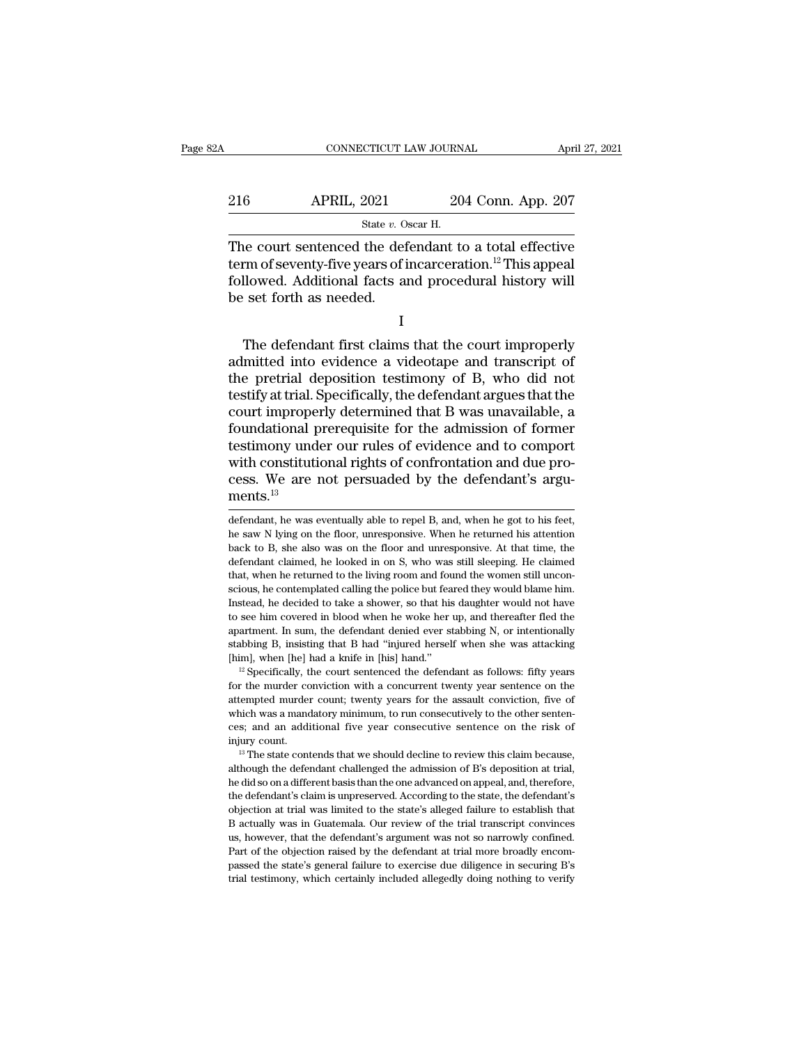# CONNECTICUT LAW JOURNAL April 27, 2021<br>216 APRIL, 2021 204 Conn. App. 207<br>3tate v. Oscar H. EXTICUT LAW JOURN.<br>2021 20<br>State *v.* Oscar H.<br>The defendant to

CONNECTICUT LAW JOURNAL April 27, 2021<br>
216 APRIL, 2021 204 Conn. App. 207<br>  $\frac{\text{State } v. \text{ Oscar H.}}{\text{The court sentence} \cdot \text{the defendant to a total effective}}$ <br>  $\text{term of seventh-five years of incareeration.}^{12} \cdot \text{This appeal}$ <br>  $\text{followed Additional facts and recognized history will}$ 216 APRIL, 2021 204 Conn. App. 207<br>
State v. Oscar H.<br>
The court sentenced the defendant to a total effective<br>
term of seventy-five years of incarceration.<sup>12</sup> This appeal<br>
followed. Additional facts and procedural histor Followed. ADD 2021 204 Conn. App. 207<br>
State v. Oscar H.<br>
The court sentenced the defendant to a total effective<br>
term of seventy-five years of incarceration.<sup>12</sup> This appeal<br>
followed. Additional facts and procedural his 216 APRIL, 2021<br>
State v. O<br>
The court sentenced the def<br>
term of seventy-five years of i<br>
followed. Additional facts as<br>
be set forth as needed. Ne court sentenced the defendant to a total effective<br>
rm of seventy-five years of incarceration.<sup>12</sup> This appeal<br>
llowed. Additional facts and procedural history will<br>
set forth as needed.<br>
I<br>
The defendant first claims t

I

Frame of seventy-five years of incarceration.<sup>12</sup> This appeal<br>followed. Additional facts and procedural history will<br>be set forth as needed.<br>I<br>The defendant first claims that the court improperly<br>admitted into evidence a v The pretries of the pretrial depositional facts and procedural history will<br>be set forth as needed.<br>I<br>The defendant first claims that the court improperly<br>admitted into evidence a videotape and transcript of<br>the pretrial d The set forth as needed.<br>
I<br>
The defendant first claims that the court improperly<br>
admitted into evidence a videotape and transcript of<br>
the pretrial deposition testimony of B, who did not<br>
testify at trial. Specifically, I<br>
The defendant first claims that the court improperly<br>
admitted into evidence a videotape and transcript of<br>
the pretrial deposition testimony of B, who did not<br>
testify at trial. Specifically, the defendant argues that I<br>The defendant first claims that the court improperly<br>admitted into evidence a videotape and transcript of<br>the pretrial deposition testimony of B, who did not<br>testify at trial. Specifically, the defendant argues that the<br> The defendant first claims that the court improperly<br>admitted into evidence a videotape and transcript of<br>the pretrial deposition testimony of B, who did not<br>testify at trial. Specifically, the defendant argues that the<br>co admitted into evidence a videotape and transcript of<br>the pretrial deposition testimony of B, who did not<br>testify at trial. Specifically, the defendant argues that the<br>court improperly determined that B was unavailable, a<br>f the pretrial deposition testimony of B, who did not<br>testify at trial. Specifically, the defendant argues that the<br>court improperly determined that B was unavailable, a<br>foundational prerequisite for the admission of former<br> ments.<sup>13</sup> testimony under our rules of evidence and to comport<br>with constitutional rights of confrontation and due pro-<br>cess. We are not persuaded by the defendant's argu-<br>ments.<sup>13</sup><br>defendant, he was eventually able to repel B, and with constitutional rights of confrontation and due process. We are not persuaded by the defendant's arguments.<sup>13</sup><br>defendant, he was eventually able to repel B, and, when he got to his feet, he saw N lying on the floor, u

cess. We are not persuaded by the defendant's argu-<br>ments.<sup>13</sup><br>defendant, he was eventually able to repel B, and, when he got to his feet,<br>he saw N lying on the floor, unresponsive. When he returned his attention<br>back to B ments.<sup>13</sup><br>defendant, he was eventually able to repel B, and, when he got to his feet,<br>he saw N lying on the floor, unresponsive. When he returned his attention<br>back to B, she also was on the floor and unresponsive. At th Intertius.<br>
defendant, he was eventually able to repel B, and, when he got to his feet,<br>
he saw N lying on the floor, unresponsive. When he returned his attention<br>
back to B, she also was on the floor and unresponsive. At defendant, he was eventually able to repel B, and, when he got to his feet, he saw N lying on the floor, unresponsive. When he returned his attention back to B, she also was on the floor and unresponsive. At that time, the In the saw N lying on the floor, unresponsive. When he returned his attention back to B, she also was on the floor and unresponsive. At that time, the defendant claimed, he looked in on S, who was still sleeping. He claime to B, she also was on the floor and unresponsive. At that time, the defendant claimed, he looked in on S, who was still sleeping. He claimed that, when he returned to the living room and found the women still unconscious, defendant claimed, he looked in on S, who was still sleeping. He claimed that, when he returned to the living room and found the women still unconscious, he contemplated calling the police but feared they would blame him. that, when he returned to the living room and found the women still unconscious, he contemplated calling the police but feared they would blame him.<br>Instead, he decided to take a shower, so that his daughter would not have scious, he contemplated calling the police but feared they would blame him.<br>Instead, he decided to take a shower, so that his daughter would not have<br>to see him covered in blood when he woke her up, and thereafter fled th for the murder conviction with a concurrent wenty year sentence of the magnetic stabing B, insisting that B had "injured herself when she was attacking [him], when [he] had a knife in [his] hand."<br><sup>12</sup> Specifically, the c

apartment. In sum, the defendant denied ever stabbing N, or intentionally stabbing B, insisting that B had "injured herself when she was attacking [him], when [he] had a knife in [his] hand."<br>
<sup>12</sup> Specifically, the court a mandatory minimum, to run consecutively stables in the risk of initially stabling B, insisting that B had "injured herself when she was attacking [him], when [he] had a knife in [his] hand."  $\mu$  is expectifically, the being  $\mu$ ; when [he] had a knife in [his] hand."<br>
<sup>12</sup> Specifically, the court sentenced the defendant as follows: fifty years<br>
for the murder conviction with a concurrent twenty year sentence on the<br>
attempted murder co <sup>12</sup> Specifically, the court sentenced the defendant as follows: fifty years for the murder conviction with a concurrent twenty year sentence on the attempted murder count; twenty years for the assault conviction, five of and tempted murder count; twenty years for the assault conviction, five of which was a mandatory minimum, to run consecutively to the other sentences; and an additional five year consecutive sentence on the risk of injury

which was a mandatory minimum, to run consecutively to the other sentences; and an additional five year consecutive sentence on the risk of injury count.<br><sup>13</sup> The state contends that we should decline to review this claim ces; and an additional five year consecutive sentence on the risk of<br>injury count.<br><sup>13</sup> The state contends that we should decline to review this claim because,<br>although the defendant challenged the admission of B's deposit bective to the state of the state of the state of the state in the state in the state is the state contends that we should decline to review this claim because, although the defendant challenged the admission of B's deposi B actually was in Guatemala. Our review of the trial transcript convinces although the defendant challenged the admission of B's deposition at trial, the did so on a different basis than the one advanced on appeal, and, therefore, the defendant's claim is unpreserved. According to the state, the he did so on a different basis than the one advanced on appeal, and, therefore, the defendant's claim is unpreserved. According to the state, the defendant's objection at trial was limited to the state's alleged failure to the defendant's claim is unpreserved. According to the state, the defendant's objection at trial was limited to the state's alleged failure to establish that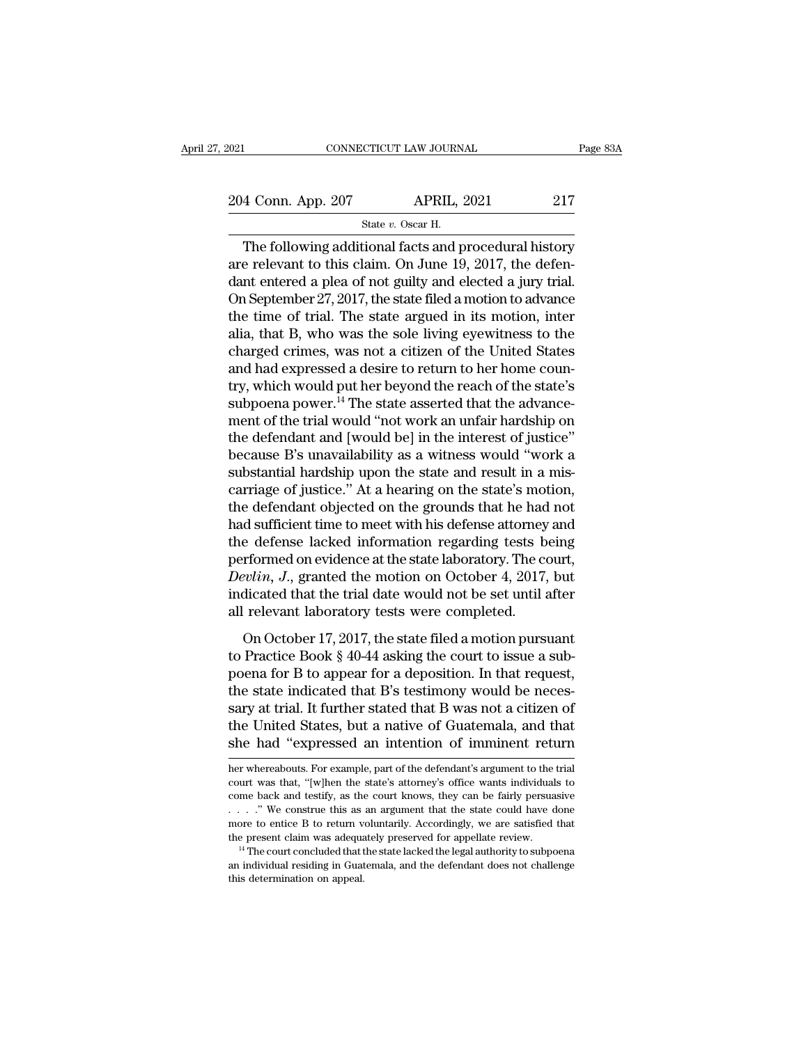CTICUT LAW JOURN.<br>APRIL, :<br>State *v.* Oscar H.<br>Lional facts and r CONNECTICUT LAW JOURNAL Page 83A<br>
4 Conn. App. 207 APRIL, 2021 217<br>
State v. Oscar H.<br>
The following additional facts and procedural history<br>
e relevant to this claim. On June 19, 2017, the defen-204 Conn. App. 207 APRIL, 2021 217<br>
State v. Oscar H.<br>
The following additional facts and procedural history<br>
are relevant to this claim. On June 19, 2017, the defen-<br>
dant entered a plea of not guilty and elected a jury 204 Conn. App. 207 APRIL, 2021 217<br>
State v. Oscar H.<br>
The following additional facts and procedural history<br>
are relevant to this claim. On June 19, 2017, the defen-<br>
dant entered a plea of not guilty and elected a jury 204 Conn. App. 207 APRIL, 2021 217<br>
State v. Oscar H.<br>
The following additional facts and procedural history<br>
are relevant to this claim. On June 19, 2017, the defen-<br>
dant entered a plea of not guilty and elected a jury State v. Oscar H.<br>
The following additional facts and procedural history<br>
are relevant to this claim. On June 19, 2017, the defen-<br>
dant entered a plea of not guilty and elected a jury trial.<br>
On September 27, 2017, the s state  $v$ . oscar H.<br>
The following additional facts and procedural history<br>
are relevant to this claim. On June 19, 2017, the defen-<br>
dant entered a plea of not guilty and elected a jury trial.<br>
On September 27, 2017, the The following additional facts and procedural history<br>are relevant to this claim. On June 19, 2017, the defen-<br>dant entered a plea of not guilty and elected a jury trial.<br>On September 27, 2017, the state filed a motion to are relevant to this claim. On June 19, 2017, the defendant entered a plea of not guilty and elected a jury trial.<br>On September 27, 2017, the state filed a motion to advance<br>the time of trial. The state argued in its motio dant entered a plea of not guilty and elected a jury trial.<br>On September 27, 2017, the state filed a motion to advance<br>the time of trial. The state argued in its motion, inter<br>alia, that B, who was the sole living eyewitne On September 27, 2017, the state filed a motion to advance<br>the time of trial. The state argued in its motion, inter<br>alia, that B, who was the sole living eyewitness to the<br>charged crimes, was not a citizen of the United St the time of trial. The state argued in its motion, inter<br>alia, that B, who was the sole living eyewitness to the<br>charged crimes, was not a citizen of the United States<br>and had expressed a desire to return to her home counalia, that B, who was the sole living eyewitness to the charged crimes, was not a citizen of the United States and had expressed a desire to return to her home country, which would put her beyond the reach of the state's s charged crimes, was not a citizen of the United States<br>and had expressed a desire to return to her home coun-<br>try, which would put her beyond the reach of the state's<br>subpoena power.<sup>14</sup> The state asserted that the advance and had expressed a desire to return to her home country, which would put her beyond the reach of the state's subpoena power.<sup>14</sup> The state asserted that the advancement of the trial would "not work an unfair hardship on t try, which would put her beyond the reach of the state's<br>subpoena power.<sup>14</sup> The state asserted that the advance-<br>ment of the trial would "not work an unfair hardship on<br>the defendant and [would be] in the interest of just subpoena power.<sup>14</sup> The state asserted that the advance-<br>ment of the trial would "not work an unfair hardship on<br>the defendant and [would be] in the interest of justice"<br>because B's unavailability as a witness would "work ment of the trial would "not work an unfair hardship on<br>the defendant and [would be] in the interest of justice"<br>because B's unavailability as a witness would "work a<br>substantial hardship upon the state and result in a mis the defendant and [would be] in the interest of justice"<br>because B's unavailability as a witness would "work a<br>substantial hardship upon the state and result in a mis-<br>carriage of justice." At a hearing on the state's mot because B's unavailability as a witness would "work a<br>substantial hardship upon the state and result in a mis-<br>carriage of justice." At a hearing on the state's motion,<br>the defendant objected on the grounds that he had not substantial hardship upon the state and result in a mis-<br>carriage of justice." At a hearing on the state's motion,<br>the defendant objected on the grounds that he had not<br>had sufficient time to meet with his defense attorney carriage of justice." At a hearing on the state's motion,<br>the defendant objected on the grounds that he had not<br>had sufficient time to meet with his defense attorney and<br>the defense lacked information regarding tests being the defendant objected on the grounds that he had<br>had sufficient time to meet with his defense attorney<br>the defense lacked information regarding tests b<br>performed on evidence at the state laboratory. The co<br>*Devlin*, *J*., e defense lacked information regarding tests being<br>e defense lacked information regarding tests being<br>rformed on evidence at the state laboratory. The court,<br>evlin, J., granted the motion on October 4, 2017, but<br>dicated th the district momentum regarding costs song<br>performed on evidence at the state laboratory. The court,<br>*Devlin, J.*, granted the motion on October 4, 2017, but<br>indicated that the trial date would not be set until after<br>all r

portion, J., granted the motion on October 4, 2017, but<br>indicated that the trial date would not be set until after<br>all relevant laboratory tests were completed.<br>On October 17, 2017, the state filed a motion pursuant<br>to Pr indicated that the trial date would not be set until after<br>all relevant laboratory tests were completed.<br>On October 17, 2017, the state filed a motion pursuant<br>to Practice Book § 40-44 asking the court to issue a sub-<br>poe all relevant laboratory tests were completed.<br>
On October 17, 2017, the state filed a motion pursuant<br>
to Practice Book § 40-44 asking the court to issue a sub-<br>
poena for B to appear for a deposition. In that request,<br>
th In the United States, but a state filed a motion pursuant<br>to Practice Book § 40-44 asking the court to issue a sub-<br>poena for B to appear for a deposition. In that request,<br>the state indicated that B's testimony would be n On October 17, 2017, the state filed a motion pursuant<br>to Practice Book § 40-44 asking the court to issue a sub-<br>poena for B to appear for a deposition. In that request,<br>the state indicated that B's testimony would be nece the state moleculed that B's testimony would be necessary at trial. It further stated that B was not a citizen of the United States, but a native of Guatemala, and that she had "expressed an intention of imminent return he sary at trial. It further stated that B was not a citizen of<br>the United States, but a native of Guatemala, and that<br>she had "expressed an intention of imminent return<br>her whereabouts. For example, part of the defendant's a

the United States, but a native of Guatemala, and that<br>she had "expressed an intention of imminent return<br>her whereabouts. For example, part of the defendant's argument to the trial<br>court was that, "[w]hen the state's atto She had "expressed an intention of imminent return<br>her whereabouts. For example, part of the defendant's argument to the trial<br>court was that, "[w]hen the state's attorney's office wants individuals to<br>come back and testif she had "expressed an intention of imminent return<br>her whereabouts. For example, part of the defendant's argument to the trial<br>court was that, "[w]hen the state's attorney's office wants individuals to<br>come back and testi her whereabouts. For example, part of the defendant's argument to the trial court was that, "[w]hen the state's attorney's office wants individuals to come back and testify, as the court knows, they can be fairly persuasi Fig. 2. The details are the come back and testify, as the court knows, they can be fairly persuasive  $\ldots$ . "We construe this as an argument that the state could have done more to entice B to return voluntarily. According ...." We construe this as an argument that the state could have done more to entice B to return voluntarily. Accordingly, we are satisfied that the present claim was adequately preserved for appellate review.<br><sup>14</sup> The cou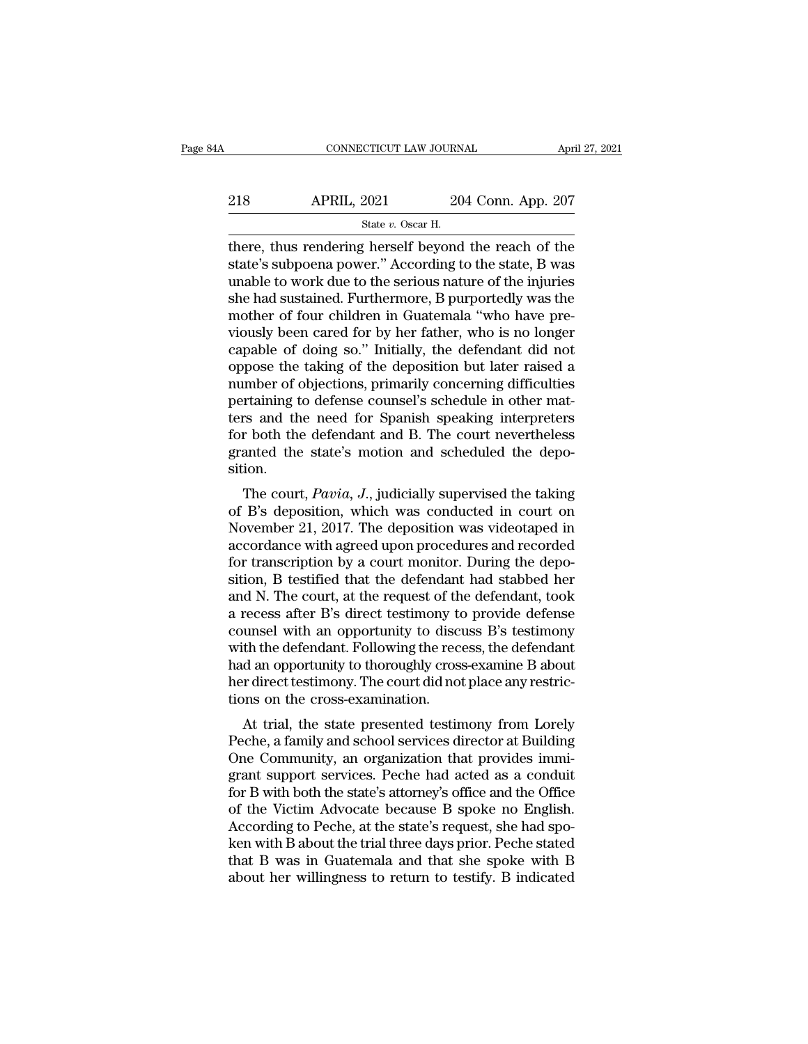| 4A  | CONNECTICUT LAW JOURNAL                              |                    | April 27, 2021 |
|-----|------------------------------------------------------|--------------------|----------------|
| 218 | <b>APRIL, 2021</b>                                   | 204 Conn. App. 207 |                |
|     | State v. Oscar H.                                    |                    |                |
|     | there thus rendering herself heyond the reach of the |                    |                |

 $\begin{array}{r|l} \text{CONPECTICUT LAW JOURNAL} & \text{April 27, 2021} \ \end{array}$ <br>  $\begin{array}{r|l} \text{218} & \text{APRIL, 2021} & \text{204 Conn. App. 207} \ \end{array}$ <br>  $\begin{array}{r|l} \text{State } v. \text{ Oscar H.} \ \end{array}$ <br>
there, thus rendering herself beyond the reach of the state's subpoena power." Accord 218 APRIL, 2021 204 Conn. App. 207<br>  $\frac{\text{State } v. \text{ Oscar H.}}{\text{there, thus rendering herself beyond the reach of the state's subpoena power." According to the state, B was unable to work due to the serious nature of the injuries who had sustained Furthermore. B numerically was the$ 218 APRIL, 2021 204 Conn. App. 207<br>  $\frac{\text{State } v. \text{ Oscar H.}}{\text{there, thus rendering herself beyond the reach of the  
state's subpoena power." According to the state, B was  
unable to work due to the serious nature of the injuries  
she had sustained. Furthermore, B purportedly was the  
mother of four children in Guetomale "who have pro$  $\begin{array}{lll}\n\textbf{218} & \textbf{APRIL, 2021} & \textbf{204 Conn. App. 207} \\
\hline\n\textbf{5} & \textbf{5} & \textbf{5} & \textbf{6} \\
\textbf{8} & \textbf{6} & \textbf{7} & \textbf{8} \\
\textbf{9} & \textbf{10} & \textbf{10} & \textbf{10} \\
\textbf{10} & \textbf{11} & \textbf{10} & \textbf{10} & \textbf{10} \\
\textbf{11} & \textbf{12} & \textbf{10} & \textbf{10} & \textbf{10}$ State v. Oscar H.<br>State v. Oscar H.<br>there, thus rendering herself beyond the reach of the<br>state's subpoena power." According to the state, B was<br>unable to work due to the serious nature of the injuries<br>she had sustained. state v. Oscar H.<br>
there, thus rendering herself beyond the reach of the<br>
state's subpoena power." According to the state, B was<br>
unable to work due to the serious nature of the injuries<br>
she had sustained. Furthermore, B there, thus rendering herself beyond the reach of the state's subpoena power." According to the state, B was unable to work due to the serious nature of the injuries she had sustained. Furthermore, B purportedly was the mo state's subpoena power." According to the state, B was<br>unable to work due to the serious nature of the injuries<br>she had sustained. Furthermore, B purportedly was the<br>mother of four children in Guatemala "who have pre-<br>viou unable to work due to the serious nature of the injuries<br>she had sustained. Furthermore, B purportedly was the<br>mother of four children in Guatemala "who have pre-<br>viously been cared for by her father, who is no longer<br>capa she had sustained. Furthermore, B purportedly was the<br>mother of four children in Guatemala "who have pre-<br>viously been cared for by her father, who is no longer<br>capable of doing so." Initially, the defendant did not<br>oppose mother of four children in Guatemala "who have pre-<br>viously been cared for by her father, who is no longer<br>capable of doing so." Initially, the defendant did not<br>oppose the taking of the deposition but later raised a<br>numbe viously been cared for by her father, who is no longer<br>capable of doing so." Initially, the defendant did not<br>oppose the taking of the deposition but later raised a<br>number of objections, primarily concerning difficulties<br>p capable of doing so." Initially, the defendant did not oppose the taking of the deposition but later raised a number of objections, primarily concerning difficulties pertaining to defense counsel's schedule in other matter sition. The court, *Pavia*, *J.*, judicially supervised the taking<br>The court are said the need for Spanish speaking interpreters<br>r both the defendant and B. The court nevertheless<br>anted the state's motion and scheduled the depo-<br>i pertaining to defense courser's schedule in other hial-<br>ters and the need for Spanish speaking interpreters<br>for both the defendant and B. The court nevertheless<br>granted the state's motion and scheduled the depo-<br>sition.<br>Th

The state is and the heed for Spanish speaking interpreters<br>for both the defendant and B. The court nevertheless<br>granted the state's motion and scheduled the depo-<br>sition.<br>The court, *Pavia*, *J*., judicially supervised th For both the defendant and B. The court hevertheress<br>granted the state's motion and scheduled the depo-<br>sition.<br>The court, *Pavia*, *J.*, judicially supervised the taking<br>of B's deposition, which was conducted in court on Fracture the state's induotif and scheduled the deposition.<br>The court, *Pavia*, *J*., judicially supervised the taking<br>of B's deposition, which was conducted in court on<br>November 21, 2017. The deposition was videotaped in The court, *Pavia*, *J*., judicially supervised the taking<br>of B's deposition, which was conducted in court on<br>November 21, 2017. The deposition was videotaped in<br>accordance with agreed upon procedures and recorded<br>for tra The court, *Pavia*, *J.*, judicially supervised the taking<br>of B's deposition, which was conducted in court on<br>November 21, 2017. The deposition was videotaped in<br>accordance with agreed upon procedures and recorded<br>for tra of B's deposition, which was conducted in court on<br>November 21, 2017. The deposition was videotaped in<br>accordance with agreed upon procedures and recorded<br>for transcription by a court monitor. During the depo-<br>sition, B te November 21, 2017. The deposition was videotaped in<br>accordance with agreed upon procedures and recorded<br>for transcription by a court monitor. During the depo-<br>sition, B testified that the defendant had stabbed her<br>and N. T accordance with agreed upon procedures and recorded<br>for transcription by a court monitor. During the depo-<br>sition, B testified that the defendant had stabbed her<br>and N. The court, at the request of the defendant, took<br>a re for transcription by a court monitor. During the deposition, B testified that the defendant had stabbed her and N. The court, at the request of the defendant, took a recess after B's direct testimony to provide defense cou sition, B testified that the defendant had stabbed her<br>and N. The court, at the request of the defendant, took<br>a recess after B's direct testimony to provide defense<br>counsel with an opportunity to discuss B's testimony<br>wit and N. The court, at the request of the recess after B's direct testimony to counsel with an opportunity to disc with the defendant. Following the rechad an opportunity to thoroughly cross her direct testimony. The court d recess after B s unect testimony to provide defense<br>unsel with an opportunity to discuss B's testimony<br>th the defendant. Following the recess, the defendant<br>d an opportunity to thoroughly cross-examine B about<br>r direct tes Fouriser with an opportunity to unscuss B s testimoly<br>with the defendant. Following the recess, the defendant<br>had an opportunity to thoroughly cross-examine B about<br>her direct testimony. The court did not place any restric

with the defendant. Following the recess, the defendant<br>had an opportunity to thoroughly cross-examine B about<br>her direct testimony. The court did not place any restric-<br>tions on the cross-examination.<br>At trial, the state rad an opportuntly to thoroughly cross-examine B about<br>her direct testimony. The court did not place any restric-<br>tions on the cross-examination.<br>At trial, the state presented testimony from Lorely<br>Peche, a family and scho from the cross-examination.<br>At trial, the state presented testimony from Lorely<br>Peche, a family and school services director at Building<br>One Community, an organization that provides immi-<br>grant support services. Peche had At trial, the state presented testimony from Lorely<br>Peche, a family and school services director at Building<br>One Community, an organization that provides immi-<br>grant support services. Peche had acted as a conduit<br>for B wit At trial, the state presented testimony from Lorely<br>Peche, a family and school services director at Building<br>One Community, an organization that provides immigrant support services. Peche had acted as a conduit<br>for B with Peche, a family and school services director at Building<br>One Community, an organization that provides immigrant support services. Peche had acted as a conduit<br>for B with both the state's attorney's office and the Office<br>of One Community, an organization that provides immigrant support services. Peche had acted as a conduit<br>for B with both the state's attorney's office and the Office<br>of the Victim Advocate because B spoke no English.<br>Accordin grant support services. Peche had acted as a conduit<br>for B with both the state's attorney's office and the Office<br>of the Victim Advocate because B spoke no English.<br>According to Peche, at the state's request, she had spo-<br>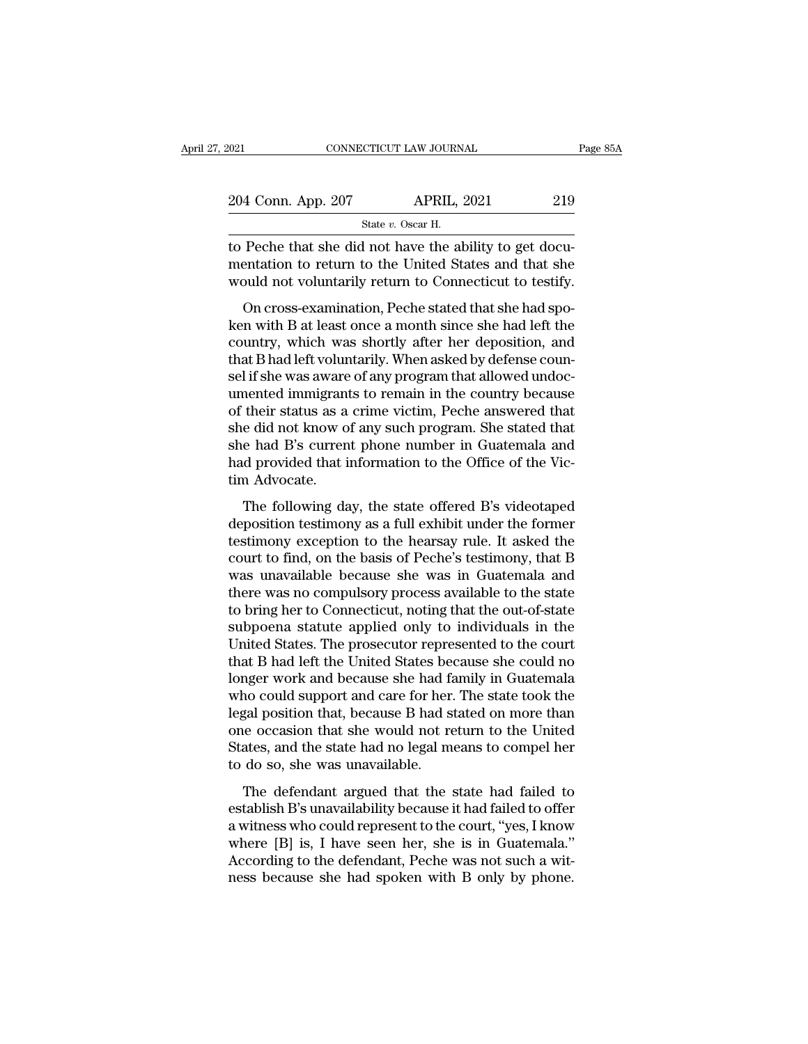| 2021               | CONNECTICUT LAW JOURNAL                                 | Page 85A |
|--------------------|---------------------------------------------------------|----------|
| 204 Conn. App. 207 | <b>APRIL, 2021</b>                                      | 219      |
|                    | State v. Oscar H.                                       |          |
|                    | to Peche that she did not have the ability to get docu- |          |

to Peche that she did not have the ability to get documentation to return to the United States and that she<br>would not voluntarily return to Connecticut to testify 204 Conn. App. 207 APRIL, 2021 219<br>
State v. Oscar H.<br>
to Peche that she did not have the ability to get documentation to return to the United States and that she<br>
would not voluntarily return to Connecticut to testify. 204 Conn. App. 207 APRIL, 2021 219<br>
State v. Oscar H.<br>
to Peche that she did not have the ability to get documentation to return to the United States and that she<br>
would not voluntarily return to Connecticut to testify.<br>  $\frac{4 \text{ Conn. App. } 207}{4 \text{ Cat } v. \text{ Oscar H.}}$ <br>
Peche that she did not have the ability to get docu-<br>
entation to return to the United States and that she<br>
pould not voluntarily return to Connecticut to testify.<br>
On cross-examination

State v. Oscar H.<br>
to Peche that she did not have the ability to get documentation to return to the United States and that she<br>
would not voluntarily return to Connecticut to testify.<br>
On cross-examination, Peche stated t to Peche that she did not have the ability to get documentation to return to the United States and that she<br>would not voluntarily return to Connecticut to testify.<br>On cross-examination, Peche stated that she had spo-<br>ken w to I cente that she that hot have the ability to get doel<br>mentation to return to the United States and that she<br>would not voluntarily return to Connecticut to testify.<br>On cross-examination, Peche stated that she had spo-<br>k sel is shell in the word of the state of any product to testify.<br>On cross-examination, Peche stated that she had spoken with B at least once a month since she had left the<br>country, which was shortly after her deposition, a of their states are victimes be stated that she had spoken with B at least once a month since she had left the<br>country, which was shortly after her deposition, and<br>that B had left voluntarily. When asked by defense coun-<br>s On cross-examination, Peche stated that she had spoken with B at least once a month since she had left the country, which was shortly after her deposition, and that B had left voluntarily. When asked by defense counsel if ken with B at least once a month since she had left the country, which was shortly after her deposition, and that B had left voluntarily. When asked by defense counsel if she was aware of any program that allowed undocumen country, which was shortly after her deposition, and<br>that B had left voluntarily. When asked by defense coun-<br>sel if she was aware of any program that allowed undoc-<br>umented immigrants to remain in the country because<br>of t that B had left voluntarily. When asked by defense counsel if she was aware of any program that allowed undocumented immigrants to remain in the country because of their status as a crime victim, Peche answered that she di sel if she was aware<br>umented immigran<br>of their status as a<br>she did not know o<br>she had B's curren<br>had provided that i<br>tim Advocate.<br>The following da Their status as a crime victim, Peche answered that<br>e did not know of any such program. She stated that<br>e had B's current phone number in Guatemala and<br>d provided that information to the Office of the Vic-<br>m Advocate.<br>The of altern status as a critic vieint, i cente answered and<br>she did not know of any such program. She stated that<br>she had B's current phone number in Guatemala and<br>had provided that information to the Office of the Vic-<br>tim

she had B's current phone number in Guatemala and<br>she had B's current phone number in Guatemala and<br>had provided that information to the Office of the Vic-<br>tim Advocate.<br>The following day, the state offered B's videotaped<br> End and DB can entire protecture in detailed and<br>had provided that information to the Office of the Vic-<br>tim Advocate.<br>The following day, the state offered B's videotaped<br>deposition testimony as a full exhibit under the fo The following day, the state offered B's videotaped<br>deposition testimony as a full exhibit under the former<br>testimony exception to the hearsay rule. It asked the<br>court to find, on the basis of Peche's testimony, that B<br>was The following day, the state offered B's videotaped<br>deposition testimony as a full exhibit under the former<br>testimony exception to the hearsay rule. It asked the<br>court to find, on the basis of Peche's testimony, that B<br>was The following day, the state offered B's videotaped<br>deposition testimony as a full exhibit under the former<br>testimony exception to the hearsay rule. It asked the<br>court to find, on the basis of Peche's testimony, that B<br>was deposition testimony as a full exhibit under the former<br>testimony exception to the hearsay rule. It asked the<br>court to find, on the basis of Peche's testimony, that B<br>was unavailable because she was in Guatemala and<br>there testimony exception to the hearsay rule. It asked the court to find, on the basis of Peche's testimony, that B<br>was unavailable because she was in Guatemala and<br>there was no compulsory process available to the state<br>to brin court to find, on the basis of Peche's testimony, that B<br>was unavailable because she was in Guatemala and<br>there was no compulsory process available to the state<br>to bring her to Connecticut, noting that the out-of-state<br>sub was unavailable because she was in Guatemala and<br>there was no compulsory process available to the state<br>to bring her to Connecticut, noting that the out-of-state<br>subpoena statute applied only to individuals in the<br>United S there was no compulsory process available to the state<br>to bring her to Connecticut, noting that the out-of-state<br>subpoena statute applied only to individuals in the<br>United States. The prosecutor represented to the court<br>th to bring her to Connecticut, noting that the out-of-state<br>subpoena statute applied only to individuals in the<br>United States. The prosecutor represented to the court<br>that B had left the United States because she could no<br>lo subpoena statute applied only to individuals in the<br>United States. The prosecutor represented to the court<br>that B had left the United States because she could no<br>longer work and because she had family in Guatemala<br>who coul United States. The prosecutor represented to the court<br>that B had left the United States because she could no<br>longer work and because she had family in Guatemala<br>who could support and care for her. The state took the<br>legal that B had left the United States be<br>longer work and because she had fa<br>who could support and care for her.<br>legal position that, because B had s<br>one occasion that she would not re<br>States, and the state had no legal m<br>to do The defendant argued that the state had failed to offer<br>the defendant argued that the state down are occasion that she would not return to the United<br>ates, and the state had no legal means to compel her<br>do so, she was unav establish B's unavailability because it had failed to offer<br>the United States, and the state had no legal means to compel her<br>to do so, she was unavailable.<br>The defendant argued that the state had failed to<br>establish B's u

regar position that, because B had stated on more than<br>one occasion that she would not return to the United<br>States, and the state had no legal means to compel her<br>to do so, she was unavailable.<br>The defendant argued that th States, and the state had no legal means to compel her<br>to do so, she was unavailable.<br>The defendant argued that the state had failed to<br>establish B's unavailability because it had failed to offer<br>a witness who could repres Braces, and are state had to regar means to comperned to do so, she was unavailable.<br>The defendant argued that the state had failed to destablish B's unavailability because it had failed to offer<br>a witness who could repres The defendant argued that the state had failed to establish B's unavailability because it had failed to offer a witness who could represent to the court, "yes, I know where [B] is, I have seen her, she is in Guatemala."<br>Ac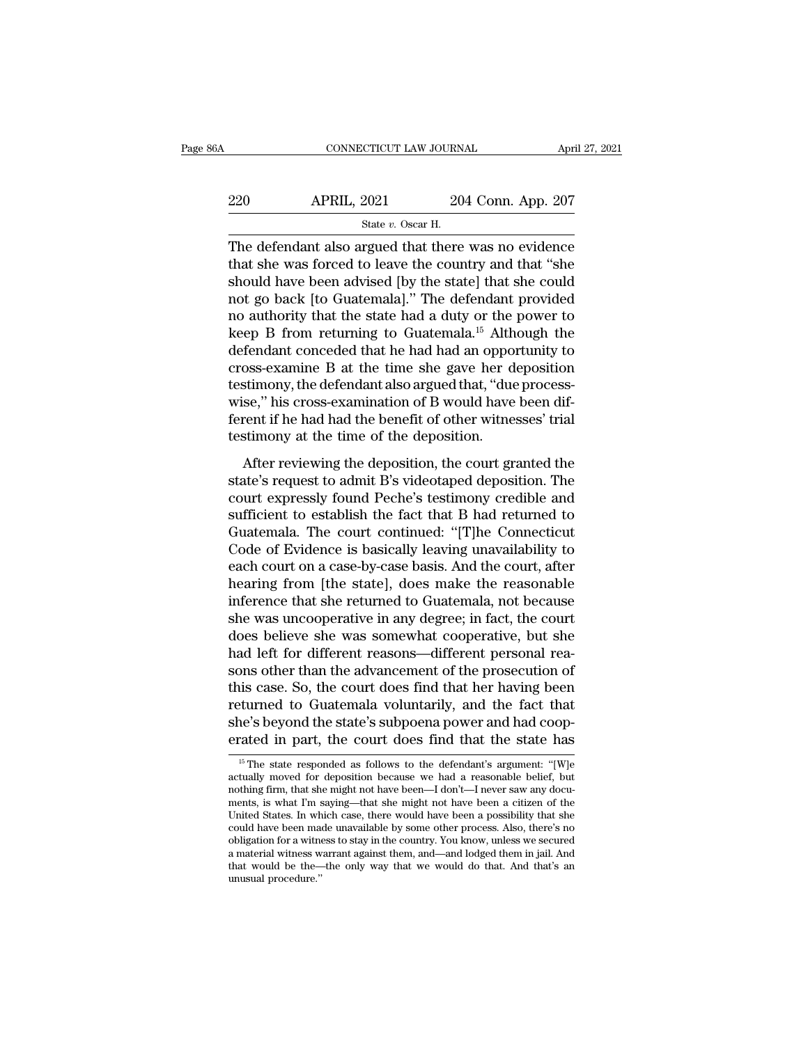| 6A  | CONNECTICUT LAW JOURNAL                              |                    | April 27, 2021 |
|-----|------------------------------------------------------|--------------------|----------------|
| 220 | <b>APRIL, 2021</b>                                   | 204 Conn. App. 207 |                |
|     | State $v$ . Oscar H.                                 |                    |                |
|     | The defendant also argued that there was no evidence |                    |                |

CONNECTICUT LAW JOURNAL April 27, 2021<br>
201 APRIL, 2021 204 Conn. App. 207<br>
5tate v. Oscar H.<br>
The defendant also argued that there was no evidence<br>
that she was forced to leave the country and that "she<br>
should have been 220 APRIL, 2021 204 Conn. App. 207<br>
State v. Oscar H.<br>
The defendant also argued that there was no evidence<br>
that she was forced to leave the country and that "she<br>
should have been advised [by the state] that she could<br>  $\begin{array}{r} \text{3.3}\ \text{220}\ \text{3.4}\ \text{3.5}\ \text{4.4}\ \text{4.4}\ \text{4.4}\ \text{5.4}\ \text{5.4}\ \text{6.4}\ \text{6.4}\ \text{6.4}\ \text{6.4}\ \text{6.4}\ \text{6.4}\ \text{6.4}\ \text{6.4}\ \text{6.4}\ \text{6.4}\ \text{6.4}\ \text{6.4}\ \text{6.4}\ \text{6.4}\ \text{6.4}\ \text{6.4}\ \text{6.4}\ \text{6.4}\ \text{6.4}\ \text{6.4}\ \text{6.4}\ \text{$ 220 APRIL, 2021 204 Conn. App. 207<br>
State v. Oscar H.<br>
The defendant also argued that there was no evidence<br>
that she was forced to leave the country and that "she<br>
should have been advised [by the state] that she could<br> State v. Oscar H.<br>
The defendant also argued that there was no evidence<br>
that she was forced to leave the country and that "she<br>
should have been advised [by the state] that she could<br>
not go back [to Guatemala]." The def state v. Oscar H.<br>The defendant also argued that there was no evidence<br>that she was forced to leave the country and that "she<br>should have been advised [by the state] that she could<br>not go back [to Guatemala]." The defenda The defendant also argued that there was no evidence<br>that she was forced to leave the country and that "she<br>should have been advised [by the state] that she could<br>not go back [to Guatemala]." The defendant provided<br>no auth that she was forced to leave the country and that "she<br>should have been advised [by the state] that she could<br>not go back [to Guatemala]." The defendant provided<br>no authority that the state had a duty or the power to<br>keep should have been advised [by the state] that she could<br>not go back [to Guatemala]." The defendant provided<br>no authority that the state had a duty or the power to<br>keep B from returning to Guatemala.<sup>15</sup> Although the<br>defenda not go back [to Guatemala]." The defendant provided<br>no authority that the state had a duty or the power to<br>keep B from returning to Guatemala.<sup>15</sup> Although the<br>defendant conceded that he had had an opportunity to<br>cross-exa no authority that the state had a duty or the power to<br>keep B from returning to Guatemala.<sup>15</sup> Although the<br>defendant conceded that he had had an opportunity to<br>cross-examine B at the time she gave her deposition<br>testimony keep B from returning to Guatemala.<sup>15</sup> Alth<br>defendant conceded that he had had an oppo<br>cross-examine B at the time she gave her d<br>testimony, the defendant also argued that, "due<br>wise," his cross-examination of B would hav Fernaline conceded and he had had already operating y coss-examine B at the time she gave her deposition<br>stimony, the defendant also argued that, "due process-<br>se," his cross-examination of B would have been dif-<br>rent if h state of a calculate of a calculate state with the specific desistences<br>testimony, the defendant also argued that, "due process-<br>wise," his cross-examination of B would have been dif-<br>ferent if he had had the benefit of ot

court is a contribution of B would have been different if he had had the benefit of other witnesses' trial<br>testimony at the time of the deposition.<br>After reviewing the deposition, the court granted the<br>state's request to a sufficient if he had had the benefit of other witnesses' trial<br>testimony at the time of the deposition.<br>After reviewing the deposition, the court granted the<br>state's request to admit B's videotaped deposition. The<br>court ex Eccincia in the rada and one benefit of order martesses and<br>testimony at the time of the deposition.<br>After reviewing the deposition, the court granted the<br>state's request to admit B's videotaped deposition. The<br>court expre Essamony as are ante of the deposition.<br>
After reviewing the deposition, the court granted the<br>
state's request to admit B's videotaped deposition. The<br>
court expressly found Peche's testimony credible and<br>
sufficient to e After reviewing the deposition, the court granted the<br>state's request to admit B's videotaped deposition. The<br>court expressly found Peche's testimony credible and<br>sufficient to establish the fact that B had returned to<br>Gua state's request to admit B's videotaped deposition. The<br>court expressly found Peche's testimony credible and<br>sufficient to establish the fact that B had returned to<br>Guatemala. The court continued: "[T]he Connecticut<br>Code o court expressly found Peche's testimony credible and<br>sufficient to establish the fact that B had returned to<br>Guatemala. The court continued: "[T]he Connecticut<br>Code of Evidence is basically leaving unavailability to<br>each c sufficient to establish the fact that B had returned to<br>Guatemala. The court continued: "[T]he Connecticut<br>Code of Evidence is basically leaving unavailability to<br>each court on a case-by-case basis. And the court, after<br>he Guatemala. The court continued: "[T]he Connecticut<br>Code of Evidence is basically leaving unavailability to<br>each court on a case-by-case basis. And the court, after<br>hearing from [the state], does make the reasonable<br>inferen Code of Evidence is basically leaving unavailability to each court on a case-by-case basis. And the court, after hearing from [the state], does make the reasonable inference that she returned to Guatemala, not because she each court on a case-by-case basis. And the court, after<br>hearing from [the state], does make the reasonable<br>inference that she returned to Guatemala, not because<br>she was uncooperative in any degree; in fact, the court<br>does hearing from [the state], does make the reasonable<br>inference that she returned to Guatemala, not because<br>she was uncooperative in any degree; in fact, the court<br>does believe she was somewhat cooperative, but she<br>had left f inference that she returned to Guatemala, not because<br>she was uncooperative in any degree; in fact, the court<br>does believe she was somewhat cooperative, but she<br>had left for different reasons—different personal rea-<br>sons o she was uncooperative in any degree; in fact, the court<br>does believe she was somewhat cooperative, but she<br>had left for different reasons—different personal rea-<br>sons other than the advancement of the prosecution of<br>this c does believe she was somewhat cooperative, but she<br>had left for different reasons—different personal rea-<br>sons other than the advancement of the prosecution of<br>this case. So, the court does find that her having been<br>return is case. So, the court does find that her having been<br>turned to Guatemala voluntarily, and the fact that<br>ne's beyond the state's subpoena power and had coop-<br>rated in part, the court does find that the state has<br> $\frac{15 \text{$ returned to Guatemala voluntarily, and the fact that<br>she's beyond the state's subpoena power and had coop-<br>erated in part, the court does find that the state has<br><sup>15</sup> The state responded as follows to the defendant's argum

she's beyond the state's subpoena power and had coop-<br>erated in part, the court does find that the state has<br><sup>15</sup> The state responded as follows to the defendant's argument: "[W]e<br>actually moved for deposition because we h She is beyond the state is subpoema power and had coop-<br>erated in part, the court does find that the state has<br> $\frac{15 \text{ T}}{16}$  attally moved for deposition because we had a reasonable belief, but<br>nothing firm, that she mi erated in part, the court does find that the state has<br>
<sup>15</sup> The state responded as follows to the defendant's argument: "[W]e<br>
actually moved for deposition because we had a reasonable belief, but<br>
nothing firm, that she <sup>15</sup> The state responded as follows to the defendant's argument: "[W]e actually moved for deposition because we had a reasonable belief, but nothing firm, that she might not have been—I don't—I never saw any documents, is <sup>16</sup> The state responded as follows to the defendant's argument: "[W]e actually moved for deposition because we had a reasonable belief, but nothing firm, that she might not have been—I don't—I never saw any documents, is actually moved for deposition because we had a reasonable belief, but<br>nothing firm, that she might not have been—I don't—I never saw any docu-<br>ments, is what I'm saying—that she might not have been a citizen of the<br>United nothing firm, that she might not have been—I don't—I never saw any documents, is what I'm saying—that she might not have been a citizen of the United States. In which case, there would have been a possibility that she coul ments, is what I'm saying—that she might not have been a citizen of the United States. In which case, there would have been a possibility that she could have been made unavailable by some other process. Also, there's no o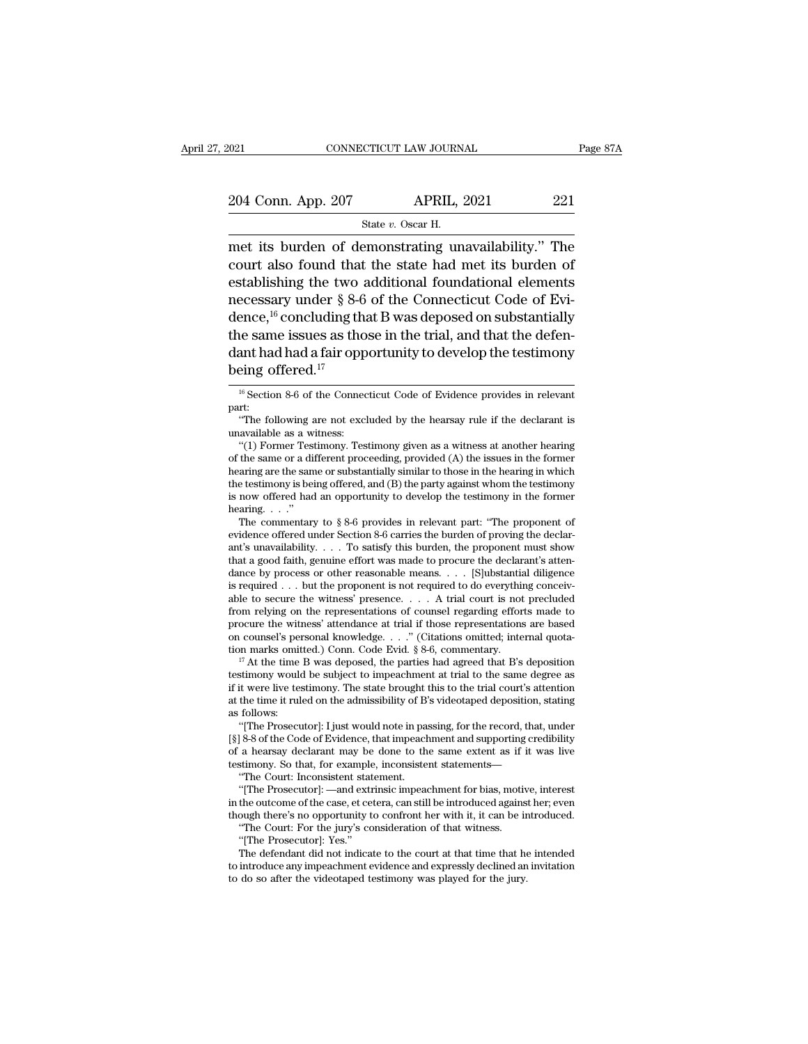$\frac{1}{2021}$  connectricut LAW JOURNAL Page 87A<br>  $\frac{204 \text{ Conn. App. 207}}{\text{State } v. \text{ Oscar H.}}$ The state v. Oscar H.<br>
The court also found that the state had met its burden of eateblishing the two edditional foundational elements 204 Conn. App. 207 APRIL, 2021 221<br>
State v. Oscar H.<br>
The state v. Oscar H.<br>
The court also found that the state had met its burden of<br>
establishing the two additional foundational elements<br>
processory under  $8.8.6$  of t 204 Conn. App. 207 APRIL, 2021 221<br>
State v. Oscar H.<br>
The two stablishing the two additional foundational elements<br>
necessary under § 8-6 of the Connecticut Code of Evi-204 Conn. App. 207 APRIL, 2021 221<br>
State v. Oscar H.<br>
The court its burden of demonstrating unavailability." The<br>
court also found that the state had met its burden of<br>
establishing the two additional foundational elemen State v. Oscar H.<br>
The court its burden of demonstrating unavailability." The<br>
court also found that the state had met its burden of<br>
establishing the two additional foundational elements<br>
necessary under § 8-6 of the Con State *v*. Oscal ii.<br>
met its burden of demonstrating unavailability." The<br>
court also found that the state had met its burden of<br>
establishing the two additional foundational elements<br>
necessary under § 8-6 of the Connec met its burden of demonstrating unavailability." The<br>court also found that the state had met its burden of<br>establishing the two additional foundational elements<br>necessary under § 8-6 of the Connecticut Code of Evi-<br>dence, court also found that<br>establishing the two<br>necessary under § 8-6<br>dence,<sup>16</sup> concluding th<br>the same issues as the<br>dant had had a fair opp<br>being offered.<sup>17</sup> ence,<sup>10</sup> concluding that B was deposed on substantially<br>the same issues as those in the trial, and that the defen-<br>ant had had a fair opportunity to develop the testimony<br>eing offered.<sup>17</sup><br><sup>16</sup> Section 8-6 of the Connecti ant had had a fair opportunity to develop the testimony<br>
ing offered.<sup>17</sup><br>
<sup>16</sup> Section 8-6 of the Connecticut Code of Evidence provides in relevant<br>
rt:<br>
"The following are not excluded by the hearsay rule if the declaran **EXECUTE 11 THE MANUS CONTROLLED ASSESS**<br> **EXECUTE ASSESS:**<br> **EXECUTE:**<br> **EXECUTE:**<br> **EXECUTE:**<br> **EXECUTE:**<br> **EXECUTE:**<br> **EXECUTE:**<br> **EXECUTE:**<br> **EXECUTE:**<br> **EXECUTE:**<br> **EXECUTE:**<br> **EXECUTE:**<br> **EXECUTE:**<br> **EXECUTE:**<br> **EXE** 

part:

Example of Ferred.<sup>17</sup><br>
<sup>16</sup> Section 8-6 of the Connecticut Code of Evidence provides in relevant<br>  $r$ t:<br>
"The following are not excluded by the hearsay rule if the declarant is<br>
available as a witness:<br>
"(1) Former Testi <sup>16</sup> Section 8-6 of the Connecticut Code of Evidence provides in relevant part:<br>
"The following are not excluded by the hearsay rule if the declarant is<br>
unavailable as a witness:<br>
"(1) Former Testimony. Testimony given a " Section 8-6 of the Connecticut Code of Evidence provides in relevant part:<br>
"The following are not excluded by the hearsay rule if the declarant is<br>
unavailable as a witness:<br>
"(1) Former Testimony. Testimony given as a part:<br>
"The following are not excluded by the hearsay rule if the declarant is<br>
unavailable as a witness:<br>
"(1) Former Testimony. Testimony given as a witness at another hearing<br>
of the same or a different proceeding, prov "The following are not excluded by the hearsay rule if the declarant is unavailable as a witness:<br>"(1) Former Testimony. Testimony given as a witness at another hearing<br>of the same or a different proceeding, provided (A) unavailable as a witness:<br>
"(1) Former Testimony. Testimony given as a witness at another hearing<br>
of the same or a different proceeding, provided (A) the issues in the former<br>
hearing are the same or substantially simila "(1) Former Testimony. Testimony given as a witness at another hearing<br>the same or a different proceeding, provided (A) the issues in the former<br>aring are the same or substantially similar to those in the hearing in which

the testimony is being offered, and (B) the party against whom the testimony<br>is now offered had an opportunity to develop the testimony in the former<br>hearing...."<br>The commentary to § 8-6 provides in relevant part: "The pr hearing are the same or substantially similar to those in the hearing in which<br>the testimony is being offered, and (B) the party against whom the testimony<br>is now offered had an opportunity to develop the testimony in the the testimony is being offered, and (B) the party against whom the testimony<br>is now offered had an opportunity to develop the testimony in the former<br>hearing. . . . "<br>The commentary to § 8-6 provides in relevant part: "Th is now offered had an opportunity to develop the testimony in the former<br>hearing. . . ."<br>The commentary to  $\S 8-6$  provides in relevant part: "The proponent of<br>evidence offered under Section 8-6 carries the burden of prov hearing. . . . ."<br>The commentary to § 8-6 provides in relevant part: "The proponent of<br>evidence offered under Section 8-6 carries the burden of proving the declar-<br>ant's unavailability. . . . To satisfy this burden, the p The commentary to § 8-6 provides in relevant part: "The proponent of evidence offered under Section 8-6 carries the burden of proving the declarant's unavailability. . . . To satisfy this burden, the proponent must show t evidence offered under Section 8-6 carries the burden of proving the declarant's unavailability. . . . To satisfy this burden, the proponent must show that a good faith, genuine effort was made to procure the declarant's a ant's unavailability. . . . To satisfy this burden, the proponent must show<br>that a good faith, genuine effort was made to procure the declarant's atten-<br>dance by process or other reasonable means. . . . [S]ubstantial dili that a good faith, genuine effort was made to procure the declarant's atten-<br>dance by process or other reasonable means. . . . [S]ubstantial diligence<br>is required . . . but the proponent is not required to do everything c dance by process or other reasonable means. . . . [S]ubstantial diligence<br>is required . . . but the proponent is not required to do everything conceiv-<br>able to secure the witness' presence. . . . . A trial court is not pr able to secure the witness' presence. . . . . A trial court is not precluded<br>from relying on the representations of counsel regarding efforts made to<br>procure the witness' attendance at trial if those representations are b

from relying on the representations of counsel regarding efforts made to<br>procure the witness' attendance at trial if those representations are based<br>on counsel's personal knowledge. . . ." (Citations omitted; internal quo procure the witness' attendance at trial if those representations are based<br>on counsel's personal knowledge. . . ." (Citations omitted; internal quota-<br>tion marks omitted.) Conn. Code Evid. § 8-6, commentary.<br><sup>17</sup> At the tion marks omitted.) Conn. Code Evid. § 8-6, commentary.<br><sup>17</sup> At the time B was deposed, the parties had agreed that B's deposition testimony would be subject to impeachment at trial to the same degree as if it were live In marks omitted.) Conn. Code Evid. § 8-6, commentary.<br>
<sup>17</sup> At the time B was deposed, the parties had agreed that B's deposition<br>
stimony would be subject to impeachment at trial to the same degree as<br>
it were live test <sup>17</sup> At the time B was deposed, the parties had agreed that B's deposition testimony would be subject to impeachment at trial to the same degree as if it were live testimony. The state brought this to the trial court's at

testimony would be subject to impeachment at trial to the same degree as<br>if it were live testimony. The state brought this to the trial court's attention<br>at the time it ruled on the admissibility of B's videotaped depositi if it were live testimony. The state brought this to the trial court's attention<br>at the time it ruled on the admissibility of B's videotaped deposition, stating<br>as follows:<br>"[The Prosecutor]: I just would note in passing, the time it ruled on the admissibility of B'<br>
follows:<br>
"[The Prosecutor]: I just would note in paa<br>
[8-8 of the Code of Evidence, that impeach<br>
a hearsay declarant may be done to the<br>
stimony. So that, for example, incons follows:<br>
"[The Prosecutor]: I just would note in passing, for the record, that, under<br>
[8-8 of the Code of Evidence, that impeachment and supporting credibility<br>
a hearsay declarant may be done to the same extent as if it "[The Prosecutor]: I just would note in passing, for the record, that, under [§] 8-8 of the Code of Evidence, that impeachment and supporting credibility of a hearsay declarant may be done to the same extent as if it was

[§] 8-8 of the Code of Evidence, that impeachment and supporting credibility of a hearsay declarant may be done to the same extent as if it was live testimony. So that, for example, inconsistent statements—<br>"The Court: In a hearsay declarant may be done to the same extent as if is<br>timony. So that, for example, inconsistent statements—<br>"The Court: Inconsistent statement.<br>"[The Prosecutor]: —and extrinsic impeachment for bias, motive<br>the outc stimony. So that, for example<br>
"The Court: Inconsistent stat"<br>
"[The Prosecutor]: —and ext<br>
the outcome of the case, et ce<br>
ough there's no opportunity t<br>
"The Court: For the jury's cc<br>
"[The Prosecutor]: Yes."<br>
The defend "The Court: Inconsistent statement.<br>"[The Prosecutor]: —and extrinsic impeachment for bias, motive, interest<br>the outcome of the case, et cetera, can still be introduced against her; even<br>ough there's no opportunity to conf "[The Prosecutor]: —and extrinsic impeachment for bias, motive, interest<br>in the outcome of the case, et cetera, can still be introduced against her; even<br>though there's no opportunity to confront her with it, it can be int

in the outcome of the case, et cetera, can still be introduced against her; even<br>though there's no opportunity to confront her with it, it can be introduced.<br>"The Court: For the jury's consideration of that witness.<br>"[The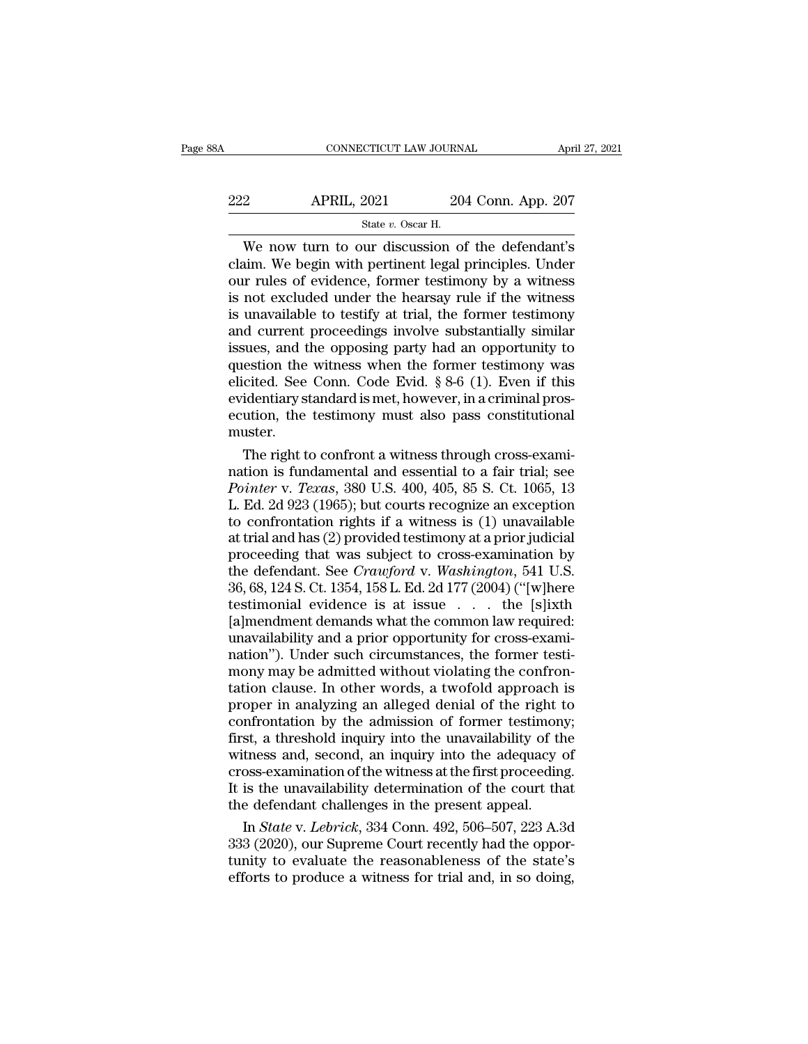| 38A | CONNECTICUT LAW JOURNAL |                    | April 27, 2021 |
|-----|-------------------------|--------------------|----------------|
| 222 | <b>APRIL, 2021</b>      | 204 Conn. App. 207 |                |
|     | State $v$ . Oscar H.    |                    |                |

CONNECTICUT LAW JOURNAL April 27, 2021<br>
204 Conn. App. 207<br>
3tate v. Oscar H.<br>
204 Conn. App. 207<br>
3tate v. Oscar H.<br>
3tate v. Oscar H.<br>
204 Conn. App. 207<br>
3tate v. Oscar H.<br>
3tate v. Oscar H.<br>
204 Conn. App. 207<br>
3tate 222 APRIL, 2021 204 Conn. App. 207<br>
State v. Oscar H.<br>
We now turn to our discussion of the defendant's<br>
claim. We begin with pertinent legal principles. Under<br>
our rules of evidence, former testimony by a witness<br>
is not 222 APRIL, 2021 204 Conn. App. 207<br>
State v. Oscar H.<br>
We now turn to our discussion of the defendant's<br>
claim. We begin with pertinent legal principles. Under<br>
our rules of evidence, former testimony by a witness<br>
is not 222 APRIL, 2021 204 Conn. App. 207<br>  $\frac{\text{State } v. \text{ Oscar H.}}{204 \text{ Conn. App. 207}}$ <br>
We now turn to our discussion of the defendant's<br>
claim. We begin with pertinent legal principles. Under<br>
our rules of evidence, former testimony by State v. Oscar H.<br>
State v. Oscar H.<br>
We now turn to our discussion of the defendant's<br>
claim. We begin with pertinent legal principles. Under<br>
our rules of evidence, former testimony by a witness<br>
is not excluded under t State v. Oscar H.<br>
We now turn to our discussion of the defendant's<br>
claim. We begin with pertinent legal principles. Under<br>
our rules of evidence, former testimony by a witness<br>
is not excluded under the hearsay rule if We now turn to our discussion of the defendant's<br>claim. We begin with pertinent legal principles. Under<br>our rules of evidence, former testimony by a witness<br>is not excluded under the hearsay rule if the witness<br>is unavaila claim. We begin with pertinent legal principles. Under<br>our rules of evidence, former testimony by a witness<br>is not excluded under the hearsay rule if the witness<br>is unavailable to testify at trial, the former testimony<br>and our rules of evidence, former testimony by a witness<br>is not excluded under the hearsay rule if the witness<br>is unavailable to testify at trial, the former testimony<br>and current proceedings involve substantially similar<br>issu is not excluded under the hearsay rule if the witness<br>is unavailable to testify at trial, the former testimony<br>and current proceedings involve substantially similar<br>issues, and the opposing party had an opportunity to<br>ques is unavailable to testify at trial, the former testimony<br>and current proceedings involve substantially similar<br>issues, and the opposing party had an opportunity to<br>question the witness when the former testimony was<br>elicit muster. sues, and the opposing party had an opportunity to<br>estion the witness when the former testimony was<br>cited. See Conn. Code Evid. § 8-6 (1). Even if this<br>identiary standard is met, however, in a criminal pros-<br>ution, the te question the witness when the former testimony was<br>elicited. See Conn. Code Evid. § 8-6 (1). Even if this<br>evidentiary standard is met, however, in a criminal pros-<br>ecution, the testimony must also pass constitutional<br>must

elicited. See Conn. Code Evid. § 8-6 (1). Even if this<br>evidentiary standard is met, however, in a criminal pros-<br>ecution, the testimony must also pass constitutional<br>muster.<br>The right to confront a witness through cross-ex evidentiary standard is met, however, in a criminal prosecution, the testimony must also pass constitutional<br>muster.<br>The right to confront a witness through cross-exami-<br>nation is fundamental and essential to a fair trial; ecution, the testimony must also pass constitutional<br>muster.<br>The right to confront a witness through cross-exami-<br>nation is fundamental and essential to a fair trial; see<br>Pointer v. Texas, 380 U.S. 400, 405, 85 S. Ct. 1065 muster.<br>
The right to confront a witness through cross-examination is fundamental and essential to a fair trial; see<br> *Pointer v. Texas*, 380 U.S. 400, 405, 85 S. Ct. 1065, 13<br>
L. Ed. 2d 923 (1965); but courts recognize a The right to confront a witness through cross-exami-<br>nation is fundamental and essential to a fair trial; see<br>*Pointer* v. *Texas*, 380 U.S. 400, 405, 85 S. Ct. 1065, 13<br>L. Ed. 2d 923 (1965); but courts recognize an excep nation is fundamental and essential to a fair trial; see<br>*Pointer* v. *Texas*, 380 U.S. 400, 405, 85 S. Ct. 1065, 13<br>L. Ed. 2d 923 (1965); but courts recognize an exception<br>to confrontation rights if a witness is (1) unava Pointer v. Texas, 380 U.S. 400, 405, 85 S. Ct. 1065, 13<br>L. Ed. 2d 923 (1965); but courts recognize an exception<br>to confrontation rights if a witness is (1) unavailable<br>at trial and has (2) provided testimony at a prior jud L. Ed. 2d 923 (1965); but courts recognize an exception<br>to confrontation rights if a witness is (1) unavailable<br>at trial and has (2) provided testimony at a prior judicial<br>proceeding that was subject to cross-examination to confrontation rights if a witness is (1) unavailable<br>at trial and has (2) provided testimony at a prior judicial<br>proceeding that was subject to cross-examination by<br>the defendant. See *Crawford* v. Washington, 541 U.S. at trial and has (2) provided testimony at a prior judicial<br>proceeding that was subject to cross-examination by<br>the defendant. See *Crawford* v. Washington, 541 U.S.<br>36, 68, 124 S. Ct. 1354, 158 L. Ed. 2d 177 (2004) ("[w] proceeding that was subject to cross-examination by<br>the defendant. See *Crawford* v. Washington, 541 U.S.<br>36, 68, 124 S. Ct. 1354, 158 L. Ed. 2d 177 (2004) ("[w]here<br>testimonial evidence is at issue . . . the [s]ixth<br>[a]m the defendant. See *Crawford* v. Washington, 541 U.S.<br>36, 68, 124 S. Ct. 1354, 158 L. Ed. 2d 177 (2004) ("[w]here<br>testimonial evidence is at issue . . . . the [s]ixth<br>[a]mendment demands what the common law required:<br>unav 36, 68, 124 S. Ct. 1354, 158 L. Ed. 2d 177 (2004) ("[w]here<br>testimonial evidence is at issue . . . the [s]ixth<br>[a]mendment demands what the common law required:<br>unavailability and a prior opportunity for cross-exami-<br>natio testimonial evidence is at issue . . . the [s]ixth [a]mendment demands what the common law required:<br>unavailability and a prior opportunity for cross-exami-<br>nation"). Under such circumstances, the former testi-<br>mony may be [a]mendment demands what the common law required:<br>unavailability and a prior opportunity for cross-exami-<br>nation"). Under such circumstances, the former testi-<br>mony may be admitted without violating the confron-<br>tation cla unavailability and a prior opportunity for cross-exami-<br>nation"). Under such circumstances, the former testi-<br>mony may be admitted without violating the confron-<br>tation clause. In other words, a twofold approach is<br>proper mation"). Under such circumstances, the former testi-<br>mony may be admitted without violating the confron-<br>tation clause. In other words, a twofold approach is<br>proper in analyzing an alleged denial of the right to<br>confronta mony may be admitted without violating the confrontation clause. In other words, a twofold approach is<br>proper in analyzing an alleged denial of the right to<br>confrontation by the admission of former testimony;<br>first, a thre tation clause. In other words, a twofold approach is<br>proper in analyzing an alleged denial of the right to<br>confrontation by the admission of former testimony;<br>first, a threshold inquiry into the unavailability of the<br>witne proper in analyzing an alleged denial of the right t<br>confrontation by the admission of former testimon<br>first, a threshold inquiry into the unavailability of th<br>witness and, second, an inquiry into the adequacy c<br>cross-exam Infrontation by the admission of former testimony;<br>st, a threshold inquiry into the unavailability of the<br>tness and, second, an inquiry into the adequacy of<br>oss-examination of the witness at the first proceeding.<br>is the un first, a threshold inquiry into the unavailability of the<br>witness and, second, an inquiry into the adequacy of<br>cross-examination of the witness at the first proceeding.<br>It is the unavailability determination of the court t

witness and, second, an inquiry into the adequacy of cross-examination of the witness at the first proceeding.<br>It is the unavailability determination of the court that the defendant challenges in the present appeal.<br>In *S* cross-examination of the witness at the first proceeding.<br>It is the unavailability determination of the court that<br>the defendant challenges in the present appeal.<br>In *State* v. *Lebrick*, 334 Conn. 492, 506–507, 223 A.3d<br>3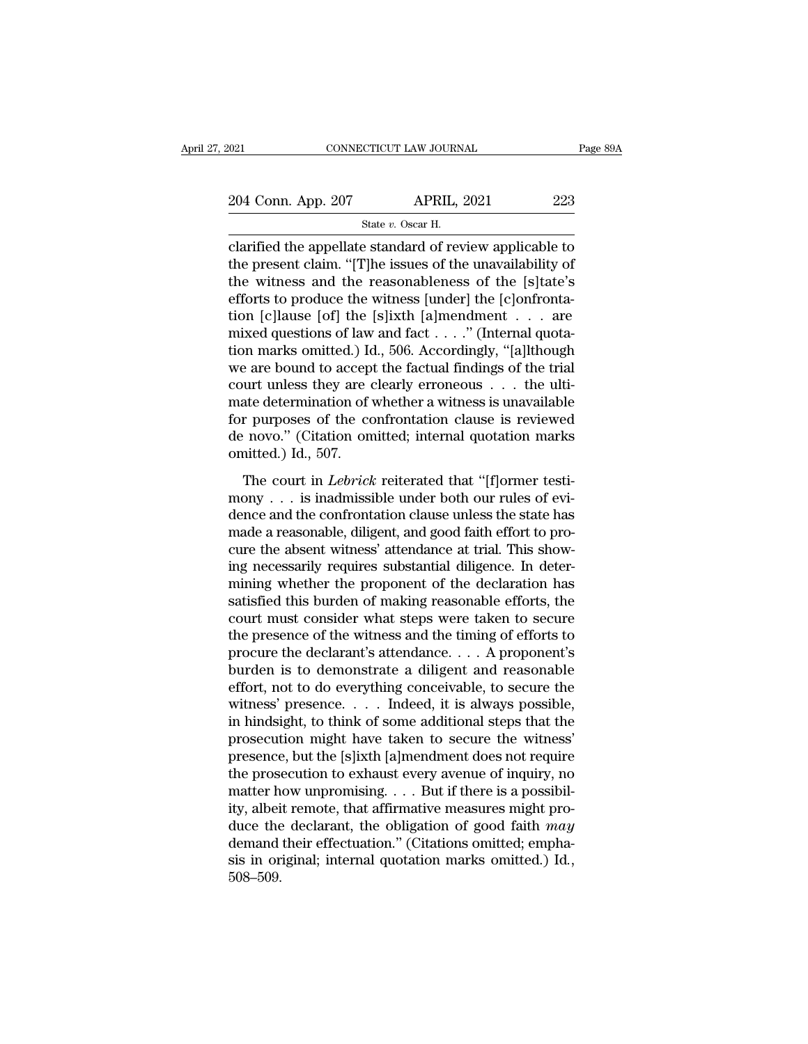$\begin{tabular}{l l l l} \hline 021 & & & & & & \textbf{CONNECTICUT LAW JOURNAL} \\\hline 204 & \textbf{Conn. App. 207} & & & & \textbf{APRIL, 2021} \\\hline & & & & \textbf{State $v$. Oscar H.} \\\hline \end{tabular}$ 

STEUT LAW JOURN.<br>APRIL, :<br>State *v.* Oscar H.<br>P. Standard of rev. connecticut LAW JOURNAL Page 89A<br>
204 Conn. App. 207 APRIL, 2021 223<br>
State v. Oscar H.<br>
Clarified the appellate standard of review applicable to<br>
the present claim. "[T]he issues of the unavailability of<br>
the witness and 204 Conn. App. 207 APRIL, 2021 223<br>
State v. Oscar H.<br>
Clarified the appellate standard of review applicable to<br>
the present claim. "[T]he issues of the unavailability of<br>
the witness and the reasonableness of the [s]tate 204 Conn. App. 207 APRIL, 2021 223<br>
State v. Oscar H.<br>
Clarified the appellate standard of review applicable to<br>
the present claim. "[T]he issues of the unavailability of<br>
the witness and the reasonableness of the [s]tate 204 Conn. App. 207 APRIL, 2021 223<br>
State v. Oscar H.<br>
clarified the appellate standard of review applicable to<br>
the present claim. "[T]he issues of the unavailability of<br>
the witness and the reasonableness of the [s]tate State v. Oscar H.<br>
Clarified the appellate standard of review applicable to<br>
the present claim. "[T]he issues of the unavailability of<br>
the witness and the reasonableness of the [s]tate's<br>
efforts to produce the witness [ state v. Oscar H.<br>
clarified the appellate standard of review applicable to<br>
the present claim. "[T]he issues of the unavailability of<br>
the witness and the reasonableness of the [s]tate's<br>
efforts to produce the witness [ clarified the appellate standard of review applicable to<br>the present claim. "[T]he issues of the unavailability of<br>the witness and the reasonableness of the [s]tate's<br>efforts to produce the witness [under] the [c]onfronta the present claim. "[T]he issues of the unavailability of<br>the witness and the reasonableness of the [s]tate's<br>efforts to produce the witness [under] the [c]onfronta-<br>tion [c]lause [of] the [s]ixth [a]mendment . . . . are<br> the witness and the reasonableness of the [s]tate's<br>efforts to produce the witness [under] the [c]onfronta-<br>tion [c]lause [of] the [s]ixth [a]mendment . . . . are<br>mixed questions of law and fact . . . ." (Internal quota-<br> efforts to produce the witness [under] the [c]onfrontation [c]lause [of] the [s]ixth [a]mendment . . . are mixed questions of law and fact . . . ." (Internal quotation marks omitted.) Id., 506. Accordingly, "[a]lthough we tion [c]lause [of] the [s]ixth [a]mendment . . . are<br>mixed questions of law and fact . . . ." (Internal quota-<br>tion marks omitted.) Id., 506. Accordingly, "[a]lthough<br>we are bound to accept the factual findings of the tri mixed questions of law and fact . . . ." (Internal quotation marks omitted.) Id., 506. Accordingly, "[a]lthough we are bound to accept the factual findings of the trial court unless they are clearly erroneous . . . the ul tion marks omitted.) Id<br>we are bound to accep<br>court unless they are  $\alpha$ <br>mate determination of  $\alpha$ <br>for purposes of the co<br>de novo." (Citation on<br>omitted.) Id., 507.<br>The court in *Lebrick* The court in *Lebrick* reiterated that "[f]ormer testi-<br>The court in *Lebrick* reiterated in a specific reviewed<br>in novo." (Citation omitted; internal quotation marks<br>aitted.) Id., 507.<br>The court in *Lebrick* reiterated th mate determination of whether a witness is unavailable<br>for purposes of the confrontation clause is reviewed<br>de novo." (Citation omitted; internal quotation marks<br>omitted.) Id., 507.<br>The court in *Lebrick* reiterated that

for purposes of the confrontation clause is reviewed<br>de novo." (Citation omitted; internal quotation marks<br>omitted.) Id., 507.<br>The court in *Lebrick* reiterated that "[f]ormer testi-<br>mony . . . is inadmissible under both de novo." (Citation omitted; internal quotation marks<br>de novo." (Citation omitted; internal quotation marks<br>omitted.) Id., 507.<br>The court in *Lebrick* reiterated that "[f]ormer testi-<br>mony . . . is inadmissible under both cure the absent with the absent with the absent with the control of the control of the confrontation clause unless the state has made a reasonable, diligent, and good faith effort to procure the absent witness' attendance The court in *Lebrick* reiterated that "[f]ormer testi-<br>mony . . . is inadmissible under both our rules of evi-<br>dence and the confrontation clause unless the state has<br>made a reasonable, diligent, and good faith effort to The court in *Lebrick* reiterated that "[f]ormer testi-<br>mony . . . is inadmissible under both our rules of evi-<br>dence and the confrontation clause unless the state has<br>made a reasonable, diligent, and good faith effort to mony . . . is inadmissible under both our rules of evidence and the confrontation clause unless the state has<br>made a reasonable, diligent, and good faith effort to pro-<br>cure the absent witness' attendance at trial. This s dence and the confrontation clause unless the state has<br>made a reasonable, diligent, and good faith effort to pro-<br>cure the absent witness' attendance at trial. This show-<br>ing necessarily requires substantial diligence. In made a reasonable, diligent, and good faith effort to procure the absent witness' attendance at trial. This showing necessarily requires substantial diligence. In determining whether the proponent of the declaration has sa cure the absent witness' attendance at trial. This show-<br>ing necessarily requires substantial diligence. In deter-<br>mining whether the proponent of the declaration has<br>satisfied this burden of making reasonable efforts, the ing necessarily requires substantial diligence. In deter-<br>mining whether the proponent of the declaration has<br>satisfied this burden of making reasonable efforts, the<br>court must consider what steps were taken to secure<br>the mining whether the proponent of the declaration has<br>satisfied this burden of making reasonable efforts, the<br>court must consider what steps were taken to secure<br>the presence of the witness and the timing of efforts to<br>procu satisfied this burden of making reasonable efforts, the<br>court must consider what steps were taken to secure<br>the presence of the witness and the timing of efforts to<br>procure the declarant's attendance. . . . A proponent's<br>b court must consider what steps were taken to secure<br>the presence of the witness and the timing of efforts to<br>procure the declarant's attendance.... A proponent's<br>burden is to demonstrate a diligent and reasonable<br>effort, the presence of the witness and the timing of efforts to<br>procure the declarant's attendance.... A proponent's<br>burden is to demonstrate a diligent and reasonable<br>effort, not to do everything conceivable, to secure the<br>witn procure the declarant's attendance. . . . . A proponent's<br>burden is to demonstrate a diligent and reasonable<br>effort, not to do everything conceivable, to secure the<br>witness' presence. . . . . Indeed, it is always possible burden is to demonstrate a diligent and reasonable<br>effort, not to do everything conceivable, to secure the<br>witness' presence. . . . Indeed, it is always possible,<br>in hindsight, to think of some additional steps that the<br>pr effort, not to do everything conceivable, to secure the witness' presence. . . . Indeed, it is always possible, in hindsight, to think of some additional steps that the prosecution might have taken to secure the witness' witness' presence. . . . . Indeed, it is always possible,<br>in hindsight, to think of some additional steps that the<br>prosecution might have taken to secure the witness'<br>presence, but the [s]ixth [a]mendment does not require in hindsight, to think of some additional steps that the<br>prosecution might have taken to secure the witness'<br>presence, but the [s]ixth [a]mendment does not require<br>the prosecution to exhaust every avenue of inquiry, no<br>ma prosecution might have taken to secure the witness'<br>presence, but the [s]ixth [a]mendment does not require<br>the prosecution to exhaust every avenue of inquiry, no<br>matter how unpromising....But if there is a possibil-<br>ity, presence, but the [s]ixth [a]mendment does not require<br>the prosecution to exhaust every avenue of inquiry, no<br>matter how unpromising. . . . But if there is a possibil-<br>ity, albeit remote, that affirmative measures might pr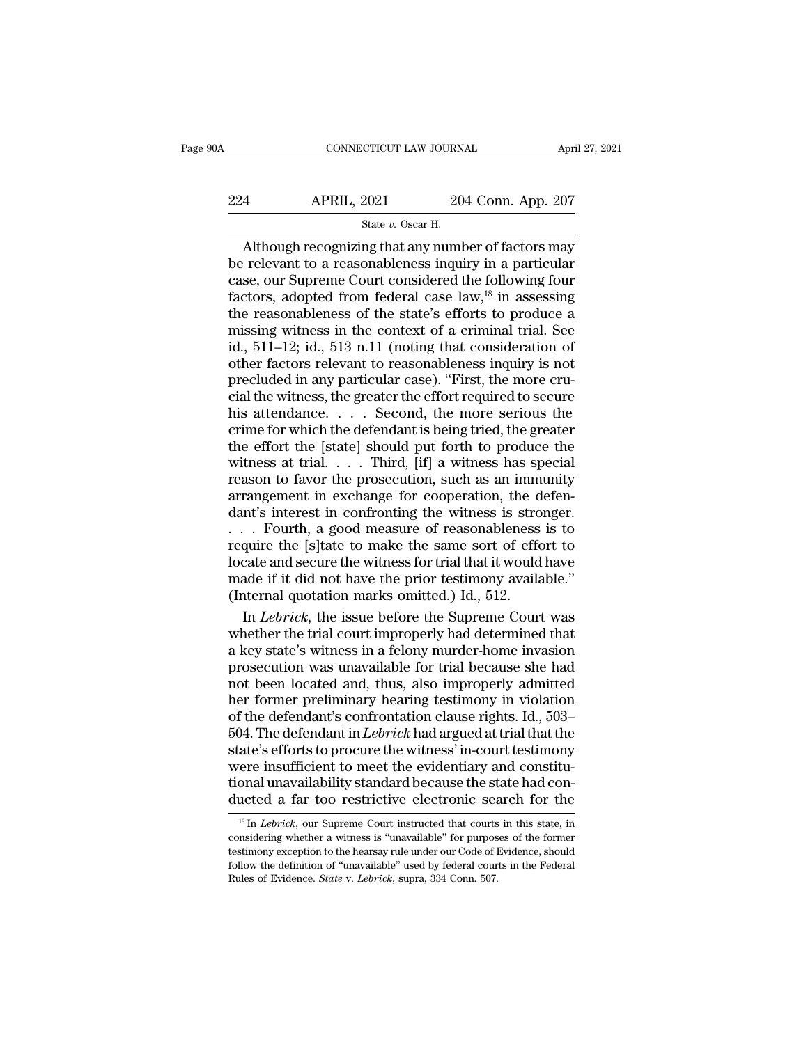# CONNECTICUT LAW JOURNAL April 27, 2021<br>224 APRIL, 2021 204 Conn. App. 207<br>5tate v. Oscar H. EXTICUT LAW JOURN.<br>2021 20<br>State *v.* Oscar H.<br>nø that any numb

 $\begin{tabular}{ll} \multicolumn{2}{l}{{\small \begin{tabular}{l}p{27,2021}}\hline & \multicolumn{2}{c}{\multicolumn{2}{l}{\text{ADril 27,2021}}\hline & \multicolumn{2}{c}{\multicolumn{2}{l}{\text{April 27,2021}}\hline \multicolumn{2}{c}{\text{APRIL, 2021}}\hline & \multicolumn{2}{c}{\text{State $v$}. Oscar H.} \end{tabular} } \end{tabular} } \end{tabular} \end{tabular} \end{tabular} \begin{tabular}{ll} \multicolumn{2}{c}{\text{State $v$}.$ 224 APRIL, 2021 204 Conn. App. 207<br>
State v. Oscar H.<br>
Although recognizing that any number of factors may<br>
be relevant to a reasonableness inquiry in a particular<br>
case, our Supreme Court considered the following four<br>
f 224 APRIL, 2021 204 Conn. App. 207<br>
State v. Oscar H.<br>
Although recognizing that any number of factors may<br>
be relevant to a reasonableness inquiry in a particular<br>
case, our Supreme Court considered the following four<br>
f Factors, 2021 204 Conn. App. 207<br>
State v. Oscar H.<br>
Although recognizing that any number of factors may<br>
be relevant to a reasonableness inquiry in a particular<br>
case, our Supreme Court considered the following four<br>
fac State v. Oscar H.<br>
State v. Oscar H.<br>
Although recognizing that any number of factors may<br>
be relevant to a reasonableness inquiry in a particular<br>
case, our Supreme Court considered the following four<br>
factors, adopted f State v. Oscar H.<br>
Mithough recognizing that any number of factors may<br>
be relevant to a reasonableness inquiry in a particular<br>
case, our Supreme Court considered the following four<br>
factors, adopted from federal case la Although recognizing that any number of factors may<br>be relevant to a reasonableness inquiry in a particular<br>case, our Supreme Court considered the following four<br>factors, adopted from federal case law,<sup>18</sup> in assessing<br>th be relevant to a reasonableness inquiry in a particular case, our Supreme Court considered the following four factors, adopted from federal case law,<sup>18</sup> in assessing the reasonableness of the state's efforts to produce a case, our Supreme Court considered the following four factors, adopted from federal case law,<sup>18</sup> in assessing the reasonableness of the state's efforts to produce a missing witness in the context of a criminal trial. See factors, adopted from federal case law,<sup>18</sup> in assessing<br>the reasonableness of the state's efforts to produce a<br>missing witness in the context of a criminal trial. See<br>id., 511–12; id., 513 n.11 (noting that consideration the reasonableness of the state's efforts to produce a<br>missing witness in the context of a criminal trial. See<br>id., 511–12; id., 513 n.11 (noting that consideration of<br>other factors relevant to reasonableness inquiry is no missing witness in the context of a criminal trial. See<br>id., 511–12; id., 513 n.11 (noting that consideration of<br>other factors relevant to reasonableness inquiry is not<br>precluded in any particular case). "First, the more c id., 511–12; id., 513 n.11 (noting that consideration of<br>other factors relevant to reasonableness inquiry is not<br>precluded in any particular case). "First, the more cru-<br>cial the witness, the greater the effort required t other factors relevant to reasonableness inquiry is not<br>precluded in any particular case). "First, the more cru-<br>cial the witness, the greater the effort required to secure<br>his attendance. . . . . Second, the more serious precluded in any particular case). "First, the more crucial the witness, the greater the effort required to secure<br>his attendance.... Second, the more serious the<br>crime for which the defendant is being tried, the greater<br> cial the witness, the greater the effort required to secure<br>his attendance.... Second, the more serious the<br>crime for which the defendant is being tried, the greater<br>the effort the [state] should put forth to produce the<br> his attendance. . . . . Second, the more serious the crime for which the defendant is being tried, the greater the effort the [state] should put forth to produce the witness at trial. . . . Third, [if] a witness has speci crime for which the defendant is being tried, the greater<br>the effort the [state] should put forth to produce the<br>witness at trial. . . . Third, [if] a witness has special<br>reason to favor the prosecution, such as an immuni the effort the [state] should put forth to produce the<br>witness at trial. . . . Third, [if] a witness has special<br>reason to favor the prosecution, such as an immunity<br>arrangement in exchange for cooperation, the defen-<br>dan witness at trial. . . . Third, [if] a witness has special<br>reason to favor the prosecution, such as an immunity<br>arrangement in exchange for cooperation, the defen-<br>dant's interest in confronting the witness is stronger.<br>. reason to favor the prosecution, such as an immunity<br>arrangement in exchange for cooperation, the defen-<br>dant's interest in confronting the witness is stronger.<br>. . . Fourth, a good measure of reasonableness is to<br>require arrangement in exchange for cooperation, the d<br>dant's interest in confronting the witness is stro<br> $\ldots$  Fourth, a good measure of reasonableness<br>require the [s]tate to make the same sort of effc<br>locate and secure the witn In *Lehrick*, a good measure of reasonableness is to quire the [s]tate to make the same sort of effort to cate and secure the witness for trial that it would have ade if it did not have the prior testimony available."<br>In a when the trial court of reasonableness is to<br>require the [s]tate to make the same sort of effort to<br>locate and secure the witness for trial that it would have<br>made if it did not have the prior testimony available."<br>(Inter

require the [s]tate to make the same sort of effort to<br>locate and secure the witness for trial that it would have<br>made if it did not have the prior testimony available."<br>(Internal quotation marks omitted.) Id., 512.<br>In *Le* locate and secure the witness for trial that it would have<br>made if it did not have the prior testimony available."<br>(Internal quotation marks omitted.) Id., 512.<br>In *Lebrick*, the issue before the Supreme Court was<br>whether made if it did not have the prior testimony available."<br>
(Internal quotation marks omitted.) Id., 512.<br>
In *Lebrick*, the issue before the Supreme Court was<br>
whether the trial court improperly had determined that<br>
a key s (Internal quotation marks omitted.) Id., 512.<br>In *Lebrick*, the issue before the Supreme Court was<br>whether the trial court improperly had determined that<br>a key state's witness in a felony murder-home invasion<br>prosecution In *Lebrick*, the issue before the Supreme Court was<br>whether the trial court improperly had determined that<br>a key state's witness in a felony murder-home invasion<br>prosecution was unavailable for trial because she had<br>not b whether the trial court improperly had determined that<br>a key state's witness in a felony murder-home invasion<br>prosecution was unavailable for trial because she had<br>not been located and, thus, also improperly admitted<br>her f a key state's witness in a felony murder-home invasion<br>prosecution was unavailable for trial because she had<br>not been located and, thus, also improperly admitted<br>her former preliminary hearing testimony in violation<br>of the prosecution was unavailable for trial because she had<br>not been located and, thus, also improperly admitted<br>her former preliminary hearing testimony in violation<br>of the defendant's confrontation clause rights. Id., 503–<br>504 not been located and, thus, also improperly admitted<br>her former preliminary hearing testimony in violation<br>of the defendant's confrontation clause rights. Id., 503–<br>504. The defendant in *Lebrick* had argued at trial that her former preliminary hearing testimony in violation<br>of the defendant's confrontation clause rights. Id., 503–<br>504. The defendant in *Lebrick* had argued at trial that the<br>state's efforts to procure the witness' in-court ate's efforts to procure the witness' in-court testimony<br>ere insufficient to meet the evidentiary and constitu-<br>onal unavailability standard because the state had con-<br>ucted a far too restrictive electronic search for the<br> were insufficient to meet the evidentiary and constitu-<br>tional unavailability standard because the state had con-<br>ducted a far too restrictive electronic search for the<br> $\frac{18 \text{ In } Lebrick, \text{ our Supreme Court instructed that courts in this state, in} \text{considering whether a witness is "unavailable" for purposes of the former \text{test$ 

tional unavailability standard because the state had conducted a far too restrictive electronic search for the  $\frac{18 \text{ In} \text{ Lebrick,} }{18 \text{ In} \text{ Lebrick,}}$  our Supreme Court instructed that courts in this state, in considering w follow the definition of ''unavailable'' used by federal contribution of ''unavailable'' used by federal courts in this state, in considering whether a witness is "'unavailable'' for purposes of the former testimony excep It also restrictive effectionic search of the Table of Table 18 In *Lebrick*, our Supreme Court instructed that courts considering whether a witness is "unavailable" for purpose testimony exception to the hearsay rule unde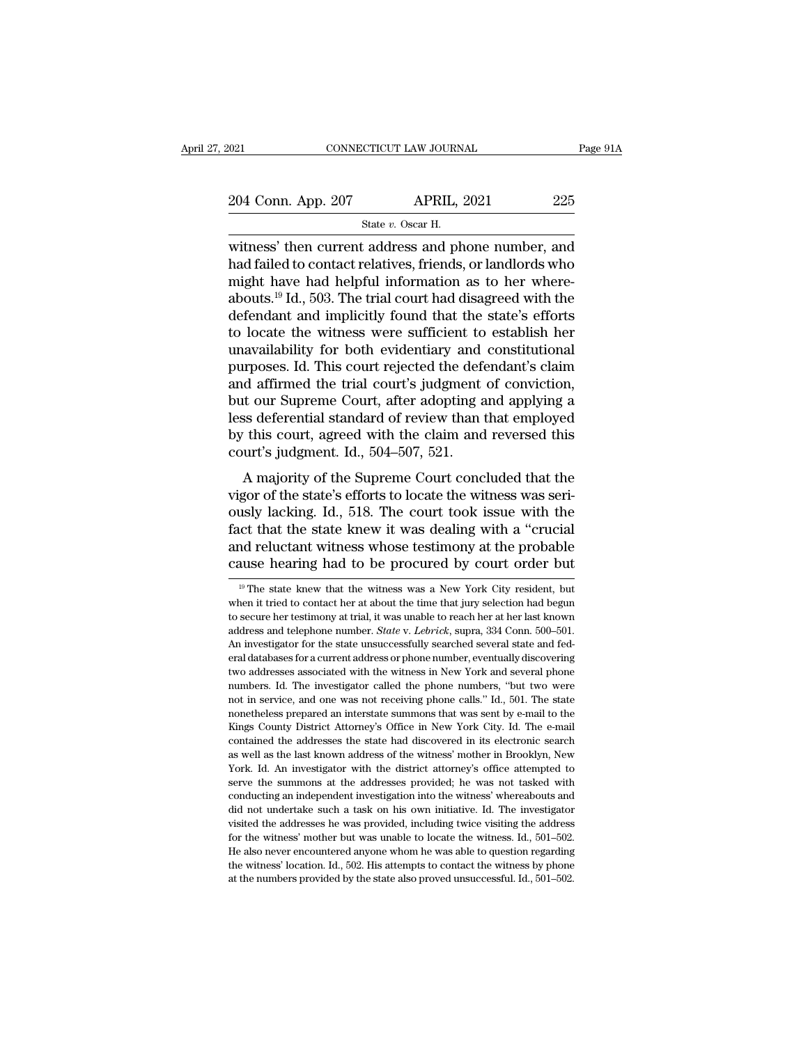EXECTIVE THE CONNECTICUT LAW JOURNAL Page 91A<br>
204 Conn. App. 207 APRIL, 2021 225<br>
State v. Oscar H.<br>
Witness' then current address and phone number, and<br>
had failed to contact relatives, friends, or landlords who 204 Conn. App. 207 APRIL, 2021 225<br>
State v. Oscar H.<br>
witness' then current address and phone number, and<br>
had failed to contact relatives, friends, or landlords who<br>
might have had helpful information as to her where-<br> 204 Conn. App. 207 APRIL, 2021 225<br>
State v. Oscar H.<br>
witness' then current address and phone number, and<br>
had failed to contact relatives, friends, or landlords who<br>
might have had helpful information as to her where-<br> 204 Conn. App. 207 APRIL, 2021 225<br>
State v. Oscar H.<br>
witness' then current address and phone number, and<br>
had failed to contact relatives, friends, or landlords who<br>
might have had helpful information as to her where-<br> State v. Oscar H.<br>
State v. Oscar H.<br>
Witness' then current address and phone number, and<br>
had failed to contact relatives, friends, or landlords who<br>
might have had helpful information as to her where-<br>
abouts.<sup>19</sup> Id., state v. Oscar H.<br>
witness' then current address and phone number, and<br>
had failed to contact relatives, friends, or landlords who<br>
might have had helpful information as to her where-<br>
abouts.<sup>19</sup> Id., 503. The trial cour witness' then current address and phone number, and<br>had failed to contact relatives, friends, or landlords who<br>might have had helpful information as to her where-<br>abouts.<sup>19</sup> Id., 503. The trial court had disagreed with th had failed to contact relatives, friends, or landlords who<br>might have had helpful information as to her where-<br>abouts.<sup>19</sup> Id., 503. The trial court had disagreed with the<br>defendant and implicitly found that the state's ef might have had helpful information as to her where-<br>abouts.<sup>19</sup> Id., 503. The trial court had disagreed with the<br>defendant and implicitly found that the state's efforts<br>to locate the witness were sufficient to establish he abouts.<sup>19</sup> Id., 503. The trial court had disagreed with the<br>defendant and implicitly found that the state's efforts<br>to locate the witness were sufficient to establish her<br>unavailability for both evidentiary and constituti defendant and implicitly found that the state's efforts<br>to locate the witness were sufficient to establish her<br>unavailability for both evidentiary and constitutional<br>purposes. Id. This court rejected the defendant's claim<br> to locate the witness were sufficient to establish her unavailability for both evidentiary and constitutional purposes. Id. This court rejected the defendant's claim and affirmed the trial court's judgment of conviction, b unavailability for both evidentiary and<br>purposes. Id. This court rejected the defe<br>and affirmed the trial court's judgment<br>but our Supreme Court, after adopting a<br>less deferential standard of review than t<br>by this court, a d affirmed the trial court's judgment of conviction,<br>
a diffirmed the trial court's judgment of conviction,<br>
as deferential standard of review than that employed<br>
this court, agreed with the claim and reversed this<br>
urt's and antified the that court's judgment of conviction,<br>but our Supreme Court, after adopting and applying a<br>less deferential standard of review than that employed<br>by this court, agreed with the claim and reversed this<br>court

but our suppente Court, and adopting and applying a<br>less deferential standard of review than that employed<br>by this court, agreed with the claim and reversed this<br>court's judgment. Id., 504–507, 521.<br>A majority of the Supre factor that the state with the claim and reversed this<br>court's judgment. Id., 504–507, 521.<br>A majority of the Supreme Court concluded that the<br>vigor of the state's efforts to locate the witness was seri-<br>ously lacking. Id. by this court, agreed with the claim and reversed this<br>court's judgment. Id., 504–507, 521.<br>A majority of the Supreme Court concluded that the<br>vigor of the state's efforts to locate the witness was seri-<br>ously lacking. Id. A majority of the Supreme Court concluded that the vigor of the state's efforts to locate the witness was seriously lacking. Id., 518. The court took issue with the fact that the state knew it was dealing with a "crucial ously lacking. Id., 518. The court took issue with the fact that the state knew it was dealing with a "crucial and reluctant witness whose testimony at the probable cause hearing had to be procured by court order but  $\frac{$ fact that the state knew it was dealing with a "crucial<br>and reluctant witness whose testimony at the probable<br>cause hearing had to be procured by court order but<br> $\frac{10}{10}$  The state knew that the witness was a New York

and reluctant witness whose testimony at the probable cause hearing had to be procured by court order but  $\frac{10}{10}$  The state knew that the witness was a New York City resident, but when it tried to contact her at about and **Example 2012** Cause hearing had to be procured by court order but  $\frac{10}{10}$  The state knew that the witness was a New York City resident, but when it tried to contact her at about the time that jury selection had be The state knew that the witness was a New York City resident, but<br>  $\frac{19}{19}$  The state knew that the witness was a New York City resident, but<br>
when it tried to contact her at about the time that jury selection had begu <sup>19</sup> The state knew that the witness was a New York City resident, but when it tried to contact her at about the time that jury selection had begun to secure her testimony at trial, it was unable to reach her at her last when it tried to contact her at about the time that jury selection had begun to secure her testimony at trial, it was unable to reach her at her last known address and telephone number. *State v. Lebrick*, supra, 334 Conn numbers. In the investigator called the phone range of the state of the secure her testimony at trial, it was unable to reach her at her last known address and telephone number. *State v. Lebrick*, supra, 334 Conn. 500–50 and design and telephone number. *State v. Lebrick*, supra, 334 Conn. 500–501.<br>An investigator for the state unsuccessfully searched several state and federal databases for a current address or phone number, eventually dis An investigator for the state unsuccessfully searched several state and federal databases for a current address or phone number, eventually discovering two addresses associated with the witness in New York and several phon Fraction and databases for a current address or phone number, eventually discovering two addresses associated with the witness in New York and several phone numbers. Id. The investigator called the phone numbers, "but two two addresses associated with the witness in New York and several phone numbers. Id. The investigator called the phone numbers, "but two were not in service, and one was not receiving phone calls." Id., 501. The state none as well as the last known address of the view of the district and when the state monetheless prepared an interstate summons that was sent by e-mail to the Kings County District Attorney's Office in New York City. Id. The e not in service, and one was not receiving phone calls." Id., 501. The state monetheless prepared an interstate summons that was sent by e-mail to the Kings County District Attorney's Office in New York City. Id. The e-mail nonetheless prepared an interstate summons that was sent by e-mail to the Kings County District Attorney's Office in New York City. Id. The e-mail contained the addresses the state had discovered in its electronic search a Kings County District Attorney's Office in New York City. Id. The e-mail contained the addresses the state had discovered in its electronic search as well as the last known address of the witness' mother in Brooklyn, New Y may contained the addresses the state had discovered in its electronic search as well as the last known address of the witness' mother in Brooklyn, New York. Id. An investigator with the district attorney's office attempte as well as the last known address of the witness' mother in Brooklyn, New York. Id. An investigator with the district attorney's office attempted to serve the summons at the addresses provided, he was not tasked with condu York. Id. An investigator with the district attorney's office attempted to serve the summons at the addresses provided; he was not tasked with conducting an independent investigation into the witness' whereabouts and did For the summons at the addresses provided; he was not tasked with conducting an independent investigation into the witness' whereabouts and did not undertake such a task on his own initiative. Id. The investigator visited conducting an independent investigation into the witness' whereabouts and<br>did not undertake such a task on his own initiative. Id. The investigator<br>visited the addresses he was provided, including twice visiting the addre did not undertake such a task on his own initiative. Id. The investigator visited the addresses he was provided, including twice visiting the address for the witness' mother but was unable to locate the witness. Id., 501–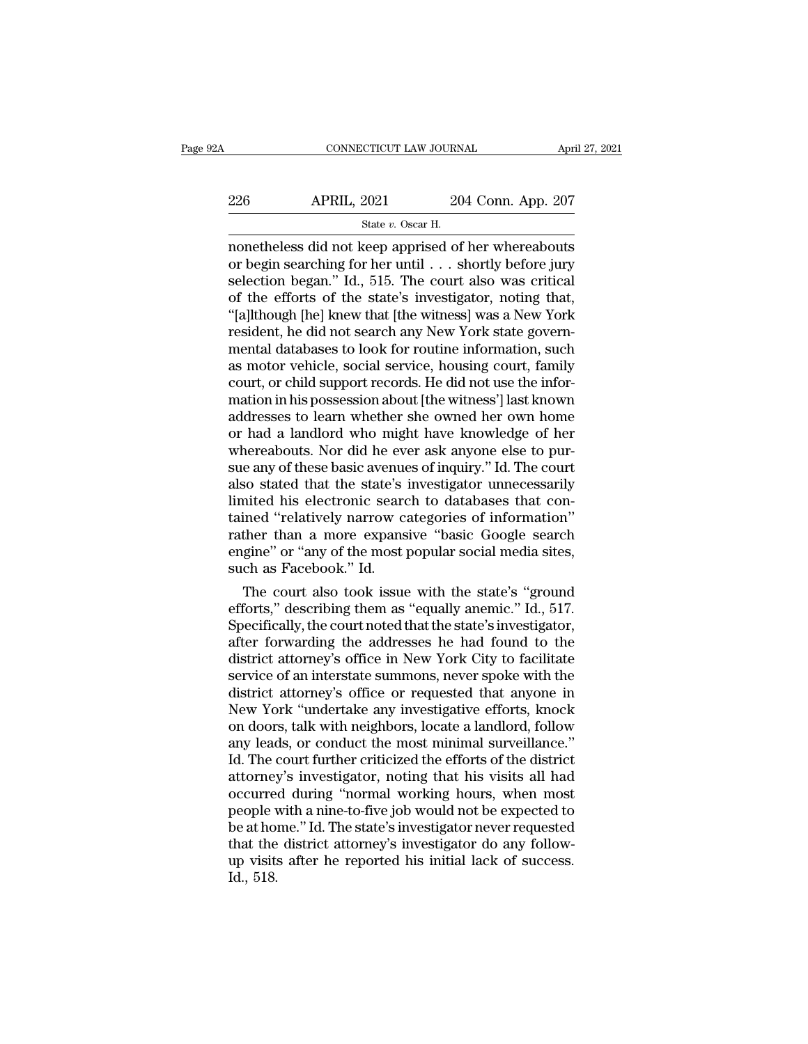# 226 CONNECTICUT LAW JOURNAL April 27, 2021<br>226 APRIL, 2021 204 Conn. App. 207<br>226 State v. Oscar H. EXTICUT LAW JOURN.<br>2021 20<br>State *v.* Oscar H.<br>Keen annrised of

CONNECTICUT LAW JOURNAL April 27, 2021<br>
204 Conn. App. 207<br>
31 State v. Oscar H.<br>
204 Conn. App. 207<br>
204 Conn. App. 207<br>
326 APRIL, 2021<br>
3204 Conn. App. 207<br>
3205 State v. Oscar H.<br>
3206 The Whereabouts<br>
2011 Connect Mer 226 APRIL, 2021 204 Conn. App. 207<br>
State v. Oscar H.<br>
nonetheless did not keep apprised of her whereabouts<br>
or begin searching for her until . . . shortly before jury<br>
selection began." Id., 515. The court also was criti 226 APRIL, 2021 204 Conn. App. 207<br>
State v. Oscar H.<br>
nonetheless did not keep apprised of her whereabouts<br>
or begin searching for her until . . . shortly before jury<br>
selection began." Id., 515. The court also was criti 226 APRIL, 2021 204 Conn. App. 207<br>  $\frac{600}{1000}$  State v. Oscar H.<br>
nonetheless did not keep apprised of her whereabouts<br>
or begin searching for her until . . . shortly before jury<br>
selection began." Id., 515. The court State v. Oscar H.<br>
State v. Oscar H.<br>
nonetheless did not keep apprised of her whereabouts<br>
or begin searching for her until . . . shortly before jury<br>
selection began." Id., 515. The court also was critical<br>
of the effor state v. Oscar H.<br>
monetheless did not keep apprised of her whereabouts<br>
or begin searching for her until . . . shortly before jury<br>
selection began." Id., 515. The court also was critical<br>
of the efforts of the state's i monetheless did not keep apprised of her whereabouts<br>or begin searching for her until . . . shortly before jury<br>selection began." Id., 515. The court also was critical<br>of the efforts of the state's investigator, noting tha or begin searching for her until . . . shortly before jury<br>selection began." Id., 515. The court also was critical<br>of the efforts of the state's investigator, noting that,<br>"[a]lthough [he] knew that [the witness] was a New selection began." Id., 515. The court also was critical<br>of the efforts of the state's investigator, noting that,<br>"[a]lthough [he] knew that [the witness] was a New York<br>resident, he did not search any New York state govern of the efforts of the state's investigator, noting that,<br>"[a]lthough [he] knew that [the witness] was a New York<br>resident, he did not search any New York state govern-<br>mental databases to look for routine information, such "[a]lthough [he] knew that [the witness] was a New York<br>resident, he did not search any New York state govern-<br>mental databases to look for routine information, such<br>as motor vehicle, social service, housing court, family<br> resident, he did not search any New York state governmental databases to look for routine information, such as motor vehicle, social service, housing court, family court, or child support records. He did not use the inform mental databases to look for routine information, such<br>as motor vehicle, social service, housing court, family<br>court, or child support records. He did not use the infor-<br>mation in his possession about [the witness'] last k as motor vehicle, social service, housing court, family<br>court, or child support records. He did not use the infor-<br>mation in his possession about [the witness'] last known<br>addresses to learn whether she owned her own home<br> court, or child support records. He did not use the information in his possession about [the witness'] last known<br>addresses to learn whether she owned her own home<br>or had a landlord who might have knowledge of her<br>whereabo mation in his possession about [the witness'] last known<br>addresses to learn whether she owned her own home<br>or had a landlord who might have knowledge of her<br>whereabouts. Nor did he ever ask anyone else to pur-<br>sue any of t addresses to learn whether she owned her own home<br>or had a landlord who might have knowledge of her<br>whereabouts. Nor did he ever ask anyone else to pur-<br>sue any of these basic avenues of inquiry." Id. The court<br>also stated or had a landlord who might have knowledge of her<br>whereabouts. Nor did he ever ask anyone else to pur-<br>sue any of these basic avenues of inquiry." Id. The court<br>also stated that the state's investigator unnecessarily<br>limit whereabouts. Nor did he ever ask anyone else to pursue any of these basic avenues of inquiry." Id. The court also stated that the state's investigator unnecessarily limited his electronic search to databases that contained sue any of these basic avenue<br>also stated that the state's<br>limited his electronic searc<br>tained "relatively narrow c<br>rather than a more expans<br>engine" or "any of the most<br>such as Facebook." Id.<br>The court also took issue so stated that the state's investigator unnecessarily<br>nited his electronic search to databases that con-<br>ined "relatively narrow categories of information"<br>ther than a more expansive "basic Google search<br>gine" or "any of t limited his electronic search to databases that contained "relatively narrow categories of information"<br>rather than a more expansive "basic Google search<br>engine" or "any of the most popular social media sites,<br>such as Face

tained "relatively narrow categories of information"<br>rather than a more expansive "basic Google search<br>engine" or "any of the most popular social media sites,<br>such as Facebook." Id.<br>The court also took issue with the state rather than a more expansive "basic Google search<br>engine" or "any of the most popular social media sites,<br>such as Facebook." Id.<br>The court also took issue with the state's "ground<br>efforts," describing them as "equally anem engine" or "any of the most popular social media sites,<br>such as Facebook." Id.<br>The court also took issue with the state's "ground<br>efforts," describing them as "equally anemic." Id., 517.<br>Specifically, the court noted that such as Facebook." Id.<br>
The court also took issue with the state's "ground<br>
efforts," describing them as "equally anemic." Id., 517.<br>
Specifically, the court noted that the state's investigator,<br>
after forwarding the addre The court also took issue with the state's "ground<br>efforts," describing them as "equally anemic." Id., 517.<br>Specifically, the court noted that the state's investigator,<br>after forwarding the addresses he had found to the<br>di efforts," describing them as "equally anemic." Id., 517.<br>Specifically, the court noted that the state's investigator,<br>after forwarding the addresses he had found to the<br>district attorney's office in New York City to facili Specifically, the court noted that the state's investigator,<br>after forwarding the addresses he had found to the<br>district attorney's office in New York City to facilitate<br>service of an interstate summons, never spoke with t after forwarding the addresses he had found to the district attorney's office in New York City to facilitate service of an interstate summons, never spoke with the district attorney's office or requested that anyone in New district attorney's office in New York City to facilitate<br>service of an interstate summons, never spoke with the<br>district attorney's office or requested that anyone in<br>New York "undertake any investigative efforts, knock<br>o service of an interstate summons, never spoke with the<br>district attorney's office or requested that anyone in<br>New York "undertake any investigative efforts, knock<br>on doors, talk with neighbors, locate a landlord, follow<br>an district attorney's office or requested that anyone in<br>New York "undertake any investigative efforts, knock<br>on doors, talk with neighbors, locate a landlord, follow<br>any leads, or conduct the most minimal surveillance."<br>Id. New York "undertake any investigative efforts, knock<br>on doors, talk with neighbors, locate a landlord, follow<br>any leads, or conduct the most minimal surveillance."<br>Id. The court further criticized the efforts of the distri on doors, talk with neighbors, locate a landlord, follow<br>any leads, or conduct the most minimal surveillance."<br>Id. The court further criticized the efforts of the district<br>attorney's investigator, noting that his visits al any leads, or conduct the most minimal surveillance."<br>Id. The court further criticized the efforts of the district<br>attorney's investigator, noting that his visits all had<br>occurred during "normal working hours, when most<br>pe Id. The court further criticized the efforts of the district<br>attorney's investigator, noting that his visits all had<br>occurred during "normal working hours, when most<br>people with a nine-to-five job would not be expected to<br> attorney<br>occurre<br>people v<br>be at ho<br>that the<br>up visits<br>Id., 518.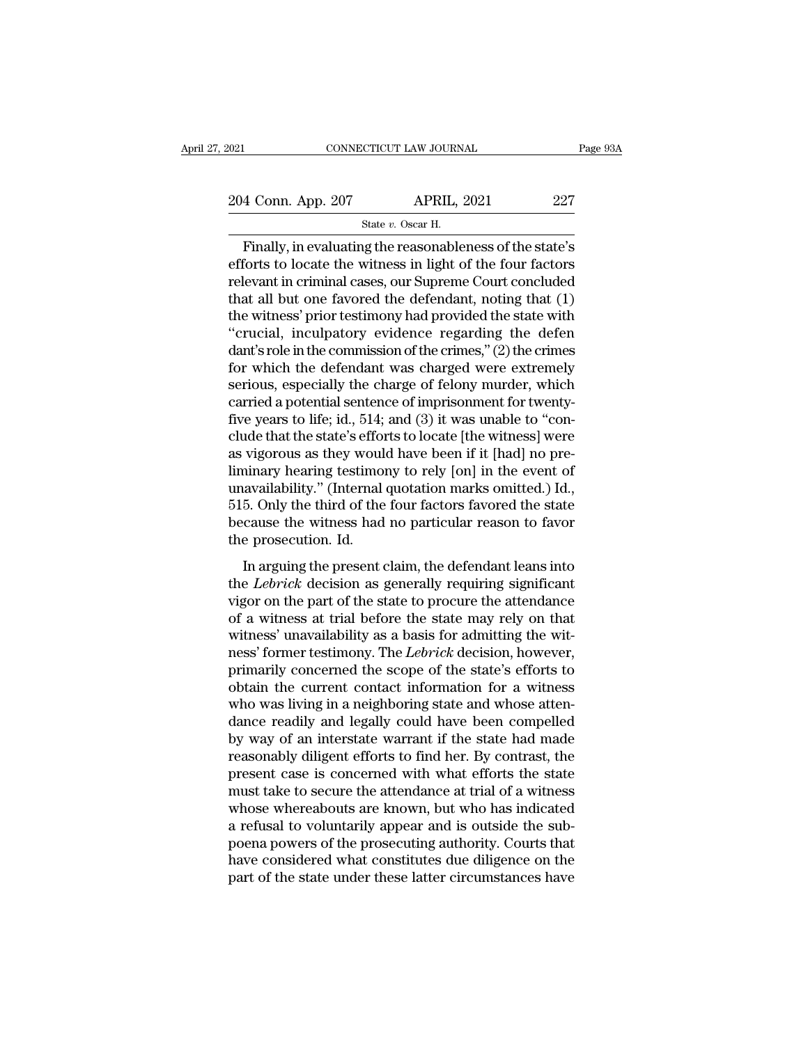Finally, in evaluating the reasonableness of the state's<br>  $\frac{1}{27}$ <br>
Finally, in evaluating the reasonableness of the state's<br>
forts to locate the witness in light of the four factors<br>
shown in criminal cases, our Supram 204 Conn. App. 207 APRIL, 2021 227<br>
State v. Oscar H.<br>
Finally, in evaluating the reasonableness of the state's<br>
efforts to locate the witness in light of the four factors<br>
relevant in criminal cases, our Supreme Court co 204 Conn. App. 207 APRIL, 2021 227<br>
State v. Oscar H.<br>
Finally, in evaluating the reasonableness of the state's<br>
efforts to locate the witness in light of the four factors<br>
relevant in criminal cases, our Supreme Court co 204 Conn. App. 207 APRIL, 2021 227<br>
State v. Oscar H.<br>
Finally, in evaluating the reasonableness of the state's<br>
efforts to locate the witness in light of the four factors<br>
relevant in criminal cases, our Supreme Court co State v. Oscar H.<br>
Finally, in evaluating the reasonableness of the state's<br>
efforts to locate the witness in light of the four factors<br>
relevant in criminal cases, our Supreme Court concluded<br>
that all but one favored th  $\begin{array}{l} \text{state } v \text{. Oscar H.} \\ \text{Finally, in evaluating the reasonableness of the state's efforts to locate the witness in light of the four factors relevant in criminal cases, our Supreme Court concluded that all but one favored the defendant, noting that (1) the witness' prior testimony had provided the state with "crucial, incubatory evidence regarding the defendant's role in the commission of the crimes," (2) the crimes for which the defendant was charged wrong extremely. \end{array}$ Finally, in evaluating the reasonableness of the state's<br>efforts to locate the witness in light of the four factors<br>relevant in criminal cases, our Supreme Court concluded<br>that all but one favored the defendant, noting tha efforts to locate the witness in light of the four factors<br>relevant in criminal cases, our Supreme Court concluded<br>that all but one favored the defendant, noting that (1)<br>the witness' prior testimony had provided the state relevant in criminal cases, our Supreme Court concluded<br>that all but one favored the defendant, noting that (1)<br>the witness' prior testimony had provided the state with<br>"crucial, inculpatory evidence regarding the defen<br>da that all but one favored the defendant, noting that (1)<br>the witness' prior testimony had provided the state with<br>"crucial, inculpatory evidence regarding the defendant's role in the commission of the crimes," (2) the crime the witness' prior testimony had provided the state with<br>"crucial, inculpatory evidence regarding the defendant's role in the commission of the crimes," (2) the crimes<br>for which the defendant was charged were extremely<br>ser "crucial, inculpatory evidence regarding the defendant's role in the commission of the crimes," (2) the crimes<br>for which the defendant was charged were extremely<br>serious, especially the charge of felony murder, which<br>carr dant's role in the commission of the crimes," (2) the crimes<br>for which the defendant was charged were extremely<br>serious, especially the charge of felony murder, which<br>carried a potential sentence of imprisonment for twenty for which the defendant was charged were extremely<br>serious, especially the charge of felony murder, which<br>carried a potential sentence of imprisonment for twenty-<br>five years to life; id., 514; and (3) it was unable to "con serious, especially the charge of felony murder, which<br>carried a potential sentence of imprisonment for twenty-<br>five years to life; id., 514; and (3) it was unable to "con-<br>clude that the state's efforts to locate [the wit carried a potential sentence of imprisonment for twenty-<br>five years to life; id., 514; and (3) it was unable to "con-<br>clude that the state's efforts to locate [the witness] were<br>as vigorous as they would have been if it [h five years to life; id., 514; and (3) it was unable to "conclude that the state's efforts to locate [the witness] were as vigorous as they would have been if it [had] no pre-<br>liminary hearing testimony to rely [on] in the clude that the state's efforts to locate [the witness] were<br>as vigorous as they would have been if it [had] no pre-<br>liminary hearing testimony to rely [on] in the event of<br>unavailability." (Internal quotation marks omitted In arguing testimony to rely [on] in the event of<br>availability." (Internal quotation marks omitted.) Id.,<br>5. Only the third of the four factors favored the state<br>cause the witness had no particular reason to favor<br>e prose the *Lebrick* decisional production marks omitted.) Id.,<br>515. Only the third of the four factors favored the state<br>because the witness had no particular reason to favor<br>the prosecution. Id.<br>In arguing the present claim, th

in the problem in the particular matrix on the state<br>because the witness had no particular reason to favor<br>the prosecution. Id.<br>In arguing the present claim, the defendant leans into<br>the *Lebrick* decision as generally re because the witness had no particular reason to favor<br>the prosecution. Id.<br>In arguing the present claim, the defendant leans into<br>the *Lebrick* decision as generally requiring significant<br>vigor on the part of the state to the prosecution. Id.<br>
In arguing the present claim, the defendant leans into<br>
the *Lebrick* decision as generally requiring significant<br>
vigor on the part of the state to procure the attendance<br>
of a witness at trial befor In arguing the present claim, the defendant leans into<br>the *Lebrick* decision as generally requiring significant<br>vigor on the part of the state to procure the attendance<br>of a witness at trial before the state may rely on t In arguing the present claim, the defendant leans into<br>the *Lebrick* decision as generally requiring significant<br>vigor on the part of the state to procure the attendance<br>of a witness at trial before the state may rely on t the *Lebrick* decision as generally requiring significant<br>vigor on the part of the state to procure the attendance<br>of a witness at trial before the state may rely on that<br>witness' unavailability as a basis for admitting th vigor on the part of the state to procure the attendance<br>of a witness at trial before the state may rely on that<br>witness' unavailability as a basis for admitting the wit-<br>ness' former testimony. The *Lebrick* decision, how of a witness at trial before the state may rely on that<br>witness' unavailability as a basis for admitting the wit-<br>ness' former testimony. The *Lebrick* decision, however,<br>primarily concerned the scope of the state's effort witness' unavailability as a basis for admitting the witness' former testimony. The *Lebrick* decision, however, primarily concerned the scope of the state's efforts to obtain the current contact information for a witness ness' former testimony. The *Lebrick* decision, however,<br>primarily concerned the scope of the state's efforts to<br>obtain the current contact information for a witness<br>who was living in a neighboring state and whose atten-<br>d primarily concerned the scope of the state's efforts to<br>obtain the current contact information for a witness<br>who was living in a neighboring state and whose atten-<br>dance readily and legally could have been compelled<br>by way obtain the current contact information for a witness<br>who was living in a neighboring state and whose atten-<br>dance readily and legally could have been compelled<br>by way of an interstate warrant if the state had made<br>reasonab who was living in a neighboring state and whose atten-<br>dance readily and legally could have been compelled<br>by way of an interstate warrant if the state had made<br>reasonably diligent efforts to find her. By contrast, the<br>pre dance readily and legally could have been compelled<br>by way of an interstate warrant if the state had made<br>reasonably diligent efforts to find her. By contrast, the<br>present case is concerned with what efforts the state<br>must by way of an interstate warrant if the state had made<br>reasonably diligent efforts to find her. By contrast, the<br>present case is concerned with what efforts the state<br>must take to secure the attendance at trial of a witness reasonably diligent efforts to find her. By contrast, the<br>present case is concerned with what efforts the state<br>must take to secure the attendance at trial of a witness<br>whose whereabouts are known, but who has indicated<br>a present case is concerned with what efforts the state<br>must take to secure the attendance at trial of a witness<br>whose whereabouts are known, but who has indicated<br>a refusal to voluntarily appear and is outside the sub-<br>poen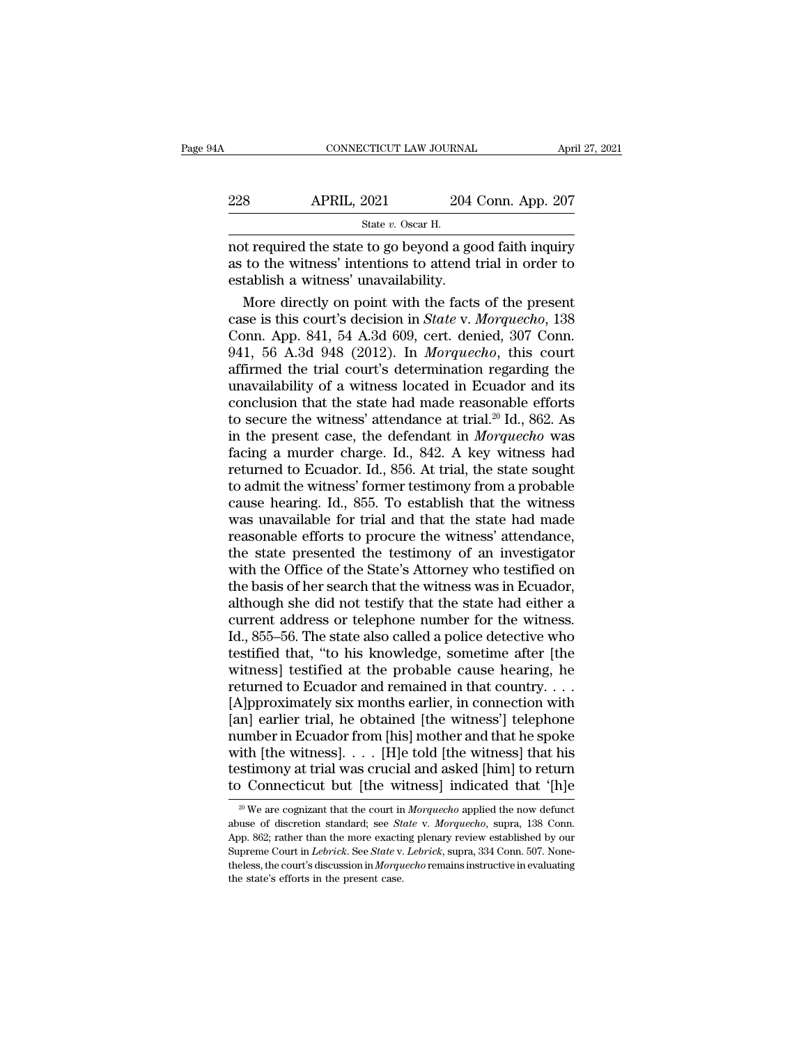| April 27, 2021                                           |
|----------------------------------------------------------|
| 204 Conn. App. 207                                       |
|                                                          |
| not required the state to go beyond a good faith inquiry |

 $\begin{array}{r|l}\n\text{CONPECTICUT LAW JOURNAL} & \text{April 27, 2021} \\
\hline\n& \text{2021} & \text{204 Conn. App. 207} \\
\hline\n& \text{State } v. \text{ Oscar H.} \\
\text{not required the state to go beyond a good faith inquiry} \\
\text{as to the witness' intentions to attend trial in order to\n\end{array}$ 228 APRIL, 2021 204 Conn. App. 207<br>
State v. Oscar H.<br>
not required the state to go beyond a good faith inquiry<br>
as to the witness' intentions to attend trial in order to<br>
establish a witness' unavailability. 228 APRIL, 2021 204 204<br>
State v. Oscar H.<br>
not required the state to go beyond a go<br>
as to the witness' intentions to attend the stablish a witness' unavailability.<br>
More directly on point with the facts More directly on point with the facts of the present<br>and the state to go beyond a good faith inquiry<br>to the witness' intentions to attend trial in order to<br>tablish a witness' unavailability.<br>More directly on point with th

State v. Oscar H.<br>
not required the state to go beyond a good faith inquiry<br>
as to the witness' intentions to attend trial in order to<br>
establish a witness' unavailability.<br>
More directly on point with the facts of the pre saac e oscal in the state of the state of the state of the witness' intentions to attend trial in order to establish a witness' unavailability.<br>
More directly on point with the facts of the present case is this court's dec not required the state to go beyond a good faith inquiry<br>as to the witness' intentions to attend trial in order to<br>establish a witness' unavailability.<br>More directly on point with the facts of the present<br>case is this cour as to the witness' intentions to attend trial in order to<br>establish a witness' unavailability.<br>More directly on point with the facts of the present<br>case is this court's decision in *State* v. Morquecho, 138<br>Conn. App. 841, establish a witness' unavailability.<br>
More directly on point with the facts of the present<br>
case is this court's decision in *State* v. *Morquecho*, 138<br>
Conn. App. 841, 54 A.3d 609, cert. denied, 307 Conn.<br>
941, 56 A.3d More directly on point with the facts of the present<br>case is this court's decision in *State* v. Morquecho, 138<br>Conn. App. 841, 54 A.3d 609, cert. denied, 307 Conn.<br>941, 56 A.3d 948 (2012). In Morquecho, this court<br>affirm case is this court's decision in *State v. Morquecho*, 138<br>Conn. App. 841, 54 A.3d 609, cert. denied, 307 Conn.<br>941, 56 A.3d 948 (2012). In *Morquecho*, this court<br>affirmed the trial court's determination regarding the<br>un Conn. App. 841, 54 A.3d 609, cert. denied, 307 Conn.<br>941, 56 A.3d 948 (2012). In *Morquecho*, this court<br>affirmed the trial court's determination regarding the<br>unavailability of a witness located in Ecuador and its<br>conclus 941, 56 A.3d 948 (2012). In *Morquecho*, this court<br>affirmed the trial court's determination regarding the<br>unavailability of a witness located in Ecuador and its<br>conclusion that the state had made reasonable efforts<br>to se affirmed the trial court's determination regarding the<br>unavailability of a witness located in Ecuador and its<br>conclusion that the state had made reasonable efforts<br>to secure the witness' attendance at trial.<sup>20</sup> Id., 862. unavailability of a witness located in Ecuador and its<br>conclusion that the state had made reasonable efforts<br>to secure the witness' attendance at trial.<sup>20</sup> Id., 862. As<br>in the present case, the defendant in *Morquecho* wa conclusion that the state had made reasonable efforts<br>to secure the witness' attendance at trial.<sup>20</sup> Id., 862. As<br>in the present case, the defendant in *Morquecho* was<br>facing a murder charge. Id., 842. A key witness had<br>r to secure the witness' attendance at trial.<sup>20</sup> Id., 862. As<br>in the present case, the defendant in *Morquecho* was<br>facing a murder charge. Id., 842. A key witness had<br>returned to Ecuador. Id., 856. At trial, the state sou in the present case, the defendant in *Morquecho* was<br>facing a murder charge. Id., 842. A key witness had<br>returned to Ecuador. Id., 856. At trial, the state sought<br>to admit the witness' former testimony from a probable<br>cau facing a murder charge. Id., 842. A key witness had<br>returned to Ecuador. Id., 856. At trial, the state sought<br>to admit the witness' former testimony from a probable<br>cause hearing. Id., 855. To establish that the witness<br>wa returned to Ecuador. Id., 856. At trial, the state sought<br>to admit the witness' former testimony from a probable<br>cause hearing. Id., 855. To establish that the witness<br>was unavailable for trial and that the state had made<br> to admit the witness' former testimony from a probable cause hearing. Id., 855. To establish that the witness was unavailable for trial and that the state had made reasonable efforts to procure the witness' attendance, the cause hearing. Id., 855. To establish that the witness<br>was unavailable for trial and that the state had made<br>reasonable efforts to procure the witness' attendance,<br>the state presented the testimony of an investigator<br>with was unavailable for trial and that the state had made<br>reasonable efforts to procure the witness' attendance,<br>the state presented the testimony of an investigator<br>with the Office of the State's Attorney who testified on<br>the reasonable efforts to procure the witness' attendance,<br>the state presented the testimony of an investigator<br>with the Office of the State's Attorney who testified on<br>the basis of her search that the witness was in Ecuador,<br> the state presented the testimony of an investigator<br>with the Office of the State's Attorney who testified on<br>the basis of her search that the witness was in Ecuador,<br>although she did not testify that the state had either with the Office of the State's Attorney who testified on<br>the basis of her search that the witness was in Ecuador,<br>although she did not testify that the state had either a<br>current address or telephone number for the witnes the basis of her search that the witness was in Ecuador,<br>although she did not testify that the state had either a<br>current address or telephone number for the witness.<br>Id., 855–56. The state also called a police detective w although she did not testify that the state had either a<br>current address or telephone number for the witness.<br>Id., 855–56. The state also called a police detective who<br>testified that, "to his knowledge, sometime after [the current address or telephone number for the witness.<br>Id., 855–56. The state also called a police detective who<br>testified that, "to his knowledge, sometime after [the<br>witness] testified at the probable cause hearing, he<br>ret Id., 855–56. The state also called a police detective who<br>testified that, "to his knowledge, sometime after [the<br>witness] testified at the probable cause hearing, he<br>returned to Ecuador and remained in that country. . . .<br> testified that, "to his knowledge, sometime after [the<br>witness] testified at the probable cause hearing, he<br>returned to Ecuador and remained in that country....<br>[A]pproximately six months earlier, in connection with<br>[an] e witness] testified at the probable cause hearing, he<br>returned to Ecuador and remained in that country....<br>[A]pproximately six months earlier, in connection with<br>[an] earlier trial, he obtained [the witness] telephone<br>numb returned to Ecuador and remained in that country....<br>
[A]pproximately six months earlier, in connection with<br>
[an] earlier trial, he obtained [the witness'] telephone<br>
number in Ecuador from [his] mother and that he spoke umber in Ecuador from [his] mother and that he spoke<br>ith [the witness].... [H]e told [the witness] that his<br>stimony at trial was crucial and asked [him] to return<br> $\Omega$  Connecticut but [the witness] indicated that '[h]e<br><sup>2</sup> with [the witness]. . . . [H]e told [the witness] that his testimony at trial was crucial and asked [him] to return to Connecticut but [the witness] indicated that '[h]e <sup>20</sup> We are cognizant that the court in *Morquecho*

testimony at trial was crucial and asked [him] to return<br>to Connecticut but [the witness] indicated that '[h]e<br> $\frac{20 \text{ We}}{30 \text{ We}}$  are cognizant that the court in *Morquecho* applied the now defunct<br>abuse of discretion to Connecticut but [the witness] indicated that '[h]e<br><sup>20</sup> We are cognizant that the court in *Morquecho* applied the now defunct<br>abuse of discretion standard; see *State* v. *Morquecho*, supra, 138 Conn.<br>App. 862; rather to Confluct the court in *Morquecho* applied the now defunct abuse of discretion standard; see *State* v. *Morquecho*, supra, 138 Conn. App. 862; rather than the more exacting plenary review established by our Supreme Cou <sup>20</sup> We are cognizant that the court in abuse of discretion standard; see *St*, App. 862; rather than the more exactiin Supreme Court in *Lebrick*. See *State* v. theless, the court's discussion in *Morqu* the state's eff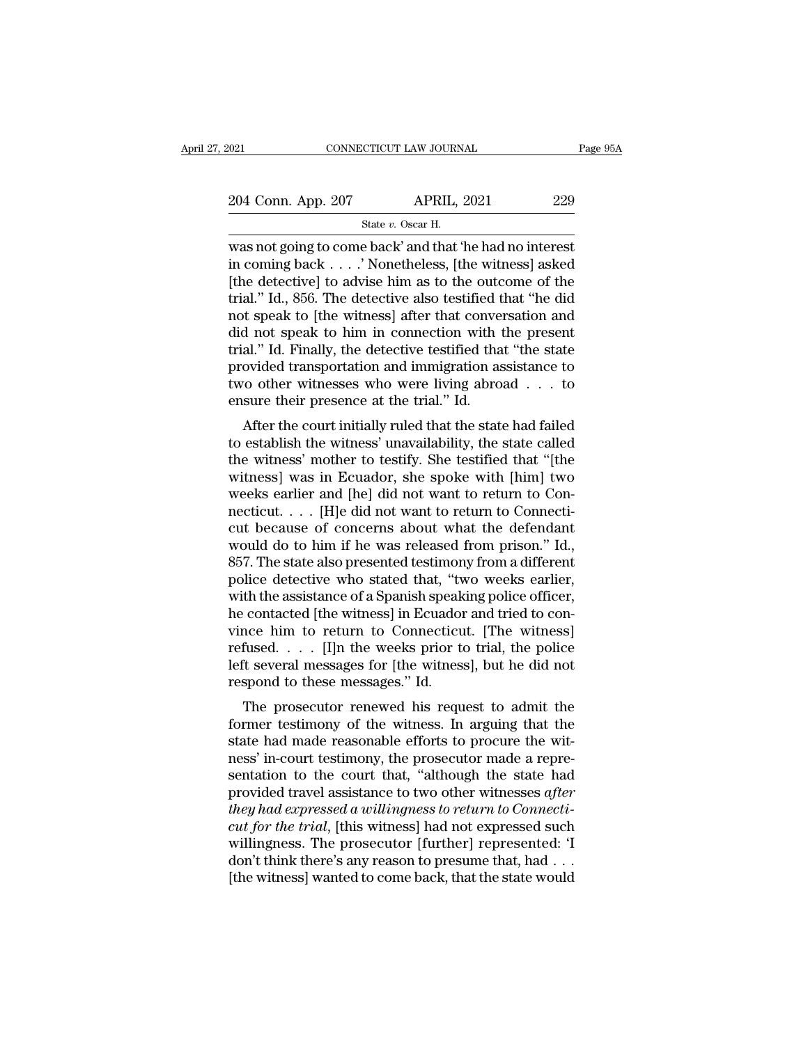|                    | State v. Oscar H.<br>was not going to come back' and that 'he had no interest |          |
|--------------------|-------------------------------------------------------------------------------|----------|
| 204 Conn. App. 207 | <b>APRIL, 2021</b>                                                            | 229      |
| 2021               | CONNECTICUT LAW JOURNAL                                                       | Page 95A |
|                    |                                                                               |          |

We are the comment of the detectively compared to come back' and that 'he had no interest<br>
in coming back  $\ldots$  '. Nonetheless, [the witness] asked<br>  $\begin{array}{ccc}\n\text{[the detected]}\n\end{array}$ 204 Conn. App. 207 APRIL, 2021 229<br>
State v. Oscar H.<br>
Was not going to come back' and that 'he had no interest<br>
in coming back . . . . ' Nonetheless, [the witness] asked<br>
[the detective] to advise him as to the outcome o 204 Conn. App. 207 APRIL, 2021 229<br>
State v. Oscar H.<br>
Was not going to come back' and that 'he had no interest<br>
in coming back . . . . ' Nonetheless, [the witness] asked<br>
[the detective] to advise him as to the outcome o 204 Conn. App. 207 APRIL, 2021 229<br>
State v. Oscar H.<br>
was not going to come back' and that 'he had no interest<br>
in coming back . . . .' Nonetheless, [the witness] asked<br>
[the detective] to advise him as to the outcome of State v. Oscar H.<br>
State v. Oscar H.<br>
Was not going to come back' and that 'he had no interest<br>
in coming back . . . . ' Nonetheless, [the witness] asked<br>
[the detective] to advise him as to the outcome of the<br>
trial." Id state v. Oscar H.<br>
was not going to come back' and that 'he had no interest<br>
in coming back . . . . ' Nonetheless, [the witness] asked<br>
[the detective] to advise him as to the outcome of the<br>
trial." Id., 856. The detecti was not going to come back' and that 'he had no interest<br>in coming back  $\ldots$ .' Nonetheless, [the witness] asked<br>[the detective] to advise him as to the outcome of the<br>trial.'' Id., 856. The detective also testified that in coming back  $\ldots$ . ' Nonetheless, [the witness] asked<br>[the detective] to advise him as to the outcome of the<br>trial." Id., 856. The detective also testified that "he did<br>not speak to [the witness] after that conversatio [the detective] to advise him as to the outcome of the<br>trial." Id., 856. The detective also testified that "he did<br>not speak to [the witness] after that conversation and<br>did not speak to him in connection with the present trial." Id., 856. The detective also testified that convertion of speak to [the witness] after that convertid not speak to him in connection with trial." Id. Finally, the detective testified that provided transportation an After the court initially ruled that the state called<br>a." Id. Finally, the detective testified that "the state<br>ovided transportation and immigration assistance to<br>ro other witnesses who were living abroad . . . to<br>sure the and not speak to finit in connection with the present<br>trial." Id. Finally, the detective testified that "the state<br>provided transportation and immigration assistance to<br>two other witnesses who were living abroad  $\ldots$  to<br>

that. The main is the witnesses who were living abroad  $\ldots$  to the witnesses who were living abroad  $\ldots$  to ensure their presence at the trial." Id.<br>After the court initially ruled that the state had failed to establish provided transportation and minigration assistance to<br>two other witnesses who were living abroad  $\dots$  to<br>ensure their presence at the trial." Id.<br>After the court initially ruled that the state had failed<br>to establish the we other whitesses who were hying abroad  $\ldots$  to ensure their presence at the trial." Id.<br>After the court initially ruled that the state had failed<br>to establish the witness' unavailability, the state called<br>the witness' ensure their presence at the trial. Id.<br>
After the court initially ruled that the state had failed<br>
to establish the witness' unavailability, the state called<br>
the witness' mother to testify. She testified that "[the<br>
wit After the court initially ruled that the state had failed<br>to establish the witness' unavailability, the state called<br>the witness' mother to testify. She testified that "[the<br>witness] was in Ecuador, she spoke with [him] t to establish the witness' unavailability, the state called<br>the witness' mother to testify. She testified that "[the<br>witness] was in Ecuador, she spoke with [him] two<br>weeks earlier and [he] did not want to return to Con-<br>ne the witness' mother to testify. She testified that "[the witness] was in Ecuador, she spoke with [him] two weeks earlier and [he] did not want to return to Connecticut. . . . [H]e did not want to return to Connecticut beca witness] was in Ecuador, she spoke with [him] two<br>weeks earlier and [he] did not want to return to Con-<br>necticut. . . . . [H]e did not want to return to Connecti-<br>cut because of concerns about what the defendant<br>would do weeks earlier and [he] did not want to return to Connecticut. . . . [H]e did not want to return to Connecticut because of concerns about what the defendant would do to him if he was released from prison." Id., 857. The sta mecticut. . . . [H]e did not want to return to Connecticut because of concerns about what the defendant would do to him if he was released from prison." Id., 857. The state also presented testimony from a different police cut because of concerns about what the defendant<br>would do to him if he was released from prison." Id.,<br>857. The state also presented testimony from a different<br>police detective who stated that, "two weeks earlier,<br>with the would do to him if he was released from prison." Id.,<br>857. The state also presented testimony from a different<br>police detective who stated that, "two weeks earlier,<br>with the assistance of a Spanish speaking police officer, 857. The state also presented testimony from a different<br>police detective who stated that, "two weeks earlier,<br>with the assistance of a Spanish speaking police officer,<br>he contacted [the witness] in Ecuador and tried to co police detective who stated that, "twith the assistance of a Spanish speak<br>he contacted [the witness] in Ecuador<br>vince him to return to Connecticu<br>refused. . . . [I]n the weeks prior to<br>left several messages for [the witne In the assistance of a spanish speaking poince officer,<br>contacted [the witness] in Ecuador and tried to con-<br>nce him to return to Connecticut. [The witness]<br>fused....[I]n the weeks prior to trial, the police<br>it several me Formatted [the withess] in Ecuation and thed to convince him to return to Connecticut. [The witness]<br>refused. . . . [I]n the weeks prior to trial, the police<br>left several messages for [the witness], but he did not<br>respond

First True will be connected. The withess<br>refused.... [I]n the weeks prior to trial, the police<br>left several messages for [the witness], but he did not<br>respond to these messages." Id.<br>The prosecutor renewed his request to nessed.  $\ldots$  [1] the weeks prior to trial, the police left several messages for [the witness], but he did not respond to these messages." Id.<br>The prosecutor renewed his request to admit the former testimony of the witnes Fract several messages for [the whitess], but he did not<br>respond to these messages." Id.<br>The prosecutor renewed his request to admit the<br>former testimony of the witness. In arguing that the<br>state had made reasonable effort respond to these inessages. Id.<br>The prosecutor renewed his request to admit the<br>former testimony of the witness. In arguing that the<br>state had made reasonable efforts to procure the wit-<br>ness' in-court testimony, the prose The prosecutor renewed his request to admit the<br>former testimony of the witness. In arguing that the<br>state had made reasonable efforts to procure the wit-<br>ness' in-court testimony, the prosecutor made a repre-<br>sentation to former testimony of the witness. In arguing that the state had made reasonable efforts to procure the witness' in-court testimony, the prosecutor made a representation to the court that, "although the state had provided tr state had made reasonable efforts to procure the wit-<br>ness' in-court testimony, the prosecutor made a repre-<br>sentation to the court that, "although the state had<br>provided travel assistance to two other witnesses after<br>they ness' in-court testimony, the prosecutor made a representation to the court that, "although the state had provided travel assistance to two other witnesses *after* they had expressed a willingness to return to Connecticut sentation to the court that, "although the state had<br>provided travel assistance to two other witnesses *after*<br>they had expressed a willingness to return to Connecti-<br>cut for the trial, [this witness] had not expressed suc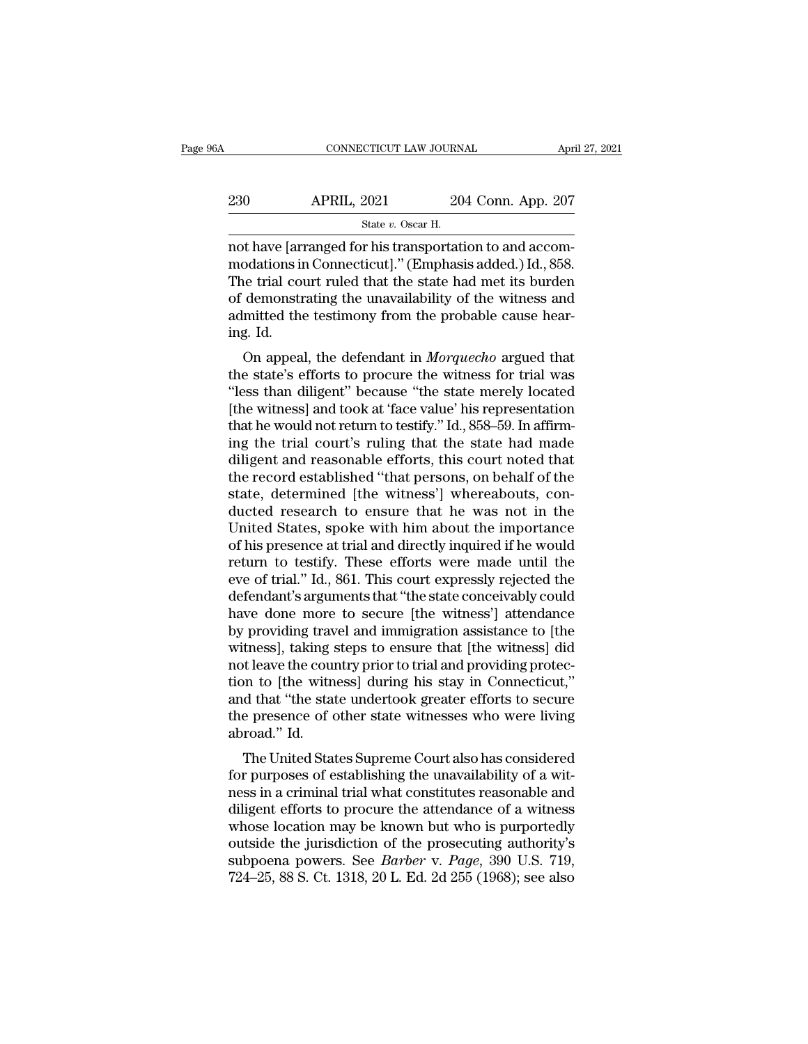| 06A | CONNECTICUT LAW JOURNAL                                 |                    | April 27, 2021 |
|-----|---------------------------------------------------------|--------------------|----------------|
| 230 | <b>APRIL, 2021</b>                                      | 204 Conn. App. 207 |                |
|     | State $v$ . Oscar H.                                    |                    |                |
|     | not have larranged for his transportation to and accom- |                    |                |

CONNECTICUT LAW JOURNAL Apr<br>
201 204 Conn. App. 207<br>
31 204 Conn. App. 207<br>
31 204 Conn. App. 207<br>
32 204 Conn. App. 207<br>
32 204 Conn. App. 207<br>
32 204 Conn. App. 207<br>
32 30 2011<br>
32 30 30 30 30 30 30 30 40 30 40 30 30 30 230 APRIL, 2021 204 Conn. App. 207<br>  $\frac{60}{204}$  Conn. App. 207<br>  $\frac{1}{204}$  Conn. App. 207<br>
modations in Connecticut].'' (Emphasis added.) Id., 858.<br>
The trial court ruled that the state had met its burden<br>
of domonstrat  $230$  APRIL,  $2021$   $204$  Conn. App. 207<br>  $\frac{8\textrm{rate }v. \textrm{ Oscar H.}}{204 \textrm{Conn.} \textrm{ App. 207}}$ <br>
not have [arranged for his transportation to and accom-<br>
modations in Connecticut]." (Emphasis added.) Id., 858.<br>
The trial court  $\begin{array}{r} \text{230} \text{ } \text{APRIL, 2021} \text{ } \text{204 Conn. App. 207} \text{State } v. \text{ Oscar H.} \end{array}$ <br>
not have [arranged for his transportation to and accommodations in Connecticut]." (Emphasis added.) Id., 858.<br>
The trial court ruled that the state State v. Oscar H.<br>
State v. Oscar H.<br>
not have [arranged for his transportation to and accom-<br>
modations in Connecticut]." (Emphasis added.) Id., 858.<br>
The trial court ruled that the state had met its burden<br>
of demonstra mot have [arr]<br>modations in<br>The trial cours<br>of demonstr<br>admitted the<br>ing. Id.<br>On appea odations in Connecticut]." (Emphasis added.) Id., 858.<br>ee trial court ruled that the state had met its burden<br>demonstrating the unavailability of the witness and<br>mitted the testimony from the probable cause hear-<br>g. Id.<br>On The trial court ruled that the state had met its burden<br>of demonstrating the unavailability of the witness and<br>admitted the testimony from the probable cause hear-<br>ing. Id.<br>On appeal, the defendant in *Morquecho* argued t

The that court ruled that the state had thet its burden<br>of demonstrating the unavailability of the witness and<br>admitted the testimony from the probable cause hear-<br>ing. Id.<br>On appeal, the defendant in *Morquecho* argued th of demonstrating the unavariability of the writess and<br>admitted the testimony from the probable cause hear-<br>ing. Id.<br>On appeal, the defendant in *Morquecho* argued that<br>the state's efforts to procure the witness for trial admitted the testifichty from the probable cause hearing. Id.<br>
On appeal, the defendant in *Morquecho* argued that<br>
the state's efforts to procure the witness for trial was<br>
"less than diligent" because "the state merely l ing. id.<br>
On appeal, the defendant in *Morquecho* argued that<br>
the state's efforts to procure the witness for trial was<br>
"less than diligent" because "the state merely located<br>
[the witness] and took at 'face value' his re On appeal, the defendant in *Morquecho* argued that<br>the state's efforts to procure the witness for trial was<br>"less than diligent" because "the state merely located<br>[the witness] and took at 'face value' his representation<br> the state's efforts to procure the witness for trial was<br>"less than diligent" because "the state merely located<br>[the witness] and took at 'face value' his representation<br>that he would not return to testify." Id., 858–59. I "less than diligent" because "the state merely located<br>[the witness] and took at "face value" his representation<br>that he would not return to testify." Id., 858–59. In affirm-<br>ing the trial court's ruling that the state had [the witness] and took at 'face value' his representation<br>that he would not return to testify." Id., 858–59. In affirm-<br>ing the trial court's ruling that the state had made<br>diligent and reasonable efforts, this court noted that he would not return to testify." Id., 858–59. In affirm-<br>ing the trial court's ruling that the state had made<br>diligent and reasonable efforts, this court noted that<br>the record established "that persons, on behalf of t ing the trial court's ruling that the state had made<br>diligent and reasonable efforts, this court noted that<br>the record established "that persons, on behalf of the<br>state, determined [the witness'] whereabouts, con-<br>ducted r diligent and reasonable efforts, this court noted that<br>the record established "that persons, on behalf of the<br>state, determined [the witness'] whereabouts, con-<br>ducted research to ensure that he was not in the<br>United State the record established "that persons, on behalf of the<br>state, determined [the witness'] whereabouts, con-<br>ducted research to ensure that he was not in the<br>United States, spoke with him about the importance<br>of his presence state, determined [the witness'] whereabouts, con-<br>ducted research to ensure that he was not in the<br>United States, spoke with him about the importance<br>of his presence at trial and directly inquired if he would<br>return to te ducted research to ensure that he was not in the<br>United States, spoke with him about the importance<br>of his presence at trial and directly inquired if he would<br>return to testify. These efforts were made until the<br>eve of tri United States, spoke with him about the importance<br>of his presence at trial and directly inquired if he would<br>return to testify. These efforts were made until the<br>eve of trial." Id., 861. This court expressly rejected the<br> of his presence at trial and directly inquired if he would<br>return to testify. These efforts were made until the<br>eve of trial." Id., 861. This court expressly rejected the<br>defendant's arguments that "the state conceivably c return to testify. These efforts were made until the<br>eve of trial." Id., 861. This court expressly rejected the<br>defendant's arguments that "the state conceivably could<br>have done more to secure [the witness] attendance<br>by p eve of trial." Id., 861. This court expressly rejected the defendant's arguments that "the state conceivably could have done more to secure [the witness'] attendance by providing travel and immigration assistance to [the w defendant's arguments that "the state conceivably could<br>have done more to secure [the witness'] attendance<br>by providing travel and immigration assistance to [the<br>witness], taking steps to ensure that [the witness] did<br>not have done more to secure [the witness'] attendance<br>by providing travel and immigration assistance to [the<br>witness], taking steps to ensure that [the witness] did<br>not leave the country prior to trial and providing protec-<br>t by providing traw<br>witness], taking s<br>not leave the cour<br>tion to [the witn<br>and that "the stat<br>the presence of c<br>abroad." Id.<br>The United Stat thess], taking steps to ensure that [the whitess] did<br>t leave the country prior to trial and providing protec-<br>on to [the witness] during his stay in Connecticut,"<br>d that "the state undertook greater efforts to secure<br>e pr from the eventual prior to that and providing protection to [the witness] during his stay in Connecticut,"<br>and that "the state undertook greater efforts to secure<br>the presence of other state witnesses who were living<br>abroa

ness is a criminal trial what constitutes reasonable and that "the state undertook greater efforts to secure<br>the presence of other state witnesses who were living<br>abroad." Id.<br>The United States Supreme Court also has consi and that the state undertook greater enorts to secure<br>the presence of other state witnesses who were living<br>abroad." Id.<br>The United States Supreme Court also has considered<br>for purposes of establishing the unavailability o the presence of other state whitesses who were fiving<br>abroad." Id.<br>The United States Supreme Court also has considered<br>for purposes of establishing the unavailability of a wit-<br>ness in a criminal trial what constitutes rea The United States Supreme Court also has considered<br>for purposes of establishing the unavailability of a wit-<br>ness in a criminal trial what constitutes reasonable and<br>diligent efforts to procure the attendance of a witnes The United States Supreme Court also has considered<br>for purposes of establishing the unavailability of a wit-<br>ness in a criminal trial what constitutes reasonable and<br>diligent efforts to procure the attendance of a witness for purposes of establishing the unavailability of a witness in a criminal trial what constitutes reasonable and diligent efforts to procure the attendance of a witness whose location may be known but who is purportedly o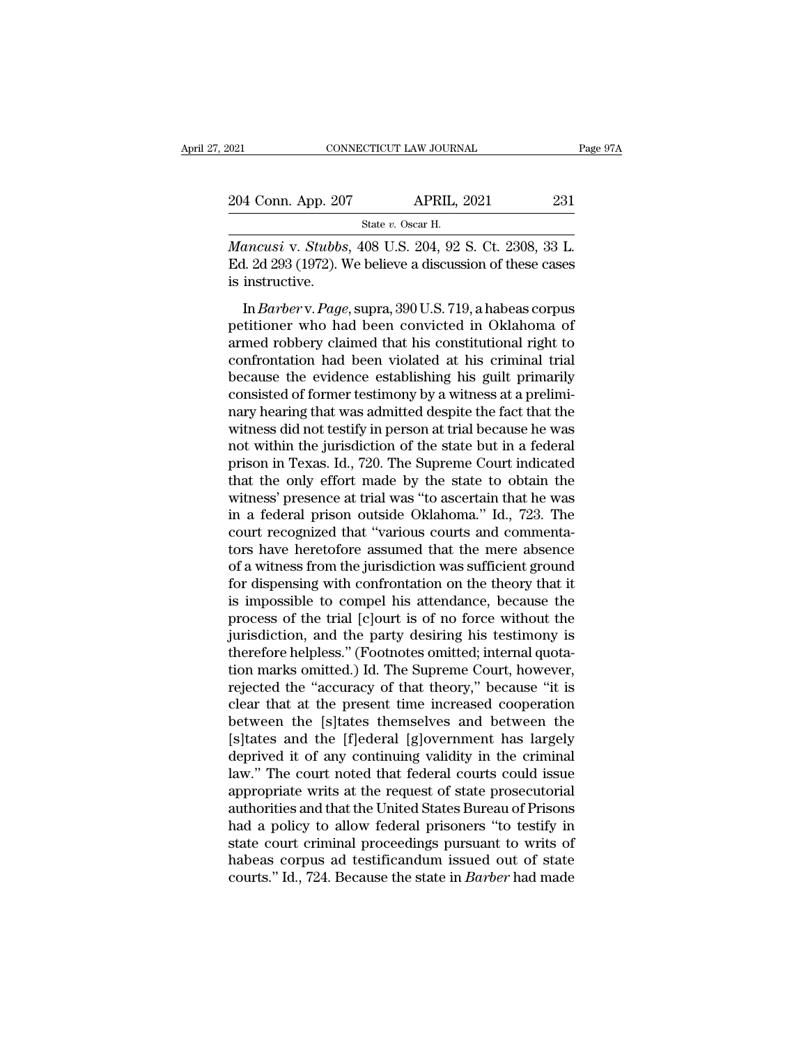| 2021                                                      | CONNECTICUT LAW JOURNAL |                    |     | Page 97A |
|-----------------------------------------------------------|-------------------------|--------------------|-----|----------|
| 204 Conn. App. 207                                        |                         | <b>APRIL, 2021</b> | 231 |          |
|                                                           | State v. Oscar H.       |                    |     |          |
| <i>Mancusi y Stubbs 408 U.S. 204 92 S. Ct. 2308 33 L.</i> |                         |                    |     |          |

<sup>021</sup> CONNECTICUT LAW JOURNAL Page 9<br>
204 Conn. App. 207 APRIL, 2021 231<br>
<sup>State v. Oscar H.<br> *Mancusi* v. *Stubbs*, 408 U.S. 204, 92 S. Ct. 2308, 33 L.<br>
Ed. 2d 293 (1972). We believe a discussion of these cases</sup> 204 Conn. App. 207 APRIL, 2021 231<br>
State v. Oscar H.<br>
Mancusi v. Stubbs, 408 U.S. 204, 92 S. Ct. 2308, 33 L.<br>
Ed. 2d 293 (1972). We believe a discussion of these cases is instructive. 204 Conn. App. 20<br> *Mancusi v. Stubbs*<br>Ed. 2d 293 (1972). V<br>
is instructive.<br>
In *Barber* v. Page Fig. 2021<br>
State *v.* Oscar H.<br>
State *v.* Oscar H.<br>
Anneusi v. *Stubbs*, 408 U.S. 204, 92 S. Ct. 2308, 33 L.<br>
1. 2d 293 (1972). We believe a discussion of these cases<br>
instructive.<br>
In *Barber* v. *Page*, supra, 390 U.S.

State v. Oscar H.<br>
Mancusi v. Stubbs, 408 U.S. 204, 92 S. Ct. 2308, 33 L.<br>
Ed. 2d 293 (1972). We believe a discussion of these cases<br>
is instructive.<br>
In *Barber* v. *Page*, supra, 390 U.S. 719, a habeas corpus<br>
petitione Mancusi v. Stubbs, 408 U.S. 204, 92 S. Ct. 2308, 33 L.<br>Ed. 2d 293 (1972). We believe a discussion of these cases<br>is instructive.<br>In *Barber* v. *Page*, supra, 390 U.S. 719, a habeas corpus<br>petitioner who had been convicted Ed. 2d 293 (1972). We believe a discussion of these cases<br>is instructive.<br>In *Barber* v. *Page*, supra, 390 U.S. 719, a habeas corpus<br>petitioner who had been convicted in Oklahoma of<br>armed robbery claimed that his constit because the evidence establishing his guilt primary here is a series of the evidence primarily peritioner who had been convicted in Oklahoma of armed robbery claimed that his constitutional right to confrontation had been In *Barber* v. *Page*, supra, 390 U.S. 719, a habeas corpus<br>petitioner who had been convicted in Oklahoma of<br>armed robbery claimed that his constitutional right to<br>confrontation had been violated at his criminal trial<br>beca In *Barber* v. *Page*, supra, 390 U.S. 719, a habeas corpus<br>petitioner who had been convicted in Oklahoma of<br>armed robbery claimed that his constitutional right to<br>confrontation had been violated at his criminal trial<br>beca petitioner who had been convicted in Oklahoma of<br>armed robbery claimed that his constitutional right to<br>confrontation had been violated at his criminal trial<br>because the evidence establishing his guilt primarily<br>consisted armed robbery claimed that his constitutional right to confrontation had been violated at his criminal trial because the evidence establishing his guilt primarily consisted of former testimony by a witness at a preliminary confrontation had been violated at his criminal trial<br>because the evidence establishing his guilt primarily<br>consisted of former testimony by a witness at a prelimi-<br>nary hearing that was admitted despite the fact that the<br> because the evidence establishing his guilt primarily<br>consisted of former testimony by a witness at a prelimi-<br>nary hearing that was admitted despite the fact that the<br>witness did not testify in person at trial because he consisted of former testimony by a witness at a preliminary hearing that was admitted despite the fact that the witness did not testify in person at trial because he was not within the jurisdiction of the state but in a fe nary hearing that was admitted despite the fact that the<br>witness did not testify in person at trial because he was<br>not within the jurisdiction of the state but in a federal<br>prison in Texas. Id., 720. The Supreme Court indi witness did not testify in person at trial because he was<br>not within the jurisdiction of the state but in a federal<br>prison in Texas. Id., 720. The Supreme Court indicated<br>that the only effort made by the state to obtain th not within the jurisdiction of the state but in a federal<br>prison in Texas. Id., 720. The Supreme Court indicated<br>that the only effort made by the state to obtain the<br>witness' presence at trial was "to ascertain that he was prison in Texas. Id., 720. The Supreme Court indicated<br>that the only effort made by the state to obtain the<br>witness' presence at trial was "to ascertain that he was<br>in a federal prison outside Oklahoma." Id., 723. The<br>cour that the only effort made by the state to obtain the witness' presence at trial was "to ascertain that he was<br>in a federal prison outside Oklahoma." Id., 723. The<br>court recognized that "various courts and commenta-<br>tors ha witness' presence at trial was "to ascertain that he was<br>in a federal prison outside Oklahoma." Id., 723. The<br>court recognized that "various courts and commenta-<br>tors have heretofore assumed that the mere absence<br>of a witn in a federal prison outside Oklahoma." Id., 723. The<br>court recognized that "various courts and commenta-<br>tors have heretofore assumed that the mere absence<br>of a witness from the jurisdiction was sufficient ground<br>for dispe court recognized that "various courts and commenta-<br>tors have heretofore assumed that the mere absence<br>of a witness from the jurisdiction was sufficient ground<br>for dispensing with confrontation on the theory that it<br>is imp tors have heretofore assumed that the mere absence<br>of a witness from the jurisdiction was sufficient ground<br>for dispensing with confrontation on the theory that it<br>is impossible to compel his attendance, because the<br>proces of a witness from the jurisdiction was sufficient ground<br>for dispensing with confrontation on the theory that it<br>is impossible to compel his attendance, because the<br>process of the trial [c]ourt is of no force without the<br>j for dispensing with confrontation on the theory that it<br>is impossible to compel his attendance, because the<br>process of the trial [c]ourt is of no force without the<br>jurisdiction, and the party desiring his testimony is<br>ther is impossible to compel his attendance, because the<br>process of the trial [c]ourt is of no force without the<br>jurisdiction, and the party desiring his testimony is<br>therefore helpless." (Footnotes omitted; internal quota-<br>tio process of the trial [c]ourt is of no force without the<br>jurisdiction, and the party desiring his testimony is<br>therefore helpless." (Footnotes omitted; internal quota-<br>tion marks omitted.) Id. The Supreme Court, however,<br>re jurisdiction, and the party desiring his testimony is<br>therefore helpless." (Footnotes omitted; internal quota-<br>tion marks omitted.) Id. The Supreme Court, however,<br>rejected the "accuracy of that theory," because "it is<br>cle therefore helpless." (Footnotes omitted; internal quotation marks omitted.) Id. The Supreme Court, however, rejected the "accuracy of that theory," because "it is clear that at the present time increased cooperation betwee tion marks omitted.) Id. The Supreme Court, however,<br>rejected the "accuracy of that theory," because "it is<br>clear that at the present time increased cooperation<br>between the [s]tates themselves and between the<br>[s]tates and rejected the "accuracy of that theory," because "it is<br>clear that at the present time increased cooperation<br>between the [s]tates themselves and between the<br>[s]tates and the [f]ederal [g]overnment has largely<br>deprived it of clear that at the present time increased cooperation<br>between the [s]tates themselves and between the<br>[s]tates and the [f]ederal [g]overnment has largely<br>deprived it of any continuing validity in the criminal<br>law." The cour between the [s]tates themselves and between the<br>[s]tates and the [f]ederal [g]overnment has largely<br>deprived it of any continuing validity in the criminal<br>law." The court noted that federal courts could issue<br>appropriate w [s]tates and the [f]ederal [g]overnment has largely<br>deprived it of any continuing validity in the criminal<br>law." The court noted that federal courts could issue<br>appropriate writs at the request of state prosecutorial<br>auth deprived it of any continuing validity in the criminal<br>law." The court noted that federal courts could issue<br>appropriate writs at the request of state prosecutorial<br>authorities and that the United States Bureau of Prisons<br> law." The court noted that federal courts could issue<br>appropriate writs at the request of state prosecutorial<br>authorities and that the United States Bureau of Prisons<br>had a policy to allow federal prisoners "to testify in<br>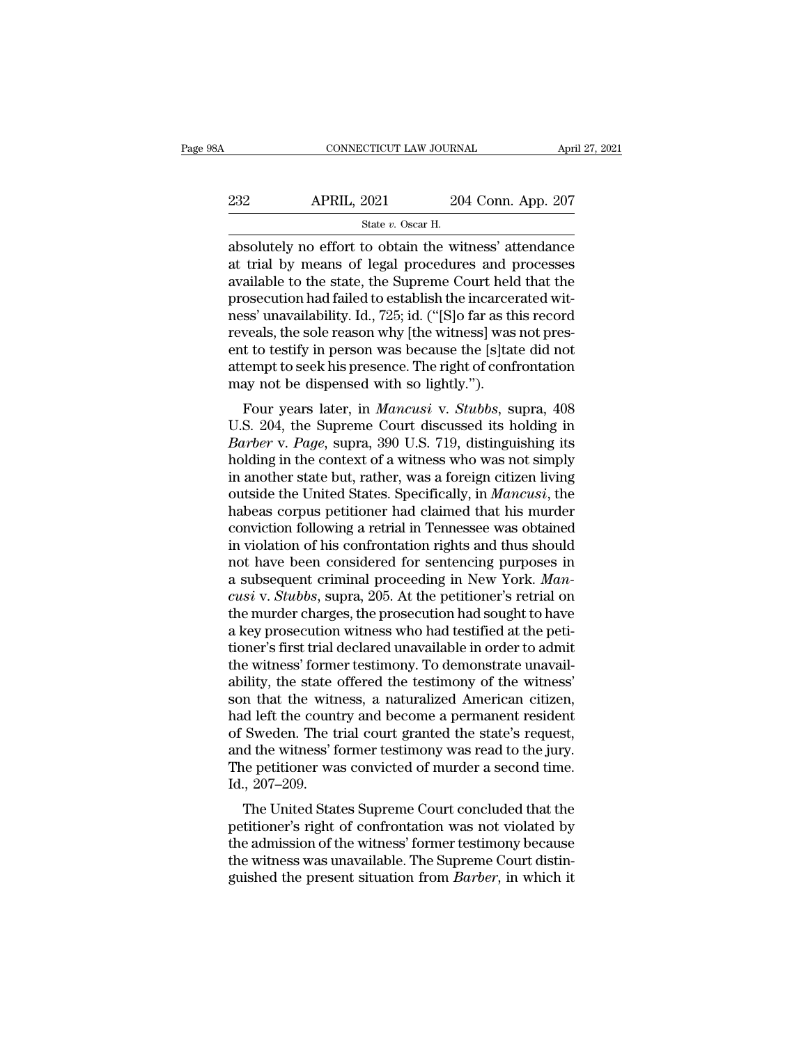| April 27, 2021                                         |
|--------------------------------------------------------|
| 204 Conn. App. 207                                     |
|                                                        |
| absolutely no effort to obtain the witness' attendance |

CONNECTICUT LAW JOURNAL April 27, 2021<br>
2021 204 Conn. App. 207<br>
31 State v. Oscar H.<br>
2050 Buttely no effort to obtain the witness' attendance<br>
2011 and the witness' attendance<br>
2013 attendance<br>
2014 Buttel witness' atten  $\begin{array}{ll} \text{232} & \text{APRIL, 2021} & \text{204 Conn. App. 207} \\ & \text{State } v. \text{ Oscar H.} \end{array}$ <br>absolutely no effort to obtain the witness' attendance at trial by means of legal procedures and processes available to the state, the Supreme Court held 232 APRIL, 2021 204 Conn. App. 207<br>  $\frac{\text{State } v. \text{ Oscar H.}}{\text{absolutely no effort to obtain the witness' attendance}}$ <br>
absolutely no effort to obtain the witness' attendance<br>
at trial by means of legal procedures and processes<br>
available to the state, the Supreme Court 232 APRIL, 2021 204 Conn. App. 207<br>  $\frac{1}{2}$  State v. Oscar H.<br>
absolutely no effort to obtain the witness' attendance<br>
at trial by means of legal procedures and processes<br>
available to the state, the Supreme Court held State v. Oscar H.<br>
State v. Oscar H.<br>
absolutely no effort to obtain the witness' attendance<br>
at trial by means of legal procedures and processes<br>
available to the state, the Supreme Court held that the<br>
prosecution had f state  $v$ . Oscar H.<br>
absolutely no effort to obtain the witness' attendance<br>
at trial by means of legal procedures and processes<br>
available to the state, the Supreme Court held that the<br>
prosecution had failed to establis absolutely no effort to obtain the witness' attendance<br>at trial by means of legal procedures and processes<br>available to the state, the Supreme Court held that the<br>prosecution had failed to establish the incarcerated wit-<br>n at trial by means of legal procedures and processes<br>available to the state, the Supreme Court held that the<br>prosecution had failed to establish the incarcerated wit-<br>ness' unavailability. Id., 725; id. ("[S]o far as this r available to the state, the Supreme Court helo<br>prosecution had failed to establish the incarcer<br>ness' unavailability. Id., 725; id. ("[S]o far as th<br>reveals, the sole reason why [the witness] was<br>ent to testify in person w Secution had raned to establish the incarcerated wh-<br>ss' unavailability. Id., 725; id. ("[S] o far as this record<br>veals, the sole reason why [the witness] was not pres-<br>t to testify in person was because the [s]tate did no ress unavariability. Id., 725, Id. ([5]0 Iaf as this record<br>reveals, the sole reason why [the witness] was not pres-<br>ent to testify in person was because the [s]tate did not<br>attempt to seek his presence. The right of confr

*Barberro v. Barberro Willie williess* was not present to testify in person was because the [s]tate did not attempt to seek his presence. The right of confrontation may not be dispensed with so lightly.").<br>Four years later ent to testry in person was because the [s] care that the attempt to seek his presence. The right of confrontation<br>may not be dispensed with so lightly.").<br>Four years later, in *Mancusi* v. *Stubbs*, supra, 408<br>U.S. 204, t attempt to seek its presence. The right of confrontation<br>may not be dispensed with so lightly.").<br>Four years later, in *Mancusi* v. *Stubbs*, supra, 408<br>U.S. 204, the Supreme Court discussed its holding in<br>*Barber* v. *Pag* Four years later, in *Mancusi* v. *Stubbs*, supra, 408<br>U.S. 204, the Supreme Court discussed its holding in<br>*Barber* v. *Page*, supra, 390 U.S. 719, distinguishing its<br>holding in the context of a witness who was not simply Four years later, in *Mancusi* v. *Stubbs*, supra, 408<br>U.S. 204, the Supreme Court discussed its holding in<br>*Barber* v. *Page*, supra, 390 U.S. 719, distinguishing its<br>holding in the context of a witness who was not simply U.S. 204, the Supreme Court discussed its holding in *Barber* v. *Page*, supra, 390 U.S. 719, distinguishing its holding in the context of a witness who was not simply in another state but, rather, was a foreign citizen li Barber v. Page, supra, 390 U.S. 719, distinguishing its<br>holding in the context of a witness who was not simply<br>in another state but, rather, was a foreign citizen living<br>outside the United States. Specifically, in *Mancusi* holding in the context of a witness who was not simply<br>in another state but, rather, was a foreign citizen living<br>outside the United States. Specifically, in *Mancusi*, the<br>habeas corpus petitioner had claimed that his mu in another state but, rather, was a foreign citizen living<br>outside the United States. Specifically, in *Mancusi*, the<br>habeas corpus petitioner had claimed that his murder<br>conviction following a retrial in Tennessee was obt outside the United States. Specifically, in *Mancusi*, the<br>habeas corpus petitioner had claimed that his murder<br>conviction following a retrial in Tennessee was obtained<br>in violation of his confrontation rights and thus sho habeas corpus petitioner had claimed that his murder<br>conviction following a retrial in Tennessee was obtained<br>in violation of his confrontation rights and thus should<br>not have been considered for sentencing purposes in<br>a s conviction following a retrial in Tennessee was obtained<br>in violation of his confrontation rights and thus should<br>not have been considered for sentencing purposes in<br>a subsequent criminal proceeding in New York. *Man-<br>cusi* in violation of his confrontation rights and thus should<br>not have been considered for sentencing purposes in<br>a subsequent criminal proceeding in New York. *Man-<br>cusi* v. *Stubbs*, supra, 205. At the petitioner's retrial on not have been considered for sentencing purposes in<br>a subsequent criminal proceeding in New York. *Man-*<br>cusi v. *Stubbs*, supra, 205. At the petitioner's retrial on<br>the murder charges, the prosecution had sought to have<br>a a subsequent criminal proceeding in New York. *Mancusi* v. *Stubbs*, supra, 205. At the petitioner's retrial on the murder charges, the prosecution had sought to have a key prosecution witness who had testified at the peti cusi v. Stubbs, supra, 205. At the petitioner's retrial on<br>the murder charges, the prosecution had sought to have<br>a key prosecution witness who had testified at the peti-<br>tioner's first trial declared unavailable in order the murder charges, the prosecution had sought to have<br>a key prosecution witness who had testified at the peti-<br>tioner's first trial declared unavailable in order to admit<br>the witness' former testimony. To demonstrate unav a key prosecution witness who had testified at the petitioner's first trial declared unavailable in order to admit<br>the witness' former testimony. To demonstrate unavailability, the state offered the testimony of the witnes tioner's first trial declared unavailable in order to admit<br>the witness' former testimony. To demonstrate unavail-<br>ability, the state offered the testimony of the witness'<br>son that the witness, a naturalized American citiz the witness' former testimony. To demonstrate unavailability, the state offered the testimony of the witness'<br>son that the witness, a naturalized American citizen,<br>had left the country and become a permanent resident<br>of Sw ability, the state of<br>son that the with<br>had left the count<br>of Sweden. The ti<br>and the witness' for<br>The petitioner wa<br>Id., 207–209.<br>The United Stat It that the witness, a naturalized American cluzen,<br>d left the country and become a permanent resident<br>Sweden. The trial court granted the state's request,<br>d the witness' former testimony was read to the jury.<br>e petitioner riad left the country and become a permanent resident<br>of Sweden. The trial court granted the state's request,<br>and the witness' former testimony was read to the jury.<br>The petitioner was convicted of murder a second time.<br>Id

of sweden. The that court granted the state's request,<br>and the witness' former testimony was read to the jury.<br>The petitioner was convicted of murder a second time.<br>Id., 207–209.<br>The United States Supreme Court concluded t and the witness former testimony was read to the jury.<br>The petitioner was convicted of murder a second time.<br>Id., 207–209.<br>The United States Supreme Court concluded that the<br>petitioner's right of confrontation was not viol Id., 207–209.<br>Id., 207–209.<br>The United States Supreme Court concluded that the<br>petitioner's right of confrontation was not violated by<br>the admission of the witness' former testimony because<br>the witness was unavailable. The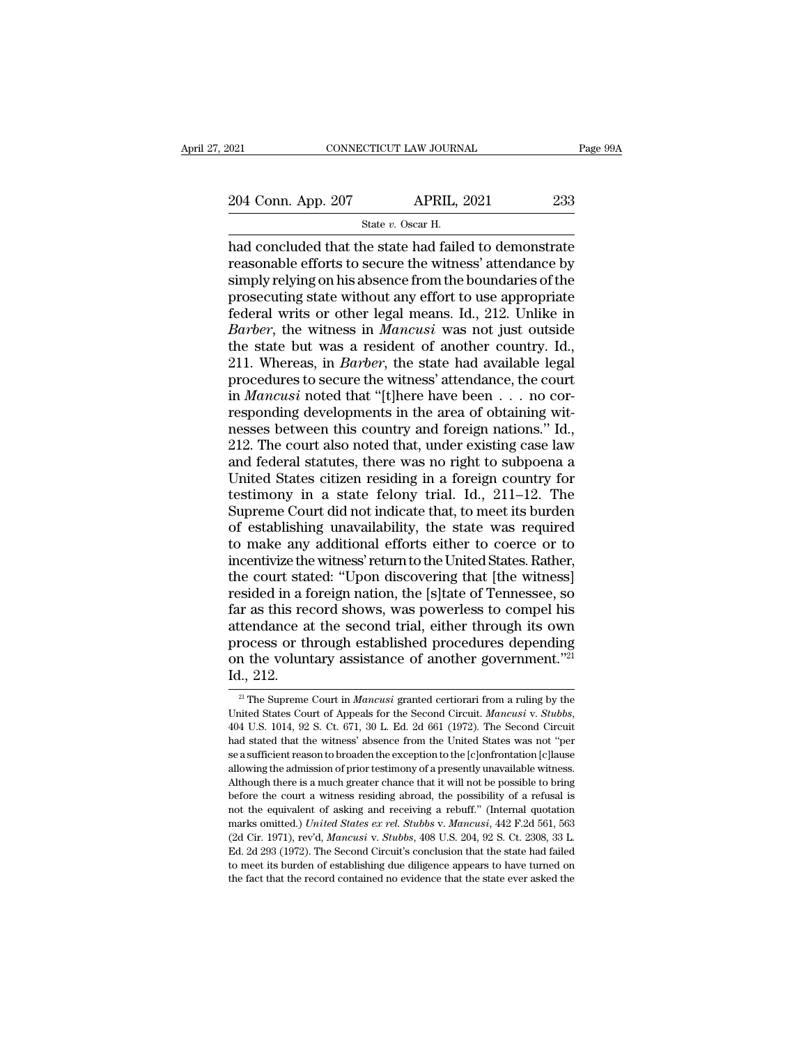CTICUT LAW JOURN.<br>APRIL, :<br>State *v.* Oscar H.<br>ne state had faile Fage 99A<br>  $\frac{204 \text{ Conn. App. 207}}{\text{State } v. \text{ Oscar H.}}$ <br>  $\frac{\text{State } v. \text{ Oscar H.}}{\text{had concluded that the state had failed to demonstrate}}$ <br>  $\frac{\text{reasonable efforts to secure the witness' attendance by}}{\text{simply relying on his absence from the boundaries of the}}$ 204 Conn. App. 207 APRIL, 2021 233<br>
State v. Oscar H.<br>
had concluded that the state had failed to demonstrate<br>
reasonable efforts to secure the witness' attendance by<br>
simply relying on his absence from the boundaries of 204 Conn. App. 207 APRIL, 2021 233<br>  $\frac{\text{State } v. \text{ Oscar H.}}{\text{had concluded that the state had failed to demonstrate}}$ <br>
reasonable efforts to secure the witness' attendance by<br>
simply relying on his absence from the boundaries of the<br>
prosecuting state without any effort 204 Conn. App. 207 APRIL, 2021 233<br>
State v. Oscar H.<br>
had concluded that the state had failed to demonstrate<br>
reasonable efforts to secure the witness' attendance by<br>
simply relying on his absence from the boundaries of Far Tripp. 2011 Far Tripp. 2021<br>
State v. Oscar H.<br>
had concluded that the state had failed to demonstrate<br>
reasonable efforts to secure the witness' attendance by<br>
simply relying on his absence from the boundaries of the <sup>State v.</sup> Oscar H.<br>
had concluded that the state had failed to demonstrate<br>
reasonable efforts to secure the witness' attendance by<br>
simply relying on his absence from the boundaries of the<br>
prosecuting state without any had concluded that the state had failed to demonstrate<br>reasonable efforts to secure the witness' attendance by<br>simply relying on his absence from the boundaries of the<br>prosecuting state without any effort to use appropriat reasonable efforts to secure the witness' attendance by<br>simply relying on his absence from the boundaries of the<br>prosecuting state without any effort to use appropriate<br>federal writs or other legal means. Id., 212. Unlike simply relying on his absence from the boundaries of the<br>prosecuting state without any effort to use appropriate<br>federal writs or other legal means. Id., 212. Unlike in<br>*Barber*, the witness in *Mancusi* was not just outsi prosecuting state without any effort to use appropriate federal writs or other legal means. Id., 212. Unlike in *Barber*, the witness in *Mancusi* was not just outside the state but was a resident of another country. Id., rederal writs or other legal means. Id., 212. Unlike in *Barber*, the witness in *Mancusi* was not just outside the state but was a resident of another country. Id., 211. Whereas, in *Barber*, the state had available lega Barber, the witness in *Mancusi* was not just outside<br>the state but was a resident of another country. Id.,<br>211. Whereas, in *Barber*, the state had available legal<br>procedures to secure the witness' attendance, the court<br> the state but was a resident of another country. Id., 211. Whereas, in *Barber*, the state had available legal procedures to secure the witness' attendance, the court in *Mancusi* noted that "[t]here have been  $\dots$  no cor 211. Whereas, in *Barber*, the state had available legal<br>procedures to secure the witness' attendance, the court<br>in *Mancusi* noted that "[t]here have been  $\dots$  no cor-<br>responding developments in the area of obtaining wit procedures to secure the witness' attendance, the court<br>in *Mancusi* noted that "[t]here have been  $\dots$  no cor-<br>responding developments in the area of obtaining wit-<br>nesses between this country and foreign nations." Id.,<br> in *Mancusi* noted that "[t]here have been  $\ldots$  no corresponding developments in the area of obtaining witnesses between this country and foreign nations." Id., 212. The court also noted that, under existing case law and responding developments in the area of obtaining wit-<br>nesses between this country and foreign nations." Id.,<br>212. The court also noted that, under existing case law<br>and federal statutes, there was no right to subpoena a<br>Un nesses between this country and foreign nations." Id.,<br>212. The court also noted that, under existing case law<br>and federal statutes, there was no right to subpoena a<br>United States citizen residing in a foreign country for<br> 212. The court also noted that, under existing case law<br>and federal statutes, there was no right to subpoena a<br>United States citizen residing in a foreign country for<br>testimony in a state felony trial. Id., 211–12. The<br>Sup and federal statutes, there was no right to subpoena a<br>United States citizen residing in a foreign country for<br>testimony in a state felony trial. Id., 211–12. The<br>Supreme Court did not indicate that, to meet its burden<br>of United States citizen residing in a foreign country for<br>testimony in a state felony trial. Id., 211–12. The<br>Supreme Court did not indicate that, to meet its burden<br>of establishing unavailability, the state was required<br>to testimony in a state felony trial. Id., 211–12. The<br>Supreme Court did not indicate that, to meet its burden<br>of establishing unavailability, the state was required<br>to make any additional efforts either to coerce or to<br>incen Supreme Court did not indicate that, to meet its burden<br>of establishing unavailability, the state was required<br>to make any additional efforts either to coerce or to<br>incentivize the witness' return to the United States. Rat of establishing unavailability, the state was required<br>to make any additional efforts either to coerce or to<br>incentivize the witness' return to the United States. Rather,<br>the court stated: "Upon discovering that [the witne to make any additional efforts either to coerce or to<br>incentivize the witness' return to the United States. Rather,<br>the court stated: "Upon discovering that [the witness]<br>resided in a foreign nation, the [s]tate of Tenness incentivize the witness' return to the United States. Rather,<br>the court stated: "Upon discovering that [the witness]<br>resided in a foreign nation, the [s]tate of Tennessee, so<br>far as this record shows, was powerless to comp the court sta<br>resided in a f<br>far as this reattendance a<br>attendance a<br>process or th<br>on the voluni<br>Id., 212. tendance at the second trial, either through its own<br>rocess or through established procedures depending<br>in the voluntary assistance of another government."<sup>21</sup><br>i., 212.<br><sup>21</sup> The Supreme Court in *Mancusi* granted certiorar

process or through established procedures depending<br>
Id., 212.<br>
<sup>21</sup> The Supreme Court in *Mancusi* granted certiorari from a ruling by the<br>
United States Court of Appeals for the Second Circuit. *Mancusi* v. *Stubbs*,<br>
40 Id., 212.<br>
<sup>21</sup> The Supreme Court in *Mancusi* granted certiorari from a ruling by the United States Court of Appeals for the Second Circuit. *Mancusi* v. *Stubbs*, 404 U.S. 1014, 92 S. Ct. 671, 30 L. Ed. 2d 661 (1972). T 10.,  $\angle$ 12.<br><sup>21</sup> The Supreme Court in *Mancusi* granted certiorari from a ruling by the United States Court of Appeals for the Second Circuit. *Mancusi* v. *Stubbs*, 404 U.S. 1014, 92 S. Ct. 671, 30 L. Ed. 2d 661 (1972). <sup>21</sup> The Supreme Court in *Mancusi* granted certiorari from a ruling by the United States Court of Appeals for the Second Circuit. *Mancusi* v. *Stubbs*, 404 U.S. 1014, 92 S. Ct. 671, 30 L. Ed. 2d 661 (1972). The Second C United States Court of Appeals for the Second Circuit. *Mancusi* v. *Stubbs*, 404 U.S. 1014, 92 S. Ct. 671, 30 L. Ed. 2d 661 (1972). The Second Circuit had stated that the witness' absence from the United States was not " 404 U.S. 1014, 92 S. Ct. 671, 30 L. Ed. 2d 661 (1972). The Second Circuit had stated that the witness' absence from the United States was not "per se a sufficient reason to broaden the exception to the  $[c]$ onfrontation  $[c$ had stated that the witness' absence from the United States was not "per<br>be a sufficient reason to broaden the exception to the [c]onfrontation [c]lause<br>allowing the admission of prior testimony of a presently unavailable marks omitted.) *United States ex rel. Stubbs* v. *Mancusi*, 442 F.2d 561 C2 Cir. 1971), rev'd, *Mancusi* v. *Stubbs* v. *Mancusi*, 442 F.2d 561, 563 (2d Cir. 1971), rev'd, *Mancusi* v. *Stubbs* v. *Mancusi*, 442 F.2d 561, se a sufficient reason to broaden the exception to the [c]onfrontation [c]lause allowing the admission of prior testimony of a presently unavailable witness. Although there is a much greater chance that it will not be poss Although there is a much greater chance that it will not be possible to bring<br>before the court a witness residing abroad, the possibility of a refusal is<br>not the equivalent of asking and receiving a rebuff." (Internal quo The form is well as well as well as the possibility of a refusal is not the equivalent of asking and receiving a rebuff." (Internal quotation marks omitted.) United States ex rel. Stubbs v. Mancusi, 442 F.2d 561, 563 (2d not the equivalent of asking and receiving a rebuff." (Internal quotation marks omitted.) *United States ex rel. Stubbs v. Mancusi*, 442 F.2d 561, 563 (2d Cir. 1971), rev'd, *Mancusi v. Stubbs*, 408 U.S. 204, 92 S. Ct. 23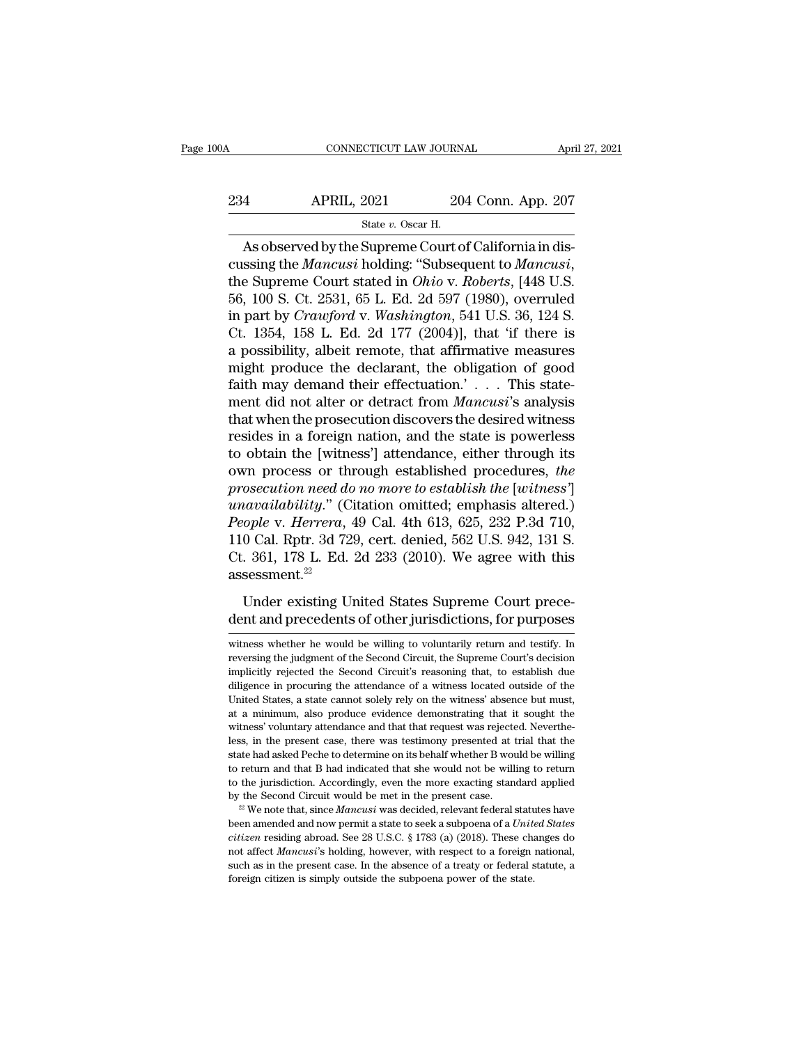# CONNECTICUT LAW JOURNAL April 27, 2021<br>234 APRIL, 2021 204 Conn. App. 207<br>5tate v. Oscar H. ECTICUT LAW JOURN.<br>2021 20<br>State *v.* Oscar H.<br>Sunreme Court o

CONNECTICUT LAW JOURNAL<br>
4 APRIL, 2021 204 Conn. App. 207<br>
5tate v. Oscar H.<br>
As observed by the Supreme Court of California in dis-<br>
5tate v. Oscar H.<br>
As observed by the Supreme Court of California in dis-<br>
5tate of Cali Example 1983<br>
Cussing the *Mancusi* holding: ''Subsequent to *Mancusi*,<br>
the Supreme Court stated in *Ohio* v. *Roberts*, [448 U.S.<br>
56, 100 S. Ct. 2531, 65 L. Ed. 2d 597 (1980), overruled<br>
in part by *Crearford* v. *Washi* 234 APRIL, 2021 204 Conn. App. 207<br>  $\frac{\text{State } v. \text{ Oscar H.}}{204 \text{ Conn. App. 207}}$ <br>
As observed by the Supreme Court of California in discussing the *Mancusi* holding: "Subsequent to *Mancusi*,<br>
the Supreme Court stated in *Ohio* v. State *v.* Oscar H.<br>
State *v.* Oscar H.<br>
As observed by the Supreme Court of California in discussing the *Mancusi* holding: "Subsequent to *Mancusi*,<br>
the Supreme Court stated in *Ohio* v. *Roberts*, [448 U.S.<br>
56, 100 S State v. Oscar H.<br>
As observed by the Supreme Court of California in discussing the *Mancusi* holding: "Subsequent to *Mancusi*,<br>
the Supreme Court stated in *Ohio* v. *Roberts*, [448 U.S.<br>
56, 100 S. Ct. 2531, 65 L. Ed. As observed by the Supreme Court of California in discussing the *Mancusi* holding: "Subsequent to *Mancusi*, the Supreme Court stated in *Ohio* v. *Roberts*, [448 U.S. 56, 100 S. Ct. 2531, 65 L. Ed. 2d 597 (1980), overrul cussing the *Mancusi* holding: "Subsequent to *Mancusi*,<br>the Supreme Court stated in *Ohio* v. *Roberts*, [448 U.S.<br>56, 100 S. Ct. 2531, 65 L. Ed. 2d 597 (1980), overruled<br>in part by *Crawford* v. *Washington*, 541 U.S. 3 the Supreme Court stated in *Ohio* v. *Roberts*, [448 U.S. 56, 100 S. Ct. 2531, 65 L. Ed. 2d 597 (1980), overruled<br>in part by *Crawford* v. *Washington*, 541 U.S. 36, 124 S.<br>Ct. 1354, 158 L. Ed. 2d 177 (2004)], that 'if t 56, 100 S. Ct. 2531, 65 L. Ed. 2d 597 (1980), overruled<br>in part by *Crawford* v. *Washington*, 541 U.S. 36, 124 S.<br>Ct. 1354, 158 L. Ed. 2d 177 (2004)], that 'if there is<br>a possibility, albeit remote, that affirmative measu in part by *Crawford* v. *Washington*, 541 U.S. 36, 124 S.<br>Ct. 1354, 158 L. Ed. 2d 177 (2004)], that 'if there is<br>a possibility, albeit remote, that affirmative measures<br>might produce the declarant, the obligation of good Ct. 1354, 158 L. Ed. 2d 177 (2004)], that 'if there is<br>a possibility, albeit remote, that affirmative measures<br>might produce the declarant, the obligation of good<br>faith may demand their effectuation.' . . . This state-<br>me a possibility, albeit remote, that affirmative measures<br>might produce the declarant, the obligation of good<br>faith may demand their effectuation.' . . . This state-<br>ment did not alter or detract from  $Mancusi$ 's analysis<br>that might produce the declarant, the obligation of good<br>faith may demand their effectuation.' . . . This state-<br>ment did not alter or detract from *Mancusi*'s analysis<br>that when the prosecution discovers the desired witness<br>re faith may demand their effectuation.' . . . This statement did not alter or detract from *Mancusi's* analysis<br>that when the prosecution discovers the desired witness<br>resides in a foreign nation, and the state is powerless ment did not alter or detract from *Mancusi*'s analysis<br>
that when the prosecution discovers the desired witness<br>
resides in a foreign nation, and the state is powerless<br>
to obtain the [witness'] attendance, either through *People* in a foreign nation, and the state is powerless<br>resides in a foreign nation, and the state is powerless<br>to obtain the [witness'] attendance, either through its<br>own process or through established procedures, *the*<br> resides in a foreign nation, and the state is powerless<br>to obtain the [witness'] attendance, either through its<br>own process or through established procedures, *the*<br>prosecution need do no more to establish the [witness']<br> to obtain the [witness'] attendance, either through its<br>own process or through established procedures, *the*<br>*prosecution need do no more to establish the [witness']*<br>*unavailability.*" (Citation omitted; emphasis altered assessment.<sup>22</sup> prosecution need do no more to establish the [witness'] unavailability." (Citation omitted; emphasis altered.) People v. Herrera, 49 Cal. 4th 613, 625, 232 P.3d 710, 110 Cal. Rptr. 3d 729, cert. denied, 562 U.S. 942, 131 *People v. Herrera*, 49 Cal. 4th 613, 625, 232 P.3d 710, 110 Cal. Rptr. 3d 729, cert. denied, 562 U.S. 942, 131 S.<br>Ct. 361, 178 L. Ed. 2d 233 (2010). We agree with this assessment.<sup>22</sup><br>Under existing United States Supreme

assessment.<sup>22</sup><br>Under existing United States Supreme Court precedent<br>and precedents of other jurisdictions, for purposes<br>witness whether he would be willing to voluntarily return and testify. In<br>reversing the judgment of t Under existing United States Supreme Court precedent and precedents of other jurisdictions, for purposes<br>witness whether he would be willing to voluntarily return and testify. In<br>reversing the judgment of the Second Circui Under existing United States Supreme Court precedent and precedents of other jurisdictions, for purposes witness whether he would be willing to voluntarily return and testify. In reversing the judgment of the Second Circui dent and precedents of other jurisdictions, for purposes<br>witness whether he would be willing to voluntarily return and testify. In<br>reversing the judgment of the Second Circuit, the Supreme Court's decision<br>implicitly rejec UNITED STATES OF OUTER JULISLICTIONS, TOT PUI POSES<br>witness whether he would be willing to voluntarily return and testify. In<br>reversing the judgment of the Second Circuit, the Supreme Court's decision<br>implicitly rejected t witness whether he would be willing to voluntarily return and testify. In<br>reversing the judgment of the Second Circuit, the Supreme Court's decision<br>implicitly rejected the Second Circuit's reasoning that, to establish due witness whether he would be willing to voluntarily return and testify. In reversing the judgment of the Second Circuit, the Supreme Court's decision implicitly rejected the Second Circuit's reasoning that, to establish due implicitly rejected the Second Circuit's reasoning that, to establish due diligence in procuring the attendance of a witness located outside of the United States, a state cannot solely rely on the witness' absence but must state had asked peche to determine of a witness located outside of the United States, a state cannot solely rely on the witness' absence but must, at a minimum, also produce evidence demonstrating that it sought the witnes United States, a state cannot solely rely on the witness' absence but must, at a minimum, also produce evidence demonstrating that it sought the witness' voluntary attendance and that that request was rejected. Nevertheles at a minimum, also produce evidence demonstrating that it sought the witness' voluntary attendance and that that request was rejected. Nevertheless, in the present case, there was testimony presented at trial that the stat witness' voluntary attendance and that that request was rejected. Nevertheless, in the present case, there was testimony presented at trial that the state had asked Peche to determine on its behalf whether B would be willi

to return and that B had indicated that she would not be willing to return<br>to the jurisdiction. Accordingly, even the more exacting standard applied<br>by the Second Circuit would be met in the present case.<br> $22$  We note tha to return and that B had indicated that she would not be willing to return<br>to the jurisdiction. Accordingly, even the more exacting standard applied<br>by the Second Circuit would be met in the present case.<br><sup>22</sup> We note that to the jurisdiction. Accordingly, even the more exacting standard applied<br>by the Second Circuit would be met in the present case.<br><sup>22</sup> We note that, since *Mancusi* was decided, relevant federal statutes have<br>been amended by the Second Circuit would be met in the present case.<br><sup>22</sup> We note that, since *Mancusi* was decided, relevant federal statutes have been amended and now permit a state to seek a subpoena of a *United States citizen* re been amended and now permit a state to seek a subpoena of a United States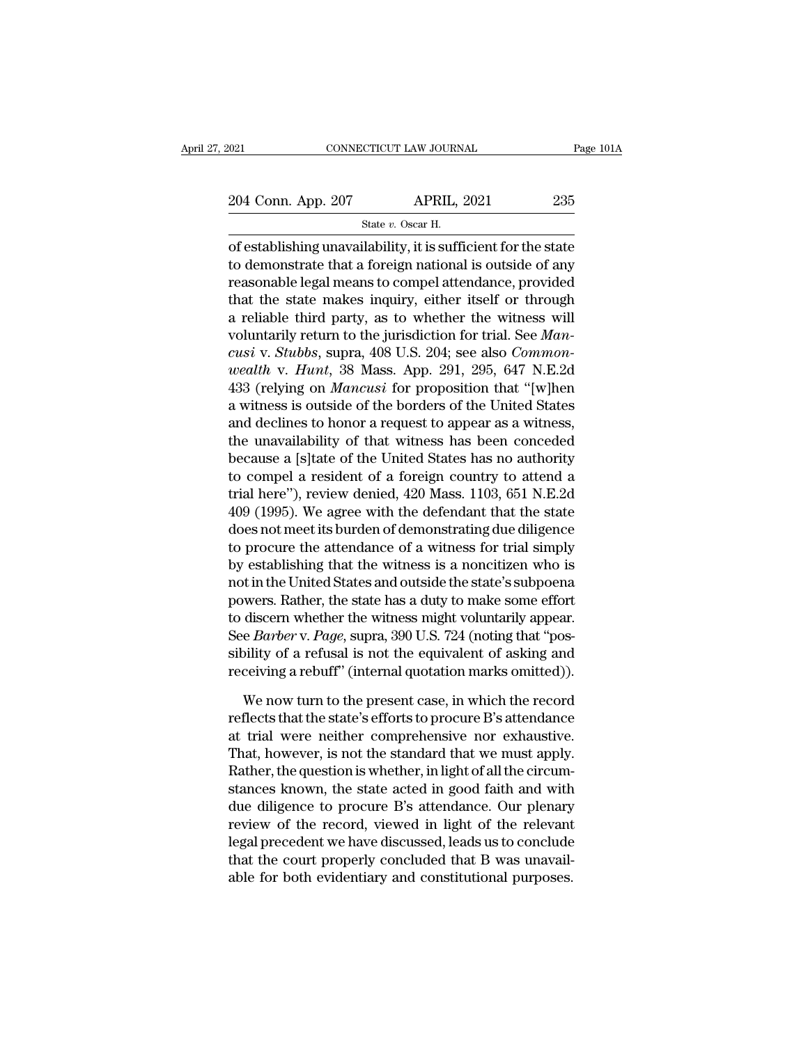CTICUT LAW JOURN.<br>APRIL, :<br>State *v.* Oscar H.<br>ilability it is suffi Figure 1014<br>
of establishing unavailability, it is sufficient for the state<br>
to demonstrate that a foreign national is outside of any<br>
measurable last means to seminal it and an anomal of any<br>
measurable last means to sem 204 Conn. App. 207 APRIL, 2021 235<br>
State v. Oscar H.<br>
of establishing unavailability, it is sufficient for the state<br>
to demonstrate that a foreign national is outside of any<br>
reasonable legal means to compel attendance, 204 Conn. App. 207 APRIL, 2021 235<br>
State v. Oscar H.<br>
of establishing unavailability, it is sufficient for the state<br>
to demonstrate that a foreign national is outside of any<br>
reasonable legal means to compel attendance, 204 Conn. App. 207 APRIL, 2021 235<br>  $\frac{\text{State } v. \text{ Oscar H.}}{\text{of establishing unavailability, it is sufficient for the state}}$ <br>
to demonstrate that a foreign national is outside of any<br>
reasonable legal means to compel attendance, provided<br>
that the state makes inquiry, either State v. Oscar H.<br>
State v. Oscar H.<br>
State v. Oscar H.<br>
State v. Oscar H.<br>
to demonstrate that a foreign national is outside of any<br>
reasonable legal means to compel attendance, provided<br>
that the state makes inquiry, ei state *v*. oscar ii.<br>
of establishing unavailability, it is sufficient for the state<br>
to demonstrate that a foreign national is outside of any<br>
reasonable legal means to compel attendance, provided<br>
that the state makes in of establishing unavailability, it is sufficient for the state<br>to demonstrate that a foreign national is outside of any<br>reasonable legal means to compel attendance, provided<br>that the state makes inquiry, either itself or t to demonstrate that a foreign national is outside of any<br>reasonable legal means to compel attendance, provided<br>that the state makes inquiry, either itself or through<br>a reliable third party, as to whether the witness will<br>v reasonable legal means to compel attendance, provided<br>that the state makes inquiry, either itself or through<br>a reliable third party, as to whether the witness will<br>voluntarily return to the jurisdiction for trial. See *Man* that the state makes inquiry, either itself or through<br>a reliable third party, as to whether the witness will<br>voluntarily return to the jurisdiction for trial. See *Man-<br>cusi* v. *Stubbs*, supra, 408 U.S. 204; see also *C* a reliable third party, as to whether the witness will<br>voluntarily return to the jurisdiction for trial. See *Man-<br>cusi* v. *Stubbs*, supra, 408 U.S. 204; see also *Common-*<br>wealth v. *Hunt*, 38 Mass. App. 291, 295, 647 N voluntarily return to the jurisdiction for trial. See *Mancusi* v. *Stubbs*, supra, 408 U.S. 204; see also *Common-wealth* v. *Hunt*, 38 Mass. App. 291, 295, 647 N.E.2d 433 (relying on *Mancusi* for proposition that "[w]h cusi v. Stubbs, supra, 408 U.S. 204; see also *Common-*<br>wealth v. Hunt, 38 Mass. App. 291, 295, 647 N.E.2d<br>433 (relying on *Mancusi* for proposition that "[w]hen<br>a witness is outside of the borders of the United States<br>an wealth v. Hunt, 38 Mass. App. 291, 295, 647 N.E.2d<br>433 (relying on *Mancusi* for proposition that "[w]hen<br>a witness is outside of the borders of the United States<br>and declines to honor a request to appear as a witness,<br>th 433 (relying on *Mancusi* for proposition that "[w]hen<br>a witness is outside of the borders of the United States<br>and declines to honor a request to appear as a witness,<br>the unavailability of that witness has been conceded<br> a witness is outside of the borders of the United States<br>and declines to honor a request to appear as a witness,<br>the unavailability of that witness has been conceded<br>because a [s]tate of the United States has no authority<br> and declines to honor a request to appear as a witness,<br>the unavailability of that witness has been conceded<br>because a [s]tate of the United States has no authority<br>to compel a resident of a foreign country to attend a<br>tri the unavailability of that witness has been conceded<br>because a [s]tate of the United States has no authority<br>to compel a resident of a foreign country to attend a<br>trial here"), review denied, 420 Mass. 1103, 651 N.E.2d<br>409 because a [s]tate of the United States has no authority<br>to compel a resident of a foreign country to attend a<br>trial here"), review denied, 420 Mass. 1103, 651 N.E.2d<br>409 (1995). We agree with the defendant that the state<br>d to compel a resident of a foreign country to attend a<br>trial here''), review denied, 420 Mass. 1103, 651 N.E.2d<br>409 (1995). We agree with the defendant that the state<br>does not meet its burden of demonstrating due diligence<br> trial here"), review denied, 420 Mass. 1103, 651 N.E.2d<br>409 (1995). We agree with the defendant that the state<br>does not meet its burden of demonstrating due diligence<br>to procure the attendance of a witness for trial simpl 409 (1995). We agree with the defendant that the state<br>does not meet its burden of demonstrating due diligence<br>to procure the attendance of a witness for trial simply<br>by establishing that the witness is a noncitizen who is does not meet its burden of demonstrating due diligence<br>to procure the attendance of a witness for trial simply<br>by establishing that the witness is a noncitizen who is<br>not in the United States and outside the state's subpo to procure the attendance of a witness for trial simply<br>by establishing that the witness is a noncitizen who is<br>not in the United States and outside the state's subpoena<br>powers. Rather, the state has a duty to make some ef by establishing that the witness is a noncitizen who is<br>not in the United States and outside the state's subpoena<br>powers. Rather, the state has a duty to make some effort<br>to discern whether the witness might voluntarily ap wers. Rather, the state has a duty to make some effort<br>discern whether the witness might voluntarily appear.<br>e *Barber* v. *Page*, supra, 390 U.S. 724 (noting that "pos-<br>pility of a refusal is not the equivalent of asking to discern whether the witness might voluntarily appear.<br>See *Barber* v. *Page*, supra, 390 U.S. 724 (noting that "possibility of a refusal is not the equivalent of asking and<br>receiving a rebuff" (internal quotation marks

See *Barber* v. *Page*, supra, 390 U.S. 724 (noting that "possibility of a refusal is not the equivalent of asking and receiving a rebuff" (internal quotation marks omitted)).<br>We now turn to the present case, in which the sibility of a refusal is not the equivalent of asking and<br>receiving a rebuff" (internal quotation marks omitted)).<br>We now turn to the present case, in which the record<br>reflects that the state's efforts to procure B's atten receiving a rebuff" (internal quotation marks omitted)).<br>We now turn to the present case, in which the record<br>reflects that the state's efforts to procure B's attendance<br>at trial were neither comprehensive nor exhaustive.<br> We now turn to the present case, in which the record<br>reflects that the state's efforts to procure B's attendance<br>at trial were neither comprehensive nor exhaustive.<br>That, however, is not the standard that we must apply.<br>Ra We now turn to the present case, in which the record<br>reflects that the state's efforts to procure B's attendance<br>at trial were neither comprehensive nor exhaustive.<br>That, however, is not the standard that we must apply.<br>Ra reflects that the state's efforts to procure B's attendance<br>at trial were neither comprehensive nor exhaustive.<br>That, however, is not the standard that we must apply.<br>Rather, the question is whether, in light of all the ci at trial were neither comprehensive nor exhaustive.<br>That, however, is not the standard that we must apply.<br>Rather, the question is whether, in light of all the circum-<br>stances known, the state acted in good faith and with<br> That, however, is not the standard that we must apply.<br>Rather, the question is whether, in light of all the circumstances known, the state acted in good faith and with<br>due diligence to procure B's attendance. Our plenary<br>r Rather, the question is whether, in light of all the circum-<br>stances known, the state acted in good faith and with<br>due diligence to procure B's attendance. Our plenary<br>review of the record, viewed in light of the relevant<br>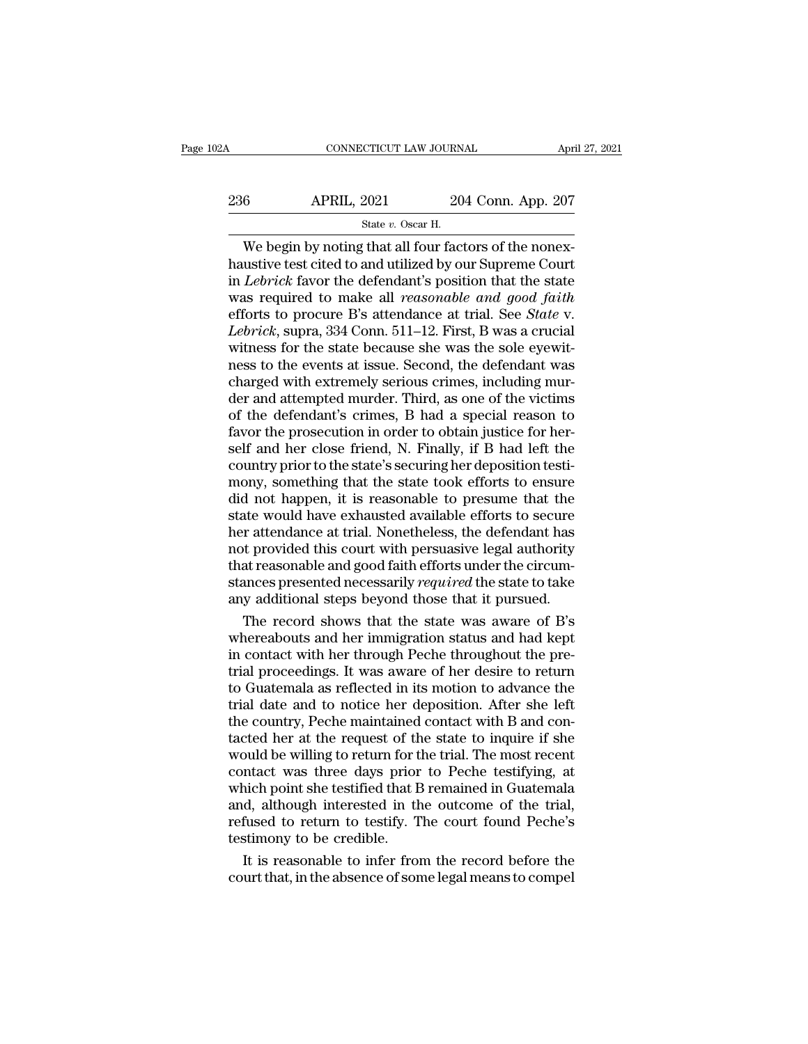| 02A | CONNECTICUT LAW JOURNAL                                |                    | April 27, 2021 |
|-----|--------------------------------------------------------|--------------------|----------------|
| 236 | <b>APRIL, 2021</b>                                     | 204 Conn. App. 207 |                |
|     | State $v$ . Oscar H.                                   |                    |                |
|     | We begin by noting that all four factors of the noney- |                    |                |

CONNECTICUT LAW JOURNAL<br>
6 APRIL, 2021 204 Conn. App. 207<br>
State v. Oscar H.<br>
We begin by noting that all four factors of the nonex-<br>
ustive test cited to and utilized by our Supreme Court<br>
Lebrick fouer the defendant's po 236 APRIL, 2021 204 Conn. App. 207<br>
State v. Oscar H.<br>
We begin by noting that all four factors of the nonex-<br>
haustive test cited to and utilized by our Supreme Court<br>
in *Lebrick* favor the defendant's position that the  $\frac{\text{APRIL, 2021}}{\text{State } v. \text{ Oscar } \text{H}}$ <br>We begin by noting that all four factors of the nonex-<br>haustive test cited to and utilized by our Supreme Court<br>in *Lebrick* favor the defendant's position that the state<br>was required to 236 APRIL, 2021 204 Conn. App. 207<br>
<sup>State v. Oscar H.</sup><br>
We begin by noting that all four factors of the nonex-<br>
haustive test cited to and utilized by our Supreme Court<br>
in *Lebrick* favor the defendant's position that th Section 2011 2011 2011<br>
State *v*. Oscar H.<br>
We begin by noting that all four factors of the nonex-<br>
haustive test cited to and utilized by our Supreme Court<br>
in *Lebrick* favor the defendant's position that the state<br>
was <sup>State v.</sup> Oscar H.<br>
We begin by noting that all four factors of the nonex-<br>
haustive test cited to and utilized by our Supreme Court<br>
in *Lebrick* favor the defendant's position that the state<br>
was required to make all *r* We begin by noting that all four factors of the nonex-<br>haustive test cited to and utilized by our Supreme Court<br>in *Lebrick* favor the defendant's position that the state<br>was required to make all *reasonable and good faith* haustive test cited to and utilized by our Supreme Court<br>in *Lebrick* favor the defendant's position that the state<br>was required to make all *reasonable and good faith*<br>efforts to procure B's attendance at trial. See *Stat* in *Lebrick* favor the defendant's position that the state<br>was required to make all *reasonable and good faith*<br>efforts to procure B's attendance at trial. See *State* v.<br>*Lebrick*, supra, 334 Conn. 511–12. First, B was a was required to make all *reasonable and good faith*<br>efforts to procure B's attendance at trial. See *State* v.<br>*Lebrick*, supra, 334 Conn. 511–12. First, B was a crucial<br>witness for the state because she was the sole eyew efforts to procure B's attendance at trial. See *State* v.<br>*Lebrick*, supra, 334 Conn. 511–12. First, B was a crucial<br>witness for the state because she was the sole eyewit-<br>ness to the events at issue. Second, the defendan *Lebrick*, supra, 334 Conn. 511–12. First, B was a crucial witness for the state because she was the sole eyewitness to the events at issue. Second, the defendant was charged with extremely serious crimes, including murder witness for the state because she was the sole eyewit-<br>ness to the events at issue. Second, the defendant was<br>charged with extremely serious crimes, including mur-<br>der and attempted murder. Third, as one of the victims<br>of ness to the events at issue. Second, the defendant was charged with extremely serious crimes, including murder and attempted murder. Third, as one of the victims of the defendant's crimes, B had a special reason to favor t charged with extremely serious crimes, including murder and attempted murder. Third, as one of the victims<br>of the defendant's crimes, B had a special reason to<br>favor the prosecution in order to obtain justice for her-<br>self der and attempted murder. Third, as one of the victims<br>of the defendant's crimes, B had a special reason to<br>favor the prosecution in order to obtain justice for her-<br>self and her close friend, N. Finally, if B had left the of the defendant's crimes, B had a special reason to<br>favor the prosecution in order to obtain justice for her-<br>self and her close friend, N. Finally, if B had left the<br>country prior to the state's securing her deposition t favor the prosecution in order to obtain justice for herself and her close friend, N. Finally, if B had left the country prior to the state's securing her deposition testimony, something that the state took efforts to ensu self and her close friend, N. Finally, if B had left the<br>country prior to the state's securing her deposition testi-<br>mony, something that the state took efforts to ensure<br>did not happen, it is reasonable to presume that th country prior to the state's securing her deposition testi-<br>mony, something that the state took efforts to ensure<br>did not happen, it is reasonable to presume that the<br>state would have exhausted available efforts to secure<br> mony, something that the state took efforts to ensure<br>did not happen, it is reasonable to presume that the<br>state would have exhausted available efforts to secure<br>her attendance at trial. Nonetheless, the defendant has<br>not did not happen, it is reasonable to presume that the state would have exhausted available efforts to secure her attendance at trial. Nonetheless, the defendant has not provided this court with persuasive legal authority th ate would have exhausted available efforts to secure<br>or attendance at trial. Nonetheless, the defendant has<br>t provided this court with persuasive legal authority<br>at reasonable and good faith efforts under the circum-<br>ances her attendance at trial. Nonetheless, the defendant has<br>not provided this court with persuasive legal authority<br>that reasonable and good faith efforts under the circum-<br>stances presented necessarily *required* the state to

not provided this court with persuasive legal authority<br>that reasonable and good faith efforts under the circum-<br>stances presented necessarily *required* the state to take<br>any additional steps beyond those that it pursued. that reasonable and good faith efforts under the circum-<br>stances presented necessarily *required* the state to take<br>any additional steps beyond those that it pursued.<br>The record shows that the state was aware of B's<br>wherea stances presented necessarily *required* the state to take<br>any additional steps beyond those that it pursued.<br>The record shows that the state was aware of B's<br>whereabouts and her immigration status and had kept<br>in contact any additional steps beyond those that it pursued.<br>The record shows that the state was aware of B's<br>whereabouts and her immigration status and had kept<br>in contact with her through Peche throughout the pre-<br>trial proceeding The record shows that the state was aware of B's<br>whereabouts and her immigration status and had kept<br>in contact with her through Peche throughout the pre-<br>trial proceedings. It was aware of her desire to return<br>to Guatemal whereabouts and her immigration status and had kept<br>in contact with her through Peche throughout the pre-<br>trial proceedings. It was aware of her desire to return<br>to Guatemala as reflected in its motion to advance the<br>trial in contact with her through Peche throughout the pre-<br>trial proceedings. It was aware of her desire to return<br>to Guatemala as reflected in its motion to advance the<br>trial date and to notice her deposition. After she left<br>t trial proceedings. It was aware of her desire to return<br>to Guatemala as reflected in its motion to advance the<br>trial date and to notice her deposition. After she left<br>the country, Peche maintained contact with B and con-<br>t to Guatemala as reflected in its motion to advance the<br>trial date and to notice her deposition. After she left<br>the country, Peche maintained contact with B and con-<br>tacted her at the request of the state to inquire if she<br> trial date and to notice her deposition. After she left<br>the country, Peche maintained contact with B and con-<br>tacted her at the request of the state to inquire if she<br>would be willing to return for the trial. The most rece the country, Peche maintained contact with B and contacted her at the request of the state to inquire if she would be willing to return for the trial. The most recent contact was three days prior to Peche testifying, at wh tacted her at the request of the would be willing to return for the contact was three days prior which point she testified that H and, although interested in the refused to return to testify. The testimony to be credible. bould be willing to return for the trial. The most recent<br>ntact was three days prior to Peche testifying, at<br>nich point she testified that B remained in Guatemala<br>d, although interested in the outcome of the trial,<br>fused t contact was three days prior to Peche testifying, at<br>which point she testified that B remained in Guatemala<br>and, although interested in the outcome of the trial,<br>refused to return to testify. The court found Peche's<br>testim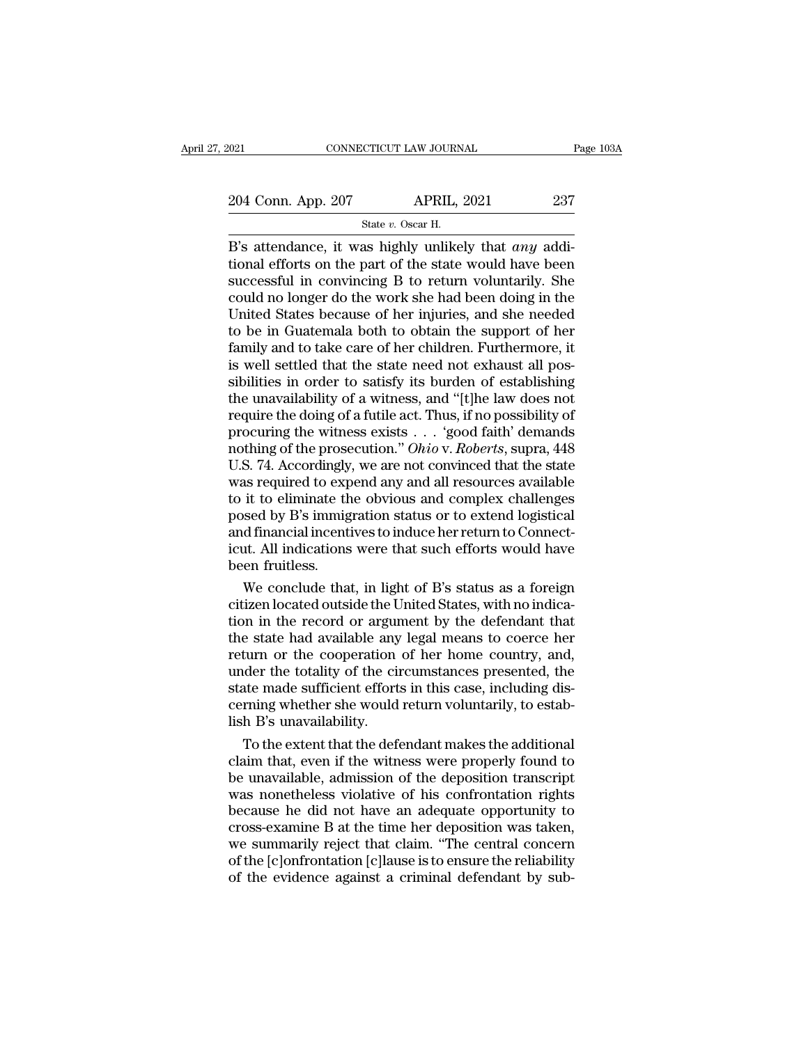$\begin{tabular}{l l l l} \hline 021 & & & & & & \textbf{CoNNECTICUT LAW JOURNAL} \\\hline 204 & \textbf{Conn. App. 207} & & & & \textbf{APRIL, 2021} \\\hline & & & & \textbf{State $v$. Oscar H.} \\\hline \end{tabular}$ 

EXECUTE CONNECTICUT LAW JOURNAL Page 10<br>
204 Conn. App. 207 APRIL, 2021 237<br>
State *v*. Oscar H.<br>
B's attendance, it was highly unlikely that *any* additional efforts on the part of the state would have been<br>
successful in 204 Conn. App. 207 APRIL, 2021 237<br>
State v. Oscar H.<br>
B's attendance, it was highly unlikely that *any* additional efforts on the part of the state would have been<br>
successful in convincing B to return voluntarily. She<br> 204 Conn. App. 207 APRIL, 2021 237<br>
State v. Oscar H.<br>
B's attendance, it was highly unlikely that *any* additional efforts on the part of the state would have been<br>
successful in convincing B to return voluntarily. She<br> 204 Conn. App. 207 APRIL, 2021 237<br>
State v. Oscar H.<br>
B's attendance, it was highly unlikely that *any* additional efforts on the part of the state would have been<br>
successful in convincing B to return voluntarily. She<br> State v. Oscar H.<br>
B's attendance, it was highly unlikely that *any* additional efforts on the part of the state would have been<br>
successful in convincing B to return voluntarily. She<br>
could no longer do the work she had State v. Oscar H.<br>
B's attendance, it was highly unlikely that *any* additional efforts on the part of the state would have been<br>
successful in convincing B to return voluntarily. She<br>
could no longer do the work she had B's attendance, it was highly unlikely that *any* additional efforts on the part of the state would have been successful in convincing B to return voluntarily. She could no longer do the work she had been doing in the Unit tional efforts on the part of the state would have been<br>successful in convincing B to return voluntarily. She<br>could no longer do the work she had been doing in the<br>United States because of her injuries, and she needed<br>to b successful in convincing B to return voluntarily. She<br>could no longer do the work she had been doing in the<br>United States because of her injuries, and she needed<br>to be in Guatemala both to obtain the support of her<br>family could no longer do the work she had been doing in the United States because of her injuries, and she needed to be in Guatemala both to obtain the support of her family and to take care of her children. Furthermore, it is w United States because of her injuries, and she needed<br>to be in Guatemala both to obtain the support of her<br>family and to take care of her children. Furthermore, it<br>is well settled that the state need not exhaust all pos-<br> to be in Guatemala both to obtain the support of her family and to take care of her children. Furthermore, it<br>is well settled that the state need not exhaust all pos-<br>sibilities in order to satisfy its burden of establish family and to take care of her children. Furthermore, it<br>is well settled that the state need not exhaust all pos-<br>sibilities in order to satisfy its burden of establishing<br>the unavailability of a witness, and "[t]he law do is well settled that the state need not exhaust all pos-<br>sibilities in order to satisfy its burden of establishing<br>the unavailability of a witness, and "[t]he law does not<br>require the doing of a futile act. Thus, if no pos sibilities in order to satisfy its burden of establishing<br>the unavailability of a witness, and "[t]he law does not<br>require the doing of a futile act. Thus, if no possibility of<br>procuring the witness exists  $\ldots$  'good fai the unavailability of a witness, and "[t]he law does not<br>require the doing of a futile act. Thus, if no possibility of<br>procuring the witness exists . . . 'good faith' demands<br>nothing of the prosecution." *Ohio* v. *Roberts* require the doing of a futile act. Thus, if no possibility of<br>procuring the witness exists  $\ldots$  'good faith' demands<br>nothing of the prosecution." *Ohio* v. *Roberts*, supra, 448<br>U.S. 74. Accordingly, we are not convinced procuring the witness exists . . . 'good faith' demands<br>nothing of the prosecution." *Ohio* v. *Roberts*, supra, 448<br>U.S. 74. Accordingly, we are not convinced that the state<br>was required to expend any and all resources av nothing of the prosecution." Ohio v. Roberts, supra, 448<br>U.S. 74. Accordingly, we are not convinced that the state<br>was required to expend any and all resources available<br>to it to eliminate the obvious and complex challenge U.S. 74. Accordingly<br>was required to exp<br>to it to eliminate th<br>posed by B's immig<br>and financial incent<br>icut. All indications<br>been fruitless.<br>We conclude tha as required to expend any and all resources available<br>it to eliminate the obvious and complex challenges<br>sed by B's immigration status or to extend logistical<br>d financial incentives to induce her return to Connect-<br>ut. All to it to eliminate the obvious and complex challenges<br>posed by B's immigration status or to extend logistical<br>and financial incentives to induce her return to Connect-<br>icut. All indications were that such efforts would hav

posed by B's immigration status or to extend logistical<br>and financial incentives to induce her return to Connect-<br>icut. All indications were that such efforts would have<br>been fruitless.<br>We conclude that, in light of B's st and financial incentives to induce her return to Connecticut. All indications were that such efforts would have<br>been fruitless.<br>We conclude that, in light of B's status as a foreign<br>citizen located outside the United State icut. All indications were that such efforts would have<br>been fruitless.<br>We conclude that, in light of B's status as a foreign<br>citizen located outside the United States, with no indica-<br>tion in the record or argument by the been fruitless.<br>We conclude that, in light of B's status as a foreign<br>citizen located outside the United States, with no indica-<br>tion in the record or argument by the defendant that<br>the state had available any legal means We conclude that, in light of B's status as a foreign<br>citizen located outside the United States, with no indica-<br>tion in the record or argument by the defendant that<br>the state had available any legal means to coerce her<br>re citizen located outside the United States, with no indication in the record or argument by the defendant that<br>the state had available any legal means to coerce her<br>return or the cooperation of her home country, and,<br>under tion in the record or argum<br>the state had available any<br>return or the cooperation<br>under the totality of the cin<br>state made sufficient effort<br>cerning whether she would<br>lish B's unavailability.<br>To the extent that the def e state had available any legal means to coerce her<br>turn or the cooperation of her home country, and,<br>der the totality of the circumstances presented, the<br>te made sufficient efforts in this case, including dis-<br>rning wheth return or the cooperation of her home country, and,<br>under the totality of the circumstances presented, the<br>state made sufficient efforts in this case, including dis-<br>cerning whether she would return voluntarily, to estab-<br>

under the totality of the circumstances presented, the<br>state made sufficient efforts in this case, including dis-<br>cerning whether she would return voluntarily, to estab-<br>lish B's unavailability.<br>To the extent that the defe state made sufficient efforts in this case, including dis-<br>cerning whether she would return voluntarily, to estab-<br>lish B's unavailability.<br>To the extent that the defendant makes the additional<br>claim that, even if the witn cerning whether she would return voluntarily, to establish B's unavailability.<br>
To the extent that the defendant makes the additional<br>
claim that, even if the witness were properly found to<br>
be unavailable, admission of th lish B's unavailability.<br>To the extent that the defendant makes the additional<br>claim that, even if the witness were properly found to<br>be unavailable, admission of the deposition transcript<br>was nonetheless violative of his To the extent that the defendant makes the additional<br>claim that, even if the witness were properly found to<br>be unavailable, admission of the deposition transcript<br>was nonetheless violative of his confrontation rights<br>beca claim that, even if the witness were properly found to<br>be unavailable, admission of the deposition transcript<br>was nonetheless violative of his confrontation rights<br>because he did not have an adequate opportunity to<br>cross-e be unavailable, admission of the deposition transcript<br>was nonetheless violative of his confrontation rights<br>because he did not have an adequate opportunity to<br>cross-examine B at the time her deposition was taken,<br>we summa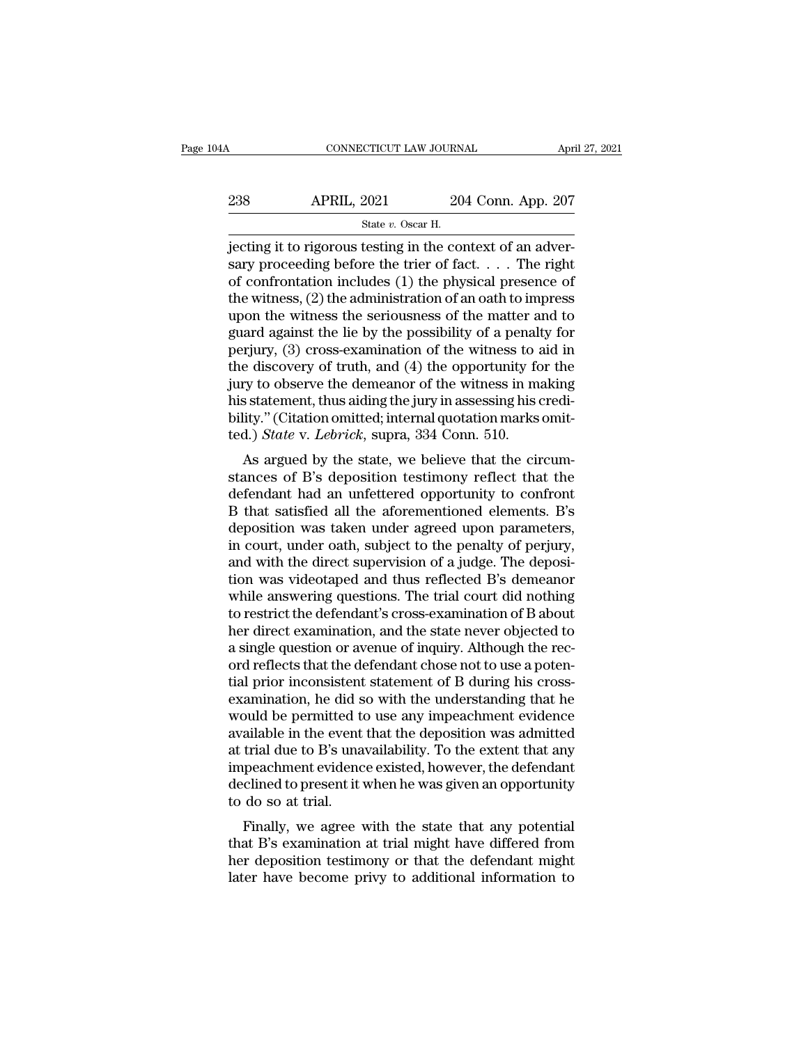| 4A  | CONNECTICUT LAW JOURNAL                                    |                    | April 27, 2021 |
|-----|------------------------------------------------------------|--------------------|----------------|
| 238 | <b>APRIL, 2021</b>                                         | 204 Conn. App. 207 |                |
|     | State v. Oscar H.                                          |                    |                |
|     | jecting it to rigorous testing in the context of an adver- |                    |                |

CONNECTICUT LAW JOURNAL App.<br>
238 APRIL, 2021 204 Conn. App. 207<br>
31 State v. Oscar H.<br>
31 Jecting it to rigorous testing in the context of an adver-<br>
52 State v. Oscar H.<br>
32 Of an adver-238 APRIL, 2021 204 Conn. App. 207<br>
State v. Oscar H.<br>
jecting it to rigorous testing in the context of an adversary proceeding before the trier of fact. . . . The right<br>
of confrontation includes (1) the physical presenc 238 APRIL, 2021 204 Conn. App. 207<br>
State v. Oscar H.<br>
jecting it to rigorous testing in the context of an adversary proceeding before the trier of fact. . . . The right<br>
of confrontation includes (1) the physical presenc 238 APRIL, 2021 204 Conn. App. 207<br>  $\frac{\text{State } v. \text{ Oscar H.}}{\text{jecting it to rigorous testing in the context of an adversary proceeding before the trier of fact.}$ ... The right of confrontation includes (1) the physical presence of the witness, (2) the administration of an oath to impress upon the witness State v. Oscar H.<br>
State v. Oscar H.<br>
jecting it to rigorous testing in the context of an adversary proceeding before the trier of fact.  $\dots$  The right<br>
of confrontation includes (1) the physical presence of<br>
the witness, State v. Oscar H.<br>
State v. Oscar H.<br>
State v. Oscar H.<br>
State v. Oscar H.<br>
State v. Oscar H.<br>
State v. Oscar H.<br>
State v. Oscar H.<br>
State possibility of a penalty for the witness, (2) the administration of an oath to imp jecting it to rigorous testing in the context of an adversary proceeding before the trier of fact. . . . The right<br>of confrontation includes (1) the physical presence of<br>the witness, (2) the administration of an oath to i sary proceeding before the trier of fact. . . . The right<br>of confrontation includes (1) the physical presence of<br>the witness, (2) the administration of an oath to impress<br>upon the witness the seriousness of the matter and of confrontation includes (1) the physical presence of<br>the witness, (2) the administration of an oath to impress<br>upon the witness the seriousness of the matter and to<br>guard against the lie by the possibility of a penalty f the witness, (2) the administration of an oath to impress<br>upon the witness the seriousness of the matter and to<br>guard against the lie by the possibility of a penalty for<br>perjury, (3) cross-examination of the witness to ai upon the witness the seriousness of the matter and to<br>guard against the lie by the possibility of a penalty for<br>perjury, (3) cross-examination of the witness to aid in<br>the discovery of truth, and (4) the opportunity for th guard against the lie by the possibility of a penalt<br>perjury, (3) cross-examination of the witness to a<br>the discovery of truth, and (4) the opportunity fo<br>jury to observe the demeanor of the witness in ma<br>his statement, th  $A_{\text{H}}(u, \theta)$  cross-examination of the witness to all in<br>e discovery of truth, and (4) the opportunity for the<br>ery to observe the demeanor of the witness in making<br>s statement, thus aiding the jury in assessing his cred the uscovery of truth, and (4) the opportunity for the<br>jury to observe the demeanor of the witness in making<br>his statement, thus aiding the jury in assessing his credi-<br>bility." (Citation omitted; internal quotation marks

definity to observe the defined<br>to the writess in making<br>this statement, thus aiding the jury in assessing his credi-<br>bility." (Citation omitted; internal quotation marks omit-<br>ted.) *State* v. *Lebrick*, supra, 334 Conn. First statement, thus adding the jury in assessing his credibility." (Citation omitted; internal quotation marks omitted.) *State* v. *Lebrick*, supra, 334 Conn. 510.<br>As argued by the state, we believe that the circumstan binty. (Chation of the characterization matrix of the deposited.) State v. Lebrick, supra, 334 Conn. 510.<br>As argued by the state, we believe that the circumstances of B's deposition testimony reflect that the defendant ha ied.) *State v. Leorick*, supra, 334 Collit. 310.<br>
As argued by the state, we believe that the circum-<br>
stances of B's deposition testimony reflect that the<br>
defendant had an unfettered opportunity to confront<br>
B that sati As argued by the state, we believe that the circum-<br>stances of B's deposition testimony reflect that the<br>defendant had an unfettered opportunity to confront<br>B that satisfied all the aforementioned elements. B's<br>deposition stances of B's deposition testimony reflect that the<br>defendant had an unfettered opportunity to confront<br>B that satisfied all the aforementioned elements. B's<br>deposition was taken under agreed upon parameters,<br>in court, un defendant had an unfettered opportunity to confront<br>B that satisfied all the aforementioned elements. B's<br>deposition was taken under agreed upon parameters,<br>in court, under oath, subject to the penalty of perjury,<br>and with B that satisfied all the aforementioned elements. B's<br>deposition was taken under agreed upon parameters,<br>in court, under oath, subject to the penalty of perjury,<br>and with the direct supervision of a judge. The deposi-<br>tion deposition was taken under agreed upon parameters,<br>in court, under oath, subject to the penalty of perjury,<br>and with the direct supervision of a judge. The deposi-<br>tion was videotaped and thus reflected B's demeanor<br>while in court, under oath, subject to the penalty of perjury, and with the direct supervision of a judge. The deposition was videotaped and thus reflected B's demeanor while answering questions. The trial court did nothing to r and with the direct supervision of a judge. The deposition was videotaped and thus reflected B's demeanor<br>while answering questions. The trial court did nothing<br>to restrict the defendant's cross-examination of B about<br>her tion was videotaped and thus reflected B's demeanor<br>while answering questions. The trial court did nothing<br>to restrict the defendant's cross-examination of B about<br>her direct examination, and the state never objected to<br>a while answering questions. The trial court did nothing<br>to restrict the defendant's cross-examination of B about<br>her direct examination, and the state never objected to<br>a single question or avenue of inquiry. Although the r to restrict the defendant's cross-examination of B about<br>her direct examination, and the state never objected to<br>a single question or avenue of inquiry. Although the rec-<br>ord reflects that the defendant chose not to use a her direct examination, and the state never objected to<br>a single question or avenue of inquiry. Although the rec-<br>ord reflects that the defendant chose not to use a poten-<br>tial prior inconsistent statement of B during his a single question or avenue of inquiry. Although the rec-<br>ord reflects that the defendant chose not to use a poten-<br>tial prior inconsistent statement of B during his cross-<br>examination, he did so with the understanding tha ord reflects that the defendant chose not to use a potential prior inconsistent statement of B during his cross-<br>examination, he did so with the understanding that he<br>would be permitted to use any impeachment evidence<br>avai tial prior inconsistent statement of B during his cross-<br>examination, he did so with the understanding that he<br>would be permitted to use any impeachment evidence<br>available in the event that the deposition was admitted<br>at t examination, he did s<br>would be permitted to<br>available in the event<br>at trial due to B's una<br>impeachment evidenc<br>declined to present it<br>to do so at trial.<br>Finally, we agree v Finally in the event that the deposition was admitted<br>trial due to B's unavailability. To the extent that any<br>peachment evidence existed, however, the defendant<br>clined to present it when he was given an opportunity<br>do so a available in the event that the deposition was admitted<br>at trial due to B's unavailability. To the extent that any<br>impeachment evidence existed, however, the defendant<br>declined to present it when he was given an opportunit

at that due to B s unavaniability. To the extent that any<br>impeachment evidence existed, however, the defendant<br>declined to present it when he was given an opportunity<br>to do so at trial.<br>Finally, we agree with the state tha Impeachment evidence existed, nowever, the defendant<br>declined to present it when he was given an opportunity<br>to do so at trial.<br>Finally, we agree with the state that any potential<br>that B's examination at trial might have d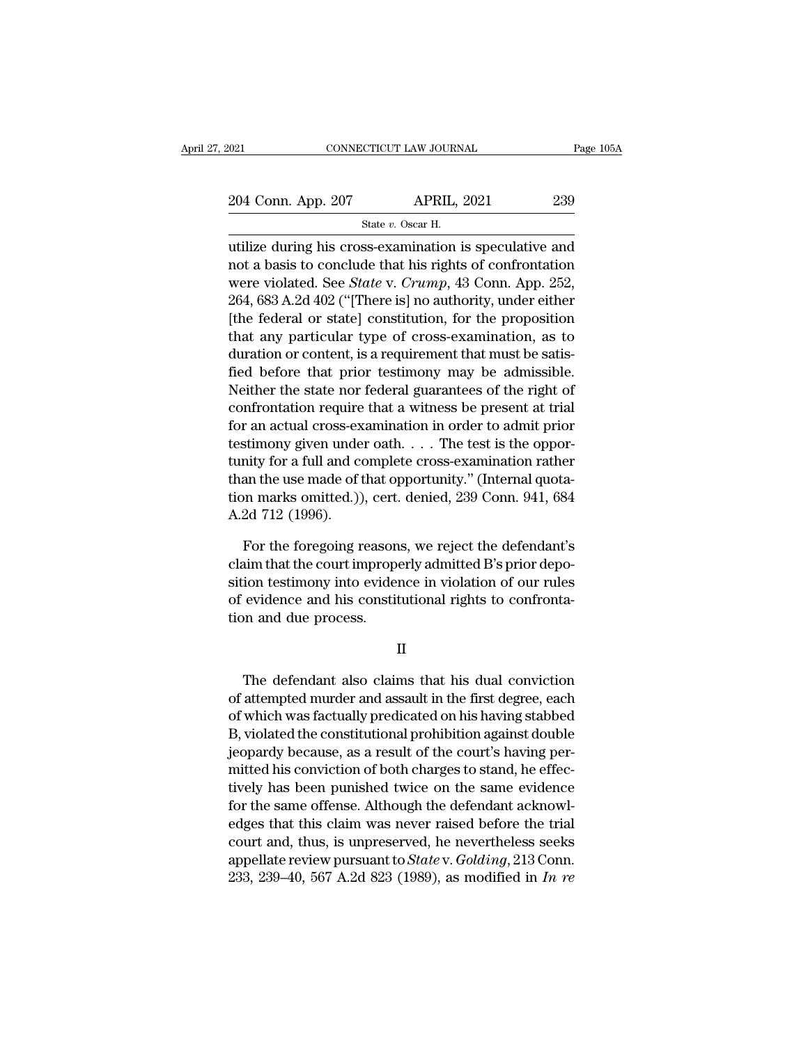2021 CONNECTICUT LAW JOURNAL Page 105A<br>204 Conn. App. 207 APRIL, 2021 239<br>324 State v. Oscar H. CTICUT LAW JOURN.<br>APRIL, :<br>State *v.* Oscar H.<br>SS-examination i

UNITED STRINGTON CONNECTICUT LAW JOURNAL Page 105A<br>
204 Conn. App. 207 APRIL, 2021 239<br>
State v. Oscar H.<br>
Utilize during his cross-examination is speculative and<br>
not a basis to conclude that his rights of confrontation<br> 204 Conn. App. 207 APRIL, 2021 239<br>
State v. Oscar H.<br>
utilize during his cross-examination is speculative and<br>
not a basis to conclude that his rights of confrontation<br>
were violated. See *State* v. *Crump*, 43 Conn. App 204 Conn. App. 207 APRIL, 2021 239<br>
State v. Oscar H.<br>
utilize during his cross-examination is speculative and<br>
not a basis to conclude that his rights of confrontation<br>
were violated. See *State* v. *Crump*, 43 Conn. App. 204 Conn. App. 207 APRIL, 2021 239<br>
State v. Oscar H.<br>
utilize during his cross-examination is speculative and<br>
not a basis to conclude that his rights of confrontation<br>
were violated. See *State* v. *Crump*, 43 Conn. App State v. Oscar H.<br>
utilize during his cross-examination is speculative and<br>
not a basis to conclude that his rights of confrontation<br>
were violated. See *State* v. *Crump*, 43 Conn. App. 252,<br>
264, 683 A.2d 402 ("[There i tilize during his cross-examination is speculative and<br>not a basis to conclude that his rights of confrontation<br>were violated. See *State v. Crump*, 43 Conn. App. 252,<br>264, 683 A.2d 402 ("[There is] no authority, under ei utilize during his cross-examination is speculative and<br>not a basis to conclude that his rights of confrontation<br>were violated. See *State* v. *Crump*, 43 Conn. App. 252,<br>264, 683 A.2d 402 ("[There is] no authority, under not a basis to conclude that his rights of controntation<br>were violated. See *State* v. *Crump*, 43 Conn. App. 252,<br>264, 683 A.2d 402 ("[There is] no authority, under either<br>[the federal or state] constitution, for the prop were violated. See *State* v. *Crump*, 43 Conn. App. 252, 264, 683 A.2d 402 ("[There is] no authority, under either [the federal or state] constitution, for the proposition that any particular type of cross-examination, a 264, 683 A.2d 402 ("[There is] no authority, under either<br>[the federal or state] constitution, for the proposition<br>that any particular type of cross-examination, as to<br>duration or content, is a requirement that must be sat [the federal or state] constitution, for the proposition<br>that any particular type of cross-examination, as to<br>duration or content, is a requirement that must be satis-<br>fied before that prior testimony may be admissible.<br>N that any particular type of cross-examination, as to<br>duration or content, is a requirement that must be satis-<br>fied before that prior testimony may be admissible.<br>Neither the state nor federal guarantees of the right of<br>c duration or content, is a requirement that must be satisfied before that prior testimony may be admissible.<br>Neither the state nor federal guarantees of the right of confrontation require that a witness be present at trial<br> fied before that prior testimony may be admissible.<br>Neither the state nor federal guarantees of the right of<br>confrontation require that a witness be present at trial<br>for an actual cross-examination in order to admit prior<br> Netther the state nor federal guarantees of the right of<br>confrontation require that a witness be present at trial<br>for an actual cross-examination in order to admit prior<br>testimony given under oath. . . . The test is the op controntation require<br>for an actual cross-ex<br>testimony given unde<br>tunity for a full and co<br>than the use made of t<br>ion marks omitted.))<br>A.2d 712 (1996).<br>For the foregoing r stimony given under oath. . . . The test is the oppor-<br>nity for a full and complete cross-examination rather<br>an the use made of that opportunity." (Internal quota-<br>non marks omitted.)), cert. denied, 239 Conn. 941, 684<br>2d tunity for a full and complete cross-examination rather<br>than the use made of that opportunity." (Internal quota-<br>tion marks omitted.)), cert. denied, 239 Conn. 941, 684<br>A.2d 712 (1996).<br>For the foregoing reasons, we reject

than the use made of that opportunity." (Internal quotation marks omitted.)), cert. denied, 239 Conn. 941, 684<br>A.2d 712 (1996).<br>For the foregoing reasons, we reject the defendant's<br>claim that the court improperly admitted tion marks omitted.)), cert. denied, 239 Conn. 941, 684<br>A.2d 712 (1996).<br>For the foregoing reasons, we reject the defendant's<br>claim that the court improperly admitted B's prior depo-<br>sition testimony into evidence in viola A.2d 712 (1996).<br>For the foregoing reason<br>claim that the court improperation test<br>imony into evidence and his constitution and due process. ion testimony into evidence in violation of our rules<br>evidence and his constitutional rights to confronta-<br>on and due process.<br>II<br>The defendant also claims that his dual conviction<br>attempted murder and assault in the first

II

of evidence and his constitutional rights to confronta-<br>tion and due process.<br>II<br>The defendant also claims that his dual conviction<br>of attempted murder and assault in the first degree, each<br>of which was factually predicate II<br>II<br>The defendant also claims that his dual conviction<br>of attempted murder and assault in the first degree, each<br>of which was factually predicated on his having stabbed<br>B, violated the constitutional prohibition against II<br>
B, violated murder and assault in the first degree, each<br>
of which was factually predicated on his having stabbed<br>
B, violated the constitutional prohibition against double<br>
jeopardy because, as a result of the court's II<br>The defendant also claims that his dual conviction<br>of attempted murder and assault in the first degree, each<br>of which was factually predicated on his having stabbed<br>B, violated the constitutional prohibition against dou The defendant also claims that his dual conviction<br>of attempted murder and assault in the first degree, each<br>of which was factually predicated on his having stabbed<br>B, violated the constitutional prohibition against double The detendant also claims that his dual conviction<br>of attempted murder and assault in the first degree, each<br>of which was factually predicated on his having stabbed<br>B, violated the constitutional prohibition against double of attempted murder and assault in the first degree, each<br>of which was factually predicated on his having stabbed<br>B, violated the constitutional prohibition against double<br>jeopardy because, as a result of the court's havin of which was factually predicated on his having stabbed<br>B, violated the constitutional prohibition against double<br>jeopardy because, as a result of the court's having per-<br>mitted his conviction of both charges to stand, he B, violated the constitutional prohibition against double<br>jeopardy because, as a result of the court's having per-<br>mitted his conviction of both charges to stand, he effec-<br>tively has been punished twice on the same evide jeopardy because, as a result of the court's having per-<br>mitted his conviction of both charges to stand, he effec-<br>tively has been punished twice on the same evidence<br>for the same offense. Although the defendant acknowl-<br>e mitted his conviction of both charges to stand, he effectively has been punished twice on the same evidence<br>for the same offense. Although the defendant acknowl-<br>edges that this claim was never raised before the trial<br>cour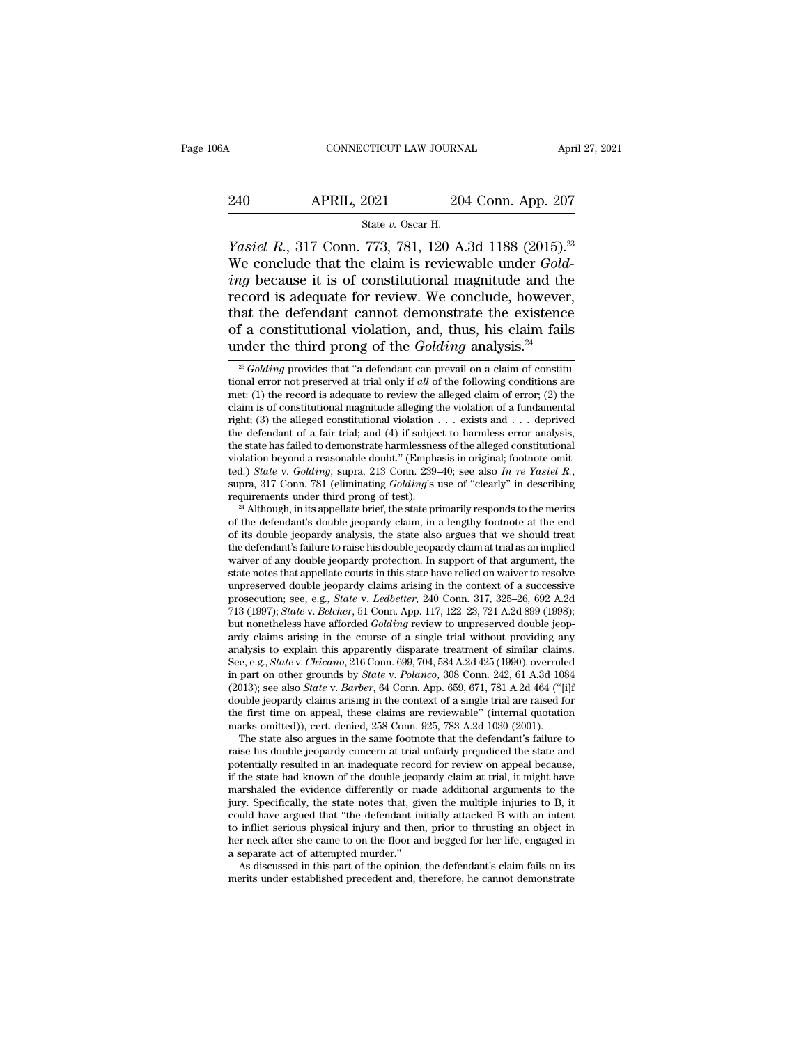# CONNECTICUT LAW JOURNAL April 27, 2021<br>240 APRIL, 2021 204 Conn. App. 207<br>3tate v. Oscar H. 773–781–120<br>
<u>State *v.* Oscar H.<br>
773–781–120 A</u>

*CONNECTICUT LAW JOURNAL April 27, 202*<br> *APRIL, 2021 204 Conn. App. 207*<br> *State v. Oscar H.<br>
<i>Yasiel R., 317 Conn. 773, 781, 120 A.3d 1188 (2015).<sup>23</sup><br>
We conclude that the claim is reviewable under <i>Gold-*<br> *ing bec* 240 APRIL, 2021 204 Conn. App. 207<br>
<sup>State v. Oscar H.<br> *Yasiel R.*, 317 Conn. 773, 781, 120 A.3d 1188 (2015).<sup>23</sup><br>
We conclude that the claim is reviewable under *Gold-*<br> *ing* because it is of constitutional magnitude an</sup> *ing* because it is of constitutional magnitude and the excellent the defendant cannot demonstrate the existence it is of constitutional magnitude and the record is adequate for review. We conclude, however, that the de 240 APRIL, 2021 204 Conn. App. 207<br>
State v. Oscar H.<br>
Yasiel R., 317 Conn. 773, 781, 120 A.3d 1188 (2015).<sup>23</sup><br>
We conclude that the claim is reviewable under *Gold-*<br> *ing* because it is of constitutional magnitude and Fig. 2021<br>
State v. Oscar H.<br>
Yasiel R., 317 Conn. 773, 781, 120 A.3d 1188 (2015).<sup>23</sup><br>
We conclude that the claim is reviewable under *Gold-*<br> *ing* because it is of constitutional magnitude and the<br>
record is adequate f State v. Oscar H.<br> *Yasiel R.*, 317 Conn. 773, 781, 120 A.3d 1188 (2015).<sup>23</sup><br>
We conclude that the claim is reviewable under *Gold-*<br> *ing* because it is of constitutional magnitude and the<br>
record is adequate for review *Yasiel R.*, 317 Conn. 773, 781, 120 A.3d 1188 (2015).<sup>2:</sup><br>We conclude that the claim is reviewable under *Golding* because it is of constitutional magnitude and the record is adequate for review. We conclude, however, th record is adequate for review. We conclude, however,<br>that the defendant cannot demonstrate the existence<br>of a constitutional violation, and, thus, his claim fails<br>under the third prong of the *Golding* analysis.<sup>24</sup><br> $\frac{2$ that the defendant cannot demonstrate the existence<br>of a constitutional violation, and, thus, his claim fails<br>under the third prong of the *Golding* analysis.<sup>24</sup><br> $\frac{2}{3}$  *Golding* provides that "a defendant can prevail

(2013); see also *State* v. *Barber*, 64 Conn. App. 659, 671, 781 A.2d 464 ("[i]f double jeopardy claims arising in the context of a single trial are raised for the first time on appeal, these claims are reviewable" (inte double jeopardy claims arising in the context of a single trial are raised for<br>the first time on appeal, these claims are reviewable" (internal quotation<br>marks omitted)), cert. denied, 258 Conn. 925, 783 A.2d 1030 (2001).<br> the first time on appeal, these claims are reviewable" (internal quotation marks omitted)), cert. denied, 258 Conn. 925, 783 A.2d 1030 (2001). The state also argues in the same footnote that the defendant's failure to rais marks omitted)), cert. denied, 258 Conn. 925, 783 A.2d 1030 (2001). The state also argues in the same footnote that the defendant's failure to raise his double jeopardy concern at trial unfairly prejudiced the state and po The state also argues in the same footnote that the defendant's failure to raise his double jeopardy concern at trial unfairly prejudiced the state and potentially resulted in an inadequate record for review on appeal beca raise his double jeopardy concern at trial unfairly prejudiced the state and<br>potentially resulted in an inadequate record for review on appeal because,<br>if the state had known of the double jeopardy claim at trial, it might potentially resulted in an inadequate record for review on appeal because, if the state had known of the double jeopardy claim at trial, it might have marshaled the evidence differently or made additional arguments to the if the state had known of the double jeop<br>marshaled the evidence differently or mainly and the evidence differently or mainly could have argued that "the defendant in<br>to inflict serious physical injury and then<br>ther neck a arshaled the evidence differently or made additional arguments to the ry. Specifically, the state notes that, given the multiple injuries to B, it uld have argued that "the defendant initially attacked B with an intent inf jury. Specifically, the state notes that, given the multiple injuries to B, it could have argued that "the defendant initially attacked B with an intent to inflict serious physical injury and then, prior to thrusting an ob

of a constitutional violation, and, thus, his claim fails<br>under the third prong of the *Golding* analysis.<sup>24</sup><br> $\frac{1}{2}$  *Golding* provides that "a defendant can prevail on a claim of constitu-<br>tional error not preserved of a constitutional violation, and, thus, his claim fails<br>
under the third prong of the *Golding* analysis.<sup>24</sup><br>
<sup>23</sup> *Golding* provides that "a defendant can prevail on a claim of constitu-<br>
tional error not preserved at under the third prong of the *Golding* analysis.<sup>24</sup><br>
<sup>23</sup> *Golding* provides that "a defendant can prevail on a claim of constitutional error not preserved at trial only if *all* of the following conditions are met: (1) <sup>23</sup> *Golding* provides that "a defendant can prevail on a claim of constitutional error not preserved at trial only if *all* of the following conditions are met: (1) the record is adequate to review the alleged claim of <sup>23</sup> *Golding* provides that "a defendant can prevail on a claim of constitutional error not preserved at trial only if *all* of the following conditions are met: (1) the record is adequate to review the alleged claim of tional error not preserved at trial only if *all* of the following conditions are<br>met: (1) the record is adequate to review the alleged claim of error; (2) the<br>claim is of constitutional magnitude alleging the violation o met: (1) the record is adequate to review the alleged claim of error; (2) the claim is of constitutional magnitude alleging the violation of a fundamental right; (3) the alleged constitutional violation . . . exists and . right; (3) the alleged constitutional violation  $\ldots$  exists and  $\ldots$  deprived<br>the defendant of a fair trial; and (4) if subject to harmless error analysis,<br>the state has failed to demonstrate harmlessness of the alleged the state has failed to demonstrate harmlessness of the alleged constitutional<br>violation beyond a reasonable doubt." (Emphasis in original; footnote omit-<br>ted.) *State* v. *Golding*, supra, 213 Conn. 239–40; see also *In* 

violation beyond a reasonable doubt." (Emphasis in original; footnote omit-<br>ted.) *State* v. *Golding*, supra, 213 Conn. 239–40; see also *In re Yasiel R.*,<br>supra, 317 Conn. 781 (eliminating *Golding's* use of "clearly" i ted.) *State v. Golding*, supra, 213 Conn. 239–40; see also *In re Yasiel R.*, supra, 317 Conn. 781 (eliminating *Golding*'s use of "clearly" in describing requirements under third prong of test).<br><sup>24</sup> Although, in its ap supra, 317 Conn. 781 (eliminating *Golding's* use of "clearly" in describing<br>requirements under third prong of test).<br><sup>24</sup> Although, in its appellate brief, the state primarily responds to the merits<br>of the defendant's dou requirements under third prong of test).<br><sup>24</sup> Although, in its appellate brief, the state primarily responds to the merits<br>of the defendant's double jeopardy claim, in a lengthy footnote at the end<br>of its double jeopardy <sup>24</sup> Although, in its appellate brief, the state primarily responds to the merits of the defendant's double jeopardy claim, in a lengthy footnote at the end of its double jeopardy analysis, the state also argues that we s of the defendant's double jeopardy claim, in a lengthy footnote at the end<br>of its double jeopardy analysis, the state also argues that we should treat<br>the defendant's failure to raise his double jeopardy claim at trial as of its double jeopardy analysis, the state also argues that we should treat<br>the defendant's failure to raise his double jeopardy claim at trial as an implied<br>waiver of any double jeopardy protection. In support of that arg the defendant's failure to raise his double jeopardy claim at trial as an implied waiver of any double jeopardy protection. In support of that argument, the state notes that appellate courts in this state have relied on wa waiver of any double jeopardy protection. In support of that argument, the state notes that appellate courts in this state have relied on waiver to resolve unpreserved double jeopardy claims arising in the context of a su state notes that appellate courts in this state have relied on waiver to resolve<br>unpreserved double jeopardy claims arising in the context of a successive<br>prosecution; see, e.g., *State v. Ledbetter*, 240 Conn. 317, 325–26 unpreserved double jeopardy claims arising in the context of a successive<br>prosecution; see, e.g., *State* v. *Ledbetter*, 240 Conn. 317, 325–26, 692 A.2d<br>713 (1997); *State* v. *Belcher*, 51 Conn. App. 117, 122–23, 721 A.2 prosecution; see, e.g., *State* v. *Ledbetter*, 240 Conn. 317, 325–26, 692 A.2d 713 (1997); *State* v. *Belcher*, 51 Conn. App. 117, 122–23, 721 A.2d 899 (1998); but nonetheless have afforded *Golding* review to unpreserve 713 (1997); *State* v. *Belcher*, 51 Conn. App. 117, 122–23, 721 A.2d 899 (1998); but nonetheless have afforded *Golding* review to unpreserved double jeopardy claims arising in the course of a single trial without providi but nonetheless have afforded *Golding* review to unpreserved double jeopardy claims arising in the course of a single trial without providing any analysis to explain this apparently disparate treatment of similar claims. ardy claims arising in the course of a single trial without providing any<br>analysis to explain this apparently disparate treatment of similar claims.<br>See, e.g., *State* v. *Chicano*, 216 Conn. 699, 704, 584 A.2d 425 (1990), See, e.g., *State* v. *Chicano*, 216 Conn. 699, 704, 584 A.2d 425 (1990), overruled<br>in part on other grounds by *State* v. *Polanco*, 308 Conn. 242, 61 A.3d 1084<br>(2013); see also *State* v. *Barber*, 64 Conn. App. 659, 671 e, e.g., *State* v. *Chicano*, 216 Conn. 699, 704, 584 A.2d 425 (1990), overruled part on other grounds by *State* v. *Polanco*, 308 Conn. 242, 61 A.3d 1084 013); see also *State* v. *Barber*, 64 Conn. App. 659, 671, 781 A in part on other grounds by *State* v. Polanco, 308 Conn. 242, 61 A.3d 1084 (2013); see also *State* v. *Barber*, 64 Conn. App. 659, 671, 781 A.2d 464 ("[i]f double jeopardy claims arising in the context of a single trial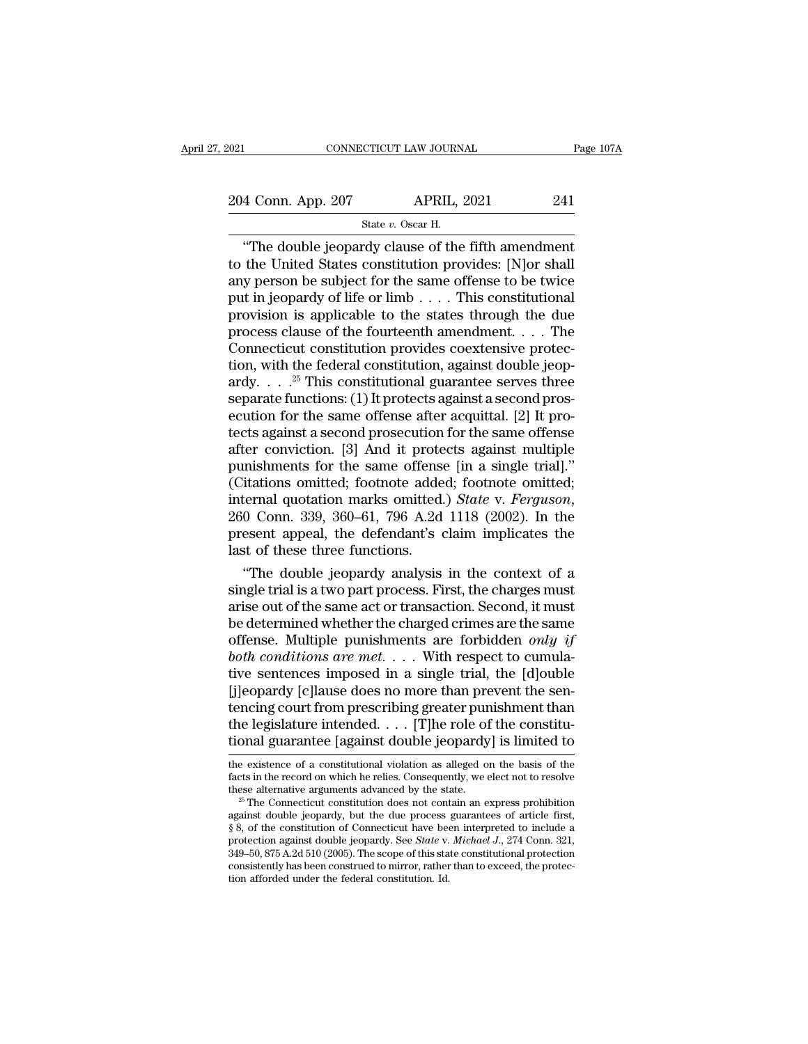STICUT LAW JOURN.<br>APRIL, :<br>State *v.* Oscar H.<br>rdy clause of the CONNECTICUT LAW JOURNAL Page  $107/$ <br>  $\begin{array}{r}\n 4 \text{ Conn. App. 207}\n \end{array}\n \begin{array}{r}\n \text{APRIL, 2021}\n \end{array}\n \begin{array}{r}\n 241 \\
 \text{State } v. \text{ Oscar H.}\n \end{array}\n \begin{array}{r}\n \text{The double jeopardy clause of the fifth amendment}\n \end{array}\n \begin{array}{r}\n \text{the United States constitution provides: [N] or shall}\n \end{array}\n \end{array}$ 204 Conn. App. 207 APRIL, 2021 241<br>
State v. Oscar H.<br>
"The double jeopardy clause of the fifth amendment<br>
to the United States constitution provides: [N]or shall<br>
any person be subject for the same offense to be twice<br>
p 204 Conn. App. 207 APRIL, 2021 241<br>
State v. Oscar H.<br>
"The double jeopardy clause of the fifth amendment<br>
to the United States constitution provides: [N]or shall<br>
any person be subject for the same offense to be twice<br>
p 204 Conn. App. 207 APRIL, 2021 241<br>
State v. Oscar H.<br>
"The double jeopardy clause of the fifth amendment<br>
to the United States constitution provides: [N]or shall<br>
any person be subject for the same offense to be twice<br>
p State v. Oscar H.<br>
State v. Oscar H.<br>
"The double jeopardy clause of the fifth amendment<br>
to the United States constitution provides: [N]or shall<br>
any person be subject for the same offense to be twice<br>
put in jeopardy of State v. Oscar H.<br>
"The double jeopardy clause of the fifth amendment<br>
to the United States constitution provides: [N]or shall<br>
any person be subject for the same offense to be twice<br>
put in jeopardy of life or limb . . . "The double jeopardy clause of the fifth amendment<br>to the United States constitution provides: [N]or shall<br>any person be subject for the same offense to be twice<br>put in jeopardy of life or limb . . . . This constitutional to the United States constitution provides: [N]or shall<br>any person be subject for the same offense to be twice<br>put in jeopardy of life or limb . . . . This constitutional<br>provision is applicable to the states through the any person be subject for the same offense to be twice<br>put in jeopardy of life or limb . . . . This constitutional<br>provision is applicable to the states through the due<br>process clause of the fourteenth amendment. . . . Th put in jeopardy of life or limb  $\dots$ . This constitutional provision is applicable to the states through the due process clause of the fourteenth amendment.  $\dots$  The Connecticut constitution provides coextensive protection provision is applicable to the states through the due<br>process clause of the fourteenth amendment. . . . The<br>Connecticut constitution provides coextensive protec-<br>tion, with the federal constitution, against double jeop-<br>a process clause of the fourteenth amendment. . . . The<br>Connecticut constitution provides coextensive protec-<br>tion, with the federal constitution, against double jeop-<br>ardy. . . . .<sup>25</sup> This constitutional guarantee serves Connecticut constitution provides coextensive protection, with the federal constitution, against double jeop-<br>ardy.  $\dots$ <sup>25</sup> This constitutional guarantee serves three<br>separate functions: (1) It protects against a second tion, with the federal constitution, against double jeopardy.  $\ldots$ <sup>25</sup> This constitutional guarantee serves three separate functions: (1) It protects against a second prosecution for the same offense after acquittal. [2] ardy. . . . <sup>25</sup> This constitutional guarantee serves three<br>separate functions: (1) It protects against a second pros-<br>ecution for the same offense after acquittal. [2] It pro-<br>tects against a second prosecution for the s separate functions: (1) It protects against a second prosecution for the same offense after acquittal. [2] It protects against a second prosecution for the same offense after conviction. [3] And it protects against multipl tects against a second prosecution for the same offense<br>after conviction. [3] And it protects against multiple<br>punishments for the same offense [in a single trial]."<br>(Citations omitted; footnote added; footnote omitted;<br>in after conviction. [3] And it prote<br>punishments for the same offense<br>(Citations omitted; footnote adde<br>internal quotation marks omitted.<br>260 Conn. 339, 360–61, 796 A.2d<br>present appeal, the defendant's c<br>last of these three mishments for the same offense [in a single trial]."<br>
itations omitted; footnote added; footnote omitted;<br>
ternal quotation marks omitted.) *State v. Ferguson*,<br>
0 Conn. 339, 360–61, 796 A.2d 1118 (2002). In the<br>
esent ap (Citations omitted; footnote added; footnote omitted;<br>internal quotation marks omitted.) *State* v. *Ferguson*,<br>260 Conn. 339, 360–61, 796 A.2d 1118 (2002). In the<br>present appeal, the defendant's claim implicates the<br>last

internal quotation marks omitted.) *State v. Ferguson*, 260 Conn. 339, 360–61, 796 A.2d 1118 (2002). In the present appeal, the defendant's claim implicates the last of these three functions.<br>
"The double jeopardy analysi 260 Conn. 339, 360–61, 796 A.2d 1118 (2002). In the<br>present appeal, the defendant's claim implicates the<br>last of these three functions.<br>"The double jeopardy analysis in the context of a<br>single trial is a two part process. present appeal, the defendant's claim implicates the<br>last of these three functions.<br>"The double jeopardy analysis in the context of a<br>single trial is a two part process. First, the charges must<br>arise out of the same act or last of these three functions.<br>
"The double jeopardy analysis in the context of a<br>
single trial is a two part process. First, the charges must<br>
arise out of the same act or transaction. Second, it must<br>
be determined wheth "The double jeopardy analysis in the context of a<br>single trial is a two part process. First, the charges must<br>arise out of the same act or transaction. Second, it must<br>be determined whether the charged crimes are the same single trial is a two part process. First, the charges must<br>arise out of the same act or transaction. Second, it must<br>be determined whether the charged crimes are the same<br>offense. Multiple punishments are forbidden *only* arise out of the same act or transaction. Second, it must<br>be determined whether the charged crimes are the same<br>offense. Multiple punishments are forbidden *only if*<br>both conditions are met. . . . With respect to cumula-<br> be determined whether the charged crimes are the same offense. Multiple punishments are forbidden *only if* both conditions are met. . . . With respect to cumulative sentences imposed in a single trial, the [d]ouble [j]eo offense. Multiple punishments are forbidden *only if*<br>both conditions are met.... With respect to cumula-<br>tive sentences imposed in a single trial, the [d]ouble<br>[j]eopardy [c]lause does no more than prevent the sen-<br>tenci [j]eopardy [c]lause does no more than prevent the sentencing court from prescribing greater punishment than the legislature intended. . . . [T]he role of the constitutional guarantee [against double jeopardy] is limited t factor in the record on the record on which general punishment than<br>the legislature intended. . . . [T]he role of the constitu-<br>tional guarantee [against double jeopardy] is limited to<br>the existence of a constitutional vi the legislature intended. . . . [T]he role of the constitu-<br>tional guarantee [against double jeopardy] is limited to<br>the existence of a constitutional violation as alleged on the basis of the<br>facts in the record on which

**tional guarantee [against double jeopardy] is limited to**<br>the existence of a constitutional violation as alleged on the basis of the<br>facts in the record on which he relies. Consequently, we elect not to resolve<br>these alt For existence of a constitutional violation as alleged on the basis of the facts in the record on which he relies. Consequently, we elect not to resolve these alternative arguments advanced by the state.<br><sup>25</sup> The Connectic the existence of a constitutional violation as alleged on the basis of the facts in the record on which he relies. Consequently, we elect not to resolve these alternative arguments advanced by the state. <sup>25</sup> The Connectic facts in the record on which he relies. Consequently, we elect not to resolve<br>these alternative arguments advanced by the state.<br><sup>25</sup> The Connecticut constitution does not contain an express prohibition<br>against double jeop these alternative arguments advanced by the state.<br><sup>25</sup> The Connecticut constitution does not contain an express prohibition against double jeopardy, but the due process guarantees of article first, § 8, of the constituti against double jeopardy, but the due process guarantees of article first,  $\S$  8, of the constitution of Connecticut have been interpreted to include a protection against double jeopardy. See *State* v. *Michael J.*, 274 C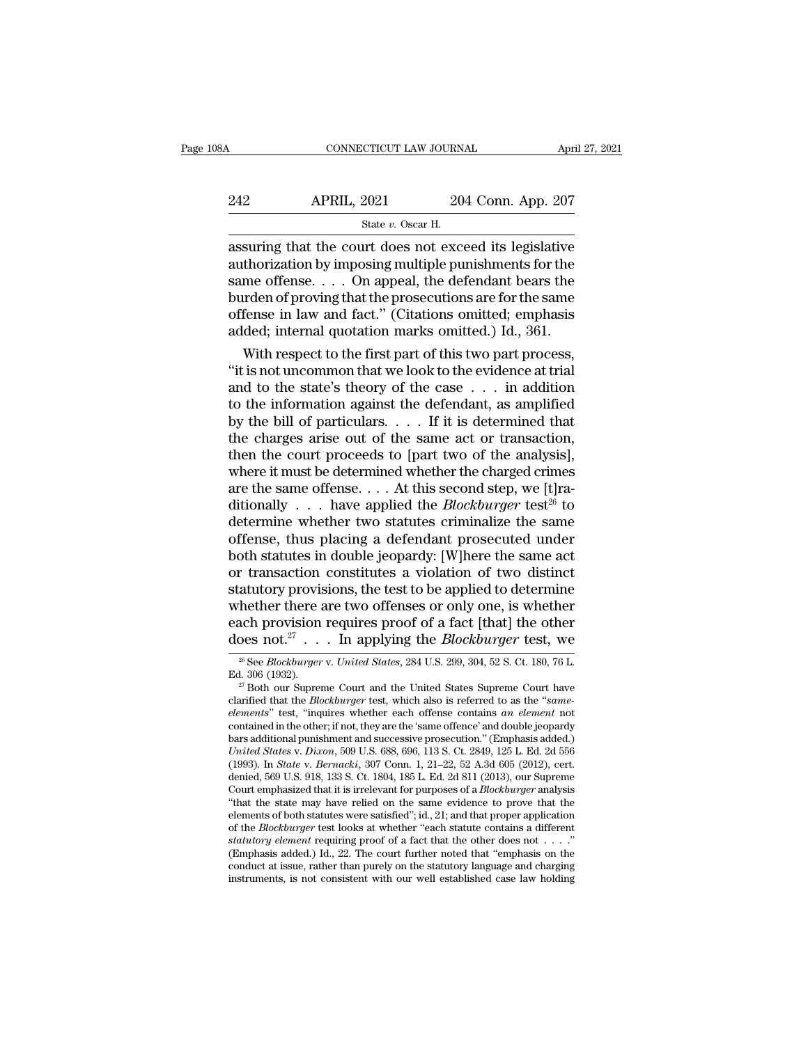| 08A | CONNECTICUT LAW JOURNAL                                 |                    | April 27, 2021 |
|-----|---------------------------------------------------------|--------------------|----------------|
| 242 | <b>APRIL, 2021</b>                                      | 204 Conn. App. 207 |                |
|     | State v. Oscar H.                                       |                    |                |
|     | assuring that the court does not exceed its legislative |                    |                |

CONNECTICUT LAW JOURNAL April 27, 2021<br>
242 APRIL, 2021 204 Conn. App. 207<br>
31 State v. Oscar H.<br>
32 Assuring that the court does not exceed its legislative<br>
32 authorization by imposing multiple punishments for the<br>
52 au 242 APRIL, 2021 204 Conn. App. 207<br>
State v. Oscar H.<br>
assuring that the court does not exceed its legislative<br>
authorization by imposing multiple punishments for the<br>
same offense. . . . On appeal, the defendant bears th  $\begin{array}{lll}\n & \text{APRIL, 2021} & \text{204 Conn. App. 207} \\
 \hline\n & \text{State } v. \text{ Oscar H.} \\
 \hline\n & \text{assuring that the court does not exceed its legislative} \\
 \text{authorization by imposing multiple punishments for the same. . . . On appeal, the defendant bears the burden of proving that thel to the same of the same of the same of the input.} \n\end{array}$  $\begin{array}{ll}\n & \text{APRIL, 2021} & \text{204 Conn. App. 207} \\
 \hline\n & \text{State } v. \text{ Oscar H.} \\
 \hline\n & \text{assuming that the court does not exceed its legislative} \text{authorization by imposing multiple punishments for the same offers. . . . On appeal, the defendant bears the burden of proving that thel, the gene of fense in law and fact." (Citations omitted; emphasis added: internal quotation marks omitted.)\n\nId. 361\n$ State v. Oscar H.<br>
State v. Oscar H.<br>
assuring that the court does not exceed its legislative<br>
authorization by imposing multiple punishments for the<br>
same offense.... On appeal, the defendant bears the<br>
burden of proving State v. Oscar H.<br>
assuring that the court does not exceed its legislative<br>
authorization by imposing multiple punishments for the<br>
same offense.... On appeal, the defendant bears the<br>
burden of proving that the prosecuti suring that the court does not exceed its legislative<br>thorization by imposing multiple punishments for the<br>me offense.... On appeal, the defendant bears the<br>rden of proving that the prosecutions are for the same<br>fense in authorization by imposing multiple punishments for the<br>same offense. . . . On appeal, the defendant bears the<br>burden of proving that the prosecutions are for the same<br>offense in law and fact." (Citations omitted; emphasis<br>

same offense. . . . On appeal, the defendant bears the<br>burden of proving that the prosecutions are for the same<br>offense in law and fact." (Citations omitted; emphasis<br>added; internal quotation marks omitted.) Id., 361.<br>Wi burden of proving that the prosecutions are for the same<br>offense in law and fact." (Citations omitted; emphasis<br>added; internal quotation marks omitted.) Id., 361.<br>With respect to the first part of this two part process,<br>" offense in law and fact." (Citations omitted; emphasis added; internal quotation marks omitted.) Id., 361.<br>With respect to the first part of this two part process,<br>"it is not uncommon that we look to the evidence at trial<br> added; internal quotation marks omitted.) Id., 361.<br>
With respect to the first part of this two part process,<br>
"it is not uncommon that we look to the evidence at trial<br>
and to the state's theory of the case . . . in addit With respect to the first part of this two part process,<br>"it is not uncommon that we look to the evidence at trial<br>and to the state's theory of the case  $\ldots$  in addition<br>to the information against the defendant, as ampli "it is not uncommon that we look to the evidence at trial<br>and to the state's theory of the case  $\dots$  in addition<br>to the information against the defendant, as amplified<br>by the bill of particulars.  $\dots$  If it is determined and to the state's theory of the case . . . in addition<br>to the information against the defendant, as amplified<br>by the bill of particulars. . . . If it is determined that<br>the charges arise out of the same act or transactio to the information against the defendant, as amplified<br>by the bill of particulars. . . . If it is determined that<br>the charges arise out of the same act or transaction,<br>then the court proceeds to [part two of the analysis] by the bill of particulars. . . . If it is determined that<br>the charges arise out of the same act or transaction,<br>then the court proceeds to [part two of the analysis],<br>where it must be determined whether the charged crime the charges arise out of the same act or transaction,<br>then the court proceeds to [part two of the analysis],<br>where it must be determined whether the charged crimes<br>are the same offense.... At this second step, we [t]ra-<br>d then the court proceeds to [part two of the analysis],<br>where it must be determined whether the charged crimes<br>are the same offense.... At this second step, we [t]ra-<br>ditionally ... have applied the *Blockburger* test<sup>26</sup> where it must be determined whether the charged crimes<br>are the same offense. . . . At this second step, we [t]ra-<br>ditionally . . . have applied the *Blockburger* test<sup>26</sup> to<br>determine whether two statutes criminalize the are the same offense. . . . At this second step, we [t]ra-<br>ditionally . . . have applied the *Blockburger* test<sup>26</sup> to<br>determine whether two statutes criminalize the same<br>offense, thus placing a defendant prosecuted under ditionally . . . have applied the *Blockburger* test<sup>26</sup> to<br>determine whether two statutes criminalize the same<br>offense, thus placing a defendant prosecuted under<br>both statutes in double jeopardy: [W]here the same act<br>or determine whether two statutes criminalize the same<br>offense, thus placing a defendant prosecuted under<br>both statutes in double jeopardy: [W]here the same act<br>or transaction constitutes a violation of two distinct<br>statutor offense, thus placing a defendant prosecuted under<br>both statutes in double jeopardy: [W]here the same act<br>or transaction constitutes a violation of two distinct<br>statutory provisions, the test to be applied to determine<br>wh atutory provisions, the test to be applied to determine<br>hether there are two offenses or only one, is whether<br>ach provision requires proof of a fact [that] the other<br>pes not.<sup>27</sup> . . . In applying the *Blockburger* test, w whether there are two offenses or only one, is whether<br>each provision requires proof of a fact [that] the other<br>does not.<sup>27</sup> . . . In applying the *Blockburger* test, we<br> $\frac{1}{26}$  See *Blockburger* v. *United States*, 2

clarified that the *Blockburger* test, we <sup>26</sup> See *Blockburger* v. *United States*, 284 U.S. 299, 304, 52 S. Ct. 180, 76 L. Ed. 306 (1932).<br><sup>27</sup> Both our Supreme Court and the United States Supreme Court have clarified t <sup>26</sup> See *Blockburger* v. United States, 284 U.S. 299, 304, 52 S. Ct. 180, 76 L.<br>Ed. 306 (1932).<br><sup>27</sup> Both our Supreme Court and the United States Supreme Court have<br>clarified that the *Blockburger* test, which also is re <sup>26</sup> See *Blockburger* v. United States, 284 U.S. 299, 304, 52 S. Ct. 180, 76 L.<br>
Ed. 306 (1932).<br>
<sup>27</sup> Both our Supreme Court and the United States Supreme Court have<br>
clarified that the *Blockburger* test, which also is Ed. 306 (1932).<br><sup>27</sup> Both our Supreme Court and the United States Supreme Court have<br>clarified that the *Blockburger* test, which also is referred to as the "*same-<br>elements*" test, "inquires whether each offense contains <sup>27</sup> Both our Supreme Court and the United States Supreme Court have clarified that the *Blockburger* test, which also is referred to as the "*same-elements*" test, "inquires whether each offense contains *an element* not clarified that the *Blockburger* test, which also is referred to as the "same-<br>elements" test, "inquires whether each offense contains an element not<br>contained in the other; if not, they are the 'same offence' and double j elements" test, "inquires whether each offense contains an element not contained in the other; if not, they are the 'same offence' and double jeopardy bars additional punishment and successive prosecution." (Emphasis added contained in the other; if not, they are the 'same offence' and double jeopardy<br>bars additional punishment and successive prosecution." (Emphasis added.)<br>*United States v. Dixon*, 509 U.S. 688, 696, 113 S. Ct. 2849, 125 L. bars additional punishment and successive prosecution." (Emphasis added.) *United States v. Dixon*, 509 U.S. 688, 696, 113 S. Ct. 2849, 125 L. Ed. 2d 556 (1993). In *State v. Bernacki*, 307 Conn. 1, 21–22, 52 A.3d 605 (20 United States v. Dixon, 509 U.S. 688, 696, 113 S. Ct. 2849, 125 L. Ed. 2d 556 (1993). In *State v. Bernacki*, 307 Conn. 1, 21–22, 52 A.3d 605 (2012), cert. denied, 569 U.S. 918, 133 S. Ct. 1804, 185 L. Ed. 2d 811 (2013), (1993). In *State v. Bernacki*, 307 Conn. 1, 21–22, 52 A.3d 605 (2012), cert. denied, 569 U.S. 918, 133 S. Ct. 1804, 185 L. Ed. 2d 811 (2013), our Supreme Court emphasized that it is irrelevant for purposes of a *Blockbur* denied, 569 U.S. 918, 133 S. Ct. 1804, 185 L. Ed. 2d 811 (2013), our Supreme<br>Court emphasized that it is irrelevant for purposes of a *Blockburger* analysis<br>"that the state may have relied on the same evidence to prove th Court emphasized that it is irrelevant for purposes of a *Blockburger* analysis "that the state may have relied on the same evidence to prove that the elements of both statutes were satisfied"; id., 21; and that proper ap "that the state may have relied on the same evidence to prove that the elements of both statutes were satisfied"; id., 21; and that proper application of the *Blockburger* test looks at whether "each statute contains a di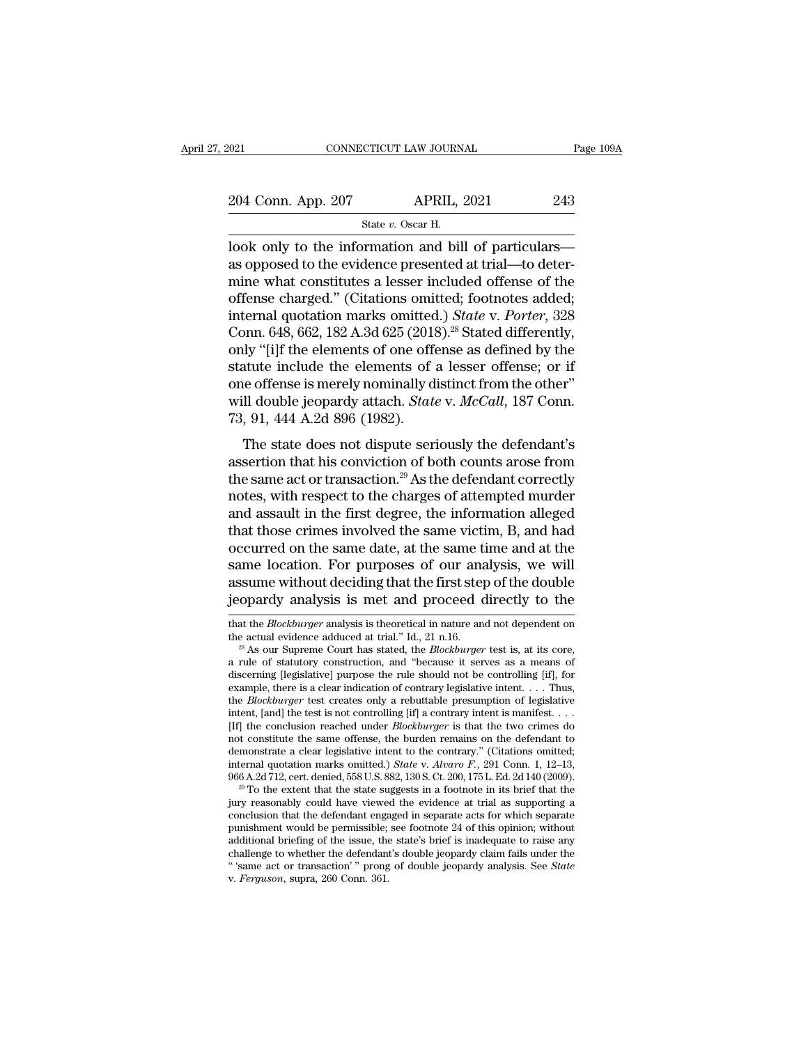2021 CONNECTICUT LAW JOURNAL Page 109A<br>204 Conn. App. 207 APRIL, 2021 243<br>31 State v. Oscar H. STICUT LAW JOURN.<br>APRIL, :<br>State *v.* Oscar H.<br>Premation and bill

 $\begin{tabular}{ll} \multicolumn{1}{l}{{\color{red}0021}} & \multicolumn{1}{l}{\color{red}000}\text{NPECTICUT LAW JOURNAL} & \multicolumn{1}{l}{Page\ 109A} \\ \multicolumn{1}{l}{\color{red}204}\text{ Conn. App. 207} & \multicolumn{1}{l}{\color{red}APRIL, 2021} & \multicolumn{1}{l}{\color{red}243} \\ & \multicolumn{1}{l}{\color{red}544} & \multicolumn{1}{l}{\color{red}544} & \multicolumn{1}{l}{\color{red}544} & \multicolumn{1}{l}{\$ 204 Conn. App. 207 APRIL, 2021 243<br>
State v. Oscar H.<br>
look only to the information and bill of particulars<br>
as opposed to the evidence presented at trial—to deter-<br>
mine what constitutes a lesser included offense of the<br> 204 Conn. App. 207 APRIL, 2021 243<br>
State v. Oscar H.<br>
look only to the information and bill of particulars—<br>
as opposed to the evidence presented at trial—to deter-<br>
mine what constitutes a lesser included offense of the 204 Conn. App. 207 APRIL, 2021 243<br>
State v. Oscar H.<br>
look only to the information and bill of particulars—<br>
as opposed to the evidence presented at trial—to deter-<br>
mine what constitutes a lesser included offense of the State *v.* Oscar H.<br>
State *v.* Oscar H.<br>
look only to the information and bill of particulars—<br>
as opposed to the evidence presented at trial—to deter-<br>
mine what constitutes a lesser included offense of the<br>
offense char State v. Oscar H.<br>
look only to the information and bill of particulars—<br>
as opposed to the evidence presented at trial—to deter-<br>
mine what constitutes a lesser included offense of the<br>
offense charged." (Citations omitt look only to the information and bill of particulars—<br>as opposed to the evidence presented at trial—to deter-<br>mine what constitutes a lesser included offense of the<br>offense charged." (Citations omitted; footnotes added;<br>in as opposed to the evidence presented at trial—to determine what constitutes a lesser included offense of the offense charged." (Citations omitted; footnotes added; internal quotation marks omitted.) *State* v. *Porter*, 3 mine what constitutes a lesser included offense of the offense charged." (Citations omitted; footnotes added; internal quotation marks omitted.) *State* v. *Porter*, 328 Conn. 648, 662, 182 A.3d 625 (2018).<sup>2s</sup> Stated dif offense charged." (Citations omitted; footnotes added;<br>internal quotation marks omitted.) *State* v. *Porter*, 328<br>Conn. 648, 662, 182 A.3d 625 (2018).<sup>2s</sup> Stated differently,<br>only "[i]f the elements of one offense as defi internal quotation marks omitted.) State v. Porter, 328<br>Conn. 648, 662, 182 A.3d 625 (2018).<sup>28</sup> Stated differently,<br>only "[i]f the elements of one offense as defined by the<br>statute include the elements of a lesser offens MR. 36, 362, 1627.38 329 (2019). Baaca differently,<br>the state include the elements of a lesser offense; or if<br>a double jeopardy attach. *State* v. *McCall*, 187 Conn.<br>91, 444 A.2d 896 (1982).<br>The state does not dispute se statute include the elements of a lesser offense; or if<br>one offense is merely nominally distinct from the other"<br>will double jeopardy attach. *State* v. *McCall*, 187 Conn.<br>73, 91, 444 A.2d 896 (1982).<br>The state does not

one offense is merely nominally distinct from the other"<br>will double jeopardy attach. *State* v. *McCall*, 187 Conn.<br>73, 91, 444 A.2d 896 (1982).<br>The state does not dispute seriously the defendant's<br>assertion that his con will double jeopardy attach. *State* v. *McCall*, 187 Conn.<br>
73, 91, 444 A.2d 896 (1982).<br>
The state does not dispute seriously the defendant's<br>
assertion that his conviction of both counts arose from<br>
the same act or tra 73, 91, 444 A.2d 896 (1982).<br>
The state does not dispute seriously the defendant's<br>
assertion that his conviction of both counts arose from<br>
the same act or transaction.<sup>29</sup> As the defendant correctly<br>
notes, with respect The state does not dispute seriously the defendant's<br>assertion that his conviction of both counts arose from<br>the same act or transaction.<sup>29</sup> As the defendant correctly<br>notes, with respect to the charges of attempted murd The state does not dispute seriously the defendant's<br>assertion that his conviction of both counts arose from<br>the same act or transaction.<sup>29</sup> As the defendant correctly<br>notes, with respect to the charges of attempted murde assertion that his conviction of both counts arose from<br>the same act or transaction.<sup>29</sup> As the defendant correctly<br>notes, with respect to the charges of attempted murder<br>and assault in the first degree, the information al the same act or transaction.<sup>29</sup> As the defendant correctly<br>notes, with respect to the charges of attempted murder<br>and assault in the first degree, the information alleged<br>that those crimes involved the same victim, B, and notes, with respect to the charges of attempted murder<br>and assault in the first degree, the information alleged<br>that those crimes involved the same victim, B, and had<br>occurred on the same date, at the same time and at the<br> occurred on the same date, at the same time and at the<br>same location. For purposes of our analysis, we will<br>assume without deciding that the first step of the double<br>jeopardy analysis is met and proceed directly to the<br>tha same location. For purposes of our analysis, we will assume without deciding that the first step of the double jeopardy analysis is met and proceed directly to the that the *Blockburger* analysis is theoretical in nature a

not constitute the same offense, the burden remains on the defendant to demonstrate a clear legislative intent to the contrary." (Citations omitted; internal quotation marks omitted.) *State* v. *Alvaro F.*, 291 Conn. 1, demonstrate a clear legislative intent to the contrary." (Citations omitted; internal quotation marks omitted.) *State v. Alvaro F.*, 291 Conn. 1, 12–13, 966 A.2d 712, cert. denied, 558 U.S. 882, 130 S. Ct. 200, 175 L. Ed internal quotation marks omitted.) *State* v. *Alvaro* F', 291 Conn. 1, 12–13, 966 A.2d 712, cert. denied, 558 U.S. 882, 130 S. Ct. 200, 175 L. Ed. 2d 140 (2009).<br><sup>29</sup> To the extent that the state suggests in a footnote i 966 A.2d 712, cert. denied, 558 U.S. 882, 130 S. Ct. 200, 175 L. Ed. 2d 140 (2009).<br><sup>29</sup> To the extent that the state suggests in a footnote in its brief that the<br>jury reasonably could have viewed the evidence at trial as <sup>29</sup> To the extent that the state suggests in a footnote in its brief that the jury reasonably could have viewed the evidence at trial as supporting a conclusion that the defendant engaged in separate acts for which separa

assume without deciding that the first step of the double<br>jeopardy analysis is met and proceed directly to the<br>that the *Blockburger* analysis is theoretical in nature and not dependent on<br>the actual evidence adduced at t discribing in analysis is met and proceed directly to the that the *Blockburger* analysis is theoretical in nature and not dependent on the actual evidence adduced at trial." Id., 21 n.16.<br><sup>28</sup> As our Supreme Court has st that the *Blockburger* analysis is theoretical in nature and not dependent on the actual evidence adduced at trial." Id., 21 n.16.<br><sup>28</sup> As our Supreme Court has stated, the *Blockburger* test is, at its core, a rule of st that the *Blockburger* analysis is theoretical in nature and not dependent on the actual evidence adduced at trial." Id., 21 n.16.<br><sup>28</sup> As our Supreme Court has stated, the *Blockburger* test is, at its core, a rule of st discerning [legislative] purpose the rule should not be controlling [if], for example, there is a clear indication of contrary legislative intent. . . . Thus, the *Blockburger* test creates only a rebuttable presumption o <sup>28</sup> As our Supreme Court has stated, the *Blockburger* test is, at its core, a rule of statutory construction, and "because it serves as a means of discerning [legislative] purpose the rule should not be controlling [if], a rule of statutory construction, and "because it serves as a means of discerning [legislative] purpose the rule should not be controlling [if], for example, there is a clear indication of contrary legislative intent. . . discerning [legislative] purpose the rule should not be controlling [if], for example, there is a clear indication of contrary legislative intent. . . . Thus, the *Blockburger* test creates only a rebuttable presumption o example, there is a clear indication of contrary legislative intent. . . . Thus,<br>the *Blockburger* test creates only a rebuttable presumption of legislative<br>intent, [and] the test is not controlling [if] a contrary intent the *Blockburger* test creates only a rebuttable presumption of legislative intent, [and] the test is not controlling [if] a contrary intent is manifest. . . . [If] the conclusion reached under *Blockburger* is that the t [If] the conclusion reached under *Blockburger* is that the two crimes do not constitute the same offense, the burden remains on the defendant to demonstrate a clear legislative intent to the contrary." (Citations omitted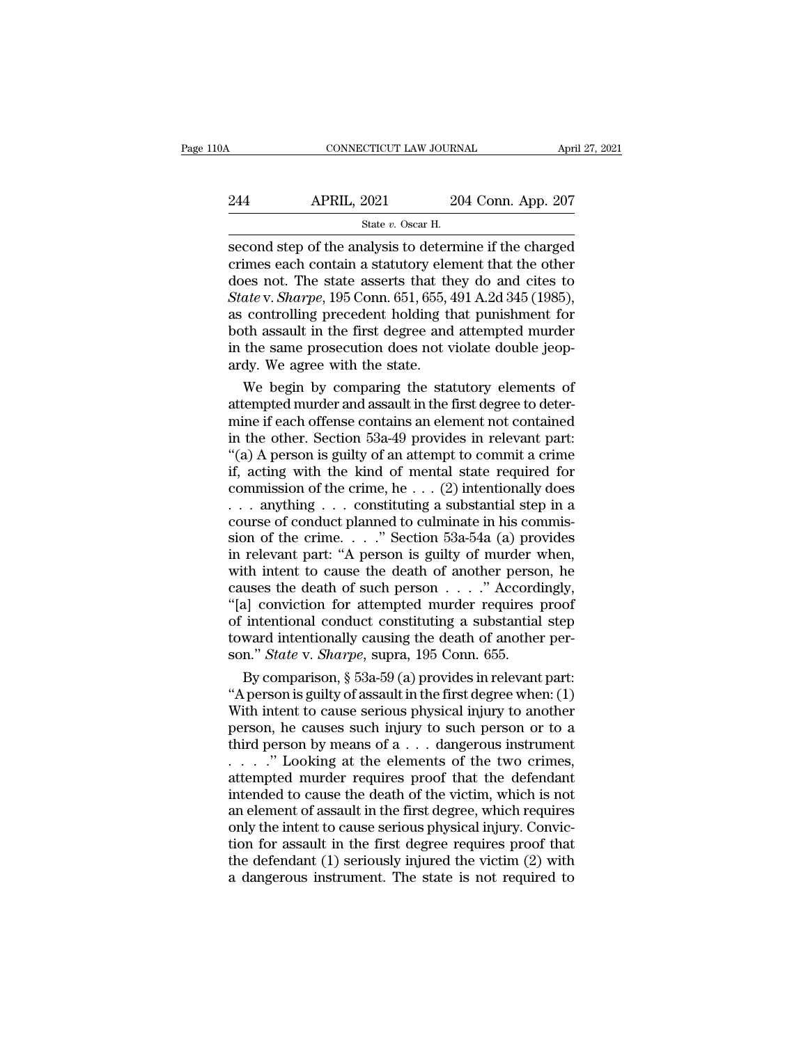# CONNECTICUT LAW JOURNAL April 27, 2021<br>244 APRIL, 2021 204 Conn. App. 207<br>3tate v. Oscar H. EXTICUT LAW JOURN.<br>2021 20<br>State *v.* Oscar H.<br>alvsis to determ

SECONDECTICUT LAW JOURNAL April 27, 2021<br>
State v. Oscar H.<br>
Second step of the analysis to determine if the charged<br>
crimes each contain a statutory element that the other<br>
does not. The state asserts that they do and ci 244 APRIL, 2021 204 Conn. App. 207<br>
State v. Oscar H.<br>
Second step of the analysis to determine if the charged<br>
crimes each contain a statutory element that the other<br>
does not. The state asserts that they do and cites to  $244$  APRIL, 2021 204 Conn. App. 207<br>
State v. Oscar H.<br>
Second step of the analysis to determine if the charged<br>
crimes each contain a statutory element that the other<br>
does not. The state asserts that they do and cites *State v. Oscar H.*<br> *State v. Oscar H.*<br> **Second step of the analysis to determine if the charged crimes each contain a statutory element that the other does not. The state asserts that they do and cites to** *State v. Shar* State v. Oscar H.<br>
State v. Oscar H.<br>
State v. Oscar H.<br>
State v. Oscar H.<br>
Comment for the charged<br>
crimes each contain a statutory element that the other<br>
does not. The state asserts that they do and cites to<br>
State v. State v. Oscar H.<br>
second step of the analysis to determine if the charged<br>
crimes each contain a statutory element that the other<br>
does not. The state asserts that they do and cites to<br> *State* v. *Sharpe*, 195 Conn. 651 second step of the analysis to determine if the charged<br>crimes each contain a statutory element that the other<br>does not. The state asserts that they do and cites to<br>*State* v. *Sharpe*, 195 Conn. 651, 655, 491 A.2d 345 (19 crimes each contain a statutory elem<br>does not. The state asserts that the<br>*State v. Sharpe*, 195 Conn. 651, 655, 4<br>as controlling precedent holding the<br>both assault in the first degree and<br>in the same prosecution does not es not. The state asserts that they do and cites to<br>ate v. Sharpe, 195 Conn. 651, 655, 491 A.2d 345 (1985),<br>controlling precedent holding that punishment for<br>th assault in the first degree and attempted murder<br>the same pro State v. Sharpe, 195 Conn. 651, 655, 491 A.2d 345 (1985), as controlling precedent holding that punishment for both assault in the first degree and attempted murder in the same prosecution does not violate double jeopardy

as controlling precedent holding that punishment for<br>both assault in the first degree and attempted murder<br>in the same prosecution does not violate double jeop-<br>ardy. We agree with the state.<br>We begin by comparing the stat both assault in the first degree and attempted murder<br>in the same prosecution does not violate double jeop-<br>ardy. We agree with the state.<br>We begin by comparing the statutory elements of<br>attempted murder and assault in the in the same prosecution does not violate double jeop-<br>ardy. We agree with the state.<br>We begin by comparing the statutory elements of<br>attempted murder and assault in the first degree to deter-<br>mine if each offense contains ardy. We agree with the state.<br>
We begin by comparing the statutory elements of<br>
attempted murder and assault in the first degree to deter-<br>
mine if each offense contains an element not contained<br>
in the other. Section 53 We begin by comparing the statutory elements of<br>attempted murder and assault in the first degree to deter-<br>mine if each offense contains an element not contained<br>in the other. Section 53a-49 provides in relevant part:<br>"(a attempted murder and assault in the first degree to deter-<br>mine if each offense contains an element not contained<br>in the other. Section 53a-49 provides in relevant part:<br>"(a) A person is guilty of an attempt to commit a c mine if each offense contains an element not contained<br>in the other. Section 53a-49 provides in relevant part:<br>"(a) A person is guilty of an attempt to commit a crime<br>if, acting with the kind of mental state required for<br> in the other. Section 53a-49 provides in relevant part:<br>
"(a) A person is guilty of an attempt to commit a crime<br>
if, acting with the kind of mental state required for<br>
commission of the crime, he . . . (2) intentionally "(a) A person is guilty of an attempt to commit a crime<br>if, acting with the kind of mental state required for<br>commission of the crime, he  $\dots$  (2) intentionally does<br> $\dots$  anything  $\dots$  constituting a substantial step in a if, acting with the kind of mental state required for<br>commission of the crime, he . . . (2) intentionally does<br>. . . anything . . . constituting a substantial step in a<br>course of conduct planned to culminate in his commis commission of the crime, he . . . (2) intentionally does . . . anything . . . constituting a substantial step in a course of conduct planned to culminate in his commission of the crime. . . ." Section 53a-54a (a) provides ... anything ... constituting a substantial step in a<br>course of conduct planned to culminate in his commis-<br>sion of the crime...." Section 53a-54a (a) provides<br>in relevant part: "A person is guilty of murder when,<br>with int course of conduct planned to culminate in his commis-<br>sion of the crime. . . ." Section 53a-54a (a) provides<br>in relevant part: "A person is guilty of murder when,<br>with intent to cause the death of another person, he<br>cause sion of the crime.  $\ldots$  " Section 53a-54a (a) provides<br>in relevant part: "A person is guilty of murder when,<br>with intent to cause the death of another person, he<br>causes the death of such person  $\ldots$  ." Accordingly,<br>"[a] in relevant part: "A person is guilty of murder v<br>with intent to cause the death of another perso<br>causes the death of such person . . . . " Accord<br>"[a] conviction for attempted murder requires ]<br>of intentional conduct cons th intent to cause the death of another person, he<br>uses the death of such person  $\ldots$ ." Accordingly,<br>a] conviction for attempted murder requires proof<br>intentional conduct constituting a substantial step<br>ward intentionall causes the death of such person  $\ldots$  ." Accordingly,<br>
"[a] conviction for attempted murder requires proof<br>
of intentional conduct constituting a substantial step<br>
toward intentionally causing the death of another per-<br>
s

"[a] conviction for attempted murder requires proof<br>of intentional conduct constituting a substantial step<br>toward intentionally causing the death of another per-<br>son." *State v. Sharpe*, supra, 195 Conn. 655.<br>By compariso of intentional conduct constituting a substantial step<br>toward intentionally causing the death of another per-<br>son." *State* v. *Sharpe*, supra, 195 Conn. 655.<br>By comparison, § 53a-59 (a) provides in relevant part:<br>"A pers toward intentionally causing the death of another person." *State* v. *Sharpe*, supra, 195 Conn. 655.<br>By comparison, § 53a-59 (a) provides in relevant part:<br>"A person is guilty of assault in the first degree when: (1)<br>Wit son." *State v. Sharpe*, supra, 195 Conn. 655.<br>By comparison, § 53a-59 (a) provides in relevant part:<br>"A person is guilty of assault in the first degree when: (1)<br>With intent to cause serious physical injury to another<br>pe By comparison, § 53a-59 (a) provides in relevant part:<br>
"A person is guilty of assault in the first degree when: (1)<br>
With intent to cause serious physical injury to another<br>
person, he causes such injury to such person o "A person is guilty of assault in the first degree when:  $(1)$ <br>With intent to cause serious physical injury to another<br>person, he causes such injury to such person or to a<br>third person by means of a  $\dots$  dangerous instrum With intent to cause serious physical injury to another<br>person, he causes such injury to such person or to a<br>third person by means of a  $\dots$  dangerous instrument<br> $\dots$ ." Looking at the elements of the two crimes,<br>attempted person, he causes such injury to such person or to a<br>third person by means of  $a \ldots$  dangerous instrument<br> $\ldots$ ." Looking at the elements of the two crimes,<br>attempted murder requires proof that the defendant<br>intended to c third person by means of a  $\dots$  dangerous instrument<br>  $\dots$ ." Looking at the elements of the two crimes,<br>
attempted murder requires proof that the defendant<br>
intended to cause the death of the victim, which is not<br>
an elem ...." Looking at the elements of the two crimes,<br>attempted murder requires proof that the defendant<br>intended to cause the death of the victim, which is not<br>an element of assault in the first degree, which requires<br>only the attempted murder requires proof that the defendant<br>intended to cause the death of the victim, which is not<br>an element of assault in the first degree, which requires<br>only the intent to cause serious physical injury. Convic-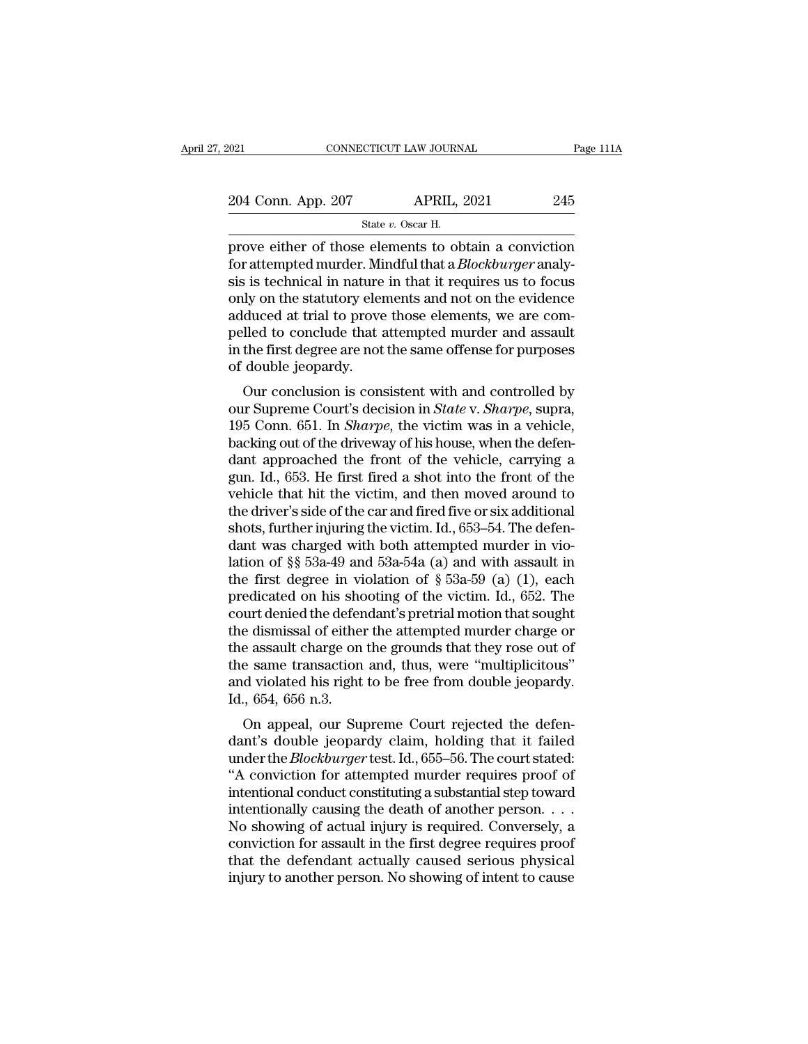| 021 |                    | CONNECTICUT LAW JOURNAL                               |     |
|-----|--------------------|-------------------------------------------------------|-----|
|     |                    |                                                       |     |
|     | 204 Conn. App. 207 | <b>APRIL, 2021</b>                                    | 245 |
|     |                    | State v. Oscar H.                                     |     |
|     |                    | prove either of those elements to obtain a conviction |     |

Page 111A<br>
204 Conn. App. 207 APRIL, 2021 245<br>
21 State v. Oscar H.<br>
21 Prove either of those elements to obtain a conviction<br>
for attempted murder. Mindful that a *Blockburger* analy-<br>
sis is toobnical in nature in that For a term of those elements to obtain a conviction<br>for attempted murder. Mindful that a *Blockburger* analy-<br>sis is technical in nature in that it requires us to focus<br>only on the statutory elements and not on the ovidenc 204 Conn. App. 207 APRIL, 2021 245<br>
State v. Oscar H.<br>
prove either of those elements to obtain a conviction<br>
for attempted murder. Mindful that a *Blockburger* analy-<br>
sis is technical in nature in that it requires us to 204 Conn. App. 207 APRIL, 2021 245<br>
State v. Oscar H.<br>
prove either of those elements to obtain a conviction<br>
for attempted murder. Mindful that a *Blockburger* analy-<br>
sis is technical in nature in that it requires us to State v. Oscar H.<br>
State v. Oscar H.<br>
prove either of those elements to obtain a conviction<br>
for attempted murder. Mindful that a *Blockburger* analy-<br>
sis is technical in nature in that it requires us to focus<br>
only on t state v. Oscar H.<br>
prove either of those elements to obtain a conviction<br>
for attempted murder. Mindful that a *Blockburger* analy-<br>
sis is technical in nature in that it requires us to focus<br>
only on the statutory elemen prove either of those elements to obtain a conviction<br>for attempted murder. Mindful that a *Blockburger* analy-<br>sis is technical in nature in that it requires us to focus<br>only on the statutory elements and not on the evide for attempted murder. Mi<br>sis is technical in nature<br>only on the statutory elen<br>adduced at trial to prove<br>pelled to conclude that a<br>in the first degree are not<br>of double jeopardy.<br>Our conclusion is cons Solution is concluded that it requires us to focus<br>dy on the statutory elements and not on the evidence<br>duced at trial to prove those elements, we are com-<br>lled to conclude that attempted murder and assault<br>the first degr only on the statutory elements and not on the evidence<br>adduced at trial to prove those elements, we are com-<br>pelled to conclude that attempted murder and assault<br>in the first degree are not the same offense for purposes<br>of

addiced at that to prove those elements, we are compelled to conclude that attempted murder and assault<br>in the first degree are not the same offense for purposes<br>of double jeopardy.<br>Our conclusion is consistent with and co belied to conclude that attempted inducer and assaut<br>in the first degree are not the same offense for purposes<br>of double jeopardy.<br>Our conclusion is consistent with and controlled by<br>our Supreme Court's decision in *State* In the first degree are not the same onense for purposes<br>of double jeopardy.<br>Our conclusion is consistent with and controlled by<br>our Supreme Court's decision in *State* v. *Sharpe*, supra,<br>195 Conn. 651. In *Sharpe*, the or double jeopardy.<br>
Our conclusion is consistent with and controlled by<br>
our Supreme Court's decision in *State v. Sharpe*, supra,<br>
195 Conn. 651. In *Sharpe*, the victim was in a vehicle,<br>
backing out of the driveway of Our conclusion is consistent with and controlled by<br>our Supreme Court's decision in *State* v. *Sharpe*, supra,<br>195 Conn. 651. In *Sharpe*, the victim was in a vehicle,<br>backing out of the driveway of his house, when the d our Supreme Court's decision in *State* v. *Sharpe*, supra, 195 Conn. 651. In *Sharpe*, the victim was in a vehicle, backing out of the driveway of his house, when the defendant approached the front of the vehicle, carryin 195 Conn. 651. In *Sharpe*, the victim was in a vehicle, backing out of the driveway of his house, when the defendant approached the front of the vehicle, carrying a gun. Id., 653. He first fired a shot into the front of backing out of the driveway of his house, when the defendant approached the front of the vehicle, carrying a gun. Id., 653. He first fired a shot into the front of the vehicle that hit the victim, and then moved around to dant approached the front of the vehicle, carrying a<br>gun. Id., 653. He first fired a shot into the front of the<br>vehicle that hit the victim, and then moved around to<br>the driver's side of the car and fired five or six addi gun. Id., 653. He first fired a shot into the front of the vehicle that hit the victim, and then moved around to the driver's side of the car and fired five or six additional shots, further injuring the victim. Id., 653–54 vehicle that hit the victim, and then moved around to<br>the driver's side of the car and fired five or six additional<br>shots, further injuring the victim. Id., 653–54. The defen-<br>dant was charged with both attempted murder i the driver's side of the car and fired five or six additional<br>shots, further injuring the victim. Id., 653–54. The defen-<br>dant was charged with both attempted murder in vio-<br>lation of §§ 53a-49 and 53a-54a (a) and with as shots, further injuring the victim. Id., 653–54. The defendant was charged with both attempted murder in violation of §§ 53a-49 and 53a-54a (a) and with assault in the first degree in violation of § 53a-59 (a) (1), each p dant was charged with both attempted murder in violation of  $\S$  53a-49 and 53a-54a (a) and with assault in the first degree in violation of  $\S$  53a-59 (a) (1), each predicated on his shooting of the victim. Id., 652. The lation of §§ 53a-49 and 53a-54a (a) and with assault in<br>the first degree in violation of § 53a-59 (a) (1), each<br>predicated on his shooting of the victim. Id., 652. The<br>court denied the defendant's pretrial motion that sou the first degree in violation of  $\S$  53a-59 (a) (1), each<br>predicated on his shooting of the victim. Id., 652. The<br>court denied the defendant's pretrial motion that sought<br>the dismissal of either the attempted murder charg predicated on his show court denied the defer<br>the dismissal of either<br>the assault charge on<br>the same transaction<br>and violated his right<br>Id., 654, 656 n.3.<br>On appeal, our Suj on the dismissal of either the attempted murder charge or<br>e assault charge on the grounds that they rose out of<br>e same transaction and, thus, were "multiplicitous"<br>d violated his right to be free from double jeopardy.<br>., 6 the assault charge on the grounds that they rose out of<br>the assault charge on the grounds that they rose out of<br>the same transaction and, thus, were "multiplicitous"<br>and violated his right to be free from double jeopardy.<br>

the same transaction and, thus, were "multiplicitous"<br>and violated his right to be free from double jeopardy.<br>Id., 654, 656 n.3.<br>On appeal, our Supreme Court rejected the defen-<br>dant's double jeopardy claim, holding that i the same transaction and, thus, were multiplicities<br>
and violated his right to be free from double jeopardy.<br>
Id., 654, 656 n.3.<br>
On appeal, our Supreme Court rejected the defen-<br>
dant's double jeopardy claim, holding that Id., 654, 656 n.3.<br>
On appeal, our Supreme Court rejected the defen-<br>
dant's double jeopardy claim, holding that it failed<br>
under the *Blockburger* test. Id., 655–56. The court stated:<br>
"A conviction for attempted murder id., 054, 050 it.3.<br>
On appeal, our Supreme Court rejected the defendant's double jeopardy claim, holding that it failed<br>
under the *Blockburger* test. Id., 655–56. The court stated:<br>
"A conviction for attempted murder re On appeal, our Supreme Court rejected the defendant's double jeopardy claim, holding that it failed<br>under the *Blockburger* test. Id., 655–56. The court stated:<br>"A conviction for attempted murder requires proof of<br>intenti dant's double jeopardy claim, holding that it failed<br>under the *Blockburger* test. Id., 655–56. The court stated:<br>"A conviction for attempted murder requires proof of<br>intentional conduct constituting a substantial step tow under the *Blockburger* test. Id., 655–56. The court stated:<br>"A conviction for attempted murder requires proof of<br>intentional conduct constituting a substantial step toward<br>intentionally causing the death of another person "A conviction for attempted murder requires proof of intentional conduct constituting a substantial step toward intentionally causing the death of another person.  $\dots$  No showing of actual injury is required. Conversely,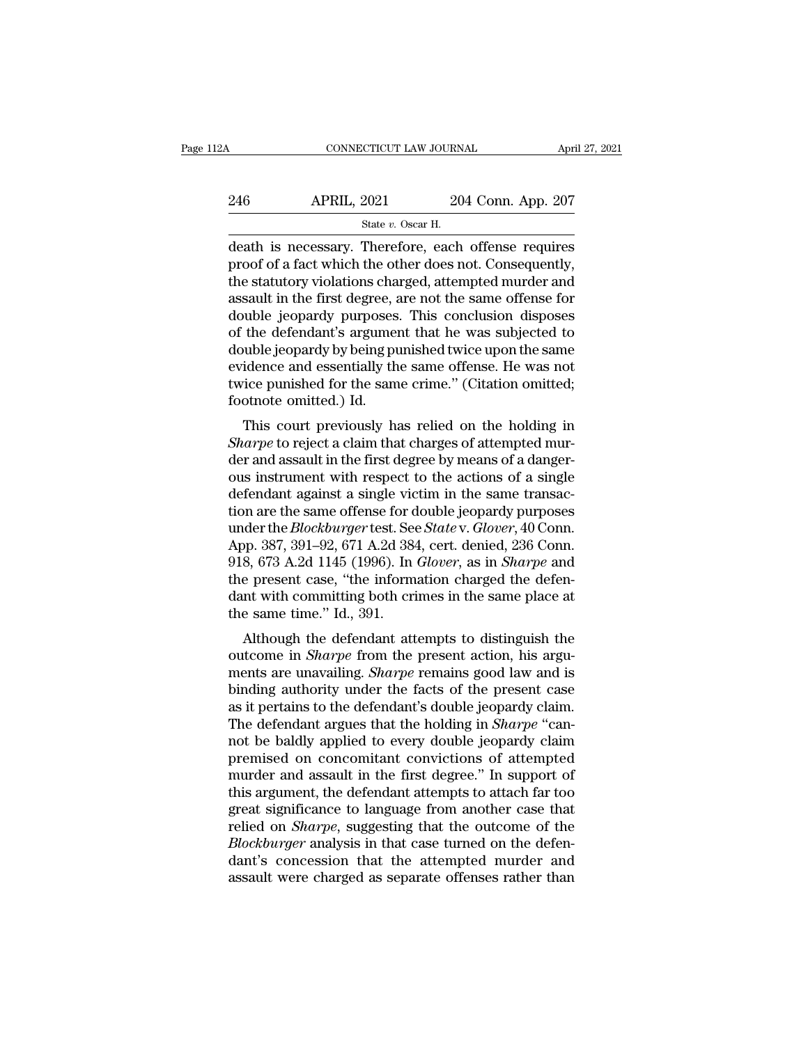| 12A | CONNECTICUT LAW JOURNAL                            |                    | April 27, 2021 |
|-----|----------------------------------------------------|--------------------|----------------|
| 246 | <b>APRIL, 2021</b>                                 | 204 Conn. App. 207 |                |
|     | State $v$ . Oscar H.                               |                    |                |
|     | death is necessary Therefore each offense requires |                    |                |

death is necessary. Therefore, each offense requires 246 APRIL, 2021 204 Conn. App. 207<br>  $\frac{6}{100}$  State v. Oscar H.<br>
death is necessary. Therefore, each offense requires<br>
proof of a fact which the other does not. Consequently,<br>
the statutory violations charged, attempted  $246$  APRIL,  $2021$   $204$  Conn. App. 207<br>
State v. Oscar H.<br>
death is necessary. Therefore, each offense requires<br>
proof of a fact which the other does not. Consequently,<br>
the statutory violations charged, attempted murde  $246$  APRIL,  $2021$   $204$  Conn. App.  $207$ <br>  $348$  State v. Oscar H.<br>
death is necessary. Therefore, each offense requires<br>
proof of a fact which the other does not. Consequently,<br>
the statutory violations charged, attempt State v. Oscar H.<br>
State v. Oscar H.<br>
death is necessary. Therefore, each offense requires<br>
proof of a fact which the other does not. Consequently,<br>
the statutory violations charged, attempted murder and<br>
assault in the f state v. Oscar H.<br>
death is necessary. Therefore, each offense requires<br>
proof of a fact which the other does not. Consequently,<br>
the statutory violations charged, attempted murder and<br>
assault in the first degree, are no death is necessary. Therefore, each offense requires<br>proof of a fact which the other does not. Consequently,<br>the statutory violations charged, attempted murder and<br>assault in the first degree, are not the same offense for<br> proof of a fact which the other does not. Consequently,<br>the statutory violations charged, attempted murder and<br>assault in the first degree, are not the same offense for<br>double jeopardy purposes. This conclusion disposes<br>of the statutory violations charged, attempted murder and<br>assault in the first degree, are not the same offense for<br>double jeopardy purposes. This conclusion disposes<br>of the defendant's argument that he was subjected to<br>doubl assault in the first degree, a<br>double jeopardy purposes<br>of the defendant's argume<br>double jeopardy by being pu<br>evidence and essentially th<br>twice punished for the sam<br>footnote omitted.) Id.<br>This court previously ha This contrastor as proposes.<br>
the defendant's argument that he was subjected to<br>
uble jeopardy by being punished twice upon the same<br>
idence and essentially the same offense. He was not<br>
ice punished for the same crime." ( of the defendant s argument that he was subjected to<br>double jeopardy by being punished twice upon the same<br>evidence and essentially the same offense. He was not<br>twice punished for the same crime." (Citation omitted;<br>footno

der and essentially the same offense. He was not<br>twice punished for the same offense. He was not<br>twice punished for the same crime." (Citation omitted;<br>footnote omitted.) Id.<br>This court previously has relied on the holding evidence and essentiany the same oriense. He was not<br>twice punished for the same crime." (Citation omitted;<br>footnote omitted.) Id.<br>This court previously has relied on the holding in<br>*Sharpe* to reject a claim that charges defendant against a single victim in the same transaction of the holding in Sharpe to reject a claim that charges of attempted murder and assault in the first degree by means of a dangerous instrument with respect to the a This court previously has relied on the holding in<br>
Sharpe to reject a claim that charges of attempted mur-<br>
der and assault in the first degree by means of a danger-<br>
ous instrument with respect to the actions of a singl This court previously has relied on the holding in *Sharpe* to reject a claim that charges of attempted murder and assault in the first degree by means of a dangerous instrument with respect to the actions of a single defe Sharpe to reject a claim that charges of attempted murder and assault in the first degree by means of a danger-<br>ous instrument with respect to the actions of a single<br>defendant against a single victim in the same transac-<br> der and assault in the first degree by means of a danger-<br>ous instrument with respect to the actions of a single<br>defendant against a single victim in the same transac-<br>tion are the same offense for double jeopardy purposes ous instrument with respect to the actions of a single<br>defendant against a single victim in the same transac-<br>tion are the same offense for double jeopardy purposes<br>under the *Blockburger* test. See *State* v. *Glover*, 40 defendant against a single victim in the same transaction are the same offense for double jeopardy purposes<br>under the *Blockburger* test. See *State* v. *Glover*, 40 Conn.<br>App. 387, 391–92, 671 A.2d 384, cert. denied, 236 tion are the same offense for c<br>under the *Blockburger* test. See<br>App. 387, 391–92, 671 A.2d 38<br>918, 673 A.2d 1145 (1996). In<br>the present case, "the inform<br>dant with committing both cri<br>the same time." Id., 391.<br>Although t More the *Blockburger* test. See *Blatte V. Glober*, 40 Confi.<br>Pp. 387, 391–92, 671 A.2d 384, cert. denied, 236 Conn.<br>8, 673 A.2d 1145 (1996). In *Glover*, as in *Sharpe* and<br>e present case, "the information charged the de App. 387, 391–92, 071 A.2d 364, cert. defied, 250 Com.<br>918, 673 A.2d 1145 (1996). In *Glover*, as in *Sharpe* and<br>the present case, "the information charged the defen-<br>dant with committing both crimes in the same place at<br>

Fio, 075 A.2d 1145 (1590). In Glover, as in Sharpe and<br>the present case, "the information charged the defen-<br>dant with committing both crimes in the same place at<br>the same time." Id., 391.<br>Although the defendant attempts t the present case, the information charged the defendant with committing both crimes in the same place at the same time." Id., 391.<br>Although the defendant attempts to distinguish the outcome in *Sharpe* from the present act dant whit continuiting both crimes in the same place at<br>the same time." Id., 391.<br>Although the defendant attempts to distinguish the<br>outcome in *Sharpe* from the present action, his argu-<br>ments are unavailing. *Sharpe* rem Internative. Tu., 391.<br>
Although the defendant attempts to distinguish the<br>
outcome in *Sharpe* from the present action, his argu-<br>
ments are unavailing. *Sharpe* remains good law and is<br>
binding authority under the facts Although the defendant attempts to distinguish the<br>outcome in *Sharpe* from the present action, his argu-<br>ments are unavailing. *Sharpe* remains good law and is<br>binding authority under the facts of the present case<br>as it p outcome in *Sharpe* from the present action, his arguments are unavailing. *Sharpe* remains good law and is binding authority under the facts of the present case as it pertains to the defendant's double jeopardy claim. The ments are unavailing. *Sharpe* remains good law and is<br>binding authority under the facts of the present case<br>as it pertains to the defendant's double jeopardy claim.<br>The defendant argues that the holding in *Sharpe* "can-<br> binding authority under the facts of the present case<br>as it pertains to the defendant's double jeopardy claim.<br>The defendant argues that the holding in *Sharpe* "can-<br>not be baldly applied to every double jeopardy claim<br>pr as it pertains to the defendant's double jeopardy claim.<br>The defendant argues that the holding in *Sharpe* "cannot be baldly applied to every double jeopardy claim<br>premised on concomitant convictions of attempted<br>murder an The defendant argues that the holding in *Sharpe* "cannot be baldly applied to every double jeopardy claim<br>premised on concomitant convictions of attempted<br>murder and assault in the first degree." In support of<br>this argume not be baldly applied to every double jeopardy claim<br>premised on concomitant convictions of attempted<br>murder and assault in the first degree." In support of<br>this argument, the defendant attempts to attach far too<br>great sig premised on concomitant convictions of attempted<br>murder and assault in the first degree." In support of<br>this argument, the defendant attempts to attach far too<br>great significance to language from another case that<br>relied o murder and assault in the first degree." In support of<br>this argument, the defendant attempts to attach far too<br>great significance to language from another case that<br>relied on *Sharpe*, suggesting that the outcome of the<br>*B*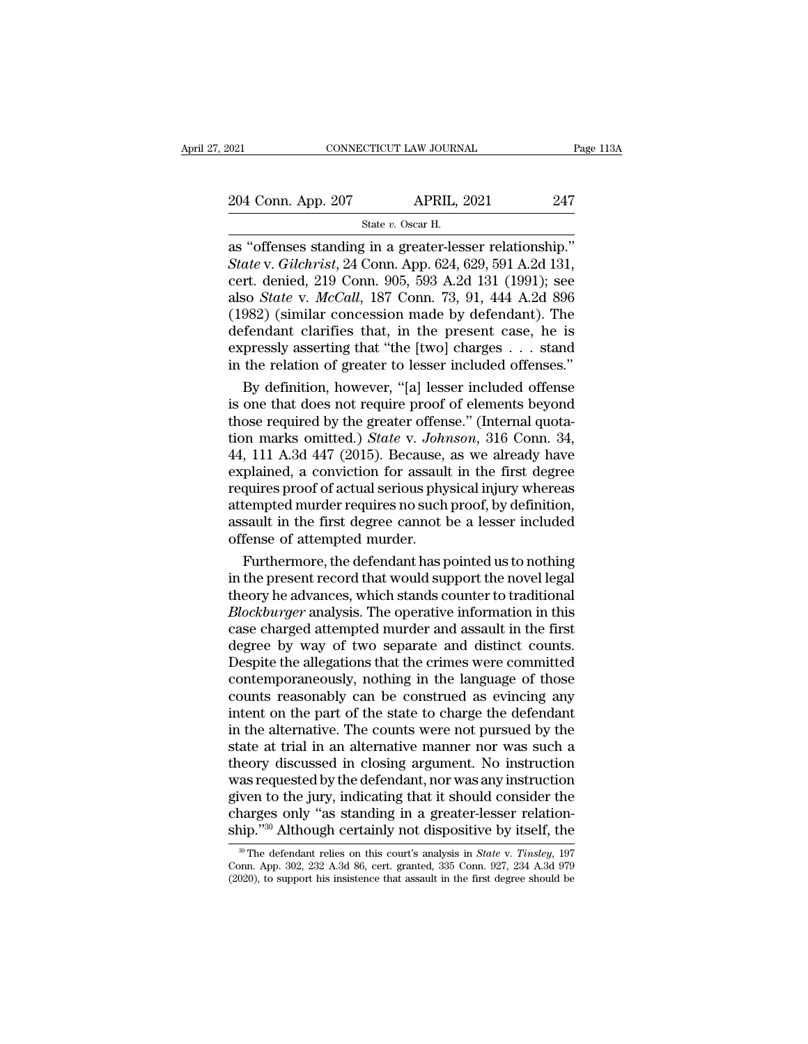2021 CONNECTICUT LAW JOURNAL Page 113A<br>204 Conn. App. 207 APRIL, 2021 247<br>3tate v. Oscar H. CTICUT LAW JOURN.<br>APRIL, :<br>State *v.* Oscar H.<br>*i* in a greater-les

connecticut LAW JOURNAL Page 1<br>
204 Conn. App. 207 APRIL, 2021 247<br>
State v. Oscar H.<br>
as "offenses standing in a greater-lesser relationship."<br>
State v. Gilchrist, 24 Conn. App. 624, 629, 591 A.2d 131,<br>
cort donied 210 Co 204 Conn. App. 207 **APRIL, 2021** 247<br>
State v. Oscar H.<br> **State** v. *Gilchrist*, 24 Conn. App. 624, 629, 591 A.2d 131,<br>
cert. denied, 219 Conn. 905, 593 A.2d 131 (1991); see<br>
also *State v. McCall*, 187 Conn. 73, 91, 444, 204 Conn. App. 207 APRIL, 2021 247<br>
State v. Oscar H.<br>
as "offenses standing in a greater-lesser relationship."<br>
State v. Gilchrist, 24 Conn. App. 624, 629, 591 A.2d 131,<br>
cert. denied, 219 Conn. 905, 593 A.2d 131 (1991); 204 Conn. App. 207 APRIL, 2021 247<br>
State v. Oscar H.<br>
as "offenses standing in a greater-lesser relationship."<br>
State v. *Gilchrist*, 24 Conn. App. 624, 629, 591 A.2d 131,<br>
cert. denied, 219 Conn. 905, 593 A.2d 131 (1991) State v. Oscar H.<br>
State v. Oscar H.<br>
as "offenses standing in a greater-lesser relationship."<br>
State v. Gilchrist, 24 Conn. App. 624, 629, 591 A.2d 131,<br>
cert. denied, 219 Conn. 905, 593 A.2d 131 (1991); see<br>
also *State* State v. Oscar H.<br>
as "offenses standing in a greater-lesser relationship."<br>
State v. Gilchrist, 24 Conn. App. 624, 629, 591 A.2d 131,<br>
cert. denied, 219 Conn. 905, 593 A.2d 131 (1991); see<br>
also *State* v. *McCall*, 187 C as "offenses standing in a greater-lesser relationship."<br>
State v. Gilchrist, 24 Conn. App. 624, 629, 591 A.2d 131,<br>
cert. denied, 219 Conn. 905, 593 A.2d 131 (1991); see<br>
also *State v. McCall*, 187 Conn. 73, 91, 444 A.2d State v. Gilchrist, 24 Conn. App. 624, 629, 591 A.2d 131,<br>cert. denied, 219 Conn. 905, 593 A.2d 131 (1991); see<br>also *State* v. *McCall*, 187 Conn. 73, 91, 444 A.2d 896<br>(1982) (similar concession made by defendant). The<br>de rt. denied, 219 Conn. 905, 593 A.2d 131 (1991); see<br>so *State* v. *McCall*, 187 Conn. 73, 91, 444 A.2d 896<br>982) (similar concession made by defendant). The<br>fendant clarifies that, in the present case, he is<br>pressly asserti also *State* v. *McCall*, 187 Conn. 73, 91, 444 A.2d 896<br>(1982) (similar concession made by defendant). The<br>defendant clarifies that, in the present case, he is<br>expressly asserting that "the [two] charges . . . stand<br>in t

(1982) (similar concession made by defendant). The<br>defendant clarifies that, in the present case, he is<br>expressly asserting that "the [two] charges . . . stand<br>in the relation of greater to lesser included offenses."<br>By d defendant clarifies that, in the present case, he is<br>expressly asserting that "the [two] charges . . . stand<br>in the relation of greater to lesser included offenses."<br>By definition, however, "[a] lesser included offense<br>is expressly asserting that "the [two] charges  $\ldots$  stand<br>in the relation of greater to lesser included offenses."<br>By definition, however, "[a] lesser included offense<br>is one that does not require proof of elements beyond<br>t in the relation of greater to lesser included offenses."<br>By definition, however, "[a] lesser included offense<br>is one that does not require proof of elements beyond<br>those required by the greater offense." (Internal quota-<br> By definition, however, "[a] lesser included offense<br>is one that does not require proof of elements beyond<br>those required by the greater offense." (Internal quota-<br>tion marks omitted.) *State* v. *Johnson*, 316 Conn. 34,<br>4 is one that does not require proof of elements beyond<br>those required by the greater offense." (Internal quota-<br>tion marks omitted.) *State* v. Johnson, 316 Conn. 34,<br>44, 111 A.3d 447 (2015). Because, as we already have<br>exp those required by the greater offense." (Internal quotation marks omitted.) *State v. Johnson*, 316 Conn. 34, 44, 111 A.3d 447 (2015). Because, as we already have explained, a conviction for assault in the first degree req tion marks omitted.) *State* v. *John*<br>44, 111 A.3d 447 (2015). Because,<br>explained, a conviction for assault<br>requires proof of actual serious phy<br>attempted murder requires no such<br>assault in the first degree cannot l<br>offen FUI A.3d 447 (2015). Because, as we already have<br>plained, a conviction for assault in the first degree<br>quires proof of actual serious physical injury whereas<br>tempted murder requires no such proof, by definition,<br>sault in explained, a conviction for assault in the first degree<br>requires proof of actual serious physical injury whereas<br>attempted murder requires no such proof, by definition,<br>assault in the first degree cannot be a lesser includ

requires proof of actual serious physical injury whereas<br>attempted murder requires no such proof, by definition,<br>assault in the first degree cannot be a lesser included<br>offense of attempted murder.<br>Furthermore, the defenda attempted murder requires no such proof, by definition,<br>assault in the first degree cannot be a lesser included<br>offense of attempted murder.<br>Furthermore, the defendant has pointed us to nothing<br>in the present record that w assault in the first degree cannot be a lesser included<br>offense of attempted murder.<br>Furthermore, the defendant has pointed us to nothing<br>in the present record that would support the novel legal<br>theory he advances, which s offense of attempted murder.<br>Furthermore, the defendant has pointed us to nothing<br>in the present record that would support the novel legal<br>theory he advances, which stands counter to traditional<br>*Blockburger* analysis. The Furthermore, the defendant has pointed us to nothing<br>in the present record that would support the novel legal<br>theory he advances, which stands counter to traditional<br>*Blockburger* analysis. The operative information in thi in the present record that would support the novel legal<br>theory he advances, which stands counter to traditional<br>*Blockburger* analysis. The operative information in this<br>case charged attempted murder and assault in the fi theory he advances, which stands counter to traditional *Blockburger* analysis. The operative information in this case charged attempted murder and assault in the first degree by way of two separate and distinct counts. De Blockburger analysis. The operative information in this<br>case charged attempted murder and assault in the first<br>degree by way of two separate and distinct counts.<br>Despite the allegations that the crimes were committed<br>conte case charged attempted murder and assault in the first<br>degree by way of two separate and distinct counts.<br>Despite the allegations that the crimes were committed<br>contemporaneously, nothing in the language of those<br>counts re degree by way of two separate and distinct counts.<br>Despite the allegations that the crimes were committed<br>contemporaneously, nothing in the language of those<br>counts reasonably can be construed as evincing any<br>intent on the Despite the allegations that the crimes were committed<br>contemporaneously, nothing in the language of those<br>counts reasonably can be construed as evincing any<br>intent on the part of the state to charge the defendant<br>in the a contemporaneously, nothing in the language of those<br>counts reasonably can be construed as evincing any<br>intent on the part of the state to charge the defendant<br>in the alternative. The counts were not pursued by the<br>state at counts reasonably can be construed as evincing any<br>intent on the part of the state to charge the defendant<br>in the alternative. The counts were not pursued by the<br>state at trial in an alternative manner nor was such a<br>theor intent on the part of the state to charge the defendant<br>in the alternative. The counts were not pursued by the<br>state at trial in an alternative manner nor was such a<br>theory discussed in closing argument. No instruction<br>was in the alternative. The counts were not pursued by the state at trial in an alternative manner nor was such a theory discussed in closing argument. No instruction was requested by the defendant, nor was any instruction gi as requested by the defendant, nor was any instruction<br>ven to the jury, indicating that it should consider the<br>narges only "as standing in a greater-lesser relation-<br>ip."<sup>30</sup> Although certainly not dispositive by itself, t given to the jury, indicating that it should consider the charges only "as standing in a greater-lesser relation-<br>ship."<sup>30</sup> Although certainly not dispositive by itself, the<br><sup>30</sup> The defendant relies on this court's anal

charges only "as standing in a greater-lesser relation-<br>ship."<sup>30</sup> Although certainly not dispositive by itself, the<br> $\frac{1}{2}$  The defendant relies on this court's analysis in *State v. Tinsley*, 197<br>Conn. App. 302, 232 A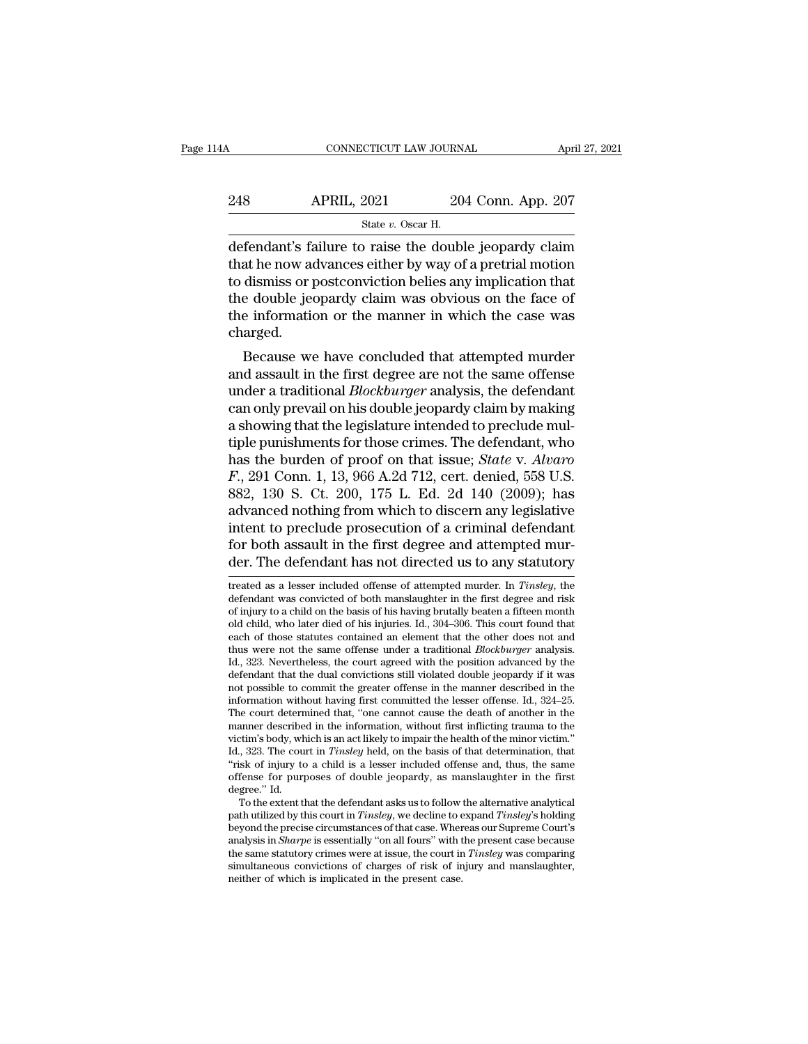| 14A | CONNECTICUT LAW JOURNAL                                |                    | April 27, 2021 |
|-----|--------------------------------------------------------|--------------------|----------------|
|     |                                                        |                    |                |
| 248 | <b>APRIL, 2021</b>                                     | 204 Conn. App. 207 |                |
|     | State $v$ . Oscar H.                                   |                    |                |
|     | defendant's failure to raise the double jeonardy claim |                    |                |

CONNECTICUT LAW JOURNAL April 27, 2021<br>
248 APRIL, 2021 204 Conn. App. 207<br>
<sup>26</sup> State v. Oscar H.<br>
defendant's failure to raise the double jeopardy claim<br>
that he now advances either by way of a pretrial motion<br>
to dismis 248 APRIL, 2021 204 Conn. App. 207<br>  $\frac{204 \text{ Conn. App. 207}}{3 \text{ tate } v. \text{ Oscar H.}}$ <br>
defendant's failure to raise the double jeopardy claim<br>
that he now advances either by way of a pretrial motion<br>
to dismiss or postconviction beli 248 APRIL, 2021 204 Conn. App. 207<br>  $\frac{3\times 10^{-11}}{10^{-11}}$  atte v. Oscar H.<br>
defendant's failure to raise the double jeopardy claim<br>
that he now advances either by way of a pretrial motion<br>
to dismiss or postconviction be 248 APRIL, 2021 204 Conn. App. 207<br>  $\frac{\text{State } v. \text{ Oscar H.}}{\text{defendant's failure to raise the double jeopardy claim}}$ that he now advances either by way of a pretrial motion to dismiss or postconviction belies any implication that the double jeopardy claim was obviou State v. Oscar H.<br>
State v. Oscar H.<br>
defendant's failure to raise the double jeopardy claim<br>
that he now advances either by way of a pretrial motion<br>
to dismiss or postconviction belies any implication that<br>
the double j charged. Fendant's failure to faise the double jeopardy claim<br>at he now advances either by way of a pretrial motion<br>dismiss or postconviction belies any implication that<br>e double jeopardy claim was obvious on the face of<br>e informat that he how advances entier by way of a pretrial motion<br>to dismiss or postconviction belies any implication that<br>the double jeopardy claim was obvious on the face of<br>the information or the manner in which the case was<br>char

the double jeopardy claim was obvious on the face of<br>the information or the manner in which the case was<br>charged.<br>Because we have concluded that attempted murder<br>and assault in the first degree are not the same offense<br>und the information or the manner in which the case was<br>charged.<br>Because we have concluded that attempted murder<br>and assault in the first degree are not the same offense<br>under a traditional *Blockburger* analysis, the defendan the miorination of the mailier in which the case was<br>charged.<br>Because we have concluded that attempted murder<br>and assault in the first degree are not the same offense<br>under a traditional *Blockburger* analysis, the defenda Because we have concluded that attempted murder<br>and assault in the first degree are not the same offense<br>under a traditional *Blockburger* analysis, the defendant<br>can only prevail on his double jeopardy claim by making<br>a Because we have concluded that attempted murder<br>and assault in the first degree are not the same offense<br>under a traditional *Blockburger* analysis, the defendant<br>can only prevail on his double jeopardy claim by making<br>a s and assault in the first degree are not the same offense<br>under a traditional *Blockburger* analysis, the defendant<br>can only prevail on his double jeopardy claim by making<br>a showing that the legislature intended to preclude under a traditional *Blockburger* analysis, the defendant<br>can only prevail on his double jeopardy claim by making<br>a showing that the legislature intended to preclude mul-<br>tiple punishments for those crimes. The defendant, can only prevail on his double jeopardy claim by making<br>a showing that the legislature intended to preclude mul-<br>tiple punishments for those crimes. The defendant, who<br>has the burden of proof on that issue; *State* v. Alv a showing that the legislature intended to preclude multiple punishments for those crimes. The defendant, who has the burden of proof on that issue; *State v. Alvaro*  $F$ , 291 Conn. 1, 13, 966 A.2d 712, cert. denied, 558 U tiple punishments for those crimes. The defendant, who<br>has the burden of proof on that issue; *State v. Alvaro*<br> $F$ ., 291 Conn. 1, 13, 966 A.2d 712, cert. denied, 558 U.S.<br>882, 130 S. Ct. 200, 175 L. Ed. 2d 140 (2009); has has the burden of proof on that issue; *State v. Alvaro*  $F$ ., 291 Conn. 1, 13, 966 A.2d 712, cert. denied, 558 U.S. 882, 130 S. Ct. 200, 175 L. Ed. 2d 140 (2009); has advanced nothing from which to discern any legislativ advanced nothing from which to discern any legislative<br>intent to preclude prosecution of a criminal defendant<br>for both assault in the first degree and attempted mur-<br>der. The defendant has not directed us to any statutory<br> intent to preclude prosecution of a criminal defendant<br>for both assault in the first degree and attempted mur-<br>der. The defendant has not directed us to any statutory<br>treated as a lesser included offense of attempted murde

for both assault in the first degree and attempted mur-<br>der. The defendant has not directed us to any statutory<br>treated as a lesser included offense of attempted murder. In *Tinsley*, the<br>defendant was convicted of both ma for both assault in the first degree and attempted murder. The defendant has not directed us to any statutory treated as a lesser included offense of attempted murder. In *Tinsley*, the defendant was convicted of both mans der. The defendant has not directed us to any statutory<br>treated as a lesser included offense of attempted murder. In *Tinsley*, the<br>defendant was convicted of both manslaughter in the first degree and risk<br>of injury to a c treated as a lesser included offense of attempted murder. In *Tinsley*, the defendant was convicted of both manslaughter in the first degree and risk of injury to a child on the basis of his having brutally beaten a fiftee treated as a lesser included offense of attempted murder. In *Tinsley*, the defendant was convicted of both manslaughter in the first degree and risk of injury to a child on the basis of his having brutally beaten a fiftee old child, who later died of his injuries. Id., 304–306. This court found that each of those statutes contained an element that the other does not and thus were not the same offense under a traditional *Blockburger* analy of injury to a child on the basis of his having brutally beaten a fifteen month<br>old child, who later died of his injuries. Id., 304–306. This court found that<br>each of those statutes contained an element that the other doe old child, who later died of his injuries. Id., 304–306. This court found that each of those statutes contained an element that the other does not and thus were not the same offense under a traditional *Blockburger* analys each of those statutes contained an element that the other does not and<br>thus were not the same offense under a traditional *Blockburger* analysis.<br>Id., 323. Nevertheless, the court agreed with the position advanced by the<br> thus were not the same offense under a traditional *Blockburger* analysis.<br>Id., 323. Nevertheless, the court agreed with the position advanced by the<br>defendant that the dual convictions still violated double jeopardy if it Id., 323. Nevertheless, the court agreed with the position advanced by the defendant that the dual convictions still violated double jeopardy if it was not possible to commit the greater offense in the manner described in defendant that the dual convictions still violated double jeopardy if it was<br>not possible to commit the greater offense in the manner described in the<br>information without having first committed the lesser offense. Id., 324 not possible to commit the greater offense in the manner described in the information without having first committed the lesser offense. Id., 324–25. The court determined that, "one cannot cause the death of another in the information without having first committed the lesser offense. Id., 324–25.<br>The court determined that, "one cannot cause the death of another in the<br>manner described in the information, without first inflicting trauma to t The court detern<br>manner describe<br>victim's body, wh<br>Id., 323. The cou<br>"risk of injury to<br>offense for purp<br>degree." Id.<br>To the extent tl manner described in the information, without first inflicting trauma to the titm's body, which is an act likely to impair the health of the minor victim."<br>
, 323. The court in *Tinsley* held, on the basis of that determina victim's body, which is an act likely to impair the health of the minor victim."<br>Id., 323. The court in *Tinsley* held, on the basis of that determination, that<br>"risk of injury to a child is a lesser included offense and,

Id., 323. The court in *Tinsley* held, on the basis of that determination, that "risk of injury to a child is a lesser included offense and, thus, the same offense for purposes of double jeopardy, as manslaughter in the f "risk of injury to a child is a lesser included offense and, thus, the same<br>offense for purposes of double jeopardy, as manslaughter in the first<br>degree." Id.<br>To the extent that the defendant asks us to follow the alternat offense for purposes of double jeopardy, as manslaughter in the first degree." Id.<br>To the extent that the defendant asks us to follow the alternative analytical<br>path utilized by this court in *Tinsley*, we decline to expan degree." Id. To the extent that the defendant asks us to follow the alternative analytical path utilized by this court in *Tinsley*, we decline to expand *Tinsley*'s holding beyond the precise circumstances of that case. W To the extent that the defendant asks us to follow<br>path utilized by this court in *Tinsley*, we decline to e<br>beyond the precise circumstances of that case. Wher<br>analysis in *Sharpe* is essentially "on all fours" with t<br>the